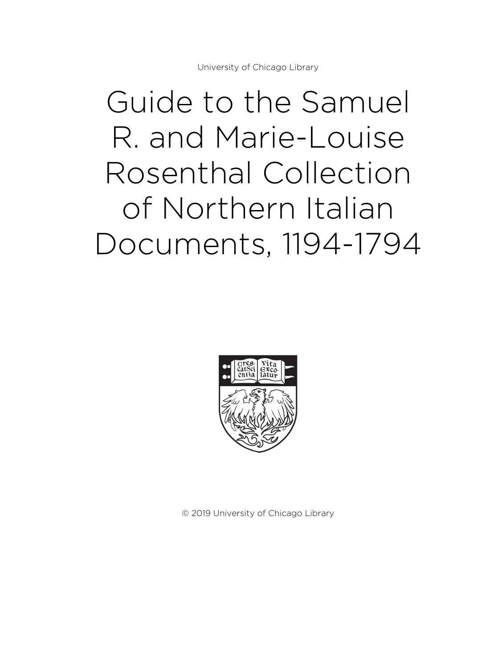University of Chicago Library

# Guide to the Samuel R. and Marie-Louise Rosenthal Collection of Northern Italian Documents, 1194-1794



© 2019 University of Chicago Library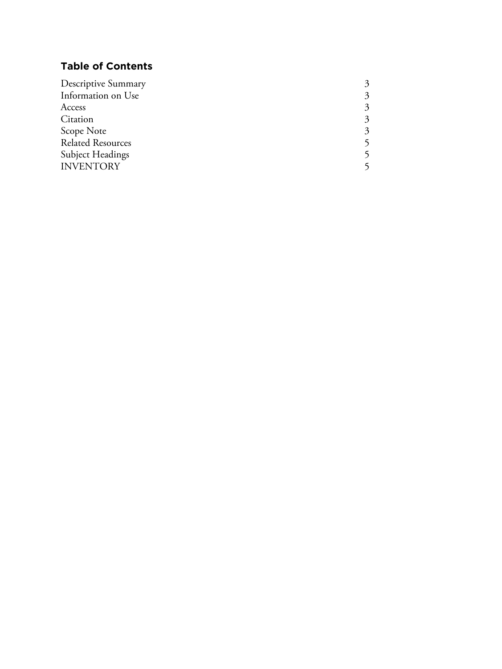# **Table of Contents**

| Descriptive Summary      |  |
|--------------------------|--|
| Information on Use       |  |
| Access                   |  |
| Citation                 |  |
| Scope Note               |  |
| <b>Related Resources</b> |  |
| Subject Headings         |  |
| <b>INVENTORY</b>         |  |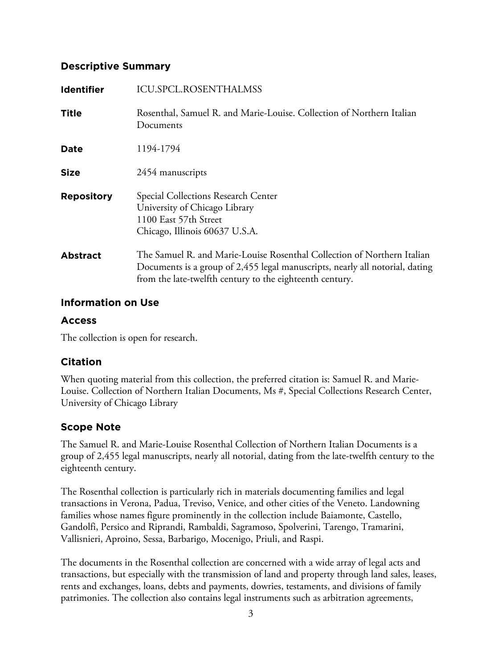## **Descriptive Summary**

| <b>Identifier</b> | <b>ICU.SPCL.ROSENTHALMSS</b>                                                                                                                                                                                        |
|-------------------|---------------------------------------------------------------------------------------------------------------------------------------------------------------------------------------------------------------------|
| <b>Title</b>      | Rosenthal, Samuel R. and Marie-Louise. Collection of Northern Italian<br>Documents                                                                                                                                  |
| <b>Date</b>       | 1194-1794                                                                                                                                                                                                           |
| <b>Size</b>       | 2454 manuscripts                                                                                                                                                                                                    |
| <b>Repository</b> | Special Collections Research Center<br>University of Chicago Library<br>1100 East 57th Street<br>Chicago, Illinois 60637 U.S.A.                                                                                     |
| <b>Abstract</b>   | The Samuel R. and Marie-Louise Rosenthal Collection of Northern Italian<br>Documents is a group of 2,455 legal manuscripts, nearly all notorial, dating<br>from the late-twelfth century to the eighteenth century. |

## **Information on Use**

# **Access**

The collection is open for research.

# **Citation**

When quoting material from this collection, the preferred citation is: Samuel R. and Marie-Louise. Collection of Northern Italian Documents, Ms #, Special Collections Research Center, University of Chicago Library

# **Scope Note**

The Samuel R. and Marie-Louise Rosenthal Collection of Northern Italian Documents is a group of 2,455 legal manuscripts, nearly all notorial, dating from the late-twelfth century to the eighteenth century.

The Rosenthal collection is particularly rich in materials documenting families and legal transactions in Verona, Padua, Treviso, Venice, and other cities of the Veneto. Landowning families whose names figure prominently in the collection include Baiamonte, Castello, Gandolfi, Persico and Riprandi, Rambaldi, Sagramoso, Spolverini, Tarengo, Tramarini, Vallisnieri, Aproino, Sessa, Barbarigo, Mocenigo, Priuli, and Raspi.

The documents in the Rosenthal collection are concerned with a wide array of legal acts and transactions, but especially with the transmission of land and property through land sales, leases, rents and exchanges, loans, debts and payments, dowries, testaments, and divisions of family patrimonies. The collection also contains legal instruments such as arbitration agreements,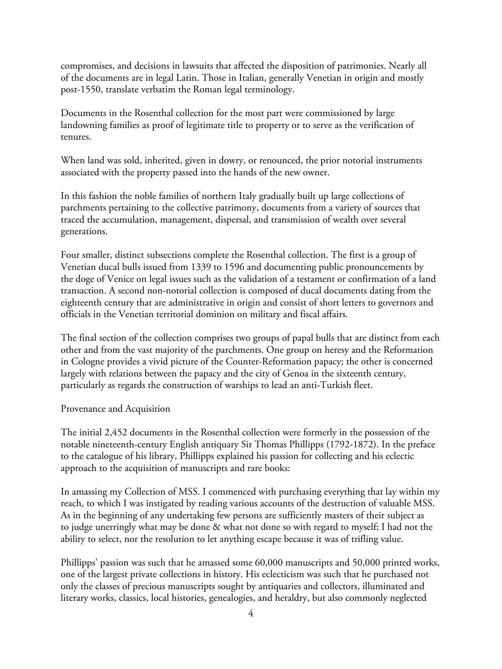compromises, and decisions in lawsuits that affected the disposition of patrimonies. Nearly all of the documents are in legal Latin. Those in Italian, generally Venetian in origin and mostly post-1550, translate verbatim the Roman legal terminology.

Documents in the Rosenthal collection for the most part were commissioned by large landowning families as proof of legitimate title to property or to serve as the verification of tenures.

When land was sold, inherited, given in dowry, or renounced, the prior notorial instruments associated with the property passed into the hands of the new owner.

In this fashion the noble families of northern Italy gradually built up large collections of parchments pertaining to the collective patrimony, documents from a variety of sources that traced the accumulation, management, dispersal, and transmission of wealth over several generations.

Four smaller, distinct subsections complete the Rosenthal collection. The first is a group of Venetian ducal bulls issued from 1339 to 1596 and documenting public pronouncements by the doge of Venice on legal issues such as the validation of a testament or confirmation of a land transaction. A second non-notorial collection is composed of ducal documents dating from the eighteenth century that are administrative in origin and consist of short letters to governors and officials in the Venetian territorial dominion on military and fiscal affairs.

The final section of the collection comprises two groups of papal bulls that are distinct from each other and from the vast majority of the parchments. One group on heresy and the Reformation in Cologne provides a vivid picture of the Counter-Reformation papacy; the other is concerned largely with relations between the papacy and the city of Genoa in the sixteenth century, particularly as regards the construction of warships to lead an anti-Turkish fleet.

Provenance and Acquisition

The initial 2,452 documents in the Rosenthal collection were formerly in the possession of the notable nineteenth-century English antiquary Sir Thomas Phillipps (1792-1872). In the preface to the catalogue of his library, Phillipps explained his passion for collecting and his eclectic approach to the acquisition of manuscripts and rare books:

In amassing my Collection of MSS. I commenced with purchasing everything that lay within my reach, to which I was instigated by reading various accounts of the destruction of valuable MSS. As in the beginning of any undertaking few persons are sufficiently masters of their subject as to judge unerringly what may be done & what not done so with regard to myself; I had not the ability to select, nor the resolution to let anything escape because it was of trifling value.

Phillipps' passion was such that he amassed some 60,000 manuscripts and 50,000 printed works, one of the largest private collections in history. His eclecticism was such that he purchased not only the classes of precious manuscripts sought by antiquaries and collectors, illuminated and literary works, classics, local histories, genealogies, and heraldry, but also commonly neglected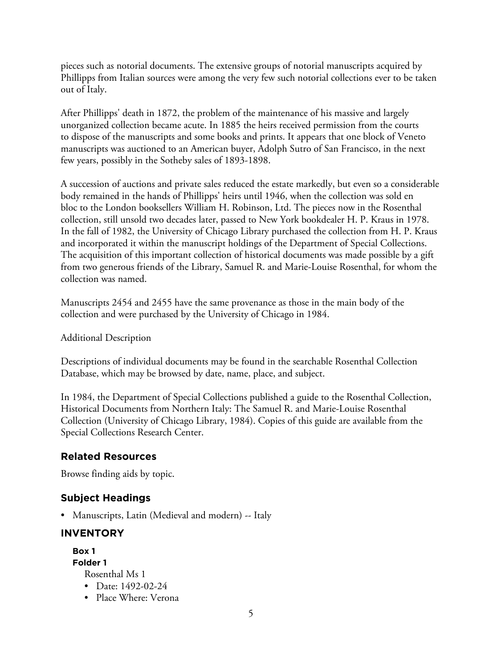pieces such as notorial documents. The extensive groups of notorial manuscripts acquired by Phillipps from Italian sources were among the very few such notorial collections ever to be taken out of Italy.

After Phillipps' death in 1872, the problem of the maintenance of his massive and largely unorganized collection became acute. In 1885 the heirs received permission from the courts to dispose of the manuscripts and some books and prints. It appears that one block of Veneto manuscripts was auctioned to an American buyer, Adolph Sutro of San Francisco, in the next few years, possibly in the Sotheby sales of 1893-1898.

A succession of auctions and private sales reduced the estate markedly, but even so a considerable body remained in the hands of Phillipps' heirs until 1946, when the collection was sold en bloc to the London booksellers William H. Robinson, Ltd. The pieces now in the Rosenthal collection, still unsold two decades later, passed to New York bookdealer H. P. Kraus in 1978. In the fall of 1982, the University of Chicago Library purchased the collection from H. P. Kraus and incorporated it within the manuscript holdings of the Department of Special Collections. The acquisition of this important collection of historical documents was made possible by a gift from two generous friends of the Library, Samuel R. and Marie-Louise Rosenthal, for whom the collection was named.

Manuscripts 2454 and 2455 have the same provenance as those in the main body of the collection and were purchased by the University of Chicago in 1984.

Additional Description

Descriptions of individual documents may be found in the searchable Rosenthal Collection Database, which may be browsed by date, name, place, and subject.

In 1984, the Department of Special Collections published a guide to the Rosenthal Collection, Historical Documents from Northern Italy: The Samuel R. and Marie-Louise Rosenthal Collection (University of Chicago Library, 1984). Copies of this guide are available from the Special Collections Research Center.

# **Related Resources**

Browse finding aids by topic.

# **Subject Headings**

• Manuscripts, Latin (Medieval and modern) -- Italy

# **INVENTORY**

**Box 1 Folder 1** Rosenthal Ms 1

- Date: 1492-02-24
- Place Where: Verona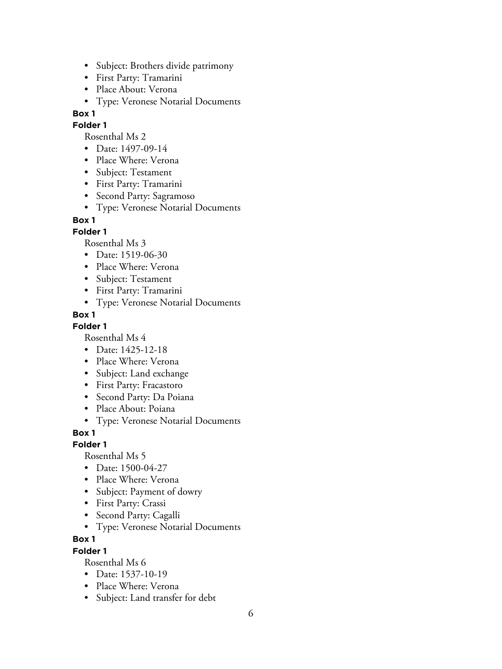- Subject: Brothers divide patrimony
- First Party: Tramarini
- Place About: Verona
- Type: Veronese Notarial Documents

**Folder 1**

Rosenthal Ms 2

- Date: 1497-09-14
- Place Where: Verona
- Subject: Testament
- First Party: Tramarini
- Second Party: Sagramoso
- Type: Veronese Notarial Documents

#### **Box 1**

**Folder 1**

Rosenthal Ms 3

- Date: 1519-06-30
- Place Where: Verona
- Subject: Testament
- First Party: Tramarini
- Type: Veronese Notarial Documents

#### **Box 1**

**Folder 1**

Rosenthal Ms 4

- Date: 1425-12-18
- Place Where: Verona
- Subject: Land exchange
- First Party: Fracastoro
- Second Party: Da Poiana
- Place About: Poiana
- Type: Veronese Notarial Documents

**Box 1**

**Folder 1**

Rosenthal Ms 5

- Date: 1500-04-27
- Place Where: Verona
- Subject: Payment of dowry
- First Party: Crassi
- Second Party: Cagalli
- Type: Veronese Notarial Documents

**Box 1**

#### **Folder 1**

- Date: 1537-10-19
- Place Where: Verona
- Subject: Land transfer for debt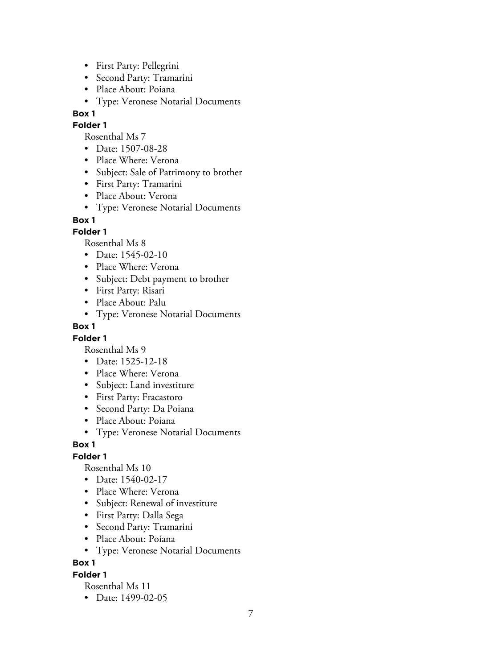- First Party: Pellegrini
- Second Party: Tramarini
- Place About: Poiana
- Type: Veronese Notarial Documents

#### **Folder 1**

Rosenthal Ms 7

- Date: 1507-08-28
- Place Where: Verona
- Subject: Sale of Patrimony to brother
- First Party: Tramarini
- Place About: Verona
- Type: Veronese Notarial Documents

## **Box 1**

## **Folder 1**

Rosenthal Ms 8

- Date: 1545-02-10
- Place Where: Verona
- Subject: Debt payment to brother
- First Party: Risari
- Place About: Palu
- Type: Veronese Notarial Documents

#### **Box 1**

#### **Folder 1**

Rosenthal Ms 9

- Date: 1525-12-18
- Place Where: Verona
- Subject: Land investiture
- First Party: Fracastoro
- Second Party: Da Poiana
- Place About: Poiana
- Type: Veronese Notarial Documents

## **Box 1**

## **Folder 1**

Rosenthal Ms 10

- Date: 1540-02-17
- Place Where: Verona
- Subject: Renewal of investiture
- First Party: Dalla Sega
- Second Party: Tramarini
- Place About: Poiana
- Type: Veronese Notarial Documents

**Box 1**

#### **Folder 1**

Rosenthal Ms 11

• Date: 1499-02-05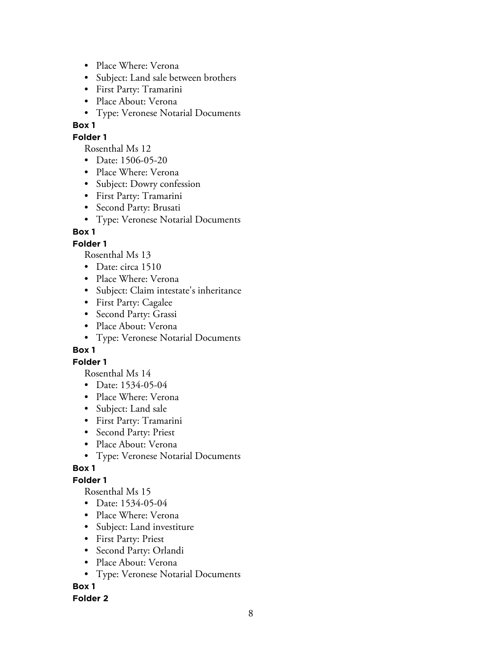- Place Where: Verona
- Subject: Land sale between brothers
- First Party: Tramarini
- Place About: Verona
- Type: Veronese Notarial Documents

## **Folder 1**

Rosenthal Ms 12

- Date: 1506-05-20
- Place Where: Verona
- Subject: Dowry confession
- First Party: Tramarini
- Second Party: Brusati
- Type: Veronese Notarial Documents

#### **Box 1**

#### **Folder 1**

Rosenthal Ms 13

- Date: circa 1510
- Place Where: Verona
- Subject: Claim intestate's inheritance
- First Party: Cagalee
- Second Party: Grassi
- Place About: Verona
- Type: Veronese Notarial Documents

#### **Box 1**

## **Folder 1**

Rosenthal Ms 14

- Date: 1534-05-04
- Place Where: Verona
- Subject: Land sale
- First Party: Tramarini
- Second Party: Priest
- Place About: Verona
- Type: Veronese Notarial Documents

## **Box 1**

## **Folder 1**

Rosenthal Ms 15

- Date: 1534-05-04
- Place Where: Verona
- Subject: Land investiture
- First Party: Priest
- Second Party: Orlandi
- Place About: Verona
- Type: Veronese Notarial Documents

## **Box 1**

#### **Folder 2**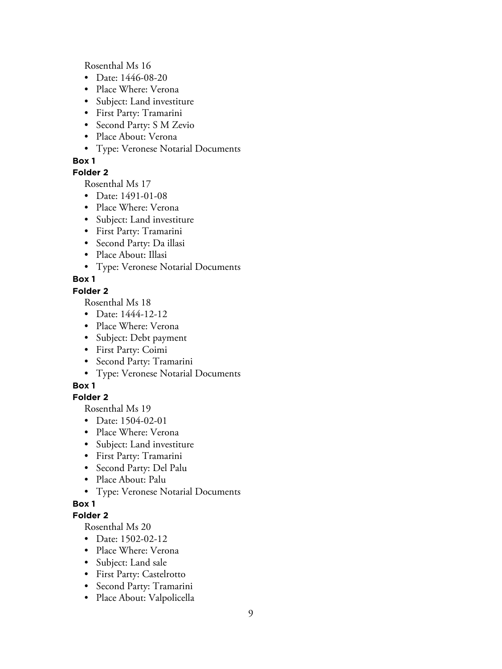Rosenthal Ms 16

- Date: 1446-08-20
- Place Where: Verona
- Subject: Land investiture
- First Party: Tramarini
- Second Party: S M Zevio
- Place About: Verona
- Type: Veronese Notarial Documents

#### **Box 1**

#### **Folder 2**

Rosenthal Ms 17

- Date: 1491-01-08
- Place Where: Verona
- Subject: Land investiture
- First Party: Tramarini
- Second Party: Da illasi
- Place About: Illasi
- Type: Veronese Notarial Documents

## **Box 1**

#### **Folder 2**

Rosenthal Ms 18

- Date: 1444-12-12
- Place Where: Verona
- Subject: Debt payment
- First Party: Coimi
- Second Party: Tramarini
- Type: Veronese Notarial Documents

## **Box 1**

## **Folder 2**

Rosenthal Ms 19

- Date: 1504-02-01
- Place Where: Verona
- Subject: Land investiture
- First Party: Tramarini
- Second Party: Del Palu
- Place About: Palu
- Type: Veronese Notarial Documents

## **Box 1**

#### **Folder 2**

- Date: 1502-02-12
- Place Where: Verona
- Subject: Land sale
- First Party: Castelrotto
- Second Party: Tramarini
- Place About: Valpolicella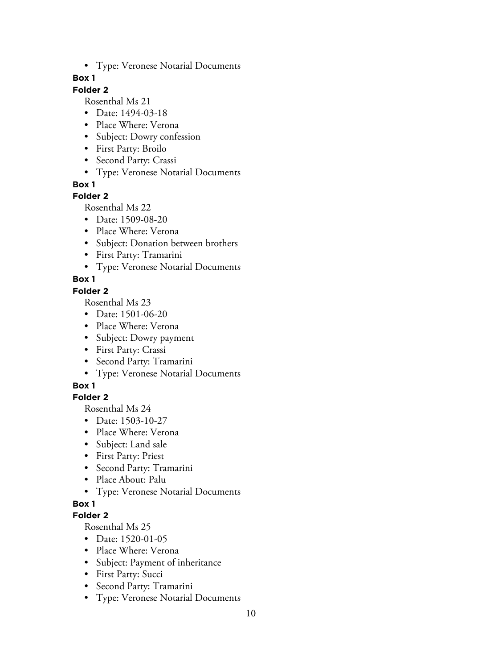• Type: Veronese Notarial Documents

#### **Box 1**

## **Folder 2**

Rosenthal Ms 21

- Date: 1494-03-18
- Place Where: Verona
- Subject: Dowry confession
- First Party: Broilo
- Second Party: Crassi
- Type: Veronese Notarial Documents

**Box 1**

## **Folder 2**

Rosenthal Ms 22

- Date: 1509-08-20
- Place Where: Verona
- Subject: Donation between brothers
- First Party: Tramarini
- Type: Veronese Notarial Documents

# **Box 1**

## **Folder 2**

Rosenthal Ms 23

- Date: 1501-06-20
- Place Where: Verona
- Subject: Dowry payment
- First Party: Crassi
- Second Party: Tramarini
- Type: Veronese Notarial Documents

# **Box 1**

# **Folder 2**

Rosenthal Ms 24

- Date: 1503-10-27
- Place Where: Verona
- Subject: Land sale
- First Party: Priest
- Second Party: Tramarini
- Place About: Palu
- Type: Veronese Notarial Documents

# **Box 1**

## **Folder 2**

- Date: 1520-01-05
- Place Where: Verona
- Subject: Payment of inheritance
- First Party: Succi
- Second Party: Tramarini
- Type: Veronese Notarial Documents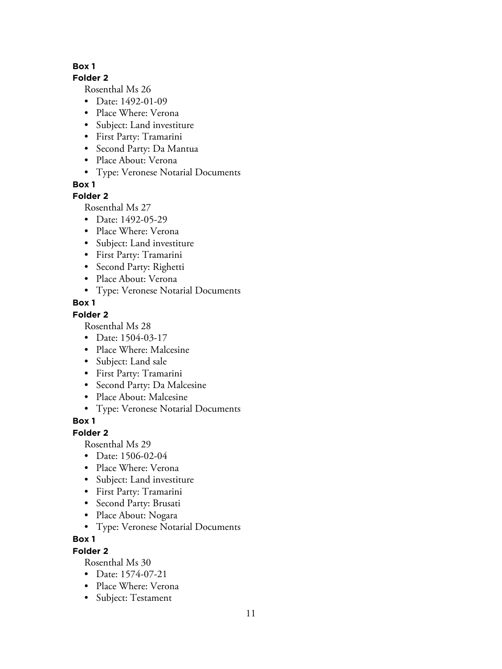#### **Folder 2**

Rosenthal Ms 26

- Date: 1492-01-09
- Place Where: Verona
- Subject: Land investiture
- First Party: Tramarini
- Second Party: Da Mantua
- Place About: Verona
- Type: Veronese Notarial Documents

**Box 1**

## **Folder 2**

Rosenthal Ms 27

- Date: 1492-05-29
- Place Where: Verona
- Subject: Land investiture
- First Party: Tramarini
- Second Party: Righetti
- Place About: Verona
- Type: Veronese Notarial Documents

# **Box 1**

# **Folder 2**

Rosenthal Ms 28

- Date: 1504-03-17
- Place Where: Malcesine
- Subject: Land sale
- First Party: Tramarini
- Second Party: Da Malcesine
- Place About: Malcesine
- Type: Veronese Notarial Documents

# **Box 1**

## **Folder 2**

Rosenthal Ms 29

- Date: 1506-02-04
- Place Where: Verona
- Subject: Land investiture
- First Party: Tramarini
- Second Party: Brusati
- Place About: Nogara
- Type: Veronese Notarial Documents

# **Box 1**

# **Folder 2**

- Date: 1574-07-21
- Place Where: Verona
- Subject: Testament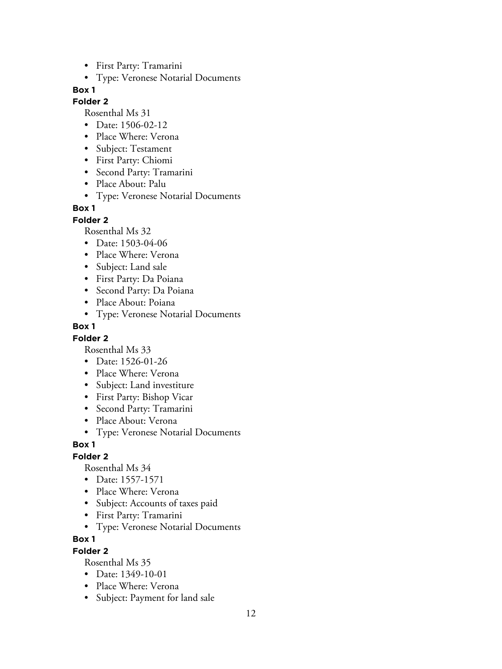- First Party: Tramarini
- Type: Veronese Notarial Documents

#### **Folder 2**

Rosenthal Ms 31

- Date: 1506-02-12
- Place Where: Verona
- Subject: Testament
- First Party: Chiomi
- Second Party: Tramarini
- Place About: Palu
- Type: Veronese Notarial Documents

#### **Box 1**

**Folder 2**

Rosenthal Ms 32

- Date: 1503-04-06
- Place Where: Verona
- Subject: Land sale
- First Party: Da Poiana
- Second Party: Da Poiana
- Place About: Poiana
- Type: Veronese Notarial Documents

#### **Box 1**

#### **Folder 2**

Rosenthal Ms 33

- Date: 1526-01-26
- Place Where: Verona
- Subject: Land investiture
- First Party: Bishop Vicar
- Second Party: Tramarini
- Place About: Verona
- Type: Veronese Notarial Documents

#### **Box 1**

#### **Folder 2**

Rosenthal Ms 34

- Date: 1557-1571
- Place Where: Verona
- Subject: Accounts of taxes paid
- First Party: Tramarini
- Type: Veronese Notarial Documents

#### **Box 1**

#### **Folder 2**

- Date: 1349-10-01
- Place Where: Verona
- Subject: Payment for land sale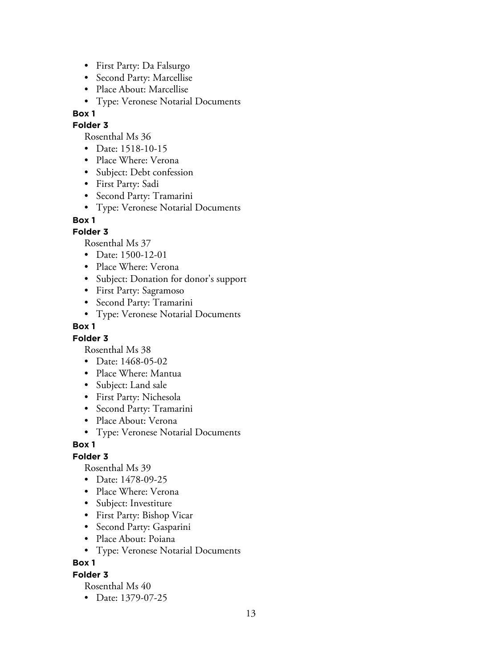- First Party: Da Falsurgo
- Second Party: Marcellise
- Place About: Marcellise
- Type: Veronese Notarial Documents

#### **Folder 3**

Rosenthal Ms 36

- Date: 1518-10-15
- Place Where: Verona
- Subject: Debt confession
- First Party: Sadi
- Second Party: Tramarini
- Type: Veronese Notarial Documents

## **Box 1**

## **Folder 3**

Rosenthal Ms 37

- Date: 1500-12-01
- Place Where: Verona
- Subject: Donation for donor's support
- First Party: Sagramoso
- Second Party: Tramarini
- Type: Veronese Notarial Documents

## **Box 1**

## **Folder 3**

Rosenthal Ms 38

- Date: 1468-05-02
- Place Where: Mantua
- Subject: Land sale
- First Party: Nichesola
- Second Party: Tramarini
- Place About: Verona
- Type: Veronese Notarial Documents

## **Box 1**

# **Folder 3**

Rosenthal Ms 39

- Date: 1478-09-25
- Place Where: Verona
- Subject: Investiture
- First Party: Bishop Vicar
- Second Party: Gasparini
- Place About: Poiana
- Type: Veronese Notarial Documents

# **Box 1**

## **Folder 3**

Rosenthal Ms 40

• Date: 1379-07-25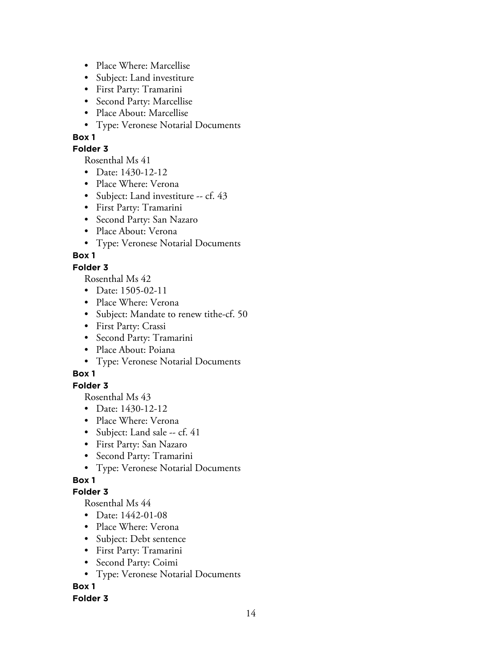- Place Where: Marcellise
- Subject: Land investiture
- First Party: Tramarini
- Second Party: Marcellise
- Place About: Marcellise
- Type: Veronese Notarial Documents

## **Folder 3**

Rosenthal Ms 41

- Date: 1430-12-12
- Place Where: Verona
- Subject: Land investiture -- cf. 43
- First Party: Tramarini
- Second Party: San Nazaro
- Place About: Verona
- Type: Veronese Notarial Documents

# **Box 1**

# **Folder 3**

Rosenthal Ms 42

- Date: 1505-02-11
- Place Where: Verona
- Subject: Mandate to renew tithe-cf. 50
- First Party: Crassi
- Second Party: Tramarini
- Place About: Poiana
- Type: Veronese Notarial Documents

# **Box 1**

# **Folder 3**

Rosenthal Ms 43

- Date: 1430-12-12
- Place Where: Verona
- Subject: Land sale -- cf. 41
- First Party: San Nazaro
- Second Party: Tramarini
- Type: Veronese Notarial Documents

# **Box 1**

# **Folder 3**

Rosenthal Ms 44

- Date: 1442-01-08
- Place Where: Verona
- Subject: Debt sentence
- First Party: Tramarini
- Second Party: Coimi
- Type: Veronese Notarial Documents

# **Box 1**

# **Folder 3**

14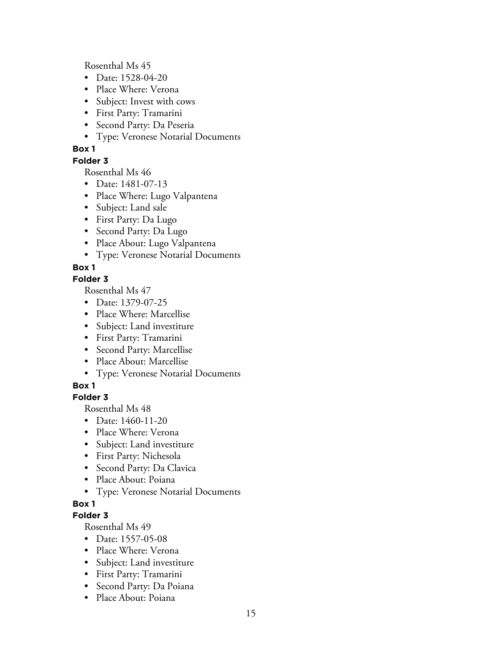Rosenthal Ms 45

- Date: 1528-04-20
- Place Where: Verona
- Subject: Invest with cows
- First Party: Tramarini
- Second Party: Da Peseria
- Type: Veronese Notarial Documents

## **Box 1**

**Folder 3**

Rosenthal Ms 46

- Date: 1481-07-13
- Place Where: Lugo Valpantena
- Subject: Land sale
- First Party: Da Lugo
- Second Party: Da Lugo
- Place About: Lugo Valpantena
- Type: Veronese Notarial Documents

## **Box 1**

## **Folder 3**

Rosenthal Ms 47

- Date: 1379-07-25
- Place Where: Marcellise
- Subject: Land investiture
- First Party: Tramarini
- Second Party: Marcellise
- Place About: Marcellise
- Type: Veronese Notarial Documents

## **Box 1**

## **Folder 3**

Rosenthal Ms 48

- Date: 1460-11-20
- Place Where: Verona
- Subject: Land investiture
- First Party: Nichesola
- Second Party: Da Clavica
- Place About: Poiana
- Type: Veronese Notarial Documents

## **Box 1**

## **Folder 3**

- Date: 1557-05-08
- Place Where: Verona
- Subject: Land investiture
- First Party: Tramarini
- Second Party: Da Poiana
- Place About: Poiana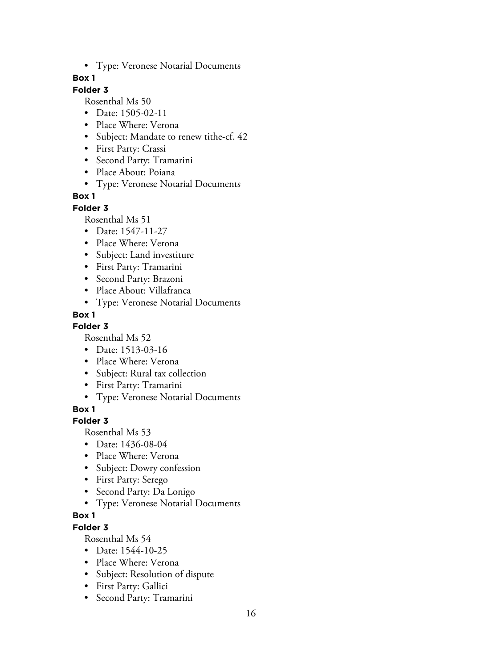• Type: Veronese Notarial Documents

## **Box 1**

# **Folder 3**

Rosenthal Ms 50

- Date: 1505-02-11
- Place Where: Verona
- Subject: Mandate to renew tithe-cf. 42
- First Party: Crassi
- Second Party: Tramarini
- Place About: Poiana
- Type: Veronese Notarial Documents

## **Box 1**

## **Folder 3**

Rosenthal Ms 51

- Date: 1547-11-27
- Place Where: Verona
- Subject: Land investiture
- First Party: Tramarini
- Second Party: Brazoni
- Place About: Villafranca
- Type: Veronese Notarial Documents

## **Box 1**

**Folder 3**

Rosenthal Ms 52

- Date: 1513-03-16
- Place Where: Verona
- Subject: Rural tax collection
- First Party: Tramarini
- Type: Veronese Notarial Documents

**Box 1**

# **Folder 3**

Rosenthal Ms 53

- Date: 1436-08-04
- Place Where: Verona
- Subject: Dowry confession
- First Party: Serego
- Second Party: Da Lonigo
- Type: Veronese Notarial Documents

## **Box 1**

**Folder 3**

- Date: 1544-10-25
- Place Where: Verona
- Subject: Resolution of dispute
- First Party: Gallici
- Second Party: Tramarini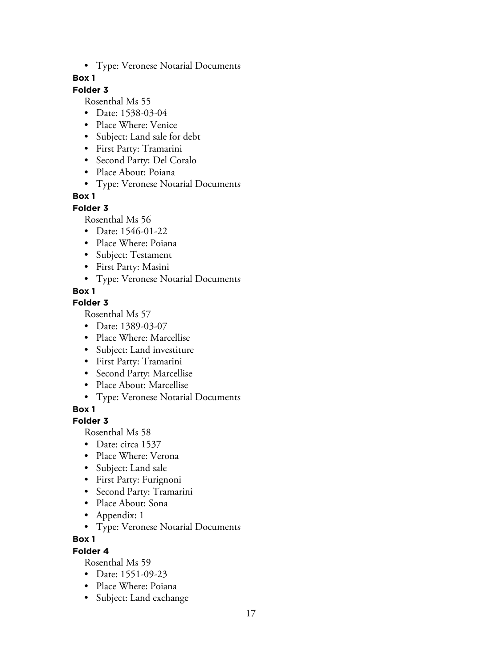• Type: Veronese Notarial Documents

## **Box 1**

# **Folder 3**

Rosenthal Ms 55

- Date: 1538-03-04
- Place Where: Venice
- Subject: Land sale for debt
- First Party: Tramarini
- Second Party: Del Coralo
- Place About: Poiana
- Type: Veronese Notarial Documents

# **Box 1**

## **Folder 3**

Rosenthal Ms 56

- Date: 1546-01-22
- Place Where: Poiana
- Subject: Testament
- First Party: Masini
- Type: Veronese Notarial Documents

# **Box 1**

# **Folder 3**

Rosenthal Ms 57

- Date: 1389-03-07
- Place Where: Marcellise
- Subject: Land investiture
- First Party: Tramarini
- Second Party: Marcellise
- Place About: Marcellise
- Type: Veronese Notarial Documents

**Box 1**

# **Folder 3**

Rosenthal Ms 58

- Date: circa 1537
- Place Where: Verona
- Subject: Land sale
- First Party: Furignoni
- Second Party: Tramarini
- Place About: Sona
- Appendix: 1
- Type: Veronese Notarial Documents

**Box 1**

# **Folder 4**

- Date: 1551-09-23
- Place Where: Poiana
- Subject: Land exchange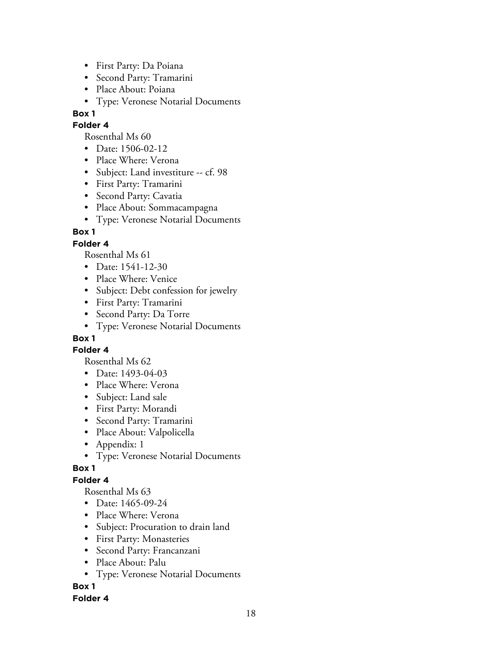- First Party: Da Poiana
- Second Party: Tramarini
- Place About: Poiana
- Type: Veronese Notarial Documents

#### **Folder 4**

Rosenthal Ms 60

- Date: 1506-02-12
- Place Where: Verona
- Subject: Land investiture -- cf. 98
- First Party: Tramarini
- Second Party: Cavatia
- Place About: Sommacampagna
- Type: Veronese Notarial Documents

## **Box 1**

## **Folder 4**

Rosenthal Ms 61

- Date: 1541-12-30
- Place Where: Venice
- Subject: Debt confession for jewelry
- First Party: Tramarini
- Second Party: Da Torre
- Type: Veronese Notarial Documents

# **Box 1**

## **Folder 4**

Rosenthal Ms 62

- Date: 1493-04-03
- Place Where: Verona
- Subject: Land sale
- First Party: Morandi
- Second Party: Tramarini
- Place About: Valpolicella
- Appendix: 1
- Type: Veronese Notarial Documents

## **Box 1**

# **Folder 4**

Rosenthal Ms 63

- Date: 1465-09-24
- Place Where: Verona
- Subject: Procuration to drain land
- First Party: Monasteries
- Second Party: Francanzani
- Place About: Palu
- Type: Veronese Notarial Documents

# **Box 1**

## **Folder 4**

18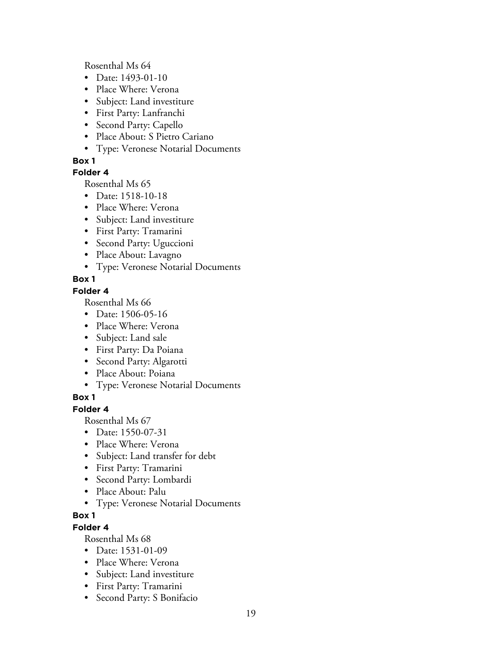Rosenthal Ms 64

- Date: 1493-01-10
- Place Where: Verona
- Subject: Land investiture
- First Party: Lanfranchi
- Second Party: Capello
- Place About: S Pietro Cariano
- Type: Veronese Notarial Documents

## **Box 1**

## **Folder 4**

Rosenthal Ms 65

- Date: 1518-10-18
- Place Where: Verona
- Subject: Land investiture
- First Party: Tramarini
- Second Party: Uguccioni
- Place About: Lavagno
- Type: Veronese Notarial Documents

# **Box 1**

## **Folder 4**

Rosenthal Ms 66

- Date: 1506-05-16
- Place Where: Verona
- Subject: Land sale
- First Party: Da Poiana
- Second Party: Algarotti
- Place About: Poiana
- Type: Veronese Notarial Documents

# **Box 1**

## **Folder 4**

Rosenthal Ms 67

- Date: 1550-07-31
- Place Where: Verona
- Subject: Land transfer for debt
- First Party: Tramarini
- Second Party: Lombardi
- Place About: Palu
- Type: Veronese Notarial Documents

## **Box 1**

**Folder 4**

- Date: 1531-01-09
- Place Where: Verona
- Subject: Land investiture
- First Party: Tramarini
- Second Party: S Bonifacio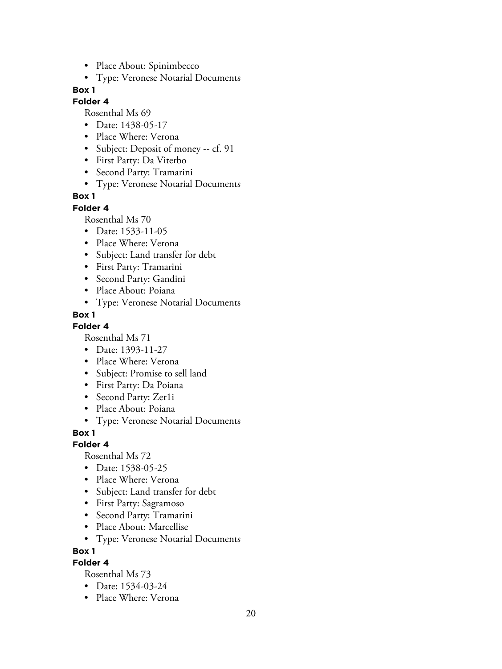- Place About: Spinimbecco
- Type: Veronese Notarial Documents

#### **Folder 4**

Rosenthal Ms 69

- Date: 1438-05-17
- Place Where: Verona
- Subject: Deposit of money -- cf. 91
- First Party: Da Viterbo
- Second Party: Tramarini
- Type: Veronese Notarial Documents

#### **Box 1**

#### **Folder 4**

Rosenthal Ms 70

- Date: 1533-11-05
- Place Where: Verona
- Subject: Land transfer for debt
- First Party: Tramarini
- Second Party: Gandini
- Place About: Poiana
- Type: Veronese Notarial Documents

#### **Box 1**

#### **Folder 4**

Rosenthal Ms 71

- Date: 1393-11-27
- Place Where: Verona
- Subject: Promise to sell land
- First Party: Da Poiana
- Second Party: Zer1i
- Place About: Poiana
- Type: Veronese Notarial Documents

**Box 1**

#### **Folder 4**

Rosenthal Ms 72

- Date: 1538-05-25
- Place Where: Verona
- Subject: Land transfer for debt
- First Party: Sagramoso
- Second Party: Tramarini
- Place About: Marcellise
- Type: Veronese Notarial Documents

**Box 1**

# **Folder 4**

- Date: 1534-03-24
- Place Where: Verona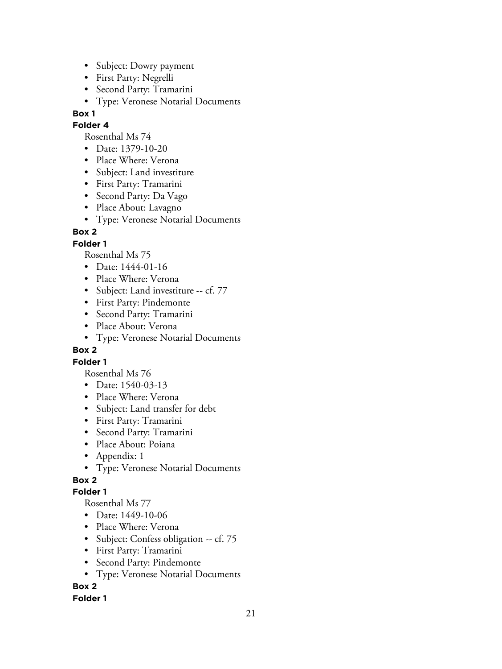- Subject: Dowry payment
- First Party: Negrelli
- Second Party: Tramarini
- Type: Veronese Notarial Documents

## **Folder 4**

Rosenthal Ms 74

- Date: 1379-10-20
- Place Where: Verona
- Subject: Land investiture
- First Party: Tramarini
- Second Party: Da Vago
- Place About: Lavagno
- Type: Veronese Notarial Documents

# **Box 2**

## **Folder 1**

Rosenthal Ms 75

- Date: 1444-01-16
- Place Where: Verona
- Subject: Land investiture -- cf. 77
- First Party: Pindemonte
- Second Party: Tramarini
- Place About: Verona
- Type: Veronese Notarial Documents

# **Box 2**

# **Folder 1**

- Rosenthal Ms 76
- Date: 1540-03-13
- Place Where: Verona
- Subject: Land transfer for debt
- First Party: Tramarini
- Second Party: Tramarini
- Place About: Poiana
- Appendix: 1
- Type: Veronese Notarial Documents

# **Box 2**

# **Folder 1**

Rosenthal Ms 77

- Date: 1449-10-06
- Place Where: Verona
- Subject: Confess obligation -- cf. 75
- First Party: Tramarini
- Second Party: Pindemonte
- Type: Veronese Notarial Documents

# **Box 2**

## **Folder 1**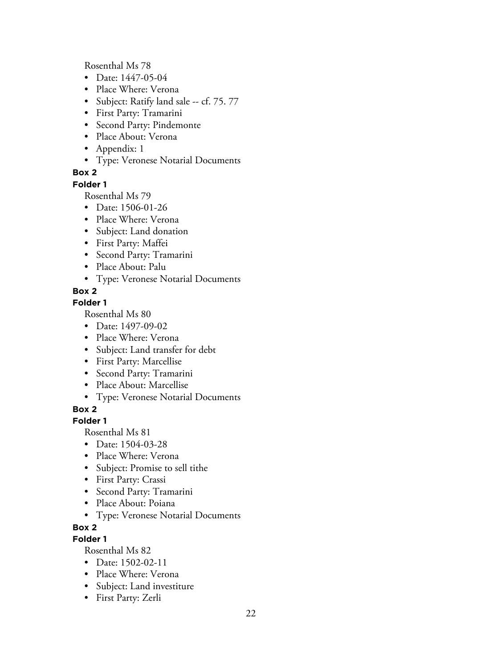Rosenthal Ms 78

- Date: 1447-05-04
- Place Where: Verona
- Subject: Ratify land sale -- cf. 75. 77
- First Party: Tramarini
- Second Party: Pindemonte
- Place About: Verona
- Appendix: 1
- Type: Veronese Notarial Documents

# **Box 2**

**Folder 1**

Rosenthal Ms 79

- Date: 1506-01-26
- Place Where: Verona
- Subject: Land donation
- First Party: Maffei
- Second Party: Tramarini
- Place About: Palu
- Type: Veronese Notarial Documents

## **Box 2**

## **Folder 1**

Rosenthal Ms 80

- Date: 1497-09-02
- Place Where: Verona
- Subject: Land transfer for debt
- First Party: Marcellise
- Second Party: Tramarini
- Place About: Marcellise
- Type: Veronese Notarial Documents

**Box 2**

## **Folder 1**

Rosenthal Ms 81

- Date: 1504-03-28
- Place Where: Verona
- Subject: Promise to sell tithe
- First Party: Crassi
- Second Party: Tramarini
- Place About: Poiana
- Type: Veronese Notarial Documents

## **Box 2**

**Folder 1**

- Date: 1502-02-11
- Place Where: Verona
- Subject: Land investiture
- First Party: Zerli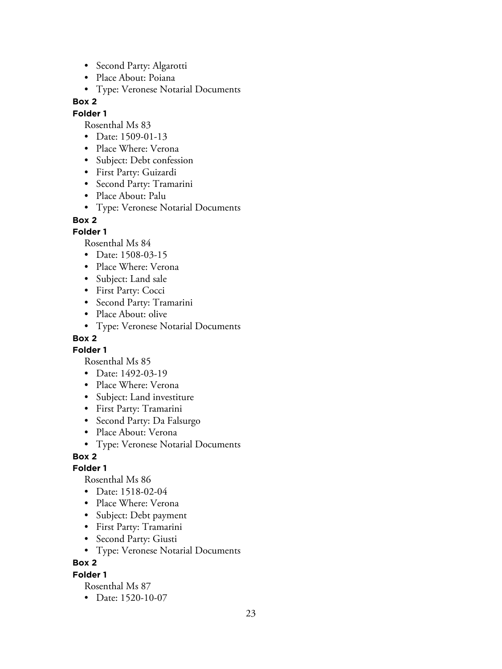- Second Party: Algarotti
- Place About: Poiana
- Type: Veronese Notarial Documents

#### **Folder 1**

Rosenthal Ms 83

- Date: 1509-01-13
- Place Where: Verona
- Subject: Debt confession
- First Party: Guizardi
- Second Party: Tramarini
- Place About: Palu
- Type: Veronese Notarial Documents

#### **Box 2**

#### **Folder 1**

Rosenthal Ms 84

- Date: 1508-03-15
- Place Where: Verona
- Subject: Land sale
- First Party: Cocci
- Second Party: Tramarini
- Place About: olive
- Type: Veronese Notarial Documents

## **Box 2**

**Folder 1**

Rosenthal Ms 85

- Date: 1492-03-19
- Place Where: Verona
- Subject: Land investiture
- First Party: Tramarini
- Second Party: Da Falsurgo
- Place About: Verona
- Type: Veronese Notarial Documents

## **Box 2**

#### **Folder 1**

Rosenthal Ms 86

- Date: 1518-02-04
- Place Where: Verona
- Subject: Debt payment
- First Party: Tramarini
- Second Party: Giusti
- Type: Veronese Notarial Documents

## **Box 2**

**Folder 1**

Rosenthal Ms 87

• Date: 1520-10-07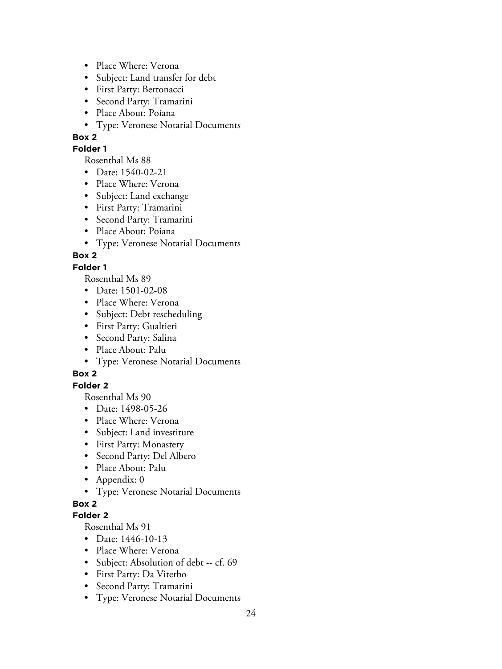- Place Where: Verona
- Subject: Land transfer for debt
- First Party: Bertonacci
- Second Party: Tramarini
- Place About: Poiana
- Type: Veronese Notarial Documents
- **Box 2**

#### **Folder 1**

Rosenthal Ms 88

- Date: 1540-02-21
- Place Where: Verona
- Subject: Land exchange
- First Party: Tramarini
- Second Party: Tramarini
- Place About: Poiana
- Type: Veronese Notarial Documents

## **Box 2**

## **Folder 1**

Rosenthal Ms 89

- Date: 1501-02-08
- Place Where: Verona
- Subject: Debt rescheduling
- First Party: Gualtieri
- Second Party: Salina
- Place About: Palu
- Type: Veronese Notarial Documents

# **Box 2**

## **Folder 2**

Rosenthal Ms 90

- Date: 1498-05-26
- Place Where: Verona
- Subject: Land investiture
- First Party: Monastery
- Second Party: Del Albero
- Place About: Palu
- Appendix: 0
- Type: Veronese Notarial Documents

# **Box 2**

## **Folder 2**

- Date: 1446-10-13
- Place Where: Verona
- Subject: Absolution of debt -- cf. 69
- First Party: Da Viterbo
- Second Party: Tramarini
- Type: Veronese Notarial Documents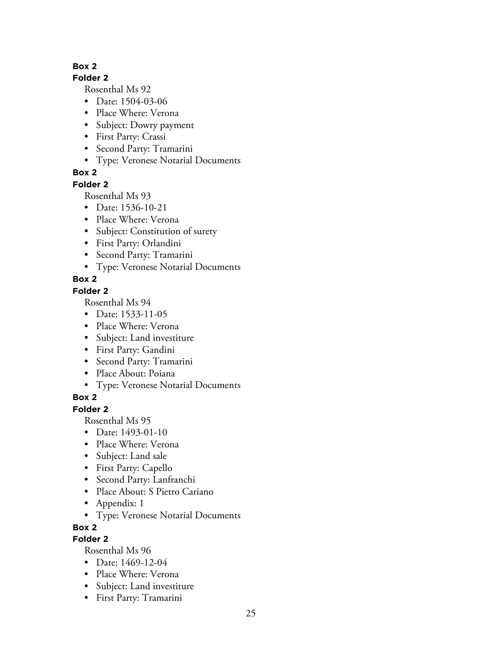#### **Folder 2**

Rosenthal Ms 92

- Date: 1504-03-06
- Place Where: Verona
- Subject: Dowry payment
- First Party: Crassi
- Second Party: Tramarini
- Type: Veronese Notarial Documents

# **Box 2**

# **Folder 2**

Rosenthal Ms 93

- Date: 1536-10-21
- Place Where: Verona
- Subject: Constitution of surety
- First Party: Orlandini
- Second Party: Tramarini
- Type: Veronese Notarial Documents

# **Box 2**

# **Folder 2**

Rosenthal Ms 94

- Date: 1533-11-05
- Place Where: Verona
- Subject: Land investiture
- First Party: Gandini
- Second Party: Tramarini
- Place About: Poiana
- Type: Veronese Notarial Documents

# **Box 2**

**Folder 2**

Rosenthal Ms 95

- Date: 1493-01-10
- Place Where: Verona
- Subject: Land sale
- First Party: Capello
- Second Party: Lanfranchi
- Place About: S Pietro Cariano
- Appendix: 1
- Type: Veronese Notarial Documents

# **Box 2**

# **Folder 2**

- Date: 1469-12-04
- Place Where: Verona
- Subject: Land investiture
- First Party: Tramarini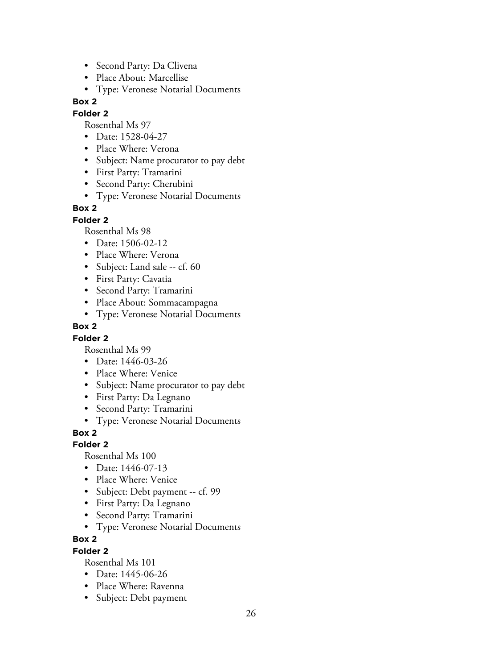- Second Party: Da Clivena
- Place About: Marcellise
- Type: Veronese Notarial Documents

#### **Folder 2**

Rosenthal Ms 97

- Date: 1528-04-27
- Place Where: Verona
- Subject: Name procurator to pay debt
- First Party: Tramarini
- Second Party: Cherubini
- Type: Veronese Notarial Documents

## **Box 2**

#### **Folder 2**

Rosenthal Ms 98

- Date: 1506-02-12
- Place Where: Verona
- Subject: Land sale -- cf. 60
- First Party: Cavatia
- Second Party: Tramarini
- Place About: Sommacampagna
- Type: Veronese Notarial Documents

## **Box 2**

## **Folder 2**

Rosenthal Ms 99

- Date: 1446-03-26
- Place Where: Venice
- Subject: Name procurator to pay debt
- First Party: Da Legnano
- Second Party: Tramarini
- Type: Veronese Notarial Documents

## **Box 2**

## **Folder 2**

Rosenthal Ms 100

- Date: 1446-07-13
- Place Where: Venice
- Subject: Debt payment -- cf. 99
- First Party: Da Legnano
- Second Party: Tramarini
- Type: Veronese Notarial Documents

## **Box 2**

## **Folder 2**

- Date: 1445-06-26
- Place Where: Ravenna
- Subject: Debt payment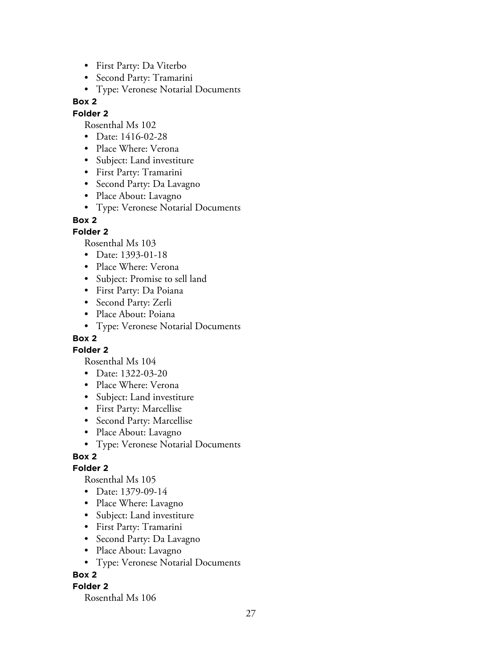- First Party: Da Viterbo
- Second Party: Tramarini
- Type: Veronese Notarial Documents

#### **Folder 2**

Rosenthal Ms 102

- Date: 1416-02-28
- Place Where: Verona
- Subject: Land investiture
- First Party: Tramarini
- Second Party: Da Lavagno
- Place About: Lavagno
- Type: Veronese Notarial Documents

#### **Box 2**

#### **Folder 2**

Rosenthal Ms 103

- Date: 1393-01-18
- Place Where: Verona
- Subject: Promise to sell land
- First Party: Da Poiana
- Second Party: Zerli
- Place About: Poiana
- Type: Veronese Notarial Documents

## **Box 2**

**Folder 2**

Rosenthal Ms 104

- Date: 1322-03-20
- Place Where: Verona
- Subject: Land investiture
- First Party: Marcellise
- Second Party: Marcellise
- Place About: Lavagno
- Type: Veronese Notarial Documents

## **Box 2**

#### **Folder 2**

Rosenthal Ms 105

- Date: 1379-09-14
- Place Where: Lavagno
- Subject: Land investiture
- First Party: Tramarini
- Second Party: Da Lavagno
- Place About: Lavagno
- Type: Veronese Notarial Documents

## **Box 2**

#### **Folder 2**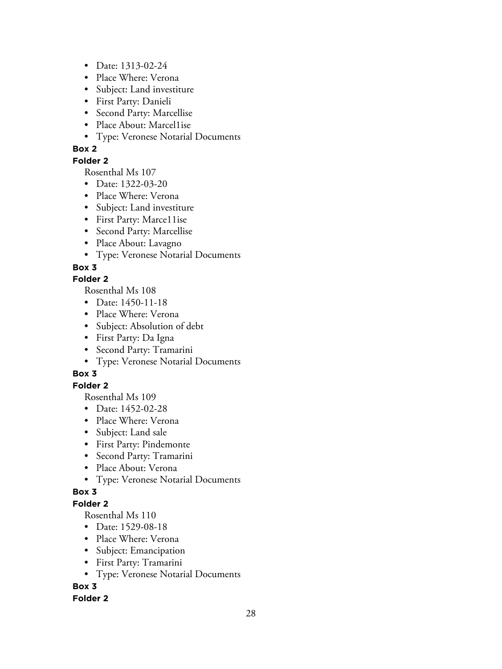- Date: 1313-02-24
- Place Where: Verona
- Subject: Land investiture
- First Party: Danieli
- Second Party: Marcellise
- Place About: Marcel1ise
- Type: Veronese Notarial Documents

#### **Folder 2**

Rosenthal Ms 107

- Date: 1322-03-20
- Place Where: Verona
- Subject: Land investiture
- First Party: Marce11ise
- Second Party: Marcellise
- Place About: Lavagno
- Type: Veronese Notarial Documents

# **Box 3**

## **Folder 2**

Rosenthal Ms 108

- Date: 1450-11-18
- Place Where: Verona
- Subject: Absolution of debt
- First Party: Da Igna
- Second Party: Tramarini
- Type: Veronese Notarial Documents

# **Box 3**

# **Folder 2**

Rosenthal Ms 109

- Date: 1452-02-28
- Place Where: Verona
- Subject: Land sale
- First Party: Pindemonte
- Second Party: Tramarini
- Place About: Verona
- Type: Veronese Notarial Documents

## **Box 3**

## **Folder 2**

Rosenthal Ms 110

- Date: 1529-08-18
- Place Where: Verona
- Subject: Emancipation
- First Party: Tramarini
- Type: Veronese Notarial Documents

# **Box 3**

## **Folder 2**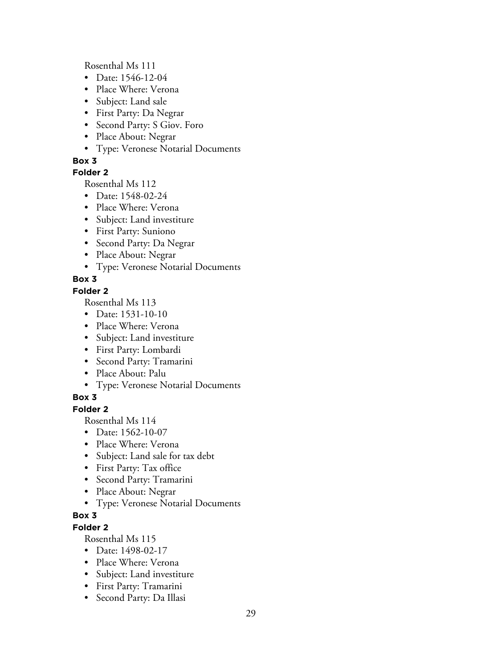Rosenthal Ms 111

- Date: 1546-12-04
- Place Where: Verona
- Subject: Land sale
- First Party: Da Negrar
- Second Party: S Giov. Foro
- Place About: Negrar
- Type: Veronese Notarial Documents

## **Box 3**

## **Folder 2**

Rosenthal Ms 112

- Date: 1548-02-24
- Place Where: Verona
- Subject: Land investiture
- First Party: Suniono
- Second Party: Da Negrar
- Place About: Negrar
- Type: Veronese Notarial Documents

# **Box 3**

## **Folder 2**

Rosenthal Ms 113

- Date: 1531-10-10
- Place Where: Verona
- Subject: Land investiture
- First Party: Lombardi
- Second Party: Tramarini
- Place About: Palu
- Type: Veronese Notarial Documents

# **Box 3**

## **Folder 2**

Rosenthal Ms 114

- Date: 1562-10-07
- Place Where: Verona
- Subject: Land sale for tax debt
- First Party: Tax office
- Second Party: Tramarini
- Place About: Negrar
- Type: Veronese Notarial Documents

# **Box 3**

**Folder 2**

- Date: 1498-02-17
- Place Where: Verona
- Subject: Land investiture
- First Party: Tramarini
- Second Party: Da Illasi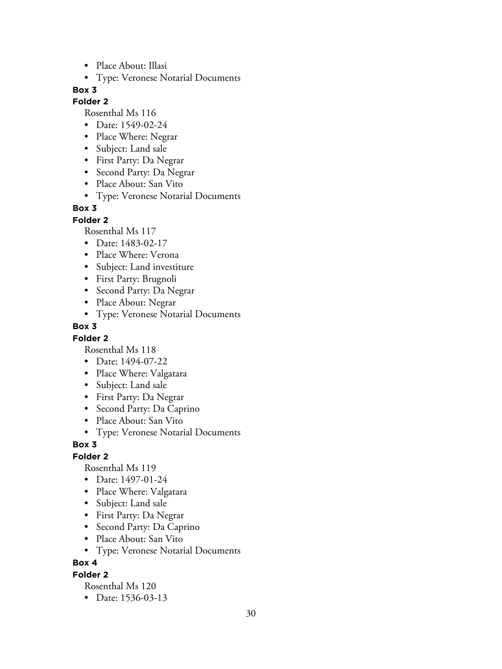- Place About: Illasi
- Type: Veronese Notarial Documents

## **Folder 2**

Rosenthal Ms 116

- Date: 1549-02-24
- Place Where: Negrar
- Subject: Land sale
- First Party: Da Negrar
- Second Party: Da Negrar
- Place About: San Vito
- Type: Veronese Notarial Documents

## **Box 3**

**Folder 2**

Rosenthal Ms 117

- Date: 1483-02-17
- Place Where: Verona
- Subject: Land investiture
- First Party: Brugnoli
- Second Party: Da Negrar
- Place About: Negrar
- Type: Veronese Notarial Documents

#### **Box 3**

#### **Folder 2**

Rosenthal Ms 118

- Date: 1494-07-22
- Place Where: Valgatara
- Subject: Land sale
- First Party: Da Negrar
- Second Party: Da Caprino
- Place About: San Vito
- Type: Veronese Notarial Documents

#### **Box 3**

**Folder 2**

Rosenthal Ms 119

- Date: 1497-01-24
- Place Where: Valgatara
- Subject: Land sale
- First Party: Da Negrar
- Second Party: Da Caprino
- Place About: San Vito
- Type: Veronese Notarial Documents

**Box 4**

#### **Folder 2**

Rosenthal Ms 120

• Date: 1536-03-13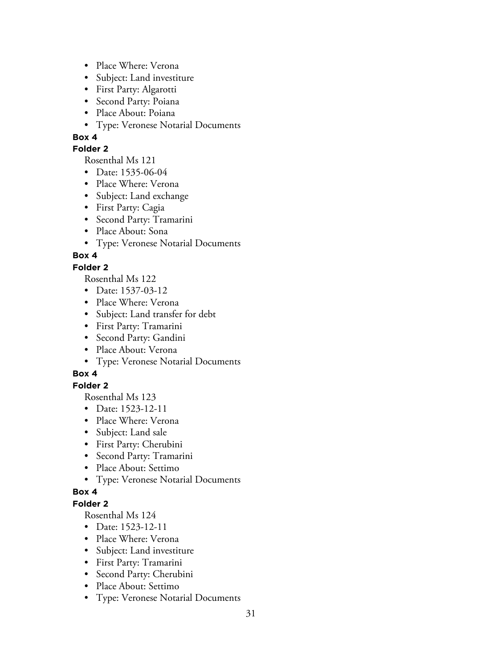- Place Where: Verona
- Subject: Land investiture
- First Party: Algarotti
- Second Party: Poiana
- Place About: Poiana
- Type: Veronese Notarial Documents

#### **Folder 2**

Rosenthal Ms 121

- Date: 1535-06-04
- Place Where: Verona
- Subject: Land exchange
- First Party: Cagia
- Second Party: Tramarini
- Place About: Sona
- Type: Veronese Notarial Documents

## **Box 4**

## **Folder 2**

Rosenthal Ms 122

- Date: 1537-03-12
- Place Where: Verona
- Subject: Land transfer for debt
- First Party: Tramarini
- Second Party: Gandini
- Place About: Verona
- Type: Veronese Notarial Documents

# **Box 4**

# **Folder 2**

Rosenthal Ms 123

- Date: 1523-12-11
- Place Where: Verona
- Subject: Land sale
- First Party: Cherubini
- Second Party: Tramarini
- Place About: Settimo
- Type: Veronese Notarial Documents

## **Box 4**

## **Folder 2**

- Date: 1523-12-11
- Place Where: Verona
- Subject: Land investiture
- First Party: Tramarini
- Second Party: Cherubini
- Place About: Settimo
- Type: Veronese Notarial Documents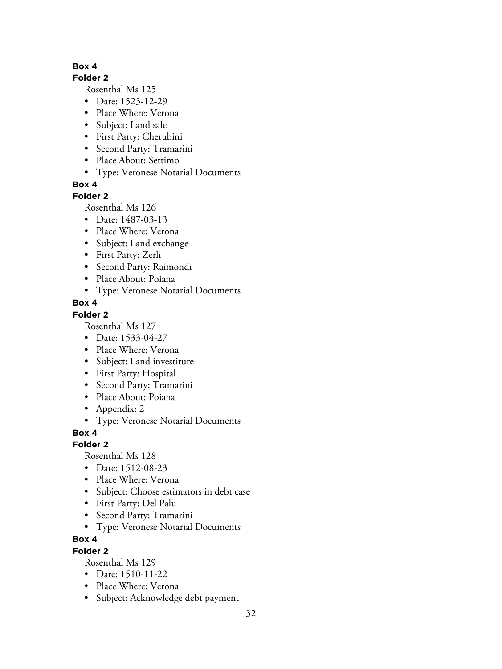## **Folder 2**

Rosenthal Ms 125

- Date: 1523-12-29
- Place Where: Verona
- Subject: Land sale
- First Party: Cherubini
- Second Party: Tramarini
- Place About: Settimo
- Type: Veronese Notarial Documents

**Box 4**

## **Folder 2**

Rosenthal Ms 126

- Date: 1487-03-13
- Place Where: Verona
- Subject: Land exchange
- First Party: Zerli
- Second Party: Raimondi
- Place About: Poiana
- Type: Veronese Notarial Documents

## **Box 4**

# **Folder 2**

Rosenthal Ms 127

- Date: 1533-04-27
- Place Where: Verona
- Subject: Land investiture
- First Party: Hospital
- Second Party: Tramarini
- Place About: Poiana
- Appendix: 2
- Type: Veronese Notarial Documents

**Box 4**

# **Folder 2**

Rosenthal Ms 128

- Date: 1512-08-23
- Place Where: Verona
- Subject: Choose estimators in debt case
- First Party: Del Palu
- Second Party: Tramarini
- Type: Veronese Notarial Documents

# **Box 4**

# **Folder 2**

- Date: 1510-11-22
- Place Where: Verona
- Subject: Acknowledge debt payment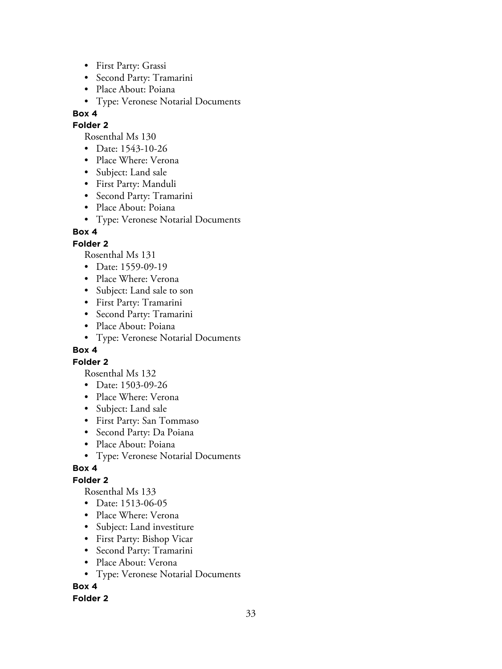- First Party: Grassi
- Second Party: Tramarini
- Place About: Poiana
- Type: Veronese Notarial Documents

## **Folder 2**

Rosenthal Ms 130

- Date: 1543-10-26
- Place Where: Verona
- Subject: Land sale
- First Party: Manduli
- Second Party: Tramarini
- Place About: Poiana
- Type: Veronese Notarial Documents

# **Box 4**

# **Folder 2**

Rosenthal Ms 131

- Date: 1559-09-19
- Place Where: Verona
- Subject: Land sale to son
- First Party: Tramarini
- Second Party: Tramarini
- Place About: Poiana
- Type: Veronese Notarial Documents

# **Box 4**

# **Folder 2**

Rosenthal Ms 132

- Date: 1503-09-26
- Place Where: Verona
- Subject: Land sale
- First Party: San Tommaso
- Second Party: Da Poiana
- Place About: Poiana
- Type: Veronese Notarial Documents

# **Box 4**

# **Folder 2**

Rosenthal Ms 133

- Date: 1513-06-05
- Place Where: Verona
- Subject: Land investiture
- First Party: Bishop Vicar
- Second Party: Tramarini
- Place About: Verona
- Type: Veronese Notarial Documents

# **Box 4**

# **Folder 2**

33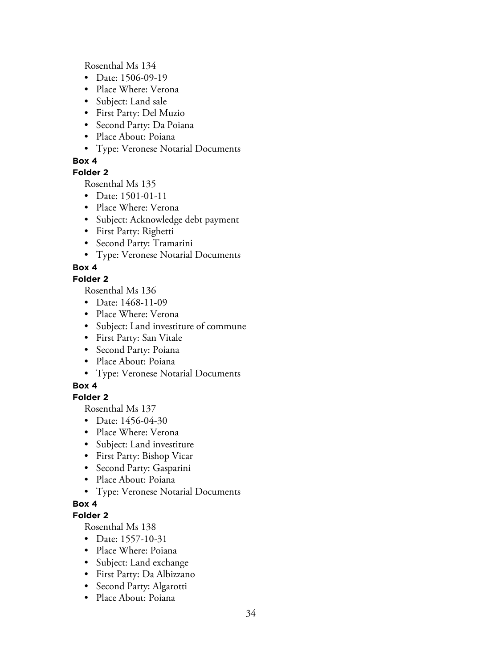Rosenthal Ms 134

- Date: 1506-09-19
- Place Where: Verona
- Subject: Land sale
- First Party: Del Muzio
- Second Party: Da Poiana
- Place About: Poiana
- Type: Veronese Notarial Documents

#### **Box 4**

#### **Folder 2**

Rosenthal Ms 135

- Date: 1501-01-11
- Place Where: Verona
- Subject: Acknowledge debt payment
- First Party: Righetti
- Second Party: Tramarini
- Type: Veronese Notarial Documents

## **Box 4**

## **Folder 2**

Rosenthal Ms 136

- Date: 1468-11-09
- Place Where: Verona
- Subject: Land investiture of commune
- First Party: San Vitale
- Second Party: Poiana
- Place About: Poiana
- Type: Veronese Notarial Documents

## **Box 4**

## **Folder 2**

Rosenthal Ms 137

- Date: 1456-04-30
- Place Where: Verona
- Subject: Land investiture
- First Party: Bishop Vicar
- Second Party: Gasparini
- Place About: Poiana
- Type: Veronese Notarial Documents

## **Box 4**

#### **Folder 2**

- Date: 1557-10-31
- Place Where: Poiana
- Subject: Land exchange
- First Party: Da Albizzano
- Second Party: Algarotti
- Place About: Poiana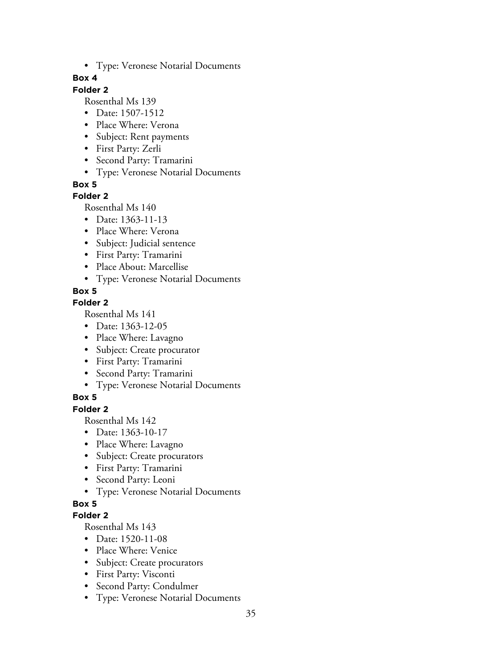• Type: Veronese Notarial Documents

#### **Box 4**

## **Folder 2**

Rosenthal Ms 139

- Date: 1507-1512
- Place Where: Verona
- Subject: Rent payments
- First Party: Zerli
- Second Party: Tramarini
- Type: Veronese Notarial Documents

**Box 5**

## **Folder 2**

Rosenthal Ms 140

- Date: 1363-11-13
- Place Where: Verona
- Subject: Judicial sentence
- First Party: Tramarini
- Place About: Marcellise
- Type: Veronese Notarial Documents

## **Box 5**

## **Folder 2**

Rosenthal Ms 141

- Date: 1363-12-05
- Place Where: Lavagno
- Subject: Create procurator
- First Party: Tramarini
- Second Party: Tramarini
- Type: Veronese Notarial Documents

## **Box 5**

**Folder 2**

Rosenthal Ms 142

- Date: 1363-10-17
- Place Where: Lavagno
- Subject: Create procurators
- First Party: Tramarini
- Second Party: Leoni
- Type: Veronese Notarial Documents

# **Box 5**

## **Folder 2**

- Date: 1520-11-08
- Place Where: Venice
- Subject: Create procurators
- First Party: Visconti
- Second Party: Condulmer
- Type: Veronese Notarial Documents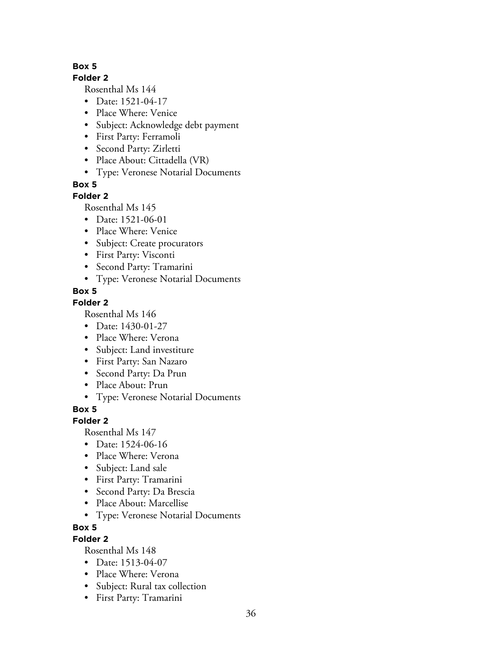## **Folder 2**

Rosenthal Ms 144

- Date: 1521-04-17
- Place Where: Venice
- Subject: Acknowledge debt payment
- First Party: Ferramoli
- Second Party: Zirletti
- Place About: Cittadella (VR)
- Type: Veronese Notarial Documents

**Box 5**

# **Folder 2**

Rosenthal Ms 145

- Date: 1521-06-01
- Place Where: Venice
- Subject: Create procurators
- First Party: Visconti
- Second Party: Tramarini
- Type: Veronese Notarial Documents

# **Box 5**

# **Folder 2**

Rosenthal Ms 146

- Date: 1430-01-27
- Place Where: Verona
- Subject: Land investiture
- First Party: San Nazaro
- Second Party: Da Prun
- Place About: Prun
- Type: Veronese Notarial Documents

**Box 5**

# **Folder 2**

Rosenthal Ms 147

- Date: 1524-06-16
- Place Where: Verona
- Subject: Land sale
- First Party: Tramarini
- Second Party: Da Brescia
- Place About: Marcellise
- Type: Veronese Notarial Documents

# **Box 5**

# **Folder 2**

- Date: 1513-04-07
- Place Where: Verona
- Subject: Rural tax collection
- First Party: Tramarini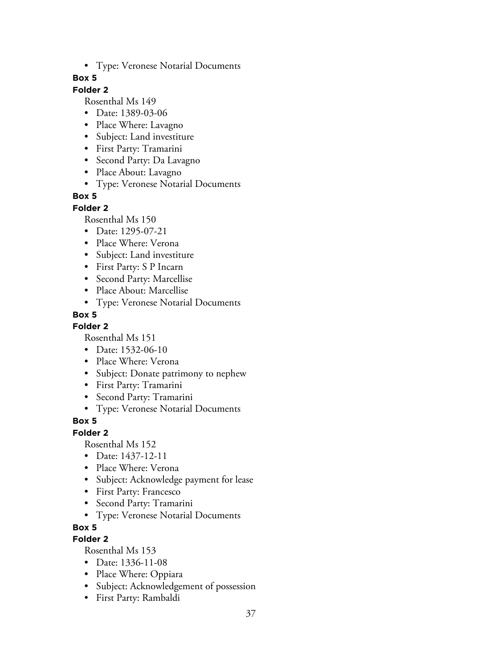• Type: Veronese Notarial Documents

#### **Box 5**

## **Folder 2**

Rosenthal Ms 149

- Date: 1389-03-06
- Place Where: Lavagno
- Subject: Land investiture
- First Party: Tramarini
- Second Party: Da Lavagno
- Place About: Lavagno
- Type: Veronese Notarial Documents

#### **Box 5**

#### **Folder 2**

Rosenthal Ms 150

- Date: 1295-07-21
- Place Where: Verona
- Subject: Land investiture
- First Party: S P Incarn
- Second Party: Marcellise
- Place About: Marcellise
- Type: Veronese Notarial Documents

#### **Box 5**

#### **Folder 2**

Rosenthal Ms 151

- Date: 1532-06-10
- Place Where: Verona
- Subject: Donate patrimony to nephew
- First Party: Tramarini
- Second Party: Tramarini
- Type: Veronese Notarial Documents

### **Box 5**

#### **Folder 2**

Rosenthal Ms 152

- Date: 1437-12-11
- Place Where: Verona
- Subject: Acknowledge payment for lease
- First Party: Francesco
- Second Party: Tramarini
- Type: Veronese Notarial Documents

### **Box 5**

### **Folder 2**

- Date: 1336-11-08
- Place Where: Oppiara
- Subject: Acknowledgement of possession
- First Party: Rambaldi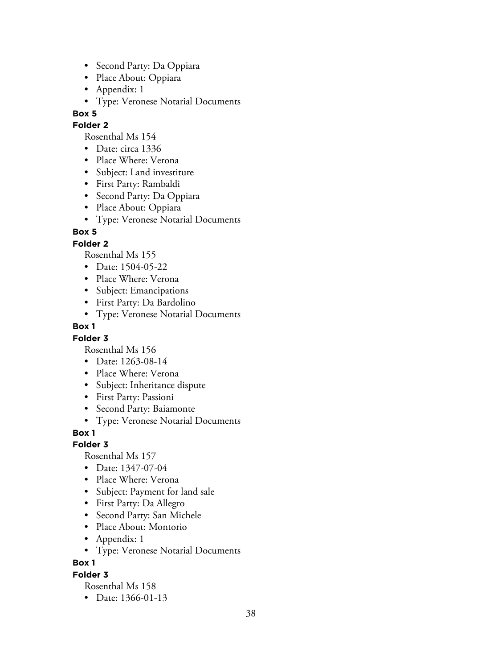- Second Party: Da Oppiara
- Place About: Oppiara
- Appendix: 1
- Type: Veronese Notarial Documents

#### **Folder 2**

Rosenthal Ms 154

- Date: circa 1336
- Place Where: Verona
- Subject: Land investiture
- First Party: Rambaldi
- Second Party: Da Oppiara
- Place About: Oppiara
- Type: Veronese Notarial Documents

## **Box 5**

### **Folder 2**

Rosenthal Ms 155

- Date: 1504-05-22
- Place Where: Verona
- Subject: Emancipations
- First Party: Da Bardolino
- Type: Veronese Notarial Documents

### **Box 1**

### **Folder 3**

Rosenthal Ms 156

- Date: 1263-08-14
- Place Where: Verona
- Subject: Inheritance dispute
- First Party: Passioni
- Second Party: Baiamonte
- Type: Veronese Notarial Documents

### **Box 1**

**Folder 3**

Rosenthal Ms 157

- Date: 1347-07-04
- Place Where: Verona
- Subject: Payment for land sale
- First Party: Da Allegro
- Second Party: San Michele
- Place About: Montorio
- Appendix: 1
- Type: Veronese Notarial Documents

**Box 1**

#### **Folder 3**

Rosenthal Ms 158

• Date: 1366-01-13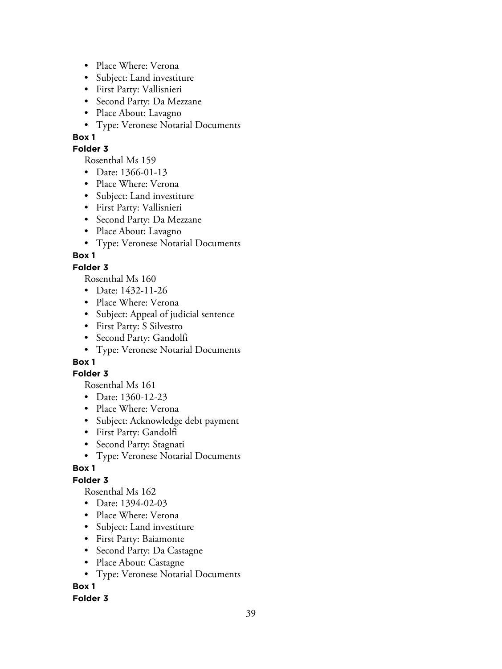- Place Where: Verona
- Subject: Land investiture
- First Party: Vallisnieri
- Second Party: Da Mezzane
- Place About: Lavagno
- Type: Veronese Notarial Documents

#### **Folder 3**

Rosenthal Ms 159

- Date: 1366-01-13
- Place Where: Verona
- Subject: Land investiture
- First Party: Vallisnieri
- Second Party: Da Mezzane
- Place About: Lavagno
- Type: Veronese Notarial Documents

# **Box 1**

## **Folder 3**

Rosenthal Ms 160

- Date: 1432-11-26
- Place Where: Verona
- Subject: Appeal of judicial sentence
- First Party: S Silvestro
- Second Party: Gandolfi
- Type: Veronese Notarial Documents

# **Box 1**

### **Folder 3**

Rosenthal Ms 161

- Date: 1360-12-23
- Place Where: Verona
- Subject: Acknowledge debt payment
- First Party: Gandolfi
- Second Party: Stagnati
- Type: Veronese Notarial Documents

# **Box 1**

# **Folder 3**

Rosenthal Ms 162

- Date: 1394-02-03
- Place Where: Verona
- Subject: Land investiture
- First Party: Baiamonte
- Second Party: Da Castagne
- Place About: Castagne
- Type: Veronese Notarial Documents

# **Box 1**

### **Folder 3**

39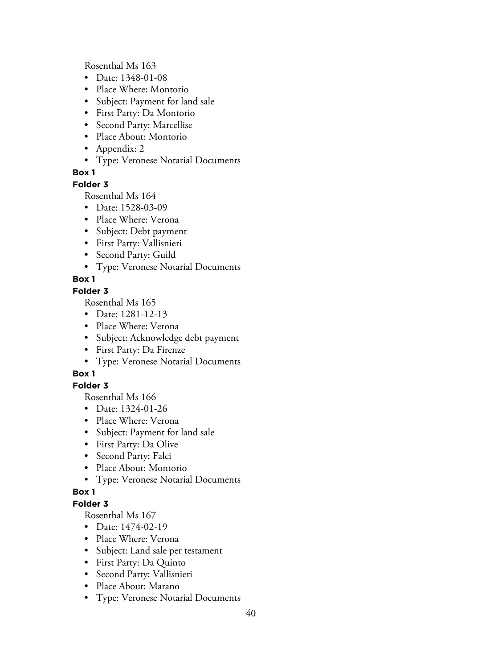Rosenthal Ms 163

- Date: 1348-01-08
- Place Where: Montorio
- Subject: Payment for land sale
- First Party: Da Montorio
- Second Party: Marcellise
- Place About: Montorio
- Appendix: 2
- Type: Veronese Notarial Documents

## **Box 1**

#### **Folder 3**

Rosenthal Ms 164

- Date: 1528-03-09
- Place Where: Verona
- Subject: Debt payment
- First Party: Vallisnieri
- Second Party: Guild
- Type: Veronese Notarial Documents

# **Box 1**

### **Folder 3**

Rosenthal Ms 165

- Date: 1281-12-13
- Place Where: Verona
- Subject: Acknowledge debt payment
- First Party: Da Firenze
- Type: Veronese Notarial Documents

# **Box 1**

# **Folder 3**

Rosenthal Ms 166

- Date: 1324-01-26
- Place Where: Verona
- Subject: Payment for land sale
- First Party: Da Olive
- Second Party: Falci
- Place About: Montorio
- Type: Veronese Notarial Documents

### **Box 1**

### **Folder 3**

- Date: 1474-02-19
- Place Where: Verona
- Subject: Land sale per testament
- First Party: Da Quinto
- Second Party: Vallisnieri
- Place About: Marano
- Type: Veronese Notarial Documents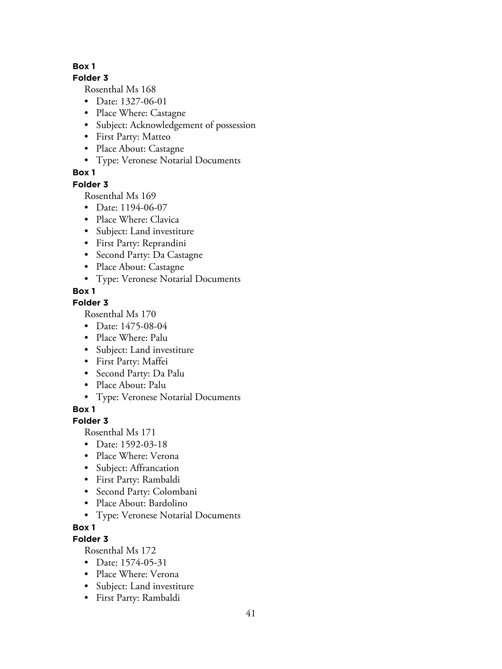### **Folder 3**

Rosenthal Ms 168

- Date: 1327-06-01
- Place Where: Castagne
- Subject: Acknowledgement of possession
- First Party: Matteo
- Place About: Castagne
- Type: Veronese Notarial Documents

## **Box 1**

### **Folder 3**

Rosenthal Ms 169

- Date: 1194-06-07
- Place Where: Clavica
- Subject: Land investiture
- First Party: Reprandini
- Second Party: Da Castagne
- Place About: Castagne
- Type: Veronese Notarial Documents

# **Box 1**

## **Folder 3**

Rosenthal Ms 170

- Date: 1475-08-04
- Place Where: Palu
- Subject: Land investiture
- First Party: Maffei
- Second Party: Da Palu
- Place About: Palu
- Type: Veronese Notarial Documents

**Box 1**

# **Folder 3**

Rosenthal Ms 171

- Date: 1592-03-18
- Place Where: Verona
- Subject: Affrancation
- First Party: Rambaldi
- Second Party: Colombani
- Place About: Bardolino
- Type: Veronese Notarial Documents

### **Box 1**

# **Folder 3**

- Date: 1574-05-31
- Place Where: Verona
- Subject: Land investiture
- First Party: Rambaldi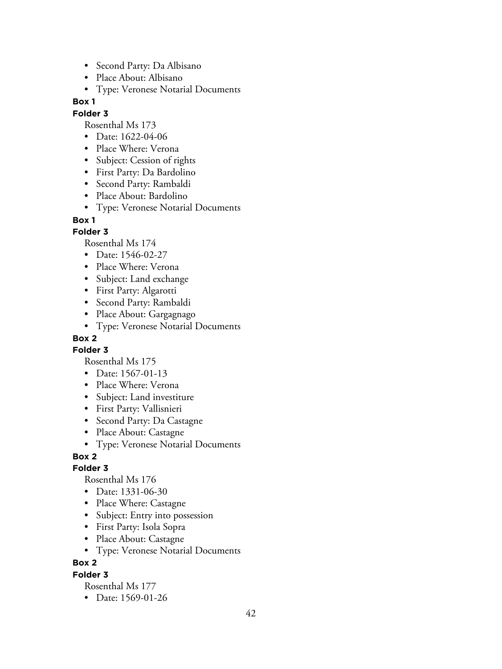- Second Party: Da Albisano
- Place About: Albisano
- Type: Veronese Notarial Documents

#### **Folder 3**

Rosenthal Ms 173

- Date: 1622-04-06
- Place Where: Verona
- Subject: Cession of rights
- First Party: Da Bardolino
- Second Party: Rambaldi
- Place About: Bardolino
- Type: Veronese Notarial Documents

#### **Box 1**

#### **Folder 3**

Rosenthal Ms 174

- Date: 1546-02-27
- Place Where: Verona
- Subject: Land exchange
- First Party: Algarotti
- Second Party: Rambaldi
- Place About: Gargagnago
- Type: Veronese Notarial Documents

## **Box 2**

**Folder 3**

Rosenthal Ms 175

- Date: 1567-01-13
- Place Where: Verona
- Subject: Land investiture
- First Party: Vallisnieri
- Second Party: Da Castagne
- Place About: Castagne
- Type: Veronese Notarial Documents

#### **Box 2**

#### **Folder 3**

Rosenthal Ms 176

- Date: 1331-06-30
- Place Where: Castagne
- Subject: Entry into possession
- First Party: Isola Sopra
- Place About: Castagne
- Type: Veronese Notarial Documents

### **Box 2**

**Folder 3**

Rosenthal Ms 177

• Date: 1569-01-26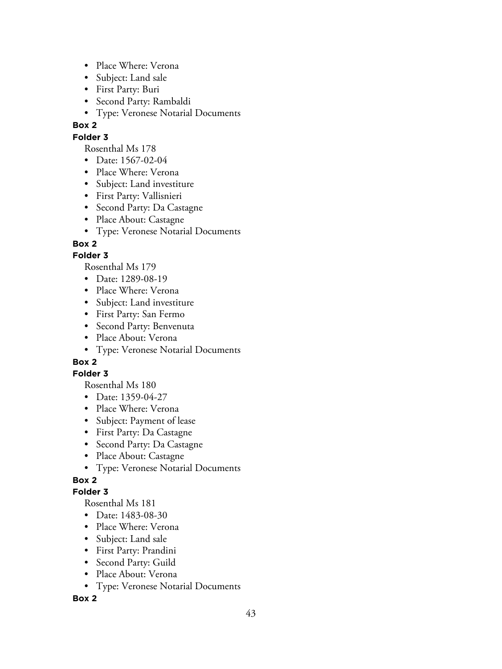- Place Where: Verona
- Subject: Land sale
- First Party: Buri
- Second Party: Rambaldi
- Type: Veronese Notarial Documents

# **Folder 3**

Rosenthal Ms 178

- Date: 1567-02-04
- Place Where: Verona
- Subject: Land investiture
- First Party: Vallisnieri
- Second Party: Da Castagne
- Place About: Castagne
- Type: Veronese Notarial Documents

## **Box 2**

## **Folder 3**

Rosenthal Ms 179

- Date: 1289-08-19
- Place Where: Verona
- Subject: Land investiture
- First Party: San Fermo
- Second Party: Benvenuta
- Place About: Verona
- Type: Veronese Notarial Documents

# **Box 2**

### **Folder 3**

Rosenthal Ms 180

- Date: 1359-04-27
- Place Where: Verona
- Subject: Payment of lease
- First Party: Da Castagne
- Second Party: Da Castagne
- Place About: Castagne
- Type: Veronese Notarial Documents

# **Box 2**

### **Folder 3**

Rosenthal Ms 181

- Date: 1483-08-30
- Place Where: Verona
- Subject: Land sale
- First Party: Prandini
- Second Party: Guild
- Place About: Verona
- Type: Veronese Notarial Documents

### **Box 2**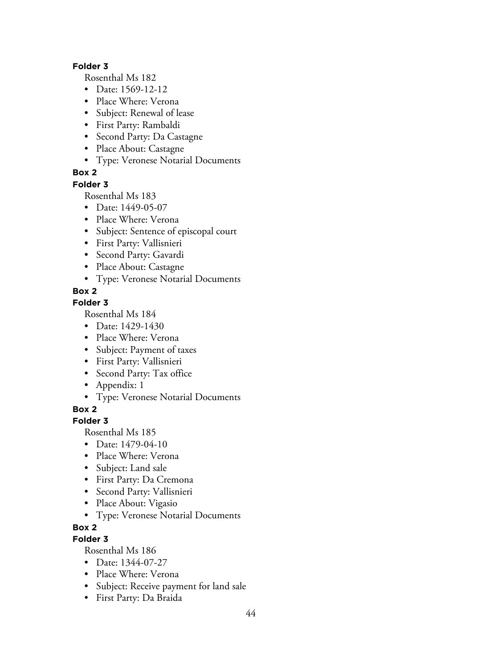#### **Folder 3**

Rosenthal Ms 182

- Date: 1569-12-12
- Place Where: Verona
- Subject: Renewal of lease
- First Party: Rambaldi
- Second Party: Da Castagne
- Place About: Castagne
- Type: Veronese Notarial Documents

# **Box 2**

### **Folder 3**

Rosenthal Ms 183

- Date: 1449-05-07
- Place Where: Verona
- Subject: Sentence of episcopal court
- First Party: Vallisnieri
- Second Party: Gavardi
- Place About: Castagne
- Type: Veronese Notarial Documents

# **Box 2**

### **Folder 3**

Rosenthal Ms 184

- Date: 1429-1430
- Place Where: Verona
- Subject: Payment of taxes
- First Party: Vallisnieri
- Second Party: Tax office
- Appendix: 1
- Type: Veronese Notarial Documents

**Box 2**

# **Folder 3**

Rosenthal Ms 185

- Date: 1479-04-10
- Place Where: Verona
- Subject: Land sale
- First Party: Da Cremona
- Second Party: Vallisnieri
- Place About: Vigasio
- Type: Veronese Notarial Documents
- **Box 2**

# **Folder 3**

- Date: 1344-07-27
- Place Where: Verona
- Subject: Receive payment for land sale
- First Party: Da Braida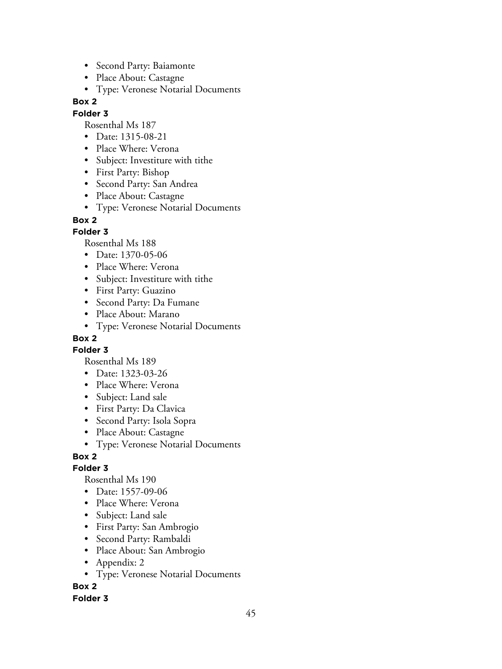- Second Party: Baiamonte
- Place About: Castagne
- Type: Veronese Notarial Documents

### **Folder 3**

Rosenthal Ms 187

- Date: 1315-08-21
- Place Where: Verona
- Subject: Investiture with tithe
- First Party: Bishop
- Second Party: San Andrea
- Place About: Castagne
- Type: Veronese Notarial Documents

### **Box 2**

## **Folder 3**

Rosenthal Ms 188

- Date: 1370-05-06
- Place Where: Verona
- Subject: Investiture with tithe
- First Party: Guazino
- Second Party: Da Fumane
- Place About: Marano
- Type: Veronese Notarial Documents

# **Box 2**

**Folder 3**

Rosenthal Ms 189

- Date: 1323-03-26
- Place Where: Verona
- Subject: Land sale
- First Party: Da Clavica
- Second Party: Isola Sopra
- Place About: Castagne
- Type: Veronese Notarial Documents

# **Box 2**

### **Folder 3**

Rosenthal Ms 190

- Date: 1557-09-06
- Place Where: Verona
- Subject: Land sale
- First Party: San Ambrogio
- Second Party: Rambaldi
- Place About: San Ambrogio
- Appendix: 2
- Type: Veronese Notarial Documents

**Box 2**

### **Folder 3**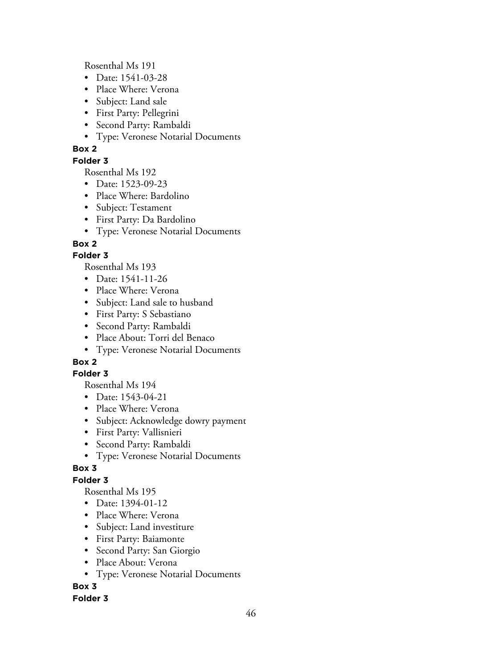Rosenthal Ms 191

- Date: 1541-03-28
- Place Where: Verona
- Subject: Land sale
- First Party: Pellegrini
- Second Party: Rambaldi
- Type: Veronese Notarial Documents

## **Box 2**

### **Folder 3**

Rosenthal Ms 192

- Date: 1523-09-23
- Place Where: Bardolino
- Subject: Testament
- First Party: Da Bardolino
- Type: Veronese Notarial Documents

# **Box 2**

## **Folder 3**

Rosenthal Ms 193

- Date: 1541-11-26
- Place Where: Verona
- Subject: Land sale to husband
- First Party: S Sebastiano
- Second Party: Rambaldi
- Place About: Torri del Benaco
- Type: Veronese Notarial Documents

# **Box 2**

### **Folder 3**

Rosenthal Ms 194

- Date: 1543-04-21
- Place Where: Verona
- Subject: Acknowledge dowry payment
- First Party: Vallisnieri
- Second Party: Rambaldi
- Type: Veronese Notarial Documents

# **Box 3**

# **Folder 3**

Rosenthal Ms 195

- Date: 1394-01-12
- Place Where: Verona
- Subject: Land investiture
- First Party: Baiamonte
- Second Party: San Giorgio
- Place About: Verona
- Type: Veronese Notarial Documents

# **Box 3**

### **Folder 3**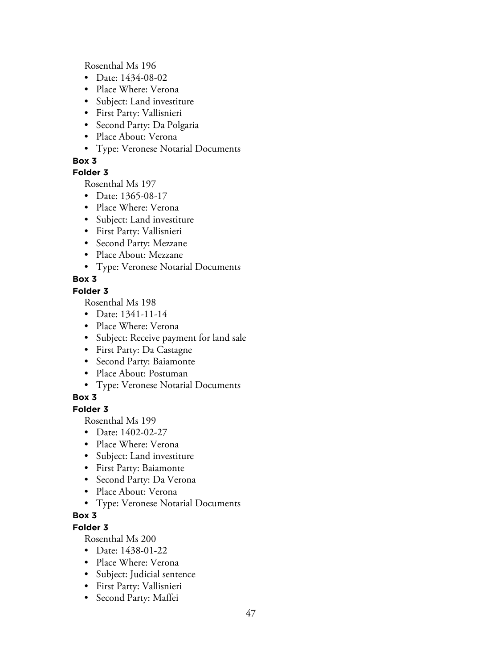Rosenthal Ms 196

- Date: 1434-08-02
- Place Where: Verona
- Subject: Land investiture
- First Party: Vallisnieri
- Second Party: Da Polgaria
- Place About: Verona
- Type: Veronese Notarial Documents

## **Box 3**

## **Folder 3**

Rosenthal Ms 197

- Date: 1365-08-17
- Place Where: Verona
- Subject: Land investiture
- First Party: Vallisnieri
- Second Party: Mezzane
- Place About: Mezzane
- Type: Veronese Notarial Documents

# **Box 3**

## **Folder 3**

Rosenthal Ms 198

- Date: 1341-11-14
- Place Where: Verona
- Subject: Receive payment for land sale
- First Party: Da Castagne
- Second Party: Baiamonte
- Place About: Postuman
- Type: Veronese Notarial Documents

# **Box 3**

## **Folder 3**

Rosenthal Ms 199

- Date: 1402-02-27
- Place Where: Verona
- Subject: Land investiture
- First Party: Baiamonte
- Second Party: Da Verona
- Place About: Verona
- Type: Veronese Notarial Documents

# **Box 3**

# **Folder 3**

- Date: 1438-01-22
- Place Where: Verona
- Subject: Judicial sentence
- First Party: Vallisnieri
- Second Party: Maffei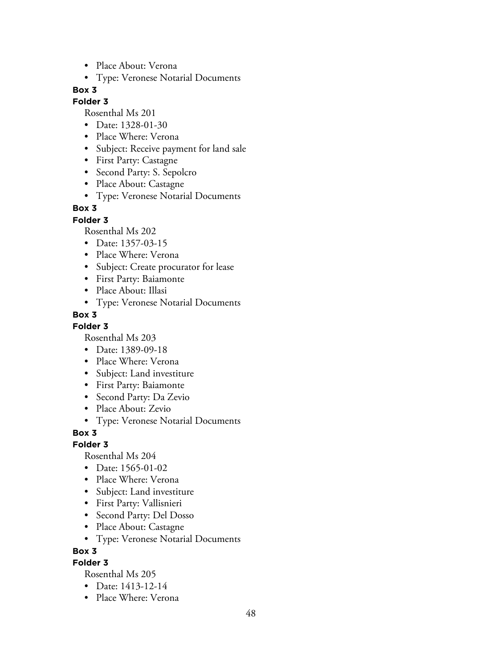- Place About: Verona
- Type: Veronese Notarial Documents

#### **Folder 3**

Rosenthal Ms 201

- Date: 1328-01-30
- Place Where: Verona
- Subject: Receive payment for land sale
- First Party: Castagne
- Second Party: S. Sepolcro
- Place About: Castagne
- Type: Veronese Notarial Documents

### **Box 3**

**Folder 3**

Rosenthal Ms 202

- Date: 1357-03-15
- Place Where: Verona
- Subject: Create procurator for lease
- First Party: Baiamonte
- Place About: Illasi
- Type: Veronese Notarial Documents

#### **Box 3**

**Folder 3**

Rosenthal Ms 203

- Date: 1389-09-18
- Place Where: Verona
- Subject: Land investiture
- First Party: Baiamonte
- Second Party: Da Zevio
- Place About: Zevio
- Type: Veronese Notarial Documents

**Box 3**

#### **Folder 3**

Rosenthal Ms 204

- Date: 1565-01-02
- Place Where: Verona
- Subject: Land investiture
- First Party: Vallisnieri
- Second Party: Del Dosso
- Place About: Castagne
- Type: Veronese Notarial Documents

**Box 3**

### **Folder 3**

- Date: 1413-12-14
- Place Where: Verona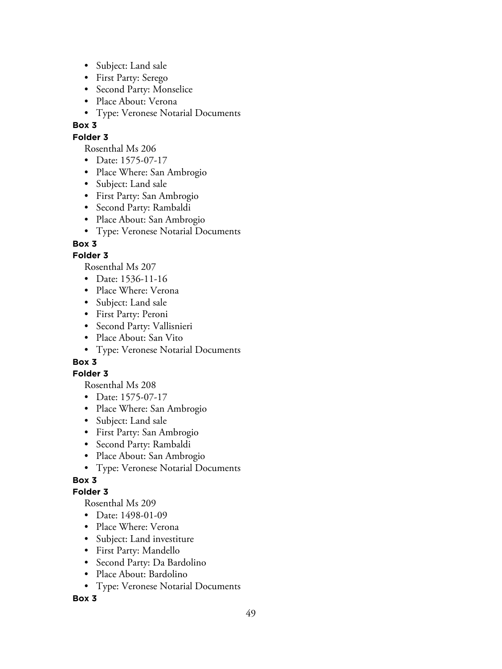- Subject: Land sale
- First Party: Serego
- Second Party: Monselice
- Place About: Verona
- Type: Veronese Notarial Documents

### **Folder 3**

Rosenthal Ms 206

- Date: 1575-07-17
- Place Where: San Ambrogio
- Subject: Land sale
- First Party: San Ambrogio
- Second Party: Rambaldi
- Place About: San Ambrogio
- Type: Veronese Notarial Documents

## **Box 3**

## **Folder 3**

Rosenthal Ms 207

- Date: 1536-11-16
- Place Where: Verona
- Subject: Land sale
- First Party: Peroni
- Second Party: Vallisnieri
- Place About: San Vito
- Type: Veronese Notarial Documents

# **Box 3**

### **Folder 3**

Rosenthal Ms 208

- Date: 1575-07-17
- Place Where: San Ambrogio
- Subject: Land sale
- First Party: San Ambrogio
- Second Party: Rambaldi
- Place About: San Ambrogio
- Type: Veronese Notarial Documents

# **Box 3**

# **Folder 3**

Rosenthal Ms 209

- Date: 1498-01-09
- Place Where: Verona
- Subject: Land investiture
- First Party: Mandello
- Second Party: Da Bardolino
- Place About: Bardolino
- Type: Veronese Notarial Documents

### **Box 3**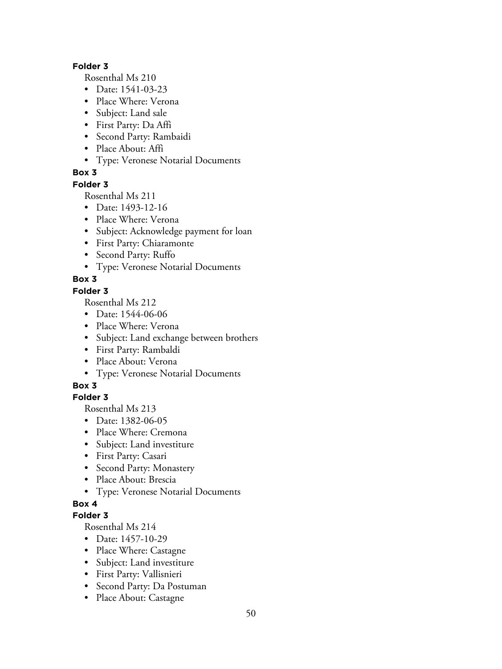#### **Folder 3**

Rosenthal Ms 210

- Date: 1541-03-23
- Place Where: Verona
- Subject: Land sale
- First Party: Da Affi
- Second Party: Rambaidi
- Place About: Affi
- Type: Veronese Notarial Documents

# **Box 3**

## **Folder 3**

Rosenthal Ms 211

- Date: 1493-12-16
- Place Where: Verona
- Subject: Acknowledge payment for loan
- First Party: Chiaramonte
- Second Party: Ruffo
- Type: Veronese Notarial Documents

# **Box 3**

# **Folder 3**

Rosenthal Ms 212

- Date: 1544-06-06
- Place Where: Verona
- Subject: Land exchange between brothers
- First Party: Rambaldi
- Place About: Verona
- Type: Veronese Notarial Documents

# **Box 3**

# **Folder 3**

Rosenthal Ms 213

- Date: 1382-06-05
- Place Where: Cremona
- Subject: Land investiture
- First Party: Casari
- Second Party: Monastery
- Place About: Brescia
- Type: Veronese Notarial Documents

# **Box 4**

# **Folder 3**

- Date: 1457-10-29
- Place Where: Castagne
- Subject: Land investiture
- First Party: Vallisnieri
- Second Party: Da Postuman
- Place About: Castagne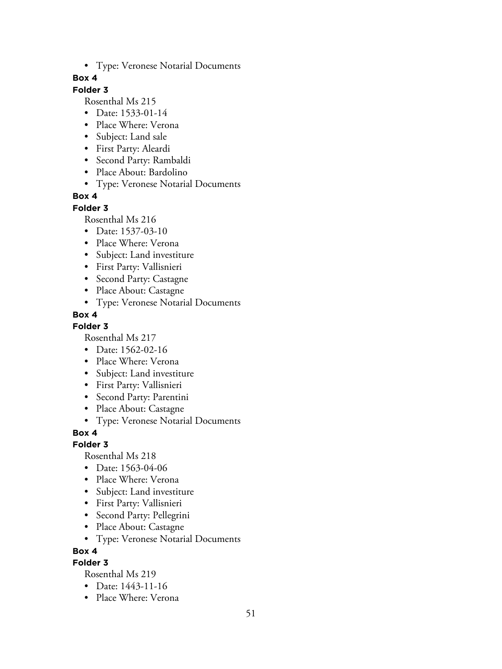• Type: Veronese Notarial Documents

#### **Box 4**

## **Folder 3**

Rosenthal Ms 215

- Date: 1533-01-14
- Place Where: Verona
- Subject: Land sale
- First Party: Aleardi
- Second Party: Rambaldi
- Place About: Bardolino
- Type: Veronese Notarial Documents

### **Box 4**

#### **Folder 3**

Rosenthal Ms 216

- Date: 1537-03-10
- Place Where: Verona
- Subject: Land investiture
- First Party: Vallisnieri
- Second Party: Castagne
- Place About: Castagne
- Type: Veronese Notarial Documents

#### **Box 4**

#### **Folder 3**

Rosenthal Ms 217

- Date: 1562-02-16
- Place Where: Verona
- Subject: Land investiture
- First Party: Vallisnieri
- Second Party: Parentini
- Place About: Castagne
- Type: Veronese Notarial Documents

### **Box 4**

#### **Folder 3**

Rosenthal Ms 218

- Date: 1563-04-06
- Place Where: Verona
- Subject: Land investiture
- First Party: Vallisnieri
- Second Party: Pellegrini
- Place About: Castagne
- Type: Veronese Notarial Documents

#### **Box 4**

### **Folder 3**

- Date: 1443-11-16
- Place Where: Verona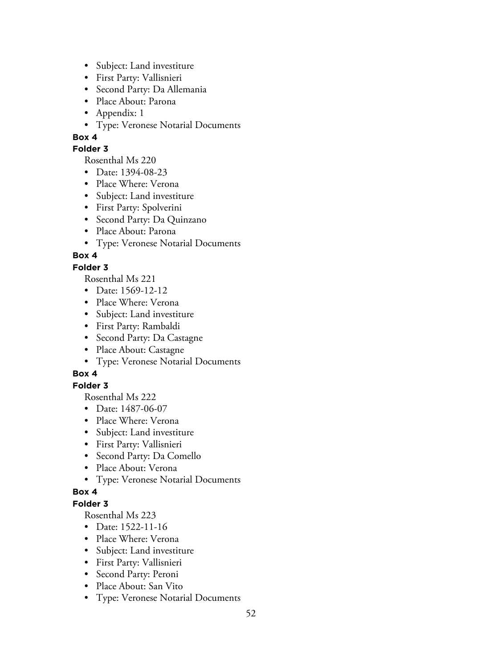- Subject: Land investiture
- First Party: Vallisnieri
- Second Party: Da Allemania
- Place About: Parona
- Appendix: 1
- Type: Veronese Notarial Documents

### **Folder 3**

Rosenthal Ms 220

- Date: 1394-08-23
- Place Where: Verona
- Subject: Land investiture
- First Party: Spolverini
- Second Party: Da Quinzano
- Place About: Parona
- Type: Veronese Notarial Documents

# **Box 4**

### **Folder 3**

Rosenthal Ms 221

- Date: 1569-12-12
- Place Where: Verona
- Subject: Land investiture
- First Party: Rambaldi
- Second Party: Da Castagne
- Place About: Castagne
- Type: Veronese Notarial Documents

# **Box 4**

# **Folder 3**

Rosenthal Ms 222

- Date: 1487-06-07
- Place Where: Verona
- Subject: Land investiture
- First Party: Vallisnieri
- Second Party: Da Comello
- Place About: Verona
- Type: Veronese Notarial Documents

### **Box 4**

### **Folder 3**

- Date: 1522-11-16
- Place Where: Verona
- Subject: Land investiture
- First Party: Vallisnieri
- Second Party: Peroni
- Place About: San Vito
- Type: Veronese Notarial Documents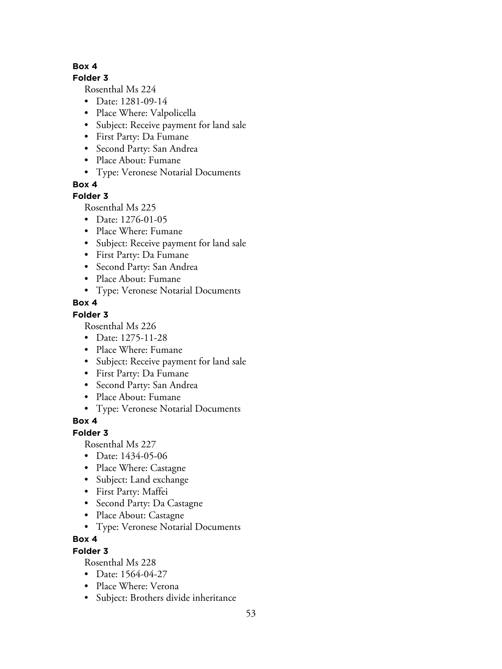### **Folder 3**

Rosenthal Ms 224

- Date: 1281-09-14
- Place Where: Valpolicella
- Subject: Receive payment for land sale
- First Party: Da Fumane
- Second Party: San Andrea
- Place About: Fumane
- Type: Veronese Notarial Documents

### **Box 4**

### **Folder 3**

Rosenthal Ms 225

- Date: 1276-01-05
- Place Where: Fumane
- Subject: Receive payment for land sale
- First Party: Da Fumane
- Second Party: San Andrea
- Place About: Fumane
- Type: Veronese Notarial Documents

### **Box 4**

## **Folder 3**

Rosenthal Ms 226

- Date: 1275-11-28
- Place Where: Fumane
- Subject: Receive payment for land sale
- First Party: Da Fumane
- Second Party: San Andrea
- Place About: Fumane
- Type: Veronese Notarial Documents

# **Box 4**

### **Folder 3**

Rosenthal Ms 227

- Date: 1434-05-06
- Place Where: Castagne
- Subject: Land exchange
- First Party: Maffei
- Second Party: Da Castagne
- Place About: Castagne
- Type: Veronese Notarial Documents

### **Box 4**

### **Folder 3**

- Date: 1564-04-27
- Place Where: Verona
- Subject: Brothers divide inheritance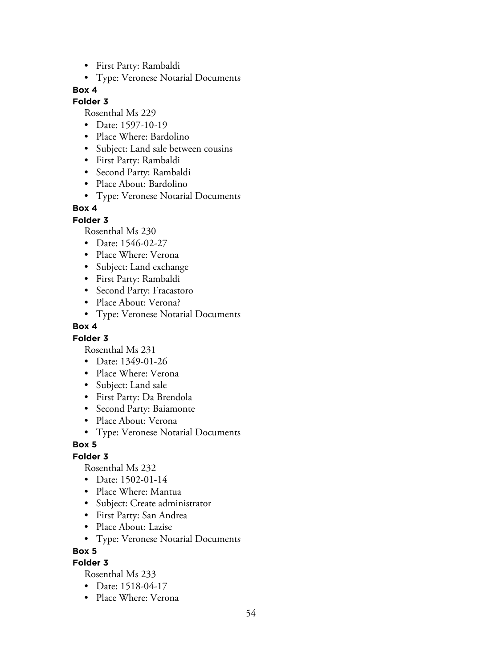- First Party: Rambaldi
- Type: Veronese Notarial Documents

#### **Folder 3**

Rosenthal Ms 229

- Date: 1597-10-19
- Place Where: Bardolino
- Subject: Land sale between cousins
- First Party: Rambaldi
- Second Party: Rambaldi
- Place About: Bardolino
- Type: Veronese Notarial Documents

## **Box 4**

**Folder 3**

Rosenthal Ms 230

- Date: 1546-02-27
- Place Where: Verona
- Subject: Land exchange
- First Party: Rambaldi
- Second Party: Fracastoro
- Place About: Verona?
- Type: Veronese Notarial Documents

### **Box 4**

### **Folder 3**

Rosenthal Ms 231

- Date: 1349-01-26
- Place Where: Verona
- Subject: Land sale
- First Party: Da Brendola
- Second Party: Baiamonte
- Place About: Verona
- Type: Veronese Notarial Documents

### **Box 5**

### **Folder 3**

Rosenthal Ms 232

- Date: 1502-01-14
- Place Where: Mantua
- Subject: Create administrator
- First Party: San Andrea
- Place About: Lazise
- Type: Veronese Notarial Documents

### **Box 5**

**Folder 3**

- Date: 1518-04-17
- Place Where: Verona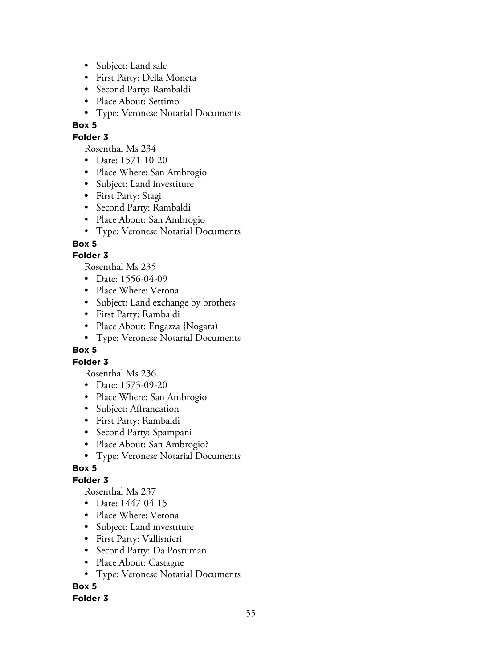- Subject: Land sale
- First Party: Della Moneta
- Second Party: Rambaldi
- Place About: Settimo
- Type: Veronese Notarial Documents

#### **Folder 3**

Rosenthal Ms 234

- Date: 1571-10-20
- Place Where: San Ambrogio
- Subject: Land investiture
- First Party: Stagi
- Second Party: Rambaldi
- Place About: San Ambrogio
- Type: Veronese Notarial Documents

## **Box 5**

## **Folder 3**

Rosenthal Ms 235

- Date: 1556-04-09
- Place Where: Verona
- Subject: Land exchange by brothers
- First Party: Rambaldi
- Place About: Engazza {Nogara}
- Type: Veronese Notarial Documents

### **Box 5**

### **Folder 3**

Rosenthal Ms 236

- Date: 1573-09-20
- Place Where: San Ambrogio
- Subject: Affrancation
- First Party: Rambaldi
- Second Party: Spampani
- Place About: San Ambrogio?
- Type: Veronese Notarial Documents

# **Box 5**

# **Folder 3**

Rosenthal Ms 237

- Date: 1447-04-15
- Place Where: Verona
- Subject: Land investiture
- First Party: Vallisnieri
- Second Party: Da Postuman
- Place About: Castagne
- Type: Veronese Notarial Documents

# **Box 5**

### **Folder 3**

55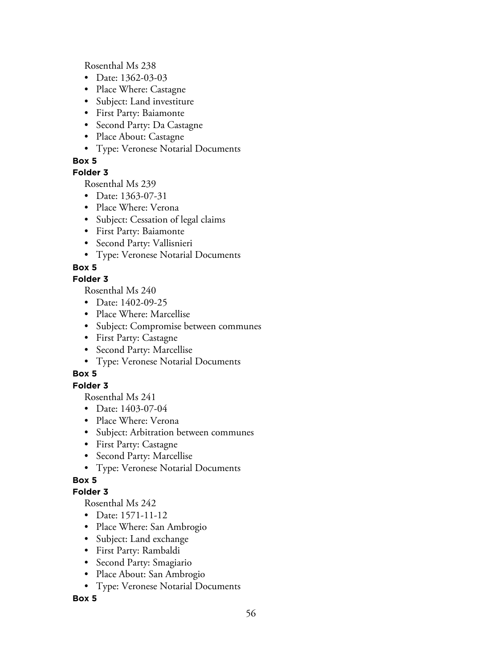Rosenthal Ms 238

- Date: 1362-03-03
- Place Where: Castagne
- Subject: Land investiture
- First Party: Baiamonte
- Second Party: Da Castagne
- Place About: Castagne
- Type: Veronese Notarial Documents

## **Box 5**

## **Folder 3**

Rosenthal Ms 239

- Date: 1363-07-31
- Place Where: Verona
- Subject: Cessation of legal claims
- First Party: Baiamonte
- Second Party: Vallisnieri
- Type: Veronese Notarial Documents

# **Box 5**

### **Folder 3**

Rosenthal Ms 240

- Date: 1402-09-25
- Place Where: Marcellise
- Subject: Compromise between communes
- First Party: Castagne
- Second Party: Marcellise
- Type: Veronese Notarial Documents

# **Box 5**

# **Folder 3**

Rosenthal Ms 241

- Date: 1403-07-04
- Place Where: Verona
- Subject: Arbitration between communes
- First Party: Castagne
- Second Party: Marcellise
- Type: Veronese Notarial Documents

# **Box 5**

# **Folder 3**

Rosenthal Ms 242

- Date: 1571-11-12
- Place Where: San Ambrogio
- Subject: Land exchange
- First Party: Rambaldi
- Second Party: Smagiario
- Place About: San Ambrogio
- Type: Veronese Notarial Documents

### **Box 5**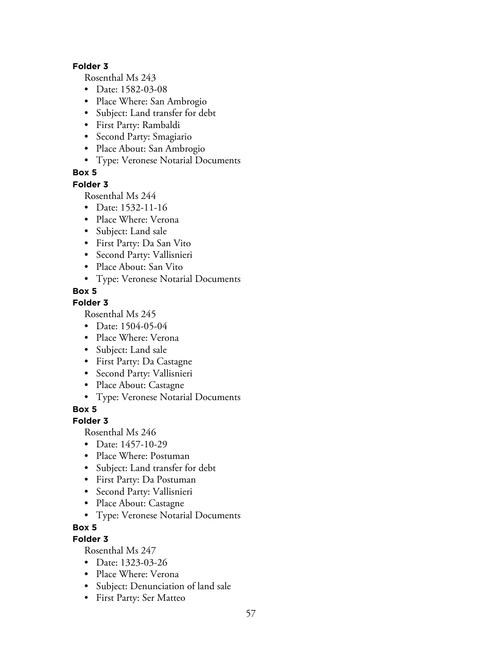#### **Folder 3**

Rosenthal Ms 243

- Date: 1582-03-08
- Place Where: San Ambrogio
- Subject: Land transfer for debt
- First Party: Rambaldi
- Second Party: Smagiario
- Place About: San Ambrogio
- Type: Veronese Notarial Documents

## **Box 5**

### **Folder 3**

Rosenthal Ms 244

- Date: 1532-11-16
- Place Where: Verona
- Subject: Land sale
- First Party: Da San Vito
- Second Party: Vallisnieri
- Place About: San Vito
- Type: Veronese Notarial Documents

## **Box 5**

### **Folder 3**

Rosenthal Ms 245

- Date: 1504-05-04
- Place Where: Verona
- Subject: Land sale
- First Party: Da Castagne
- Second Party: Vallisnieri
- Place About: Castagne
- Type: Veronese Notarial Documents

## **Box 5**

### **Folder 3**

Rosenthal Ms 246

- Date: 1457-10-29
- Place Where: Postuman
- Subject: Land transfer for debt
- First Party: Da Postuman
- Second Party: Vallisnieri
- Place About: Castagne
- Type: Veronese Notarial Documents

### **Box 5**

# **Folder 3**

- Date: 1323-03-26
- Place Where: Verona
- Subject: Denunciation of land sale
- First Party: Ser Matteo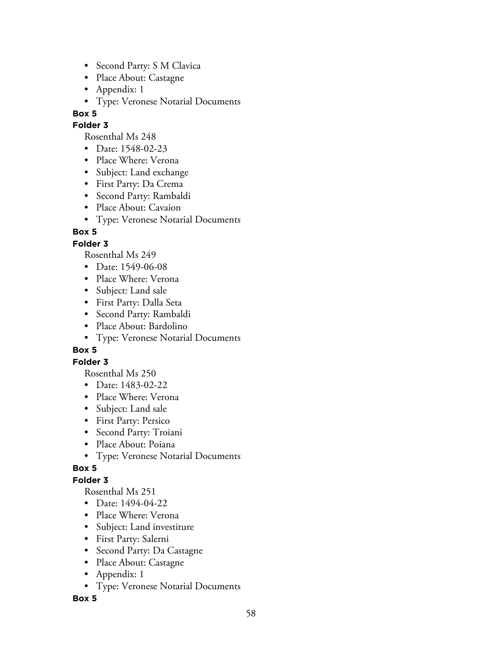- Second Party: S M Clavica
- Place About: Castagne
- Appendix: 1
- Type: Veronese Notarial Documents

#### **Folder 3**

Rosenthal Ms 248

- Date: 1548-02-23
- Place Where: Verona
- Subject: Land exchange
- First Party: Da Crema
- Second Party: Rambaldi
- Place About: Cavaion
- Type: Veronese Notarial Documents

## **Box 5**

## **Folder 3**

Rosenthal Ms 249

- Date: 1549-06-08
- Place Where: Verona
- Subject: Land sale
- First Party: Dalla Seta
- Second Party: Rambaldi
- Place About: Bardolino
- Type: Veronese Notarial Documents

### **Box 5**

### **Folder 3**

Rosenthal Ms 250

- Date: 1483-02-22
- Place Where: Verona
- Subject: Land sale
- First Party: Persico
- Second Party: Troiani
- Place About: Poiana
- Type: Veronese Notarial Documents

### **Box 5**

# **Folder 3**

Rosenthal Ms 251

- Date: 1494-04-22
- Place Where: Verona
- Subject: Land investiture
- First Party: Salerni
- Second Party: Da Castagne
- Place About: Castagne
- Appendix: 1
- Type: Veronese Notarial Documents

### **Box 5**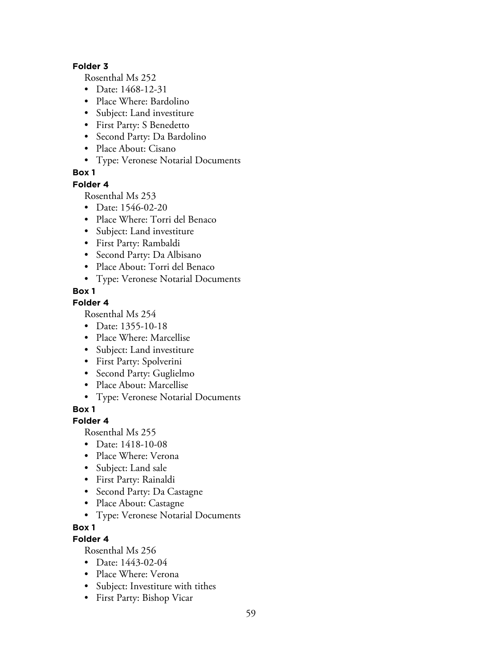#### **Folder 3**

Rosenthal Ms 252

- Date: 1468-12-31
- Place Where: Bardolino
- Subject: Land investiture
- First Party: S Benedetto
- Second Party: Da Bardolino
- Place About: Cisano
- Type: Veronese Notarial Documents

### **Box 1**

#### **Folder 4**

Rosenthal Ms 253

- Date: 1546-02-20
- Place Where: Torri del Benaco
- Subject: Land investiture
- First Party: Rambaldi
- Second Party: Da Albisano
- Place About: Torri del Benaco
- Type: Veronese Notarial Documents

#### **Box 1**

### **Folder 4**

Rosenthal Ms 254

- Date: 1355-10-18
- Place Where: Marcellise
- Subject: Land investiture
- First Party: Spolverini
- Second Party: Guglielmo
- Place About: Marcellise
- Type: Veronese Notarial Documents

**Box 1**

#### **Folder 4**

Rosenthal Ms 255

- Date: 1418-10-08
- Place Where: Verona
- Subject: Land sale
- First Party: Rainaldi
- Second Party: Da Castagne
- Place About: Castagne
- Type: Veronese Notarial Documents

#### **Box 1**

#### **Folder 4**

- Date: 1443-02-04
- Place Where: Verona
- Subject: Investiture with tithes
- First Party: Bishop Vicar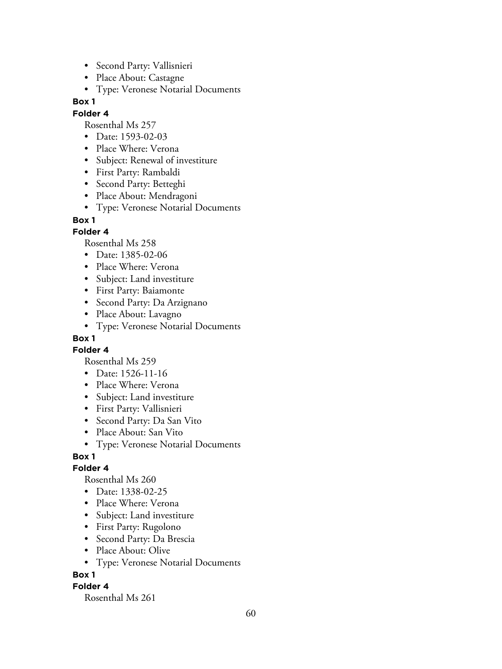- Second Party: Vallisnieri
- Place About: Castagne
- Type: Veronese Notarial Documents

#### **Folder 4**

Rosenthal Ms 257

- Date: 1593-02-03
- Place Where: Verona
- Subject: Renewal of investiture
- First Party: Rambaldi
- Second Party: Betteghi
- Place About: Mendragoni
- Type: Veronese Notarial Documents

#### **Box 1**

#### **Folder 4**

Rosenthal Ms 258

- Date: 1385-02-06
- Place Where: Verona
- Subject: Land investiture
- First Party: Baiamonte
- Second Party: Da Arzignano
- Place About: Lavagno
- Type: Veronese Notarial Documents

### **Box 1**

**Folder 4**

Rosenthal Ms 259

- Date: 1526-11-16
- Place Where: Verona
- Subject: Land investiture
- First Party: Vallisnieri
- Second Party: Da San Vito
- Place About: San Vito
- Type: Veronese Notarial Documents

#### **Box 1**

#### **Folder 4**

Rosenthal Ms 260

- Date: 1338-02-25
- Place Where: Verona
- Subject: Land investiture
- First Party: Rugolono
- Second Party: Da Brescia
- Place About: Olive
- Type: Veronese Notarial Documents

#### **Box 1**

#### **Folder 4**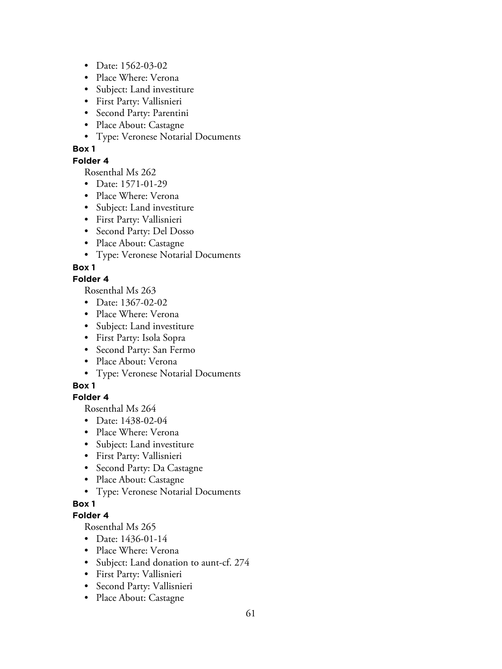- Date: 1562-03-02
- Place Where: Verona
- Subject: Land investiture
- First Party: Vallisnieri
- Second Party: Parentini
- Place About: Castagne
- Type: Veronese Notarial Documents

#### **Folder 4**

Rosenthal Ms 262

- Date: 1571-01-29
- Place Where: Verona
- Subject: Land investiture
- First Party: Vallisnieri
- Second Party: Del Dosso
- Place About: Castagne
- Type: Veronese Notarial Documents

### **Box 1**

## **Folder 4**

Rosenthal Ms 263

- Date: 1367-02-02
- Place Where: Verona
- Subject: Land investiture
- First Party: Isola Sopra
- Second Party: San Fermo
- Place About: Verona
- Type: Veronese Notarial Documents

### **Box 1**

### **Folder 4**

Rosenthal Ms 264

- Date: 1438-02-04
- Place Where: Verona
- Subject: Land investiture
- First Party: Vallisnieri
- Second Party: Da Castagne
- Place About: Castagne
- Type: Veronese Notarial Documents

### **Box 1**

#### **Folder 4**

- Date: 1436-01-14
- Place Where: Verona
- Subject: Land donation to aunt-cf. 274
- First Party: Vallisnieri
- Second Party: Vallisnieri
- Place About: Castagne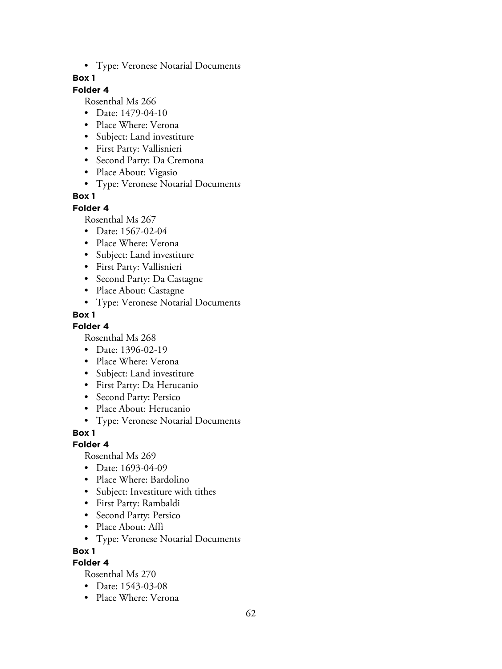• Type: Veronese Notarial Documents

### **Box 1**

## **Folder 4**

Rosenthal Ms 266

- Date: 1479-04-10
- Place Where: Verona
- Subject: Land investiture
- First Party: Vallisnieri
- Second Party: Da Cremona
- Place About: Vigasio
- Type: Veronese Notarial Documents

## **Box 1**

### **Folder 4**

Rosenthal Ms 267

- Date: 1567-02-04
- Place Where: Verona
- Subject: Land investiture
- First Party: Vallisnieri
- Second Party: Da Castagne
- Place About: Castagne
- Type: Veronese Notarial Documents

## **Box 1**

### **Folder 4**

Rosenthal Ms 268

- Date: 1396-02-19
- Place Where: Verona
- Subject: Land investiture
- First Party: Da Herucanio
- Second Party: Persico
- Place About: Herucanio
- Type: Veronese Notarial Documents

### **Box 1**

**Folder 4**

Rosenthal Ms 269

- Date: 1693-04-09
- Place Where: Bardolino
- Subject: Investiture with tithes
- First Party: Rambaldi
- Second Party: Persico
- Place About: Affi
- Type: Veronese Notarial Documents

**Box 1**

## **Folder 4**

- Date: 1543-03-08
- Place Where: Verona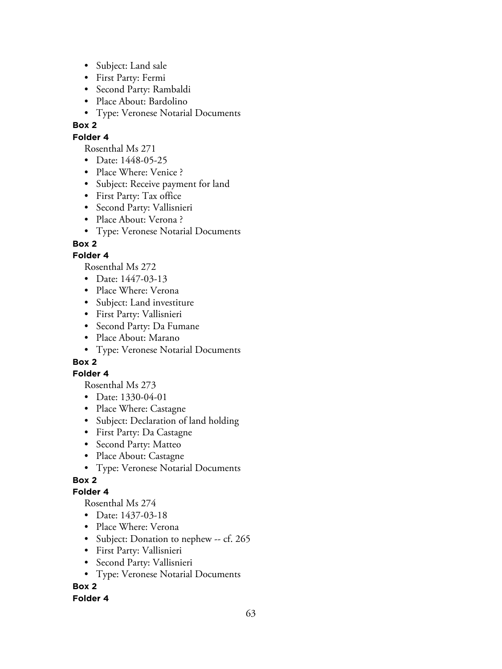- Subject: Land sale
- First Party: Fermi
- Second Party: Rambaldi
- Place About: Bardolino
- Type: Veronese Notarial Documents

### **Folder 4**

Rosenthal Ms 271

- Date: 1448-05-25
- Place Where: Venice ?
- Subject: Receive payment for land
- First Party: Tax office
- Second Party: Vallisnieri
- Place About: Verona ?
- Type: Veronese Notarial Documents

## **Box 2**

## **Folder 4**

Rosenthal Ms 272

- Date: 1447-03-13
- Place Where: Verona
- Subject: Land investiture
- First Party: Vallisnieri
- Second Party: Da Fumane
- Place About: Marano
- Type: Veronese Notarial Documents

# **Box 2**

### **Folder 4**

Rosenthal Ms 273

- Date: 1330-04-01
- Place Where: Castagne
- Subject: Declaration of land holding
- First Party: Da Castagne
- Second Party: Matteo
- Place About: Castagne
- Type: Veronese Notarial Documents

# **Box 2**

### **Folder 4**

Rosenthal Ms 274

- Date: 1437-03-18
- Place Where: Verona
- Subject: Donation to nephew -- cf. 265
- First Party: Vallisnieri
- Second Party: Vallisnieri
- Type: Veronese Notarial Documents

# **Box 2**

### **Folder 4**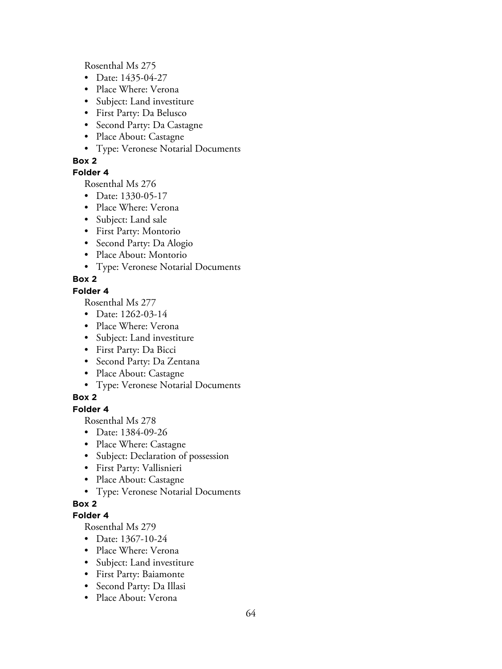Rosenthal Ms 275

- Date: 1435-04-27
- Place Where: Verona
- Subject: Land investiture
- First Party: Da Belusco
- Second Party: Da Castagne
- Place About: Castagne
- Type: Veronese Notarial Documents

#### **Box 2**

### **Folder 4**

Rosenthal Ms 276

- Date: 1330-05-17
- Place Where: Verona
- Subject: Land sale
- First Party: Montorio
- Second Party: Da Alogio
- Place About: Montorio
- Type: Veronese Notarial Documents

## **Box 2**

#### **Folder 4**

Rosenthal Ms 277

- Date: 1262-03-14
- Place Where: Verona
- Subject: Land investiture
- First Party: Da Bicci
- Second Party: Da Zentana
- Place About: Castagne
- Type: Veronese Notarial Documents

### **Box 2**

## **Folder 4**

Rosenthal Ms 278

- Date: 1384-09-26
- Place Where: Castagne
- Subject: Declaration of possession
- First Party: Vallisnieri
- Place About: Castagne
- Type: Veronese Notarial Documents

### **Box 2**

#### **Folder 4**

- Date: 1367-10-24
- Place Where: Verona
- Subject: Land investiture
- First Party: Baiamonte
- Second Party: Da Illasi
- Place About: Verona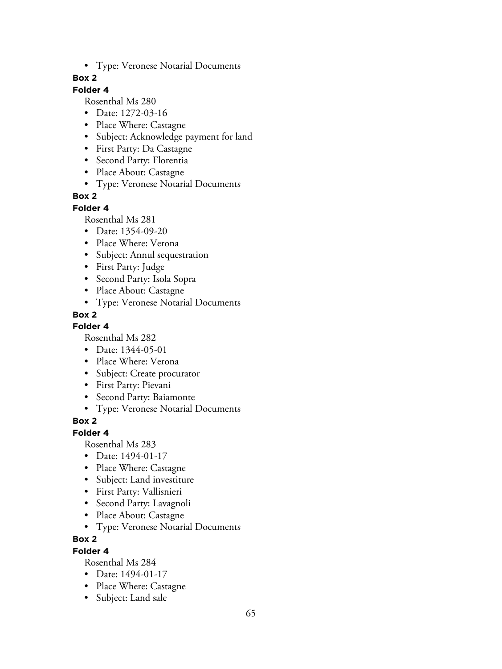• Type: Veronese Notarial Documents

### **Box 2**

### **Folder 4**

Rosenthal Ms 280

- Date: 1272-03-16
- Place Where: Castagne
- Subject: Acknowledge payment for land
- First Party: Da Castagne
- Second Party: Florentia
- Place About: Castagne
- Type: Veronese Notarial Documents

## **Box 2**

#### **Folder 4**

Rosenthal Ms 281

- Date: 1354-09-20
- Place Where: Verona
- Subject: Annul sequestration
- First Party: Judge
- Second Party: Isola Sopra
- Place About: Castagne
- Type: Veronese Notarial Documents

## **Box 2**

### **Folder 4**

Rosenthal Ms 282

- Date: 1344-05-01
- Place Where: Verona
- Subject: Create procurator
- First Party: Pievani
- Second Party: Baiamonte
- Type: Veronese Notarial Documents

### **Box 2**

#### **Folder 4**

Rosenthal Ms 283

- Date: 1494-01-17
- Place Where: Castagne
- Subject: Land investiture
- First Party: Vallisnieri
- Second Party: Lavagnoli
- Place About: Castagne
- Type: Veronese Notarial Documents

### **Box 2**

### **Folder 4**

- Date: 1494-01-17
- Place Where: Castagne
- Subject: Land sale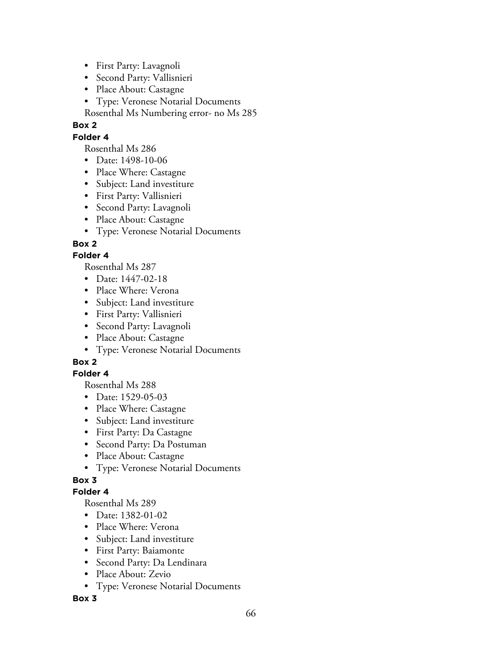- First Party: Lavagnoli
- Second Party: Vallisnieri
- Place About: Castagne
- Type: Veronese Notarial Documents

Rosenthal Ms Numbering error- no Ms 285

## **Box 2**

## **Folder 4**

Rosenthal Ms 286

- Date: 1498-10-06
- Place Where: Castagne
- Subject: Land investiture
- First Party: Vallisnieri
- Second Party: Lavagnoli
- Place About: Castagne
- Type: Veronese Notarial Documents

## **Box 2**

## **Folder 4**

Rosenthal Ms 287

- Date: 1447-02-18
- Place Where: Verona
- Subject: Land investiture
- First Party: Vallisnieri
- Second Party: Lavagnoli
- Place About: Castagne
- Type: Veronese Notarial Documents

# **Box 2**

### **Folder 4**

Rosenthal Ms 288

- Date: 1529-05-03
- Place Where: Castagne
- Subject: Land investiture
- First Party: Da Castagne
- Second Party: Da Postuman
- Place About: Castagne
- Type: Veronese Notarial Documents

# **Box 3**

### **Folder 4**

Rosenthal Ms 289

- Date: 1382-01-02
- Place Where: Verona
- Subject: Land investiture
- First Party: Baiamonte
- Second Party: Da Lendinara
- Place About: Zevio
- Type: Veronese Notarial Documents

### **Box 3**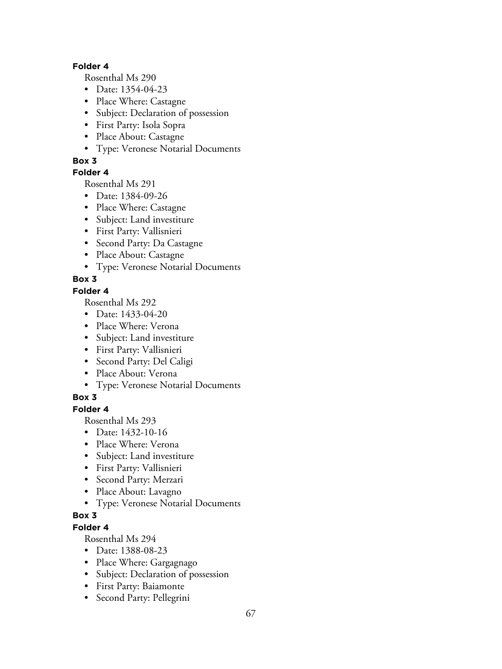#### **Folder 4**

Rosenthal Ms 290

- Date: 1354-04-23
- Place Where: Castagne
- Subject: Declaration of possession
- First Party: Isola Sopra
- Place About: Castagne
- Type: Veronese Notarial Documents

### **Box 3**

### **Folder 4**

Rosenthal Ms 291

- Date: 1384-09-26
- Place Where: Castagne
- Subject: Land investiture
- First Party: Vallisnieri
- Second Party: Da Castagne
- Place About: Castagne
- Type: Veronese Notarial Documents

# **Box 3**

### **Folder 4**

Rosenthal Ms 292

- Date: 1433-04-20
- Place Where: Verona
- Subject: Land investiture
- First Party: Vallisnieri
- Second Party: Del Caligi
- Place About: Verona
- Type: Veronese Notarial Documents

# **Box 3**

## **Folder 4**

Rosenthal Ms 293

- Date: 1432-10-16
- Place Where: Verona
- Subject: Land investiture
- First Party: Vallisnieri
- Second Party: Merzari
- Place About: Lavagno
- Type: Veronese Notarial Documents

# **Box 3**

**Folder 4**

- Date: 1388-08-23
- Place Where: Gargagnago
- Subject: Declaration of possession
- First Party: Baiamonte
- Second Party: Pellegrini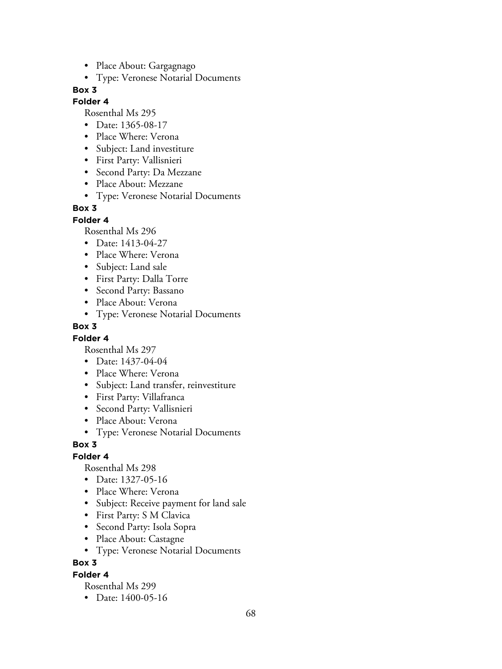- Place About: Gargagnago
- Type: Veronese Notarial Documents

#### **Folder 4**

Rosenthal Ms 295

- Date: 1365-08-17
- Place Where: Verona
- Subject: Land investiture
- First Party: Vallisnieri
- Second Party: Da Mezzane
- Place About: Mezzane
- Type: Veronese Notarial Documents

#### **Box 3**

**Folder 4**

Rosenthal Ms 296

- Date: 1413-04-27
- Place Where: Verona
- Subject: Land sale
- First Party: Dalla Torre
- Second Party: Bassano
- Place About: Verona
- Type: Veronese Notarial Documents

#### **Box 3**

#### **Folder 4**

Rosenthal Ms 297

- Date: 1437-04-04
- Place Where: Verona
- Subject: Land transfer, reinvestiture
- First Party: Villafranca
- Second Party: Vallisnieri
- Place About: Verona
- Type: Veronese Notarial Documents

#### **Box 3**

#### **Folder 4**

Rosenthal Ms 298

- Date: 1327-05-16
- Place Where: Verona
- Subject: Receive payment for land sale
- First Party: S M Clavica
- Second Party: Isola Sopra
- Place About: Castagne
- Type: Veronese Notarial Documents

### **Box 3**

#### **Folder 4**

Rosenthal Ms 299

• Date: 1400-05-16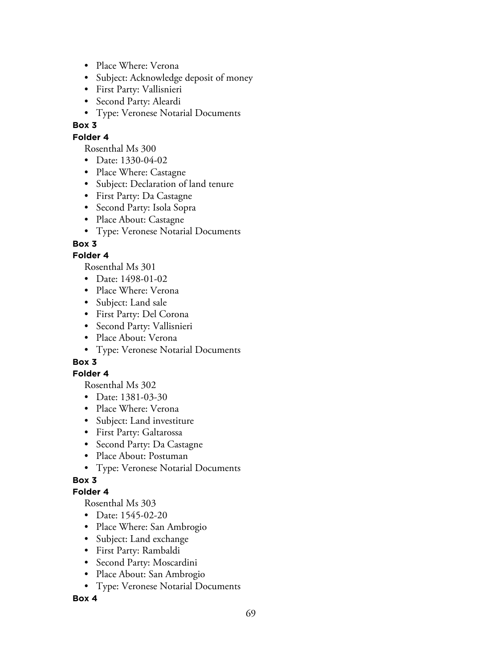- Place Where: Verona
- Subject: Acknowledge deposit of money
- First Party: Vallisnieri
- Second Party: Aleardi
- Type: Veronese Notarial Documents

### **Folder 4**

Rosenthal Ms 300

- Date: 1330-04-02
- Place Where: Castagne
- Subject: Declaration of land tenure
- First Party: Da Castagne
- Second Party: Isola Sopra
- Place About: Castagne
- Type: Veronese Notarial Documents

## **Box 3**

## **Folder 4**

Rosenthal Ms 301

- Date: 1498-01-02
- Place Where: Verona
- Subject: Land sale
- First Party: Del Corona
- Second Party: Vallisnieri
- Place About: Verona
- Type: Veronese Notarial Documents

# **Box 3**

### **Folder 4**

Rosenthal Ms 302

- Date: 1381-03-30
- Place Where: Verona
- Subject: Land investiture
- First Party: Galtarossa
- Second Party: Da Castagne
- Place About: Postuman
- Type: Veronese Notarial Documents

# **Box 3**

### **Folder 4**

Rosenthal Ms 303

- Date: 1545-02-20
- Place Where: San Ambrogio
- Subject: Land exchange
- First Party: Rambaldi
- Second Party: Moscardini
- Place About: San Ambrogio
- Type: Veronese Notarial Documents

### **Box 4**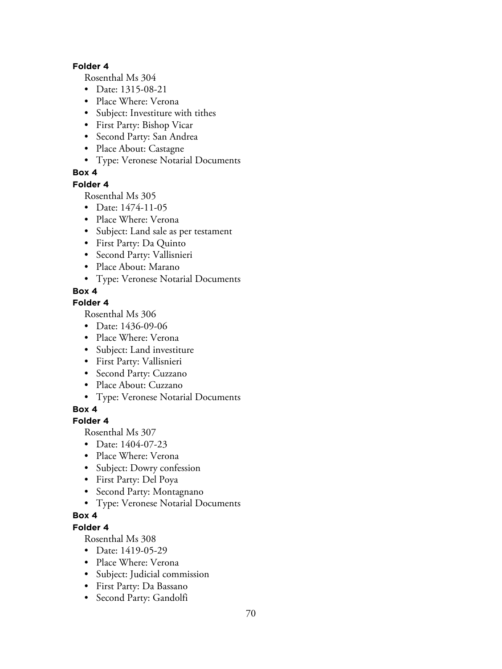#### **Folder 4**

Rosenthal Ms 304

- Date: 1315-08-21
- Place Where: Verona
- Subject: Investiture with tithes
- First Party: Bishop Vicar
- Second Party: San Andrea
- Place About: Castagne
- Type: Veronese Notarial Documents

## **Box 4**

#### **Folder 4**

Rosenthal Ms 305

- Date: 1474-11-05
- Place Where: Verona
- Subject: Land sale as per testament
- First Party: Da Quinto
- Second Party: Vallisnieri
- Place About: Marano
- Type: Veronese Notarial Documents

## **Box 4**

## **Folder 4**

Rosenthal Ms 306

- Date: 1436-09-06
- Place Where: Verona
- Subject: Land investiture
- First Party: Vallisnieri
- Second Party: Cuzzano
- Place About: Cuzzano
- Type: Veronese Notarial Documents

**Box 4**

# **Folder 4**

Rosenthal Ms 307

- Date: 1404-07-23
- Place Where: Verona
- Subject: Dowry confession
- First Party: Del Poya
- Second Party: Montagnano
- Type: Veronese Notarial Documents

# **Box 4**

**Folder 4**

- Date: 1419-05-29
- Place Where: Verona
- Subject: Judicial commission
- First Party: Da Bassano
- Second Party: Gandolfi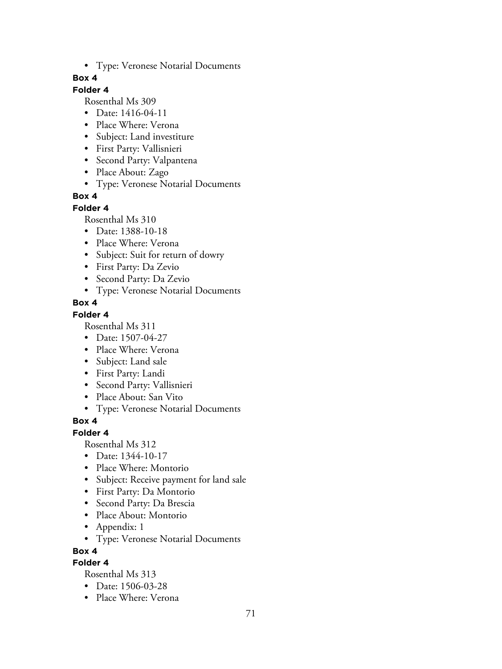• Type: Veronese Notarial Documents

### **Box 4**

## **Folder 4**

Rosenthal Ms 309

- Date: 1416-04-11
- Place Where: Verona
- Subject: Land investiture
- First Party: Vallisnieri
- Second Party: Valpantena
- Place About: Zago
- Type: Veronese Notarial Documents

## **Box 4**

#### **Folder 4**

Rosenthal Ms 310

- Date: 1388-10-18
- Place Where: Verona
- Subject: Suit for return of dowry
- First Party: Da Zevio
- Second Party: Da Zevio
- Type: Veronese Notarial Documents

## **Box 4**

### **Folder 4**

Rosenthal Ms 311

- Date: 1507-04-27
- Place Where: Verona
- Subject: Land sale
- First Party: Landi
- Second Party: Vallisnieri
- Place About: San Vito
- Type: Veronese Notarial Documents

# **Box 4**

### **Folder 4**

Rosenthal Ms 312

- Date: 1344-10-17
- Place Where: Montorio
- Subject: Receive payment for land sale
- First Party: Da Montorio
- Second Party: Da Brescia
- Place About: Montorio
- Appendix: 1
- Type: Veronese Notarial Documents

### **Box 4**

# **Folder 4**

- Date: 1506-03-28
- Place Where: Verona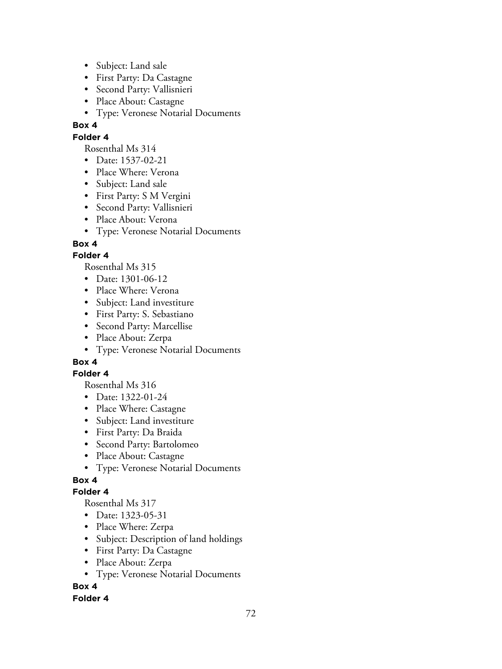- Subject: Land sale
- First Party: Da Castagne
- Second Party: Vallisnieri
- Place About: Castagne
- Type: Veronese Notarial Documents

### **Folder 4**

Rosenthal Ms 314

- Date: 1537-02-21
- Place Where: Verona
- Subject: Land sale
- First Party: S M Vergini
- Second Party: Vallisnieri
- Place About: Verona
- Type: Veronese Notarial Documents

## **Box 4**

## **Folder 4**

Rosenthal Ms 315

- Date: 1301-06-12
- Place Where: Verona
- Subject: Land investiture
- First Party: S. Sebastiano
- Second Party: Marcellise
- Place About: Zerpa
- Type: Veronese Notarial Documents

# **Box 4**

### **Folder 4**

Rosenthal Ms 316

- Date: 1322-01-24
- Place Where: Castagne
- Subject: Land investiture
- First Party: Da Braida
- Second Party: Bartolomeo
- Place About: Castagne
- Type: Veronese Notarial Documents

# **Box 4**

# **Folder 4**

Rosenthal Ms 317

- Date: 1323-05-31
- Place Where: Zerpa
- Subject: Description of land holdings
- First Party: Da Castagne
- Place About: Zerpa
- Type: Veronese Notarial Documents

### **Box 4**

### **Folder 4**

72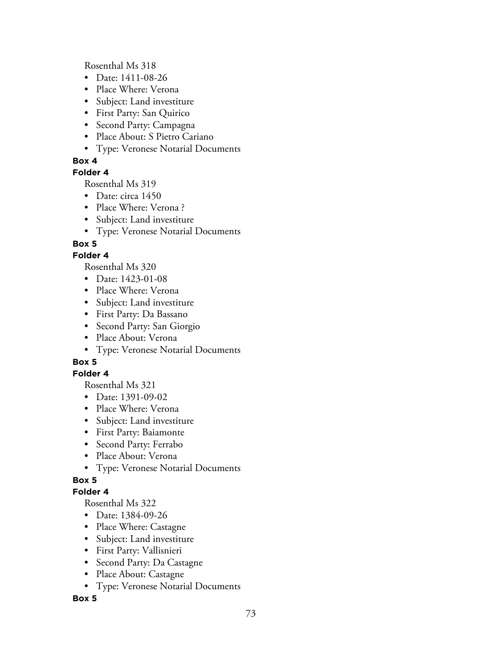Rosenthal Ms 318

- Date: 1411-08-26
- Place Where: Verona
- Subject: Land investiture
- First Party: San Quirico
- Second Party: Campagna
- Place About: S Pietro Cariano
- Type: Veronese Notarial Documents

# **Box 4**

## **Folder 4**

Rosenthal Ms 319

- Date: circa 1450
- Place Where: Verona?
- Subject: Land investiture
- Type: Veronese Notarial Documents

# **Box 5**

# **Folder 4**

Rosenthal Ms 320

- Date: 1423-01-08
- Place Where: Verona
- Subject: Land investiture
- First Party: Da Bassano
- Second Party: San Giorgio
- Place About: Verona
- Type: Veronese Notarial Documents

# **Box 5**

## **Folder 4**

Rosenthal Ms 321

- Date: 1391-09-02
- Place Where: Verona
- Subject: Land investiture
- First Party: Baiamonte
- Second Party: Ferrabo
- Place About: Verona
- Type: Veronese Notarial Documents

# **Box 5**

## **Folder 4**

Rosenthal Ms 322

- Date: 1384-09-26
- Place Where: Castagne
- Subject: Land investiture
- First Party: Vallisnieri
- Second Party: Da Castagne
- Place About: Castagne
- Type: Veronese Notarial Documents

## **Box 5**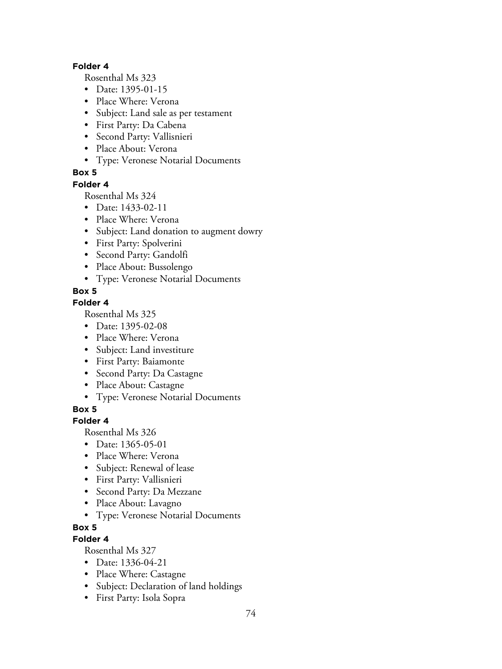#### **Folder 4**

Rosenthal Ms 323

- Date: 1395-01-15
- Place Where: Verona
- Subject: Land sale as per testament
- First Party: Da Cabena
- Second Party: Vallisnieri
- Place About: Verona
- Type: Veronese Notarial Documents

# **Box 5**

#### **Folder 4**

Rosenthal Ms 324

- Date: 1433-02-11
- Place Where: Verona
- Subject: Land donation to augment dowry
- First Party: Spolverini
- Second Party: Gandolfi
- Place About: Bussolengo
- Type: Veronese Notarial Documents

# **Box 5**

## **Folder 4**

Rosenthal Ms 325

- Date: 1395-02-08
- Place Where: Verona
- Subject: Land investiture
- First Party: Baiamonte
- Second Party: Da Castagne
- Place About: Castagne
- Type: Veronese Notarial Documents

## **Box 5**

## **Folder 4**

Rosenthal Ms 326

- Date: 1365-05-01
- Place Where: Verona
- Subject: Renewal of lease
- First Party: Vallisnieri
- Second Party: Da Mezzane
- Place About: Lavagno
- Type: Veronese Notarial Documents

## **Box 5**

# **Folder 4**

- Date: 1336-04-21
- Place Where: Castagne
- Subject: Declaration of land holdings
- First Party: Isola Sopra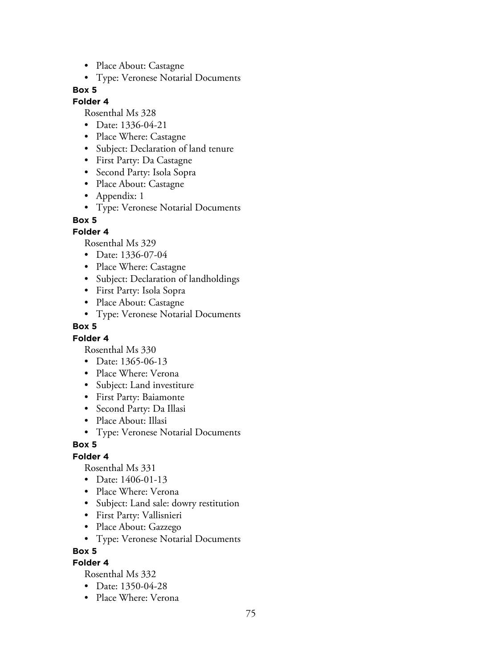- Place About: Castagne
- Type: Veronese Notarial Documents

## **Folder 4**

Rosenthal Ms 328

- Date: 1336-04-21
- Place Where: Castagne
- Subject: Declaration of land tenure
- First Party: Da Castagne
- Second Party: Isola Sopra
- Place About: Castagne
- Appendix: 1
- Type: Veronese Notarial Documents

#### **Box 5**

#### **Folder 4**

Rosenthal Ms 329

- Date: 1336-07-04
- Place Where: Castagne
- Subject: Declaration of landholdings
- First Party: Isola Sopra
- Place About: Castagne
- Type: Veronese Notarial Documents

#### **Box 5**

#### **Folder 4**

Rosenthal Ms 330

- Date: 1365-06-13
- Place Where: Verona
- Subject: Land investiture
- First Party: Baiamonte
- Second Party: Da Illasi
- Place About: Illasi
- Type: Veronese Notarial Documents

#### **Box 5**

#### **Folder 4**

Rosenthal Ms 331

- Date: 1406-01-13
- Place Where: Verona
- Subject: Land sale: dowry restitution
- First Party: Vallisnieri
- Place About: Gazzego
- Type: Veronese Notarial Documents

#### **Box 5**

# **Folder 4**

- Date: 1350-04-28
- Place Where: Verona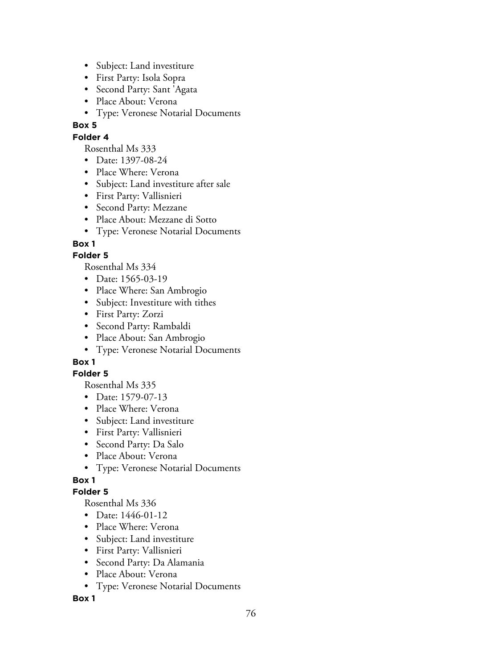- Subject: Land investiture
- First Party: Isola Sopra
- Second Party: Sant 'Agata
- Place About: Verona
- Type: Veronese Notarial Documents

## **Folder 4**

Rosenthal Ms 333

- Date: 1397-08-24
- Place Where: Verona
- Subject: Land investiture after sale
- First Party: Vallisnieri
- Second Party: Mezzane
- Place About: Mezzane di Sotto
- Type: Veronese Notarial Documents

# **Box 1**

# **Folder 5**

Rosenthal Ms 334

- Date: 1565-03-19
- Place Where: San Ambrogio
- Subject: Investiture with tithes
- First Party: Zorzi
- Second Party: Rambaldi
- Place About: San Ambrogio
- Type: Veronese Notarial Documents

# **Box 1**

## **Folder 5**

Rosenthal Ms 335

- Date: 1579-07-13
- Place Where: Verona
- Subject: Land investiture
- First Party: Vallisnieri
- Second Party: Da Salo
- Place About: Verona
- Type: Veronese Notarial Documents

# **Box 1**

## **Folder 5**

Rosenthal Ms 336

- Date: 1446-01-12
- Place Where: Verona
- Subject: Land investiture
- First Party: Vallisnieri
- Second Party: Da Alamania
- Place About: Verona
- Type: Veronese Notarial Documents

## **Box 1**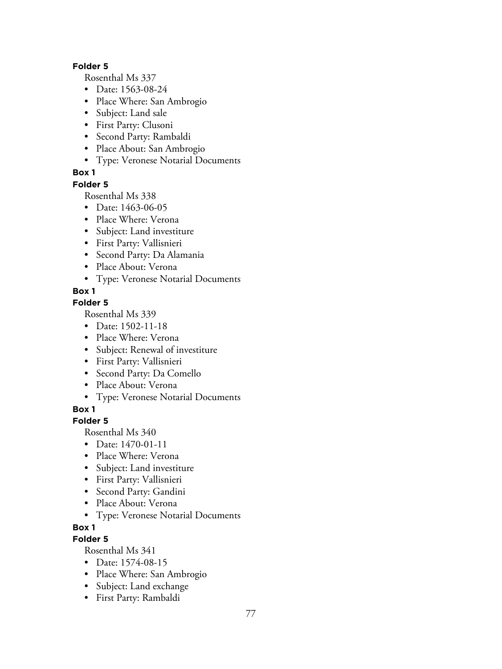#### **Folder 5**

Rosenthal Ms 337

- Date: 1563-08-24
- Place Where: San Ambrogio
- Subject: Land sale
- First Party: Clusoni
- Second Party: Rambaldi
- Place About: San Ambrogio
- Type: Veronese Notarial Documents

# **Box 1**

## **Folder 5**

Rosenthal Ms 338

- Date: 1463-06-05
- Place Where: Verona
- Subject: Land investiture
- First Party: Vallisnieri
- Second Party: Da Alamania
- Place About: Verona
- Type: Veronese Notarial Documents

# **Box 1**

## **Folder 5**

Rosenthal Ms 339

- Date: 1502-11-18
- Place Where: Verona
- Subject: Renewal of investiture
- First Party: Vallisnieri
- Second Party: Da Comello
- Place About: Verona
- Type: Veronese Notarial Documents

**Box 1**

# **Folder 5**

Rosenthal Ms 340

- Date: 1470-01-11
- Place Where: Verona
- Subject: Land investiture
- First Party: Vallisnieri
- Second Party: Gandini
- Place About: Verona
- Type: Veronese Notarial Documents

## **Box 1**

# **Folder 5**

- Date: 1574-08-15
- Place Where: San Ambrogio
- Subject: Land exchange
- First Party: Rambaldi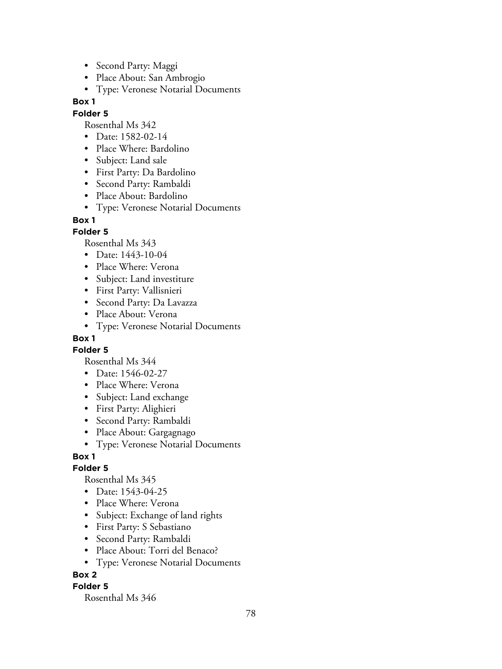- Second Party: Maggi
- Place About: San Ambrogio
- Type: Veronese Notarial Documents

#### **Folder 5**

Rosenthal Ms 342

- Date: 1582-02-14
- Place Where: Bardolino
- Subject: Land sale
- First Party: Da Bardolino
- Second Party: Rambaldi
- Place About: Bardolino
- Type: Veronese Notarial Documents

#### **Box 1**

## **Folder 5**

Rosenthal Ms 343

- Date: 1443-10-04
- Place Where: Verona
- Subject: Land investiture
- First Party: Vallisnieri
- Second Party: Da Lavazza
- Place About: Verona
- Type: Veronese Notarial Documents

# **Box 1**

**Folder 5**

Rosenthal Ms 344

- Date: 1546-02-27
- Place Where: Verona
- Subject: Land exchange
- First Party: Alighieri
- Second Party: Rambaldi
- Place About: Gargagnago
- Type: Veronese Notarial Documents

## **Box 1**

## **Folder 5**

Rosenthal Ms 345

- Date: 1543-04-25
- Place Where: Verona
- Subject: Exchange of land rights
- First Party: S Sebastiano
- Second Party: Rambaldi
- Place About: Torri del Benaco?
- Type: Veronese Notarial Documents

# **Box 2**

## **Folder 5**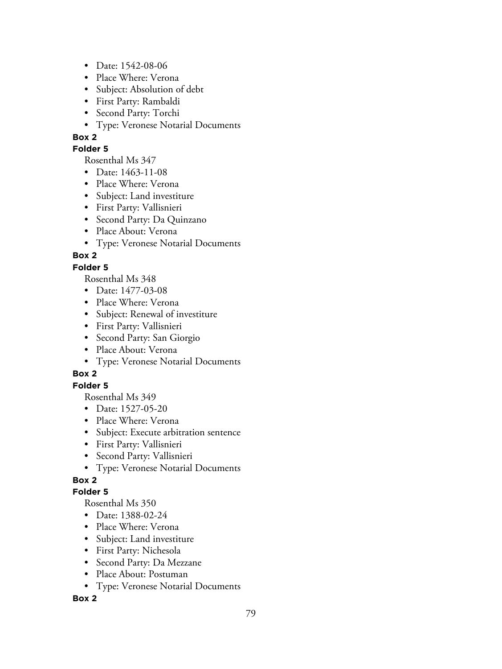- Date: 1542-08-06
- Place Where: Verona
- Subject: Absolution of debt
- First Party: Rambaldi
- Second Party: Torchi
- Type: Veronese Notarial Documents

## **Folder 5**

Rosenthal Ms 347

- Date: 1463-11-08
- Place Where: Verona
- Subject: Land investiture
- First Party: Vallisnieri
- Second Party: Da Quinzano
- Place About: Verona
- Type: Veronese Notarial Documents

# **Box 2**

## **Folder 5**

Rosenthal Ms 348

- Date: 1477-03-08
- Place Where: Verona
- Subject: Renewal of investiture
- First Party: Vallisnieri
- Second Party: San Giorgio
- Place About: Verona
- Type: Veronese Notarial Documents

# **Box 2**

# **Folder 5**

Rosenthal Ms 349

- Date: 1527-05-20
- Place Where: Verona
- Subject: Execute arbitration sentence
- First Party: Vallisnieri
- Second Party: Vallisnieri
- Type: Veronese Notarial Documents

# **Box 2**

## **Folder 5**

Rosenthal Ms 350

- Date: 1388-02-24
- Place Where: Verona
- Subject: Land investiture
- First Party: Nichesola
- Second Party: Da Mezzane
- Place About: Postuman
- Type: Veronese Notarial Documents

## **Box 2**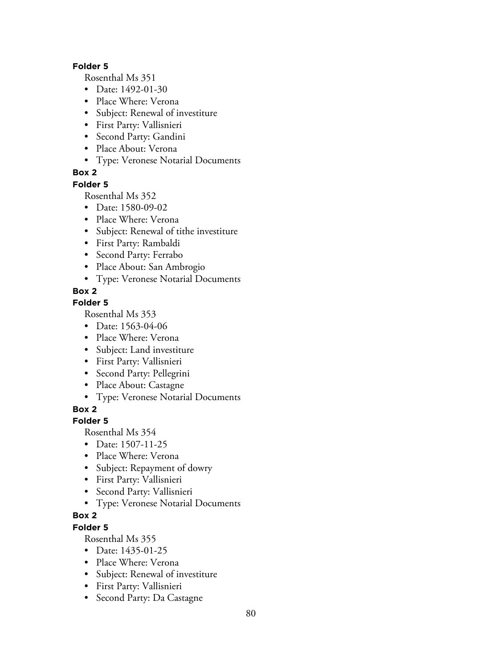#### **Folder 5**

Rosenthal Ms 351

- Date: 1492-01-30
- Place Where: Verona
- Subject: Renewal of investiture
- First Party: Vallisnieri
- Second Party: Gandini
- Place About: Verona
- Type: Veronese Notarial Documents

# **Box 2**

#### **Folder 5**

Rosenthal Ms 352

- Date: 1580-09-02
- Place Where: Verona
- Subject: Renewal of tithe investiture
- First Party: Rambaldi
- Second Party: Ferrabo
- Place About: San Ambrogio
- Type: Veronese Notarial Documents

# **Box 2**

# **Folder 5**

Rosenthal Ms 353

- Date: 1563-04-06
- Place Where: Verona
- Subject: Land investiture
- First Party: Vallisnieri
- Second Party: Pellegrini
- Place About: Castagne
- Type: Veronese Notarial Documents

# **Box 2**

## **Folder 5**

Rosenthal Ms 354

- Date: 1507-11-25
- Place Where: Verona
- Subject: Repayment of dowry
- First Party: Vallisnieri
- Second Party: Vallisnieri
- Type: Veronese Notarial Documents

# **Box 2**

# **Folder 5**

- Date: 1435-01-25
- Place Where: Verona
- Subject: Renewal of investiture
- First Party: Vallisnieri
- Second Party: Da Castagne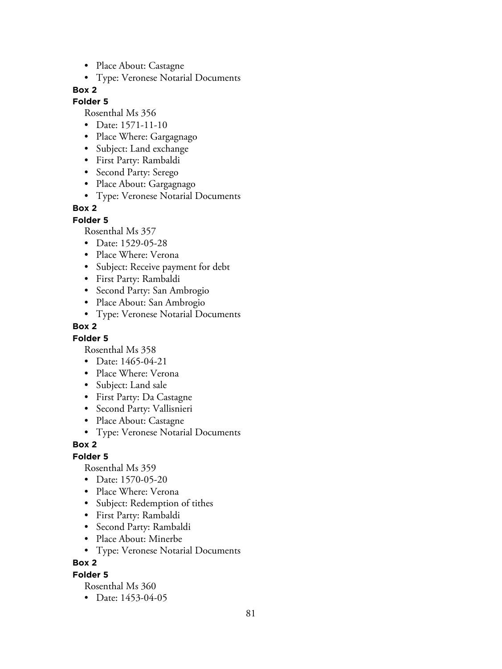- Place About: Castagne
- Type: Veronese Notarial Documents

## **Folder 5**

Rosenthal Ms 356

- Date: 1571-11-10
- Place Where: Gargagnago
- Subject: Land exchange
- First Party: Rambaldi
- Second Party: Serego
- Place About: Gargagnago
- Type: Veronese Notarial Documents

# **Box 2**

**Folder 5**

Rosenthal Ms 357

- Date: 1529-05-28
- Place Where: Verona
- Subject: Receive payment for debt
- First Party: Rambaldi
- Second Party: San Ambrogio
- Place About: San Ambrogio
- Type: Veronese Notarial Documents

## **Box 2**

## **Folder 5**

Rosenthal Ms 358

- Date: 1465-04-21
- Place Where: Verona
- Subject: Land sale
- First Party: Da Castagne
- Second Party: Vallisnieri
- Place About: Castagne
- Type: Veronese Notarial Documents

# **Box 2**

## **Folder 5**

Rosenthal Ms 359

- Date: 1570-05-20
- Place Where: Verona
- Subject: Redemption of tithes
- First Party: Rambaldi
- Second Party: Rambaldi
- Place About: Minerbe
- Type: Veronese Notarial Documents

## **Box 2**

#### **Folder 5**

Rosenthal Ms 360

• Date: 1453-04-05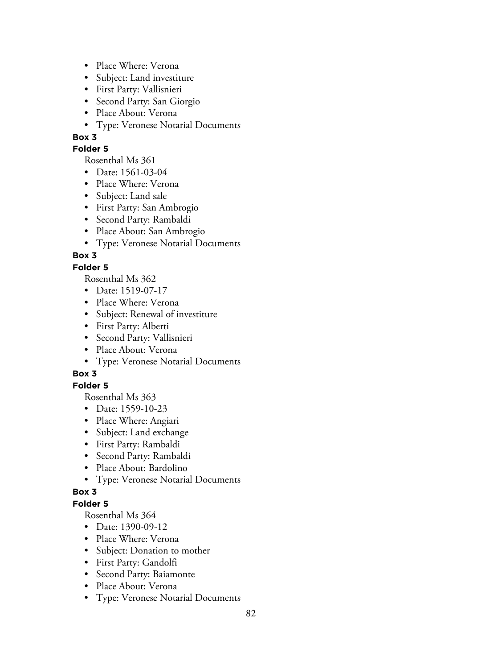- Place Where: Verona
- Subject: Land investiture
- First Party: Vallisnieri
- Second Party: San Giorgio
- Place About: Verona
- Type: Veronese Notarial Documents

## **Folder 5**

Rosenthal Ms 361

- Date: 1561-03-04
- Place Where: Verona
- Subject: Land sale
- First Party: San Ambrogio
- Second Party: Rambaldi
- Place About: San Ambrogio
- Type: Veronese Notarial Documents

# **Box 3**

# **Folder 5**

Rosenthal Ms 362

- Date: 1519-07-17
- Place Where: Verona
- Subject: Renewal of investiture
- First Party: Alberti
- Second Party: Vallisnieri
- Place About: Verona
- Type: Veronese Notarial Documents

# **Box 3**

# **Folder 5**

Rosenthal Ms 363

- Date: 1559-10-23
- Place Where: Angiari
- Subject: Land exchange
- First Party: Rambaldi
- Second Party: Rambaldi
- Place About: Bardolino
- Type: Veronese Notarial Documents

## **Box 3**

## **Folder 5**

- Date: 1390-09-12
- Place Where: Verona
- Subject: Donation to mother
- First Party: Gandolfi
- Second Party: Baiamonte
- Place About: Verona
- Type: Veronese Notarial Documents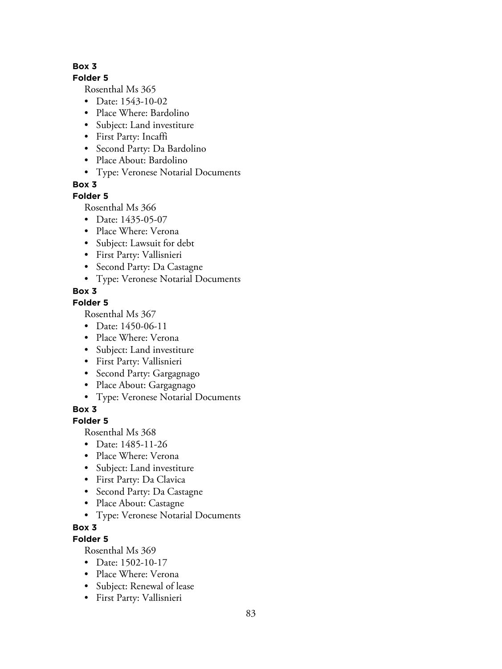#### **Folder 5**

Rosenthal Ms 365

- Date: 1543-10-02
- Place Where: Bardolino
- Subject: Land investiture
- First Party: Incaffi
- Second Party: Da Bardolino
- Place About: Bardolino
- Type: Veronese Notarial Documents

**Box 3**

# **Folder 5**

Rosenthal Ms 366

- Date: 1435-05-07
- Place Where: Verona
- Subject: Lawsuit for debt
- First Party: Vallisnieri
- Second Party: Da Castagne
- Type: Veronese Notarial Documents

# **Box 3**

# **Folder 5**

Rosenthal Ms 367

- Date: 1450-06-11
- Place Where: Verona
- Subject: Land investiture
- First Party: Vallisnieri
- Second Party: Gargagnago
- Place About: Gargagnago
- Type: Veronese Notarial Documents

**Box 3**

# **Folder 5**

Rosenthal Ms 368

- Date: 1485-11-26
- Place Where: Verona
- Subject: Land investiture
- First Party: Da Clavica
- Second Party: Da Castagne
- Place About: Castagne
- Type: Veronese Notarial Documents

# **Box 3**

# **Folder 5**

- Date: 1502-10-17
- Place Where: Verona
- Subject: Renewal of lease
- First Party: Vallisnieri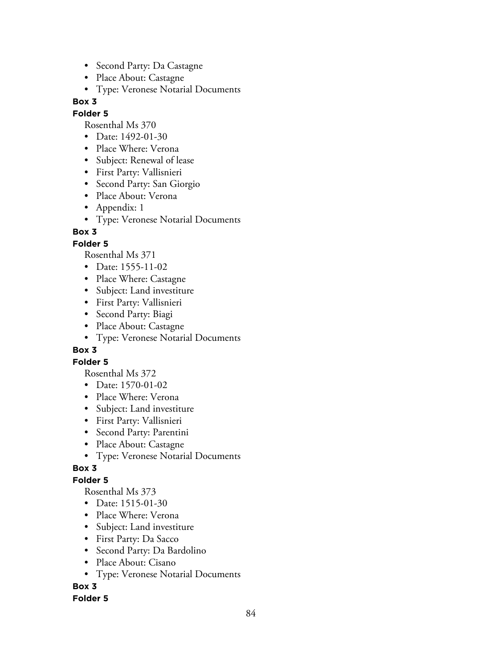- Second Party: Da Castagne
- Place About: Castagne
- Type: Veronese Notarial Documents

#### **Folder 5**

Rosenthal Ms 370

- Date: 1492-01-30
- Place Where: Verona
- Subject: Renewal of lease
- First Party: Vallisnieri
- Second Party: San Giorgio
- Place About: Verona
- Appendix: 1
- Type: Veronese Notarial Documents

# **Box 3**

# **Folder 5**

Rosenthal Ms 371

- Date: 1555-11-02
- Place Where: Castagne
- Subject: Land investiture
- First Party: Vallisnieri
- Second Party: Biagi
- Place About: Castagne
- Type: Veronese Notarial Documents

## **Box 3**

## **Folder 5**

Rosenthal Ms 372

- Date: 1570-01-02
- Place Where: Verona
- Subject: Land investiture
- First Party: Vallisnieri
- Second Party: Parentini
- Place About: Castagne
- Type: Veronese Notarial Documents

# **Box 3**

# **Folder 5**

Rosenthal Ms 373

- Date: 1515-01-30
- Place Where: Verona
- Subject: Land investiture
- First Party: Da Sacco
- Second Party: Da Bardolino
- Place About: Cisano
- Type: Veronese Notarial Documents

# **Box 3**

## **Folder 5**

84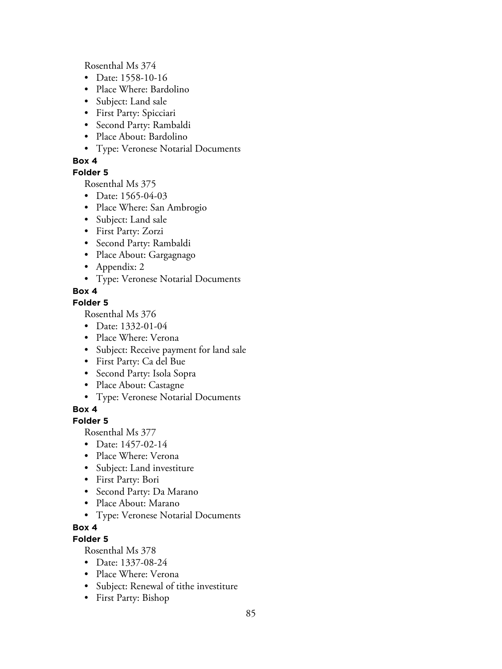Rosenthal Ms 374

- Date: 1558-10-16
- Place Where: Bardolino
- Subject: Land sale
- First Party: Spicciari
- Second Party: Rambaldi
- Place About: Bardolino
- Type: Veronese Notarial Documents

## **Box 4**

## **Folder 5**

Rosenthal Ms 375

- Date: 1565-04-03
- Place Where: San Ambrogio
- Subject: Land sale
- First Party: Zorzi
- Second Party: Rambaldi
- Place About: Gargagnago
- Appendix: 2
- Type: Veronese Notarial Documents

# **Box 4**

## **Folder 5**

Rosenthal Ms 376

- Date: 1332-01-04
- Place Where: Verona
- Subject: Receive payment for land sale
- First Party: Ca del Bue
- Second Party: Isola Sopra
- Place About: Castagne
- Type: Veronese Notarial Documents

# **Box 4**

## **Folder 5**

Rosenthal Ms 377

- Date: 1457-02-14
- Place Where: Verona
- Subject: Land investiture
- First Party: Bori
- Second Party: Da Marano
- Place About: Marano
- Type: Veronese Notarial Documents

## **Box 4**

## **Folder 5**

- Date: 1337-08-24
- Place Where: Verona
- Subject: Renewal of tithe investiture
- First Party: Bishop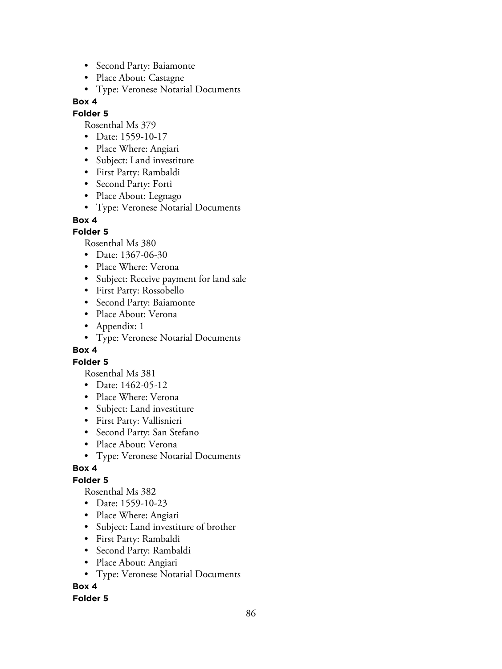- Second Party: Baiamonte
- Place About: Castagne
- Type: Veronese Notarial Documents

## **Folder 5**

Rosenthal Ms 379

- Date: 1559-10-17
- Place Where: Angiari
- Subject: Land investiture
- First Party: Rambaldi
- Second Party: Forti
- Place About: Legnago
- Type: Veronese Notarial Documents

# **Box 4**

# **Folder 5**

Rosenthal Ms 380

- Date: 1367-06-30
- Place Where: Verona
- Subject: Receive payment for land sale
- First Party: Rossobello
- Second Party: Baiamonte
- Place About: Verona
- Appendix: 1
- Type: Veronese Notarial Documents

## **Box 4**

## **Folder 5**

Rosenthal Ms 381

- Date: 1462-05-12
- Place Where: Verona
- Subject: Land investiture
- First Party: Vallisnieri
- Second Party: San Stefano
- Place About: Verona
- Type: Veronese Notarial Documents

## **Box 4**

# **Folder 5**

Rosenthal Ms 382

- Date: 1559-10-23
- Place Where: Angiari
- Subject: Land investiture of brother
- First Party: Rambaldi
- Second Party: Rambaldi
- Place About: Angiari
- Type: Veronese Notarial Documents

# **Box 4**

## **Folder 5**

86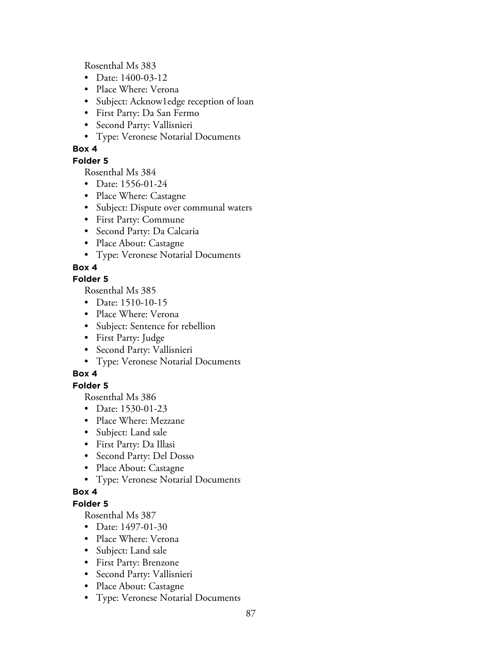Rosenthal Ms 383

- Date: 1400-03-12
- Place Where: Verona
- Subject: Acknow1edge reception of loan
- First Party: Da San Fermo
- Second Party: Vallisnieri
- Type: Veronese Notarial Documents

# **Box 4**

## **Folder 5**

Rosenthal Ms 384

- Date: 1556-01-24
- Place Where: Castagne
- Subject: Dispute over communal waters
- First Party: Commune
- Second Party: Da Calcaria
- Place About: Castagne
- Type: Veronese Notarial Documents

# **Box 4**

## **Folder 5**

Rosenthal Ms 385

- Date: 1510-10-15
- Place Where: Verona
- Subject: Sentence for rebellion
- First Party: Judge
- Second Party: Vallisnieri
- Type: Veronese Notarial Documents

# **Box 4**

# **Folder 5**

Rosenthal Ms 386

- Date: 1530-01-23
- Place Where: Mezzane
- Subject: Land sale
- First Party: Da Illasi
- Second Party: Del Dosso
- Place About: Castagne
- Type: Veronese Notarial Documents

## **Box 4**

## **Folder 5**

- Date: 1497-01-30
- Place Where: Verona
- Subject: Land sale
- First Party: Brenzone
- Second Party: Vallisnieri
- Place About: Castagne
- Type: Veronese Notarial Documents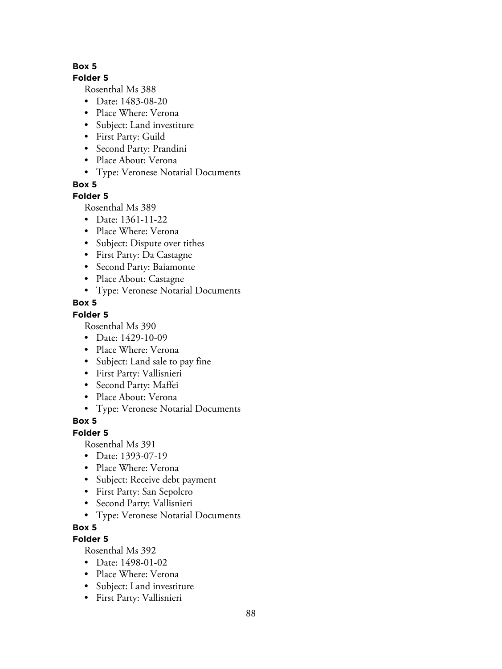## **Folder 5**

Rosenthal Ms 388

- Date: 1483-08-20
- Place Where: Verona
- Subject: Land investiture
- First Party: Guild
- Second Party: Prandini
- Place About: Verona
- Type: Veronese Notarial Documents

**Box 5**

## **Folder 5**

Rosenthal Ms 389

- Date: 1361-11-22
- Place Where: Verona
- Subject: Dispute over tithes
- First Party: Da Castagne
- Second Party: Baiamonte
- Place About: Castagne
- Type: Veronese Notarial Documents

## **Box 5**

#### **Folder 5**

Rosenthal Ms 390

- Date: 1429-10-09
- Place Where: Verona
- Subject: Land sale to pay fine
- First Party: Vallisnieri
- Second Party: Maffei
- Place About: Verona
- Type: Veronese Notarial Documents

# **Box 5**

## **Folder 5**

Rosenthal Ms 391

- Date: 1393-07-19
- Place Where: Verona
- Subject: Receive debt payment
- First Party: San Sepolcro
- Second Party: Vallisnieri
- Type: Veronese Notarial Documents

## **Box 5**

## **Folder 5**

- Date: 1498-01-02
- Place Where: Verona
- Subject: Land investiture
- First Party: Vallisnieri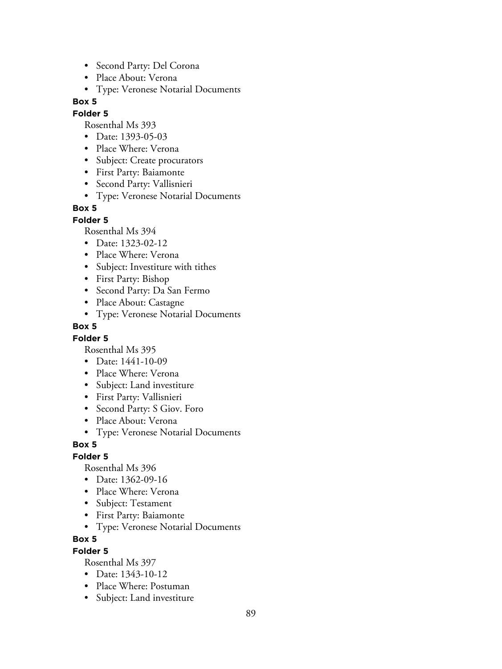- Second Party: Del Corona
- Place About: Verona
- Type: Veronese Notarial Documents

#### **Folder 5**

Rosenthal Ms 393

- Date: 1393-05-03
- Place Where: Verona
- Subject: Create procurators
- First Party: Baiamonte
- Second Party: Vallisnieri
- Type: Veronese Notarial Documents

#### **Box 5**

#### **Folder 5**

Rosenthal Ms 394

- Date: 1323-02-12
- Place Where: Verona
- Subject: Investiture with tithes
- First Party: Bishop
- Second Party: Da San Fermo
- Place About: Castagne
- Type: Veronese Notarial Documents

#### **Box 5**

#### **Folder 5**

Rosenthal Ms 395

- Date: 1441-10-09
- Place Where: Verona
- Subject: Land investiture
- First Party: Vallisnieri
- Second Party: S Giov. Foro
- Place About: Verona
- Type: Veronese Notarial Documents

#### **Box 5**

#### **Folder 5**

Rosenthal Ms 396

- Date: 1362-09-16
- Place Where: Verona
- Subject: Testament
- First Party: Baiamonte
- Type: Veronese Notarial Documents

#### **Box 5**

#### **Folder 5**

- Date: 1343-10-12
- Place Where: Postuman
- Subject: Land investiture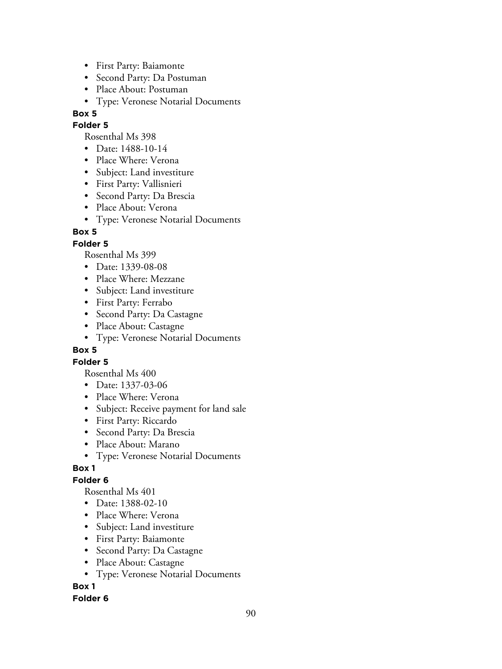- First Party: Baiamonte
- Second Party: Da Postuman
- Place About: Postuman
- Type: Veronese Notarial Documents

## **Folder 5**

Rosenthal Ms 398

- Date: 1488-10-14
- Place Where: Verona
- Subject: Land investiture
- First Party: Vallisnieri
- Second Party: Da Brescia
- Place About: Verona
- Type: Veronese Notarial Documents

# **Box 5**

# **Folder 5**

Rosenthal Ms 399

- Date: 1339-08-08
- Place Where: Mezzane
- Subject: Land investiture
- First Party: Ferrabo
- Second Party: Da Castagne
- Place About: Castagne
- Type: Veronese Notarial Documents

# **Box 5**

# **Folder 5**

Rosenthal Ms 400

- Date: 1337-03-06
- Place Where: Verona
- Subject: Receive payment for land sale
- First Party: Riccardo
- Second Party: Da Brescia
- Place About: Marano
- Type: Veronese Notarial Documents

# **Box 1**

# **Folder 6**

Rosenthal Ms 401

- Date: 1388-02-10
- Place Where: Verona
- Subject: Land investiture
- First Party: Baiamonte
- Second Party: Da Castagne
- Place About: Castagne
- Type: Veronese Notarial Documents

# **Box 1**

## **Folder 6**

90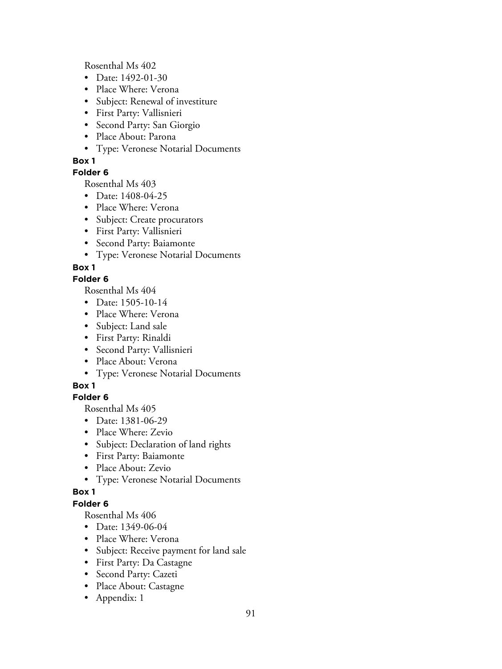Rosenthal Ms 402

- Date: 1492-01-30
- Place Where: Verona
- Subject: Renewal of investiture
- First Party: Vallisnieri
- Second Party: San Giorgio
- Place About: Parona
- Type: Veronese Notarial Documents

# **Box 1**

# **Folder 6**

Rosenthal Ms 403

- Date: 1408-04-25
- Place Where: Verona
- Subject: Create procurators
- First Party: Vallisnieri
- Second Party: Baiamonte
- Type: Veronese Notarial Documents

# **Box 1**

# **Folder 6**

Rosenthal Ms 404

- Date: 1505-10-14
- Place Where: Verona
- Subject: Land sale
- First Party: Rinaldi
- Second Party: Vallisnieri
- Place About: Verona
- Type: Veronese Notarial Documents

# **Box 1**

# **Folder 6**

Rosenthal Ms 405

- Date: 1381-06-29
- Place Where: Zevio
- Subject: Declaration of land rights
- First Party: Baiamonte
- Place About: Zevio
- Type: Veronese Notarial Documents

# **Box 1**

# **Folder 6**

- Date: 1349-06-04
- Place Where: Verona
- Subject: Receive payment for land sale
- First Party: Da Castagne
- Second Party: Cazeti
- Place About: Castagne
- Appendix: 1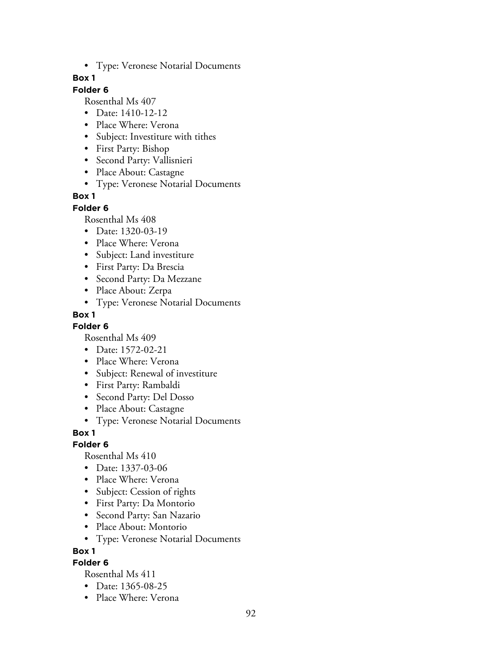• Type: Veronese Notarial Documents

## **Box 1**

# **Folder 6**

Rosenthal Ms 407

- Date: 1410-12-12
- Place Where: Verona
- Subject: Investiture with tithes
- First Party: Bishop
- Second Party: Vallisnieri
- Place About: Castagne
- Type: Veronese Notarial Documents

# **Box 1**

## **Folder 6**

Rosenthal Ms 408

- Date: 1320-03-19
- Place Where: Verona
- Subject: Land investiture
- First Party: Da Brescia
- Second Party: Da Mezzane
- Place About: Zerpa
- Type: Veronese Notarial Documents

# **Box 1**

**Folder 6**

Rosenthal Ms 409

- Date: 1572-02-21
- Place Where: Verona
- Subject: Renewal of investiture
- First Party: Rambaldi
- Second Party: Del Dosso
- Place About: Castagne
- Type: Veronese Notarial Documents

## **Box 1**

## **Folder 6**

Rosenthal Ms 410

- Date: 1337-03-06
- Place Where: Verona
- Subject: Cession of rights
- First Party: Da Montorio
- Second Party: San Nazario
- Place About: Montorio
- Type: Veronese Notarial Documents

**Box 1**

# **Folder 6**

- Date: 1365-08-25
- Place Where: Verona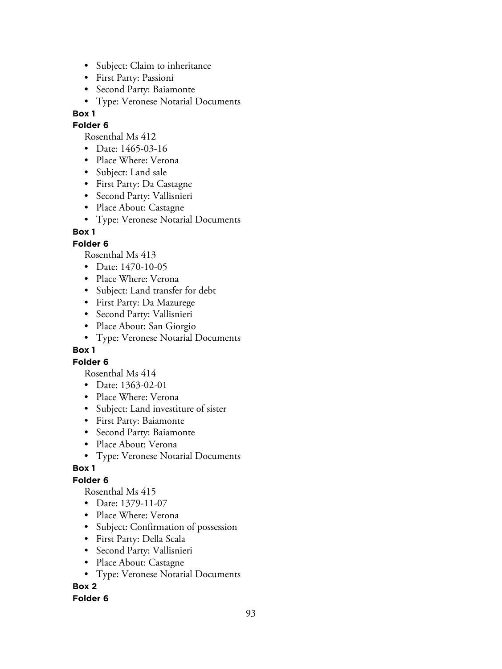- Subject: Claim to inheritance
- First Party: Passioni
- Second Party: Baiamonte
- Type: Veronese Notarial Documents

## **Folder 6**

Rosenthal Ms 412

- Date: 1465-03-16
- Place Where: Verona
- Subject: Land sale
- First Party: Da Castagne
- Second Party: Vallisnieri
- Place About: Castagne
- Type: Veronese Notarial Documents

# **Box 1**

# **Folder 6**

Rosenthal Ms 413

- Date: 1470-10-05
- Place Where: Verona
- Subject: Land transfer for debt
- First Party: Da Mazurege
- Second Party: Vallisnieri
- Place About: San Giorgio
- Type: Veronese Notarial Documents

# **Box 1**

# **Folder 6**

Rosenthal Ms 414

- Date: 1363-02-01
- Place Where: Verona
- Subject: Land investiture of sister
- First Party: Baiamonte
- Second Party: Baiamonte
- Place About: Verona
- Type: Veronese Notarial Documents

# **Box 1**

# **Folder 6**

Rosenthal Ms 415

- Date: 1379-11-07
- Place Where: Verona
- Subject: Confirmation of possession
- First Party: Della Scala
- Second Party: Vallisnieri
- Place About: Castagne
- Type: Veronese Notarial Documents

# **Box 2**

# **Folder 6**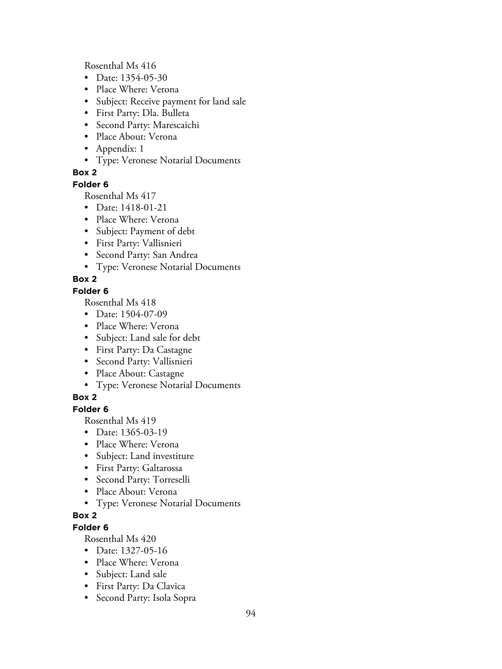Rosenthal Ms 416

- Date: 1354-05-30
- Place Where: Verona
- Subject: Receive payment for land sale
- First Party: Dla. Bulleta
- Second Party: Marescaichi
- Place About: Verona
- Appendix: 1
- Type: Veronese Notarial Documents

# **Box 2**

#### **Folder 6**

Rosenthal Ms 417

- Date: 1418-01-21
- Place Where: Verona
- Subject: Payment of debt
- First Party: Vallisnieri
- Second Party: San Andrea
- Type: Veronese Notarial Documents

# **Box 2**

## **Folder 6**

Rosenthal Ms 418

- Date: 1504-07-09
- Place Where: Verona
- Subject: Land sale for debt
- First Party: Da Castagne
- Second Party: Vallisnieri
- Place About: Castagne
- Type: Veronese Notarial Documents

# **Box 2**

# **Folder 6**

Rosenthal Ms 419

- Date: 1365-03-19
- Place Where: Verona
- Subject: Land investiture
- First Party: Galtarossa
- Second Party: Torreselli
- Place About: Verona
- Type: Veronese Notarial Documents

# **Box 2**

# **Folder 6**

- Date: 1327-05-16
- Place Where: Verona
- Subject: Land sale
- First Party: Da Clavica
- Second Party: Isola Sopra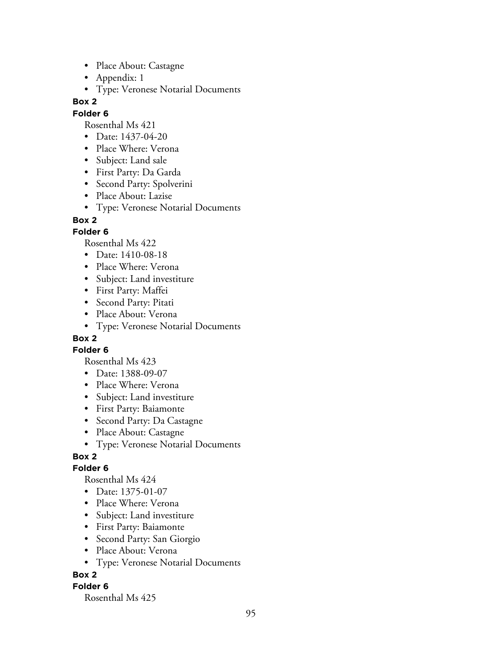- Place About: Castagne
- Appendix: 1
- Type: Veronese Notarial Documents

#### **Folder 6**

Rosenthal Ms 421

- Date: 1437-04-20
- Place Where: Verona
- Subject: Land sale
- First Party: Da Garda
- Second Party: Spolverini
- Place About: Lazise
- Type: Veronese Notarial Documents

#### **Box 2**

#### **Folder 6**

Rosenthal Ms 422

- Date: 1410-08-18
- Place Where: Verona
- Subject: Land investiture
- First Party: Maffei
- Second Party: Pitati
- Place About: Verona
- Type: Veronese Notarial Documents

# **Box 2**

**Folder 6**

Rosenthal Ms 423

- Date: 1388-09-07
- Place Where: Verona
- Subject: Land investiture
- First Party: Baiamonte
- Second Party: Da Castagne
- Place About: Castagne
- Type: Veronese Notarial Documents

#### **Box 2**

#### **Folder 6**

Rosenthal Ms 424

- Date: 1375-01-07
- Place Where: Verona
- Subject: Land investiture
- First Party: Baiamonte
- Second Party: San Giorgio
- Place About: Verona
- Type: Veronese Notarial Documents

## **Box 2**

#### **Folder 6**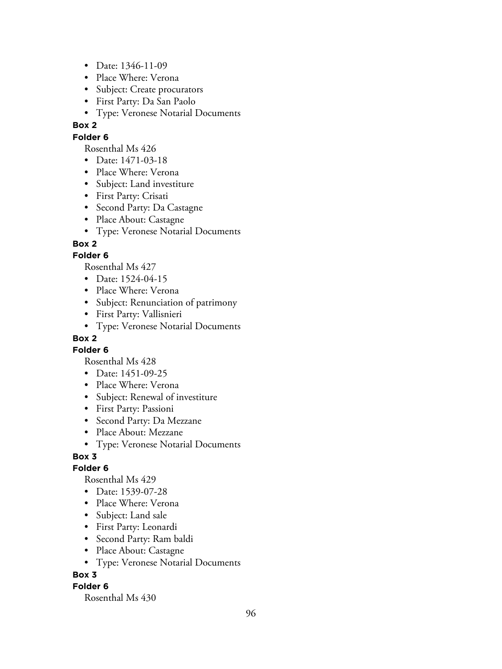- Date: 1346-11-09
- Place Where: Verona
- Subject: Create procurators
- First Party: Da San Paolo
- Type: Veronese Notarial Documents

## **Folder 6**

Rosenthal Ms 426

- Date: 1471-03-18
- Place Where: Verona
- Subject: Land investiture
- First Party: Crisati
- Second Party: Da Castagne
- Place About: Castagne
- Type: Veronese Notarial Documents

## **Box 2**

#### **Folder 6**

Rosenthal Ms 427

- Date: 1524-04-15
- Place Where: Verona
- Subject: Renunciation of patrimony
- First Party: Vallisnieri
- Type: Veronese Notarial Documents

# **Box 2**

**Folder 6**

Rosenthal Ms 428

- Date: 1451-09-25
- Place Where: Verona
- Subject: Renewal of investiture
- First Party: Passioni
- Second Party: Da Mezzane
- Place About: Mezzane
- Type: Veronese Notarial Documents

## **Box 3**

#### **Folder 6**

Rosenthal Ms 429

- Date: 1539-07-28
- Place Where: Verona
- Subject: Land sale
- First Party: Leonardi
- Second Party: Ram baldi
- Place About: Castagne
- Type: Veronese Notarial Documents

## **Box 3**

#### **Folder 6**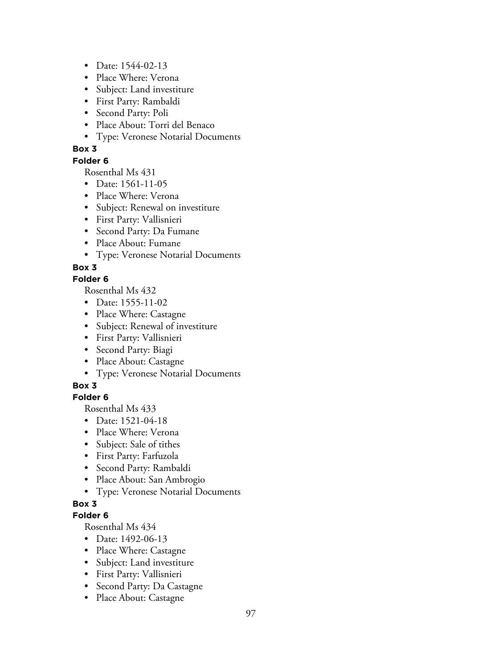- Date: 1544-02-13
- Place Where: Verona
- Subject: Land investiture
- First Party: Rambaldi
- Second Party: Poli
- Place About: Torri del Benaco
- Type: Veronese Notarial Documents

#### **Folder 6**

Rosenthal Ms 431

- Date: 1561-11-05
- Place Where: Verona
- Subject: Renewal on investiture
- First Party: Vallisnieri
- Second Party: Da Fumane
- Place About: Fumane
- Type: Veronese Notarial Documents

## **Box 3**

## **Folder 6**

Rosenthal Ms 432

- Date: 1555-11-02
- Place Where: Castagne
- Subject: Renewal of investiture
- First Party: Vallisnieri
- Second Party: Biagi
- Place About: Castagne
- Type: Veronese Notarial Documents

## **Box 3**

#### **Folder 6**

Rosenthal Ms 433

- Date: 1521-04-18
- Place Where: Verona
- Subject: Sale of tithes
- First Party: Farfuzola
- Second Party: Rambaldi
- Place About: San Ambrogio
- Type: Veronese Notarial Documents

## **Box 3**

#### **Folder 6**

- Date: 1492-06-13
- Place Where: Castagne
- Subject: Land investiture
- First Party: Vallisnieri
- Second Party: Da Castagne
- Place About: Castagne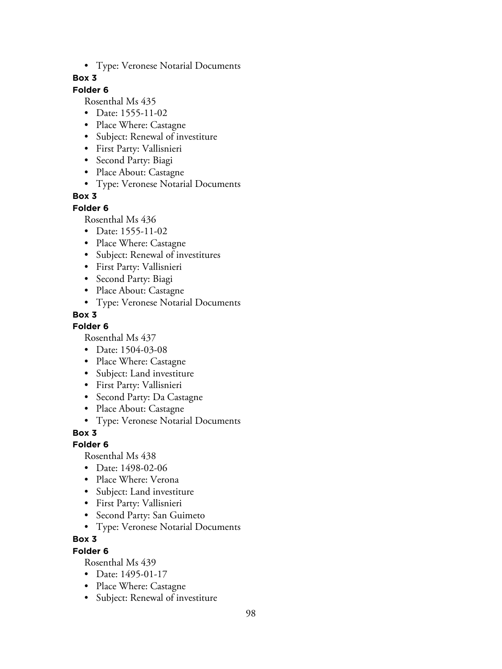• Type: Veronese Notarial Documents

## **Box 3**

# **Folder 6**

Rosenthal Ms 435

- Date: 1555-11-02
- Place Where: Castagne
- Subject: Renewal of investiture
- First Party: Vallisnieri
- Second Party: Biagi
- Place About: Castagne
- Type: Veronese Notarial Documents

# **Box 3**

#### **Folder 6**

Rosenthal Ms 436

- Date: 1555-11-02
- Place Where: Castagne
- Subject: Renewal of investitures
- First Party: Vallisnieri
- Second Party: Biagi
- Place About: Castagne
- Type: Veronese Notarial Documents

# **Box 3**

## **Folder 6**

Rosenthal Ms 437

- Date: 1504-03-08
- Place Where: Castagne
- Subject: Land investiture
- First Party: Vallisnieri
- Second Party: Da Castagne
- Place About: Castagne
- Type: Veronese Notarial Documents

## **Box 3**

## **Folder 6**

Rosenthal Ms 438

- Date: 1498-02-06
- Place Where: Verona
- Subject: Land investiture
- First Party: Vallisnieri
- Second Party: San Guimeto
- Type: Veronese Notarial Documents

## **Box 3**

## **Folder 6**

- Date: 1495-01-17
- Place Where: Castagne
- Subject: Renewal of investiture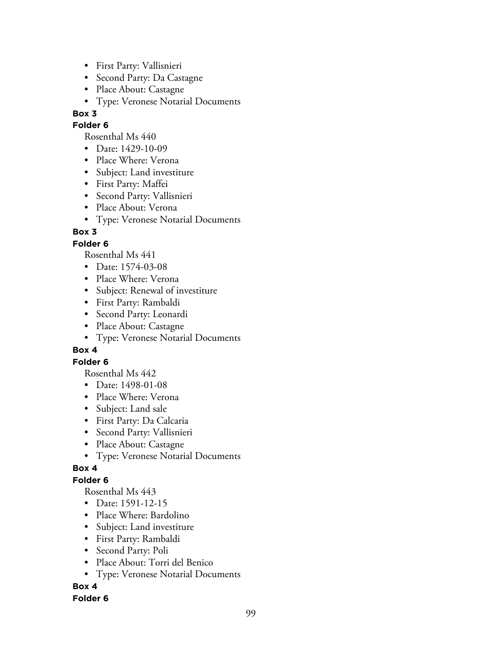- First Party: Vallisnieri
- Second Party: Da Castagne
- Place About: Castagne
- Type: Veronese Notarial Documents

## **Folder 6**

Rosenthal Ms 440

- Date: 1429-10-09
- Place Where: Verona
- Subject: Land investiture
- First Party: Maffei
- Second Party: Vallisnieri
- Place About: Verona
- Type: Veronese Notarial Documents

# **Box 3**

# **Folder 6**

Rosenthal Ms 441

- Date: 1574-03-08
- Place Where: Verona
- Subject: Renewal of investiture
- First Party: Rambaldi
- Second Party: Leonardi
- Place About: Castagne
- Type: Veronese Notarial Documents

## **Box 4**

## **Folder 6**

Rosenthal Ms 442

- Date: 1498-01-08
- Place Where: Verona
- Subject: Land sale
- First Party: Da Calcaria
- Second Party: Vallisnieri
- Place About: Castagne
- Type: Veronese Notarial Documents

# **Box 4**

# **Folder 6**

Rosenthal Ms 443

- Date: 1591-12-15
- Place Where: Bardolino
- Subject: Land investiture
- First Party: Rambaldi
- Second Party: Poli
- Place About: Torri del Benico
- Type: Veronese Notarial Documents

# **Box 4**

## **Folder 6**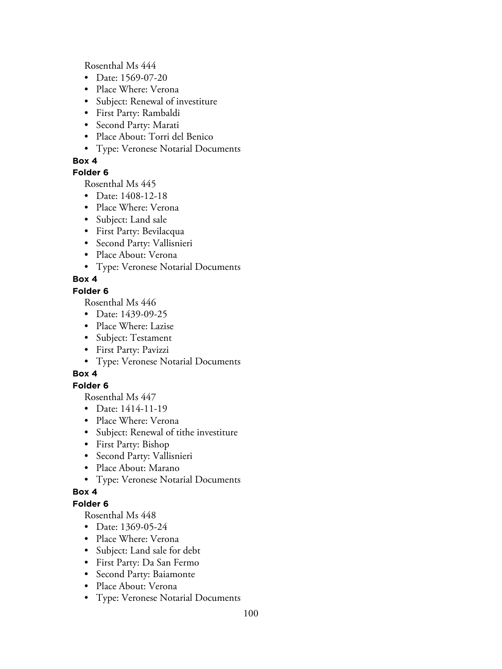Rosenthal Ms 444

- Date: 1569-07-20
- Place Where: Verona
- Subject: Renewal of investiture
- First Party: Rambaldi
- Second Party: Marati
- Place About: Torri del Benico
- Type: Veronese Notarial Documents

## **Box 4**

## **Folder 6**

Rosenthal Ms 445

- Date: 1408-12-18
- Place Where: Verona
- Subject: Land sale
- First Party: Bevilacqua
- Second Party: Vallisnieri
- Place About: Verona
- Type: Veronese Notarial Documents

# **Box 4**

## **Folder 6**

Rosenthal Ms 446

- Date: 1439-09-25
- Place Where: Lazise
- Subject: Testament
- First Party: Pavizzi
- Type: Veronese Notarial Documents

# **Box 4**

## **Folder 6**

Rosenthal Ms 447

- Date: 1414-11-19
- Place Where: Verona
- Subject: Renewal of tithe investiture
- First Party: Bishop
- Second Party: Vallisnieri
- Place About: Marano
- Type: Veronese Notarial Documents

## **Box 4**

## **Folder 6**

- Date: 1369-05-24
- Place Where: Verona
- Subject: Land sale for debt
- First Party: Da San Fermo
- Second Party: Baiamonte
- Place About: Verona
- Type: Veronese Notarial Documents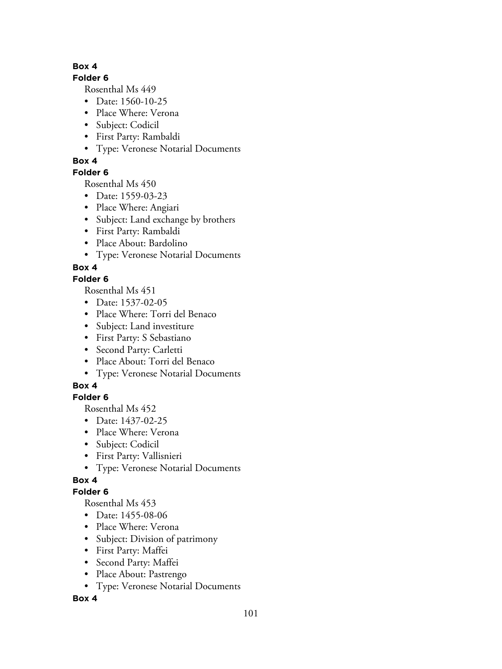# **Folder 6**

Rosenthal Ms 449

- Date: 1560-10-25
- Place Where: Verona
- Subject: Codicil
- First Party: Rambaldi
- Type: Veronese Notarial Documents

# **Box 4**

# **Folder 6**

Rosenthal Ms 450

- Date: 1559-03-23
- Place Where: Angiari
- Subject: Land exchange by brothers
- First Party: Rambaldi
- Place About: Bardolino
- Type: Veronese Notarial Documents

# **Box 4**

# **Folder 6**

Rosenthal Ms 451

- Date: 1537-02-05
- Place Where: Torri del Benaco
- Subject: Land investiture
- First Party: S Sebastiano
- Second Party: Carletti
- Place About: Torri del Benaco
- Type: Veronese Notarial Documents

# **Box 4**

# **Folder 6**

Rosenthal Ms 452

- Date: 1437-02-25
- Place Where: Verona
- Subject: Codicil
- First Party: Vallisnieri
- Type: Veronese Notarial Documents

# **Box 4**

# **Folder 6**

Rosenthal Ms 453

- Date: 1455-08-06
- Place Where: Verona
- Subject: Division of patrimony
- First Party: Maffei
- Second Party: Maffei
- Place About: Pastrengo
- Type: Veronese Notarial Documents

# **Box 4**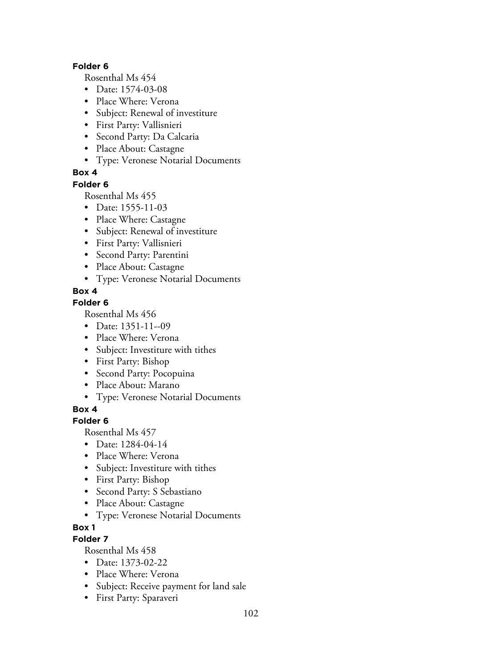#### **Folder 6**

Rosenthal Ms 454

- Date: 1574-03-08
- Place Where: Verona
- Subject: Renewal of investiture
- First Party: Vallisnieri
- Second Party: Da Calcaria
- Place About: Castagne
- Type: Veronese Notarial Documents

# **Box 4**

**Folder 6**

Rosenthal Ms 455

- Date: 1555-11-03
- Place Where: Castagne
- Subject: Renewal of investiture
- First Party: Vallisnieri
- Second Party: Parentini
- Place About: Castagne
- Type: Veronese Notarial Documents

# **Box 4**

## **Folder 6**

Rosenthal Ms 456

- Date: 1351-11--09
- Place Where: Verona
- Subject: Investiture with tithes
- First Party: Bishop
- Second Party: Pocopuina
- Place About: Marano
- Type: Veronese Notarial Documents

**Box 4**

# **Folder 6**

Rosenthal Ms 457

- Date: 1284-04-14
- Place Where: Verona
- Subject: Investiture with tithes
- First Party: Bishop
- Second Party: S Sebastiano
- Place About: Castagne
- Type: Veronese Notarial Documents

## **Box 1**

# **Folder 7**

- Date: 1373-02-22
- Place Where: Verona
- Subject: Receive payment for land sale
- First Party: Sparaveri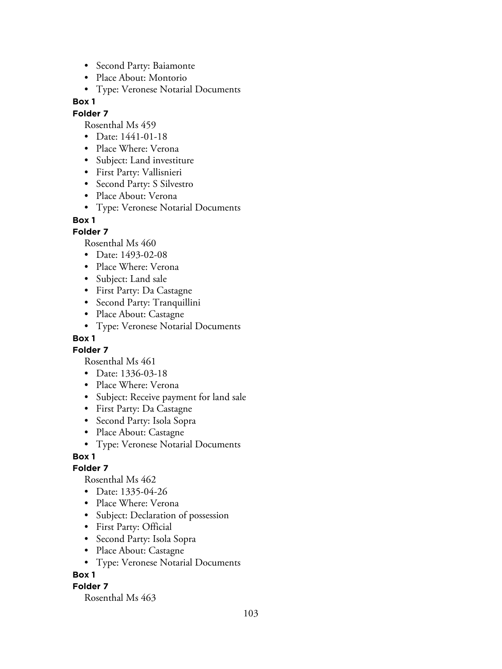- Second Party: Baiamonte
- Place About: Montorio
- Type: Veronese Notarial Documents

#### **Folder 7**

Rosenthal Ms 459

- Date: 1441-01-18
- Place Where: Verona
- Subject: Land investiture
- First Party: Vallisnieri
- Second Party: S Silvestro
- Place About: Verona
- Type: Veronese Notarial Documents

#### **Box 1**

## **Folder 7**

Rosenthal Ms 460

- Date: 1493-02-08
- Place Where: Verona
- Subject: Land sale
- First Party: Da Castagne
- Second Party: Tranquillini
- Place About: Castagne
- Type: Veronese Notarial Documents

# **Box 1**

**Folder 7**

Rosenthal Ms 461

- Date: 1336-03-18
- Place Where: Verona
- Subject: Receive payment for land sale
- First Party: Da Castagne
- Second Party: Isola Sopra
- Place About: Castagne
- Type: Veronese Notarial Documents

## **Box 1**

## **Folder 7**

Rosenthal Ms 462

- Date: 1335-04-26
- Place Where: Verona
- Subject: Declaration of possession
- First Party: Official
- Second Party: Isola Sopra
- Place About: Castagne
- Type: Veronese Notarial Documents

## **Box 1**

## **Folder 7**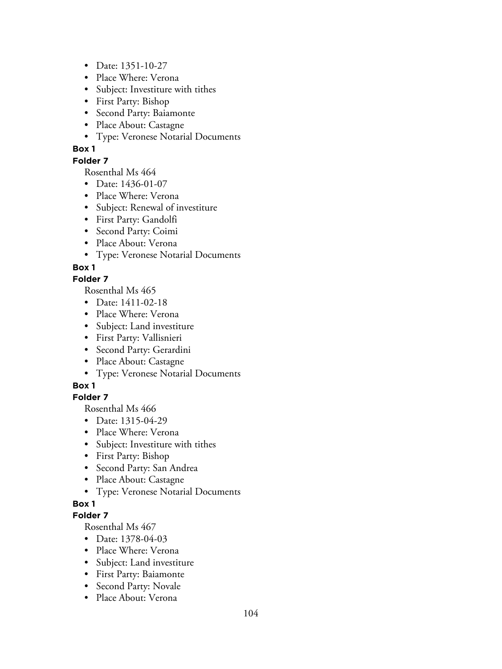- Date: 1351-10-27
- Place Where: Verona
- Subject: Investiture with tithes
- First Party: Bishop
- Second Party: Baiamonte
- Place About: Castagne
- Type: Veronese Notarial Documents

## **Folder 7**

Rosenthal Ms 464

- Date: 1436-01-07
- Place Where: Verona
- Subject: Renewal of investiture
- First Party: Gandolfi
- Second Party: Coimi
- Place About: Verona
- Type: Veronese Notarial Documents

# **Box 1**

# **Folder 7**

Rosenthal Ms 465

- Date: 1411-02-18
- Place Where: Verona
- Subject: Land investiture
- First Party: Vallisnieri
- Second Party: Gerardini
- Place About: Castagne
- Type: Veronese Notarial Documents

# **Box 1**

# **Folder 7**

Rosenthal Ms 466

- Date: 1315-04-29
- Place Where: Verona
- Subject: Investiture with tithes
- First Party: Bishop
- Second Party: San Andrea
- Place About: Castagne
- Type: Veronese Notarial Documents

# **Box 1**

## **Folder 7**

- Date: 1378-04-03
- Place Where: Verona
- Subject: Land investiture
- First Party: Baiamonte
- Second Party: Novale
- Place About: Verona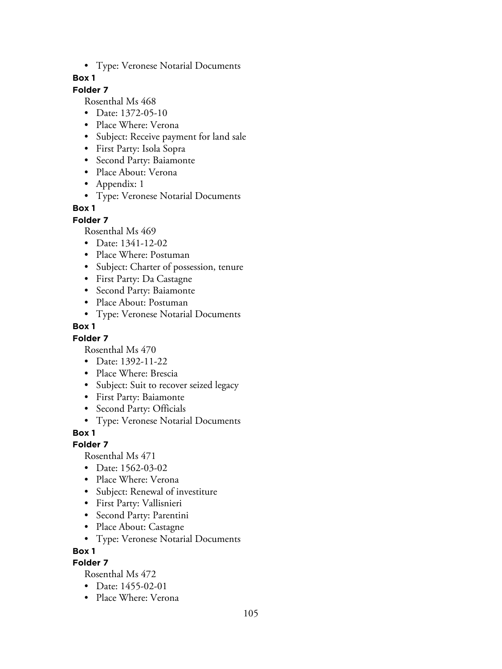• Type: Veronese Notarial Documents

## **Box 1**

# **Folder 7**

Rosenthal Ms 468

- Date: 1372-05-10
- Place Where: Verona
- Subject: Receive payment for land sale
- First Party: Isola Sopra
- Second Party: Baiamonte
- Place About: Verona
- Appendix: 1
- Type: Veronese Notarial Documents

#### **Box 1**

**Folder 7**

Rosenthal Ms 469

- Date: 1341-12-02
- Place Where: Postuman
- Subject: Charter of possession, tenure
- First Party: Da Castagne
- Second Party: Baiamonte
- Place About: Postuman
- Type: Veronese Notarial Documents

#### **Box 1**

## **Folder 7**

Rosenthal Ms 470

- Date: 1392-11-22
- Place Where: Brescia
- Subject: Suit to recover seized legacy
- First Party: Baiamonte
- Second Party: Officials
- Type: Veronese Notarial Documents

## **Box 1**

## **Folder 7**

Rosenthal Ms 471

- Date: 1562-03-02
- Place Where: Verona
- Subject: Renewal of investiture
- First Party: Vallisnieri
- Second Party: Parentini
- Place About: Castagne
- Type: Veronese Notarial Documents

**Box 1**

# **Folder 7**

- Date: 1455-02-01
- Place Where: Verona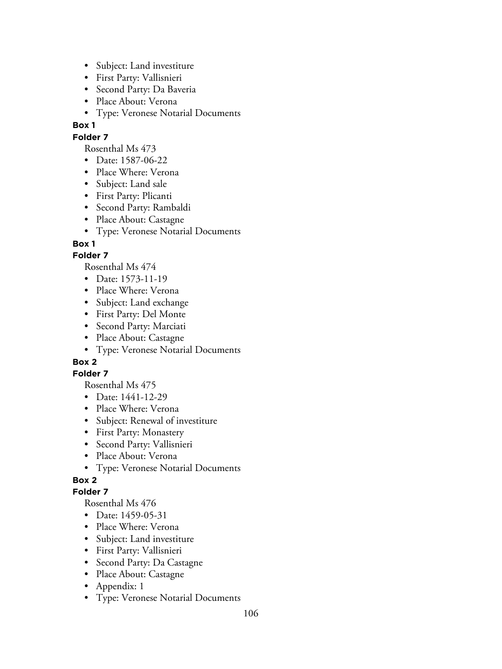- Subject: Land investiture
- First Party: Vallisnieri
- Second Party: Da Baveria
- Place About: Verona
- Type: Veronese Notarial Documents

# **Folder 7**

Rosenthal Ms 473

- Date: 1587-06-22
- Place Where: Verona
- Subject: Land sale
- First Party: Plicanti
- Second Party: Rambaldi
- Place About: Castagne
- Type: Veronese Notarial Documents

# **Box 1**

# **Folder 7**

Rosenthal Ms 474

- Date: 1573-11-19
- Place Where: Verona
- Subject: Land exchange
- First Party: Del Monte
- Second Party: Marciati
- Place About: Castagne
- Type: Veronese Notarial Documents

# **Box 2**

## **Folder 7**

Rosenthal Ms 475

- Date: 1441-12-29
- Place Where: Verona
- Subject: Renewal of investiture
- First Party: Monastery
- Second Party: Vallisnieri
- Place About: Verona
- Type: Veronese Notarial Documents

# **Box 2**

## **Folder 7**

- Date: 1459-05-31
- Place Where: Verona
- Subject: Land investiture
- First Party: Vallisnieri
- Second Party: Da Castagne
- Place About: Castagne
- Appendix: 1
- Type: Veronese Notarial Documents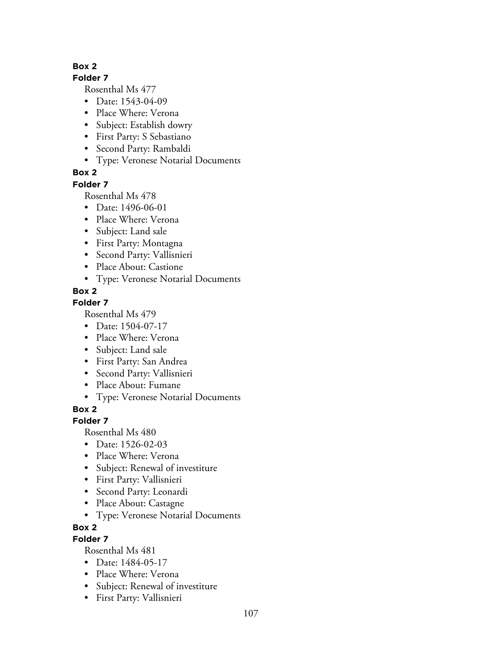**Folder 7**

Rosenthal Ms 477

- Date: 1543-04-09
- Place Where: Verona
- Subject: Establish dowry
- First Party: S Sebastiano
- Second Party: Rambaldi
- Type: Veronese Notarial Documents

# **Box 2**

**Folder 7**

Rosenthal Ms 478

- Date: 1496-06-01
- Place Where: Verona
- Subject: Land sale
- First Party: Montagna
- Second Party: Vallisnieri
- Place About: Castione
- Type: Veronese Notarial Documents

# **Box 2**

## **Folder 7**

Rosenthal Ms 479

- Date: 1504-07-17
- Place Where: Verona
- Subject: Land sale
- First Party: San Andrea
- Second Party: Vallisnieri
- Place About: Fumane
- Type: Veronese Notarial Documents

**Box 2**

# **Folder 7**

Rosenthal Ms 480

- Date: 1526-02-03
- Place Where: Verona
- Subject: Renewal of investiture
- First Party: Vallisnieri
- Second Party: Leonardi
- Place About: Castagne
- Type: Veronese Notarial Documents

## **Box 2**

# **Folder 7**

- Date: 1484-05-17
- Place Where: Verona
- Subject: Renewal of investiture
- First Party: Vallisnieri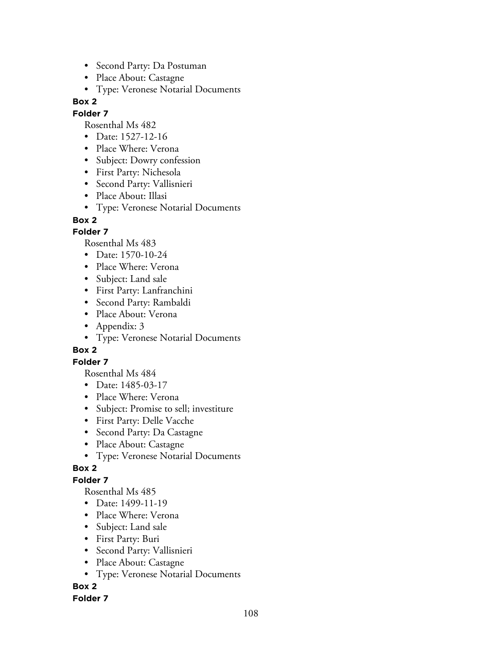- Second Party: Da Postuman
- Place About: Castagne
- Type: Veronese Notarial Documents

#### **Folder 7**

Rosenthal Ms 482

- Date: 1527-12-16
- Place Where: Verona
- Subject: Dowry confession
- First Party: Nichesola
- Second Party: Vallisnieri
- Place About: Illasi
- Type: Veronese Notarial Documents

## **Box 2**

## **Folder 7**

Rosenthal Ms 483

- Date: 1570-10-24
- Place Where: Verona
- Subject: Land sale
- First Party: Lanfranchini
- Second Party: Rambaldi
- Place About: Verona
- Appendix: 3
- Type: Veronese Notarial Documents

## **Box 2**

## **Folder 7**

Rosenthal Ms 484

- Date: 1485-03-17
- Place Where: Verona
- Subject: Promise to sell; investiture
- First Party: Delle Vacche
- Second Party: Da Castagne
- Place About: Castagne
- Type: Veronese Notarial Documents

# **Box 2**

# **Folder 7**

Rosenthal Ms 485

- Date: 1499-11-19
- Place Where: Verona
- Subject: Land sale
- First Party: Buri
- Second Party: Vallisnieri
- Place About: Castagne
- Type: Veronese Notarial Documents

# **Box 2**

## **Folder 7**

108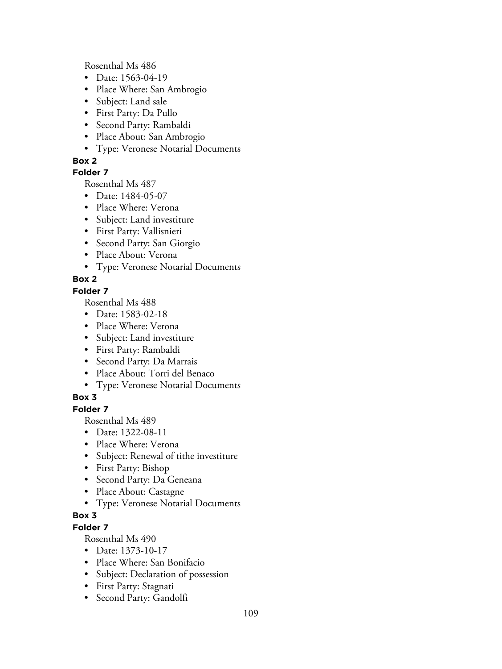Rosenthal Ms 486

- Date: 1563-04-19
- Place Where: San Ambrogio
- Subject: Land sale
- First Party: Da Pullo
- Second Party: Rambaldi
- Place About: San Ambrogio
- Type: Veronese Notarial Documents

## **Box 2**

## **Folder 7**

Rosenthal Ms 487

- Date: 1484-05-07
- Place Where: Verona
- Subject: Land investiture
- First Party: Vallisnieri
- Second Party: San Giorgio
- Place About: Verona
- Type: Veronese Notarial Documents

## **Box 2**

## **Folder 7**

Rosenthal Ms 488

- Date: 1583-02-18
- Place Where: Verona
- Subject: Land investiture
- First Party: Rambaldi
- Second Party: Da Marrais
- Place About: Torri del Benaco
- Type: Veronese Notarial Documents

## **Box 3**

**Folder 7**

Rosenthal Ms 489

- Date: 1322-08-11
- Place Where: Verona
- Subject: Renewal of tithe investiture
- First Party: Bishop
- Second Party: Da Geneana
- Place About: Castagne
- Type: Veronese Notarial Documents

## **Box 3**

## **Folder 7**

- Date: 1373-10-17
- Place Where: San Bonifacio
- Subject: Declaration of possession
- First Party: Stagnati
- Second Party: Gandolfi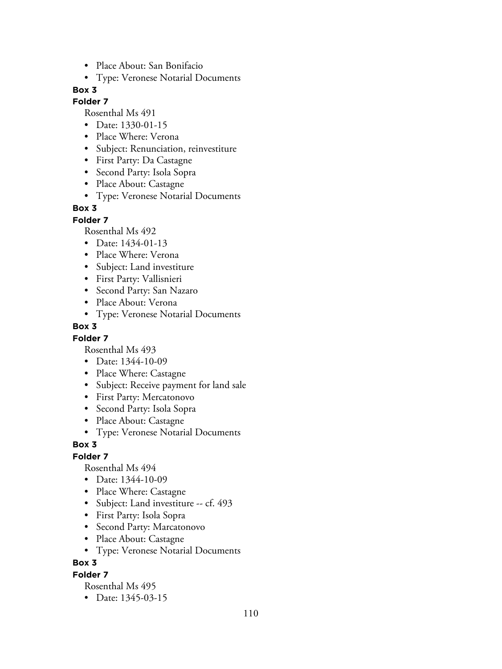- Place About: San Bonifacio
- Type: Veronese Notarial Documents

## **Folder 7**

Rosenthal Ms 491

- Date: 1330-01-15
- Place Where: Verona
- Subject: Renunciation, reinvestiture
- First Party: Da Castagne
- Second Party: Isola Sopra
- Place About: Castagne
- Type: Veronese Notarial Documents

## **Box 3**

**Folder 7**

Rosenthal Ms 492

- Date: 1434-01-13
- Place Where: Verona
- Subject: Land investiture
- First Party: Vallisnieri
- Second Party: San Nazaro
- Place About: Verona
- Type: Veronese Notarial Documents

#### **Box 3**

#### **Folder 7**

Rosenthal Ms 493

- Date: 1344-10-09
- Place Where: Castagne
- Subject: Receive payment for land sale
- First Party: Mercatonovo
- Second Party: Isola Sopra
- Place About: Castagne
- Type: Veronese Notarial Documents

#### **Box 3**

#### **Folder 7**

Rosenthal Ms 494

- Date: 1344-10-09
- Place Where: Castagne
- Subject: Land investiture -- cf. 493
- First Party: Isola Sopra
- Second Party: Marcatonovo
- Place About: Castagne
- Type: Veronese Notarial Documents

**Box 3**

#### **Folder 7**

Rosenthal Ms 495

• Date: 1345-03-15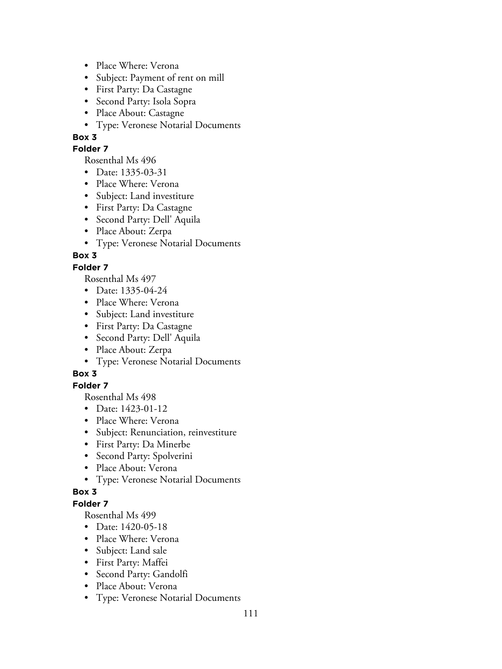- Place Where: Verona
- Subject: Payment of rent on mill
- First Party: Da Castagne
- Second Party: Isola Sopra
- Place About: Castagne
- Type: Veronese Notarial Documents

## **Folder 7**

Rosenthal Ms 496

- Date: 1335-03-31
- Place Where: Verona
- Subject: Land investiture
- First Party: Da Castagne
- Second Party: Dell' Aquila
- Place About: Zerpa
- Type: Veronese Notarial Documents

## **Box 3**

## **Folder 7**

Rosenthal Ms 497

- Date: 1335-04-24
- Place Where: Verona
- Subject: Land investiture
- First Party: Da Castagne
- Second Party: Dell' Aquila
- Place About: Zerpa
- Type: Veronese Notarial Documents

## **Box 3**

## **Folder 7**

Rosenthal Ms 498

- Date: 1423-01-12
- Place Where: Verona
- Subject: Renunciation, reinvestiture
- First Party: Da Minerbe
- Second Party: Spolverini
- Place About: Verona
- Type: Veronese Notarial Documents

## **Box 3**

## **Folder 7**

- Date: 1420-05-18
- Place Where: Verona
- Subject: Land sale
- First Party: Maffei
- Second Party: Gandolfi
- Place About: Verona
- Type: Veronese Notarial Documents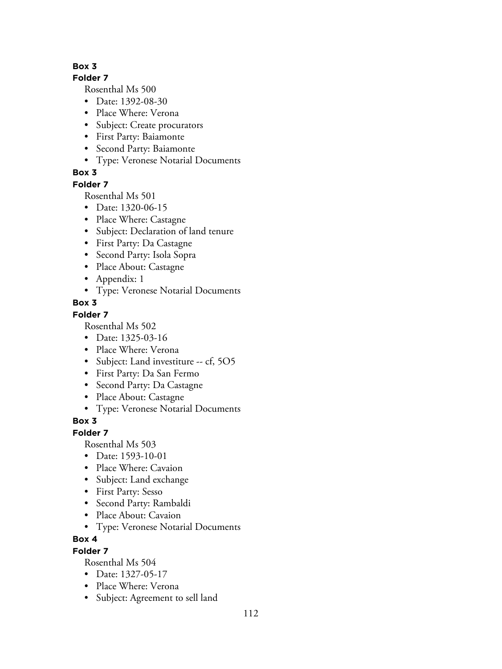## **Folder 7**

Rosenthal Ms 500

- Date: 1392-08-30
- Place Where: Verona
- Subject: Create procurators
- First Party: Baiamonte
- Second Party: Baiamonte
- Type: Veronese Notarial Documents

# **Box 3**

## **Folder 7**

Rosenthal Ms 501

- Date: 1320-06-15
- Place Where: Castagne
- Subject: Declaration of land tenure
- First Party: Da Castagne
- Second Party: Isola Sopra
- Place About: Castagne
- Appendix: 1
- Type: Veronese Notarial Documents
- **Box 3**

## **Folder 7**

Rosenthal Ms 502

- Date: 1325-03-16
- Place Where: Verona
- Subject: Land investiture -- cf, 5O5
- First Party: Da San Fermo
- Second Party: Da Castagne
- Place About: Castagne
- Type: Veronese Notarial Documents

# **Box 3**

## **Folder 7**

Rosenthal Ms 503

- Date: 1593-10-01
- Place Where: Cavaion
- Subject: Land exchange
- First Party: Sesso
- Second Party: Rambaldi
- Place About: Cavaion
- Type: Veronese Notarial Documents

## **Box 4**

## **Folder 7**

- Date: 1327-05-17
- Place Where: Verona
- Subject: Agreement to sell land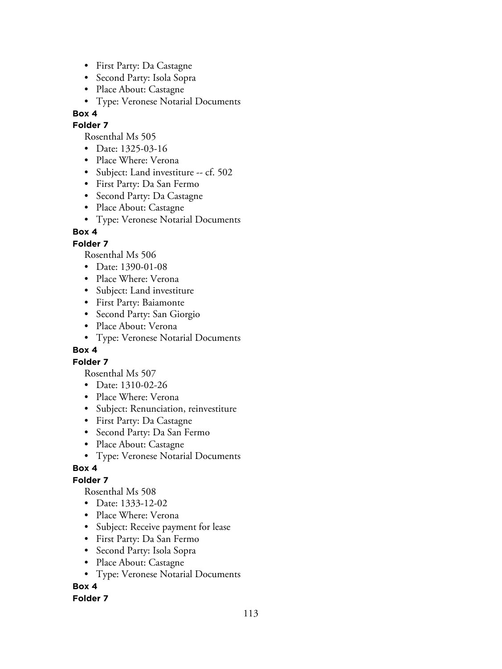- First Party: Da Castagne
- Second Party: Isola Sopra
- Place About: Castagne
- Type: Veronese Notarial Documents

## **Folder 7**

Rosenthal Ms 505

- Date: 1325-03-16
- Place Where: Verona
- Subject: Land investiture -- cf. 502
- First Party: Da San Fermo
- Second Party: Da Castagne
- Place About: Castagne
- Type: Veronese Notarial Documents

## **Box 4**

## **Folder 7**

Rosenthal Ms 506

- Date: 1390-01-08
- Place Where: Verona
- Subject: Land investiture
- First Party: Baiamonte
- Second Party: San Giorgio
- Place About: Verona
- Type: Veronese Notarial Documents

## **Box 4**

## **Folder 7**

Rosenthal Ms 507

- Date: 1310-02-26
- Place Where: Verona
- Subject: Renunciation, reinvestiture
- First Party: Da Castagne
- Second Party: Da San Fermo
- Place About: Castagne
- Type: Veronese Notarial Documents

## **Box 4**

## **Folder 7**

Rosenthal Ms 508

- Date: 1333-12-02
- Place Where: Verona
- Subject: Receive payment for lease
- First Party: Da San Fermo
- Second Party: Isola Sopra
- Place About: Castagne
- Type: Veronese Notarial Documents

## **Box 4**

## **Folder 7**

113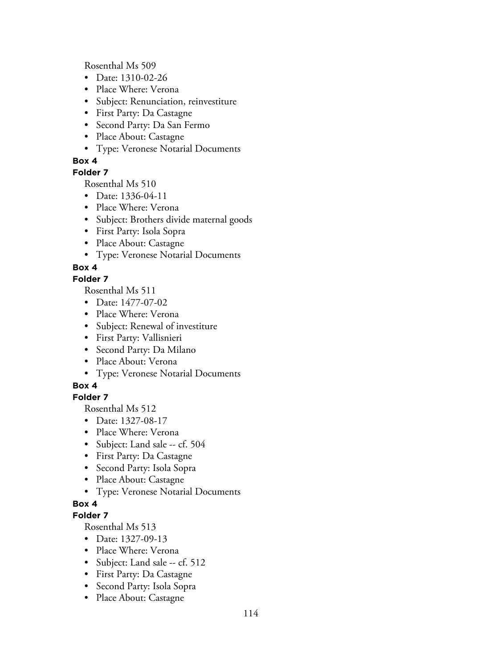Rosenthal Ms 509

- Date: 1310-02-26
- Place Where: Verona
- Subject: Renunciation, reinvestiture
- First Party: Da Castagne
- Second Party: Da San Fermo
- Place About: Castagne
- Type: Veronese Notarial Documents

## **Box 4**

## **Folder 7**

Rosenthal Ms 510

- Date: 1336-04-11
- Place Where: Verona
- Subject: Brothers divide maternal goods
- First Party: Isola Sopra
- Place About: Castagne
- Type: Veronese Notarial Documents

## **Box 4**

## **Folder 7**

Rosenthal Ms 511

- Date: 1477-07-02
- Place Where: Verona
- Subject: Renewal of investiture
- First Party: Vallisnieri
- Second Party: Da Milano
- Place About: Verona
- Type: Veronese Notarial Documents

## **Box 4**

## **Folder 7**

Rosenthal Ms 512

- Date: 1327-08-17
- Place Where: Verona
- Subject: Land sale -- cf. 504
- First Party: Da Castagne
- Second Party: Isola Sopra
- Place About: Castagne
- Type: Veronese Notarial Documents

## **Box 4**

## **Folder 7**

- Date: 1327-09-13
- Place Where: Verona
- Subject: Land sale -- cf. 512
- First Party: Da Castagne
- Second Party: Isola Sopra
- Place About: Castagne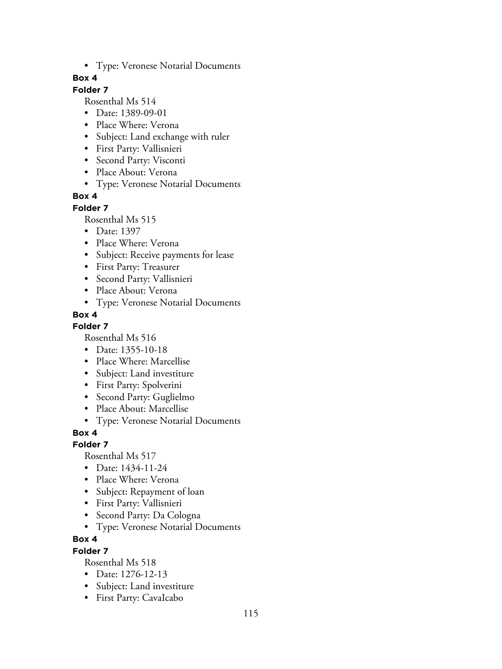• Type: Veronese Notarial Documents

## **Box 4**

## **Folder 7**

Rosenthal Ms 514

- Date: 1389-09-01
- Place Where: Verona
- Subject: Land exchange with ruler
- First Party: Vallisnieri
- Second Party: Visconti
- Place About: Verona
- Type: Veronese Notarial Documents

## **Box 4**

#### **Folder 7**

Rosenthal Ms 515

- Date: 1397
- Place Where: Verona
- Subject: Receive payments for lease
- First Party: Treasurer
- Second Party: Vallisnieri
- Place About: Verona
- Type: Veronese Notarial Documents

## **Box 4**

## **Folder 7**

Rosenthal Ms 516

- Date: 1355-10-18
- Place Where: Marcellise
- Subject: Land investiture
- First Party: Spolverini
- Second Party: Guglielmo
- Place About: Marcellise
- Type: Veronese Notarial Documents

## **Box 4**

## **Folder 7**

Rosenthal Ms 517

- Date: 1434-11-24
- Place Where: Verona
- Subject: Repayment of loan
- First Party: Vallisnieri
- Second Party: Da Cologna
- Type: Veronese Notarial Documents

## **Box 4**

## **Folder 7**

- Date: 1276-12-13
- Subject: Land investiture
- First Party: CavaIcabo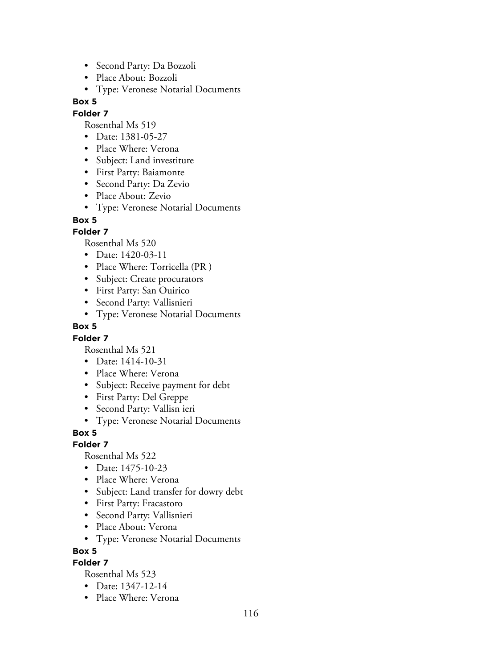- Second Party: Da Bozzoli
- Place About: Bozzoli
- Type: Veronese Notarial Documents

#### **Folder 7**

Rosenthal Ms 519

- Date: 1381-05-27
- Place Where: Verona
- Subject: Land investiture
- First Party: Baiamonte
- Second Party: Da Zevio
- Place About: Zevio
- Type: Veronese Notarial Documents

#### **Box 5**

## **Folder 7**

Rosenthal Ms 520

- Date: 1420-03-11
- Place Where: Torricella (PR )
- Subject: Create procurators
- First Party: San Ouirico
- Second Party: Vallisnieri
- Type: Veronese Notarial Documents

## **Box 5**

## **Folder 7**

Rosenthal Ms 521

- Date: 1414-10-31
- Place Where: Verona
- Subject: Receive payment for debt
- First Party: Del Greppe
- Second Party: Vallisn ieri
- Type: Veronese Notarial Documents

## **Box 5**

**Folder 7**

Rosenthal Ms 522

- Date: 1475-10-23
- Place Where: Verona
- Subject: Land transfer for dowry debt
- First Party: Fracastoro
- Second Party: Vallisnieri
- Place About: Verona
- Type: Veronese Notarial Documents

#### **Box 5**

## **Folder 7**

- Date: 1347-12-14
- Place Where: Verona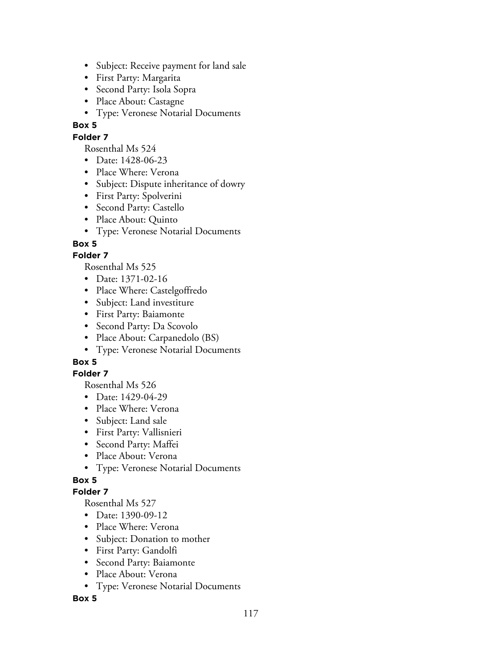- Subject: Receive payment for land sale
- First Party: Margarita
- Second Party: Isola Sopra
- Place About: Castagne
- Type: Veronese Notarial Documents

## **Folder 7**

Rosenthal Ms 524

- Date: 1428-06-23
- Place Where: Verona
- Subject: Dispute inheritance of dowry
- First Party: Spolverini
- Second Party: Castello
- Place About: Quinto
- Type: Veronese Notarial Documents

## **Box 5**

## **Folder 7**

Rosenthal Ms 525

- Date: 1371-02-16
- Place Where: Castelgoffredo
- Subject: Land investiture
- First Party: Baiamonte
- Second Party: Da Scovolo
- Place About: Carpanedolo (BS)
- Type: Veronese Notarial Documents

## **Box 5**

## **Folder 7**

Rosenthal Ms 526

- Date: 1429-04-29
- Place Where: Verona
- Subject: Land sale
- First Party: Vallisnieri
- Second Party: Maffei
- Place About: Verona
- Type: Veronese Notarial Documents

## **Box 5**

## **Folder 7**

Rosenthal Ms 527

- Date: 1390-09-12
- Place Where: Verona
- Subject: Donation to mother
- First Party: Gandolfi
- Second Party: Baiamonte
- Place About: Verona
- Type: Veronese Notarial Documents

## **Box 5**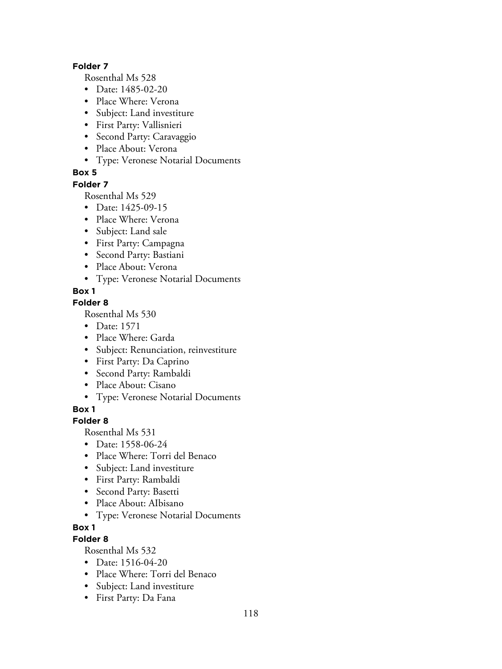#### **Folder 7**

Rosenthal Ms 528

- Date: 1485-02-20
- Place Where: Verona
- Subject: Land investiture
- First Party: Vallisnieri
- Second Party: Caravaggio
- Place About: Verona
- Type: Veronese Notarial Documents

## **Box 5**

#### **Folder 7**

Rosenthal Ms 529

- Date: 1425-09-15
- Place Where: Verona
- Subject: Land sale
- First Party: Campagna
- Second Party: Bastiani
- Place About: Verona
- Type: Veronese Notarial Documents

## **Box 1**

## **Folder 8**

Rosenthal Ms 530

- Date: 1571
- Place Where: Garda
- Subject: Renunciation, reinvestiture
- First Party: Da Caprino
- Second Party: Rambaldi
- Place About: Cisano
- Type: Veronese Notarial Documents

**Box 1**

## **Folder 8**

Rosenthal Ms 531

- Date: 1558-06-24
- Place Where: Torri del Benaco
- Subject: Land investiture
- First Party: Rambaldi
- Second Party: Basetti
- Place About: AIbisano
- Type: Veronese Notarial Documents

## **Box 1**

## **Folder 8**

- Date: 1516-04-20
- Place Where: Torri del Benaco
- Subject: Land investiture
- First Party: Da Fana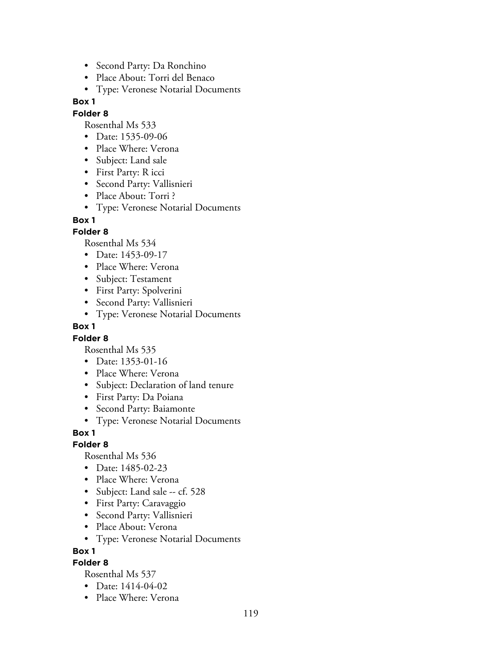- Second Party: Da Ronchino
- Place About: Torri del Benaco
- Type: Veronese Notarial Documents

### **Folder 8**

Rosenthal Ms 533

- Date: 1535-09-06
- Place Where: Verona
- Subject: Land sale
- First Party: R icci
- Second Party: Vallisnieri
- Place About: Torri ?
- Type: Veronese Notarial Documents

#### **Box 1**

## **Folder 8**

Rosenthal Ms 534

- Date: 1453-09-17
- Place Where: Verona
- Subject: Testament
- First Party: Spolverini
- Second Party: Vallisnieri
- Type: Veronese Notarial Documents

### **Box 1**

## **Folder 8**

Rosenthal Ms 535

- Date: 1353-01-16
- Place Where: Verona
- Subject: Declaration of land tenure
- First Party: Da Poiana
- Second Party: Baiamonte
- Type: Veronese Notarial Documents

## **Box 1**

## **Folder 8**

Rosenthal Ms 536

- Date: 1485-02-23
- Place Where: Verona
- Subject: Land sale -- cf. 528
- First Party: Caravaggio
- Second Party: Vallisnieri
- Place About: Verona
- Type: Veronese Notarial Documents

**Box 1**

## **Folder 8**

- Date: 1414-04-02
- Place Where: Verona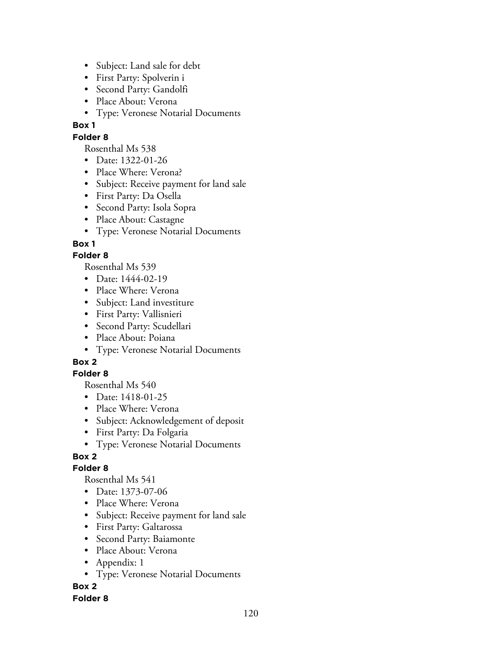- Subject: Land sale for debt
- First Party: Spolverin i
- Second Party: Gandolfi
- Place About: Verona
- Type: Veronese Notarial Documents

## **Folder 8**

Rosenthal Ms 538

- Date: 1322-01-26
- Place Where: Verona?
- Subject: Receive payment for land sale
- First Party: Da Osella
- Second Party: Isola Sopra
- Place About: Castagne
- Type: Veronese Notarial Documents

## **Box 1**

## **Folder 8**

Rosenthal Ms 539

- Date: 1444-02-19
- Place Where: Verona
- Subject: Land investiture
- First Party: Vallisnieri
- Second Party: Scudellari
- Place About: Poiana
- Type: Veronese Notarial Documents

## **Box 2**

## **Folder 8**

Rosenthal Ms 540

- Date: 1418-01-25
- Place Where: Verona
- Subject: Acknowledgement of deposit
- First Party: Da Folgaria
- Type: Veronese Notarial Documents

## **Box 2**

## **Folder 8**

Rosenthal Ms 541

- Date: 1373-07-06
- Place Where: Verona
- Subject: Receive payment for land sale
- First Party: Galtarossa
- Second Party: Baiamonte
- Place About: Verona
- Appendix: 1
- Type: Veronese Notarial Documents

**Box 2**

#### **Folder 8**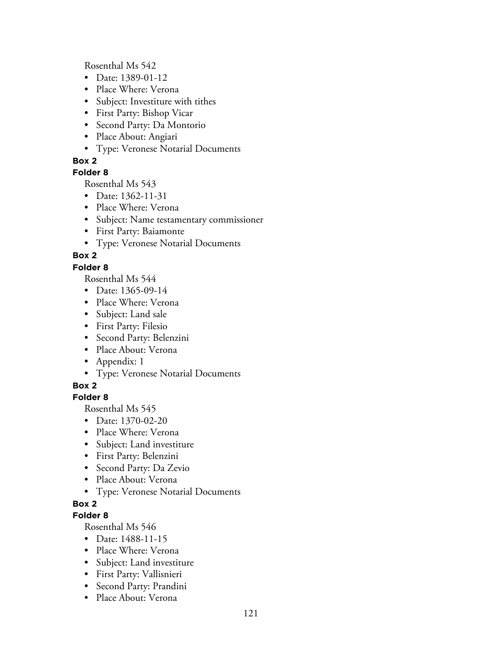Rosenthal Ms 542

- Date: 1389-01-12
- Place Where: Verona
- Subject: Investiture with tithes
- First Party: Bishop Vicar
- Second Party: Da Montorio
- Place About: Angiari
- Type: Veronese Notarial Documents

## **Box 2**

## **Folder 8**

Rosenthal Ms 543

- Date: 1362-11-31
- Place Where: Verona
- Subject: Name testamentary commissioner
- First Party: Baiamonte
- Type: Veronese Notarial Documents

## **Box 2**

## **Folder 8**

Rosenthal Ms 544

- Date: 1365-09-14
- Place Where: Verona
- Subject: Land sale
- First Party: Filesio
- Second Party: Belenzini
- Place About: Verona
- Appendix: 1
- Type: Veronese Notarial Documents

## **Box 2**

## **Folder 8**

Rosenthal Ms 545

- Date: 1370-02-20
- Place Where: Verona
- Subject: Land investiture
- First Party: Belenzini
- Second Party: Da Zevio
- Place About: Verona
- Type: Veronese Notarial Documents

## **Box 2**

## **Folder 8**

- Date: 1488-11-15
- Place Where: Verona
- Subject: Land investiture
- First Party: Vallisnieri
- Second Party: Prandini
- Place About: Verona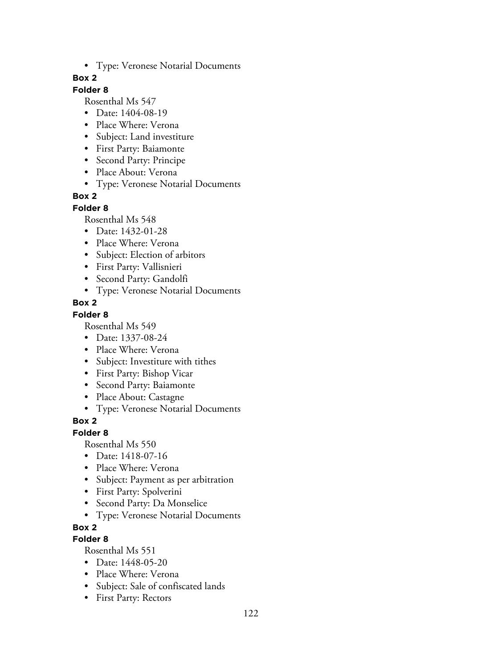• Type: Veronese Notarial Documents

### **Box 2**

## **Folder 8**

Rosenthal Ms 547

- Date: 1404-08-19
- Place Where: Verona
- Subject: Land investiture
- First Party: Baiamonte
- Second Party: Principe
- Place About: Verona
- Type: Veronese Notarial Documents

## **Box 2**

#### **Folder 8**

Rosenthal Ms 548

- Date: 1432-01-28
- Place Where: Verona
- Subject: Election of arbitors
- First Party: Vallisnieri
- Second Party: Gandolfi
- Type: Veronese Notarial Documents

#### **Box 2**

#### **Folder 8**

Rosenthal Ms 549

- Date: 1337-08-24
- Place Where: Verona
- Subject: Investiture with tithes
- First Party: Bishop Vicar
- Second Party: Baiamonte
- Place About: Castagne
- Type: Veronese Notarial Documents

## **Box 2**

#### **Folder 8**

Rosenthal Ms 550

- Date: 1418-07-16
- Place Where: Verona
- Subject: Payment as per arbitration
- First Party: Spolverini
- Second Party: Da Monselice
- Type: Veronese Notarial Documents

## **Box 2**

## **Folder 8**

- Date: 1448-05-20
- Place Where: Verona
- Subject: Sale of confiscated lands
- First Party: Rectors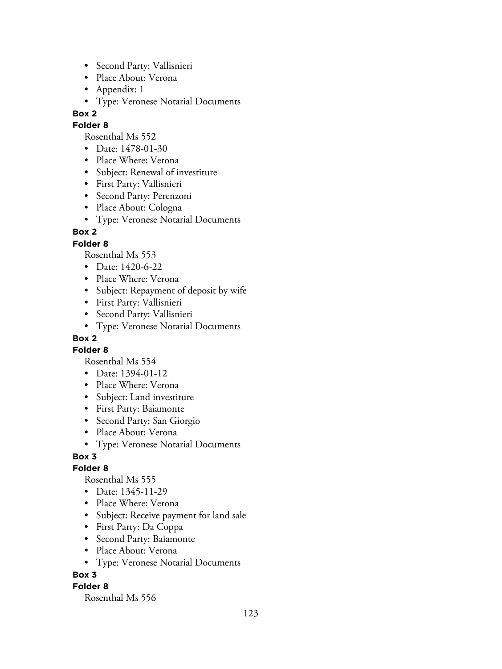- Second Party: Vallisnieri
- Place About: Verona
- Appendix: 1
- Type: Veronese Notarial Documents

## **Folder 8**

Rosenthal Ms 552

- Date: 1478-01-30
- Place Where: Verona
- Subject: Renewal of investiture
- First Party: Vallisnieri
- Second Party: Perenzoni
- Place About: Cologna
- Type: Veronese Notarial Documents

## **Box 2**

## **Folder 8**

Rosenthal Ms 553

- Date: 1420-6-22
- Place Where: Verona
- Subject: Repayment of deposit by wife
- First Party: Vallisnieri
- Second Party: Vallisnieri
- Type: Veronese Notarial Documents

## **Box 2**

**Folder 8**

Rosenthal Ms 554

- Date: 1394-01-12
- Place Where: Verona
- Subject: Land investiture
- First Party: Baiamonte
- Second Party: San Giorgio
- Place About: Verona
- Type: Veronese Notarial Documents

## **Box 3**

## **Folder 8**

Rosenthal Ms 555

- Date: 1345-11-29
- Place Where: Verona
- Subject: Receive payment for land sale
- First Party: Da Coppa
- Second Party: Baiamonte
- Place About: Verona
- Type: Veronese Notarial Documents

## **Box 3**

## **Folder 8**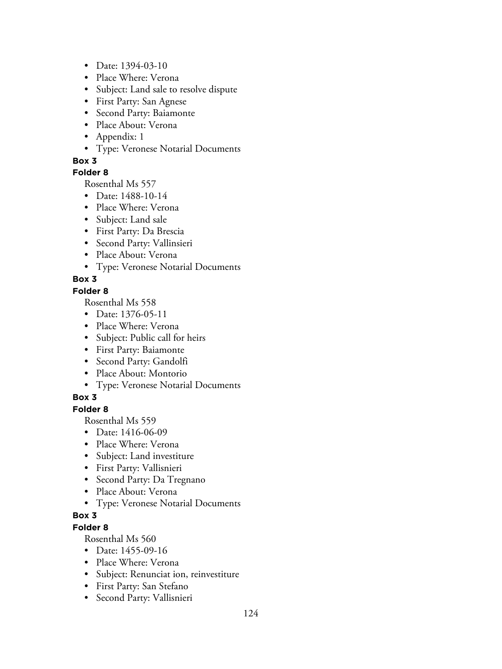- Date: 1394-03-10
- Place Where: Verona
- Subject: Land sale to resolve dispute
- First Party: San Agnese
- Second Party: Baiamonte
- Place About: Verona
- Appendix: 1
- Type: Veronese Notarial Documents

## **Folder 8**

Rosenthal Ms 557

- Date: 1488-10-14
- Place Where: Verona
- Subject: Land sale
- First Party: Da Brescia
- Second Party: Vallinsieri
- Place About: Verona
- Type: Veronese Notarial Documents

## **Box 3**

## **Folder 8**

Rosenthal Ms 558

- Date: 1376-05-11
- Place Where: Verona
- Subject: Public call for heirs
- First Party: Baiamonte
- Second Party: Gandolfi
- Place About: Montorio
- Type: Veronese Notarial Documents

## **Box 3**

## **Folder 8**

Rosenthal Ms 559

- Date: 1416-06-09
- Place Where: Verona
- Subject: Land investiture
- First Party: Vallisnieri
- Second Party: Da Tregnano
- Place About: Verona
- Type: Veronese Notarial Documents

# **Box 3**

## **Folder 8**

- Date: 1455-09-16
- Place Where: Verona
- Subject: Renunciat ion, reinvestiture
- First Party: San Stefano
- Second Party: Vallisnieri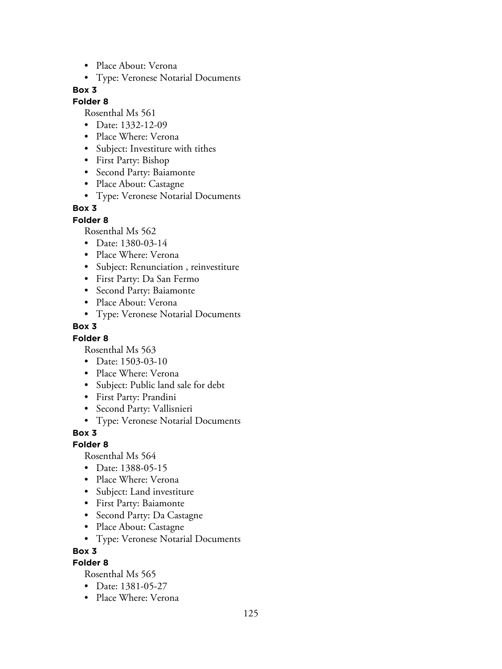- Place About: Verona
- Type: Veronese Notarial Documents

## **Folder 8**

Rosenthal Ms 561

- Date: 1332-12-09
- Place Where: Verona
- Subject: Investiture with tithes
- First Party: Bishop
- Second Party: Baiamonte
- Place About: Castagne
- Type: Veronese Notarial Documents

### **Box 3**

**Folder 8**

Rosenthal Ms 562

- Date: 1380-03-14
- Place Where: Verona
- Subject: Renunciation , reinvestiture
- First Party: Da San Fermo
- Second Party: Baiamonte
- Place About: Verona
- Type: Veronese Notarial Documents

#### **Box 3**

#### **Folder 8**

Rosenthal Ms 563

- Date: 1503-03-10
- Place Where: Verona
- Subject: Public land sale for debt
- First Party: Prandini
- Second Party: Vallisnieri
- Type: Veronese Notarial Documents

#### **Box 3**

**Folder 8**

Rosenthal Ms 564

- Date: 1388-05-15
- Place Where: Verona
- Subject: Land investiture
- First Party: Baiamonte
- Second Party: Da Castagne
- Place About: Castagne
- Type: Veronese Notarial Documents

#### **Box 3**

## **Folder 8**

- Date: 1381-05-27
- Place Where: Verona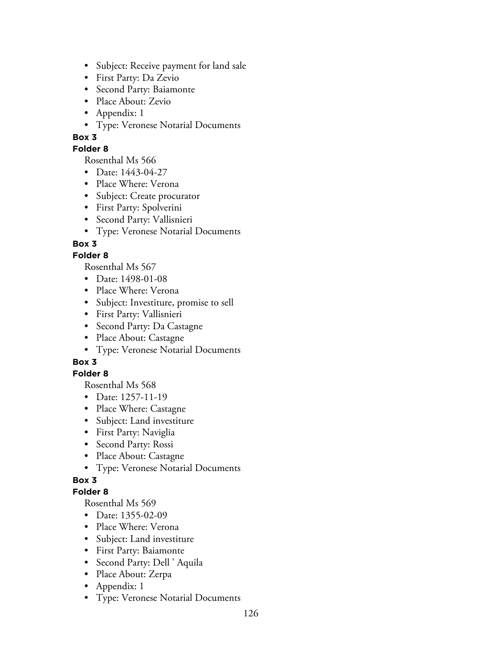- Subject: Receive payment for land sale
- First Party: Da Zevio
- Second Party: Baiamonte
- Place About: Zevio
- Appendix: 1
- Type: Veronese Notarial Documents

## **Folder 8**

Rosenthal Ms 566

- Date: 1443-04-27
- Place Where: Verona
- Subject: Create procurator
- First Party: Spolverini
- Second Party: Vallisnieri
- Type: Veronese Notarial Documents

## **Box 3**

## **Folder 8**

Rosenthal Ms 567

- Date: 1498-01-08
- Place Where: Verona
- Subject: Investiture, promise to sell
- First Party: Vallisnieri
- Second Party: Da Castagne
- Place About: Castagne
- Type: Veronese Notarial Documents

## **Box 3**

## **Folder 8**

Rosenthal Ms 568

- Date: 1257-11-19
- Place Where: Castagne
- Subject: Land investiture
- First Party: Naviglia
- Second Party: Rossi
- Place About: Castagne
- Type: Veronese Notarial Documents

## **Box 3**

## **Folder 8**

- Date: 1355-02-09
- Place Where: Verona
- Subject: Land investiture
- First Party: Baiamonte
- Second Party: Dell ' Aquila
- Place About: Zerpa
- Appendix: 1
- Type: Veronese Notarial Documents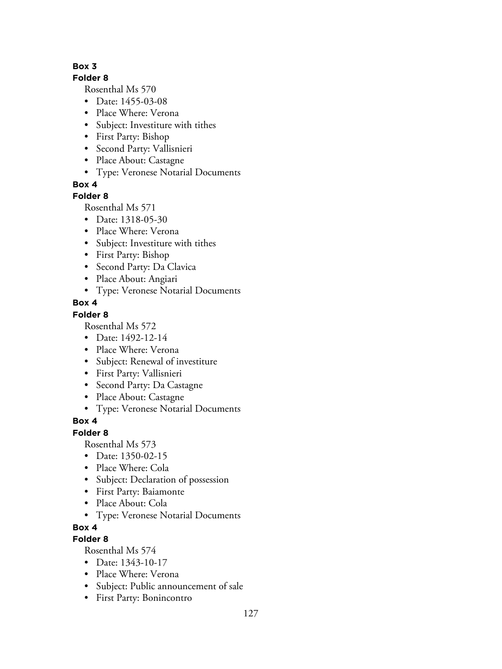### **Folder 8**

Rosenthal Ms 570

- Date: 1455-03-08
- Place Where: Verona
- Subject: Investiture with tithes
- First Party: Bishop
- Second Party: Vallisnieri
- Place About: Castagne
- Type: Veronese Notarial Documents

## **Box 4**

## **Folder 8**

Rosenthal Ms 571

- Date: 1318-05-30
- Place Where: Verona
- Subject: Investiture with tithes
- First Party: Bishop
- Second Party: Da Clavica
- Place About: Angiari
- Type: Veronese Notarial Documents

## **Box 4**

## **Folder 8**

Rosenthal Ms 572

- Date: 1492-12-14
- Place Where: Verona
- Subject: Renewal of investiture
- First Party: Vallisnieri
- Second Party: Da Castagne
- Place About: Castagne
- Type: Veronese Notarial Documents

# **Box 4**

## **Folder 8**

Rosenthal Ms 573

- Date: 1350-02-15
- Place Where: Cola
- Subject: Declaration of possession
- First Party: Baiamonte
- Place About: Cola
- Type: Veronese Notarial Documents

## **Box 4**

## **Folder 8**

- Date: 1343-10-17
- Place Where: Verona
- Subject: Public announcement of sale
- First Party: Bonincontro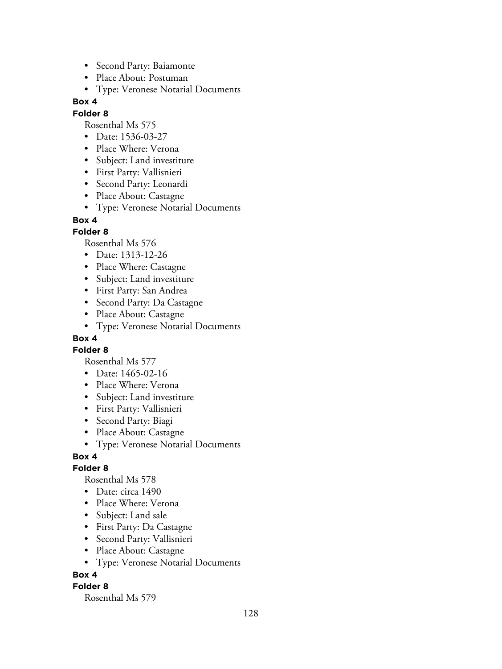- Second Party: Baiamonte
- Place About: Postuman
- Type: Veronese Notarial Documents

#### **Folder 8**

Rosenthal Ms 575

- Date: 1536-03-27
- Place Where: Verona
- Subject: Land investiture
- First Party: Vallisnieri
- Second Party: Leonardi
- Place About: Castagne
- Type: Veronese Notarial Documents

### **Box 4**

#### **Folder 8**

Rosenthal Ms 576

- Date: 1313-12-26
- Place Where: Castagne
- Subject: Land investiture
- First Party: San Andrea
- Second Party: Da Castagne
- Place About: Castagne
- Type: Veronese Notarial Documents

## **Box 4**

#### **Folder 8**

Rosenthal Ms 577

- Date: 1465-02-16
- Place Where: Verona
- Subject: Land investiture
- First Party: Vallisnieri
- Second Party: Biagi
- Place About: Castagne
- Type: Veronese Notarial Documents

#### **Box 4**

#### **Folder 8**

Rosenthal Ms 578

- Date: circa 1490
- Place Where: Verona
- Subject: Land sale
- First Party: Da Castagne
- Second Party: Vallisnieri
- Place About: Castagne
- Type: Veronese Notarial Documents

## **Box 4**

#### **Folder 8**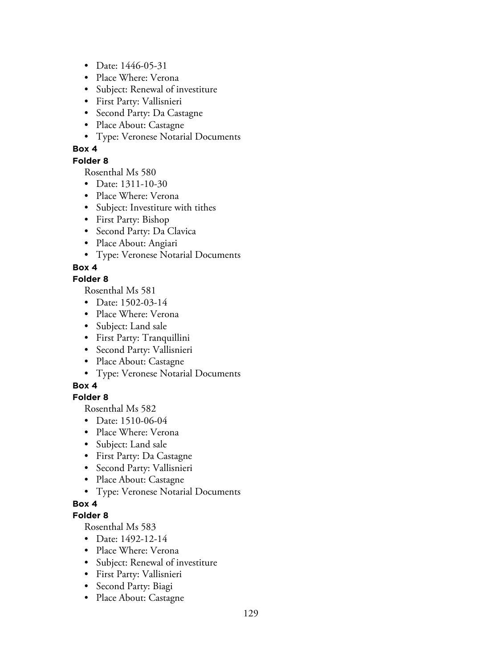- Date: 1446-05-31
- Place Where: Verona
- Subject: Renewal of investiture
- First Party: Vallisnieri
- Second Party: Da Castagne
- Place About: Castagne
- Type: Veronese Notarial Documents

## **Folder 8**

Rosenthal Ms 580

- Date: 1311-10-30
- Place Where: Verona
- Subject: Investiture with tithes
- First Party: Bishop
- Second Party: Da Clavica
- Place About: Angiari
- Type: Veronese Notarial Documents

## **Box 4**

## **Folder 8**

Rosenthal Ms 581

- Date: 1502-03-14
- Place Where: Verona
- Subject: Land sale
- First Party: Tranquillini
- Second Party: Vallisnieri
- Place About: Castagne
- Type: Veronese Notarial Documents

## **Box 4**

## **Folder 8**

Rosenthal Ms 582

- Date: 1510-06-04
- Place Where: Verona
- Subject: Land sale
- First Party: Da Castagne
- Second Party: Vallisnieri
- Place About: Castagne
- Type: Veronese Notarial Documents

## **Box 4**

## **Folder 8**

- Date: 1492-12-14
- Place Where: Verona
- Subject: Renewal of investiture
- First Party: Vallisnieri
- Second Party: Biagi
- Place About: Castagne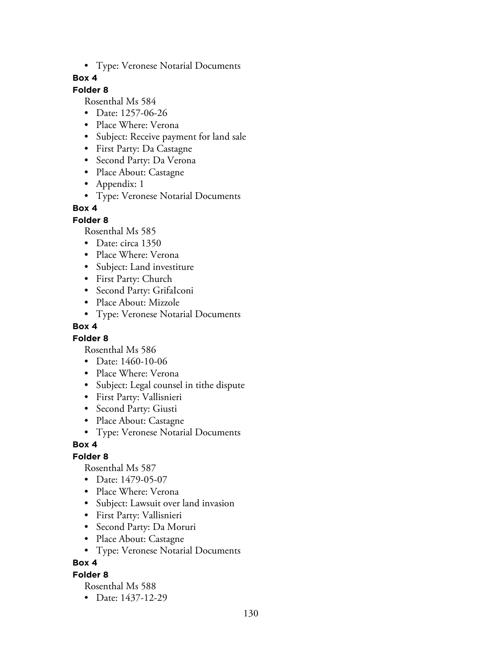• Type: Veronese Notarial Documents

## **Box 4**

### **Folder 8**

Rosenthal Ms 584

- Date: 1257-06-26
- Place Where: Verona
- Subject: Receive payment for land sale
- First Party: Da Castagne
- Second Party: Da Verona
- Place About: Castagne
- Appendix: 1
- Type: Veronese Notarial Documents

## **Box 4**

#### **Folder 8**

Rosenthal Ms 585

- Date: circa 1350
- Place Where: Verona
- Subject: Land investiture
- First Party: Church
- Second Party: GrifaIconi
- Place About: Mizzole
- Type: Veronese Notarial Documents

#### **Box 4**

## **Folder 8**

Rosenthal Ms 586

- Date: 1460-10-06
- Place Where: Verona
- Subject: Legal counsel in tithe dispute
- First Party: Vallisnieri
- Second Party: Giusti
- Place About: Castagne
- Type: Veronese Notarial Documents

## **Box 4**

## **Folder 8**

Rosenthal Ms 587

- Date: 1479-05-07
- Place Where: Verona
- Subject: Lawsuit over land invasion
- First Party: Vallisnieri
- Second Party: Da Moruri
- Place About: Castagne
- Type: Veronese Notarial Documents

## **Box 4**

## **Folder 8**

Rosenthal Ms 588

• Date: 1437-12-29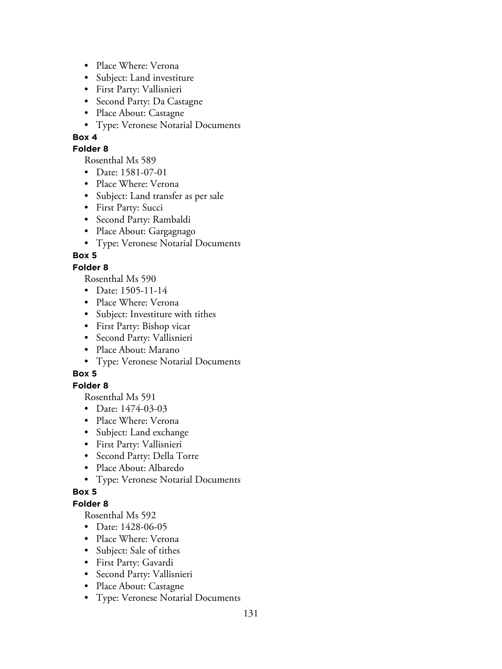- Place Where: Verona
- Subject: Land investiture
- First Party: Vallisnieri
- Second Party: Da Castagne
- Place About: Castagne
- Type: Veronese Notarial Documents

### **Folder 8**

Rosenthal Ms 589

- Date: 1581-07-01
- Place Where: Verona
- Subject: Land transfer as per sale
- First Party: Succi
- Second Party: Rambaldi
- Place About: Gargagnago
- Type: Veronese Notarial Documents

# **Box 5**

## **Folder 8**

Rosenthal Ms 590

- Date: 1505-11-14
- Place Where: Verona
- Subject: Investiture with tithes
- First Party: Bishop vicar
- Second Party: Vallisnieri
- Place About: Marano
- Type: Veronese Notarial Documents

## **Box 5**

## **Folder 8**

Rosenthal Ms 591

- Date: 1474-03-03
- Place Where: Verona
- Subject: Land exchange
- First Party: Vallisnieri
- Second Party: Della Torre
- Place About: Albaredo
- Type: Veronese Notarial Documents

## **Box 5**

## **Folder 8**

- Date: 1428-06-05
- Place Where: Verona
- Subject: Sale of tithes
- First Party: Gavardi
- Second Party: Vallisnieri
- Place About: Castagne
- Type: Veronese Notarial Documents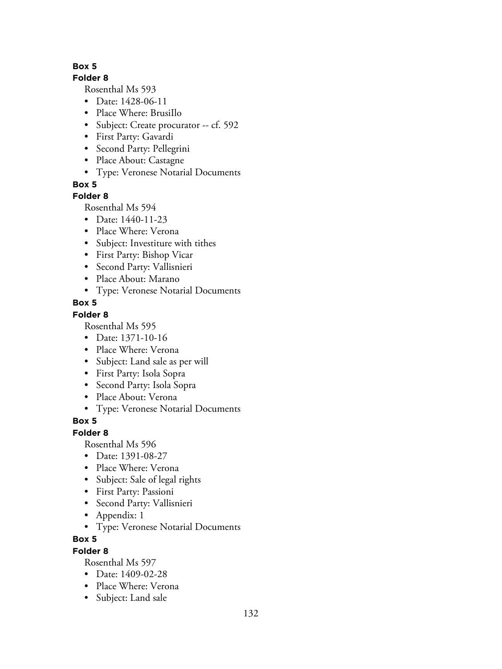## **Folder 8**

Rosenthal Ms 593

- Date: 1428-06-11
- Place Where: BrusiIlo
- Subject: Create procurator -- cf. 592
- First Party: Gavardi
- Second Party: Pellegrini
- Place About: Castagne
- Type: Veronese Notarial Documents

## **Box 5**

## **Folder 8**

Rosenthal Ms 594

- Date: 1440-11-23
- Place Where: Verona
- Subject: Investiture with tithes
- First Party: Bishop Vicar
- Second Party: Vallisnieri
- Place About: Marano
- Type: Veronese Notarial Documents

## **Box 5**

## **Folder 8**

Rosenthal Ms 595

- Date: 1371-10-16
- Place Where: Verona
- Subject: Land sale as per will
- First Party: Isola Sopra
- Second Party: Isola Sopra
- Place About: Verona
- Type: Veronese Notarial Documents

# **Box 5**

## **Folder 8**

Rosenthal Ms 596

- Date: 1391-08-27
- Place Where: Verona
- Subject: Sale of legal rights
- First Party: Passioni
- Second Party: Vallisnieri
- Appendix: 1
- Type: Veronese Notarial Documents

## **Box 5**

## **Folder 8**

- Date: 1409-02-28
- Place Where: Verona
- Subject: Land sale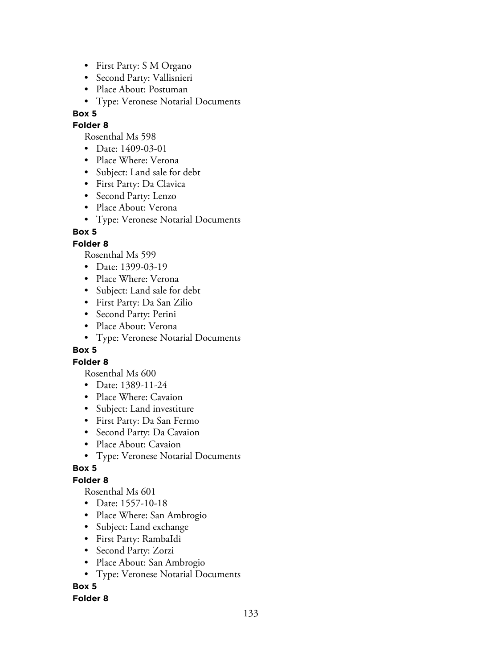- First Party: S M Organo
- Second Party: Vallisnieri
- Place About: Postuman
- Type: Veronese Notarial Documents

## **Folder 8**

Rosenthal Ms 598

- Date: 1409-03-01
- Place Where: Verona
- Subject: Land sale for debt
- First Party: Da Clavica
- Second Party: Lenzo
- Place About: Verona
- Type: Veronese Notarial Documents

## **Box 5**

## **Folder 8**

Rosenthal Ms 599

- Date: 1399-03-19
- Place Where: Verona
- Subject: Land sale for debt
- First Party: Da San Zilio
- Second Party: Perini
- Place About: Verona
- Type: Veronese Notarial Documents

## **Box 5**

## **Folder 8**

Rosenthal Ms 600

- Date: 1389-11-24
- Place Where: Cavaion
- Subject: Land investiture
- First Party: Da San Fermo
- Second Party: Da Cavaion
- Place About: Cavaion
- Type: Veronese Notarial Documents

## **Box 5**

## **Folder 8**

Rosenthal Ms 601

- Date: 1557-10-18
- Place Where: San Ambrogio
- Subject: Land exchange
- First Party: RambaIdi
- Second Party: Zorzi
- Place About: San Ambrogio
- Type: Veronese Notarial Documents

## **Box 5**

## **Folder 8**

133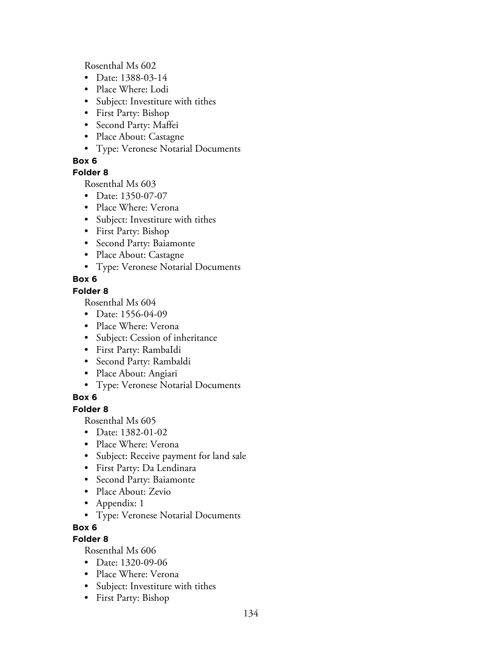Rosenthal Ms 602

- Date: 1388-03-14
- Place Where: Lodi
- Subject: Investiture with tithes
- First Party: Bishop
- Second Party: Maffei
- Place About: Castagne
- Type: Veronese Notarial Documents

## **Box 6**

## **Folder 8**

Rosenthal Ms 603

- Date: 1350-07-07
- Place Where: Verona
- Subject: Investiture with tithes
- First Party: Bishop
- Second Party: Baiamonte
- Place About: Castagne
- Type: Veronese Notarial Documents

## **Box 6**

## **Folder 8**

Rosenthal Ms 604

- Date: 1556-04-09
- Place Where: Verona
- Subject: Cession of inheritance
- First Party: RambaIdi
- Second Party: Rambaldi
- Place About: Angiari
- Type: Veronese Notarial Documents

## **Box 6**

## **Folder 8**

Rosenthal Ms 605

- Date: 1382-01-02
- Place Where: Verona
- Subject: Receive payment for land sale
- First Party: Da Lendinara
- Second Party: Baiamonte
- Place About: Zevio
- Appendix: 1
- Type: Veronese Notarial Documents

## **Box 6**

## **Folder 8**

- Date: 1320-09-06
- Place Where: Verona
- Subject: Investiture with tithes
- First Party: Bishop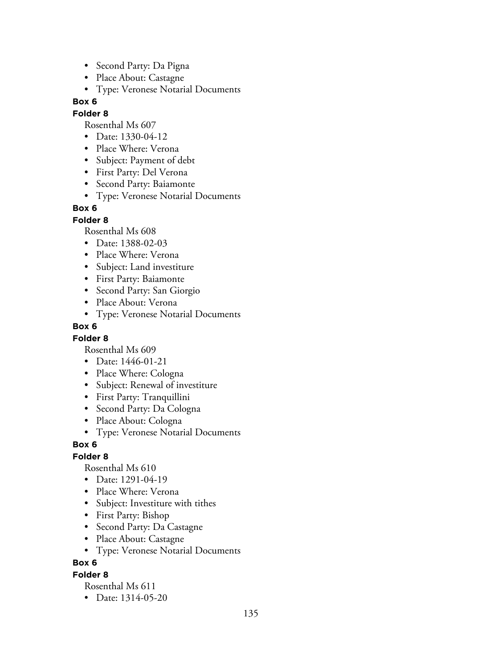- Second Party: Da Pigna
- Place About: Castagne
- Type: Veronese Notarial Documents

### **Folder 8**

Rosenthal Ms 607

- Date: 1330-04-12
- Place Where: Verona
- Subject: Payment of debt
- First Party: Del Verona
- Second Party: Baiamonte
- Type: Veronese Notarial Documents

## **Box 6**

#### **Folder 8**

Rosenthal Ms 608

- Date: 1388-02-03
- Place Where: Verona
- Subject: Land investiture
- First Party: Baiamonte
- Second Party: San Giorgio
- Place About: Verona
- Type: Veronese Notarial Documents

#### **Box 6**

## **Folder 8**

Rosenthal Ms 609

- Date: 1446-01-21
- Place Where: Cologna
- Subject: Renewal of investiture
- First Party: Tranquillini
- Second Party: Da Cologna
- Place About: Cologna
- Type: Veronese Notarial Documents

## **Box 6**

## **Folder 8**

Rosenthal Ms 610

- Date: 1291-04-19
- Place Where: Verona
- Subject: Investiture with tithes
- First Party: Bishop
- Second Party: Da Castagne
- Place About: Castagne
- Type: Veronese Notarial Documents

## **Box 6**

## **Folder 8**

Rosenthal Ms 611

• Date: 1314-05-20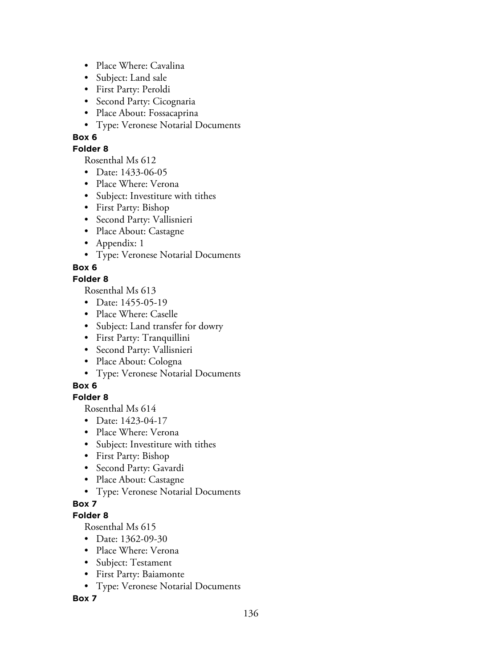- Place Where: Cavalina
- Subject: Land sale
- First Party: Peroldi
- Second Party: Cicognaria
- Place About: Fossacaprina
- Type: Veronese Notarial Documents

### **Folder 8**

Rosenthal Ms 612

- Date: 1433-06-05
- Place Where: Verona
- Subject: Investiture with tithes
- First Party: Bishop
- Second Party: Vallisnieri
- Place About: Castagne
- Appendix: 1
- Type: Veronese Notarial Documents

## **Box 6**

## **Folder 8**

Rosenthal Ms 613

- Date: 1455-05-19
- Place Where: Caselle
- Subject: Land transfer for dowry
- First Party: Tranquillini
- Second Party: Vallisnieri
- Place About: Cologna
- Type: Veronese Notarial Documents

## **Box 6**

## **Folder 8**

Rosenthal Ms 614

- Date: 1423-04-17
- Place Where: Verona
- Subject: Investiture with tithes
- First Party: Bishop
- Second Party: Gavardi
- Place About: Castagne
- Type: Veronese Notarial Documents

## **Box 7**

## **Folder 8**

Rosenthal Ms 615

- Date: 1362-09-30
- Place Where: Verona
- Subject: Testament
- First Party: Baiamonte
- Type: Veronese Notarial Documents

## **Box 7**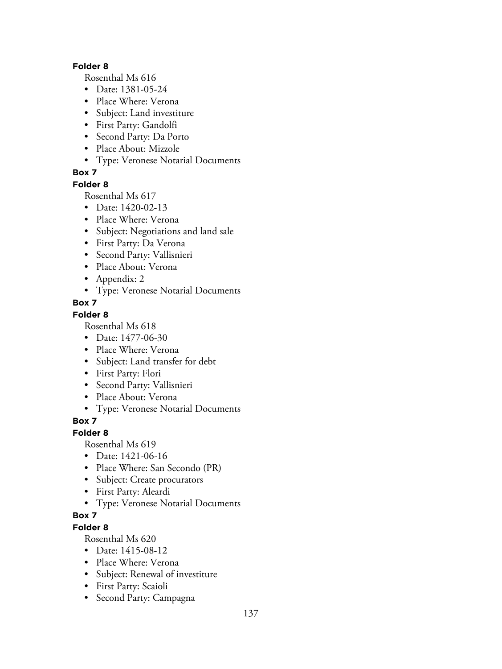### **Folder 8**

Rosenthal Ms 616

- Date: 1381-05-24
- Place Where: Verona
- Subject: Land investiture
- First Party: Gandolfi
- Second Party: Da Porto
- Place About: Mizzole
- Type: Veronese Notarial Documents

## **Box 7**

#### **Folder 8**

Rosenthal Ms 617

- Date: 1420-02-13
- Place Where: Verona
- Subject: Negotiations and land sale
- First Party: Da Verona
- Second Party: Vallisnieri
- Place About: Verona
- Appendix: 2
- Type: Veronese Notarial Documents
- **Box 7**

## **Folder 8**

Rosenthal Ms 618

- Date: 1477-06-30
- Place Where: Verona
- Subject: Land transfer for debt
- First Party: Flori
- Second Party: Vallisnieri
- Place About: Verona
- Type: Veronese Notarial Documents

## **Box 7**

## **Folder 8**

Rosenthal Ms 619

- Date: 1421-06-16
- Place Where: San Secondo (PR)
- Subject: Create procurators
- First Party: Aleardi
- Type: Veronese Notarial Documents

# **Box 7**

# **Folder 8**

- Date: 1415-08-12
- Place Where: Verona
- Subject: Renewal of investiture
- First Party: Scaioli
- Second Party: Campagna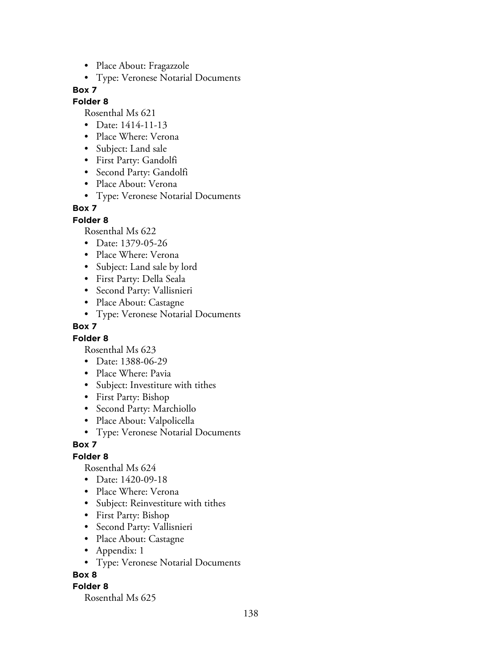- Place About: Fragazzole
- Type: Veronese Notarial Documents

### **Folder 8**

Rosenthal Ms 621

- Date: 1414-11-13
- Place Where: Verona
- Subject: Land sale
- First Party: Gandolfi
- Second Party: Gandolfi
- Place About: Verona
- Type: Veronese Notarial Documents

## **Box 7**

**Folder 8**

Rosenthal Ms 622

- Date: 1379-05-26
- Place Where: Verona
- Subject: Land sale by lord
- First Party: Della Seala
- Second Party: Vallisnieri
- Place About: Castagne
- Type: Veronese Notarial Documents

## **Box 7**

## **Folder 8**

Rosenthal Ms 623

- Date: 1388-06-29
- Place Where: Pavia
- Subject: Investiture with tithes
- First Party: Bishop
- Second Party: Marchiollo
- Place About: Valpolicella
- Type: Veronese Notarial Documents

## **Box 7**

## **Folder 8**

Rosenthal Ms 624

- Date: 1420-09-18
- Place Where: Verona
- Subject: Reinvestiture with tithes
- First Party: Bishop
- Second Party: Vallisnieri
- Place About: Castagne
- Appendix: 1
- Type: Veronese Notarial Documents

## **Box 8**

## **Folder 8**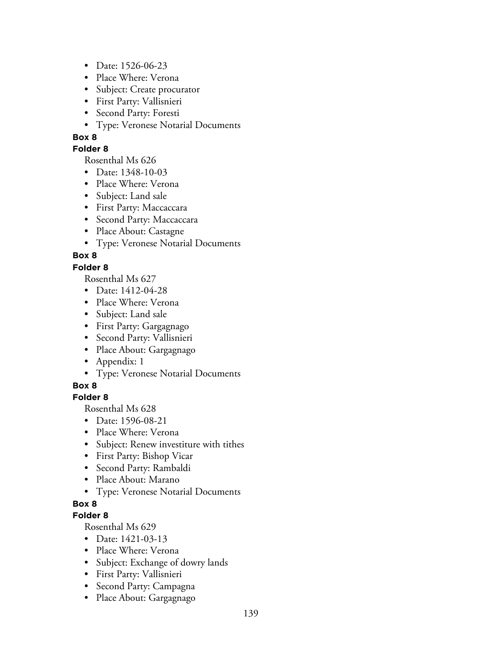- Date: 1526-06-23
- Place Where: Verona
- Subject: Create procurator
- First Party: Vallisnieri
- Second Party: Foresti
- Type: Veronese Notarial Documents

### **Folder 8**

Rosenthal Ms 626

- Date: 1348-10-03
- Place Where: Verona
- Subject: Land sale
- First Party: Maccaccara
- Second Party: Maccaccara
- Place About: Castagne
- Type: Veronese Notarial Documents

## **Box 8**

## **Folder 8**

Rosenthal Ms 627

- Date: 1412-04-28
- Place Where: Verona
- Subject: Land sale
- First Party: Gargagnago
- Second Party: Vallisnieri
- Place About: Gargagnago
- Appendix: 1
- Type: Veronese Notarial Documents

## **Box 8**

## **Folder 8**

Rosenthal Ms 628

- Date: 1596-08-21
- Place Where: Verona
- Subject: Renew investiture with tithes
- First Party: Bishop Vicar
- Second Party: Rambaldi
- Place About: Marano
- Type: Veronese Notarial Documents

## **Box 8**

## **Folder 8**

- Date: 1421-03-13
- Place Where: Verona
- Subject: Exchange of dowry lands
- First Party: Vallisnieri
- Second Party: Campagna
- Place About: Gargagnago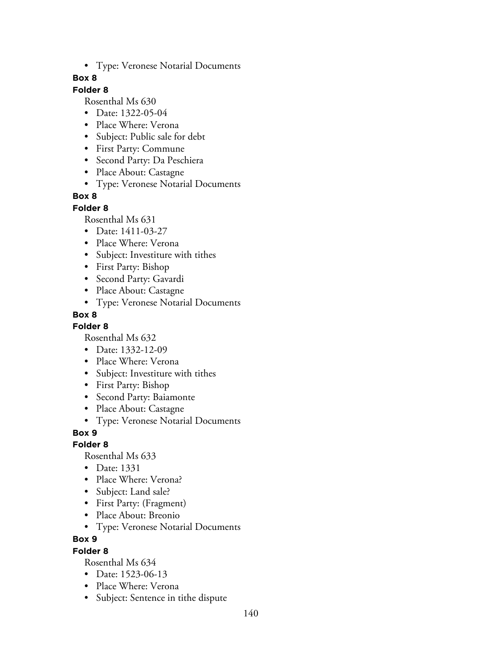• Type: Veronese Notarial Documents

### **Box 8**

## **Folder 8**

Rosenthal Ms 630

- Date: 1322-05-04
- Place Where: Verona
- Subject: Public sale for debt
- First Party: Commune
- Second Party: Da Peschiera
- Place About: Castagne
- Type: Veronese Notarial Documents

## **Box 8**

#### **Folder 8**

Rosenthal Ms 631

- Date: 1411-03-27
- Place Where: Verona
- Subject: Investiture with tithes
- First Party: Bishop
- Second Party: Gavardi
- Place About: Castagne
- Type: Veronese Notarial Documents

## **Box 8**

**Folder 8**

Rosenthal Ms 632

- Date: 1332-12-09
- Place Where: Verona
- Subject: Investiture with tithes
- First Party: Bishop
- Second Party: Baiamonte
- Place About: Castagne
- Type: Veronese Notarial Documents

**Box 9**

## **Folder 8**

Rosenthal Ms 633

- Date: 1331
- Place Where: Verona?
- Subject: Land sale?
- First Party: (Fragment)
- Place About: Breonio
- Type: Veronese Notarial Documents

**Box 9**

#### **Folder 8**

- Date: 1523-06-13
- Place Where: Verona
- Subject: Sentence in tithe dispute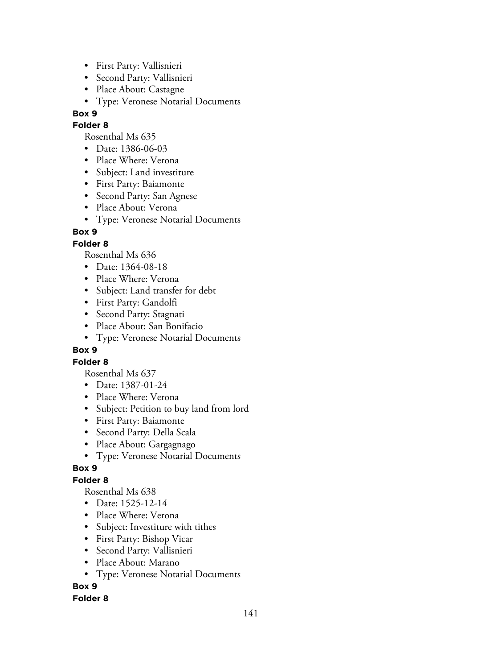- First Party: Vallisnieri
- Second Party: Vallisnieri
- Place About: Castagne
- Type: Veronese Notarial Documents

### **Folder 8**

Rosenthal Ms 635

- Date: 1386-06-03
- Place Where: Verona
- Subject: Land investiture
- First Party: Baiamonte
- Second Party: San Agnese
- Place About: Verona
- Type: Veronese Notarial Documents

## **Box 9**

## **Folder 8**

Rosenthal Ms 636

- Date: 1364-08-18
- Place Where: Verona
- Subject: Land transfer for debt
- First Party: Gandolfi
- Second Party: Stagnati
- Place About: San Bonifacio
- Type: Veronese Notarial Documents

## **Box 9**

## **Folder 8**

Rosenthal Ms 637

- Date: 1387-01-24
- Place Where: Verona
- Subject: Petition to buy land from lord
- First Party: Baiamonte
- Second Party: Della Scala
- Place About: Gargagnago
- Type: Veronese Notarial Documents

## **Box 9**

## **Folder 8**

Rosenthal Ms 638

- Date: 1525-12-14
- Place Where: Verona
- Subject: Investiture with tithes
- First Party: Bishop Vicar
- Second Party: Vallisnieri
- Place About: Marano
- Type: Veronese Notarial Documents

## **Box 9**

## **Folder 8**

141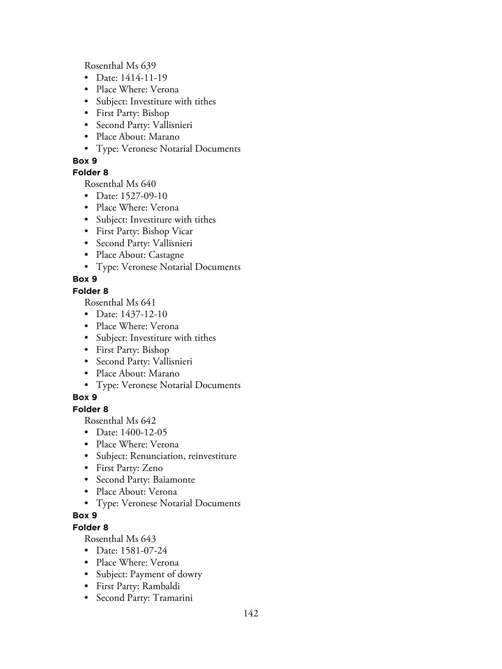Rosenthal Ms 639

- Date: 1414-11-19
- Place Where: Verona
- Subject: Investiture with tithes
- First Party: Bishop
- Second Party: Vallisnieri
- Place About: Marano
- Type: Veronese Notarial Documents

## **Box 9**

## **Folder 8**

Rosenthal Ms 640

- Date: 1527-09-10
- Place Where: Verona
- Subject: Investiture with tithes
- First Party: Bishop Vicar
- Second Party: Vallisnieri
- Place About: Castagne
- Type: Veronese Notarial Documents

## **Box 9**

## **Folder 8**

Rosenthal Ms 641

- Date: 1437-12-10
- Place Where: Verona
- Subject: Investiture with tithes
- First Party: Bishop
- Second Party: Vallisnieri
- Place About: Marano
- Type: Veronese Notarial Documents

## **Box 9**

## **Folder 8**

Rosenthal Ms 642

- Date: 1400-12-05
- Place Where: Verona
- Subject: Renunciation, reinvestiture
- First Party: Zeno
- Second Party: Baiamonte
- Place About: Verona
- Type: Veronese Notarial Documents

# **Box 9**

## **Folder 8**

- Date: 1581-07-24
- Place Where: Verona
- Subject: Payment of dowry
- First Party: Rambaldi
- Second Party: Tramarini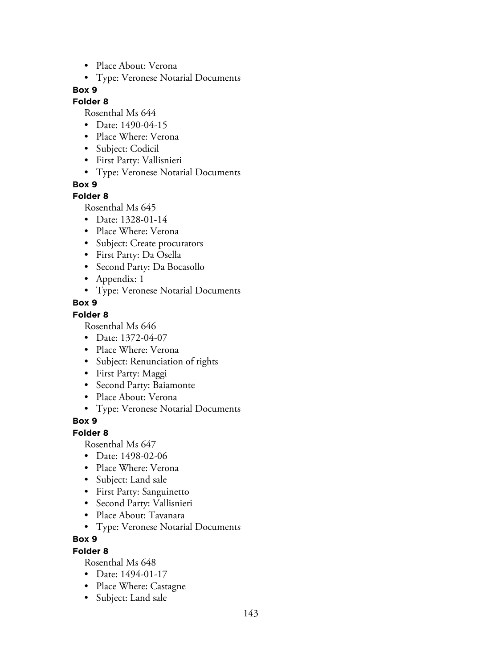- Place About: Verona
- Type: Veronese Notarial Documents

## **Folder 8**

Rosenthal Ms 644

- Date: 1490-04-15
- Place Where: Verona
- Subject: Codicil
- First Party: Vallisnieri
- Type: Veronese Notarial Documents

**Box 9**

#### **Folder 8**

Rosenthal Ms 645

- Date: 1328-01-14
- Place Where: Verona
- Subject: Create procurators
- First Party: Da Osella
- Second Party: Da Bocasollo
- Appendix: 1
- Type: Veronese Notarial Documents
- **Box 9**

#### **Folder 8**

Rosenthal Ms 646

- Date: 1372-04-07
- Place Where: Verona
- Subject: Renunciation of rights
- First Party: Maggi
- Second Party: Baiamonte
- Place About: Verona
- Type: Veronese Notarial Documents

## **Box 9**

#### **Folder 8**

Rosenthal Ms 647

- Date: 1498-02-06
- Place Where: Verona
- Subject: Land sale
- First Party: Sanguinetto
- Second Party: Vallisnieri
- Place About: Tavanara
- Type: Veronese Notarial Documents

### **Box 9**

#### **Folder 8**

- Date: 1494-01-17
- Place Where: Castagne
- Subject: Land sale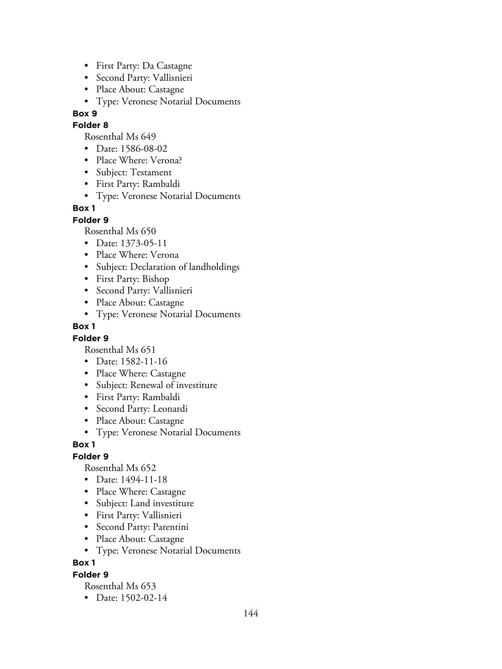- First Party: Da Castagne
- Second Party: Vallisnieri
- Place About: Castagne
- Type: Veronese Notarial Documents

### **Folder 8**

Rosenthal Ms 649

- Date: 1586-08-02
- Place Where: Verona?
- Subject: Testament
- First Party: Rambaldi
- Type: Veronese Notarial Documents

## **Box 1**

## **Folder 9**

Rosenthal Ms 650

- Date: 1373-05-11
- Place Where: Verona
- Subject: Declaration of landholdings
- First Party: Bishop
- Second Party: Vallisnieri
- Place About: Castagne
- Type: Veronese Notarial Documents

## **Box 1**

## **Folder 9**

Rosenthal Ms 651

- Date: 1582-11-16
- Place Where: Castagne
- Subject: Renewal of investiture
- First Party: Rambaldi
- Second Party: Leonardi
- Place About: Castagne
- Type: Veronese Notarial Documents

## **Box 1**

## **Folder 9**

Rosenthal Ms 652

- Date: 1494-11-18
- Place Where: Castagne
- Subject: Land investiture
- First Party: Vallisnieri
- Second Party: Parentini
- Place About: Castagne
- Type: Veronese Notarial Documents

## **Box 1**

## **Folder 9**

Rosenthal Ms 653

• Date: 1502-02-14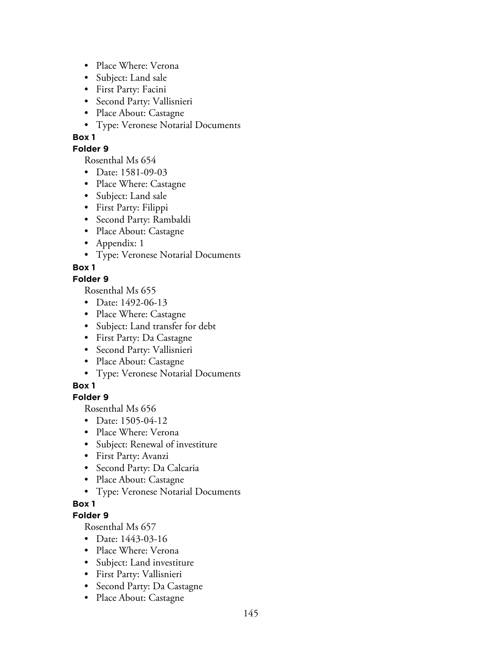- Place Where: Verona
- Subject: Land sale
- First Party: Facini
- Second Party: Vallisnieri
- Place About: Castagne
- Type: Veronese Notarial Documents

#### **Folder 9**

Rosenthal Ms 654

- Date: 1581-09-03
- Place Where: Castagne
- Subject: Land sale
- First Party: Filippi
- Second Party: Rambaldi
- Place About: Castagne
- Appendix: 1
- Type: Veronese Notarial Documents

**Box 1**

# **Folder 9**

Rosenthal Ms 655

- Date: 1492-06-13
- Place Where: Castagne
- Subject: Land transfer for debt
- First Party: Da Castagne
- Second Party: Vallisnieri
- Place About: Castagne
- Type: Veronese Notarial Documents

# **Box 1**

# **Folder 9**

Rosenthal Ms 656

- Date: 1505-04-12
- Place Where: Verona
- Subject: Renewal of investiture
- First Party: Avanzi
- Second Party: Da Calcaria
- Place About: Castagne
- Type: Veronese Notarial Documents

# **Box 1**

# **Folder 9**

- Date: 1443-03-16
- Place Where: Verona
- Subject: Land investiture
- First Party: Vallisnieri
- Second Party: Da Castagne
- Place About: Castagne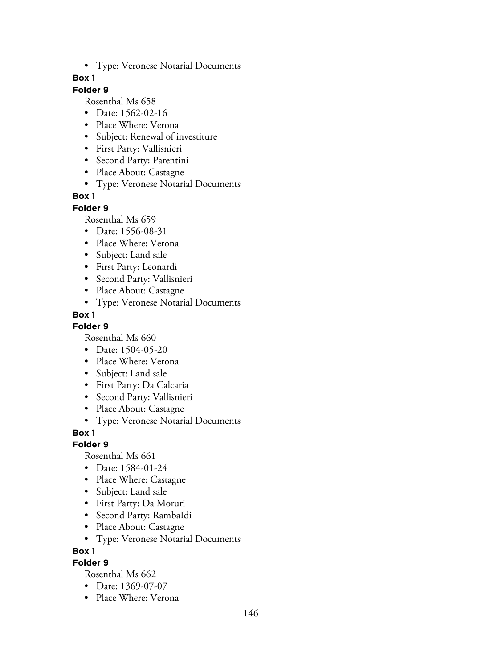• Type: Veronese Notarial Documents

#### **Box 1**

### **Folder 9**

Rosenthal Ms 658

- Date: 1562-02-16
- Place Where: Verona
- Subject: Renewal of investiture
- First Party: Vallisnieri
- Second Party: Parentini
- Place About: Castagne
- Type: Veronese Notarial Documents

#### **Box 1**

#### **Folder 9**

Rosenthal Ms 659

- Date: 1556-08-31
- Place Where: Verona
- Subject: Land sale
- First Party: Leonardi
- Second Party: Vallisnieri
- Place About: Castagne
- Type: Veronese Notarial Documents

### **Box 1**

#### **Folder 9**

Rosenthal Ms 660

- Date: 1504-05-20
- Place Where: Verona
- Subject: Land sale
- First Party: Da Calcaria
- Second Party: Vallisnieri
- Place About: Castagne
- Type: Veronese Notarial Documents

#### **Box 1**

#### **Folder 9**

Rosenthal Ms 661

- Date: 1584-01-24
- Place Where: Castagne
- Subject: Land sale
- First Party: Da Moruri
- Second Party: RambaIdi
- Place About: Castagne
- Type: Veronese Notarial Documents

**Box 1**

### **Folder 9**

- Date: 1369-07-07
- Place Where: Verona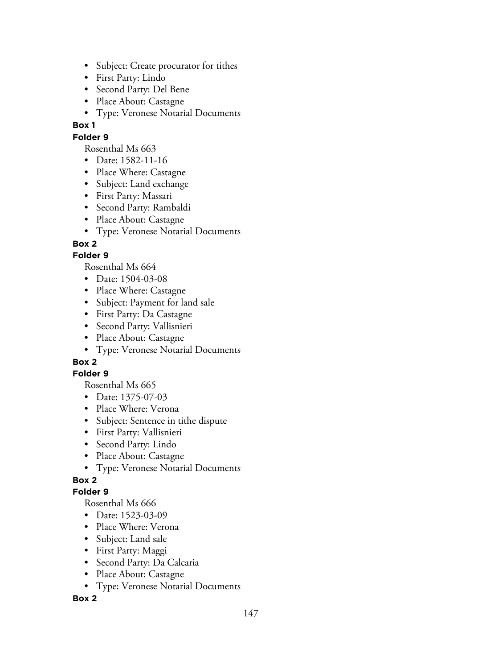- Subject: Create procurator for tithes
- First Party: Lindo
- Second Party: Del Bene
- Place About: Castagne
- Type: Veronese Notarial Documents

#### **Folder 9**

Rosenthal Ms 663

- Date: 1582-11-16
- Place Where: Castagne
- Subject: Land exchange
- First Party: Massari
- Second Party: Rambaldi
- Place About: Castagne
- Type: Veronese Notarial Documents

# **Box 2**

# **Folder 9**

Rosenthal Ms 664

- Date: 1504-03-08
- Place Where: Castagne
- Subject: Payment for land sale
- First Party: Da Castagne
- Second Party: Vallisnieri
- Place About: Castagne
- Type: Veronese Notarial Documents

# **Box 2**

# **Folder 9**

Rosenthal Ms 665

- Date: 1375-07-03
- Place Where: Verona
- Subject: Sentence in tithe dispute
- First Party: Vallisnieri
- Second Party: Lindo
- Place About: Castagne
- Type: Veronese Notarial Documents

# **Box 2**

# **Folder 9**

Rosenthal Ms 666

- Date: 1523-03-09
- Place Where: Verona
- Subject: Land sale
- First Party: Maggi
- Second Party: Da Calcaria
- Place About: Castagne
- Type: Veronese Notarial Documents

# **Box 2**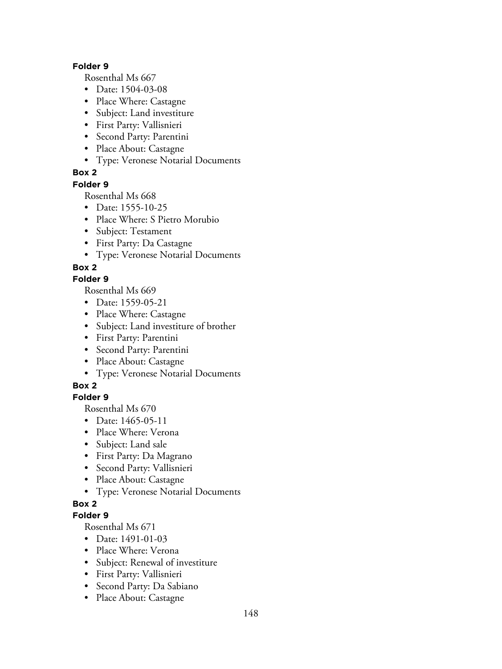#### **Folder 9**

Rosenthal Ms 667

- Date: 1504-03-08
- Place Where: Castagne
- Subject: Land investiture
- First Party: Vallisnieri
- Second Party: Parentini
- Place About: Castagne
- Type: Veronese Notarial Documents

### **Box 2**

#### **Folder 9**

Rosenthal Ms 668

- Date: 1555-10-25
- Place Where: S Pietro Morubio
- Subject: Testament
- First Party: Da Castagne
- Type: Veronese Notarial Documents

### **Box 2**

#### **Folder 9**

Rosenthal Ms 669

- Date: 1559-05-21
- Place Where: Castagne
- Subject: Land investiture of brother
- First Party: Parentini
- Second Party: Parentini
- Place About: Castagne
- Type: Veronese Notarial Documents

# **Box 2**

#### **Folder 9**

Rosenthal Ms 670

- Date: 1465-05-11
- Place Where: Verona
- Subject: Land sale
- First Party: Da Magrano
- Second Party: Vallisnieri
- Place About: Castagne
- Type: Veronese Notarial Documents

# **Box 2**

#### **Folder 9**

- Date: 1491-01-03
- Place Where: Verona
- Subject: Renewal of investiture
- First Party: Vallisnieri
- Second Party: Da Sabiano
- Place About: Castagne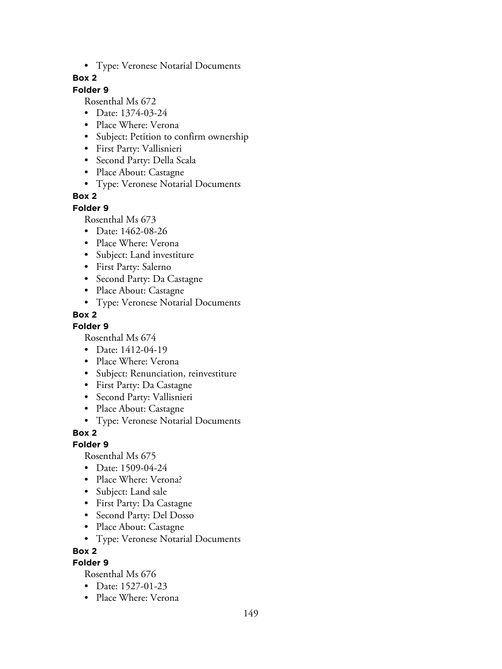• Type: Veronese Notarial Documents

#### **Box 2**

### **Folder 9**

Rosenthal Ms 672

- Date: 1374-03-24
- Place Where: Verona
- Subject: Petition to confirm ownership
- First Party: Vallisnieri
- Second Party: Della Scala
- Place About: Castagne
- Type: Veronese Notarial Documents

### **Box 2**

#### **Folder 9**

Rosenthal Ms 673

- Date: 1462-08-26
- Place Where: Verona
- Subject: Land investiture
- First Party: Salerno
- Second Party: Da Castagne
- Place About: Castagne
- Type: Veronese Notarial Documents

### **Box 2**

#### **Folder 9**

Rosenthal Ms 674

- Date: 1412-04-19
- Place Where: Verona
- Subject: Renunciation, reinvestiture
- First Party: Da Castagne
- Second Party: Vallisnieri
- Place About: Castagne
- Type: Veronese Notarial Documents

### **Box 2**

#### **Folder 9**

Rosenthal Ms 675

- Date: 1509-04-24
- Place Where: Verona?
- Subject: Land sale
- First Party: Da Castagne
- Second Party: Del Dosso
- Place About: Castagne
- Type: Veronese Notarial Documents

**Box 2**

#### **Folder 9**

- Date: 1527-01-23
- Place Where: Verona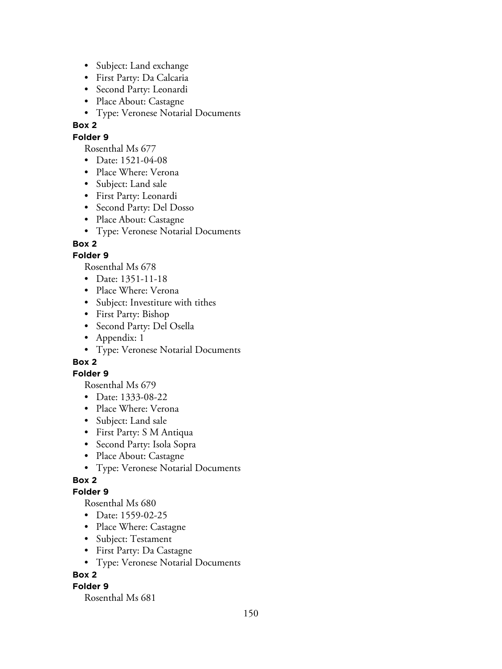- Subject: Land exchange
- First Party: Da Calcaria
- Second Party: Leonardi
- Place About: Castagne
- Type: Veronese Notarial Documents

# **Folder 9**

Rosenthal Ms 677

- Date: 1521-04-08
- Place Where: Verona
- Subject: Land sale
- First Party: Leonardi
- Second Party: Del Dosso
- Place About: Castagne
- Type: Veronese Notarial Documents

# **Box 2**

# **Folder 9**

Rosenthal Ms 678

- Date: 1351-11-18
- Place Where: Verona
- Subject: Investiture with tithes
- First Party: Bishop
- Second Party: Del Osella
- Appendix: 1
- Type: Veronese Notarial Documents

# **Box 2**

# **Folder 9**

Rosenthal Ms 679

- Date: 1333-08-22
- Place Where: Verona
- Subject: Land sale
- First Party: S M Antiqua
- Second Party: Isola Sopra
- Place About: Castagne
- Type: Veronese Notarial Documents

# **Box 2**

# **Folder 9**

Rosenthal Ms 680

- Date: 1559-02-25
- Place Where: Castagne
- Subject: Testament
- First Party: Da Castagne
- Type: Veronese Notarial Documents

# **Box 2**

# **Folder 9**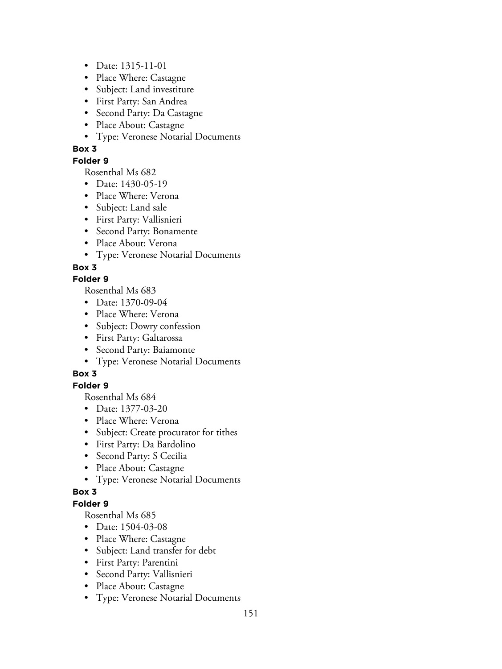- Date: 1315-11-01
- Place Where: Castagne
- Subject: Land investiture
- First Party: San Andrea
- Second Party: Da Castagne
- Place About: Castagne
- Type: Veronese Notarial Documents

#### **Folder 9**

Rosenthal Ms 682

- Date: 1430-05-19
- Place Where: Verona
- Subject: Land sale
- First Party: Vallisnieri
- Second Party: Bonamente
- Place About: Verona
- Type: Veronese Notarial Documents

### **Box 3**

#### **Folder 9**

Rosenthal Ms 683

- Date: 1370-09-04
- Place Where: Verona
- Subject: Dowry confession
- First Party: Galtarossa
- Second Party: Baiamonte
- Type: Veronese Notarial Documents

# **Box 3**

#### **Folder 9**

Rosenthal Ms 684

- Date: 1377-03-20
- Place Where: Verona
- Subject: Create procurator for tithes
- First Party: Da Bardolino
- Second Party: S Cecilia
- Place About: Castagne
- Type: Veronese Notarial Documents

#### **Box 3**

#### **Folder 9**

- Date: 1504-03-08
- Place Where: Castagne
- Subject: Land transfer for debt
- First Party: Parentini
- Second Party: Vallisnieri
- Place About: Castagne
- Type: Veronese Notarial Documents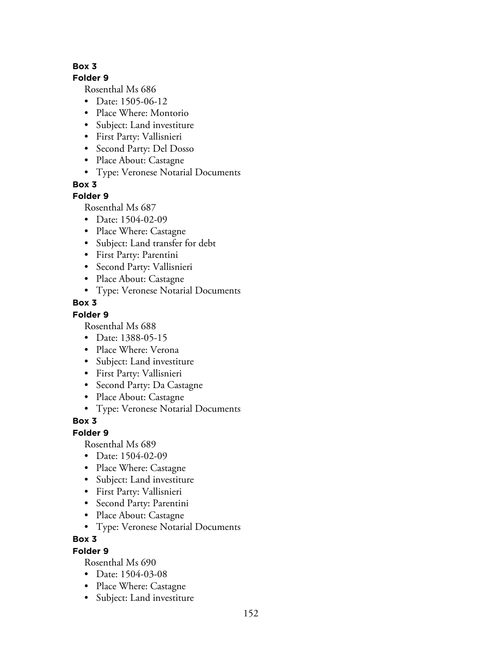#### **Folder 9**

Rosenthal Ms 686

- Date: 1505-06-12
- Place Where: Montorio
- Subject: Land investiture
- First Party: Vallisnieri
- Second Party: Del Dosso
- Place About: Castagne
- Type: Veronese Notarial Documents

**Box 3**

# **Folder 9**

Rosenthal Ms 687

- Date: 1504-02-09
- Place Where: Castagne
- Subject: Land transfer for debt
- First Party: Parentini
- Second Party: Vallisnieri
- Place About: Castagne
- Type: Veronese Notarial Documents

# **Box 3**

# **Folder 9**

Rosenthal Ms 688

- Date: 1388-05-15
- Place Where: Verona
- Subject: Land investiture
- First Party: Vallisnieri
- Second Party: Da Castagne
- Place About: Castagne
- Type: Veronese Notarial Documents

# **Box 3**

# **Folder 9**

Rosenthal Ms 689

- Date: 1504-02-09
- Place Where: Castagne
- Subject: Land investiture
- First Party: Vallisnieri
- Second Party: Parentini
- Place About: Castagne
- Type: Veronese Notarial Documents

# **Box 3**

# **Folder 9**

- Date: 1504-03-08
- Place Where: Castagne
- Subject: Land investiture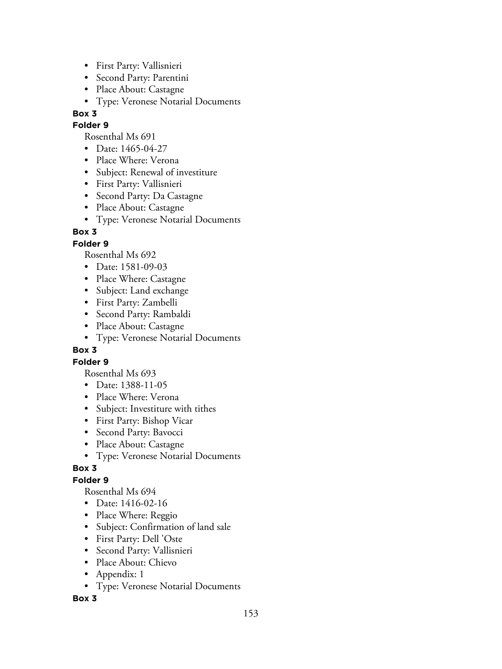- First Party: Vallisnieri
- Second Party: Parentini
- Place About: Castagne
- Type: Veronese Notarial Documents

#### **Folder 9**

Rosenthal Ms 691

- Date: 1465-04-27
- Place Where: Verona
- Subject: Renewal of investiture
- First Party: Vallisnieri
- Second Party: Da Castagne
- Place About: Castagne
- Type: Veronese Notarial Documents

# **Box 3**

# **Folder 9**

Rosenthal Ms 692

- Date: 1581-09-03
- Place Where: Castagne
- Subject: Land exchange
- First Party: Zambelli
- Second Party: Rambaldi
- Place About: Castagne
- Type: Veronese Notarial Documents

# **Box 3**

# **Folder 9**

Rosenthal Ms 693

- Date: 1388-11-05
- Place Where: Verona
- Subject: Investiture with tithes
- First Party: Bishop Vicar
- Second Party: Bavocci
- Place About: Castagne
- Type: Veronese Notarial Documents

# **Box 3**

# **Folder 9**

Rosenthal Ms 694

- Date: 1416-02-16
- Place Where: Reggio
- Subject: Confirmation of land sale
- First Party: Dell 'Oste
- Second Party: Vallisnieri
- Place About: Chievo
- Appendix: 1
- Type: Veronese Notarial Documents

#### **Box 3**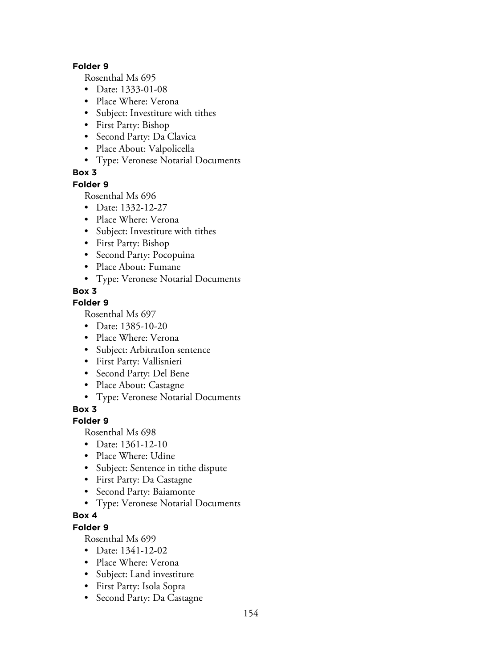#### **Folder 9**

Rosenthal Ms 695

- Date: 1333-01-08
- Place Where: Verona
- Subject: Investiture with tithes
- First Party: Bishop
- Second Party: Da Clavica
- Place About: Valpolicella
- Type: Veronese Notarial Documents

### **Box 3**

#### **Folder 9**

Rosenthal Ms 696

- Date: 1332-12-27
- Place Where: Verona
- Subject: Investiture with tithes
- First Party: Bishop
- Second Party: Pocopuina
- Place About: Fumane
- Type: Veronese Notarial Documents

### **Box 3**

### **Folder 9**

Rosenthal Ms 697

- Date: 1385-10-20
- Place Where: Verona
- Subject: ArbitratIon sentence
- First Party: Vallisnieri
- Second Party: Del Bene
- Place About: Castagne
- Type: Veronese Notarial Documents

### **Box 3**

#### **Folder 9**

Rosenthal Ms 698

- Date: 1361-12-10
- Place Where: Udine
- Subject: Sentence in tithe dispute
- First Party: Da Castagne
- Second Party: Baiamonte
- Type: Veronese Notarial Documents

# **Box 4**

# **Folder 9**

- Date: 1341-12-02
- Place Where: Verona
- Subject: Land investiture
- First Party: Isola Sopra
- Second Party: Da Castagne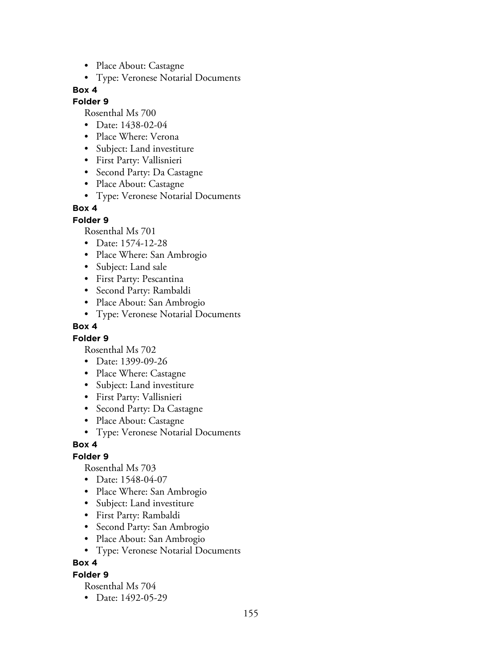- Place About: Castagne
- Type: Veronese Notarial Documents

#### **Folder 9**

Rosenthal Ms 700

- Date: 1438-02-04
- Place Where: Verona
- Subject: Land investiture
- First Party: Vallisnieri
- Second Party: Da Castagne
- Place About: Castagne
- Type: Veronese Notarial Documents

### **Box 4**

#### **Folder 9**

Rosenthal Ms 701

- Date: 1574-12-28
- Place Where: San Ambrogio
- Subject: Land sale
- First Party: Pescantina
- Second Party: Rambaldi
- Place About: San Ambrogio
- Type: Veronese Notarial Documents

#### **Box 4**

#### **Folder 9**

Rosenthal Ms 702

- Date: 1399-09-26
- Place Where: Castagne
- Subject: Land investiture
- First Party: Vallisnieri
- Second Party: Da Castagne
- Place About: Castagne
- Type: Veronese Notarial Documents

#### **Box 4**

# **Folder 9**

Rosenthal Ms 703

- Date: 1548-04-07
- Place Where: San Ambrogio
- Subject: Land investiture
- First Party: Rambaldi
- Second Party: San Ambrogio
- Place About: San Ambrogio
- Type: Veronese Notarial Documents

#### **Box 4**

#### **Folder 9**

Rosenthal Ms 704

• Date: 1492-05-29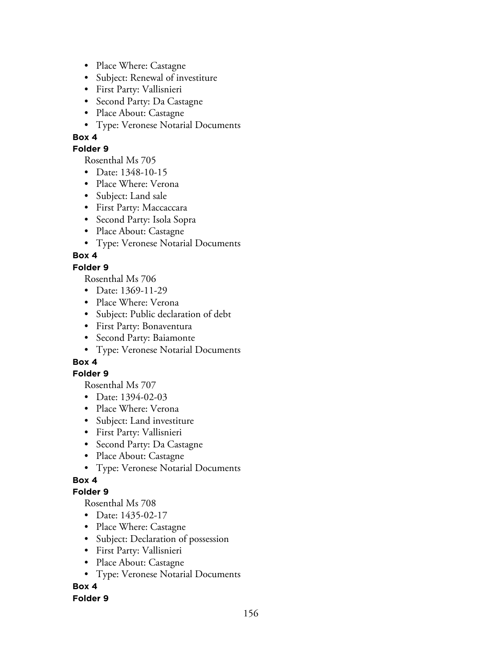- Place Where: Castagne
- Subject: Renewal of investiture
- First Party: Vallisnieri
- Second Party: Da Castagne
- Place About: Castagne
- Type: Veronese Notarial Documents

#### **Folder 9**

Rosenthal Ms 705

- Date: 1348-10-15
- Place Where: Verona
- Subject: Land sale
- First Party: Maccaccara
- Second Party: Isola Sopra
- Place About: Castagne
- Type: Veronese Notarial Documents

# **Box 4**

### **Folder 9**

Rosenthal Ms 706

- Date: 1369-11-29
- Place Where: Verona
- Subject: Public declaration of debt
- First Party: Bonaventura
- Second Party: Baiamonte
- Type: Veronese Notarial Documents

# **Box 4**

#### **Folder 9**

Rosenthal Ms 707

- Date: 1394-02-03
- Place Where: Verona
- Subject: Land investiture
- First Party: Vallisnieri
- Second Party: Da Castagne
- Place About: Castagne
- Type: Veronese Notarial Documents

# **Box 4**

#### **Folder 9**

Rosenthal Ms 708

- Date: 1435-02-17
- Place Where: Castagne
- Subject: Declaration of possession
- First Party: Vallisnieri
- Place About: Castagne
- Type: Veronese Notarial Documents

# **Box 4**

#### **Folder 9**

156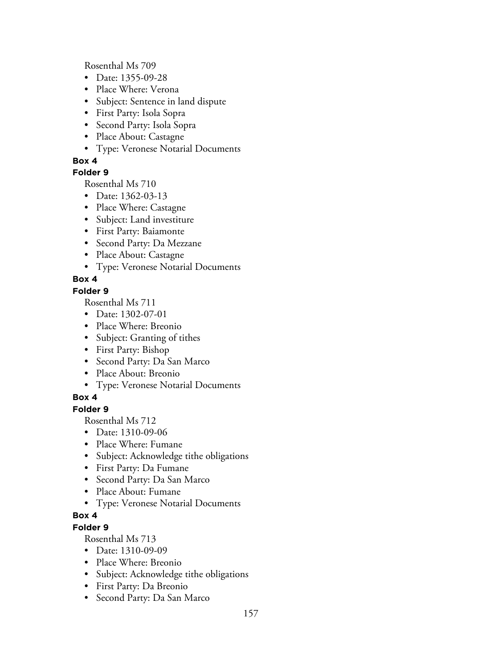Rosenthal Ms 709

- Date: 1355-09-28
- Place Where: Verona
- Subject: Sentence in land dispute
- First Party: Isola Sopra
- Second Party: Isola Sopra
- Place About: Castagne
- Type: Veronese Notarial Documents

### **Box 4**

### **Folder 9**

Rosenthal Ms 710

- Date: 1362-03-13
- Place Where: Castagne
- Subject: Land investiture
- First Party: Baiamonte
- Second Party: Da Mezzane
- Place About: Castagne
- Type: Veronese Notarial Documents

# **Box 4**

### **Folder 9**

Rosenthal Ms 711

- Date: 1302-07-01
- Place Where: Breonio
- Subject: Granting of tithes
- First Party: Bishop
- Second Party: Da San Marco
- Place About: Breonio
- Type: Veronese Notarial Documents

# **Box 4**

#### **Folder 9**

Rosenthal Ms 712

- Date: 1310-09-06
- Place Where: Fumane
- Subject: Acknowledge tithe obligations
- First Party: Da Fumane
- Second Party: Da San Marco
- Place About: Fumane
- Type: Veronese Notarial Documents

# **Box 4**

### **Folder 9**

- Date: 1310-09-09
- Place Where: Breonio
- Subject: Acknowledge tithe obligations
- First Party: Da Breonio
- Second Party: Da San Marco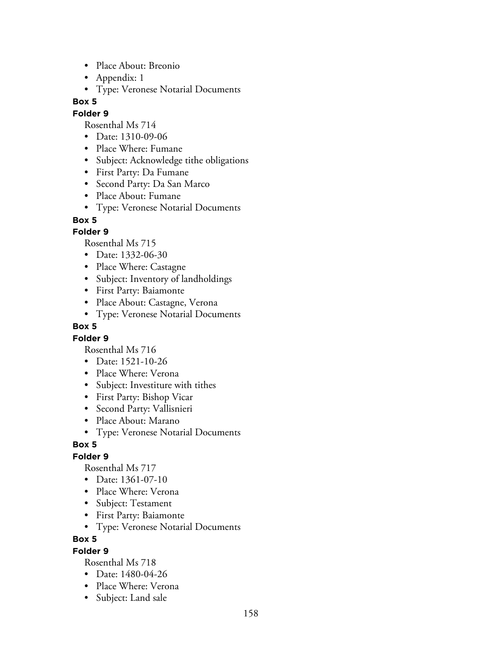- Place About: Breonio
- Appendix: 1
- Type: Veronese Notarial Documents

#### **Folder 9**

Rosenthal Ms 714

- Date: 1310-09-06
- Place Where: Fumane
- Subject: Acknowledge tithe obligations
- First Party: Da Fumane
- Second Party: Da San Marco
- Place About: Fumane
- Type: Veronese Notarial Documents

#### **Box 5**

#### **Folder 9**

Rosenthal Ms 715

- Date: 1332-06-30
- Place Where: Castagne
- Subject: Inventory of landholdings
- First Party: Baiamonte
- Place About: Castagne, Verona
- Type: Veronese Notarial Documents

#### **Box 5**

#### **Folder 9**

Rosenthal Ms 716

- Date: 1521-10-26
- Place Where: Verona
- Subject: Investiture with tithes
- First Party: Bishop Vicar
- Second Party: Vallisnieri
- Place About: Marano
- Type: Veronese Notarial Documents

#### **Box 5**

#### **Folder 9**

Rosenthal Ms 717

- Date: 1361-07-10
- Place Where: Verona
- Subject: Testament
- First Party: Baiamonte
- Type: Veronese Notarial Documents

#### **Box 5**

#### **Folder 9**

- Date: 1480-04-26
- Place Where: Verona
- Subject: Land sale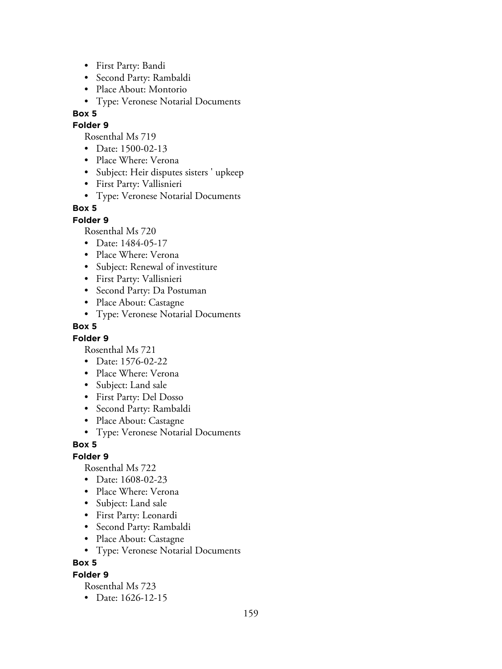- First Party: Bandi
- Second Party: Rambaldi
- Place About: Montorio
- Type: Veronese Notarial Documents

#### **Folder 9**

Rosenthal Ms 719

- Date: 1500-02-13
- Place Where: Verona
- Subject: Heir disputes sisters ' upkeep
- First Party: Vallisnieri
- Type: Veronese Notarial Documents

#### **Box 5**

#### **Folder 9**

Rosenthal Ms 720

- Date: 1484-05-17
- Place Where: Verona
- Subject: Renewal of investiture
- First Party: Vallisnieri
- Second Party: Da Postuman
- Place About: Castagne
- Type: Veronese Notarial Documents

#### **Box 5**

#### **Folder 9**

Rosenthal Ms 721

- Date: 1576-02-22
- Place Where: Verona
- Subject: Land sale
- First Party: Del Dosso
- Second Party: Rambaldi
- Place About: Castagne
- Type: Veronese Notarial Documents

#### **Box 5**

#### **Folder 9**

Rosenthal Ms 722

- Date: 1608-02-23
- Place Where: Verona
- Subject: Land sale
- First Party: Leonardi
- Second Party: Rambaldi
- Place About: Castagne
- Type: Veronese Notarial Documents

#### **Box 5**

#### **Folder 9**

Rosenthal Ms 723

• Date: 1626-12-15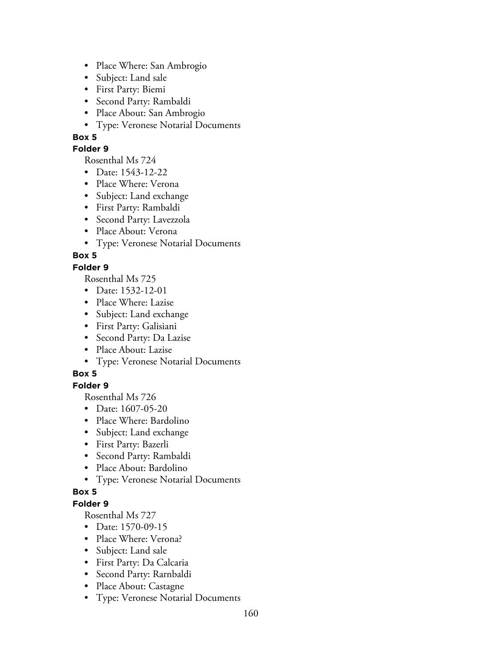- Place Where: San Ambrogio
- Subject: Land sale
- First Party: Biemi
- Second Party: Rambaldi
- Place About: San Ambrogio
- Type: Veronese Notarial Documents

#### **Folder 9**

Rosenthal Ms 724

- Date: 1543-12-22
- Place Where: Verona
- Subject: Land exchange
- First Party: Rambaldi
- Second Party: Lavezzola
- Place About: Verona
- Type: Veronese Notarial Documents

# **Box 5**

#### **Folder 9**

Rosenthal Ms 725

- Date: 1532-12-01
- Place Where: Lazise
- Subject: Land exchange
- First Party: Galisiani
- Second Party: Da Lazise
- Place About: Lazise
- Type: Veronese Notarial Documents

# **Box 5**

### **Folder 9**

Rosenthal Ms 726

- Date: 1607-05-20
- Place Where: Bardolino
- Subject: Land exchange
- First Party: Bazerli
- Second Party: Rambaldi
- Place About: Bardolino
- Type: Veronese Notarial Documents

#### **Box 5**

#### **Folder 9**

- Date: 1570-09-15
- Place Where: Verona?
- Subject: Land sale
- First Party: Da Calcaria
- Second Party: Rarnbaldi
- Place About: Castagne
- Type: Veronese Notarial Documents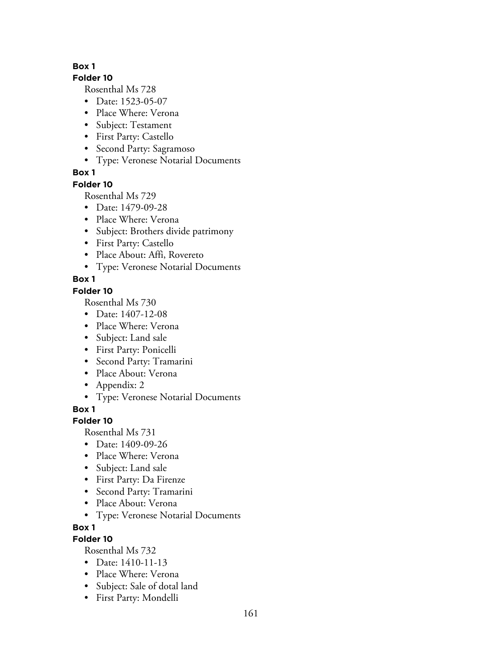#### **Folder 10**

Rosenthal Ms 728

- Date: 1523-05-07
- Place Where: Verona
- Subject: Testament
- First Party: Castello
- Second Party: Sagramoso
- Type: Veronese Notarial Documents

# **Box 1**

# **Folder 10**

Rosenthal Ms 729

- Date: 1479-09-28
- Place Where: Verona
- Subject: Brothers divide patrimony
- First Party: Castello
- Place About: Affi, Rovereto
- Type: Veronese Notarial Documents

# **Box 1**

# **Folder 10**

Rosenthal Ms 730

- Date: 1407-12-08
- Place Where: Verona
- Subject: Land sale
- First Party: Ponicelli
- Second Party: Tramarini
- Place About: Verona
- Appendix: 2
- Type: Veronese Notarial Documents

**Box 1**

# **Folder 10**

Rosenthal Ms 731

- Date: 1409-09-26
- Place Where: Verona
- Subject: Land sale
- First Party: Da Firenze
- Second Party: Tramarini
- Place About: Verona
- Type: Veronese Notarial Documents
- **Box 1**

# **Folder 10**

- Date: 1410-11-13
- Place Where: Verona
- Subject: Sale of dotal land
- First Party: Mondelli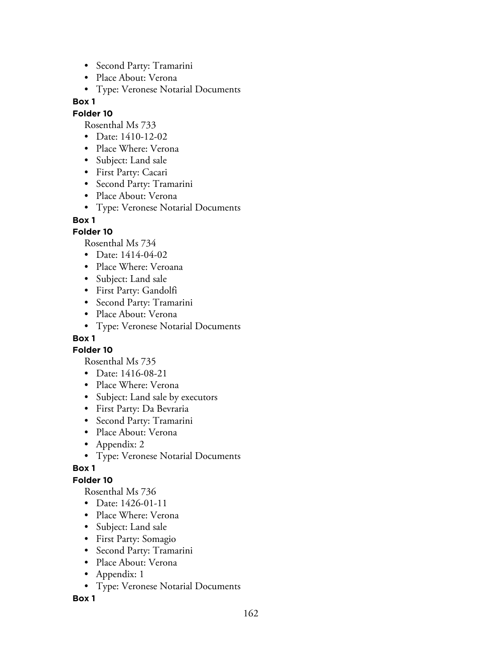- Second Party: Tramarini
- Place About: Verona
- Type: Veronese Notarial Documents

#### **Folder 10**

Rosenthal Ms 733

- Date: 1410-12-02
- Place Where: Verona
- Subject: Land sale
- First Party: Cacari
- Second Party: Tramarini
- Place About: Verona
- Type: Veronese Notarial Documents

#### **Box 1**

#### **Folder 10**

Rosenthal Ms 734

- Date: 1414-04-02
- Place Where: Veroana
- Subject: Land sale
- First Party: Gandolfi
- Second Party: Tramarini
- Place About: Verona
- Type: Veronese Notarial Documents

#### **Box 1**

**Folder 10**

Rosenthal Ms 735

- Date: 1416-08-21
- Place Where: Verona
- Subject: Land sale by executors
- First Party: Da Bevraria
- Second Party: Tramarini
- Place About: Verona
- Appendix: 2
- Type: Veronese Notarial Documents

#### **Box 1**

#### **Folder 10**

Rosenthal Ms 736

- Date: 1426-01-11
- Place Where: Verona
- Subject: Land sale
- First Party: Somagio
- Second Party: Tramarini
- Place About: Verona
- Appendix: 1
- Type: Veronese Notarial Documents

**Box 1**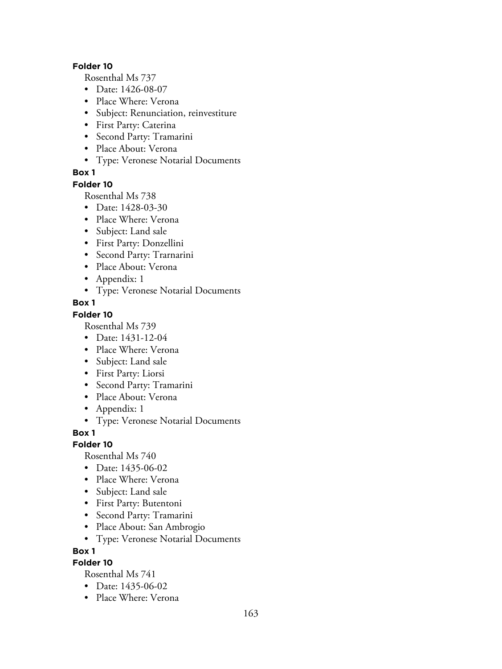#### **Folder 10**

Rosenthal Ms 737

- Date: 1426-08-07
- Place Where: Verona
- Subject: Renunciation, reinvestiture
- First Party: Caterina
- Second Party: Tramarini
- Place About: Verona
- Type: Veronese Notarial Documents

#### **Box 1**

#### **Folder 10**

Rosenthal Ms 738

- Date: 1428-03-30
- Place Where: Verona
- Subject: Land sale
- First Party: Donzellini
- Second Party: Trarnarini
- Place About: Verona
- Appendix: 1
- Type: Veronese Notarial Documents

#### **Box 1**

#### **Folder 10**

Rosenthal Ms 739

- Date: 1431-12-04
- Place Where: Verona
- Subject: Land sale
- First Party: Liorsi
- Second Party: Tramarini
- Place About: Verona
- Appendix: 1
- Type: Veronese Notarial Documents

**Box 1**

#### **Folder 10**

Rosenthal Ms 740

- Date: 1435-06-02
- Place Where: Verona
- Subject: Land sale
- First Party: Butentoni
- Second Party: Tramarini
- Place About: San Ambrogio
- Type: Veronese Notarial Documents

**Box 1**

### **Folder 10**

- Date: 1435-06-02
- Place Where: Verona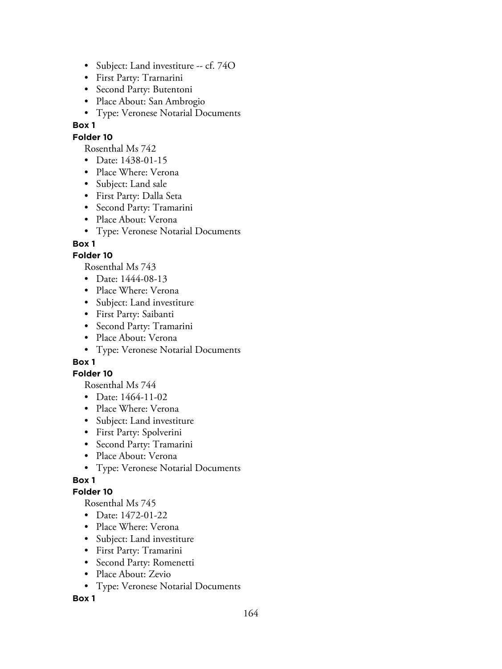- Subject: Land investiture -- cf. 74O
- First Party: Trarnarini
- Second Party: Butentoni
- Place About: San Ambrogio
- Type: Veronese Notarial Documents

### **Folder 10**

Rosenthal Ms 742

- Date: 1438-01-15
- Place Where: Verona
- Subject: Land sale
- First Party: Dalla Seta
- Second Party: Tramarini
- Place About: Verona
- Type: Veronese Notarial Documents

# **Box 1**

### **Folder 10**

Rosenthal Ms 743

- Date: 1444-08-13
- Place Where: Verona
- Subject: Land investiture
- First Party: Saibanti
- Second Party: Tramarini
- Place About: Verona
- Type: Veronese Notarial Documents

# **Box 1**

#### **Folder 10**

Rosenthal Ms 744

- Date: 1464-11-02
- Place Where: Verona
- Subject: Land investiture
- First Party: Spolverini
- Second Party: Tramarini
- Place About: Verona
- Type: Veronese Notarial Documents

# **Box 1**

#### **Folder 10**

Rosenthal Ms 745

- Date: 1472-01-22
- Place Where: Verona
- Subject: Land investiture
- First Party: Tramarini
- Second Party: Romenetti
- Place About: Zevio
- Type: Veronese Notarial Documents

#### **Box 1**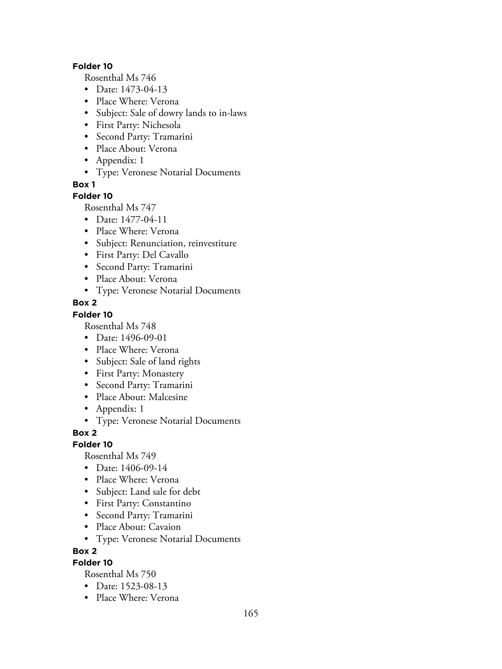#### **Folder 10**

Rosenthal Ms 746

- Date: 1473-04-13
- Place Where: Verona
- Subject: Sale of dowry lands to in-laws
- First Party: Nichesola
- Second Party: Tramarini
- Place About: Verona
- Appendix: 1
- Type: Veronese Notarial Documents

**Box 1**

#### **Folder 10**

Rosenthal Ms 747

- Date: 1477-04-11
- Place Where: Verona
- Subject: Renunciation, reinvestiture
- First Party: Del Cavallo
- Second Party: Tramarini
- Place About: Verona
- Type: Veronese Notarial Documents

#### **Box 2**

#### **Folder 10**

Rosenthal Ms 748

- Date: 1496-09-01
- Place Where: Verona
- Subject: Sale of land rights
- First Party: Monastery
- Second Party: Tramarini
- Place About: Malcesine
- Appendix: 1
- Type: Veronese Notarial Documents

**Box 2**

#### **Folder 10**

Rosenthal Ms 749

- Date: 1406-09-14
- Place Where: Verona
- Subject: Land sale for debt
- First Party: Constantino
- Second Party: Tramarini
- Place About: Cavaion
- Type: Veronese Notarial Documents

**Box 2**

### **Folder 10**

- Date: 1523-08-13
- Place Where: Verona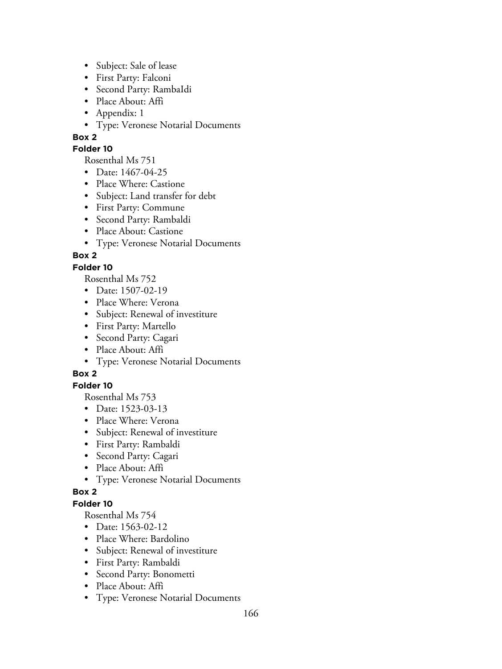- Subject: Sale of lease
- First Party: Falconi
- Second Party: RambaIdi
- Place About: Affi
- Appendix: 1
- Type: Veronese Notarial Documents

#### **Folder 10**

Rosenthal Ms 751

- Date: 1467-04-25
- Place Where: Castione
- Subject: Land transfer for debt
- First Party: Commune
- Second Party: Rambaldi
- Place About: Castione
- Type: Veronese Notarial Documents

# **Box 2**

#### **Folder 10**

Rosenthal Ms 752

- Date: 1507-02-19
- Place Where: Verona
- Subject: Renewal of investiture
- First Party: Martello
- Second Party: Cagari
- Place About: Affi
- Type: Veronese Notarial Documents

# **Box 2**

# **Folder 10**

Rosenthal Ms 753

- Date: 1523-03-13
- Place Where: Verona
- Subject: Renewal of investiture
- First Party: Rambaldi
- Second Party: Cagari
- Place About: Affi
- Type: Veronese Notarial Documents

#### **Box 2**

### **Folder 10**

- Date: 1563-02-12
- Place Where: Bardolino
- Subject: Renewal of investiture
- First Party: Rambaldi
- Second Party: Bonometti
- Place About: Affi
- Type: Veronese Notarial Documents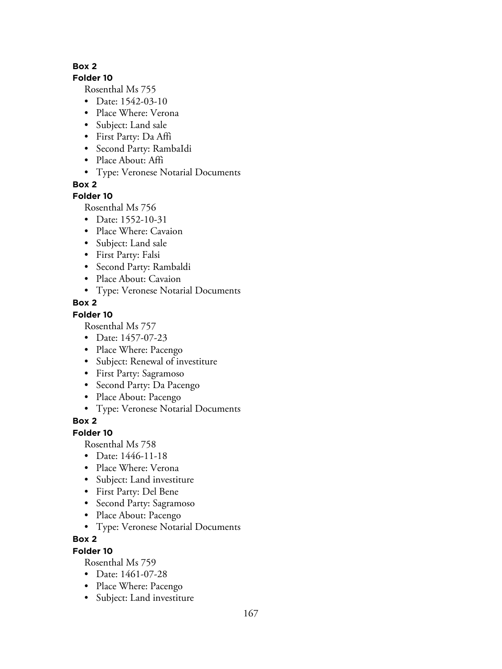#### **Folder 10**

Rosenthal Ms 755

- Date: 1542-03-10
- Place Where: Verona
- Subject: Land sale
- First Party: Da Affi
- Second Party: RambaIdi
- Place About: Affi
- Type: Veronese Notarial Documents

**Box 2**

# **Folder 10**

Rosenthal Ms 756

- Date: 1552-10-31
- Place Where: Cavaion
- Subject: Land sale
- First Party: Falsi
- Second Party: Rambaldi
- Place About: Cavaion
- Type: Veronese Notarial Documents

# **Box 2**

# **Folder 10**

Rosenthal Ms 757

- Date: 1457-07-23
- Place Where: Pacengo
- Subject: Renewal of investiture
- First Party: Sagramoso
- Second Party: Da Pacengo
- Place About: Pacengo
- Type: Veronese Notarial Documents

# **Box 2**

# **Folder 10**

Rosenthal Ms 758

- Date: 1446-11-18
- Place Where: Verona
- Subject: Land investiture
- First Party: Del Bene
- Second Party: Sagramoso
- Place About: Pacengo
- Type: Veronese Notarial Documents

# **Box 2**

# **Folder 10**

- Date: 1461-07-28
- Place Where: Pacengo
- Subject: Land investiture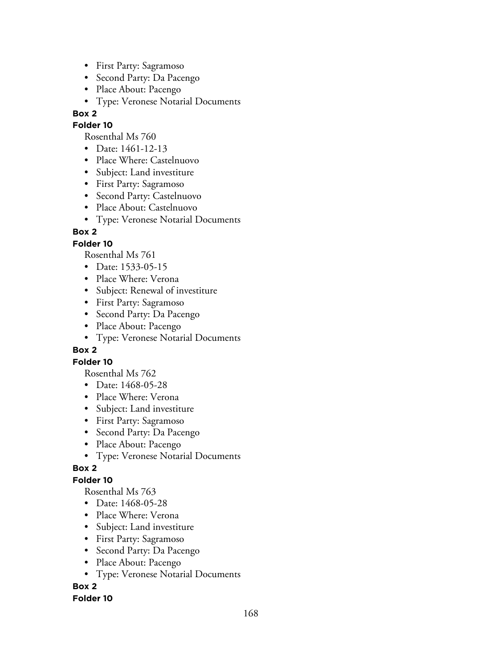- First Party: Sagramoso
- Second Party: Da Pacengo
- Place About: Pacengo
- Type: Veronese Notarial Documents

#### **Folder 10**

Rosenthal Ms 760

- Date: 1461-12-13
- Place Where: Castelnuovo
- Subject: Land investiture
- First Party: Sagramoso
- Second Party: Castelnuovo
- Place About: Castelnuovo
- Type: Veronese Notarial Documents

# **Box 2**

### **Folder 10**

Rosenthal Ms 761

- Date: 1533-05-15
- Place Where: Verona
- Subject: Renewal of investiture
- First Party: Sagramoso
- Second Party: Da Pacengo
- Place About: Pacengo
- Type: Veronese Notarial Documents

# **Box 2**

# **Folder 10**

Rosenthal Ms 762

- Date: 1468-05-28
- Place Where: Verona
- Subject: Land investiture
- First Party: Sagramoso
- Second Party: Da Pacengo
- Place About: Pacengo
- Type: Veronese Notarial Documents

# **Box 2**

# **Folder 10**

Rosenthal Ms 763

- Date: 1468-05-28
- Place Where: Verona
- Subject: Land investiture
- First Party: Sagramoso
- Second Party: Da Pacengo
- Place About: Pacengo
- Type: Veronese Notarial Documents

# **Box 2**

#### **Folder 10**

168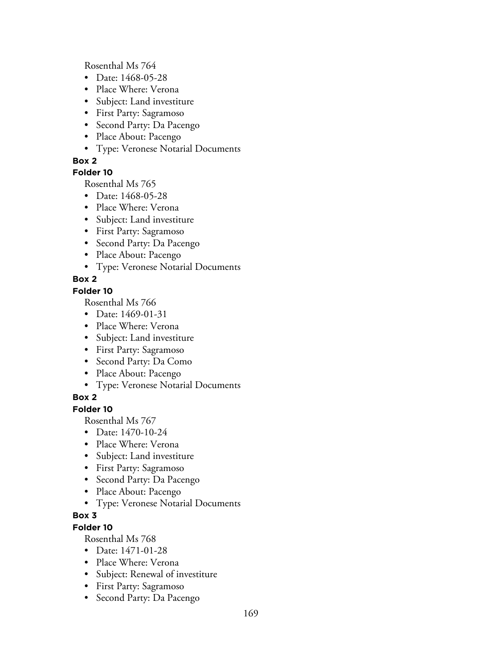Rosenthal Ms 764

- Date: 1468-05-28
- Place Where: Verona
- Subject: Land investiture
- First Party: Sagramoso
- Second Party: Da Pacengo
- Place About: Pacengo
- Type: Veronese Notarial Documents

#### **Box 2**

### **Folder 10**

Rosenthal Ms 765

- Date: 1468-05-28
- Place Where: Verona
- Subject: Land investiture
- First Party: Sagramoso
- Second Party: Da Pacengo
- Place About: Pacengo
- Type: Veronese Notarial Documents

# **Box 2**

### **Folder 10**

Rosenthal Ms 766

- Date: 1469-01-31
- Place Where: Verona
- Subject: Land investiture
- First Party: Sagramoso
- Second Party: Da Como
- Place About: Pacengo
- Type: Veronese Notarial Documents

# **Box 2**

### **Folder 10**

Rosenthal Ms 767

- Date: 1470-10-24
- Place Where: Verona
- Subject: Land investiture
- First Party: Sagramoso
- Second Party: Da Pacengo
- Place About: Pacengo
- Type: Veronese Notarial Documents

# **Box 3**

# **Folder 10**

- Date: 1471-01-28
- Place Where: Verona
- Subject: Renewal of investiture
- First Party: Sagramoso
- Second Party: Da Pacengo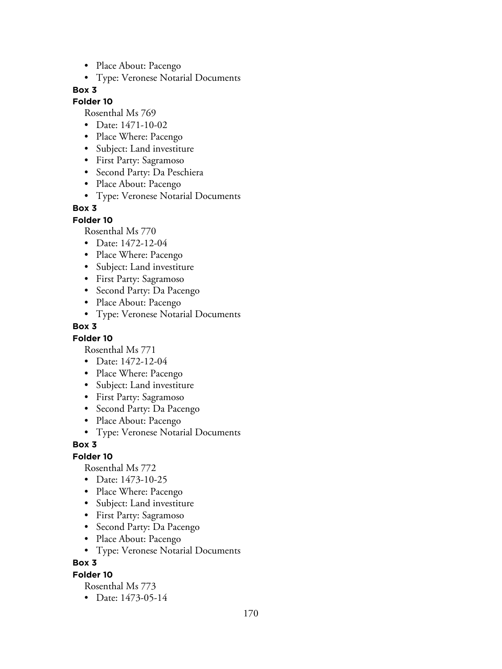- Place About: Pacengo
- Type: Veronese Notarial Documents

#### **Folder 10**

Rosenthal Ms 769

- Date: 1471-10-02
- Place Where: Pacengo
- Subject: Land investiture
- First Party: Sagramoso
- Second Party: Da Peschiera
- Place About: Pacengo
- Type: Veronese Notarial Documents

#### **Box 3**

**Folder 10**

Rosenthal Ms 770

- Date: 1472-12-04
- Place Where: Pacengo
- Subject: Land investiture
- First Party: Sagramoso
- Second Party: Da Pacengo
- Place About: Pacengo
- Type: Veronese Notarial Documents

#### **Box 3**

#### **Folder 10**

Rosenthal Ms 771

- Date: 1472-12-04
- Place Where: Pacengo
- Subject: Land investiture
- First Party: Sagramoso
- Second Party: Da Pacengo
- Place About: Pacengo
- Type: Veronese Notarial Documents

#### **Box 3**

#### **Folder 10**

Rosenthal Ms 772

- Date: 1473-10-25
- Place Where: Pacengo
- Subject: Land investiture
- First Party: Sagramoso
- Second Party: Da Pacengo
- Place About: Pacengo
- Type: Veronese Notarial Documents

#### **Box 3**

#### **Folder 10**

Rosenthal Ms 773

• Date: 1473-05-14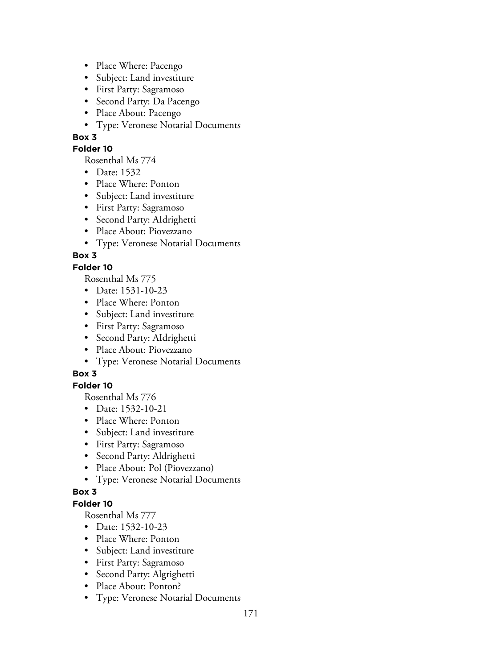- Place Where: Pacengo
- Subject: Land investiture
- First Party: Sagramoso
- Second Party: Da Pacengo
- Place About: Pacengo
- Type: Veronese Notarial Documents

### **Folder 10**

Rosenthal Ms 774

- Date: 1532
- Place Where: Ponton
- Subject: Land investiture
- First Party: Sagramoso
- Second Party: AIdrighetti
- Place About: Piovezzano
- Type: Veronese Notarial Documents

# **Box 3**

### **Folder 10**

Rosenthal Ms 775

- Date: 1531-10-23
- Place Where: Ponton
- Subject: Land investiture
- First Party: Sagramoso
- Second Party: AIdrighetti
- Place About: Piovezzano
- Type: Veronese Notarial Documents

# **Box 3**

# **Folder 10**

Rosenthal Ms 776

- Date: 1532-10-21
- Place Where: Ponton
- Subject: Land investiture
- First Party: Sagramoso
- Second Party: Aldrighetti
- Place About: Pol (Piovezzano)
- Type: Veronese Notarial Documents

# **Box 3**

### **Folder 10**

- Date: 1532-10-23
- Place Where: Ponton
- Subject: Land investiture
- First Party: Sagramoso
- Second Party: Algrighetti
- Place About: Ponton?
- Type: Veronese Notarial Documents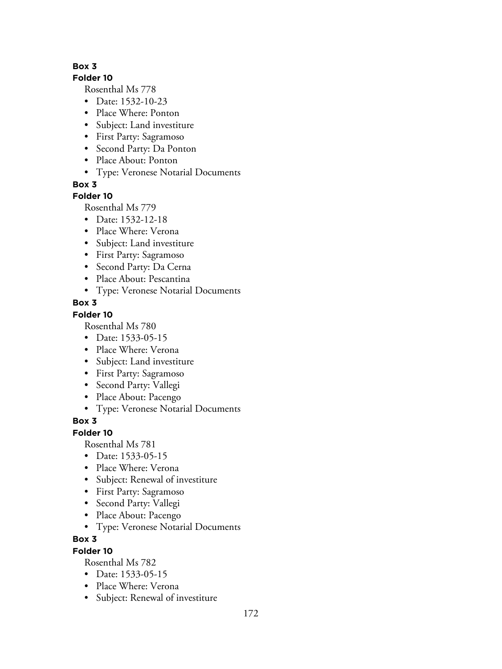#### **Folder 10**

Rosenthal Ms 778

- Date: 1532-10-23
- Place Where: Ponton
- Subject: Land investiture
- First Party: Sagramoso
- Second Party: Da Ponton
- Place About: Ponton
- Type: Veronese Notarial Documents

**Box 3**

### **Folder 10**

Rosenthal Ms 779

- Date: 1532-12-18
- Place Where: Verona
- Subject: Land investiture
- First Party: Sagramoso
- Second Party: Da Cerna
- Place About: Pescantina
- Type: Veronese Notarial Documents

# **Box 3**

### **Folder 10**

Rosenthal Ms 780

- Date: 1533-05-15
- Place Where: Verona
- Subject: Land investiture
- First Party: Sagramoso
- Second Party: Vallegi
- Place About: Pacengo
- Type: Veronese Notarial Documents

# **Box 3**

# **Folder 10**

Rosenthal Ms 781

- Date: 1533-05-15
- Place Where: Verona
- Subject: Renewal of investiture
- First Party: Sagramoso
- Second Party: Vallegi
- Place About: Pacengo
- Type: Veronese Notarial Documents

# **Box 3**

# **Folder 10**

- Date: 1533-05-15
- Place Where: Verona
- Subject: Renewal of investiture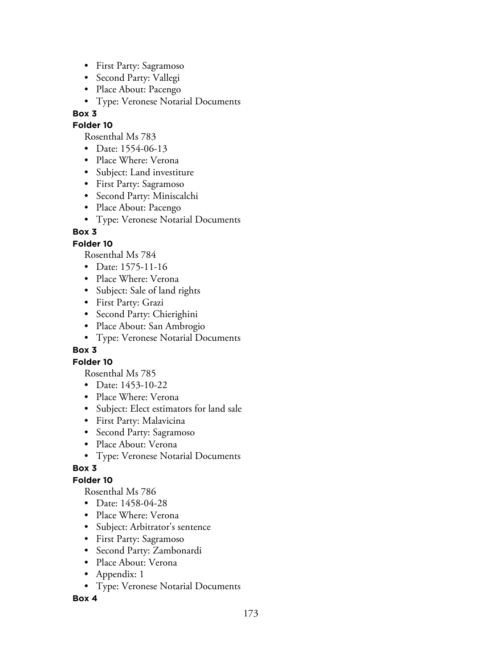- First Party: Sagramoso
- Second Party: Vallegi
- Place About: Pacengo
- Type: Veronese Notarial Documents

#### **Folder 10**

Rosenthal Ms 783

- Date: 1554-06-13
- Place Where: Verona
- Subject: Land investiture
- First Party: Sagramoso
- Second Party: Miniscalchi
- Place About: Pacengo
- Type: Veronese Notarial Documents

# **Box 3**

### **Folder 10**

Rosenthal Ms 784

- Date: 1575-11-16
- Place Where: Verona
- Subject: Sale of land rights
- First Party: Grazi
- Second Party: Chierighini
- Place About: San Ambrogio
- Type: Veronese Notarial Documents

#### **Box 3**

#### **Folder 10**

Rosenthal Ms 785

- Date: 1453-10-22
- Place Where: Verona
- Subject: Elect estimators for land sale
- First Party: Malavicina
- Second Party: Sagramoso
- Place About: Verona
- Type: Veronese Notarial Documents

#### **Box 3**

# **Folder 10**

Rosenthal Ms 786

- Date: 1458-04-28
- Place Where: Verona
- Subject: Arbitrator's sentence
- First Party: Sagramoso
- Second Party: Zambonardi
- Place About: Verona
- Appendix: 1
- Type: Veronese Notarial Documents

#### **Box 4**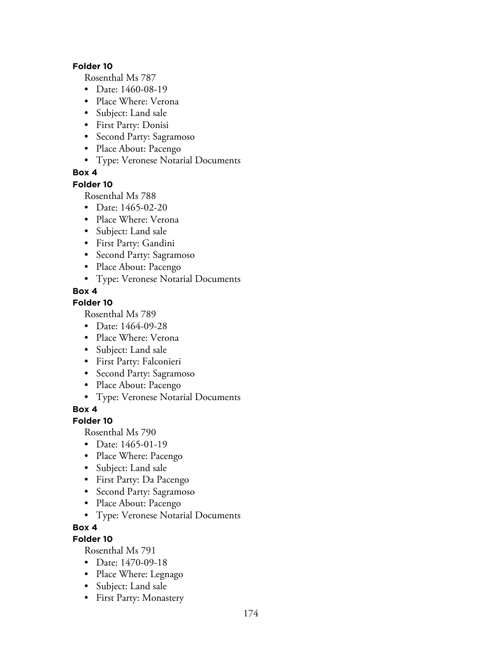#### **Folder 10**

Rosenthal Ms 787

- Date: 1460-08-19
- Place Where: Verona
- Subject: Land sale
- First Party: Donisi
- Second Party: Sagramoso
- Place About: Pacengo
- Type: Veronese Notarial Documents

### **Box 4**

#### **Folder 10**

Rosenthal Ms 788

- Date: 1465-02-20
- Place Where: Verona
- Subject: Land sale
- First Party: Gandini
- Second Party: Sagramoso
- Place About: Pacengo
- Type: Veronese Notarial Documents

### **Box 4**

#### **Folder 10**

Rosenthal Ms 789

- Date: 1464-09-28
- Place Where: Verona
- Subject: Land sale
- First Party: Falconieri
- Second Party: Sagramoso
- Place About: Pacengo
- Type: Veronese Notarial Documents

**Box 4**

# **Folder 10**

Rosenthal Ms 790

- Date: 1465-01-19
- Place Where: Pacengo
- Subject: Land sale
- First Party: Da Pacengo
- Second Party: Sagramoso
- Place About: Pacengo
- Type: Veronese Notarial Documents

#### **Box 4**

# **Folder 10**

- Date: 1470-09-18
- Place Where: Legnago
- Subject: Land sale
- First Party: Monastery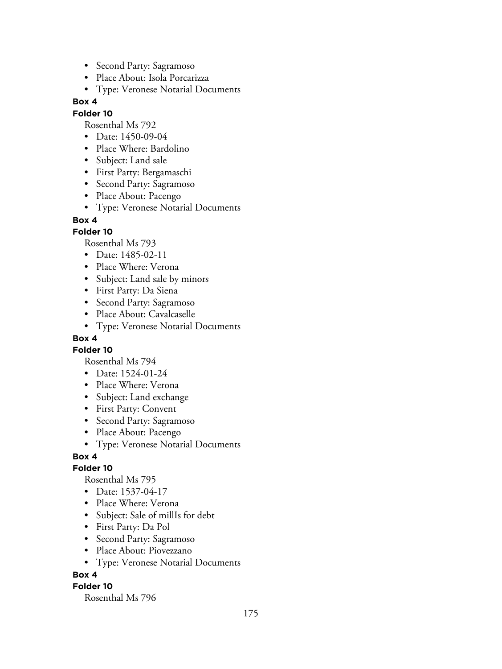- Second Party: Sagramoso
- Place About: Isola Porcarizza
- Type: Veronese Notarial Documents

#### **Folder 10**

Rosenthal Ms 792

- Date: 1450-09-04
- Place Where: Bardolino
- Subject: Land sale
- First Party: Bergamaschi
- Second Party: Sagramoso
- Place About: Pacengo
- Type: Veronese Notarial Documents

#### **Box 4**

#### **Folder 10**

Rosenthal Ms 793

- Date: 1485-02-11
- Place Where: Verona
- Subject: Land sale by minors
- First Party: Da Siena
- Second Party: Sagramoso
- Place About: Cavalcaselle
- Type: Veronese Notarial Documents

#### **Box 4**

**Folder 10**

Rosenthal Ms 794

- Date: 1524-01-24
- Place Where: Verona
- Subject: Land exchange
- First Party: Convent
- Second Party: Sagramoso
- Place About: Pacengo
- Type: Veronese Notarial Documents

#### **Box 4**

#### **Folder 10**

Rosenthal Ms 795

- Date: 1537-04-17
- Place Where: Verona
- Subject: Sale of millIs for debt
- First Party: Da Pol
- Second Party: Sagramoso
- Place About: Piovezzano
- Type: Veronese Notarial Documents

#### **Box 4**

#### **Folder 10**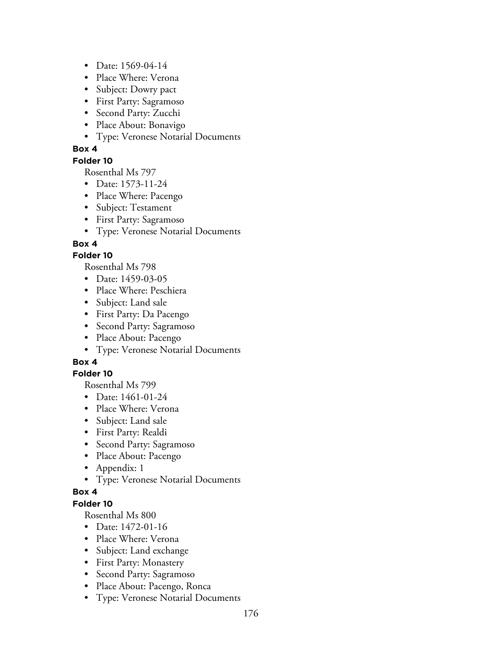- Date: 1569-04-14
- Place Where: Verona
- Subject: Dowry pact
- First Party: Sagramoso
- Second Party: Zucchi
- Place About: Bonavigo
- Type: Veronese Notarial Documents

#### **Folder 10**

Rosenthal Ms 797

- Date: 1573-11-24
- Place Where: Pacengo
- Subject: Testament
- First Party: Sagramoso
- Type: Veronese Notarial Documents

### **Box 4**

### **Folder 10**

Rosenthal Ms 798

- Date: 1459-03-05
- Place Where: Peschiera
- Subject: Land sale
- First Party: Da Pacengo
- Second Party: Sagramoso
- Place About: Pacengo
- Type: Veronese Notarial Documents

# **Box 4**

#### **Folder 10**

Rosenthal Ms 799

- Date: 1461-01-24
- Place Where: Verona
- Subject: Land sale
- First Party: Realdi
- Second Party: Sagramoso
- Place About: Pacengo
- Appendix: 1
- Type: Veronese Notarial Documents

#### **Box 4**

### **Folder 10**

- Date: 1472-01-16
- Place Where: Verona
- Subject: Land exchange
- First Party: Monastery
- Second Party: Sagramoso
- Place About: Pacengo, Ronca
- Type: Veronese Notarial Documents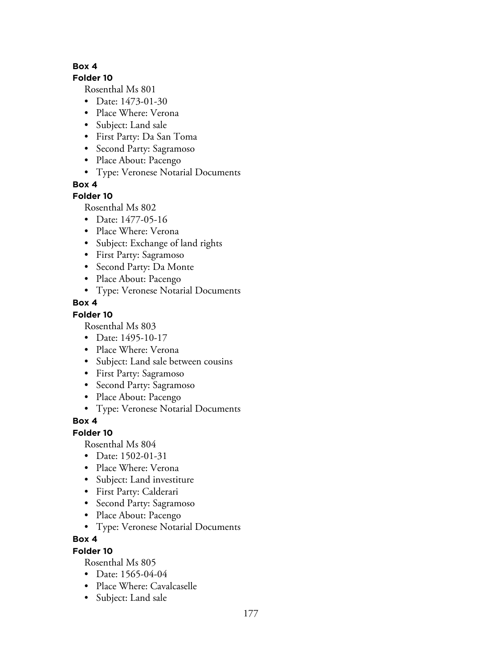#### **Folder 10**

Rosenthal Ms 801

- Date: 1473-01-30
- Place Where: Verona
- Subject: Land sale
- First Party: Da San Toma
- Second Party: Sagramoso
- Place About: Pacengo
- Type: Veronese Notarial Documents

**Box 4**

### **Folder 10**

Rosenthal Ms 802

- Date: 1477-05-16
- Place Where: Verona
- Subject: Exchange of land rights
- First Party: Sagramoso
- Second Party: Da Monte
- Place About: Pacengo
- Type: Veronese Notarial Documents

### **Box 4**

### **Folder 10**

Rosenthal Ms 803

- Date: 1495-10-17
- Place Where: Verona
- Subject: Land sale between cousins
- First Party: Sagramoso
- Second Party: Sagramoso
- Place About: Pacengo
- Type: Veronese Notarial Documents

# **Box 4**

#### **Folder 10**

Rosenthal Ms 804

- Date: 1502-01-31
- Place Where: Verona
- Subject: Land investiture
- First Party: Calderari
- Second Party: Sagramoso
- Place About: Pacengo
- Type: Veronese Notarial Documents

#### **Box 4**

#### **Folder 10**

- Date: 1565-04-04
- Place Where: Cavalcaselle
- Subject: Land sale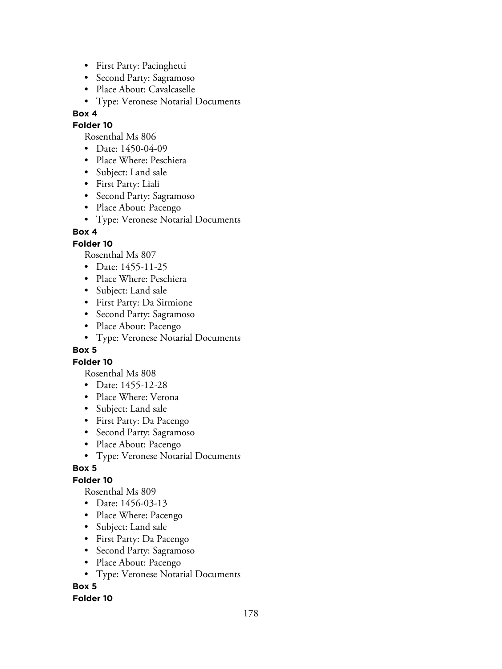- First Party: Pacinghetti
- Second Party: Sagramoso
- Place About: Cavalcaselle
- Type: Veronese Notarial Documents

#### **Folder 10**

Rosenthal Ms 806

- Date: 1450-04-09
- Place Where: Peschiera
- Subject: Land sale
- First Party: Liali
- Second Party: Sagramoso
- Place About: Pacengo
- Type: Veronese Notarial Documents

### **Box 4**

### **Folder 10**

Rosenthal Ms 807

- Date: 1455-11-25
- Place Where: Peschiera
- Subject: Land sale
- First Party: Da Sirmione
- Second Party: Sagramoso
- Place About: Pacengo
- Type: Veronese Notarial Documents

#### **Box 5**

#### **Folder 10**

Rosenthal Ms 808

- Date: 1455-12-28
- Place Where: Verona
- Subject: Land sale
- First Party: Da Pacengo
- Second Party: Sagramoso
- Place About: Pacengo
- Type: Veronese Notarial Documents

# **Box 5**

# **Folder 10**

Rosenthal Ms 809

- Date: 1456-03-13
- Place Where: Pacengo
- Subject: Land sale
- First Party: Da Pacengo
- Second Party: Sagramoso
- Place About: Pacengo
- Type: Veronese Notarial Documents

# **Box 5**

#### **Folder 10**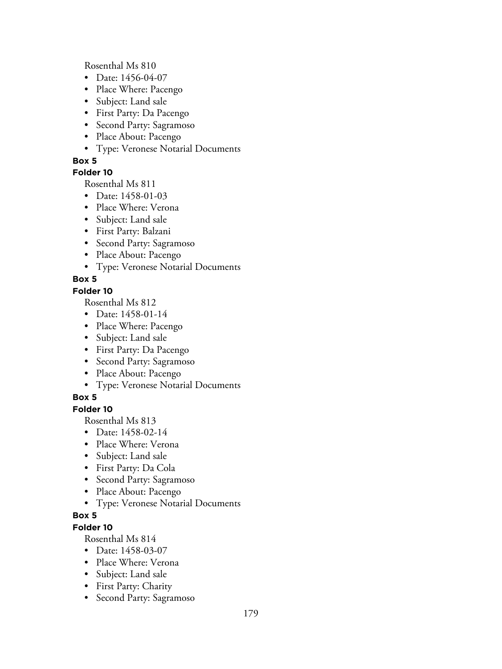Rosenthal Ms 810

- Date: 1456-04-07
- Place Where: Pacengo
- Subject: Land sale
- First Party: Da Pacengo
- Second Party: Sagramoso
- Place About: Pacengo
- Type: Veronese Notarial Documents

### **Box 5**

### **Folder 10**

Rosenthal Ms 811

- Date: 1458-01-03
- Place Where: Verona
- Subject: Land sale
- First Party: Balzani
- Second Party: Sagramoso
- Place About: Pacengo
- Type: Veronese Notarial Documents

# **Box 5**

### **Folder 10**

Rosenthal Ms 812

- Date: 1458-01-14
- Place Where: Pacengo
- Subject: Land sale
- First Party: Da Pacengo
- Second Party: Sagramoso
- Place About: Pacengo
- Type: Veronese Notarial Documents

# **Box 5**

### **Folder 10**

Rosenthal Ms 813

- Date: 1458-02-14
- Place Where: Verona
- Subject: Land sale
- First Party: Da Cola
- Second Party: Sagramoso
- Place About: Pacengo
- Type: Veronese Notarial Documents

### **Box 5**

# **Folder 10**

- Date: 1458-03-07
- Place Where: Verona
- Subject: Land sale
- First Party: Charity
- Second Party: Sagramoso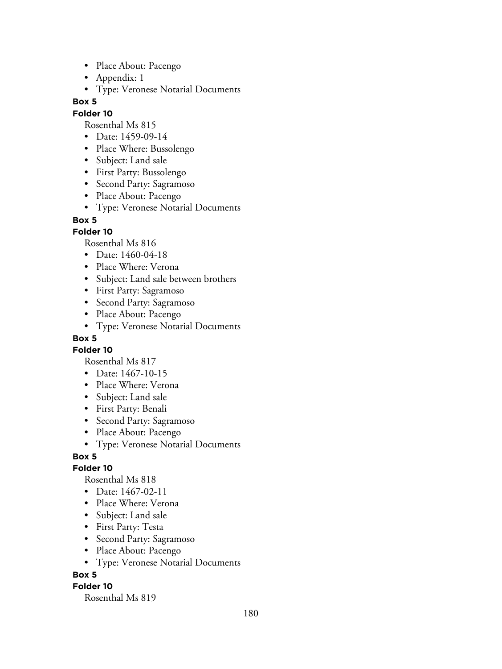- Place About: Pacengo
- Appendix: 1
- Type: Veronese Notarial Documents

#### **Folder 10**

Rosenthal Ms 815

- Date: 1459-09-14
- Place Where: Bussolengo
- Subject: Land sale
- First Party: Bussolengo
- Second Party: Sagramoso
- Place About: Pacengo
- Type: Veronese Notarial Documents

#### **Box 5**

#### **Folder 10**

Rosenthal Ms 816

- Date: 1460-04-18
- Place Where: Verona
- Subject: Land sale between brothers
- First Party: Sagramoso
- Second Party: Sagramoso
- Place About: Pacengo
- Type: Veronese Notarial Documents

#### **Box 5**

**Folder 10**

Rosenthal Ms 817

- Date: 1467-10-15
- Place Where: Verona
- Subject: Land sale
- First Party: Benali
- Second Party: Sagramoso
- Place About: Pacengo
- Type: Veronese Notarial Documents

#### **Box 5**

#### **Folder 10**

Rosenthal Ms 818

- Date: 1467-02-11
- Place Where: Verona
- Subject: Land sale
- First Party: Testa
- Second Party: Sagramoso
- Place About: Pacengo
- Type: Veronese Notarial Documents

#### **Box 5**

#### **Folder 10**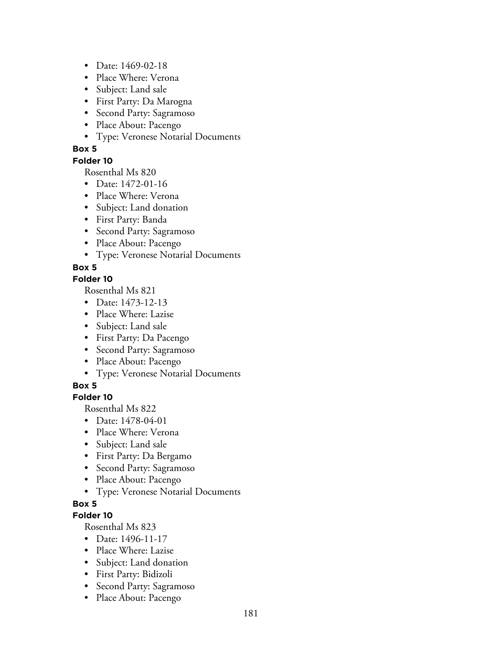- Date: 1469-02-18
- Place Where: Verona
- Subject: Land sale
- First Party: Da Marogna
- Second Party: Sagramoso
- Place About: Pacengo
- Type: Veronese Notarial Documents

#### **Folder 10**

Rosenthal Ms 820

- Date: 1472-01-16
- Place Where: Verona
- Subject: Land donation
- First Party: Banda
- Second Party: Sagramoso
- Place About: Pacengo
- Type: Veronese Notarial Documents

### **Box 5**

### **Folder 10**

Rosenthal Ms 821

- Date: 1473-12-13
- Place Where: Lazise
- Subject: Land sale
- First Party: Da Pacengo
- Second Party: Sagramoso
- Place About: Pacengo
- Type: Veronese Notarial Documents

### **Box 5**

### **Folder 10**

Rosenthal Ms 822

- Date: 1478-04-01
- Place Where: Verona
- Subject: Land sale
- First Party: Da Bergamo
- Second Party: Sagramoso
- Place About: Pacengo
- Type: Veronese Notarial Documents

### **Box 5**

#### **Folder 10**

- Date: 1496-11-17
- Place Where: Lazise
- Subject: Land donation
- First Party: Bidizoli
- Second Party: Sagramoso
- Place About: Pacengo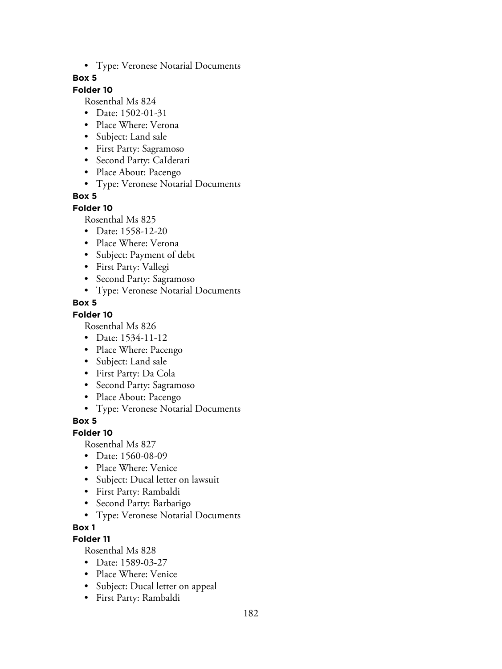• Type: Veronese Notarial Documents

#### **Box 5**

# **Folder 10**

Rosenthal Ms 824

- Date: 1502-01-31
- Place Where: Verona
- Subject: Land sale
- First Party: Sagramoso
- Second Party: CaIderari
- Place About: Pacengo
- Type: Veronese Notarial Documents

#### **Box 5**

#### **Folder 10**

Rosenthal Ms 825

- Date: 1558-12-20
- Place Where: Verona
- Subject: Payment of debt
- First Party: Vallegi
- Second Party: Sagramoso
- Type: Veronese Notarial Documents

#### **Box 5**

#### **Folder 10**

Rosenthal Ms 826

- Date: 1534-11-12
- Place Where: Pacengo
- Subject: Land sale
- First Party: Da Cola
- Second Party: Sagramoso
- Place About: Pacengo
- Type: Veronese Notarial Documents

### **Box 5**

#### **Folder 10**

Rosenthal Ms 827

- Date: 1560-08-09
- Place Where: Venice
- Subject: Ducal letter on lawsuit
- First Party: Rambaldi
- Second Party: Barbarigo
- Type: Veronese Notarial Documents

### **Box 1**

### **Folder 11**

- Date: 1589-03-27
- Place Where: Venice
- Subject: Ducal letter on appeal
- First Party: Rambaldi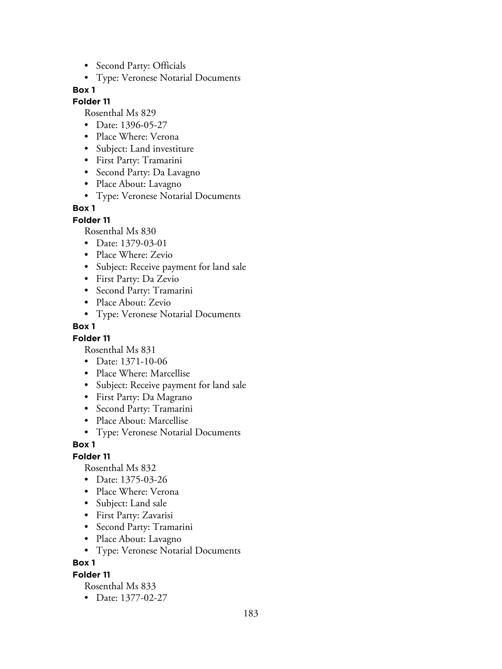- Second Party: Officials
- Type: Veronese Notarial Documents

#### **Folder 11**

Rosenthal Ms 829

- Date: 1396-05-27
- Place Where: Verona
- Subject: Land investiture
- First Party: Tramarini
- Second Party: Da Lavagno
- Place About: Lavagno
- Type: Veronese Notarial Documents

### **Box 1**

**Folder 11**

Rosenthal Ms 830

- Date: 1379-03-01
- Place Where: Zevio
- Subject: Receive payment for land sale
- First Party: Da Zevio
- Second Party: Tramarini
- Place About: Zevio
- Type: Veronese Notarial Documents

### **Box 1**

### **Folder 11**

Rosenthal Ms 831

- Date: 1371-10-06
- Place Where: Marcellise
- Subject: Receive payment for land sale
- First Party: Da Magrano
- Second Party: Tramarini
- Place About: Marcellise
- Type: Veronese Notarial Documents

### **Box 1**

# **Folder 11**

Rosenthal Ms 832

- Date: 1375-03-26
- Place Where: Verona
- Subject: Land sale
- First Party: Zavarisi
- Second Party: Tramarini
- Place About: Lavagno
- Type: Veronese Notarial Documents

**Box 1**

### **Folder 11**

Rosenthal Ms 833

• Date: 1377-02-27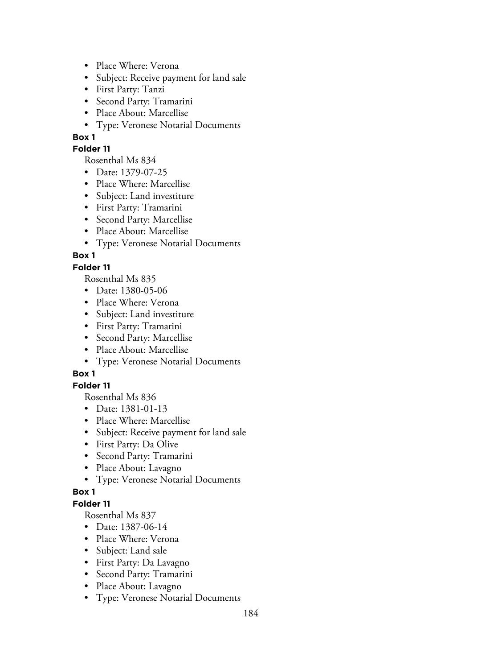- Place Where: Verona
- Subject: Receive payment for land sale
- First Party: Tanzi
- Second Party: Tramarini
- Place About: Marcellise
- Type: Veronese Notarial Documents

#### **Folder 11**

Rosenthal Ms 834

- Date: 1379-07-25
- Place Where: Marcellise
- Subject: Land investiture
- First Party: Tramarini
- Second Party: Marcellise
- Place About: Marcellise
- Type: Veronese Notarial Documents

## **Box 1**

### **Folder 11**

Rosenthal Ms 835

- Date: 1380-05-06
- Place Where: Verona
- Subject: Land investiture
- First Party: Tramarini
- Second Party: Marcellise
- Place About: Marcellise
- Type: Veronese Notarial Documents

# **Box 1**

# **Folder 11**

Rosenthal Ms 836

- Date: 1381-01-13
- Place Where: Marcellise
- Subject: Receive payment for land sale
- First Party: Da Olive
- Second Party: Tramarini
- Place About: Lavagno
- Type: Veronese Notarial Documents

### **Box 1**

## **Folder 11**

- Date: 1387-06-14
- Place Where: Verona
- Subject: Land sale
- First Party: Da Lavagno
- Second Party: Tramarini
- Place About: Lavagno
- Type: Veronese Notarial Documents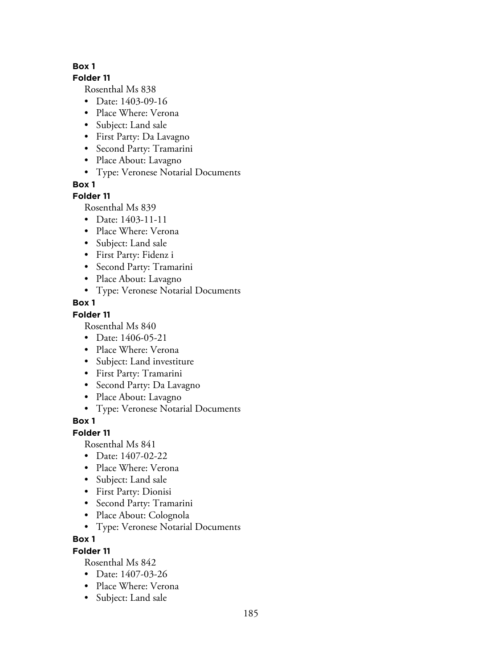#### **Folder 11**

Rosenthal Ms 838

- Date: 1403-09-16
- Place Where: Verona
- Subject: Land sale
- First Party: Da Lavagno
- Second Party: Tramarini
- Place About: Lavagno
- Type: Veronese Notarial Documents

**Box 1**

## **Folder 11**

Rosenthal Ms 839

- Date: 1403-11-11
- Place Where: Verona
- Subject: Land sale
- First Party: Fidenz i
- Second Party: Tramarini
- Place About: Lavagno
- Type: Veronese Notarial Documents

# **Box 1**

# **Folder 11**

Rosenthal Ms 840

- Date: 1406-05-21
- Place Where: Verona
- Subject: Land investiture
- First Party: Tramarini
- Second Party: Da Lavagno
- Place About: Lavagno
- Type: Veronese Notarial Documents

# **Box 1**

# **Folder 11**

Rosenthal Ms 841

- Date: 1407-02-22
- Place Where: Verona
- Subject: Land sale
- First Party: Dionisi
- Second Party: Tramarini
- Place About: Colognola
- Type: Veronese Notarial Documents

# **Box 1**

# **Folder 11**

- Date: 1407-03-26
- Place Where: Verona
- Subject: Land sale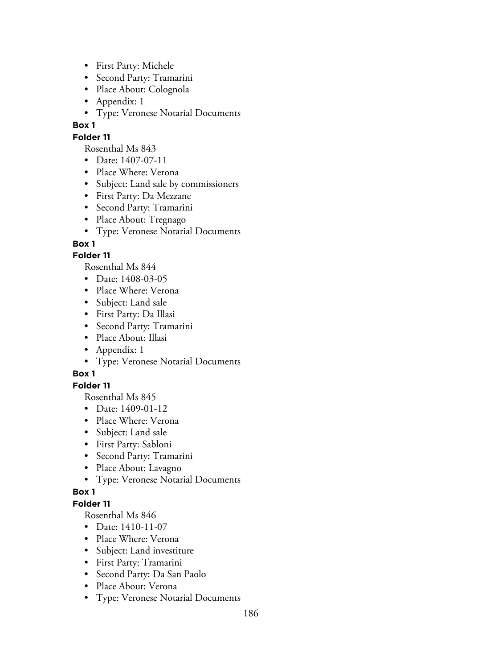- First Party: Michele
- Second Party: Tramarini
- Place About: Colognola
- Appendix: 1
- Type: Veronese Notarial Documents

### **Folder 11**

Rosenthal Ms 843

- Date: 1407-07-11
- Place Where: Verona
- Subject: Land sale by commissioners
- First Party: Da Mezzane
- Second Party: Tramarini
- Place About: Tregnago
- Type: Veronese Notarial Documents

## **Box 1**

## **Folder 11**

Rosenthal Ms 844

- Date: 1408-03-05
- Place Where: Verona
- Subject: Land sale
- First Party: Da Illasi
- Second Party: Tramarini
- Place About: Illasi
- Appendix: 1
- Type: Veronese Notarial Documents

# **Box 1**

### **Folder 11**

Rosenthal Ms 845

- Date: 1409-01-12
- Place Where: Verona
- Subject: Land sale
- First Party: Sabloni
- Second Party: Tramarini
- Place About: Lavagno
- Type: Veronese Notarial Documents

### **Box 1**

### **Folder 11**

- Date: 1410-11-07
- Place Where: Verona
- Subject: Land investiture
- First Party: Tramarini
- Second Party: Da San Paolo
- Place About: Verona
- Type: Veronese Notarial Documents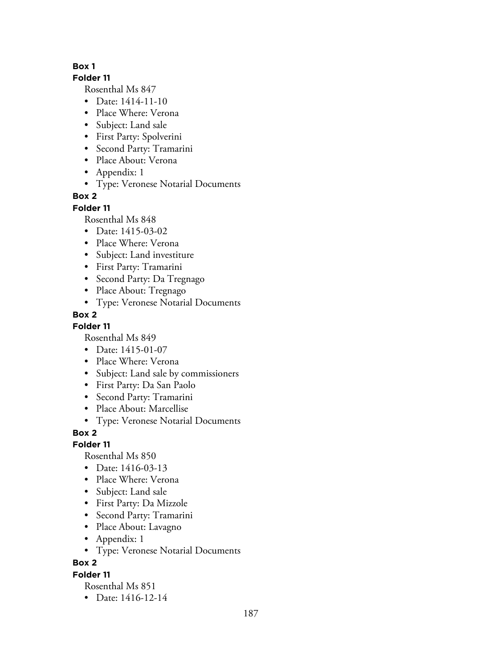#### **Folder 11**

Rosenthal Ms 847

- Date: 1414-11-10
- Place Where: Verona
- Subject: Land sale
- First Party: Spolverini
- Second Party: Tramarini
- Place About: Verona
- Appendix: 1
- Type: Veronese Notarial Documents

# **Box 2**

## **Folder 11**

Rosenthal Ms 848

- Date: 1415-03-02
- Place Where: Verona
- Subject: Land investiture
- First Party: Tramarini
- Second Party: Da Tregnago
- Place About: Tregnago
- Type: Veronese Notarial Documents

# **Box 2**

# **Folder 11**

Rosenthal Ms 849

- Date: 1415-01-07
- Place Where: Verona
- Subject: Land sale by commissioners
- First Party: Da San Paolo
- Second Party: Tramarini
- Place About: Marcellise
- Type: Veronese Notarial Documents

**Box 2**

# **Folder 11**

Rosenthal Ms 850

- Date: 1416-03-13
- Place Where: Verona
- Subject: Land sale
- First Party: Da Mizzole
- Second Party: Tramarini
- Place About: Lavagno
- Appendix: 1
- Type: Veronese Notarial Documents

**Box 2**

### **Folder 11**

Rosenthal Ms 851

• Date: 1416-12-14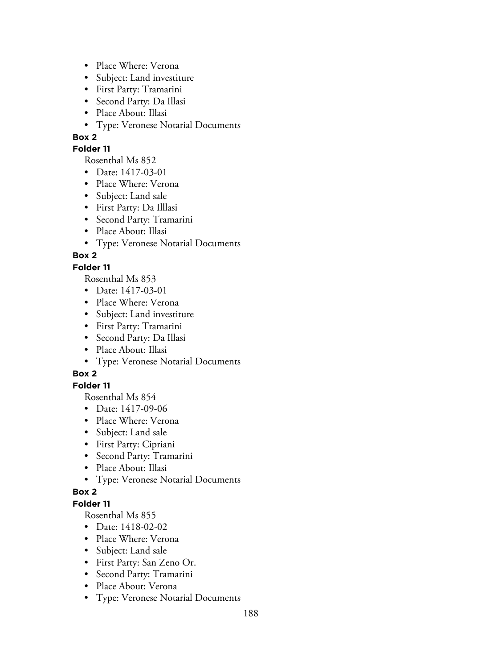- Place Where: Verona
- Subject: Land investiture
- First Party: Tramarini
- Second Party: Da Illasi
- Place About: Illasi
- Type: Veronese Notarial Documents

### **Folder 11**

Rosenthal Ms 852

- Date: 1417-03-01
- Place Where: Verona
- Subject: Land sale
- First Party: Da Illlasi
- Second Party: Tramarini
- Place About: Illasi
- Type: Veronese Notarial Documents

# **Box 2**

### **Folder 11**

Rosenthal Ms 853

- Date: 1417-03-01
- Place Where: Verona
- Subject: Land investiture
- First Party: Tramarini
- Second Party: Da Illasi
- Place About: Illasi
- Type: Veronese Notarial Documents

# **Box 2**

### **Folder 11**

Rosenthal Ms 854

- Date: 1417-09-06
- Place Where: Verona
- Subject: Land sale
- First Party: Cipriani
- Second Party: Tramarini
- Place About: Illasi
- Type: Veronese Notarial Documents

### **Box 2**

### **Folder 11**

- Date: 1418-02-02
- Place Where: Verona
- Subject: Land sale
- First Party: San Zeno Or.
- Second Party: Tramarini
- Place About: Verona
- Type: Veronese Notarial Documents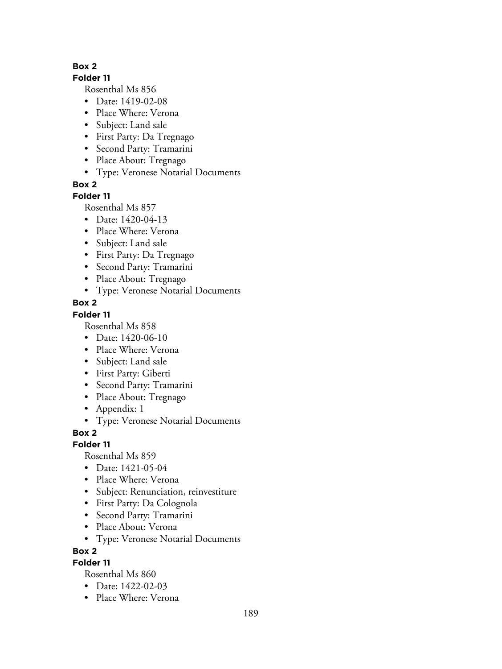### **Folder 11**

Rosenthal Ms 856

- Date: 1419-02-08
- Place Where: Verona
- Subject: Land sale
- First Party: Da Tregnago
- Second Party: Tramarini
- Place About: Tregnago
- Type: Veronese Notarial Documents

**Box 2**

## **Folder 11**

Rosenthal Ms 857

- Date: 1420-04-13
- Place Where: Verona
- Subject: Land sale
- First Party: Da Tregnago
- Second Party: Tramarini
- Place About: Tregnago
- Type: Veronese Notarial Documents

## **Box 2**

## **Folder 11**

Rosenthal Ms 858

- Date: 1420-06-10
- Place Where: Verona
- Subject: Land sale
- First Party: Giberti
- Second Party: Tramarini
- Place About: Tregnago
- Appendix: 1
- Type: Veronese Notarial Documents

**Box 2**

### **Folder 11**

Rosenthal Ms 859

- Date: 1421-05-04
- Place Where: Verona
- Subject: Renunciation, reinvestiture
- First Party: Da Colognola
- Second Party: Tramarini
- Place About: Verona
- Type: Veronese Notarial Documents

### **Box 2**

# **Folder 11**

- Date: 1422-02-03
- Place Where: Verona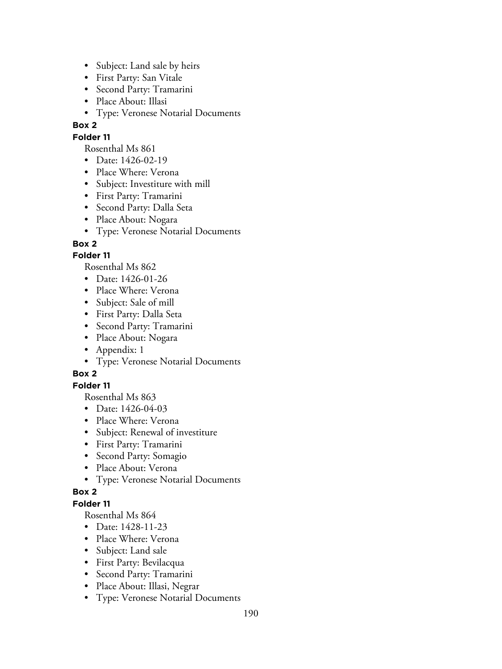- Subject: Land sale by heirs
- First Party: San Vitale
- Second Party: Tramarini
- Place About: Illasi
- Type: Veronese Notarial Documents

### **Folder 11**

Rosenthal Ms 861

- Date: 1426-02-19
- Place Where: Verona
- Subject: Investiture with mill
- First Party: Tramarini
- Second Party: Dalla Seta
- Place About: Nogara
- Type: Veronese Notarial Documents

## **Box 2**

## **Folder 11**

Rosenthal Ms 862

- Date: 1426-01-26
- Place Where: Verona
- Subject: Sale of mill
- First Party: Dalla Seta
- Second Party: Tramarini
- Place About: Nogara
- Appendix: 1
- Type: Veronese Notarial Documents

# **Box 2**

## **Folder 11**

Rosenthal Ms 863

- Date: 1426-04-03
- Place Where: Verona
- Subject: Renewal of investiture
- First Party: Tramarini
- Second Party: Somagio
- Place About: Verona
- Type: Veronese Notarial Documents

### **Box 2**

## **Folder 11**

- Date: 1428-11-23
- Place Where: Verona
- Subject: Land sale
- First Party: Bevilacqua
- Second Party: Tramarini
- Place About: Illasi, Negrar
- Type: Veronese Notarial Documents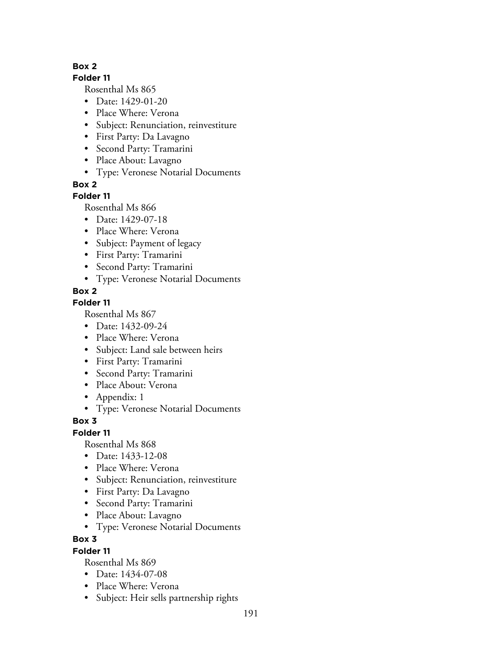### **Folder 11**

Rosenthal Ms 865

- Date: 1429-01-20
- Place Where: Verona
- Subject: Renunciation, reinvestiture
- First Party: Da Lavagno
- Second Party: Tramarini
- Place About: Lavagno
- Type: Veronese Notarial Documents

**Box 2**

## **Folder 11**

Rosenthal Ms 866

- Date: 1429-07-18
- Place Where: Verona
- Subject: Payment of legacy
- First Party: Tramarini
- Second Party: Tramarini
- Type: Veronese Notarial Documents

## **Box 2**

# **Folder 11**

Rosenthal Ms 867

- Date: 1432-09-24
- Place Where: Verona
- Subject: Land sale between heirs
- First Party: Tramarini
- Second Party: Tramarini
- Place About: Verona
- Appendix: 1
- Type: Veronese Notarial Documents

# **Box 3**

### **Folder 11**

Rosenthal Ms 868

- Date: 1433-12-08
- Place Where: Verona
- Subject: Renunciation, reinvestiture
- First Party: Da Lavagno
- Second Party: Tramarini
- Place About: Lavagno
- Type: Veronese Notarial Documents

### **Box 3**

### **Folder 11**

- Date: 1434-07-08
- Place Where: Verona
- Subject: Heir sells partnership rights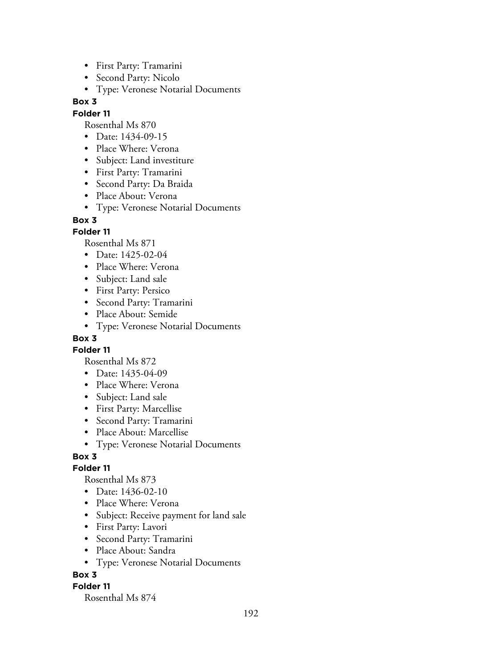- First Party: Tramarini
- Second Party: Nicolo
- Type: Veronese Notarial Documents

### **Folder 11**

Rosenthal Ms 870

- Date: 1434-09-15
- Place Where: Verona
- Subject: Land investiture
- First Party: Tramarini
- Second Party: Da Braida
- Place About: Verona
- Type: Veronese Notarial Documents

#### **Box 3**

### **Folder 11**

Rosenthal Ms 871

- Date: 1425-02-04
- Place Where: Verona
- Subject: Land sale
- First Party: Persico
- Second Party: Tramarini
- Place About: Semide
- Type: Veronese Notarial Documents

## **Box 3**

**Folder 11**

Rosenthal Ms 872

- Date: 1435-04-09
- Place Where: Verona
- Subject: Land sale
- First Party: Marcellise
- Second Party: Tramarini
- Place About: Marcellise
- Type: Veronese Notarial Documents

# **Box 3**

### **Folder 11**

Rosenthal Ms 873

- Date: 1436-02-10
- Place Where: Verona
- Subject: Receive payment for land sale
- First Party: Lavori
- Second Party: Tramarini
- Place About: Sandra
- Type: Veronese Notarial Documents

### **Box 3**

### **Folder 11**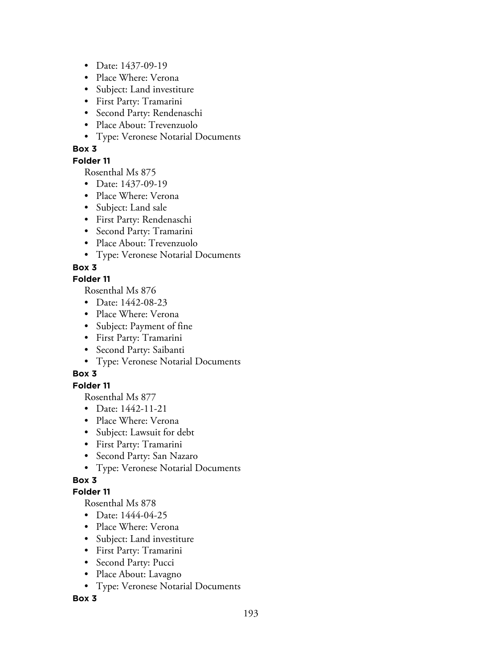- Date: 1437-09-19
- Place Where: Verona
- Subject: Land investiture
- First Party: Tramarini
- Second Party: Rendenaschi
- Place About: Trevenzuolo
- Type: Veronese Notarial Documents

### **Folder 11**

Rosenthal Ms 875

- Date: 1437-09-19
- Place Where: Verona
- Subject: Land sale
- First Party: Rendenaschi
- Second Party: Tramarini
- Place About: Trevenzuolo
- Type: Veronese Notarial Documents

# **Box 3**

### **Folder 11**

Rosenthal Ms 876

- Date: 1442-08-23
- Place Where: Verona
- Subject: Payment of fine
- First Party: Tramarini
- Second Party: Saibanti
- Type: Veronese Notarial Documents

# **Box 3**

# **Folder 11**

Rosenthal Ms 877

- Date: 1442-11-21
- Place Where: Verona
- Subject: Lawsuit for debt
- First Party: Tramarini
- Second Party: San Nazaro
- Type: Veronese Notarial Documents

# **Box 3**

# **Folder 11**

Rosenthal Ms 878

- Date: 1444-04-25
- Place Where: Verona
- Subject: Land investiture
- First Party: Tramarini
- Second Party: Pucci
- Place About: Lavagno
- Type: Veronese Notarial Documents

### **Box 3**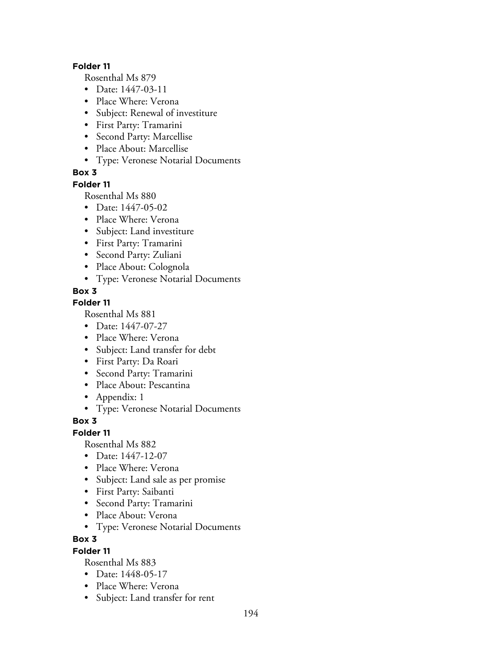#### **Folder 11**

Rosenthal Ms 879

- Date: 1447-03-11
- Place Where: Verona
- Subject: Renewal of investiture
- First Party: Tramarini
- Second Party: Marcellise
- Place About: Marcellise
- Type: Veronese Notarial Documents

## **Box 3**

### **Folder 11**

Rosenthal Ms 880

- Date: 1447-05-02
- Place Where: Verona
- Subject: Land investiture
- First Party: Tramarini
- Second Party: Zuliani
- Place About: Colognola
- Type: Veronese Notarial Documents

## **Box 3**

## **Folder 11**

Rosenthal Ms 881

- Date: 1447-07-27
- Place Where: Verona
- Subject: Land transfer for debt
- First Party: Da Roari
- Second Party: Tramarini
- Place About: Pescantina
- Appendix: 1
- Type: Veronese Notarial Documents

### **Box 3**

### **Folder 11**

Rosenthal Ms 882

- Date: 1447-12-07
- Place Where: Verona
- Subject: Land sale as per promise
- First Party: Saibanti
- Second Party: Tramarini
- Place About: Verona
- Type: Veronese Notarial Documents

### **Box 3**

### **Folder 11**

- Date: 1448-05-17
- Place Where: Verona
- Subject: Land transfer for rent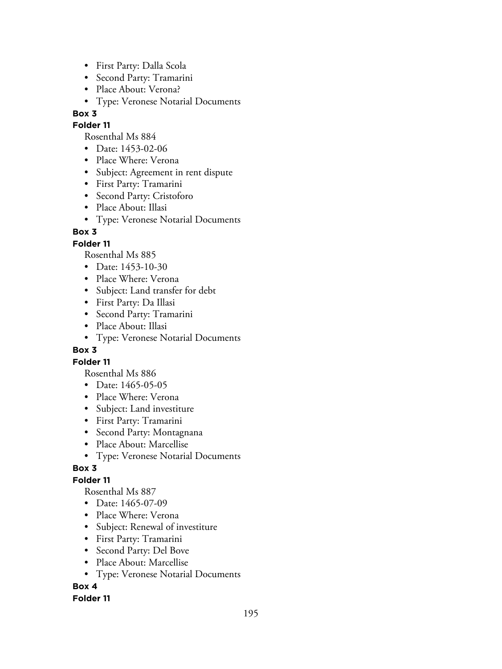- First Party: Dalla Scola
- Second Party: Tramarini
- Place About: Verona?
- Type: Veronese Notarial Documents

#### **Folder 11**

Rosenthal Ms 884

- Date: 1453-02-06
- Place Where: Verona
- Subject: Agreement in rent dispute
- First Party: Tramarini
- Second Party: Cristoforo
- Place About: Illasi
- Type: Veronese Notarial Documents

## **Box 3**

## **Folder 11**

Rosenthal Ms 885

- Date: 1453-10-30
- Place Where: Verona
- Subject: Land transfer for debt
- First Party: Da Illasi
- Second Party: Tramarini
- Place About: Illasi
- Type: Veronese Notarial Documents

### **Box 3**

### **Folder 11**

Rosenthal Ms 886

- Date: 1465-05-05
- Place Where: Verona
- Subject: Land investiture
- First Party: Tramarini
- Second Party: Montagnana
- Place About: Marcellise
- Type: Veronese Notarial Documents

### **Box 3**

# **Folder 11**

Rosenthal Ms 887

- Date: 1465-07-09
- Place Where: Verona
- Subject: Renewal of investiture
- First Party: Tramarini
- Second Party: Del Bove
- Place About: Marcellise
- Type: Veronese Notarial Documents

# **Box 4**

### **Folder 11**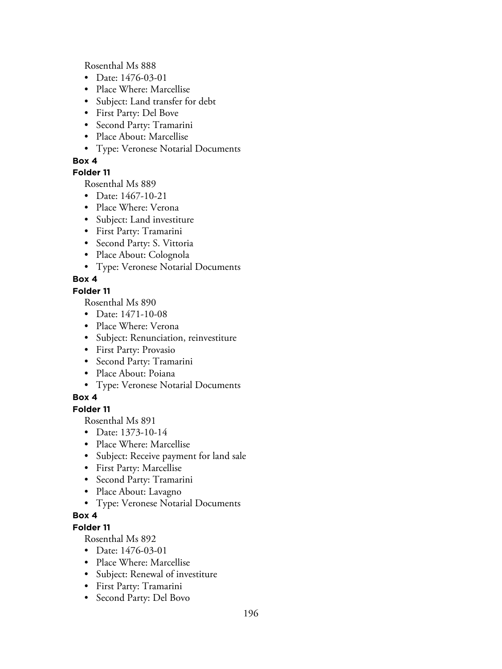Rosenthal Ms 888

- Date: 1476-03-01
- Place Where: Marcellise
- Subject: Land transfer for debt
- First Party: Del Bove
- Second Party: Tramarini
- Place About: Marcellise
- Type: Veronese Notarial Documents

### **Box 4**

## **Folder 11**

Rosenthal Ms 889

- Date: 1467-10-21
- Place Where: Verona
- Subject: Land investiture
- First Party: Tramarini
- Second Party: S. Vittoria
- Place About: Colognola
- Type: Veronese Notarial Documents

# **Box 4**

## **Folder 11**

Rosenthal Ms 890

- Date: 1471-10-08
- Place Where: Verona
- Subject: Renunciation, reinvestiture
- First Party: Provasio
- Second Party: Tramarini
- Place About: Poiana
- Type: Veronese Notarial Documents

# **Box 4**

## **Folder 11**

Rosenthal Ms 891

- Date: 1373-10-14
- Place Where: Marcellise
- Subject: Receive payment for land sale
- First Party: Marcellise
- Second Party: Tramarini
- Place About: Lavagno
- Type: Veronese Notarial Documents

# **Box 4**

# **Folder 11**

- Date: 1476-03-01
- Place Where: Marcellise
- Subject: Renewal of investiture
- First Party: Tramarini
- Second Party: Del Bovo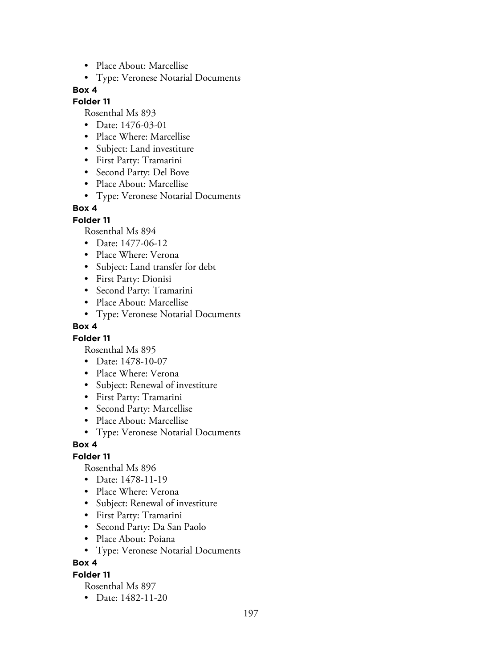- Place About: Marcellise
- Type: Veronese Notarial Documents

#### **Folder 11**

Rosenthal Ms 893

- Date: 1476-03-01
- Place Where: Marcellise
- Subject: Land investiture
- First Party: Tramarini
- Second Party: Del Bove
- Place About: Marcellise
- Type: Veronese Notarial Documents

## **Box 4**

**Folder 11**

Rosenthal Ms 894

- Date: 1477-06-12
- Place Where: Verona
- Subject: Land transfer for debt
- First Party: Dionisi
- Second Party: Tramarini
- Place About: Marcellise
- Type: Veronese Notarial Documents

### **Box 4**

### **Folder 11**

Rosenthal Ms 895

- Date: 1478-10-07
- Place Where: Verona
- Subject: Renewal of investiture
- First Party: Tramarini
- Second Party: Marcellise
- Place About: Marcellise
- Type: Veronese Notarial Documents

### **Box 4**

# **Folder 11**

Rosenthal Ms 896

- Date: 1478-11-19
- Place Where: Verona
- Subject: Renewal of investiture
- First Party: Tramarini
- Second Party: Da San Paolo
- Place About: Poiana
- Type: Veronese Notarial Documents

**Box 4**

### **Folder 11**

Rosenthal Ms 897

• Date: 1482-11-20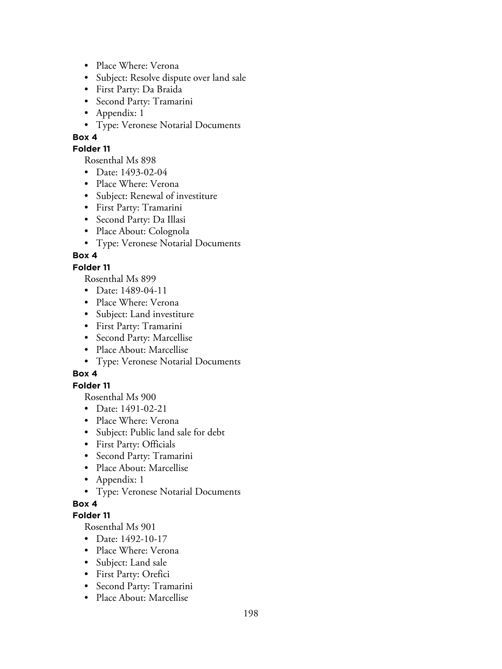- Place Where: Verona
- Subject: Resolve dispute over land sale
- First Party: Da Braida
- Second Party: Tramarini
- Appendix: 1
- Type: Veronese Notarial Documents

### **Folder 11**

Rosenthal Ms 898

- Date: 1493-02-04
- Place Where: Verona
- Subject: Renewal of investiture
- First Party: Tramarini
- Second Party: Da Illasi
- Place About: Colognola
- Type: Veronese Notarial Documents

# **Box 4**

### **Folder 11**

Rosenthal Ms 899

- Date: 1489-04-11
- Place Where: Verona
- Subject: Land investiture
- First Party: Tramarini
- Second Party: Marcellise
- Place About: Marcellise
- Type: Veronese Notarial Documents

# **Box 4**

# **Folder 11**

Rosenthal Ms 900

- Date: 1491-02-21
- Place Where: Verona
- Subject: Public land sale for debt
- First Party: Officials
- Second Party: Tramarini
- Place About: Marcellise
- Appendix: 1
- Type: Veronese Notarial Documents

### **Box 4**

### **Folder 11**

- Date: 1492-10-17
- Place Where: Verona
- Subject: Land sale
- First Party: Orefici
- Second Party: Tramarini
- Place About: Marcellise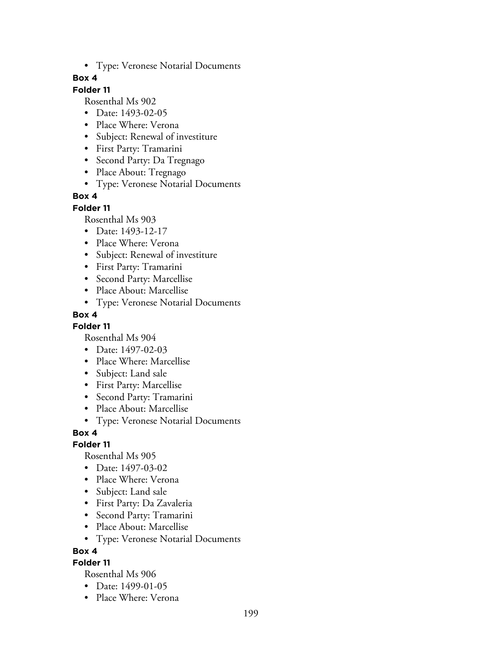• Type: Veronese Notarial Documents

### **Box 4**

# **Folder 11**

Rosenthal Ms 902

- Date: 1493-02-05
- Place Where: Verona
- Subject: Renewal of investiture
- First Party: Tramarini
- Second Party: Da Tregnago
- Place About: Tregnago
- Type: Veronese Notarial Documents

## **Box 4**

#### **Folder 11**

Rosenthal Ms 903

- Date: 1493-12-17
- Place Where: Verona
- Subject: Renewal of investiture
- First Party: Tramarini
- Second Party: Marcellise
- Place About: Marcellise
- Type: Veronese Notarial Documents

## **Box 4**

### **Folder 11**

Rosenthal Ms 904

- Date: 1497-02-03
- Place Where: Marcellise
- Subject: Land sale
- First Party: Marcellise
- Second Party: Tramarini
- Place About: Marcellise
- Type: Veronese Notarial Documents

### **Box 4**

### **Folder 11**

Rosenthal Ms 905

- Date: 1497-03-02
- Place Where: Verona
- Subject: Land sale
- First Party: Da Zavaleria
- Second Party: Tramarini
- Place About: Marcellise
- Type: Veronese Notarial Documents

**Box 4**

# **Folder 11**

- Date: 1499-01-05
- Place Where: Verona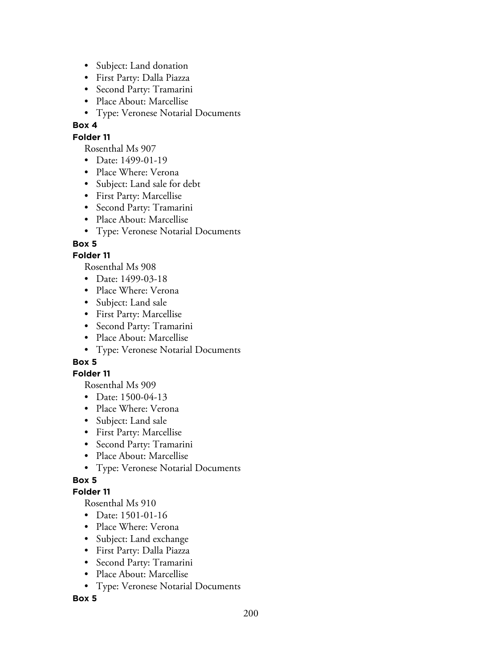- Subject: Land donation
- First Party: Dalla Piazza
- Second Party: Tramarini
- Place About: Marcellise
- Type: Veronese Notarial Documents

## **Folder 11**

Rosenthal Ms 907

- Date: 1499-01-19
- Place Where: Verona
- Subject: Land sale for debt
- First Party: Marcellise
- Second Party: Tramarini
- Place About: Marcellise
- Type: Veronese Notarial Documents

## **Box 5**

## **Folder 11**

Rosenthal Ms 908

- Date: 1499-03-18
- Place Where: Verona
- Subject: Land sale
- First Party: Marcellise
- Second Party: Tramarini
- Place About: Marcellise
- Type: Veronese Notarial Documents

# **Box 5**

### **Folder 11**

Rosenthal Ms 909

- Date: 1500-04-13
- Place Where: Verona
- Subject: Land sale
- First Party: Marcellise
- Second Party: Tramarini
- Place About: Marcellise
- Type: Veronese Notarial Documents

# **Box 5**

### **Folder 11**

Rosenthal Ms 910

- Date: 1501-01-16
- Place Where: Verona
- Subject: Land exchange
- First Party: Dalla Piazza
- Second Party: Tramarini
- Place About: Marcellise
- Type: Veronese Notarial Documents

### **Box 5**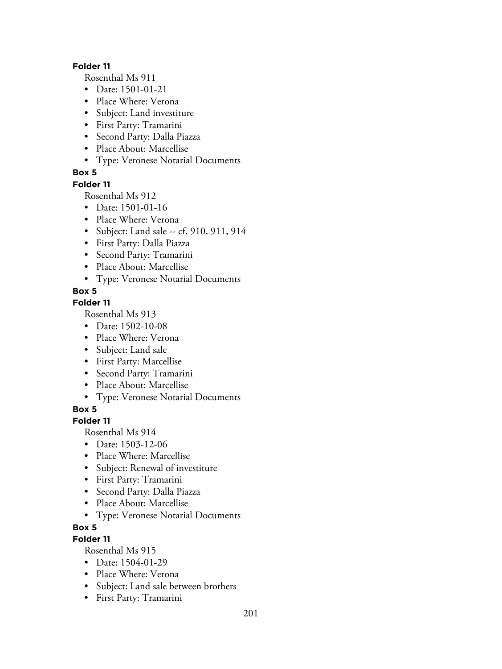#### **Folder 11**

Rosenthal Ms 911

- Date: 1501-01-21
- Place Where: Verona
- Subject: Land investiture
- First Party: Tramarini
- Second Party: Dalla Piazza
- Place About: Marcellise
- Type: Veronese Notarial Documents

## **Box 5**

### **Folder 11**

Rosenthal Ms 912

- Date: 1501-01-16
- Place Where: Verona
- Subject: Land sale -- cf. 910, 911, 914
- First Party: Dalla Piazza
- Second Party: Tramarini
- Place About: Marcellise
- Type: Veronese Notarial Documents

## **Box 5**

### **Folder 11**

Rosenthal Ms 913

- Date: 1502-10-08
- Place Where: Verona
- Subject: Land sale
- First Party: Marcellise
- Second Party: Tramarini
- Place About: Marcellise
- Type: Veronese Notarial Documents

## **Box 5**

### **Folder 11**

Rosenthal Ms 914

- Date: 1503-12-06
- Place Where: Marcellise
- Subject: Renewal of investiture
- First Party: Tramarini
- Second Party: Dalla Piazza
- Place About: Marcellise
- Type: Veronese Notarial Documents

### **Box 5**

# **Folder 11**

- Date: 1504-01-29
- Place Where: Verona
- Subject: Land sale between brothers
- First Party: Tramarini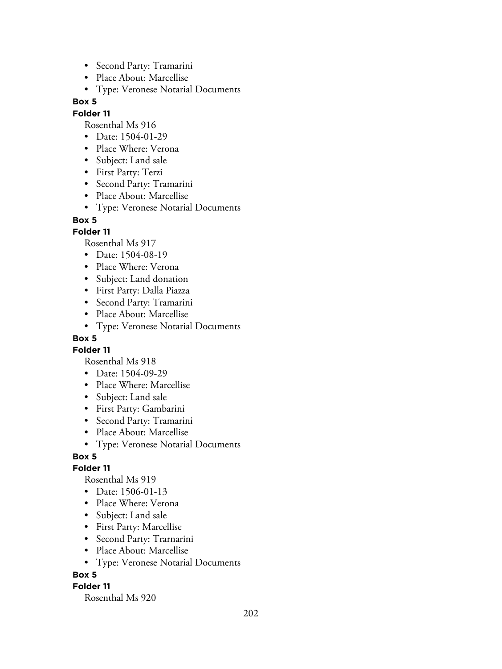- Second Party: Tramarini
- Place About: Marcellise
- Type: Veronese Notarial Documents

### **Folder 11**

Rosenthal Ms 916

- Date: 1504-01-29
- Place Where: Verona
- Subject: Land sale
- First Party: Terzi
- Second Party: Tramarini
- Place About: Marcellise
- Type: Veronese Notarial Documents

### **Box 5**

## **Folder 11**

Rosenthal Ms 917

- Date: 1504-08-19
- Place Where: Verona
- Subject: Land donation
- First Party: Dalla Piazza
- Second Party: Tramarini
- Place About: Marcellise
- Type: Veronese Notarial Documents

# **Box 5**

**Folder 11**

Rosenthal Ms 918

- Date: 1504-09-29
- Place Where: Marcellise
- Subject: Land sale
- First Party: Gambarini
- Second Party: Tramarini
- Place About: Marcellise
- Type: Veronese Notarial Documents

# **Box 5**

### **Folder 11**

Rosenthal Ms 919

- Date: 1506-01-13
- Place Where: Verona
- Subject: Land sale
- First Party: Marcellise
- Second Party: Trarnarini
- Place About: Marcellise
- Type: Veronese Notarial Documents

# **Box 5**

### **Folder 11**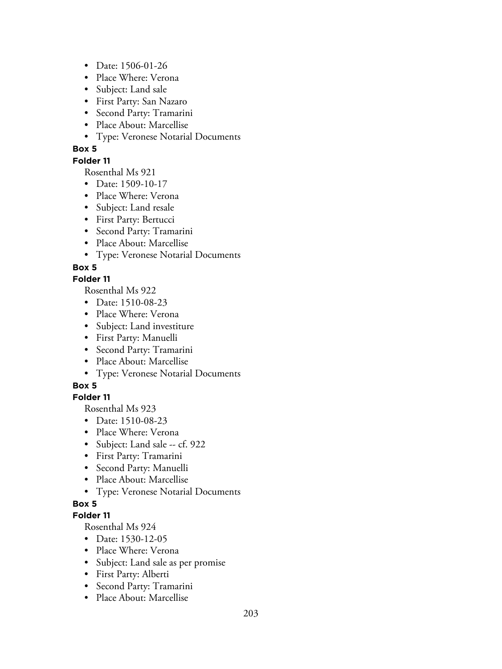- Date: 1506-01-26
- Place Where: Verona
- Subject: Land sale
- First Party: San Nazaro
- Second Party: Tramarini
- Place About: Marcellise
- Type: Veronese Notarial Documents

#### **Folder 11**

Rosenthal Ms 921

- Date: 1509-10-17
- Place Where: Verona
- Subject: Land resale
- First Party: Bertucci
- Second Party: Tramarini
- Place About: Marcellise
- Type: Veronese Notarial Documents

#### **Box 5**

## **Folder 11**

Rosenthal Ms 922

- Date: 1510-08-23
- Place Where: Verona
- Subject: Land investiture
- First Party: Manuelli
- Second Party: Tramarini
- Place About: Marcellise
- Type: Veronese Notarial Documents

### **Box 5**

### **Folder 11**

Rosenthal Ms 923

- Date: 1510-08-23
- Place Where: Verona
- Subject: Land sale -- cf. 922
- First Party: Tramarini
- Second Party: Manuelli
- Place About: Marcellise
- Type: Veronese Notarial Documents

### **Box 5**

#### **Folder 11**

- Date: 1530-12-05
- Place Where: Verona
- Subject: Land sale as per promise
- First Party: Alberti
- Second Party: Tramarini
- Place About: Marcellise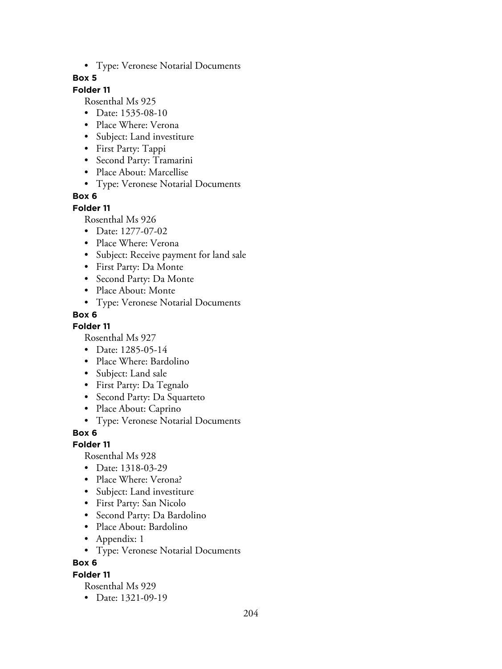• Type: Veronese Notarial Documents

### **Box 5**

# **Folder 11**

Rosenthal Ms 925

- Date: 1535-08-10
- Place Where: Verona
- Subject: Land investiture
- First Party: Tappi
- Second Party: Tramarini
- Place About: Marcellise
- Type: Veronese Notarial Documents

## **Box 6**

#### **Folder 11**

Rosenthal Ms 926

- Date: 1277-07-02
- Place Where: Verona
- Subject: Receive payment for land sale
- First Party: Da Monte
- Second Party: Da Monte
- Place About: Monte
- Type: Veronese Notarial Documents

## **Box 6**

### **Folder 11**

Rosenthal Ms 927

- Date: 1285-05-14
- Place Where: Bardolino
- Subject: Land sale
- First Party: Da Tegnalo
- Second Party: Da Squarteto
- Place About: Caprino
- Type: Veronese Notarial Documents

**Box 6**

### **Folder 11**

Rosenthal Ms 928

- Date: 1318-03-29
- Place Where: Verona?
- Subject: Land investiture
- First Party: San Nicolo
- Second Party: Da Bardolino
- Place About: Bardolino
- Appendix: 1
- Type: Veronese Notarial Documents

**Box 6**

### **Folder 11**

Rosenthal Ms 929

• Date: 1321-09-19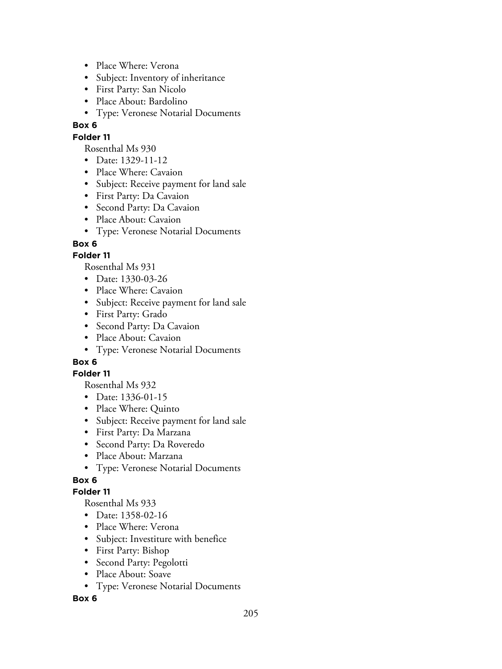- Place Where: Verona
- Subject: Inventory of inheritance
- First Party: San Nicolo
- Place About: Bardolino
- Type: Veronese Notarial Documents

### **Folder 11**

Rosenthal Ms 930

- Date: 1329-11-12
- Place Where: Cavaion
- Subject: Receive payment for land sale
- First Party: Da Cavaion
- Second Party: Da Cavaion
- Place About: Cavaion
- Type: Veronese Notarial Documents

## **Box 6**

## **Folder 11**

Rosenthal Ms 931

- Date: 1330-03-26
- Place Where: Cavaion
- Subject: Receive payment for land sale
- First Party: Grado
- Second Party: Da Cavaion
- Place About: Cavaion
- Type: Veronese Notarial Documents

# **Box 6**

### **Folder 11**

Rosenthal Ms 932

- Date: 1336-01-15
- Place Where: Quinto
- Subject: Receive payment for land sale
- First Party: Da Marzana
- Second Party: Da Roveredo
- Place About: Marzana
- Type: Veronese Notarial Documents

# **Box 6**

### **Folder 11**

Rosenthal Ms 933

- Date: 1358-02-16
- Place Where: Verona
- Subject: Investiture with benefice
- First Party: Bishop
- Second Party: Pegolotti
- Place About: Soave
- Type: Veronese Notarial Documents

### **Box 6**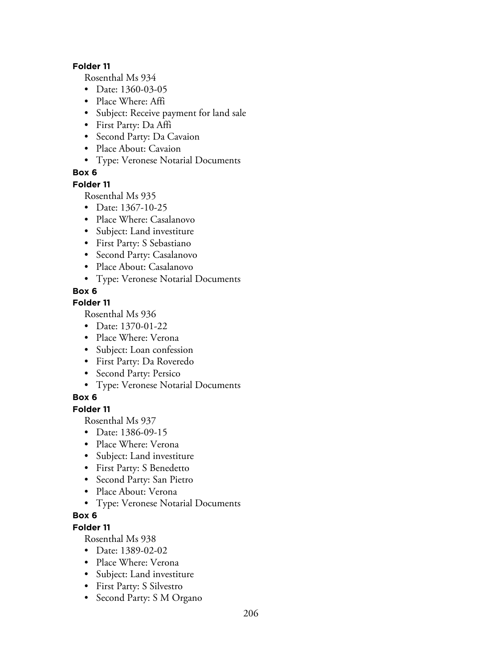#### **Folder 11**

Rosenthal Ms 934

- Date: 1360-03-05
- Place Where: Affi
- Subject: Receive payment for land sale
- First Party: Da Affi
- Second Party: Da Cavaion
- Place About: Cavaion
- Type: Veronese Notarial Documents

## **Box 6**

### **Folder 11**

Rosenthal Ms 935

- Date: 1367-10-25
- Place Where: Casalanovo
- Subject: Land investiture
- First Party: S Sebastiano
- Second Party: Casalanovo
- Place About: Casalanovo
- Type: Veronese Notarial Documents

## **Box 6**

## **Folder 11**

Rosenthal Ms 936

- Date: 1370-01-22
- Place Where: Verona
- Subject: Loan confession
- First Party: Da Roveredo
- Second Party: Persico
- Type: Veronese Notarial Documents

# **Box 6**

**Folder 11**

Rosenthal Ms 937

- Date: 1386-09-15
- Place Where: Verona
- Subject: Land investiture
- First Party: S Benedetto
- Second Party: San Pietro
- Place About: Verona
- Type: Veronese Notarial Documents

# **Box 6**

**Folder 11**

- Date: 1389-02-02
- Place Where: Verona
- Subject: Land investiture
- First Party: S Silvestro
- Second Party: S M Organo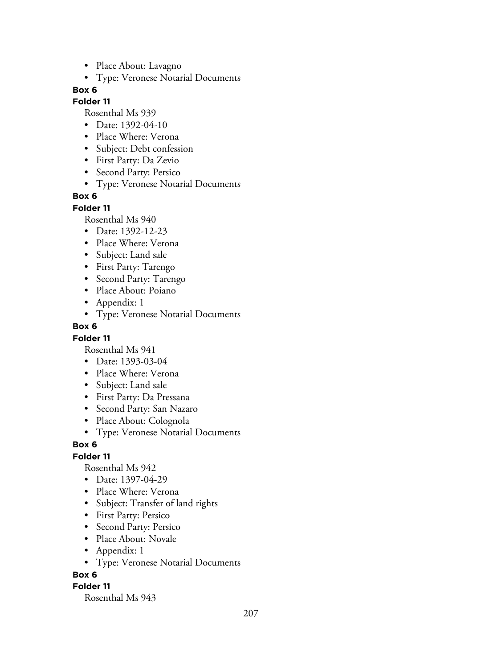- Place About: Lavagno
- Type: Veronese Notarial Documents

### **Folder 11**

Rosenthal Ms 939

- Date: 1392-04-10
- Place Where: Verona
- Subject: Debt confession
- First Party: Da Zevio
- Second Party: Persico
- Type: Veronese Notarial Documents

### **Box 6**

#### **Folder 11**

Rosenthal Ms 940

- Date: 1392-12-23
- Place Where: Verona
- Subject: Land sale
- First Party: Tarengo
- Second Party: Tarengo
- Place About: Poiano
- Appendix: 1
- Type: Veronese Notarial Documents

#### **Box 6**

### **Folder 11**

Rosenthal Ms 941

- Date: 1393-03-04
- Place Where: Verona
- Subject: Land sale
- First Party: Da Pressana
- Second Party: San Nazaro
- Place About: Colognola
- Type: Veronese Notarial Documents

### **Box 6**

# **Folder 11**

Rosenthal Ms 942

- Date: 1397-04-29
- Place Where: Verona
- Subject: Transfer of land rights
- First Party: Persico
- Second Party: Persico
- Place About: Novale
- Appendix: 1
- Type: Veronese Notarial Documents

### **Box 6**

### **Folder 11**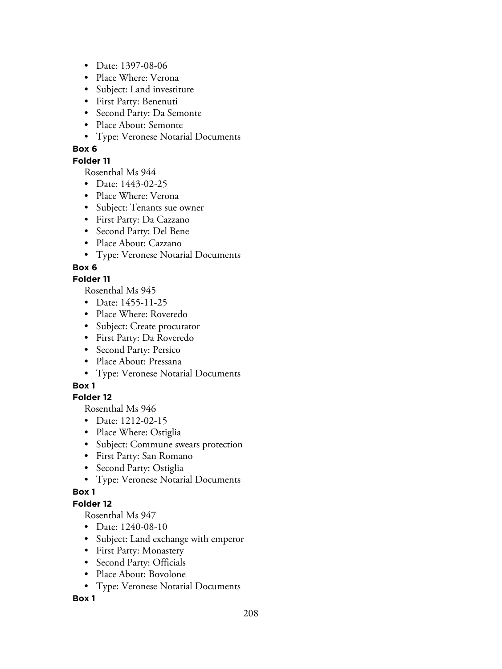- Date: 1397-08-06
- Place Where: Verona
- Subject: Land investiture
- First Party: Benenuti
- Second Party: Da Semonte
- Place About: Semonte
- Type: Veronese Notarial Documents

### **Folder 11**

Rosenthal Ms 944

- Date: 1443-02-25
- Place Where: Verona
- Subject: Tenants sue owner
- First Party: Da Cazzano
- Second Party: Del Bene
- Place About: Cazzano
- Type: Veronese Notarial Documents

## **Box 6**

### **Folder 11**

Rosenthal Ms 945

- Date: 1455-11-25
- Place Where: Roveredo
- Subject: Create procurator
- First Party: Da Roveredo
- Second Party: Persico
- Place About: Pressana
- Type: Veronese Notarial Documents

# **Box 1**

# **Folder 12**

Rosenthal Ms 946

- Date: 1212-02-15
- Place Where: Ostiglia
- Subject: Commune swears protection
- First Party: San Romano
- Second Party: Ostiglia
- Type: Veronese Notarial Documents

### **Box 1**

### **Folder 12**

Rosenthal Ms 947

- Date: 1240-08-10
- Subject: Land exchange with emperor
- First Party: Monastery
- Second Party: Officials
- Place About: Bovolone
- Type: Veronese Notarial Documents

### **Box 1**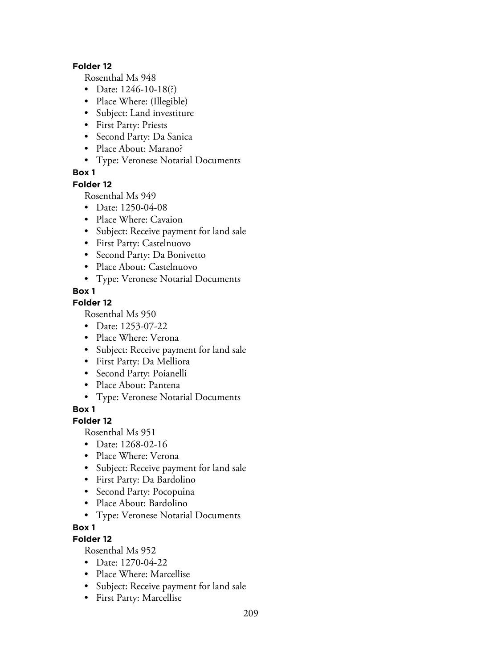#### **Folder 12**

Rosenthal Ms 948

- Date: 1246-10-18(?)
- Place Where: (Illegible)
- Subject: Land investiture
- First Party: Priests
- Second Party: Da Sanica
- Place About: Marano?
- Type: Veronese Notarial Documents

### **Box 1**

#### **Folder 12**

Rosenthal Ms 949

- Date: 1250-04-08
- Place Where: Cavaion
- Subject: Receive payment for land sale
- First Party: Castelnuovo
- Second Party: Da Bonivetto
- Place About: Castelnuovo
- Type: Veronese Notarial Documents

## **Box 1**

### **Folder 12**

Rosenthal Ms 950

- Date: 1253-07-22
- Place Where: Verona
- Subject: Receive payment for land sale
- First Party: Da Melliora
- Second Party: Poianelli
- Place About: Pantena
- Type: Veronese Notarial Documents

### **Box 1**

### **Folder 12**

Rosenthal Ms 951

- Date: 1268-02-16
- Place Where: Verona
- Subject: Receive payment for land sale
- First Party: Da Bardolino
- Second Party: Pocopuina
- Place About: Bardolino
- Type: Veronese Notarial Documents

# **Box 1**

# **Folder 12**

- Date: 1270-04-22
- Place Where: Marcellise
- Subject: Receive payment for land sale
- First Party: Marcellise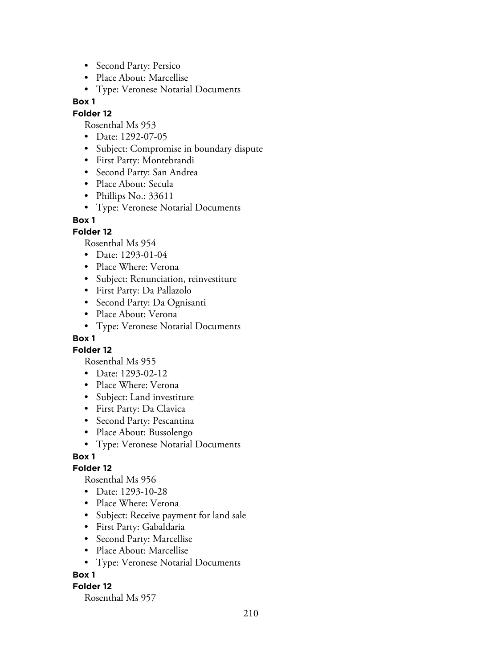- Second Party: Persico
- Place About: Marcellise
- Type: Veronese Notarial Documents

#### **Folder 12**

Rosenthal Ms 953

- Date: 1292-07-05
- Subject: Compromise in boundary dispute
- First Party: Montebrandi
- Second Party: San Andrea
- Place About: Secula
- Phillips No.: 33611
- Type: Veronese Notarial Documents

#### **Box 1**

### **Folder 12**

Rosenthal Ms 954

- Date: 1293-01-04
- Place Where: Verona
- Subject: Renunciation, reinvestiture
- First Party: Da Pallazolo
- Second Party: Da Ognisanti
- Place About: Verona
- Type: Veronese Notarial Documents

### **Box 1**

**Folder 12**

Rosenthal Ms 955

- Date: 1293-02-12
- Place Where: Verona
- Subject: Land investiture
- First Party: Da Clavica
- Second Party: Pescantina
- Place About: Bussolengo
- Type: Veronese Notarial Documents

### **Box 1**

### **Folder 12**

Rosenthal Ms 956

- Date: 1293-10-28
- Place Where: Verona
- Subject: Receive payment for land sale
- First Party: Gabaldaria
- Second Party: Marcellise
- Place About: Marcellise
- Type: Veronese Notarial Documents

### **Box 1**

### **Folder 12**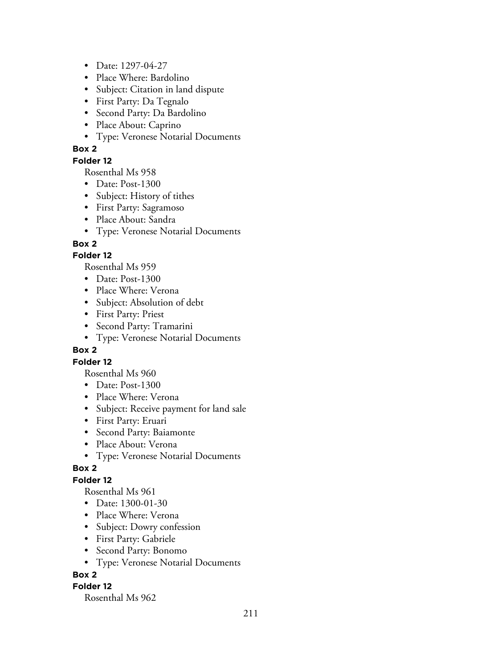- Date: 1297-04-27
- Place Where: Bardolino
- Subject: Citation in land dispute
- First Party: Da Tegnalo
- Second Party: Da Bardolino
- Place About: Caprino
- Type: Veronese Notarial Documents

#### **Folder 12**

Rosenthal Ms 958

- Date: Post-1300
- Subject: History of tithes
- First Party: Sagramoso
- Place About: Sandra
- Type: Veronese Notarial Documents

## **Box 2**

## **Folder 12**

Rosenthal Ms 959

- Date: Post-1300
- Place Where: Verona
- Subject: Absolution of debt
- First Party: Priest
- Second Party: Tramarini
- Type: Veronese Notarial Documents

### **Box 2**

### **Folder 12**

Rosenthal Ms 960

- Date: Post-1300
- Place Where: Verona
- Subject: Receive payment for land sale
- First Party: Eruari
- Second Party: Baiamonte
- Place About: Verona
- Type: Veronese Notarial Documents

### **Box 2**

# **Folder 12**

Rosenthal Ms 961

- Date: 1300-01-30
- Place Where: Verona
- Subject: Dowry confession
- First Party: Gabriele
- Second Party: Bonomo
- Type: Veronese Notarial Documents

### **Box 2**

### **Folder 12**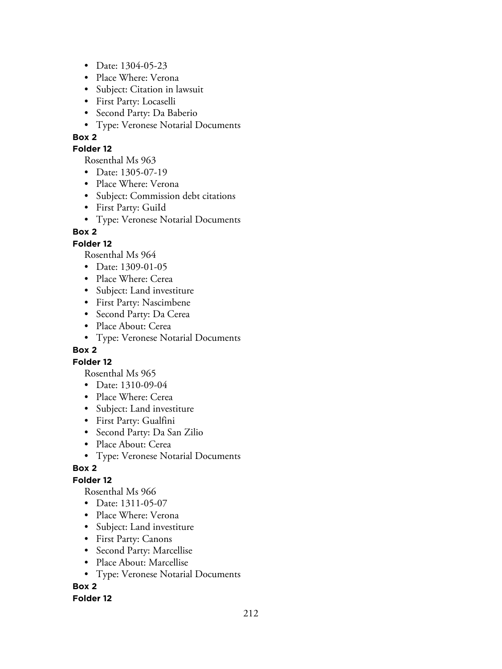- Date: 1304-05-23
- Place Where: Verona
- Subject: Citation in lawsuit
- First Party: Locaselli
- Second Party: Da Baberio
- Type: Veronese Notarial Documents

#### **Folder 12**

Rosenthal Ms 963

- Date: 1305-07-19
- Place Where: Verona
- Subject: Commission debt citations
- First Party: GuiId
- Type: Veronese Notarial Documents

## **Box 2**

## **Folder 12**

Rosenthal Ms 964

- Date: 1309-01-05
- Place Where: Cerea
- Subject: Land investiture
- First Party: Nascimbene
- Second Party: Da Cerea
- Place About: Cerea
- Type: Veronese Notarial Documents

### **Box 2**

### **Folder 12**

Rosenthal Ms 965

- Date: 1310-09-04
- Place Where: Cerea
- Subject: Land investiture
- First Party: Gualfini
- Second Party: Da San Zilio
- Place About: Cerea
- Type: Veronese Notarial Documents

# **Box 2**

# **Folder 12**

Rosenthal Ms 966

- Date: 1311-05-07
- Place Where: Verona
- Subject: Land investiture
- First Party: Canons
- Second Party: Marcellise
- Place About: Marcellise
- Type: Veronese Notarial Documents

# **Box 2**

### **Folder 12**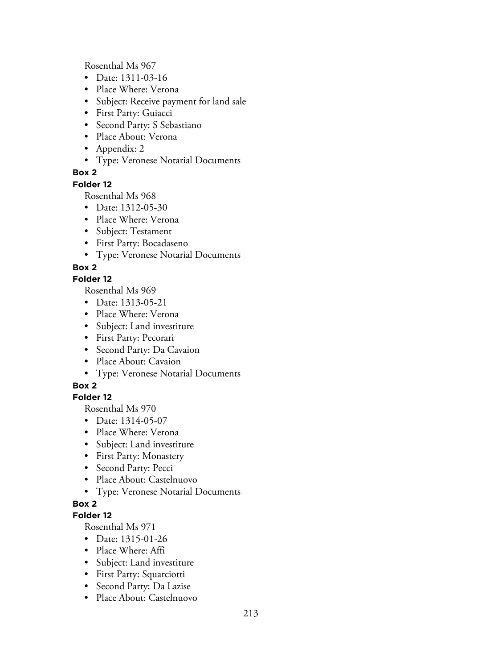Rosenthal Ms 967

- Date: 1311-03-16
- Place Where: Verona
- Subject: Receive payment for land sale
- First Party: Guiacci
- Second Party: S Sebastiano
- Place About: Verona
- Appendix: 2
- Type: Veronese Notarial Documents

## **Box 2**

### **Folder 12**

Rosenthal Ms 968

- Date: 1312-05-30
- Place Where: Verona
- Subject: Testament
- First Party: Bocadaseno
- Type: Veronese Notarial Documents

## **Box 2**

### **Folder 12**

Rosenthal Ms 969

- Date: 1313-05-21
- Place Where: Verona
- Subject: Land investiture
- First Party: Pecorari
- Second Party: Da Cavaion
- Place About: Cavaion
- Type: Veronese Notarial Documents

# **Box 2**

# **Folder 12**

Rosenthal Ms 970

- Date: 1314-05-07
- Place Where: Verona
- Subject: Land investiture
- First Party: Monastery
- Second Party: Pecci
- Place About: Castelnuovo
- Type: Veronese Notarial Documents

# **Box 2**

### **Folder 12**

- Date: 1315-01-26
- Place Where: Affi
- Subject: Land investiture
- First Party: Squarciotti
- Second Party: Da Lazise
- Place About: Castelnuovo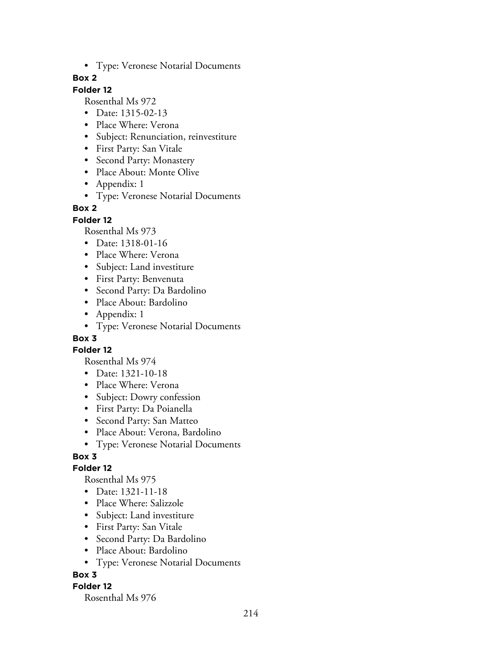• Type: Veronese Notarial Documents

### **Box 2**

# **Folder 12**

Rosenthal Ms 972

- Date: 1315-02-13
- Place Where: Verona
- Subject: Renunciation, reinvestiture
- First Party: San Vitale
- Second Party: Monastery
- Place About: Monte Olive
- Appendix: 1
- Type: Veronese Notarial Documents

### **Box 2**

**Folder 12**

Rosenthal Ms 973

- Date: 1318-01-16
- Place Where: Verona
- Subject: Land investiture
- First Party: Benvenuta
- Second Party: Da Bardolino
- Place About: Bardolino
- Appendix: 1
- Type: Veronese Notarial Documents

## **Box 3**

**Folder 12**

Rosenthal Ms 974

- Date: 1321-10-18
- Place Where: Verona
- Subject: Dowry confession
- First Party: Da Poianella
- Second Party: San Matteo
- Place About: Verona, Bardolino
- Type: Veronese Notarial Documents

# **Box 3**

### **Folder 12**

Rosenthal Ms 975

- Date: 1321-11-18
- Place Where: Salizzole
- Subject: Land investiture
- First Party: San Vitale
- Second Party: Da Bardolino
- Place About: Bardolino
- Type: Veronese Notarial Documents

### **Box 3**

### **Folder 12**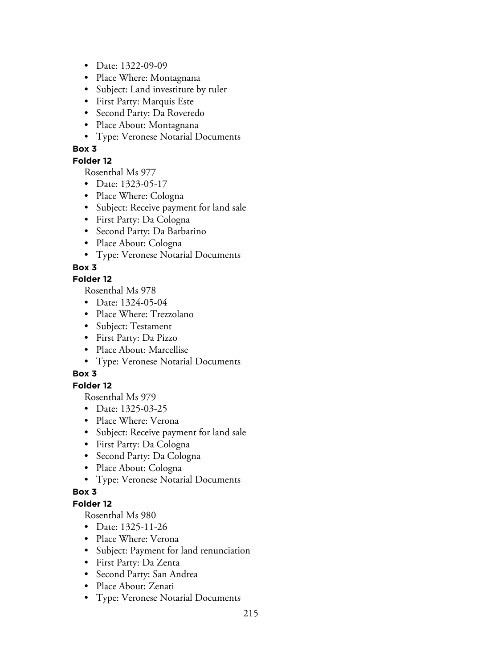- Date: 1322-09-09
- Place Where: Montagnana
- Subject: Land investiture by ruler
- First Party: Marquis Este
- Second Party: Da Roveredo
- Place About: Montagnana
- Type: Veronese Notarial Documents

### **Folder 12**

Rosenthal Ms 977

- Date: 1323-05-17
- Place Where: Cologna
- Subject: Receive payment for land sale
- First Party: Da Cologna
- Second Party: Da Barbarino
- Place About: Cologna
- Type: Veronese Notarial Documents

## **Box 3**

### **Folder 12**

Rosenthal Ms 978

- Date: 1324-05-04
- Place Where: Trezzolano
- Subject: Testament
- First Party: Da Pizzo
- Place About: Marcellise
- Type: Veronese Notarial Documents

# **Box 3**

# **Folder 12**

Rosenthal Ms 979

- Date: 1325-03-25
- Place Where: Verona
- Subject: Receive payment for land sale
- First Party: Da Cologna
- Second Party: Da Cologna
- Place About: Cologna
- Type: Veronese Notarial Documents

### **Box 3**

### **Folder 12**

- Date: 1325-11-26
- Place Where: Verona
- Subject: Payment for land renunciation
- First Party: Da Zenta
- Second Party: San Andrea
- Place About: Zenati
- Type: Veronese Notarial Documents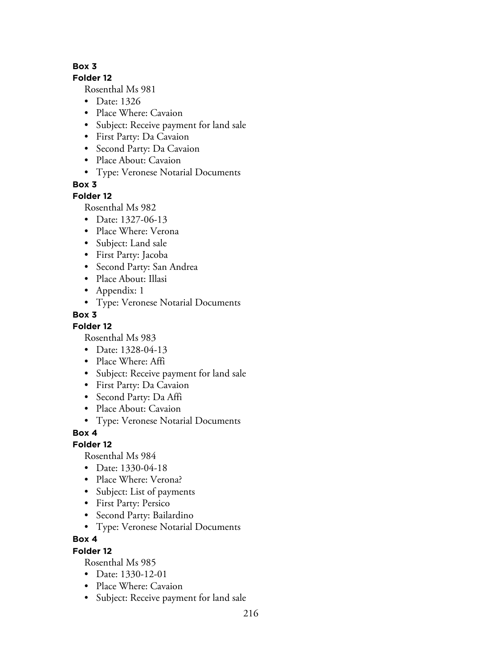## **Folder 12**

Rosenthal Ms 981

- Date: 1326
- Place Where: Cavaion
- Subject: Receive payment for land sale
- First Party: Da Cavaion
- Second Party: Da Cavaion
- Place About: Cavaion
- Type: Veronese Notarial Documents

**Box 3**

# **Folder 12**

Rosenthal Ms 982

- Date: 1327-06-13
- Place Where: Verona
- Subject: Land sale
- First Party: Jacoba
- Second Party: San Andrea
- Place About: Illasi
- Appendix: 1
- Type: Veronese Notarial Documents

# **Box 3**

**Folder 12**

Rosenthal Ms 983

- Date: 1328-04-13
- Place Where: Affi
- Subject: Receive payment for land sale
- First Party: Da Cavaion
- Second Party: Da Affi
- Place About: Cavaion
- Type: Veronese Notarial Documents

**Box 4**

# **Folder 12**

Rosenthal Ms 984

- Date: 1330-04-18
- Place Where: Verona?
- Subject: List of payments
- First Party: Persico
- Second Party: Bailardino
- Type: Veronese Notarial Documents

**Box 4**

# **Folder 12**

- Date: 1330-12-01
- Place Where: Cavaion
- Subject: Receive payment for land sale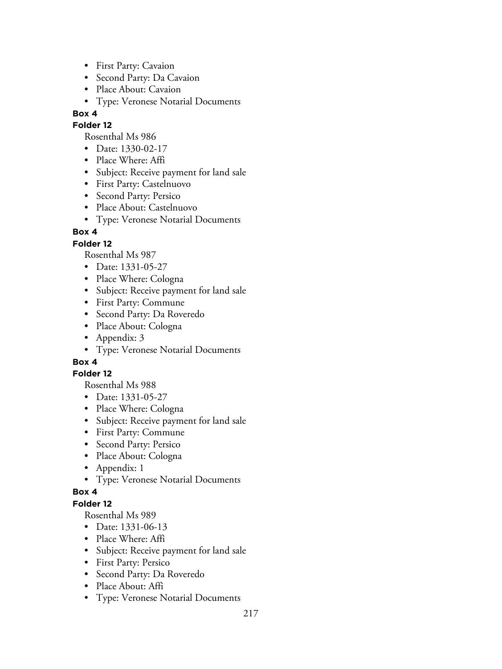- First Party: Cavaion
- Second Party: Da Cavaion
- Place About: Cavaion
- Type: Veronese Notarial Documents

### **Folder 12**

Rosenthal Ms 986

- Date: 1330-02-17
- Place Where: Affi
- Subject: Receive payment for land sale
- First Party: Castelnuovo
- Second Party: Persico
- Place About: Castelnuovo
- Type: Veronese Notarial Documents

# **Box 4**

# **Folder 12**

Rosenthal Ms 987

- Date: 1331-05-27
- Place Where: Cologna
- Subject: Receive payment for land sale
- First Party: Commune
- Second Party: Da Roveredo
- Place About: Cologna
- Appendix: 3
- Type: Veronese Notarial Documents

# **Box 4**

### **Folder 12**

Rosenthal Ms 988

- Date: 1331-05-27
- Place Where: Cologna
- Subject: Receive payment for land sale
- First Party: Commune
- Second Party: Persico
- Place About: Cologna
- Appendix: 1
- Type: Veronese Notarial Documents

### **Box 4**

### **Folder 12**

- Date: 1331-06-13
- Place Where: Affi
- Subject: Receive payment for land sale
- First Party: Persico
- Second Party: Da Roveredo
- Place About: Affi
- Type: Veronese Notarial Documents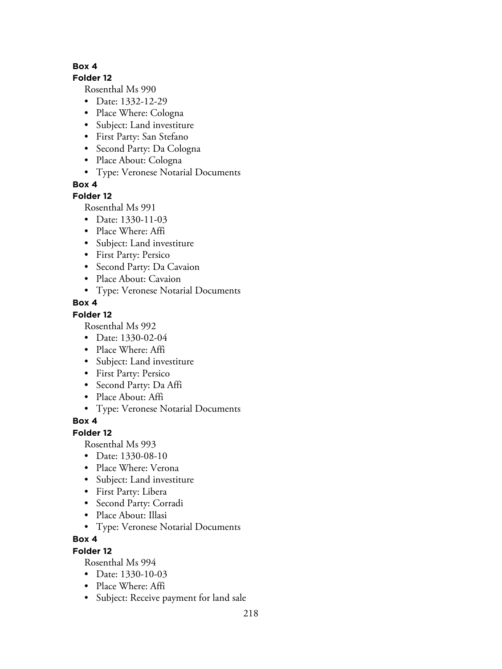### **Folder 12**

Rosenthal Ms 990

- Date: 1332-12-29
- Place Where: Cologna
- Subject: Land investiture
- First Party: San Stefano
- Second Party: Da Cologna
- Place About: Cologna
- Type: Veronese Notarial Documents

**Box 4**

# **Folder 12**

Rosenthal Ms 991

- Date: 1330-11-03
- Place Where: Affi
- Subject: Land investiture
- First Party: Persico
- Second Party: Da Cavaion
- Place About: Cavaion
- Type: Veronese Notarial Documents

# **Box 4**

# **Folder 12**

Rosenthal Ms 992

- Date: 1330-02-04
- Place Where: Affi
- Subject: Land investiture
- First Party: Persico
- Second Party: Da Affi
- Place About: Affi
- Type: Veronese Notarial Documents

# **Box 4**

# **Folder 12**

Rosenthal Ms 993

- Date: 1330-08-10
- Place Where: Verona
- Subject: Land investiture
- First Party: Libera
- Second Party: Corradi
- Place About: Illasi
- Type: Veronese Notarial Documents

# **Box 4**

# **Folder 12**

- Date: 1330-10-03
- Place Where: Affi
- Subject: Receive payment for land sale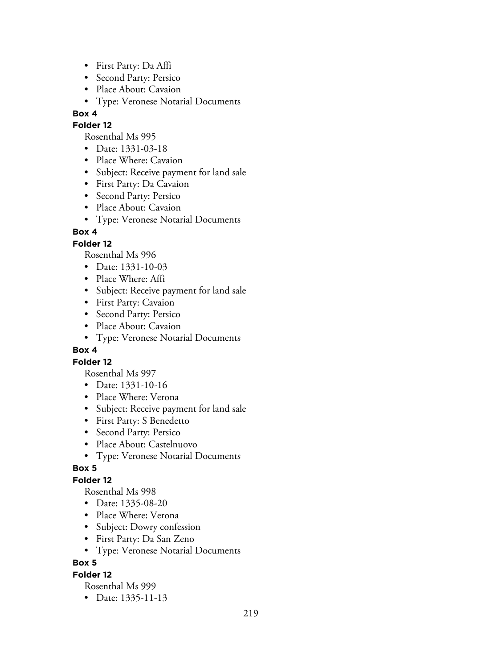- First Party: Da Affi
- Second Party: Persico
- Place About: Cavaion
- Type: Veronese Notarial Documents

#### **Folder 12**

Rosenthal Ms 995

- Date: 1331-03-18
- Place Where: Cavaion
- Subject: Receive payment for land sale
- First Party: Da Cavaion
- Second Party: Persico
- Place About: Cavaion
- Type: Veronese Notarial Documents

## **Box 4**

## **Folder 12**

Rosenthal Ms 996

- Date: 1331-10-03
- Place Where: Affi
- Subject: Receive payment for land sale
- First Party: Cavaion
- Second Party: Persico
- Place About: Cavaion
- Type: Veronese Notarial Documents

### **Box 4**

### **Folder 12**

Rosenthal Ms 997

- Date: 1331-10-16
- Place Where: Verona
- Subject: Receive payment for land sale
- First Party: S Benedetto
- Second Party: Persico
- Place About: Castelnuovo
- Type: Veronese Notarial Documents

### **Box 5**

### **Folder 12**

Rosenthal Ms 998

- Date: 1335-08-20
- Place Where: Verona
- Subject: Dowry confession
- First Party: Da San Zeno
- Type: Veronese Notarial Documents

### **Box 5**

### **Folder 12**

Rosenthal Ms 999

• Date: 1335-11-13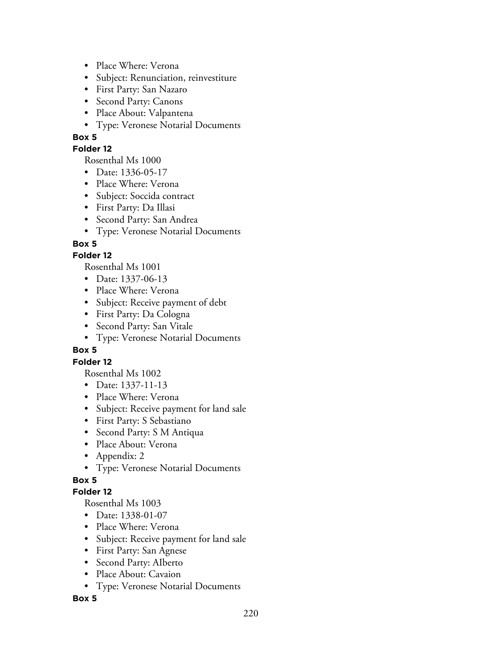- Place Where: Verona
- Subject: Renunciation, reinvestiture
- First Party: San Nazaro
- Second Party: Canons
- Place About: Valpantena
- Type: Veronese Notarial Documents

### **Folder 12**

Rosenthal Ms 1000

- Date: 1336-05-17
- Place Where: Verona
- Subject: Soccida contract
- First Party: Da Illasi
- Second Party: San Andrea
- Type: Veronese Notarial Documents

## **Box 5**

## **Folder 12**

Rosenthal Ms 1001

- Date: 1337-06-13
- Place Where: Verona
- Subject: Receive payment of debt
- First Party: Da Cologna
- Second Party: San Vitale
- Type: Veronese Notarial Documents

### **Box 5**

### **Folder 12**

Rosenthal Ms 1002

- Date: 1337-11-13
- Place Where: Verona
- Subject: Receive payment for land sale
- First Party: S Sebastiano
- Second Party: S M Antiqua
- Place About: Verona
- Appendix: 2
- Type: Veronese Notarial Documents

# **Box 5**

### **Folder 12**

Rosenthal Ms 1003

- Date: 1338-01-07
- Place Where: Verona
- Subject: Receive payment for land sale
- First Party: San Agnese
- Second Party: AIberto
- Place About: Cavaion
- Type: Veronese Notarial Documents

### **Box 5**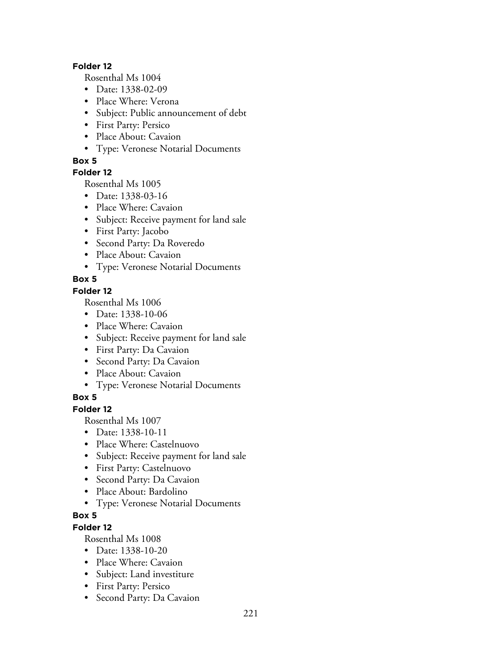### **Folder 12**

Rosenthal Ms 1004

- Date: 1338-02-09
- Place Where: Verona
- Subject: Public announcement of debt
- First Party: Persico
- Place About: Cavaion
- Type: Veronese Notarial Documents

### **Box 5**

### **Folder 12**

Rosenthal Ms 1005

- Date: 1338-03-16
- Place Where: Cavaion
- Subject: Receive payment for land sale
- First Party: Jacobo
- Second Party: Da Roveredo
- Place About: Cavaion
- Type: Veronese Notarial Documents

# **Box 5**

### **Folder 12**

Rosenthal Ms 1006

- Date: 1338-10-06
- Place Where: Cavaion
- Subject: Receive payment for land sale
- First Party: Da Cavaion
- Second Party: Da Cavaion
- Place About: Cavaion
- Type: Veronese Notarial Documents

# **Box 5**

## **Folder 12**

Rosenthal Ms 1007

- Date: 1338-10-11
- Place Where: Castelnuovo
- Subject: Receive payment for land sale
- First Party: Castelnuovo
- Second Party: Da Cavaion
- Place About: Bardolino
- Type: Veronese Notarial Documents

# **Box 5**

## **Folder 12**

- Date: 1338-10-20
- Place Where: Cavaion
- Subject: Land investiture
- First Party: Persico
- Second Party: Da Cavaion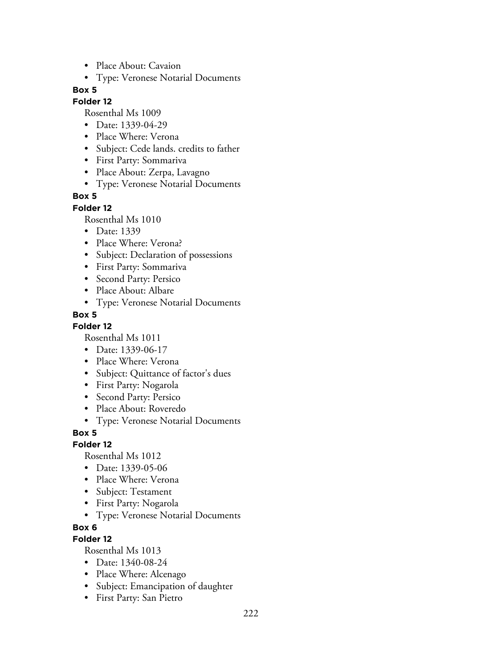- Place About: Cavaion
- Type: Veronese Notarial Documents

#### **Folder 12**

Rosenthal Ms 1009

- Date: 1339-04-29
- Place Where: Verona
- Subject: Cede lands. credits to father
- First Party: Sommariva
- Place About: Zerpa, Lavagno
- Type: Veronese Notarial Documents

#### **Box 5**

#### **Folder 12**

Rosenthal Ms 1010

- Date: 1339
- Place Where: Verona?
- Subject: Declaration of possessions
- First Party: Sommariva
- Second Party: Persico
- Place About: Albare
- Type: Veronese Notarial Documents

#### **Box 5**

#### **Folder 12**

Rosenthal Ms 1011

- Date: 1339-06-17
- Place Where: Verona
- Subject: Quittance of factor's dues
- First Party: Nogarola
- Second Party: Persico
- Place About: Roveredo
- Type: Veronese Notarial Documents

**Box 5**

#### **Folder 12**

Rosenthal Ms 1012

- Date: 1339-05-06
- Place Where: Verona
- Subject: Testament
- First Party: Nogarola
- Type: Veronese Notarial Documents

### **Box 6**

### **Folder 12**

- Date: 1340-08-24
- Place Where: Alcenago
- Subject: Emancipation of daughter
- First Party: San Pietro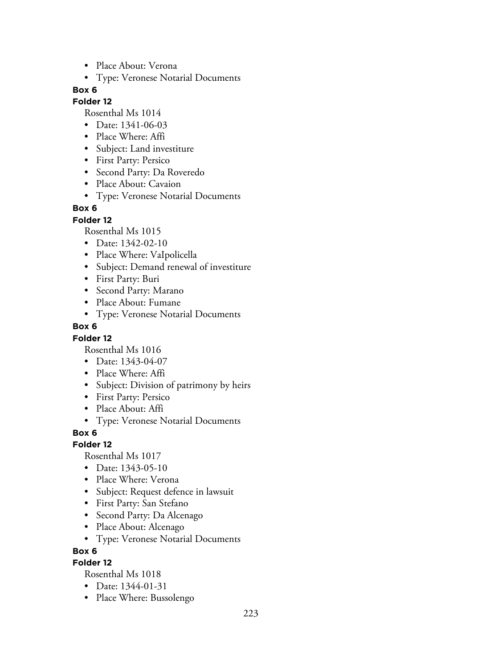- Place About: Verona
- Type: Veronese Notarial Documents

#### **Folder 12**

Rosenthal Ms 1014

- Date: 1341-06-03
- Place Where: Affi
- Subject: Land investiture
- First Party: Persico
- Second Party: Da Roveredo
- Place About: Cavaion
- Type: Veronese Notarial Documents

### **Box 6**

#### **Folder 12**

Rosenthal Ms 1015

- Date: 1342-02-10
- Place Where: VaIpolicella
- Subject: Demand renewal of investiture
- First Party: Buri
- Second Party: Marano
- Place About: Fumane
- Type: Veronese Notarial Documents

#### **Box 6**

#### **Folder 12**

Rosenthal Ms 1016

- Date: 1343-04-07
- Place Where: Affi
- Subject: Division of patrimony by heirs
- First Party: Persico
- Place About: Affi
- Type: Veronese Notarial Documents

### **Box 6**

### **Folder 12**

Rosenthal Ms 1017

- Date: 1343-05-10
- Place Where: Verona
- Subject: Request defence in lawsuit
- First Party: San Stefano
- Second Party: Da Alcenago
- Place About: Alcenago
- Type: Veronese Notarial Documents

#### **Box 6**

### **Folder 12**

- Date: 1344-01-31
- Place Where: Bussolengo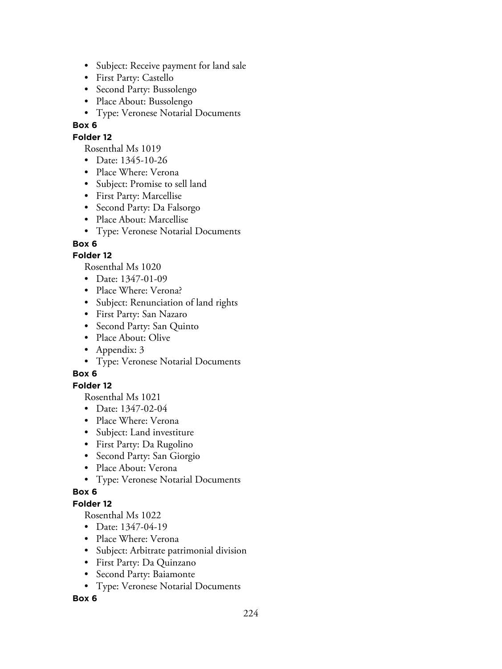- Subject: Receive payment for land sale
- First Party: Castello
- Second Party: Bussolengo
- Place About: Bussolengo
- Type: Veronese Notarial Documents

### **Folder 12**

Rosenthal Ms 1019

- Date: 1345-10-26
- Place Where: Verona
- Subject: Promise to sell land
- First Party: Marcellise
- Second Party: Da Falsorgo
- Place About: Marcellise
- Type: Veronese Notarial Documents

## **Box 6**

## **Folder 12**

Rosenthal Ms 1020

- Date: 1347-01-09
- Place Where: Verona?
- Subject: Renunciation of land rights
- First Party: San Nazaro
- Second Party: San Quinto
- Place About: Olive
- Appendix: 3
- Type: Veronese Notarial Documents

# **Box 6**

### **Folder 12**

Rosenthal Ms 1021

- Date: 1347-02-04
- Place Where: Verona
- Subject: Land investiture
- First Party: Da Rugolino
- Second Party: San Giorgio
- Place About: Verona
- Type: Veronese Notarial Documents

### **Box 6**

## **Folder 12**

Rosenthal Ms 1022

- Date: 1347-04-19
- Place Where: Verona
- Subject: Arbitrate patrimonial division
- First Party: Da Quinzano
- Second Party: Baiamonte
- Type: Veronese Notarial Documents

### **Box 6**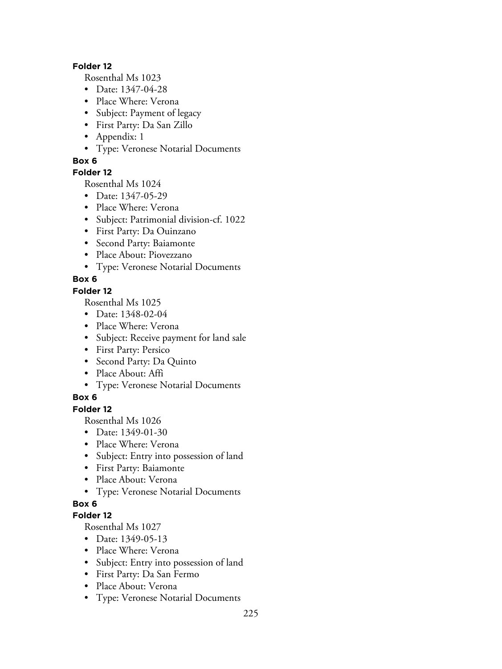#### **Folder 12**

Rosenthal Ms 1023

- Date: 1347-04-28
- Place Where: Verona
- Subject: Payment of legacy
- First Party: Da San Zillo
- Appendix: 1
- Type: Veronese Notarial Documents

### **Box 6**

## **Folder 12**

Rosenthal Ms 1024

- Date: 1347-05-29
- Place Where: Verona
- Subject: Patrimonial division-cf. 1022
- First Party: Da Ouinzano
- Second Party: Baiamonte
- Place About: Piovezzano
- Type: Veronese Notarial Documents

# **Box 6**

### **Folder 12**

Rosenthal Ms 1025

- Date: 1348-02-04
- Place Where: Verona
- Subject: Receive payment for land sale
- First Party: Persico
- Second Party: Da Quinto
- Place About: Affi
- Type: Veronese Notarial Documents

# **Box 6**

## **Folder 12**

Rosenthal Ms 1026

- Date: 1349-01-30
- Place Where: Verona
- Subject: Entry into possession of land
- First Party: Baiamonte
- Place About: Verona
- Type: Veronese Notarial Documents

# **Box 6**

# **Folder 12**

- Date: 1349-05-13
- Place Where: Verona
- Subject: Entry into possession of land
- First Party: Da San Fermo
- Place About: Verona
- Type: Veronese Notarial Documents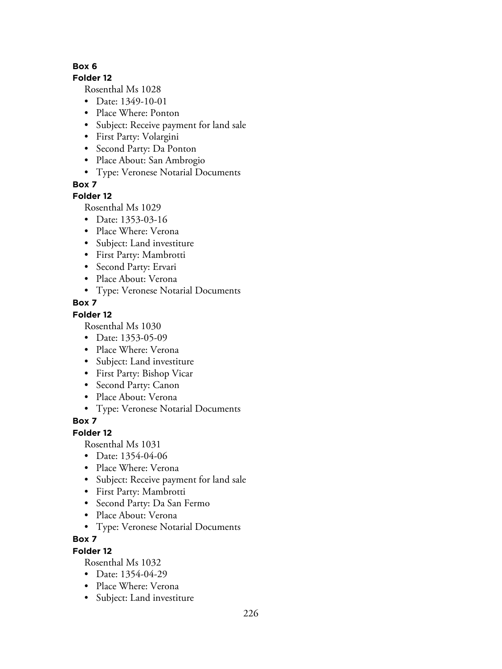#### **Folder 12**

Rosenthal Ms 1028

- Date: 1349-10-01
- Place Where: Ponton
- Subject: Receive payment for land sale
- First Party: Volargini
- Second Party: Da Ponton
- Place About: San Ambrogio
- Type: Veronese Notarial Documents

**Box 7**

## **Folder 12**

Rosenthal Ms 1029

- Date: 1353-03-16
- Place Where: Verona
- Subject: Land investiture
- First Party: Mambrotti
- Second Party: Ervari
- Place About: Verona
- Type: Veronese Notarial Documents

## **Box 7**

### **Folder 12**

Rosenthal Ms 1030

- Date: 1353-05-09
- Place Where: Verona
- Subject: Land investiture
- First Party: Bishop Vicar
- Second Party: Canon
- Place About: Verona
- Type: Veronese Notarial Documents

# **Box 7**

### **Folder 12**

Rosenthal Ms 1031

- Date: 1354-04-06
- Place Where: Verona
- Subject: Receive payment for land sale
- First Party: Mambrotti
- Second Party: Da San Fermo
- Place About: Verona
- Type: Veronese Notarial Documents

# **Box 7**

### **Folder 12**

- Date: 1354-04-29
- Place Where: Verona
- Subject: Land investiture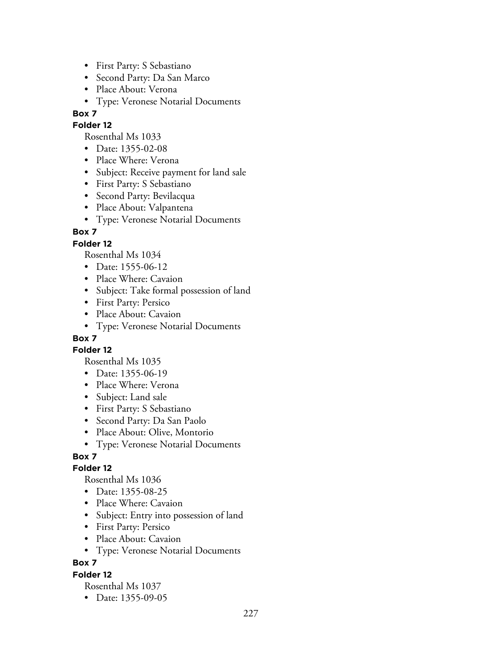- First Party: S Sebastiano
- Second Party: Da San Marco
- Place About: Verona
- Type: Veronese Notarial Documents

## **Folder 12**

Rosenthal Ms 1033

- Date: 1355-02-08
- Place Where: Verona
- Subject: Receive payment for land sale
- First Party: S Sebastiano
- Second Party: Bevilacqua
- Place About: Valpantena
- Type: Veronese Notarial Documents

# **Box 7**

# **Folder 12**

Rosenthal Ms 1034

- Date: 1555-06-12
- Place Where: Cavaion
- Subject: Take formal possession of land
- First Party: Persico
- Place About: Cavaion
- Type: Veronese Notarial Documents

# **Box 7**

**Folder 12**

Rosenthal Ms 1035

- Date: 1355-06-19
- Place Where: Verona
- Subject: Land sale
- First Party: S Sebastiano
- Second Party: Da San Paolo
- Place About: Olive, Montorio
- Type: Veronese Notarial Documents

# **Box 7**

# **Folder 12**

Rosenthal Ms 1036

- Date: 1355-08-25
- Place Where: Cavaion
- Subject: Entry into possession of land
- First Party: Persico
- Place About: Cavaion
- Type: Veronese Notarial Documents

# **Box 7**

# **Folder 12**

Rosenthal Ms 1037

• Date: 1355-09-05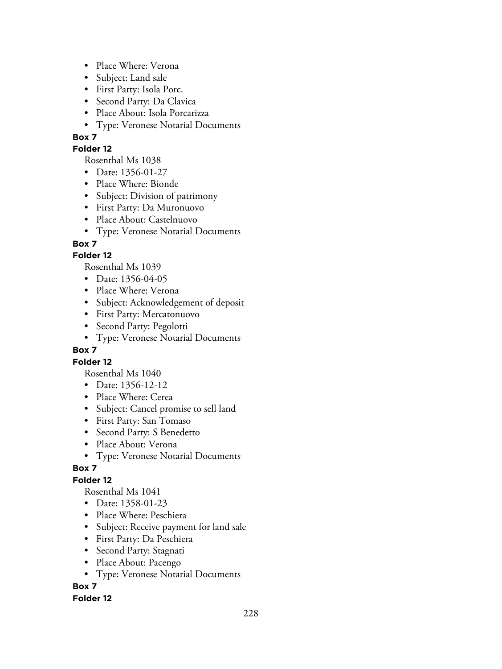- Place Where: Verona
- Subject: Land sale
- First Party: Isola Porc.
- Second Party: Da Clavica
- Place About: Isola Porcarizza
- Type: Veronese Notarial Documents

#### **Folder 12**

Rosenthal Ms 1038

- Date: 1356-01-27
- Place Where: Bionde
- Subject: Division of patrimony
- First Party: Da Muronuovo
- Place About: Castelnuovo
- Type: Veronese Notarial Documents

## **Box 7**

## **Folder 12**

Rosenthal Ms 1039

- Date: 1356-04-05
- Place Where: Verona
- Subject: Acknowledgement of deposit
- First Party: Mercatonuovo
- Second Party: Pegolotti
- Type: Veronese Notarial Documents

### **Box 7**

### **Folder 12**

Rosenthal Ms 1040

- Date: 1356-12-12
- Place Where: Cerea
- Subject: Cancel promise to sell land
- First Party: San Tomaso
- Second Party: S Benedetto
- Place About: Verona
- Type: Veronese Notarial Documents

# **Box 7**

# **Folder 12**

Rosenthal Ms 1041

- Date: 1358-01-23
- Place Where: Peschiera
- Subject: Receive payment for land sale
- First Party: Da Peschiera
- Second Party: Stagnati
- Place About: Pacengo
- Type: Veronese Notarial Documents

# **Box 7**

### **Folder 12**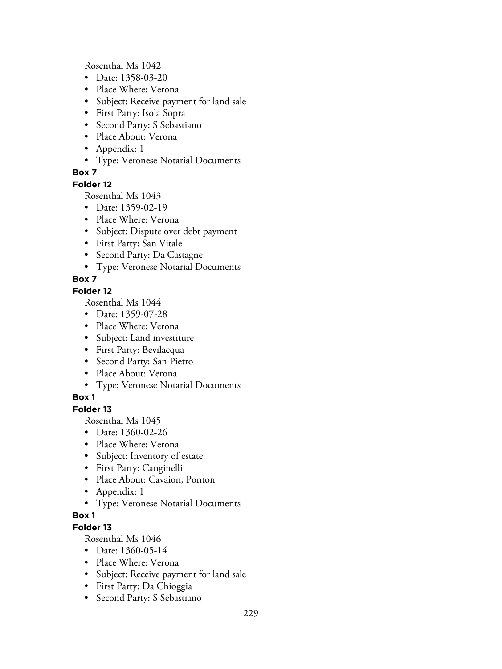Rosenthal Ms 1042

- Date: 1358-03-20
- Place Where: Verona
- Subject: Receive payment for land sale
- First Party: Isola Sopra
- Second Party: S Sebastiano
- Place About: Verona
- Appendix: 1
- Type: Veronese Notarial Documents

## **Box 7**

#### **Folder 12**

Rosenthal Ms 1043

- Date: 1359-02-19
- Place Where: Verona
- Subject: Dispute over debt payment
- First Party: San Vitale
- Second Party: Da Castagne
- Type: Veronese Notarial Documents

# **Box 7**

### **Folder 12**

Rosenthal Ms 1044

- Date: 1359-07-28
- Place Where: Verona
- Subject: Land investiture
- First Party: Bevilacqua
- Second Party: San Pietro
- Place About: Verona
- Type: Veronese Notarial Documents

# **Box 1**

# **Folder 13**

Rosenthal Ms 1045

- Date: 1360-02-26
- Place Where: Verona
- Subject: Inventory of estate
- First Party: Canginelli
- Place About: Cavaion, Ponton
- Appendix: 1
- Type: Veronese Notarial Documents

# **Box 1**

# **Folder 13**

- Date: 1360-05-14
- Place Where: Verona
- Subject: Receive payment for land sale
- First Party: Da Chioggia
- Second Party: S Sebastiano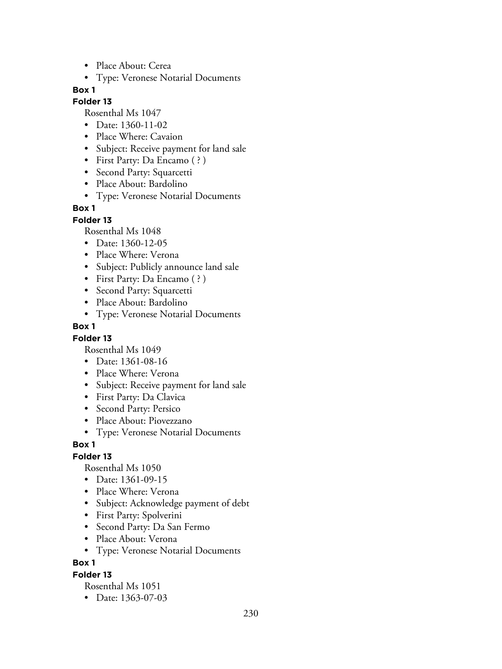- Place About: Cerea
- Type: Veronese Notarial Documents

### **Folder 13**

Rosenthal Ms 1047

- Date: 1360-11-02
- Place Where: Cavaion
- Subject: Receive payment for land sale
- First Party: Da Encamo ( ? )
- Second Party: Squarcetti
- Place About: Bardolino
- Type: Veronese Notarial Documents

### **Box 1**

**Folder 13**

Rosenthal Ms 1048

- Date: 1360-12-05
- Place Where: Verona
- Subject: Publicly announce land sale
- First Party: Da Encamo (?)
- Second Party: Squarcetti
- Place About: Bardolino
- Type: Veronese Notarial Documents

### **Box 1**

### **Folder 13**

Rosenthal Ms 1049

- Date: 1361-08-16
- Place Where: Verona
- Subject: Receive payment for land sale
- First Party: Da Clavica
- Second Party: Persico
- Place About: Piovezzano
- Type: Veronese Notarial Documents

### **Box 1**

# **Folder 13**

Rosenthal Ms 1050

- Date: 1361-09-15
- Place Where: Verona
- Subject: Acknowledge payment of debt
- First Party: Spolverini
- Second Party: Da San Fermo
- Place About: Verona
- Type: Veronese Notarial Documents

**Box 1**

### **Folder 13**

Rosenthal Ms 1051

• Date: 1363-07-03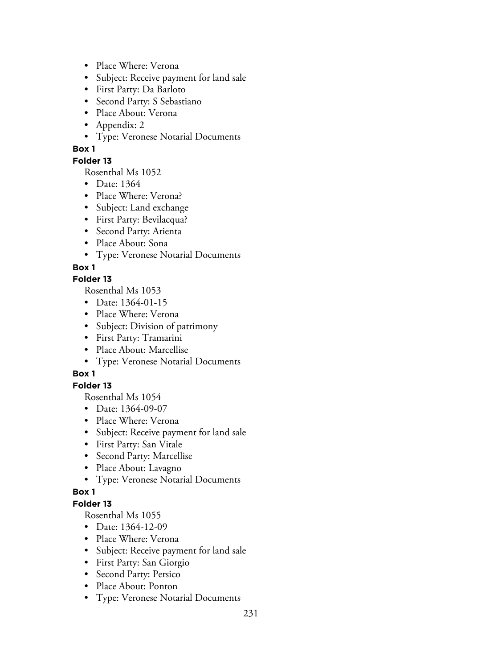- Place Where: Verona
- Subject: Receive payment for land sale
- First Party: Da Barloto
- Second Party: S Sebastiano
- Place About: Verona
- Appendix: 2
- Type: Veronese Notarial Documents

### **Folder 13**

Rosenthal Ms 1052

- Date: 1364
- Place Where: Verona?
- Subject: Land exchange
- First Party: Bevilacqua?
- Second Party: Arienta
- Place About: Sona
- Type: Veronese Notarial Documents

## **Box 1**

### **Folder 13**

Rosenthal Ms 1053

- Date: 1364-01-15
- Place Where: Verona
- Subject: Division of patrimony
- First Party: Tramarini
- Place About: Marcellise
- Type: Veronese Notarial Documents

# **Box 1**

## **Folder 13**

Rosenthal Ms 1054

- Date: 1364-09-07
- Place Where: Verona
- Subject: Receive payment for land sale
- First Party: San Vitale
- Second Party: Marcellise
- Place About: Lavagno
- Type: Veronese Notarial Documents

### **Box 1**

## **Folder 13**

- Date: 1364-12-09
- Place Where: Verona
- Subject: Receive payment for land sale
- First Party: San Giorgio
- Second Party: Persico
- Place About: Ponton
- Type: Veronese Notarial Documents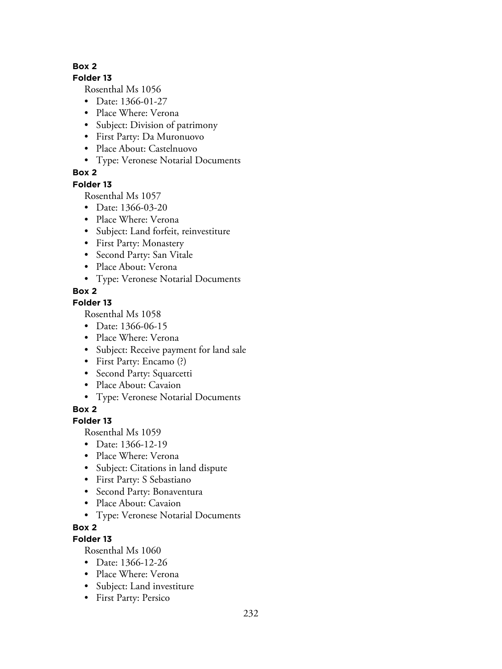### **Folder 13**

Rosenthal Ms 1056

- Date: 1366-01-27
- Place Where: Verona
- Subject: Division of patrimony
- First Party: Da Muronuovo
- Place About: Castelnuovo
- Type: Veronese Notarial Documents

# **Box 2**

## **Folder 13**

Rosenthal Ms 1057

- Date: 1366-03-20
- Place Where: Verona
- Subject: Land forfeit, reinvestiture
- First Party: Monastery
- Second Party: San Vitale
- Place About: Verona
- Type: Veronese Notarial Documents

# **Box 2**

# **Folder 13**

Rosenthal Ms 1058

- Date: 1366-06-15
- Place Where: Verona
- Subject: Receive payment for land sale
- First Party: Encamo (?)
- Second Party: Squarcetti
- Place About: Cavaion
- Type: Veronese Notarial Documents

**Box 2**

# **Folder 13**

Rosenthal Ms 1059

- Date: 1366-12-19
- Place Where: Verona
- Subject: Citations in land dispute
- First Party: S Sebastiano
- Second Party: Bonaventura
- Place About: Cavaion
- Type: Veronese Notarial Documents

# **Box 2**

# **Folder 13**

- Date: 1366-12-26
- Place Where: Verona
- Subject: Land investiture
- First Party: Persico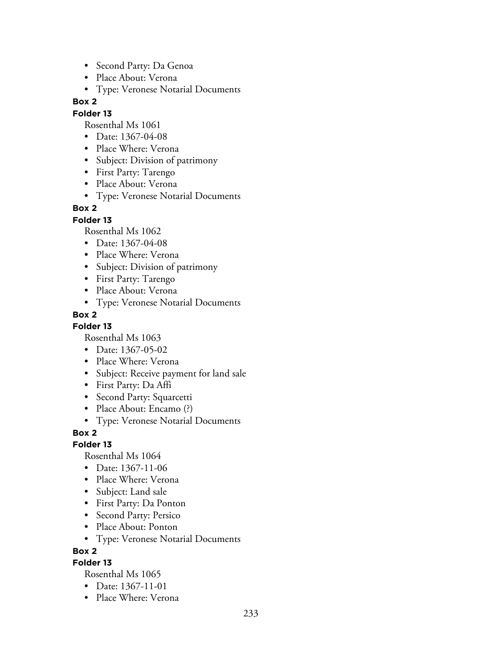- Second Party: Da Genoa
- Place About: Verona
- Type: Veronese Notarial Documents

### **Folder 13**

Rosenthal Ms 1061

- Date: 1367-04-08
- Place Where: Verona
- Subject: Division of patrimony
- First Party: Tarengo
- Place About: Verona
- Type: Veronese Notarial Documents

## **Box 2**

### **Folder 13**

Rosenthal Ms 1062

- Date: 1367-04-08
- Place Where: Verona
- Subject: Division of patrimony
- First Party: Tarengo
- Place About: Verona
- Type: Veronese Notarial Documents

## **Box 2**

### **Folder 13**

Rosenthal Ms 1063

- Date: 1367-05-02
- Place Where: Verona
- Subject: Receive payment for land sale
- First Party: Da Affi
- Second Party: Squarcetti
- Place About: Encamo (?)
- Type: Veronese Notarial Documents

### **Box 2**

### **Folder 13**

Rosenthal Ms 1064

- Date: 1367-11-06
- Place Where: Verona
- Subject: Land sale
- First Party: Da Ponton
- Second Party: Persico
- Place About: Ponton
- Type: Veronese Notarial Documents

#### **Box 2**

### **Folder 13**

- Date: 1367-11-01
- Place Where: Verona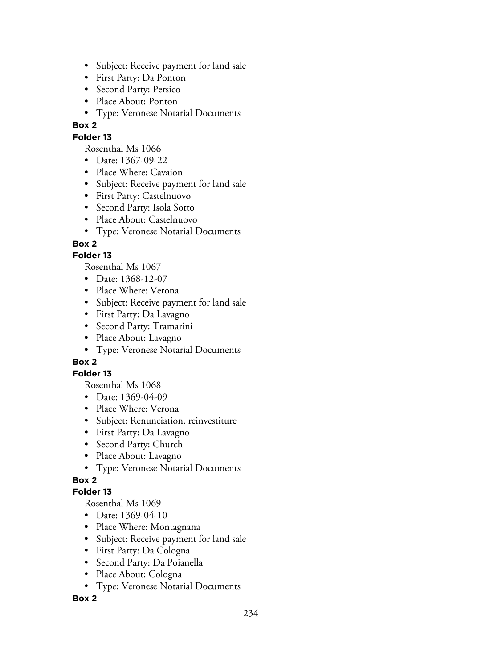- Subject: Receive payment for land sale
- First Party: Da Ponton
- Second Party: Persico
- Place About: Ponton
- Type: Veronese Notarial Documents

### **Folder 13**

Rosenthal Ms 1066

- Date: 1367-09-22
- Place Where: Cavaion
- Subject: Receive payment for land sale
- First Party: Castelnuovo
- Second Party: Isola Sotto
- Place About: Castelnuovo
- Type: Veronese Notarial Documents

# **Box 2**

## **Folder 13**

Rosenthal Ms 1067

- Date: 1368-12-07
- Place Where: Verona
- Subject: Receive payment for land sale
- First Party: Da Lavagno
- Second Party: Tramarini
- Place About: Lavagno
- Type: Veronese Notarial Documents

# **Box 2**

### **Folder 13**

Rosenthal Ms 1068

- Date: 1369-04-09
- Place Where: Verona
- Subject: Renunciation. reinvestiture
- First Party: Da Lavagno
- Second Party: Church
- Place About: Lavagno
- Type: Veronese Notarial Documents

# **Box 2**

### **Folder 13**

Rosenthal Ms 1069

- Date: 1369-04-10
- Place Where: Montagnana
- Subject: Receive payment for land sale
- First Party: Da Cologna
- Second Party: Da Poianella
- Place About: Cologna
- Type: Veronese Notarial Documents

### **Box 2**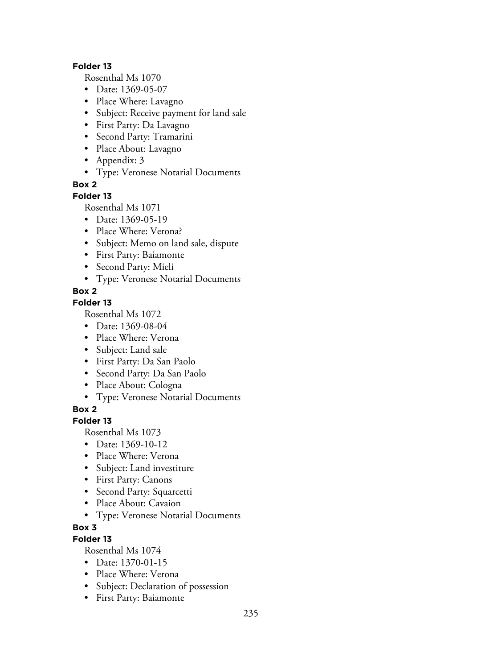#### **Folder 13**

Rosenthal Ms 1070

- Date: 1369-05-07
- Place Where: Lavagno
- Subject: Receive payment for land sale
- First Party: Da Lavagno
- Second Party: Tramarini
- Place About: Lavagno
- Appendix: 3
- Type: Veronese Notarial Documents

**Box 2**

### **Folder 13**

Rosenthal Ms 1071

- Date: 1369-05-19
- Place Where: Verona?
- Subject: Memo on land sale, dispute
- First Party: Baiamonte
- Second Party: Mieli
- Type: Veronese Notarial Documents

## **Box 2**

### **Folder 13**

Rosenthal Ms 1072

- Date: 1369-08-04
- Place Where: Verona
- Subject: Land sale
- First Party: Da San Paolo
- Second Party: Da San Paolo
- Place About: Cologna
- Type: Veronese Notarial Documents

**Box 2**

### **Folder 13**

Rosenthal Ms 1073

- Date: 1369-10-12
- Place Where: Verona
- Subject: Land investiture
- First Party: Canons
- Second Party: Squarcetti
- Place About: Cavaion
- Type: Veronese Notarial Documents

### **Box 3**

# **Folder 13**

- Date: 1370-01-15
- Place Where: Verona
- Subject: Declaration of possession
- First Party: Baiamonte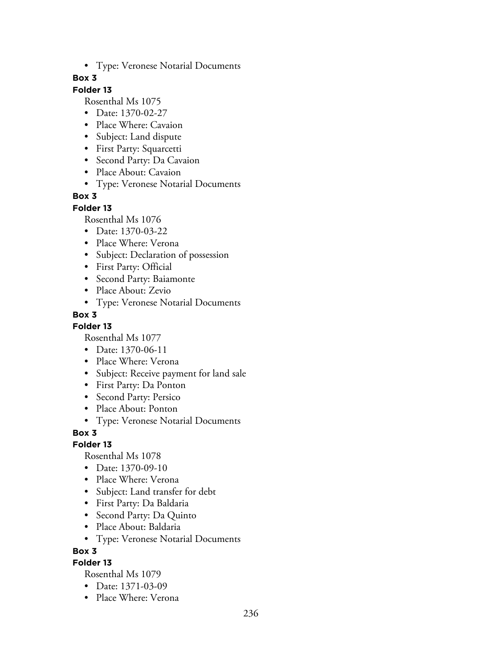• Type: Veronese Notarial Documents

### **Box 3**

# **Folder 13**

Rosenthal Ms 1075

- Date: 1370-02-27
- Place Where: Cavaion
- Subject: Land dispute
- First Party: Squarcetti
- Second Party: Da Cavaion
- Place About: Cavaion
- Type: Veronese Notarial Documents

## **Box 3**

#### **Folder 13**

Rosenthal Ms 1076

- Date: 1370-03-22
- Place Where: Verona
- Subject: Declaration of possession
- First Party: Official
- Second Party: Baiamonte
- Place About: Zevio
- Type: Veronese Notarial Documents

## **Box 3**

### **Folder 13**

Rosenthal Ms 1077

- Date: 1370-06-11
- Place Where: Verona
- Subject: Receive payment for land sale
- First Party: Da Ponton
- Second Party: Persico
- Place About: Ponton
- Type: Veronese Notarial Documents

**Box 3**

### **Folder 13**

Rosenthal Ms 1078

- Date: 1370-09-10
- Place Where: Verona
- Subject: Land transfer for debt
- First Party: Da Baldaria
- Second Party: Da Quinto
- Place About: Baldaria
- Type: Veronese Notarial Documents

### **Box 3**

### **Folder 13**

- Date: 1371-03-09
- Place Where: Verona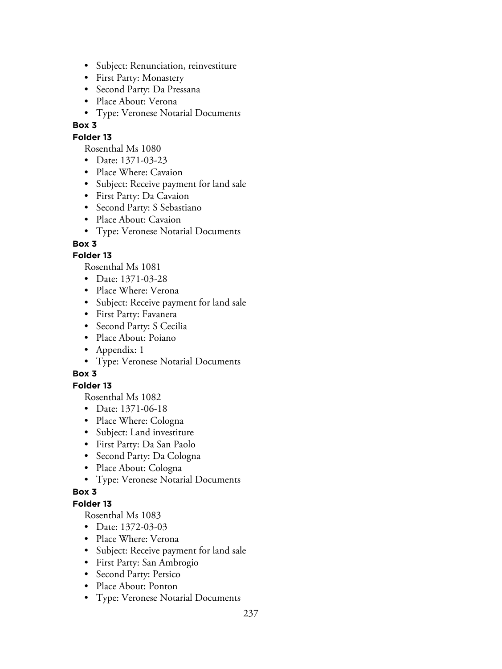- Subject: Renunciation, reinvestiture
- First Party: Monastery
- Second Party: Da Pressana
- Place About: Verona
- Type: Veronese Notarial Documents

### **Folder 13**

Rosenthal Ms 1080

- Date: 1371-03-23
- Place Where: Cavaion
- Subject: Receive payment for land sale
- First Party: Da Cavaion
- Second Party: S Sebastiano
- Place About: Cavaion
- Type: Veronese Notarial Documents

## **Box 3**

## **Folder 13**

Rosenthal Ms 1081

- Date: 1371-03-28
- Place Where: Verona
- Subject: Receive payment for land sale
- First Party: Favanera
- Second Party: S Cecilia
- Place About: Poiano
- Appendix: 1
- Type: Veronese Notarial Documents

# **Box 3**

### **Folder 13**

Rosenthal Ms 1082

- Date: 1371-06-18
- Place Where: Cologna
- Subject: Land investiture
- First Party: Da San Paolo
- Second Party: Da Cologna
- Place About: Cologna
- Type: Veronese Notarial Documents

### **Box 3**

### **Folder 13**

- Date: 1372-03-03
- Place Where: Verona
- Subject: Receive payment for land sale
- First Party: San Ambrogio
- Second Party: Persico
- Place About: Ponton
- Type: Veronese Notarial Documents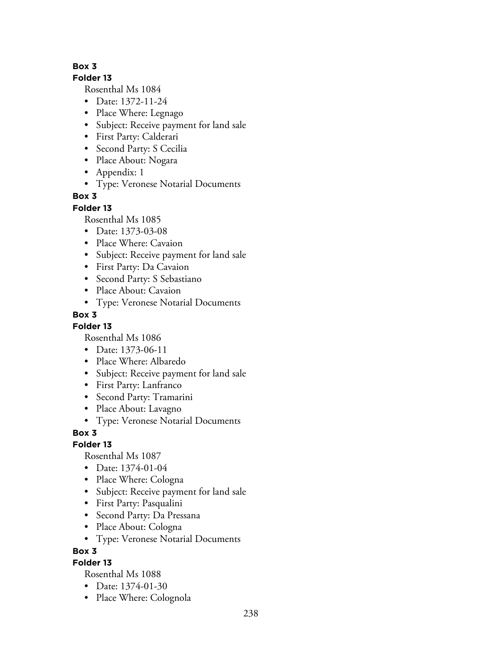## **Folder 13**

Rosenthal Ms 1084

- Date: 1372-11-24
- Place Where: Legnago
- Subject: Receive payment for land sale
- First Party: Calderari
- Second Party: S Cecilia
- Place About: Nogara
- Appendix: 1
- Type: Veronese Notarial Documents

# **Box 3**

## **Folder 13**

Rosenthal Ms 1085

- Date: 1373-03-08
- Place Where: Cavaion
- Subject: Receive payment for land sale
- First Party: Da Cavaion
- Second Party: S Sebastiano
- Place About: Cavaion
- Type: Veronese Notarial Documents

# **Box 3**

**Folder 13**

Rosenthal Ms 1086

- Date: 1373-06-11
- Place Where: Albaredo
- Subject: Receive payment for land sale
- First Party: Lanfranco
- Second Party: Tramarini
- Place About: Lavagno
- Type: Veronese Notarial Documents

**Box 3**

# **Folder 13**

Rosenthal Ms 1087

- Date: 1374-01-04
- Place Where: Cologna
- Subject: Receive payment for land sale
- First Party: Pasqualini
- Second Party: Da Pressana
- Place About: Cologna
- Type: Veronese Notarial Documents

### **Box 3**

# **Folder 13**

- Date: 1374-01-30
- Place Where: Colognola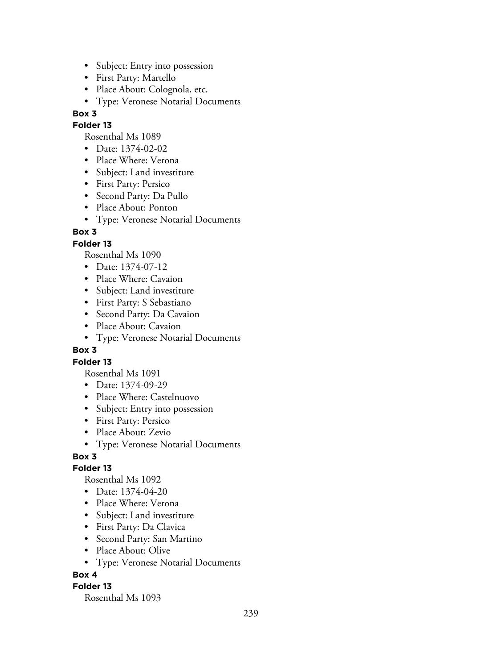- Subject: Entry into possession
- First Party: Martello
- Place About: Colognola, etc.
- Type: Veronese Notarial Documents

#### **Folder 13**

Rosenthal Ms 1089

- Date: 1374-02-02
- Place Where: Verona
- Subject: Land investiture
- First Party: Persico
- Second Party: Da Pullo
- Place About: Ponton
- Type: Veronese Notarial Documents

### **Box 3**

#### **Folder 13**

Rosenthal Ms 1090

- Date: 1374-07-12
- Place Where: Cavaion
- Subject: Land investiture
- First Party: S Sebastiano
- Second Party: Da Cavaion
- Place About: Cavaion
- Type: Veronese Notarial Documents

#### **Box 3**

#### **Folder 13**

Rosenthal Ms 1091

- Date: 1374-09-29
- Place Where: Castelnuovo
- Subject: Entry into possession
- First Party: Persico
- Place About: Zevio
- Type: Veronese Notarial Documents

### **Box 3**

#### **Folder 13**

Rosenthal Ms 1092

- Date: 1374-04-20
- Place Where: Verona
- Subject: Land investiture
- First Party: Da Clavica
- Second Party: San Martino
- Place About: Olive
- Type: Veronese Notarial Documents

### **Box 4**

#### **Folder 13**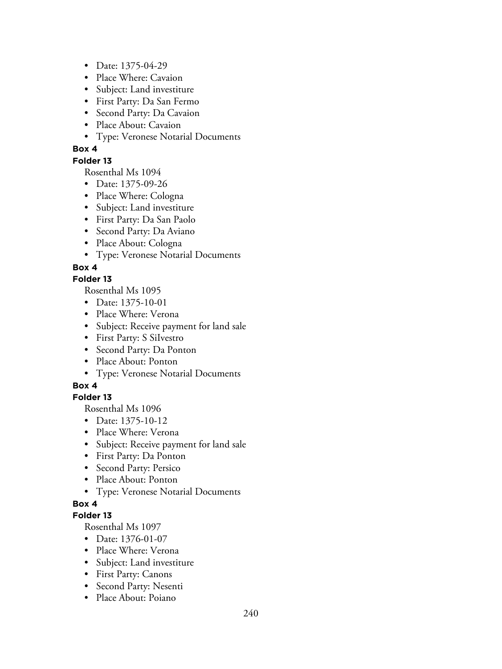- Date: 1375-04-29
- Place Where: Cavaion
- Subject: Land investiture
- First Party: Da San Fermo
- Second Party: Da Cavaion
- Place About: Cavaion
- Type: Veronese Notarial Documents

### **Folder 13**

Rosenthal Ms 1094

- Date: 1375-09-26
- Place Where: Cologna
- Subject: Land investiture
- First Party: Da San Paolo
- Second Party: Da Aviano
- Place About: Cologna
- Type: Veronese Notarial Documents

## **Box 4**

### **Folder 13**

Rosenthal Ms 1095

- Date: 1375-10-01
- Place Where: Verona
- Subject: Receive payment for land sale
- First Party: S SiIvestro
- Second Party: Da Ponton
- Place About: Ponton
- Type: Veronese Notarial Documents

# **Box 4**

# **Folder 13**

Rosenthal Ms 1096

- Date: 1375-10-12
- Place Where: Verona
- Subject: Receive payment for land sale
- First Party: Da Ponton
- Second Party: Persico
- Place About: Ponton
- Type: Veronese Notarial Documents

# **Box 4**

### **Folder 13**

- Date: 1376-01-07
- Place Where: Verona
- Subject: Land investiture
- First Party: Canons
- Second Party: Nesenti
- Place About: Poiano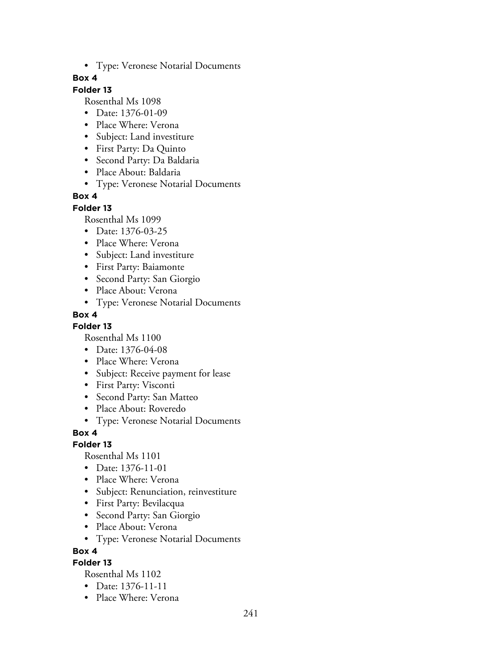• Type: Veronese Notarial Documents

### **Box 4**

# **Folder 13**

Rosenthal Ms 1098

- Date: 1376-01-09
- Place Where: Verona
- Subject: Land investiture
- First Party: Da Quinto
- Second Party: Da Baldaria
- Place About: Baldaria
- Type: Veronese Notarial Documents

## **Box 4**

#### **Folder 13**

Rosenthal Ms 1099

- Date: 1376-03-25
- Place Where: Verona
- Subject: Land investiture
- First Party: Baiamonte
- Second Party: San Giorgio
- Place About: Verona
- Type: Veronese Notarial Documents

## **Box 4**

### **Folder 13**

Rosenthal Ms 1100

- Date: 1376-04-08
- Place Where: Verona
- Subject: Receive payment for lease
- First Party: Visconti
- Second Party: San Matteo
- Place About: Roveredo
- Type: Veronese Notarial Documents

### **Box 4**

### **Folder 13**

Rosenthal Ms 1101

- Date: 1376-11-01
- Place Where: Verona
- Subject: Renunciation, reinvestiture
- First Party: Bevilacqua
- Second Party: San Giorgio
- Place About: Verona
- Type: Veronese Notarial Documents

### **Box 4**

# **Folder 13**

- Date: 1376-11-11
- Place Where: Verona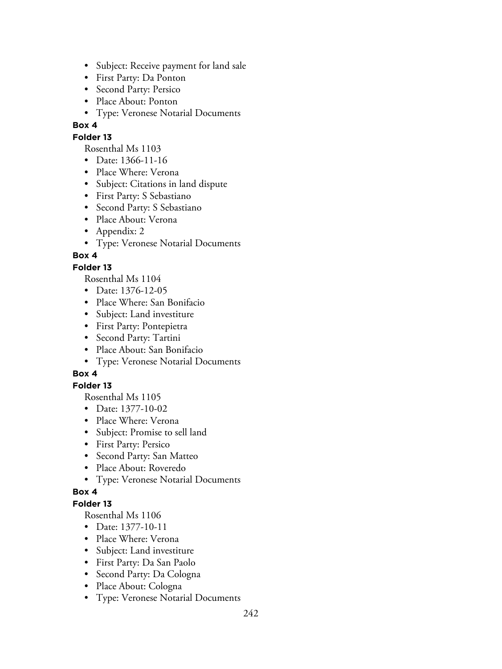- Subject: Receive payment for land sale
- First Party: Da Ponton
- Second Party: Persico
- Place About: Ponton
- Type: Veronese Notarial Documents

## **Folder 13**

Rosenthal Ms 1103

- Date: 1366-11-16
- Place Where: Verona
- Subject: Citations in land dispute
- First Party: S Sebastiano
- Second Party: S Sebastiano
- Place About: Verona
- Appendix: 2
- Type: Veronese Notarial Documents

## **Box 4**

## **Folder 13**

Rosenthal Ms 1104

- Date: 1376-12-05
- Place Where: San Bonifacio
- Subject: Land investiture
- First Party: Pontepietra
- Second Party: Tartini
- Place About: San Bonifacio
- Type: Veronese Notarial Documents

# **Box 4**

### **Folder 13**

Rosenthal Ms 1105

- Date: 1377-10-02
- Place Where: Verona
- Subject: Promise to sell land
- First Party: Persico
- Second Party: San Matteo
- Place About: Roveredo
- Type: Veronese Notarial Documents

### **Box 4**

## **Folder 13**

- Date: 1377-10-11
- Place Where: Verona
- Subject: Land investiture
- First Party: Da San Paolo
- Second Party: Da Cologna
- Place About: Cologna
- Type: Veronese Notarial Documents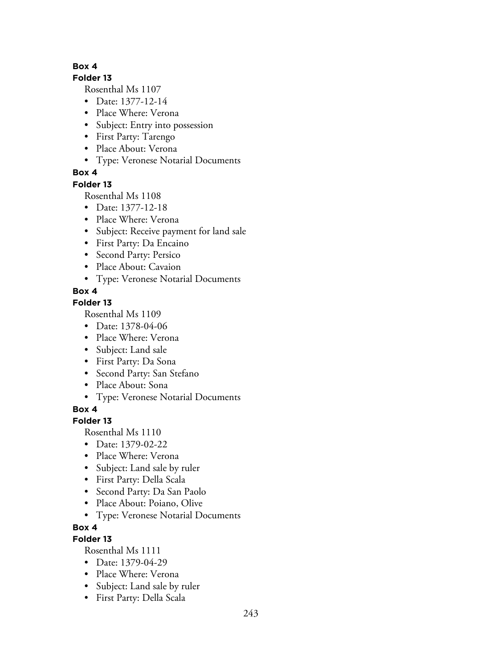#### **Folder 13**

Rosenthal Ms 1107

- Date: 1377-12-14
- Place Where: Verona
- Subject: Entry into possession
- First Party: Tarengo
- Place About: Verona
- Type: Veronese Notarial Documents

## **Box 4**

### **Folder 13**

Rosenthal Ms 1108

- Date: 1377-12-18
- Place Where: Verona
- Subject: Receive payment for land sale
- First Party: Da Encaino
- Second Party: Persico
- Place About: Cavaion
- Type: Veronese Notarial Documents

## **Box 4**

### **Folder 13**

Rosenthal Ms 1109

- Date: 1378-04-06
- Place Where: Verona
- Subject: Land sale
- First Party: Da Sona
- Second Party: San Stefano
- Place About: Sona
- Type: Veronese Notarial Documents

**Box 4**

# **Folder 13**

Rosenthal Ms 1110

- Date: 1379-02-22
- Place Where: Verona
- Subject: Land sale by ruler
- First Party: Della Scala
- Second Party: Da San Paolo
- Place About: Poiano, Olive
- Type: Veronese Notarial Documents

# **Box 4**

# **Folder 13**

- Date: 1379-04-29
- Place Where: Verona
- Subject: Land sale by ruler
- First Party: Della Scala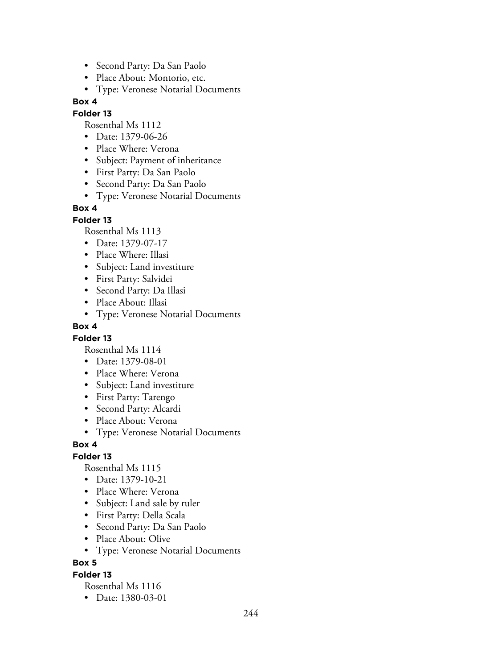- Second Party: Da San Paolo
- Place About: Montorio, etc.
- Type: Veronese Notarial Documents

### **Folder 13**

Rosenthal Ms 1112

- Date: 1379-06-26
- Place Where: Verona
- Subject: Payment of inheritance
- First Party: Da San Paolo
- Second Party: Da San Paolo
- Type: Veronese Notarial Documents

## **Box 4**

### **Folder 13**

Rosenthal Ms 1113

- Date: 1379-07-17
- Place Where: Illasi
- Subject: Land investiture
- First Party: Salvidei
- Second Party: Da Illasi
- Place About: Illasi
- Type: Veronese Notarial Documents

### **Box 4**

### **Folder 13**

Rosenthal Ms 1114

- Date: 1379-08-01
- Place Where: Verona
- Subject: Land investiture
- First Party: Tarengo
- Second Party: Alcardi
- Place About: Verona
- Type: Veronese Notarial Documents

### **Box 4**

# **Folder 13**

Rosenthal Ms 1115

- Date: 1379-10-21
- Place Where: Verona
- Subject: Land sale by ruler
- First Party: Della Scala
- Second Party: Da San Paolo
- Place About: Olive
- Type: Veronese Notarial Documents

### **Box 5**

### **Folder 13**

Rosenthal Ms 1116

• Date: 1380-03-01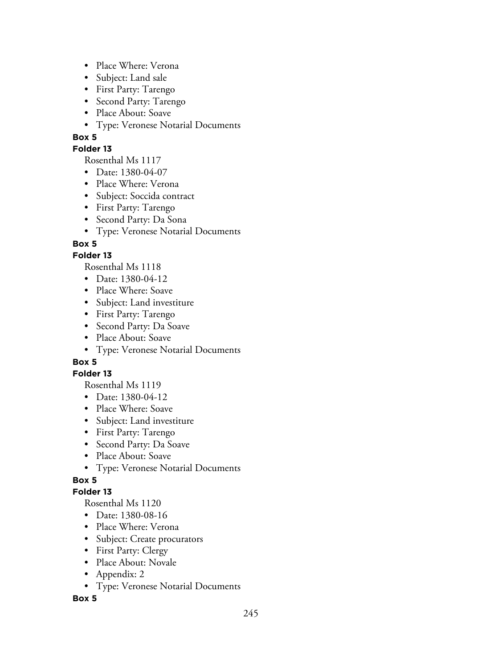- Place Where: Verona
- Subject: Land sale
- First Party: Tarengo
- Second Party: Tarengo
- Place About: Soave
- Type: Veronese Notarial Documents

#### **Folder 13**

Rosenthal Ms 1117

- Date: 1380-04-07
- Place Where: Verona
- Subject: Soccida contract
- First Party: Tarengo
- Second Party: Da Sona
- Type: Veronese Notarial Documents

### **Box 5**

### **Folder 13**

Rosenthal Ms 1118

- Date: 1380-04-12
- Place Where: Soave
- Subject: Land investiture
- First Party: Tarengo
- Second Party: Da Soave
- Place About: Soave
- Type: Veronese Notarial Documents

# **Box 5**

### **Folder 13**

Rosenthal Ms 1119

- Date: 1380-04-12
- Place Where: Soave
- Subject: Land investiture
- First Party: Tarengo
- Second Party: Da Soave
- Place About: Soave
- Type: Veronese Notarial Documents

# **Box 5**

### **Folder 13**

Rosenthal Ms 1120

- Date: 1380-08-16
- Place Where: Verona
- Subject: Create procurators
- First Party: Clergy
- Place About: Novale
- Appendix: 2
- Type: Veronese Notarial Documents

**Box 5**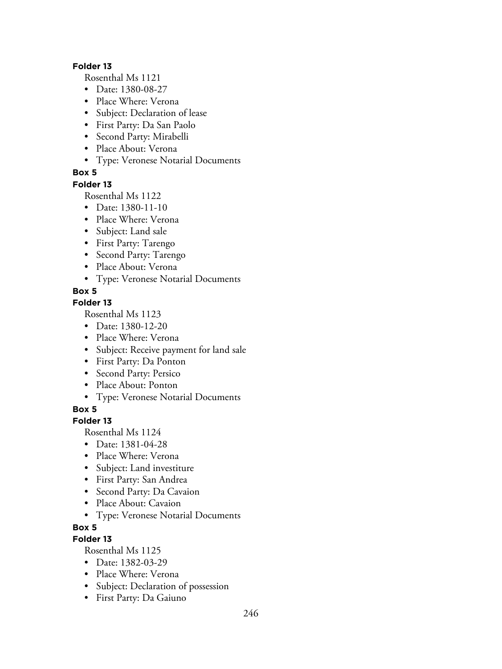#### **Folder 13**

Rosenthal Ms 1121

- Date: 1380-08-27
- Place Where: Verona
- Subject: Declaration of lease
- First Party: Da San Paolo
- Second Party: Mirabelli
- Place About: Verona
- Type: Veronese Notarial Documents

### **Box 5**

#### **Folder 13**

Rosenthal Ms 1122

- Date: 1380-11-10
- Place Where: Verona
- Subject: Land sale
- First Party: Tarengo
- Second Party: Tarengo
- Place About: Verona
- Type: Veronese Notarial Documents

### **Box 5**

### **Folder 13**

Rosenthal Ms 1123

- Date: 1380-12-20
- Place Where: Verona
- Subject: Receive payment for land sale
- First Party: Da Ponton
- Second Party: Persico
- Place About: Ponton
- Type: Veronese Notarial Documents

## **Box 5**

### **Folder 13**

Rosenthal Ms 1124

- Date: 1381-04-28
- Place Where: Verona
- Subject: Land investiture
- First Party: San Andrea
- Second Party: Da Cavaion
- Place About: Cavaion
- Type: Veronese Notarial Documents

### **Box 5**

# **Folder 13**

- Date: 1382-03-29
- Place Where: Verona
- Subject: Declaration of possession
- First Party: Da Gaiuno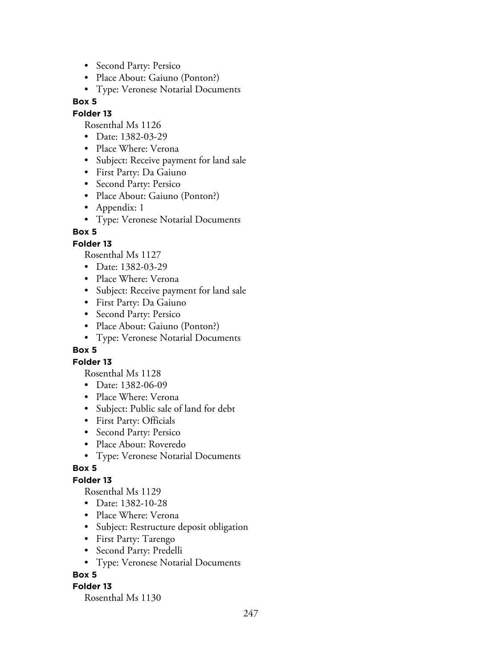- Second Party: Persico
- Place About: Gaiuno (Ponton?)
- Type: Veronese Notarial Documents

#### **Folder 13**

Rosenthal Ms 1126

- Date: 1382-03-29
- Place Where: Verona
- Subject: Receive payment for land sale
- First Party: Da Gaiuno
- Second Party: Persico
- Place About: Gaiuno (Ponton?)
- Appendix: 1
- Type: Veronese Notarial Documents

## **Box 5**

## **Folder 13**

Rosenthal Ms 1127

- Date: 1382-03-29
- Place Where: Verona
- Subject: Receive payment for land sale
- First Party: Da Gaiuno
- Second Party: Persico
- Place About: Gaiuno (Ponton?)
- Type: Veronese Notarial Documents

### **Box 5**

### **Folder 13**

Rosenthal Ms 1128

- Date: 1382-06-09
- Place Where: Verona
- Subject: Public sale of land for debt
- First Party: Officials
- Second Party: Persico
- Place About: Roveredo
- Type: Veronese Notarial Documents

### **Box 5**

### **Folder 13**

Rosenthal Ms 1129

- Date: 1382-10-28
- Place Where: Verona
- Subject: Restructure deposit obligation
- First Party: Tarengo
- Second Party: Predelli
- Type: Veronese Notarial Documents

### **Box 5**

### **Folder 13**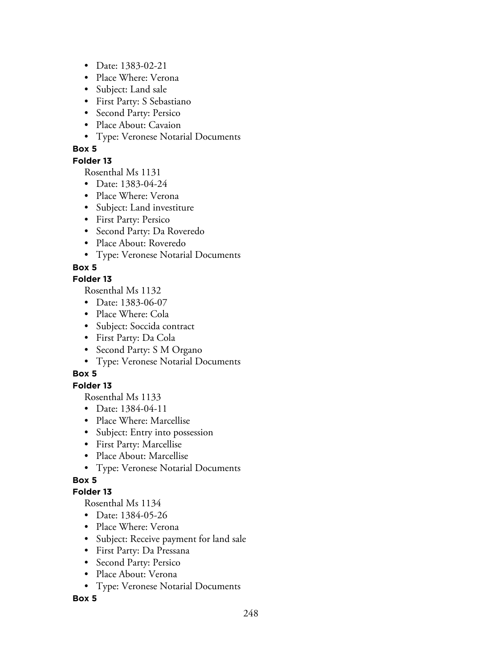- Date: 1383-02-21
- Place Where: Verona
- Subject: Land sale
- First Party: S Sebastiano
- Second Party: Persico
- Place About: Cavaion
- Type: Veronese Notarial Documents

### **Folder 13**

Rosenthal Ms 1131

- Date: 1383-04-24
- Place Where: Verona
- Subject: Land investiture
- First Party: Persico
- Second Party: Da Roveredo
- Place About: Roveredo
- Type: Veronese Notarial Documents

# **Box 5**

### **Folder 13**

Rosenthal Ms 1132

- Date: 1383-06-07
- Place Where: Cola
- Subject: Soccida contract
- First Party: Da Cola
- Second Party: S M Organo
- Type: Veronese Notarial Documents

# **Box 5**

# **Folder 13**

Rosenthal Ms 1133

- Date: 1384-04-11
- Place Where: Marcellise
- Subject: Entry into possession
- First Party: Marcellise
- Place About: Marcellise
- Type: Veronese Notarial Documents

# **Box 5**

# **Folder 13**

Rosenthal Ms 1134

- Date: 1384-05-26
- Place Where: Verona
- Subject: Receive payment for land sale
- First Party: Da Pressana
- Second Party: Persico
- Place About: Verona
- Type: Veronese Notarial Documents

### **Box 5**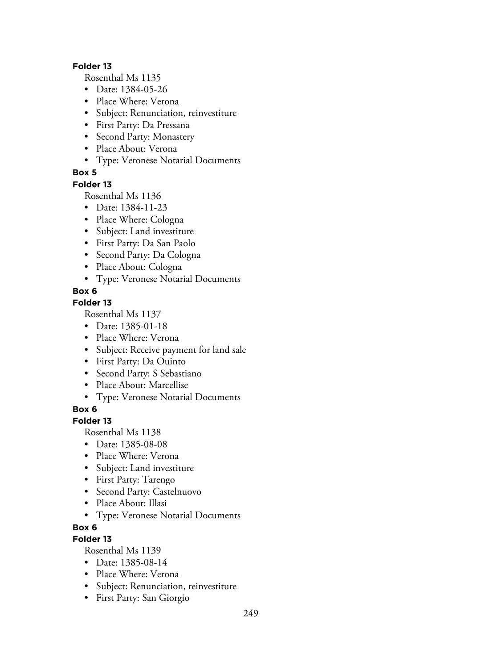#### **Folder 13**

Rosenthal Ms 1135

- Date: 1384-05-26
- Place Where: Verona
- Subject: Renunciation, reinvestiture
- First Party: Da Pressana
- Second Party: Monastery
- Place About: Verona
- Type: Veronese Notarial Documents

### **Box 5**

#### **Folder 13**

Rosenthal Ms 1136

- Date: 1384-11-23
- Place Where: Cologna
- Subject: Land investiture
- First Party: Da San Paolo
- Second Party: Da Cologna
- Place About: Cologna
- Type: Veronese Notarial Documents

### **Box 6**

### **Folder 13**

Rosenthal Ms 1137

- Date: 1385-01-18
- Place Where: Verona
- Subject: Receive payment for land sale
- First Party: Da Ouinto
- Second Party: S Sebastiano
- Place About: Marcellise
- Type: Veronese Notarial Documents

## **Box 6**

### **Folder 13**

Rosenthal Ms 1138

- Date: 1385-08-08
- Place Where: Verona
- Subject: Land investiture
- First Party: Tarengo
- Second Party: Castelnuovo
- Place About: Illasi
- Type: Veronese Notarial Documents

### **Box 6**

# **Folder 13**

- Date: 1385-08-14
- Place Where: Verona
- Subject: Renunciation, reinvestiture
- First Party: San Giorgio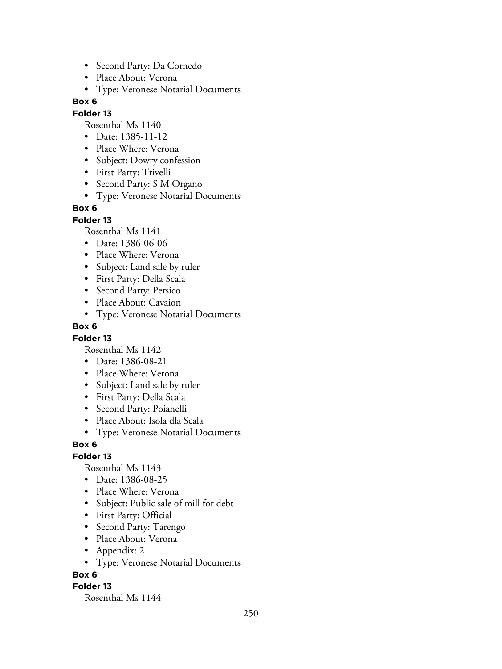- Second Party: Da Cornedo
- Place About: Verona
- Type: Veronese Notarial Documents

### **Folder 13**

Rosenthal Ms 1140

- Date: 1385-11-12
- Place Where: Verona
- Subject: Dowry confession
- First Party: Trivelli
- Second Party: S M Organo
- Type: Veronese Notarial Documents

## **Box 6**

### **Folder 13**

Rosenthal Ms 1141

- Date: 1386-06-06
- Place Where: Verona
- Subject: Land sale by ruler
- First Party: Della Scala
- Second Party: Persico
- Place About: Cavaion
- Type: Veronese Notarial Documents

#### **Box 6**

### **Folder 13**

Rosenthal Ms 1142

- Date: 1386-08-21
- Place Where: Verona
- Subject: Land sale by ruler
- First Party: Della Scala
- Second Party: Poianelli
- Place About: Isola dla Scala
- Type: Veronese Notarial Documents

### **Box 6**

### **Folder 13**

Rosenthal Ms 1143

- Date: 1386-08-25
- Place Where: Verona
- Subject: Public sale of mill for debt
- First Party: Official
- Second Party: Tarengo
- Place About: Verona
- Appendix: 2
- Type: Veronese Notarial Documents

### **Box 6**

### **Folder 13**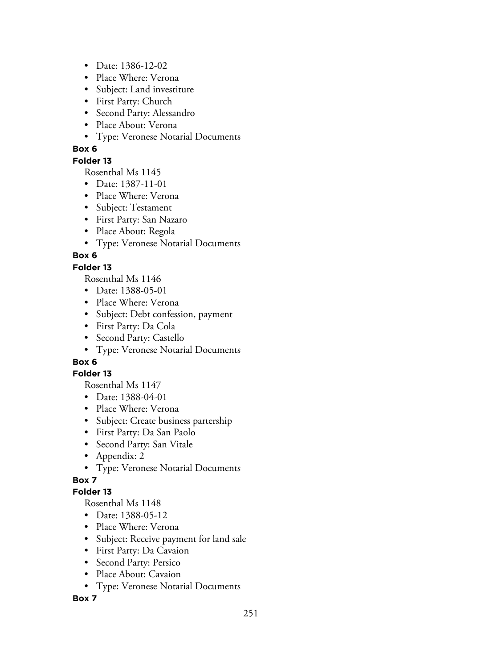- Date: 1386-12-02
- Place Where: Verona
- Subject: Land investiture
- First Party: Church
- Second Party: Alessandro
- Place About: Verona
- Type: Veronese Notarial Documents

### **Folder 13**

Rosenthal Ms 1145

- Date: 1387-11-01
- Place Where: Verona
- Subject: Testament
- First Party: San Nazaro
- Place About: Regola
- Type: Veronese Notarial Documents

# **Box 6**

## **Folder 13**

Rosenthal Ms 1146

- Date: 1388-05-01
- Place Where: Verona
- Subject: Debt confession, payment
- First Party: Da Cola
- Second Party: Castello
- Type: Veronese Notarial Documents

# **Box 6**

### **Folder 13**

Rosenthal Ms 1147

- Date: 1388-04-01
- Place Where: Verona
- Subject: Create business partership
- First Party: Da San Paolo
- Second Party: San Vitale
- Appendix: 2
- Type: Veronese Notarial Documents

# **Box 7**

# **Folder 13**

Rosenthal Ms 1148

- Date: 1388-05-12
- Place Where: Verona
- Subject: Receive payment for land sale
- First Party: Da Cavaion
- Second Party: Persico
- Place About: Cavaion
- Type: Veronese Notarial Documents

**Box 7**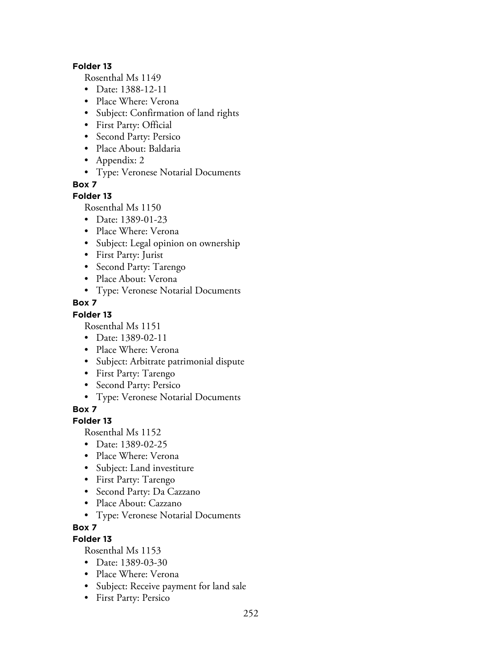#### **Folder 13**

Rosenthal Ms 1149

- Date: 1388-12-11
- Place Where: Verona
- Subject: Confirmation of land rights
- First Party: Official
- Second Party: Persico
- Place About: Baldaria
- Appendix: 2
- Type: Veronese Notarial Documents

**Box 7**

### **Folder 13**

Rosenthal Ms 1150

- Date: 1389-01-23
- Place Where: Verona
- Subject: Legal opinion on ownership
- First Party: Jurist
- Second Party: Tarengo
- Place About: Verona
- Type: Veronese Notarial Documents

## **Box 7**

### **Folder 13**

Rosenthal Ms 1151

- Date: 1389-02-11
- Place Where: Verona
- Subject: Arbitrate patrimonial dispute
- First Party: Tarengo
- Second Party: Persico
- Type: Veronese Notarial Documents

**Box 7**

### **Folder 13**

Rosenthal Ms 1152

- Date: 1389-02-25
- Place Where: Verona
- Subject: Land investiture
- First Party: Tarengo
- Second Party: Da Cazzano
- Place About: Cazzano
- Type: Veronese Notarial Documents
- **Box 7**

# **Folder 13**

- Date: 1389-03-30
- Place Where: Verona
- Subject: Receive payment for land sale
- First Party: Persico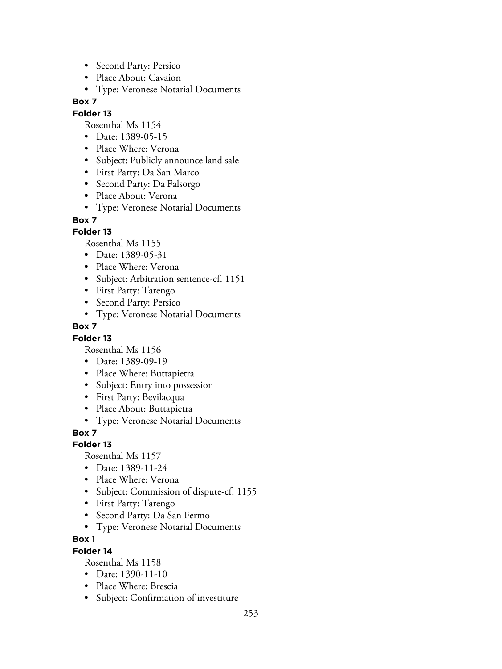- Second Party: Persico
- Place About: Cavaion
- Type: Veronese Notarial Documents

## **Folder 13**

Rosenthal Ms 1154

- Date: 1389-05-15
- Place Where: Verona
- Subject: Publicly announce land sale
- First Party: Da San Marco
- Second Party: Da Falsorgo
- Place About: Verona
- Type: Veronese Notarial Documents

## **Box 7**

## **Folder 13**

Rosenthal Ms 1155

- Date: 1389-05-31
- Place Where: Verona
- Subject: Arbitration sentence-cf. 1151
- First Party: Tarengo
- Second Party: Persico
- Type: Veronese Notarial Documents

## **Box 7**

## **Folder 13**

Rosenthal Ms 1156

- Date: 1389-09-19
- Place Where: Buttapietra
- Subject: Entry into possession
- First Party: Bevilacqua
- Place About: Buttapietra
- Type: Veronese Notarial Documents

## **Box 7**

## **Folder 13**

Rosenthal Ms 1157

- Date: 1389-11-24
- Place Where: Verona
- Subject: Commission of dispute-cf. 1155
- First Party: Tarengo
- Second Party: Da San Fermo
- Type: Veronese Notarial Documents

## **Box 1**

## **Folder 14**

- Date: 1390-11-10
- Place Where: Brescia
- Subject: Confirmation of investiture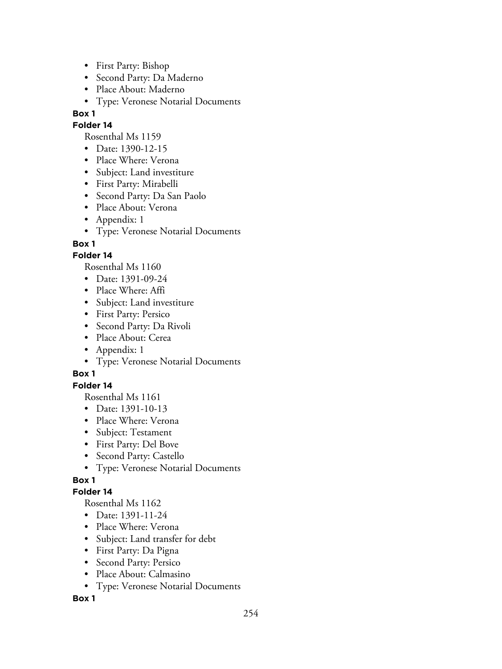- First Party: Bishop
- Second Party: Da Maderno
- Place About: Maderno
- Type: Veronese Notarial Documents

#### **Folder 14**

Rosenthal Ms 1159

- Date: 1390-12-15
- Place Where: Verona
- Subject: Land investiture
- First Party: Mirabelli
- Second Party: Da San Paolo
- Place About: Verona
- Appendix: 1
- Type: Veronese Notarial Documents

# **Box 1**

# **Folder 14**

Rosenthal Ms 1160

- Date: 1391-09-24
- Place Where: Affi
- Subject: Land investiture
- First Party: Persico
- Second Party: Da Rivoli
- Place About: Cerea
- Appendix: 1
- Type: Veronese Notarial Documents

# **Box 1**

## **Folder 14**

Rosenthal Ms 1161

- Date: 1391-10-13
- Place Where: Verona
- Subject: Testament
- First Party: Del Bove
- Second Party: Castello
- Type: Veronese Notarial Documents

# **Box 1**

## **Folder 14**

Rosenthal Ms 1162

- Date: 1391-11-24
- Place Where: Verona
- Subject: Land transfer for debt
- First Party: Da Pigna
- Second Party: Persico
- Place About: Calmasino
- Type: Veronese Notarial Documents

**Box 1**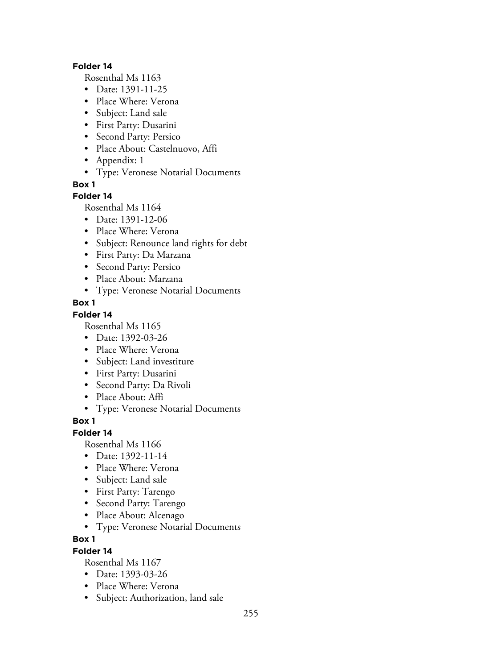#### **Folder 14**

Rosenthal Ms 1163

- Date: 1391-11-25
- Place Where: Verona
- Subject: Land sale
- First Party: Dusarini
- Second Party: Persico
- Place About: Castelnuovo, Affi
- Appendix: 1
- Type: Veronese Notarial Documents

**Box 1**

## **Folder 14**

Rosenthal Ms 1164

- Date: 1391-12-06
- Place Where: Verona
- Subject: Renounce land rights for debt
- First Party: Da Marzana
- Second Party: Persico
- Place About: Marzana
- Type: Veronese Notarial Documents

## **Box 1**

## **Folder 14**

Rosenthal Ms 1165

- Date: 1392-03-26
- Place Where: Verona
- Subject: Land investiture
- First Party: Dusarini
- Second Party: Da Rivoli
- Place About: Affi
- Type: Veronese Notarial Documents

## **Box 1**

## **Folder 14**

Rosenthal Ms 1166

- Date: 1392-11-14
- Place Where: Verona
- Subject: Land sale
- First Party: Tarengo
- Second Party: Tarengo
- Place About: Alcenago
- Type: Veronese Notarial Documents

## **Box 1**

## **Folder 14**

- Date: 1393-03-26
- Place Where: Verona
- Subject: Authorization, land sale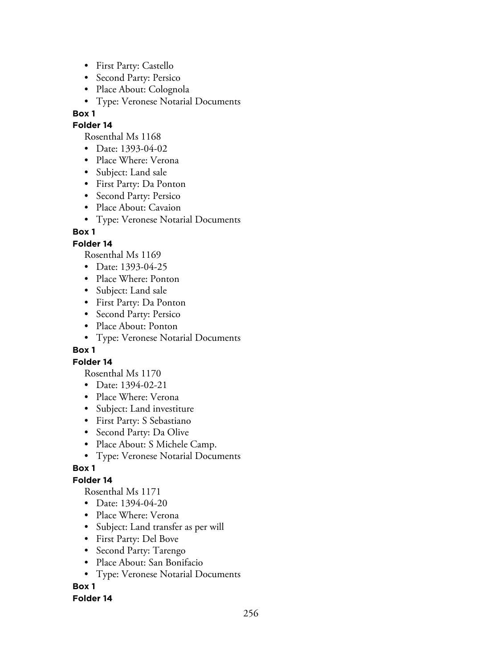- First Party: Castello
- Second Party: Persico
- Place About: Colognola
- Type: Veronese Notarial Documents

#### **Folder 14**

Rosenthal Ms 1168

- Date: 1393-04-02
- Place Where: Verona
- Subject: Land sale
- First Party: Da Ponton
- Second Party: Persico
- Place About: Cavaion
- Type: Veronese Notarial Documents

# **Box 1**

# **Folder 14**

Rosenthal Ms 1169

- Date: 1393-04-25
- Place Where: Ponton
- Subject: Land sale
- First Party: Da Ponton
- Second Party: Persico
- Place About: Ponton
- Type: Veronese Notarial Documents

## **Box 1**

## **Folder 14**

Rosenthal Ms 1170

- Date: 1394-02-21
- Place Where: Verona
- Subject: Land investiture
- First Party: S Sebastiano
- Second Party: Da Olive
- Place About: S Michele Camp.
- Type: Veronese Notarial Documents

# **Box 1**

# **Folder 14**

Rosenthal Ms 1171

- Date: 1394-04-20
- Place Where: Verona
- Subject: Land transfer as per will
- First Party: Del Bove
- Second Party: Tarengo
- Place About: San Bonifacio
- Type: Veronese Notarial Documents

# **Box 1**

## **Folder 14**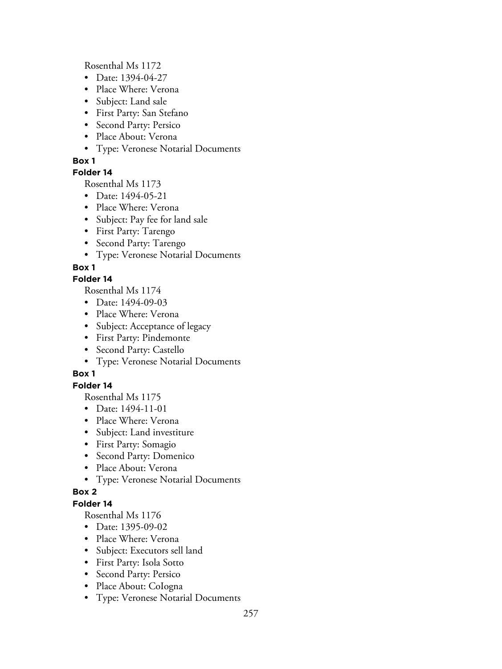Rosenthal Ms 1172

- Date: 1394-04-27
- Place Where: Verona
- Subject: Land sale
- First Party: San Stefano
- Second Party: Persico
- Place About: Verona
- Type: Veronese Notarial Documents

# **Box 1**

# **Folder 14**

Rosenthal Ms 1173

- Date: 1494-05-21
- Place Where: Verona
- Subject: Pay fee for land sale
- First Party: Tarengo
- Second Party: Tarengo
- Type: Veronese Notarial Documents

# **Box 1**

# **Folder 14**

Rosenthal Ms 1174

- Date: 1494-09-03
- Place Where: Verona
- Subject: Acceptance of legacy
- First Party: Pindemonte
- Second Party: Castello
- Type: Veronese Notarial Documents

# **Box 1**

# **Folder 14**

Rosenthal Ms 1175

- Date: 1494-11-01
- Place Where: Verona
- Subject: Land investiture
- First Party: Somagio
- Second Party: Domenico
- Place About: Verona
- Type: Veronese Notarial Documents

# **Box 2**

# **Folder 14**

- Date: 1395-09-02
- Place Where: Verona
- Subject: Executors sell land
- First Party: Isola Sotto
- Second Party: Persico
- Place About: Cologna
- Type: Veronese Notarial Documents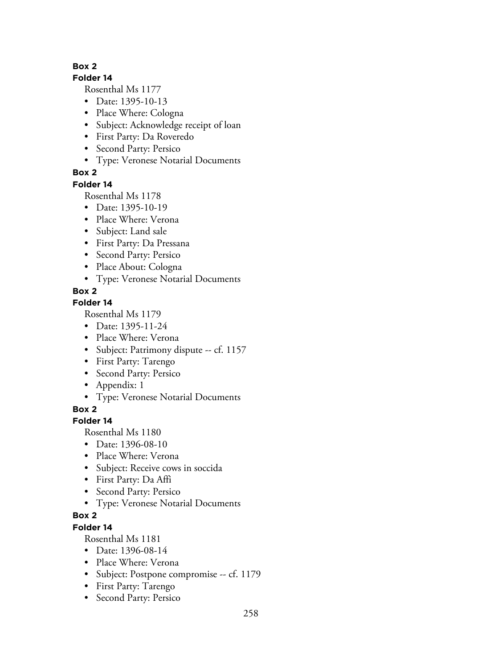## **Folder 14**

Rosenthal Ms 1177

- Date: 1395-10-13
- Place Where: Cologna
- Subject: Acknowledge receipt of loan
- First Party: Da Roveredo
- Second Party: Persico
- Type: Veronese Notarial Documents

# **Box 2**

# **Folder 14**

Rosenthal Ms 1178

- Date: 1395-10-19
- Place Where: Verona
- Subject: Land sale
- First Party: Da Pressana
- Second Party: Persico
- Place About: Cologna
- Type: Veronese Notarial Documents

# **Box 2**

# **Folder 14**

Rosenthal Ms 1179

- Date: 1395-11-24
- Place Where: Verona
- Subject: Patrimony dispute -- cf. 1157
- First Party: Tarengo
- Second Party: Persico
- Appendix: 1
- Type: Veronese Notarial Documents

**Box 2**

# **Folder 14**

Rosenthal Ms 1180

- Date: 1396-08-10
- Place Where: Verona
- Subject: Receive cows in soccida
- First Party: Da Affi
- Second Party: Persico
- Type: Veronese Notarial Documents

# **Box 2**

# **Folder 14**

- Date: 1396-08-14
- Place Where: Verona
- Subject: Postpone compromise -- cf. 1179
- First Party: Tarengo
- Second Party: Persico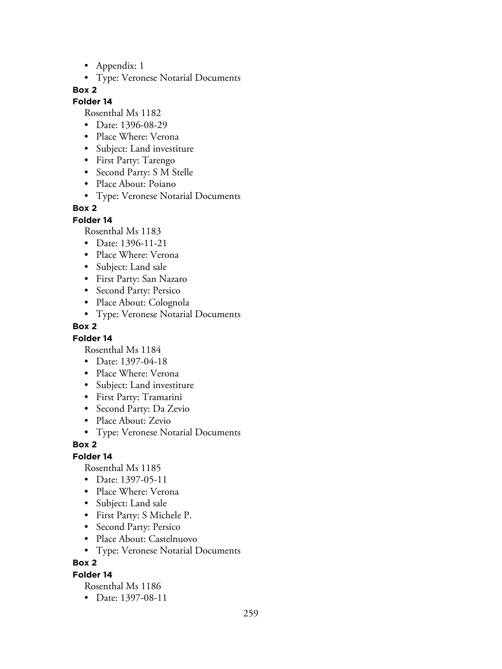- Appendix: 1
- Type: Veronese Notarial Documents

#### **Folder 14**

Rosenthal Ms 1182

- Date: 1396-08-29
- Place Where: Verona
- Subject: Land investiture
- First Party: Tarengo
- Second Party: S M Stelle
- Place About: Poiano
- Type: Veronese Notarial Documents

# **Box 2**

## **Folder 14**

Rosenthal Ms 1183

- Date: 1396-11-21
- Place Where: Verona
- Subject: Land sale
- First Party: San Nazaro
- Second Party: Persico
- Place About: Colognola
- Type: Veronese Notarial Documents

## **Box 2**

## **Folder 14**

Rosenthal Ms 1184

- Date: 1397-04-18
- Place Where: Verona
- Subject: Land investiture
- First Party: Tramarini
- Second Party: Da Zevio
- Place About: Zevio
- Type: Veronese Notarial Documents

## **Box 2**

## **Folder 14**

Rosenthal Ms 1185

- Date: 1397-05-11
- Place Where: Verona
- Subject: Land sale
- First Party: S Michele P.
- Second Party: Persico
- Place About: Castelnuovo
- Type: Veronese Notarial Documents

# **Box 2**

## **Folder 14**

Rosenthal Ms 1186

• Date: 1397-08-11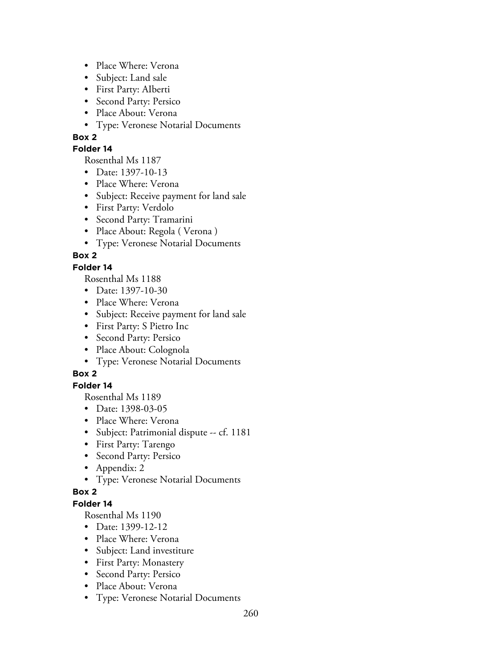- Place Where: Verona
- Subject: Land sale
- First Party: AIberti
- Second Party: Persico
- Place About: Verona
- Type: Veronese Notarial Documents

## **Folder 14**

Rosenthal Ms 1187

- Date: 1397-10-13
- Place Where: Verona
- Subject: Receive payment for land sale
- First Party: Verdolo
- Second Party: Tramarini
- Place About: Regola ( Verona )
- Type: Veronese Notarial Documents

# **Box 2**

# **Folder 14**

Rosenthal Ms 1188

- Date: 1397-10-30
- Place Where: Verona
- Subject: Receive payment for land sale
- First Party: S Pietro Inc
- Second Party: Persico
- Place About: Colognola
- Type: Veronese Notarial Documents

# **Box 2**

# **Folder 14**

Rosenthal Ms 1189

- Date: 1398-03-05
- Place Where: Verona
- Subject: Patrimonial dispute -- cf. 1181
- First Party: Tarengo
- Second Party: Persico
- Appendix: 2
- Type: Veronese Notarial Documents

## **Box 2**

# **Folder 14**

- Date: 1399-12-12
- Place Where: Verona
- Subject: Land investiture
- First Party: Monastery
- Second Party: Persico
- Place About: Verona
- Type: Veronese Notarial Documents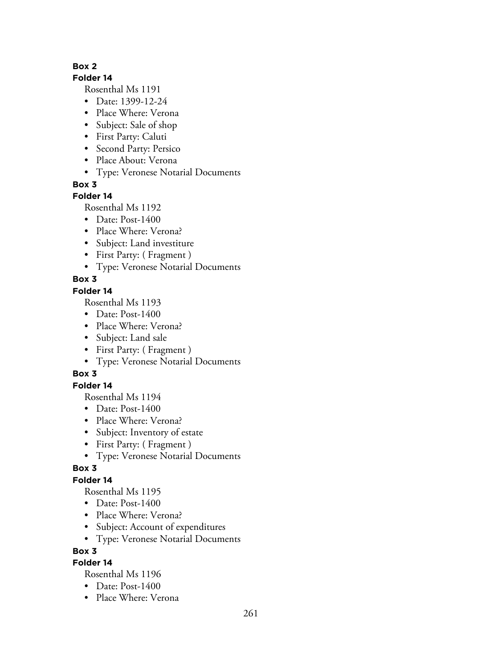## **Folder 14**

Rosenthal Ms 1191

- Date: 1399-12-24
- Place Where: Verona
- Subject: Sale of shop
- First Party: Caluti
- Second Party: Persico
- Place About: Verona
- Type: Veronese Notarial Documents

**Box 3**

# **Folder 14**

Rosenthal Ms 1192

- Date: Post-1400
- Place Where: Verona?
- Subject: Land investiture
- First Party: ( Fragment )
- Type: Veronese Notarial Documents

# **Box 3**

# **Folder 14**

Rosenthal Ms 1193

- Date: Post-1400
- Place Where: Verona?
- Subject: Land sale
- First Party: ( Fragment )
- Type: Veronese Notarial Documents

# **Box 3**

# **Folder 14**

Rosenthal Ms 1194

- Date: Post-1400
- Place Where: Verona?
- Subject: Inventory of estate
- First Party: ( Fragment )
- Type: Veronese Notarial Documents

# **Box 3**

# **Folder 14**

Rosenthal Ms 1195

- Date: Post-1400
- Place Where: Verona?
- Subject: Account of expenditures
- Type: Veronese Notarial Documents

# **Box 3**

# **Folder 14**

- Date: Post-1400
- Place Where: Verona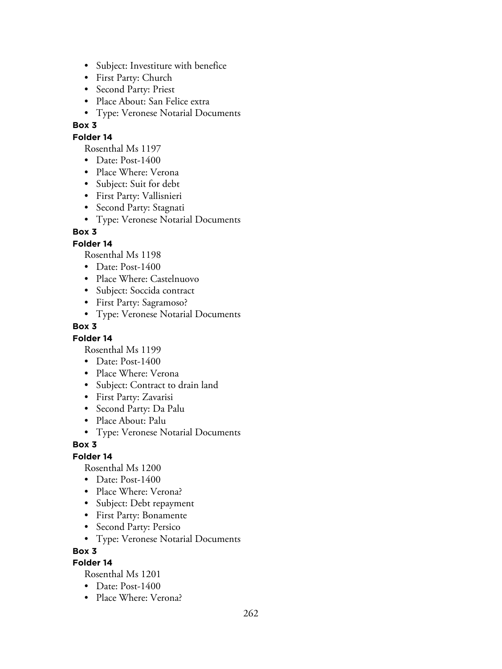- Subject: Investiture with benefice
- First Party: Church
- Second Party: Priest
- Place About: San Felice extra
- Type: Veronese Notarial Documents

# **Folder 14**

Rosenthal Ms 1197

- Date: Post-1400
- Place Where: Verona
- Subject: Suit for debt
- First Party: Vallisnieri
- Second Party: Stagnati
- Type: Veronese Notarial Documents

# **Box 3**

## **Folder 14**

Rosenthal Ms 1198

- Date: Post-1400
- Place Where: Castelnuovo
- Subject: Soccida contract
- First Party: Sagramoso?
- Type: Veronese Notarial Documents

#### **Box 3**

#### **Folder 14**

Rosenthal Ms 1199

- Date: Post-1400
- Place Where: Verona
- Subject: Contract to drain land
- First Party: Zavarisi
- Second Party: Da Palu
- Place About: Palu
- Type: Veronese Notarial Documents

#### **Box 3**

## **Folder 14**

Rosenthal Ms 1200

- Date: Post-1400
- Place Where: Verona?
- Subject: Debt repayment
- First Party: Bonamente
- Second Party: Persico
- Type: Veronese Notarial Documents

#### **Box 3**

## **Folder 14**

- Date: Post-1400
- Place Where: Verona?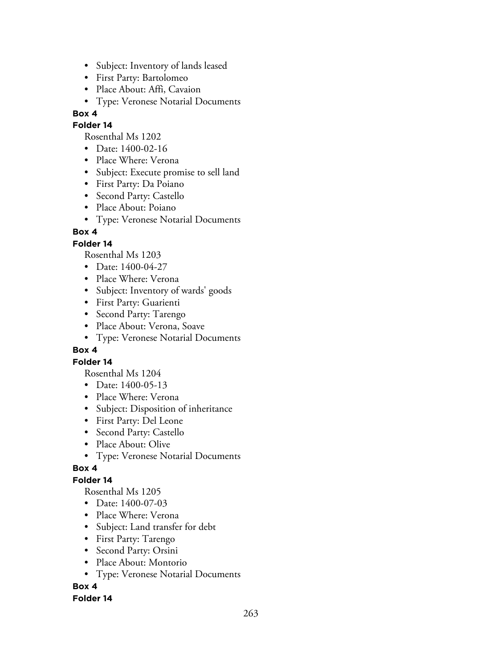- Subject: Inventory of lands leased
- First Party: Bartolomeo
- Place About: Affi, Cavaion
- Type: Veronese Notarial Documents

#### **Folder 14**

Rosenthal Ms 1202

- Date: 1400-02-16
- Place Where: Verona
- Subject: Execute promise to sell land
- First Party: Da Poiano
- Second Party: Castello
- Place About: Poiano
- Type: Veronese Notarial Documents

# **Box 4**

# **Folder 14**

Rosenthal Ms 1203

- Date: 1400-04-27
- Place Where: Verona
- Subject: Inventory of wards' goods
- First Party: Guarienti
- Second Party: Tarengo
- Place About: Verona, Soave
- Type: Veronese Notarial Documents

## **Box 4**

## **Folder 14**

Rosenthal Ms 1204

- Date: 1400-05-13
- Place Where: Verona
- Subject: Disposition of inheritance
- First Party: Del Leone
- Second Party: Castello
- Place About: Olive
- Type: Veronese Notarial Documents

## **Box 4**

## **Folder 14**

Rosenthal Ms 1205

- Date: 1400-07-03
- Place Where: Verona
- Subject: Land transfer for debt
- First Party: Tarengo
- Second Party: Orsini
- Place About: Montorio
- Type: Veronese Notarial Documents

# **Box 4**

## **Folder 14**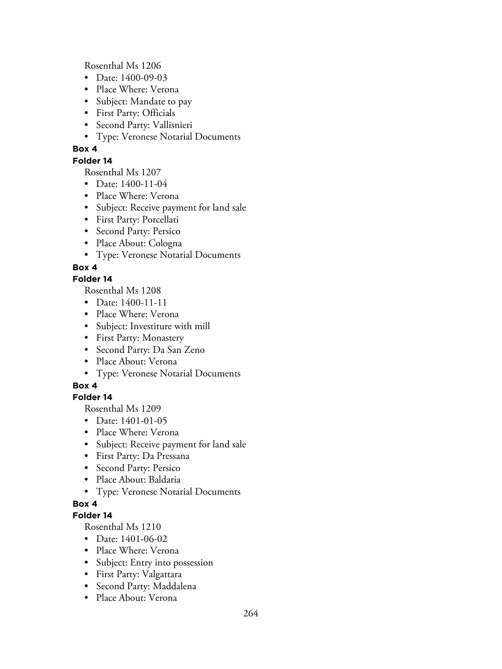Rosenthal Ms 1206

- Date: 1400-09-03
- Place Where: Verona
- Subject: Mandate to pay
- First Party: Officials
- Second Party: Vallisnieri
- Type: Veronese Notarial Documents

# **Box 4**

## **Folder 14**

Rosenthal Ms 1207

- Date: 1400-11-04
- Place Where: Verona
- Subject: Receive payment for land sale
- First Party: Porcellati
- Second Party: Persico
- Place About: Cologna
- Type: Veronese Notarial Documents

# **Box 4**

## **Folder 14**

Rosenthal Ms 1208

- Date: 1400-11-11
- Place Where: Verona
- Subject: Investiture with mill
- First Party: Monastery
- Second Party: Da San Zeno
- Place About: Verona
- Type: Veronese Notarial Documents

# **Box 4**

# **Folder 14**

Rosenthal Ms 1209

- Date: 1401-01-05
- Place Where: Verona
- Subject: Receive payment for land sale
- First Party: Da Pressana
- Second Party: Persico
- Place About: Baldaria
- Type: Veronese Notarial Documents

# **Box 4**

## **Folder 14**

- Date: 1401-06-02
- Place Where: Verona
- Subject: Entry into possession
- First Party: Valgattara
- Second Party: Maddalena
- Place About: Verona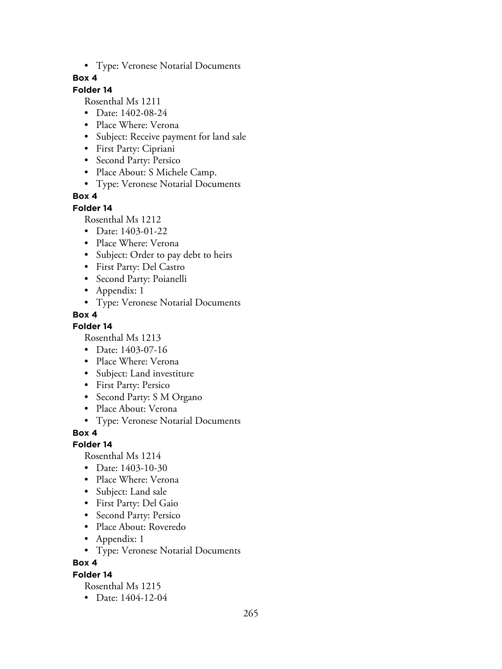• Type: Veronese Notarial Documents

## **Box 4**

# **Folder 14**

Rosenthal Ms 1211

- Date: 1402-08-24
- Place Where: Verona
- Subject: Receive payment for land sale
- First Party: Cipriani
- Second Party: Persico
- Place About: S Michele Camp.
- Type: Veronese Notarial Documents

# **Box 4**

#### **Folder 14**

Rosenthal Ms 1212

- Date: 1403-01-22
- Place Where: Verona
- Subject: Order to pay debt to heirs
- First Party: Del Castro
- Second Party: Poianelli
- Appendix: 1
- Type: Veronese Notarial Documents

# **Box 4**

**Folder 14**

Rosenthal Ms 1213

- Date: 1403-07-16
- Place Where: Verona
- Subject: Land investiture
- First Party: Persico
- Second Party: S M Organo
- Place About: Verona
- Type: Veronese Notarial Documents

**Box 4**

## **Folder 14**

Rosenthal Ms 1214

- Date: 1403-10-30
- Place Where: Verona
- Subject: Land sale
- First Party: Del Gaio
- Second Party: Persico
- Place About: Roveredo
- Appendix: 1
- Type: Veronese Notarial Documents

**Box 4**

#### **Folder 14**

Rosenthal Ms 1215

• Date: 1404-12-04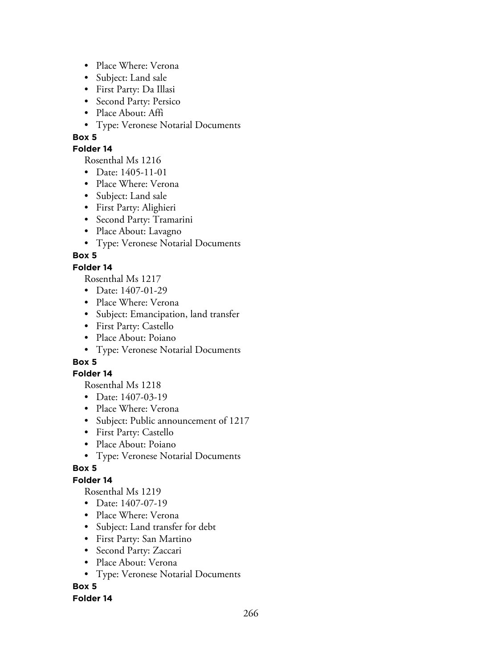- Place Where: Verona
- Subject: Land sale
- First Party: Da Illasi
- Second Party: Persico
- Place About: Affi
- Type: Veronese Notarial Documents

## **Folder 14**

Rosenthal Ms 1216

- Date: 1405-11-01
- Place Where: Verona
- Subject: Land sale
- First Party: Alighieri
- Second Party: Tramarini
- Place About: Lavagno
- Type: Veronese Notarial Documents

# **Box 5**

# **Folder 14**

Rosenthal Ms 1217

- Date: 1407-01-29
- Place Where: Verona
- Subject: Emancipation, land transfer
- First Party: Castello
- Place About: Poiano
- Type: Veronese Notarial Documents

# **Box 5**

## **Folder 14**

Rosenthal Ms 1218

- Date: 1407-03-19
- Place Where: Verona
- Subject: Public announcement of 1217
- First Party: Castello
- Place About: Poiano
- Type: Veronese Notarial Documents

# **Box 5**

# **Folder 14**

Rosenthal Ms 1219

- Date: 1407-07-19
- Place Where: Verona
- Subject: Land transfer for debt
- First Party: San Martino
- Second Party: Zaccari
- Place About: Verona
- Type: Veronese Notarial Documents

# **Box 5**

## **Folder 14**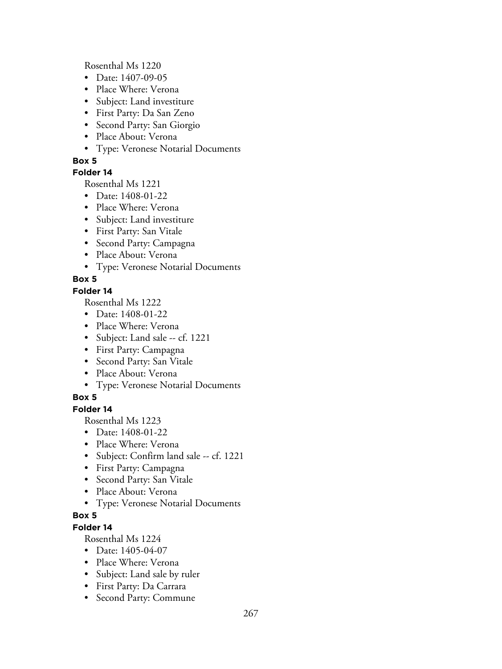Rosenthal Ms 1220

- Date: 1407-09-05
- Place Where: Verona
- Subject: Land investiture
- First Party: Da San Zeno
- Second Party: San Giorgio
- Place About: Verona
- Type: Veronese Notarial Documents

# **Box 5**

# **Folder 14**

Rosenthal Ms 1221

- Date: 1408-01-22
- Place Where: Verona
- Subject: Land investiture
- First Party: San Vitale
- Second Party: Campagna
- Place About: Verona
- Type: Veronese Notarial Documents

# **Box 5**

# **Folder 14**

Rosenthal Ms 1222

- Date: 1408-01-22
- Place Where: Verona
- Subject: Land sale -- cf. 1221
- First Party: Campagna
- Second Party: San Vitale
- Place About: Verona
- Type: Veronese Notarial Documents

# **Box 5**

# **Folder 14**

Rosenthal Ms 1223

- Date: 1408-01-22
- Place Where: Verona
- Subject: Confirm land sale -- cf. 1221
- First Party: Campagna
- Second Party: San Vitale
- Place About: Verona
- Type: Veronese Notarial Documents

# **Box 5**

# **Folder 14**

- Date: 1405-04-07
- Place Where: Verona
- Subject: Land sale by ruler
- First Party: Da Carrara
- Second Party: Commune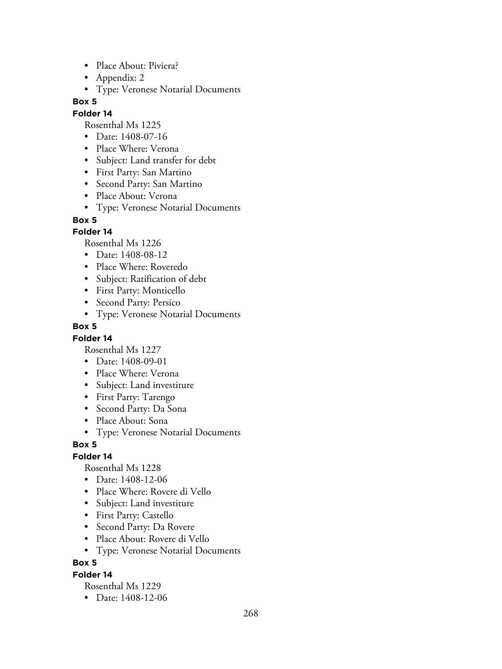- Place About: Piviera?
- Appendix: 2
- Type: Veronese Notarial Documents

## **Folder 14**

Rosenthal Ms 1225

- Date: 1408-07-16
- Place Where: Verona
- Subject: Land transfer for debt
- First Party: San Martino
- Second Party: San Martino
- Place About: Verona
- Type: Veronese Notarial Documents

#### **Box 5**

## **Folder 14**

Rosenthal Ms 1226

- Date: 1408-08-12
- Place Where: Roveredo
- Subject: Ratification of debt
- First Party: Monticello
- Second Party: Persico
- Type: Veronese Notarial Documents

#### **Box 5**

## **Folder 14**

Rosenthal Ms 1227

- Date: 1408-09-01
- Place Where: Verona
- Subject: Land investiture
- First Party: Tarengo
- Second Party: Da Sona
- Place About: Sona
- Type: Veronese Notarial Documents

## **Box 5**

## **Folder 14**

Rosenthal Ms 1228

- Date: 1408-12-06
- Place Where: Rovere di Vello
- Subject: Land investiture
- First Party: Castello
- Second Party: Da Rovere
- Place About: Rovere di Vello
- Type: Veronese Notarial Documents

## **Box 5**

## **Folder 14**

Rosenthal Ms 1229

• Date: 1408-12-06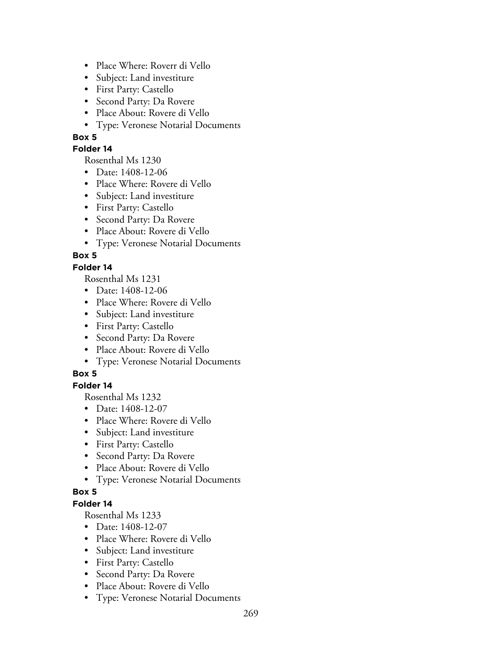- Place Where: Roverr di Vello
- Subject: Land investiture
- First Party: Castello
- Second Party: Da Rovere
- Place About: Rovere di Vello
- Type: Veronese Notarial Documents

## **Folder 14**

Rosenthal Ms 1230

- Date: 1408-12-06
- Place Where: Rovere di Vello
- Subject: Land investiture
- First Party: Castello
- Second Party: Da Rovere
- Place About: Rovere di Vello
- Type: Veronese Notarial Documents

# **Box 5**

# **Folder 14**

Rosenthal Ms 1231

- Date: 1408-12-06
- Place Where: Rovere di Vello
- Subject: Land investiture
- First Party: Castello
- Second Party: Da Rovere
- Place About: Rovere di Vello
- Type: Veronese Notarial Documents

# **Box 5**

## **Folder 14**

Rosenthal Ms 1232

- Date: 1408-12-07
- Place Where: Rovere di Vello
- Subject: Land investiture
- First Party: Castello
- Second Party: Da Rovere
- Place About: Rovere di Vello
- Type: Veronese Notarial Documents

## **Box 5**

## **Folder 14**

- Date: 1408-12-07
- Place Where: Rovere di Vello
- Subject: Land investiture
- First Party: Castello
- Second Party: Da Rovere
- Place About: Rovere di Vello
- Type: Veronese Notarial Documents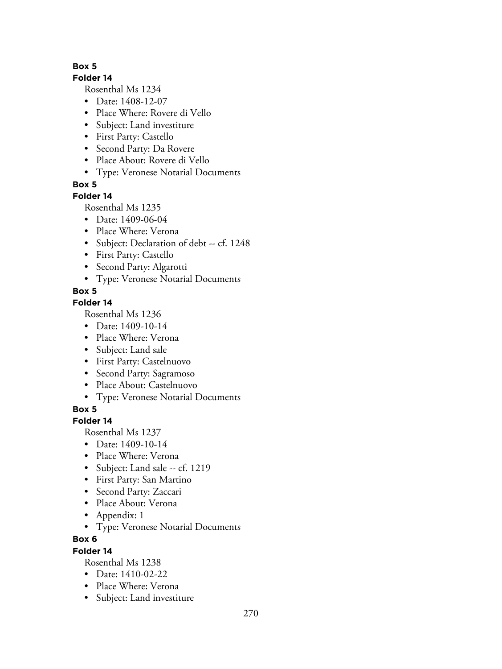## **Folder 14**

Rosenthal Ms 1234

- Date: 1408-12-07
- Place Where: Rovere di Vello
- Subject: Land investiture
- First Party: Castello
- Second Party: Da Rovere
- Place About: Rovere di Vello
- Type: Veronese Notarial Documents

**Box 5**

# **Folder 14**

Rosenthal Ms 1235

- Date: 1409-06-04
- Place Where: Verona
- Subject: Declaration of debt -- cf. 1248
- First Party: Castello
- Second Party: Algarotti
- Type: Veronese Notarial Documents

# **Box 5**

# **Folder 14**

Rosenthal Ms 1236

- Date: 1409-10-14
- Place Where: Verona
- Subject: Land sale
- First Party: Castelnuovo
- Second Party: Sagramoso
- Place About: Castelnuovo
- Type: Veronese Notarial Documents

**Box 5**

# **Folder 14**

Rosenthal Ms 1237

- Date: 1409-10-14
- Place Where: Verona
- Subject: Land sale -- cf. 1219
- First Party: San Martino
- Second Party: Zaccari
- Place About: Verona
- Appendix: 1
- Type: Veronese Notarial Documents

# **Box 6**

# **Folder 14**

- Date: 1410-02-22
- Place Where: Verona
- Subject: Land investiture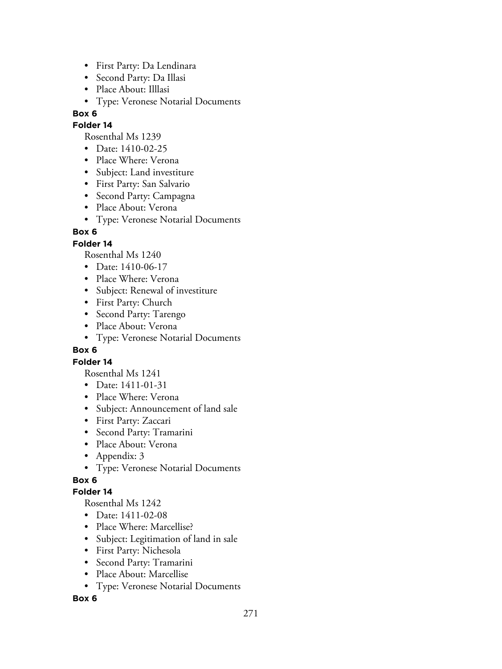- First Party: Da Lendinara
- Second Party: Da Illasi
- Place About: Illlasi
- Type: Veronese Notarial Documents

## **Folder 14**

Rosenthal Ms 1239

- Date: 1410-02-25
- Place Where: Verona
- Subject: Land investiture
- First Party: San Salvario
- Second Party: Campagna
- Place About: Verona
- Type: Veronese Notarial Documents

# **Box 6**

# **Folder 14**

Rosenthal Ms 1240

- Date: 1410-06-17
- Place Where: Verona
- Subject: Renewal of investiture
- First Party: Church
- Second Party: Tarengo
- Place About: Verona
- Type: Veronese Notarial Documents

## **Box 6**

## **Folder 14**

Rosenthal Ms 1241

- Date: 1411-01-31
- Place Where: Verona
- Subject: Announcement of land sale
- First Party: Zaccari
- Second Party: Tramarini
- Place About: Verona
- Appendix: 3
- Type: Veronese Notarial Documents

# **Box 6**

## **Folder 14**

Rosenthal Ms 1242

- Date: 1411-02-08
- Place Where: Marcellise?
- Subject: Legitimation of land in sale
- First Party: Nichesola
- Second Party: Tramarini
- Place About: Marcellise
- Type: Veronese Notarial Documents

## **Box 6**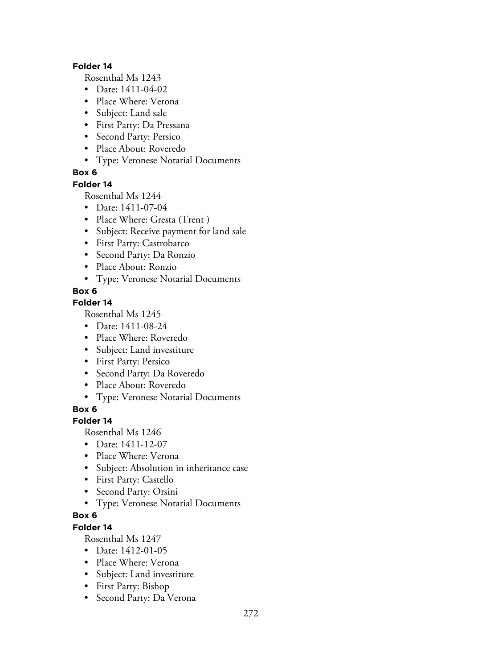#### **Folder 14**

Rosenthal Ms 1243

- Date: 1411-04-02
- Place Where: Verona
- Subject: Land sale
- First Party: Da Pressana
- Second Party: Persico
- Place About: Roveredo
- Type: Veronese Notarial Documents

# **Box 6**

#### **Folder 14**

Rosenthal Ms 1244

- Date: 1411-07-04
- Place Where: Gresta (Trent)
- Subject: Receive payment for land sale
- First Party: Castrobarco
- Second Party: Da Ronzio
- Place About: Ronzio
- Type: Veronese Notarial Documents

## **Box 6**

# **Folder 14**

Rosenthal Ms 1245

- Date: 1411-08-24
- Place Where: Roveredo
- Subject: Land investiture
- First Party: Persico
- Second Party: Da Roveredo
- Place About: Roveredo
- Type: Veronese Notarial Documents

**Box 6**

## **Folder 14**

Rosenthal Ms 1246

- Date: 1411-12-07
- Place Where: Verona
- Subject: Absolution in inheritance case
- First Party: Castello
- Second Party: Orsini
- Type: Veronese Notarial Documents

# **Box 6**

# **Folder 14**

- Date: 1412-01-05
- Place Where: Verona
- Subject: Land investiture
- First Party: Bishop
- Second Party: Da Verona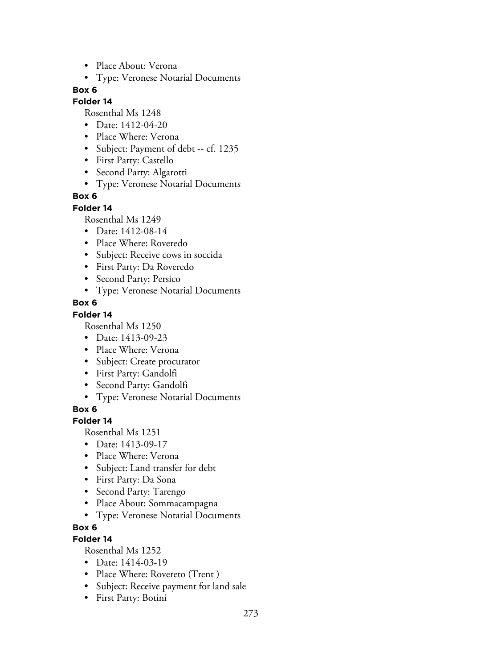- Place About: Verona
- Type: Veronese Notarial Documents

#### **Folder 14**

Rosenthal Ms 1248

- Date: 1412-04-20
- Place Where: Verona
- Subject: Payment of debt -- cf. 1235
- First Party: Castello
- Second Party: Algarotti
- Type: Veronese Notarial Documents

## **Box 6**

#### **Folder 14**

Rosenthal Ms 1249

- Date: 1412-08-14
- Place Where: Roveredo
- Subject: Receive cows in soccida
- First Party: Da Roveredo
- Second Party: Persico
- Type: Veronese Notarial Documents

## **Box 6**

## **Folder 14**

Rosenthal Ms 1250

- Date: 1413-09-23
- Place Where: Verona
- Subject: Create procurator
- First Party: Gandolfi
- Second Party: Gandolfi
- Type: Veronese Notarial Documents

## **Box 6**

## **Folder 14**

Rosenthal Ms 1251

- Date: 1413-09-17
- Place Where: Verona
- Subject: Land transfer for debt
- First Party: Da Sona
- Second Party: Tarengo
- Place About: Sommacampagna
- Type: Veronese Notarial Documents

# **Box 6**

# **Folder 14**

- Date: 1414-03-19
- Place Where: Rovereto (Trent)
- Subject: Receive payment for land sale
- First Party: Botini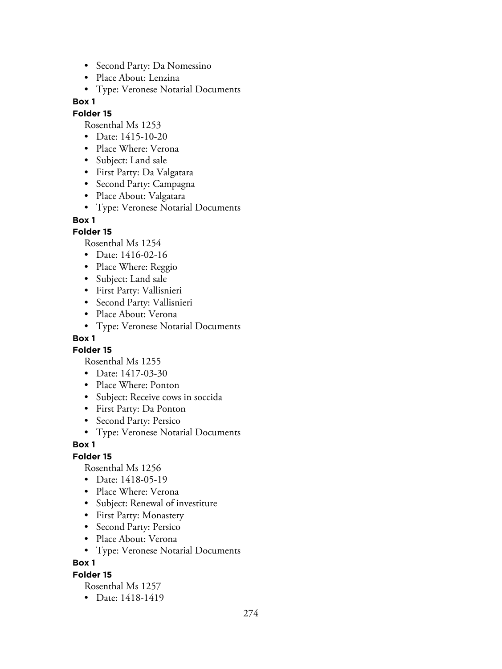- Second Party: Da Nomessino
- Place About: Lenzina
- Type: Veronese Notarial Documents

#### **Folder 15**

Rosenthal Ms 1253

- Date: 1415-10-20
- Place Where: Verona
- Subject: Land sale
- First Party: Da Valgatara
- Second Party: Campagna
- Place About: Valgatara
- Type: Veronese Notarial Documents

#### **Box 1**

#### **Folder 15**

Rosenthal Ms 1254

- Date: 1416-02-16
- Place Where: Reggio
- Subject: Land sale
- First Party: Vallisnieri
- Second Party: Vallisnieri
- Place About: Verona
- Type: Veronese Notarial Documents

## **Box 1**

**Folder 15**

Rosenthal Ms 1255

- Date: 1417-03-30
- Place Where: Ponton
- Subject: Receive cows in soccida
- First Party: Da Ponton
- Second Party: Persico
- Type: Veronese Notarial Documents

#### **Box 1**

## **Folder 15**

Rosenthal Ms 1256

- Date: 1418-05-19
- Place Where: Verona
- Subject: Renewal of investiture
- First Party: Monastery
- Second Party: Persico
- Place About: Verona
- Type: Veronese Notarial Documents

**Box 1**

#### **Folder 15**

Rosenthal Ms 1257

• Date: 1418-1419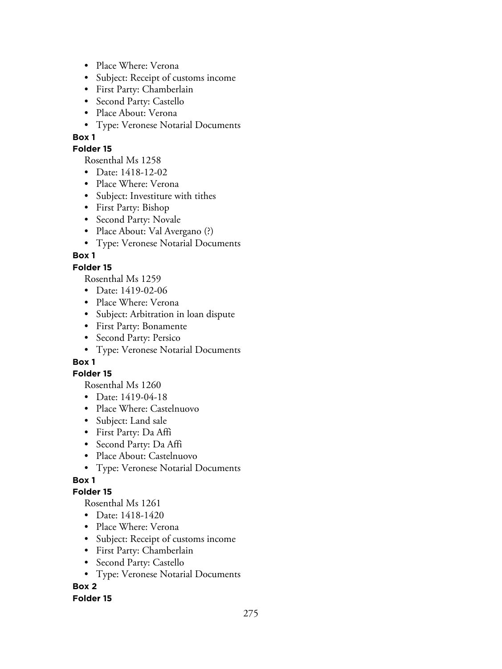- Place Where: Verona
- Subject: Receipt of customs income
- First Party: Chamberlain
- Second Party: Castello
- Place About: Verona
- Type: Veronese Notarial Documents

## **Folder 15**

Rosenthal Ms 1258

- Date: 1418-12-02
- Place Where: Verona
- Subject: Investiture with tithes
- First Party: Bishop
- Second Party: Novale
- Place About: Val Avergano (?)
- Type: Veronese Notarial Documents

# **Box 1**

# **Folder 15**

Rosenthal Ms 1259

- Date: 1419-02-06
- Place Where: Verona
- Subject: Arbitration in loan dispute
- First Party: Bonamente
- Second Party: Persico
- Type: Veronese Notarial Documents

# **Box 1**

## **Folder 15**

Rosenthal Ms 1260

- Date: 1419-04-18
- Place Where: Castelnuovo
- Subject: Land sale
- First Party: Da Affi
- Second Party: Da Affi
- Place About: Castelnuovo
- Type: Veronese Notarial Documents

# **Box 1**

## **Folder 15**

Rosenthal Ms 1261

- Date: 1418-1420
- Place Where: Verona
- Subject: Receipt of customs income
- First Party: Chamberlain
- Second Party: Castello
- Type: Veronese Notarial Documents

**Box 2**

## **Folder 15**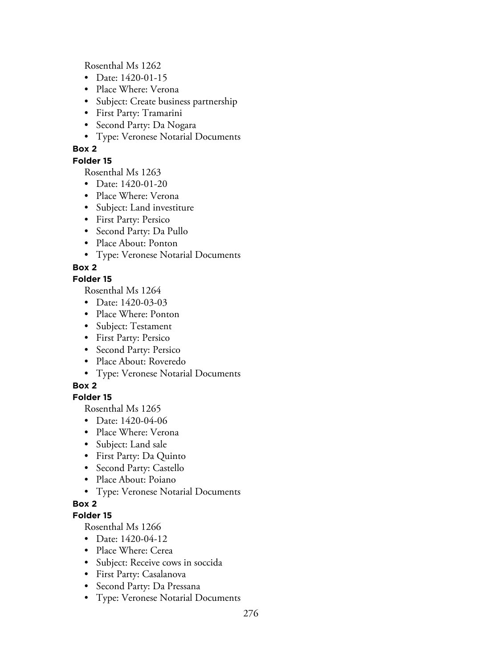Rosenthal Ms 1262

- Date: 1420-01-15
- Place Where: Verona
- Subject: Create business partnership
- First Party: Tramarini
- Second Party: Da Nogara
- Type: Veronese Notarial Documents

# **Box 2**

## **Folder 15**

Rosenthal Ms 1263

- Date: 1420-01-20
- Place Where: Verona
- Subject: Land investiture
- First Party: Persico
- Second Party: Da Pullo
- Place About: Ponton
- Type: Veronese Notarial Documents

# **Box 2**

## **Folder 15**

Rosenthal Ms 1264

- Date: 1420-03-03
- Place Where: Ponton
- Subject: Testament
- First Party: Persico
- Second Party: Persico
- Place About: Roveredo
- Type: Veronese Notarial Documents

# **Box 2**

# **Folder 15**

Rosenthal Ms 1265

- Date: 1420-04-06
- Place Where: Verona
- Subject: Land sale
- First Party: Da Quinto
- Second Party: Castello
- Place About: Poiano
- Type: Veronese Notarial Documents

# **Box 2**

# **Folder 15**

- Date: 1420-04-12
- Place Where: Cerea
- Subject: Receive cows in soccida
- First Party: Casalanova
- Second Party: Da Pressana
- Type: Veronese Notarial Documents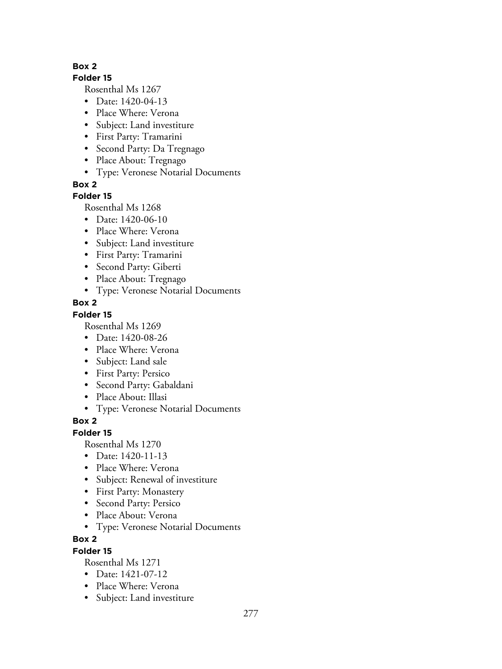## **Folder 15**

Rosenthal Ms 1267

- Date: 1420-04-13
- Place Where: Verona
- Subject: Land investiture
- First Party: Tramarini
- Second Party: Da Tregnago
- Place About: Tregnago
- Type: Veronese Notarial Documents

**Box 2**

# **Folder 15**

Rosenthal Ms 1268

- Date: 1420-06-10
- Place Where: Verona
- Subject: Land investiture
- First Party: Tramarini
- Second Party: Giberti
- Place About: Tregnago
- Type: Veronese Notarial Documents

# **Box 2**

# **Folder 15**

Rosenthal Ms 1269

- Date: 1420-08-26
- Place Where: Verona
- Subject: Land sale
- First Party: Persico
- Second Party: Gabaldani
- Place About: Illasi
- Type: Veronese Notarial Documents

# **Box 2**

# **Folder 15**

Rosenthal Ms 1270

- Date: 1420-11-13
- Place Where: Verona
- Subject: Renewal of investiture
- First Party: Monastery
- Second Party: Persico
- Place About: Verona
- Type: Veronese Notarial Documents

# **Box 2**

# **Folder 15**

- Date: 1421-07-12
- Place Where: Verona
- Subject: Land investiture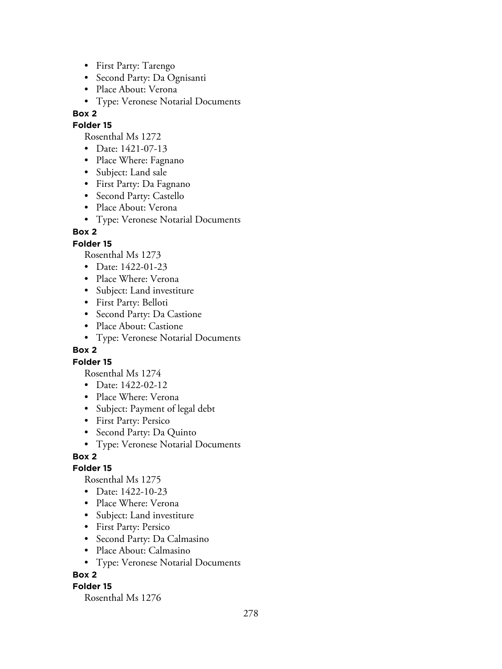- First Party: Tarengo
- Second Party: Da Ognisanti
- Place About: Verona
- Type: Veronese Notarial Documents

## **Folder 15**

Rosenthal Ms 1272

- Date: 1421-07-13
- Place Where: Fagnano
- Subject: Land sale
- First Party: Da Fagnano
- Second Party: Castello
- Place About: Verona
- Type: Veronese Notarial Documents

# **Box 2**

# **Folder 15**

Rosenthal Ms 1273

- Date: 1422-01-23
- Place Where: Verona
- Subject: Land investiture
- First Party: Belloti
- Second Party: Da Castione
- Place About: Castione
- Type: Veronese Notarial Documents

## **Box 2**

## **Folder 15**

Rosenthal Ms 1274

- Date: 1422-02-12
- Place Where: Verona
- Subject: Payment of legal debt
- First Party: Persico
- Second Party: Da Quinto
- Type: Veronese Notarial Documents

# **Box 2**

## **Folder 15**

Rosenthal Ms 1275

- Date: 1422-10-23
- Place Where: Verona
- Subject: Land investiture
- First Party: Persico
- Second Party: Da Calmasino
- Place About: Calmasino
- Type: Veronese Notarial Documents

# **Box 2**

## **Folder 15**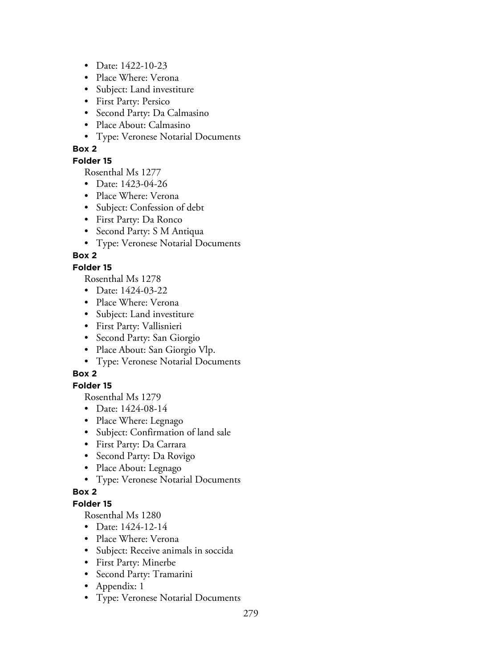- Date: 1422-10-23
- Place Where: Verona
- Subject: Land investiture
- First Party: Persico
- Second Party: Da Calmasino
- Place About: Calmasino
- Type: Veronese Notarial Documents

## **Folder 15**

Rosenthal Ms 1277

- Date: 1423-04-26
- Place Where: Verona
- Subject: Confession of debt
- First Party: Da Ronco
- Second Party: S M Antiqua
- Type: Veronese Notarial Documents

# **Box 2**

# **Folder 15**

Rosenthal Ms 1278

- Date: 1424-03-22
- Place Where: Verona
- Subject: Land investiture
- First Party: Vallisnieri
- Second Party: San Giorgio
- Place About: San Giorgio Vlp.
- Type: Veronese Notarial Documents

# **Box 2**

# **Folder 15**

Rosenthal Ms 1279

- Date: 1424-08-14
- Place Where: Legnago
- Subject: Confirmation of land sale
- First Party: Da Carrara
- Second Party: Da Rovigo
- Place About: Legnago
- Type: Veronese Notarial Documents

## **Box 2**

## **Folder 15**

- Date: 1424-12-14
- Place Where: Verona
- Subject: Receive animals in soccida
- First Party: Minerbe
- Second Party: Tramarini
- Appendix: 1
- Type: Veronese Notarial Documents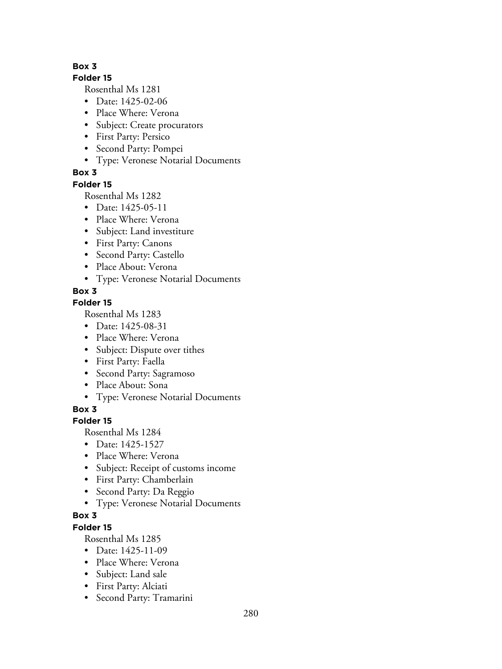#### **Folder 15**

Rosenthal Ms 1281

- Date: 1425-02-06
- Place Where: Verona
- Subject: Create procurators
- First Party: Persico
- Second Party: Pompei
- Type: Veronese Notarial Documents

# **Box 3**

# **Folder 15**

Rosenthal Ms 1282

- Date: 1425-05-11
- Place Where: Verona
- Subject: Land investiture
- First Party: Canons
- Second Party: Castello
- Place About: Verona
- Type: Veronese Notarial Documents

# **Box 3**

# **Folder 15**

Rosenthal Ms 1283

- Date: 1425-08-31
- Place Where: Verona
- Subject: Dispute over tithes
- First Party: Faella
- Second Party: Sagramoso
- Place About: Sona
- Type: Veronese Notarial Documents

**Box 3**

# **Folder 15**

Rosenthal Ms 1284

- Date: 1425-1527
- Place Where: Verona
- Subject: Receipt of customs income
- First Party: Chamberlain
- Second Party: Da Reggio
- Type: Veronese Notarial Documents

# **Box 3**

# **Folder 15**

- Date: 1425-11-09
- Place Where: Verona
- Subject: Land sale
- First Party: Alciati
- Second Party: Tramarini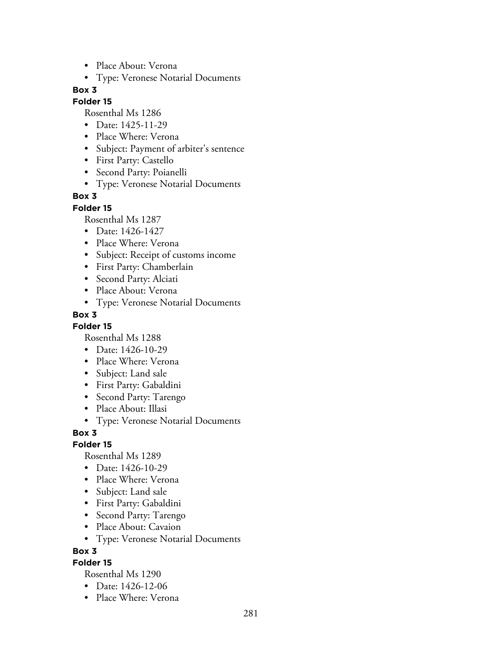- Place About: Verona
- Type: Veronese Notarial Documents

#### **Folder 15**

Rosenthal Ms 1286

- Date: 1425-11-29
- Place Where: Verona
- Subject: Payment of arbiter's sentence
- First Party: Castello
- Second Party: Poianelli
- Type: Veronese Notarial Documents

#### **Box 3**

#### **Folder 15**

Rosenthal Ms 1287

- Date: 1426-1427
- Place Where: Verona
- Subject: Receipt of customs income
- First Party: Chamberlain
- Second Party: Alciati
- Place About: Verona
- Type: Veronese Notarial Documents

#### **Box 3**

**Folder 15**

Rosenthal Ms 1288

- Date: 1426-10-29
- Place Where: Verona
- Subject: Land sale
- First Party: Gabaldini
- Second Party: Tarengo
- Place About: Illasi
- Type: Veronese Notarial Documents

**Box 3**

#### **Folder 15**

Rosenthal Ms 1289

- Date: 1426-10-29
- Place Where: Verona
- Subject: Land sale
- First Party: Gabaldini
- Second Party: Tarengo
- Place About: Cavaion
- Type: Veronese Notarial Documents

**Box 3**

#### **Folder 15**

- Date: 1426-12-06
- Place Where: Verona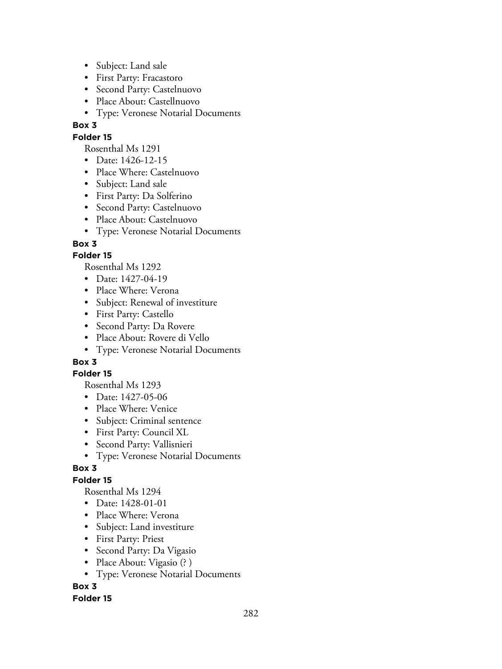- Subject: Land sale
- First Party: Fracastoro
- Second Party: Castelnuovo
- Place About: Castellnuovo
- Type: Veronese Notarial Documents

## **Folder 15**

Rosenthal Ms 1291

- Date: 1426-12-15
- Place Where: Castelnuovo
- Subject: Land sale
- First Party: Da Solferino
- Second Party: Castelnuovo
- Place About: Castelnuovo
- Type: Veronese Notarial Documents

# **Box 3**

# **Folder 15**

Rosenthal Ms 1292

- Date: 1427-04-19
- Place Where: Verona
- Subject: Renewal of investiture
- First Party: Castello
- Second Party: Da Rovere
- Place About: Rovere di Vello
- Type: Veronese Notarial Documents

# **Box 3**

## **Folder 15**

Rosenthal Ms 1293

- Date: 1427-05-06
- Place Where: Venice
- Subject: Criminal sentence
- First Party: Council XL
- Second Party: Vallisnieri
- Type: Veronese Notarial Documents

# **Box 3**

# **Folder 15**

Rosenthal Ms 1294

- Date: 1428-01-01
- Place Where: Verona
- Subject: Land investiture
- First Party: Priest
- Second Party: Da Vigasio
- Place About: Vigasio (?)
- Type: Veronese Notarial Documents

# **Box 3**

## **Folder 15**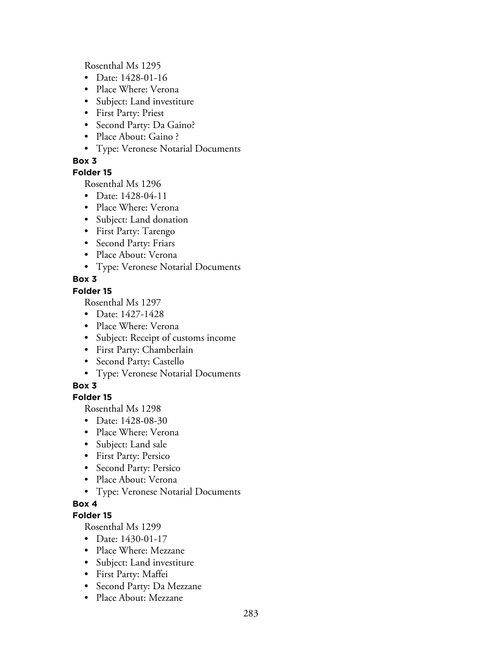Rosenthal Ms 1295

- Date: 1428-01-16
- Place Where: Verona
- Subject: Land investiture
- First Party: Priest
- Second Party: Da Gaino?
- Place About: Gaino ?
- Type: Veronese Notarial Documents

# **Box 3**

# **Folder 15**

Rosenthal Ms 1296

- Date: 1428-04-11
- Place Where: Verona
- Subject: Land donation
- First Party: Tarengo
- Second Party: Friars
- Place About: Verona
- Type: Veronese Notarial Documents

# **Box 3**

# **Folder 15**

Rosenthal Ms 1297

- Date: 1427-1428
- Place Where: Verona
- Subject: Receipt of customs income
- First Party: Chamberlain
- Second Party: Castello
- Type: Veronese Notarial Documents

# **Box 3**

# **Folder 15**

Rosenthal Ms 1298

- Date: 1428-08-30
- Place Where: Verona
- Subject: Land sale
- First Party: Persico
- Second Party: Persico
- Place About: Verona
- Type: Veronese Notarial Documents

# **Box 4**

## **Folder 15**

- Date: 1430-01-17
- Place Where: Mezzane
- Subject: Land investiture
- First Party: Maffei
- Second Party: Da Mezzane
- Place About: Mezzane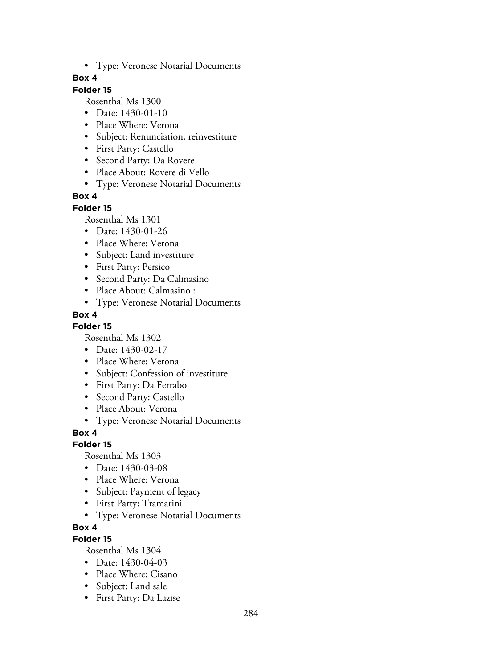• Type: Veronese Notarial Documents

## **Box 4**

# **Folder 15**

Rosenthal Ms 1300

- Date: 1430-01-10
- Place Where: Verona
- Subject: Renunciation, reinvestiture
- First Party: Castello
- Second Party: Da Rovere
- Place About: Rovere di Vello
- Type: Veronese Notarial Documents

# **Box 4**

#### **Folder 15**

Rosenthal Ms 1301

- Date: 1430-01-26
- Place Where: Verona
- Subject: Land investiture
- First Party: Persico
- Second Party: Da Calmasino
- Place About: Calmasino :
- Type: Veronese Notarial Documents

# **Box 4**

## **Folder 15**

Rosenthal Ms 1302

- Date: 1430-02-17
- Place Where: Verona
- Subject: Confession of investiture
- First Party: Da Ferrabo
- Second Party: Castello
- Place About: Verona
- Type: Veronese Notarial Documents

**Box 4**

## **Folder 15**

Rosenthal Ms 1303

- Date: 1430-03-08
- Place Where: Verona
- Subject: Payment of legacy
- First Party: Tramarini
- Type: Veronese Notarial Documents

## **Box 4**

## **Folder 15**

- Date: 1430-04-03
- Place Where: Cisano
- Subject: Land sale
- First Party: Da Lazise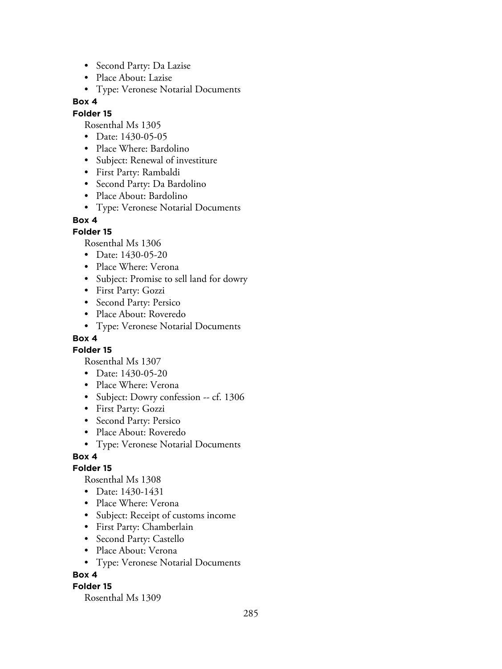- Second Party: Da Lazise
- Place About: Lazise
- Type: Veronese Notarial Documents

#### **Folder 15**

Rosenthal Ms 1305

- Date: 1430-05-05
- Place Where: Bardolino
- Subject: Renewal of investiture
- First Party: Rambaldi
- Second Party: Da Bardolino
- Place About: Bardolino
- Type: Veronese Notarial Documents

#### **Box 4**

## **Folder 15**

Rosenthal Ms 1306

- Date: 1430-05-20
- Place Where: Verona
- Subject: Promise to sell land for dowry
- First Party: Gozzi
- Second Party: Persico
- Place About: Roveredo
- Type: Veronese Notarial Documents

## **Box 4**

**Folder 15**

Rosenthal Ms 1307

- Date: 1430-05-20
- Place Where: Verona
- Subject: Dowry confession -- cf. 1306
- First Party: Gozzi
- Second Party: Persico
- Place About: Roveredo
- Type: Veronese Notarial Documents

## **Box 4**

## **Folder 15**

Rosenthal Ms 1308

- Date: 1430-1431
- Place Where: Verona
- Subject: Receipt of customs income
- First Party: Chamberlain
- Second Party: Castello
- Place About: Verona
- Type: Veronese Notarial Documents

## **Box 4**

## **Folder 15**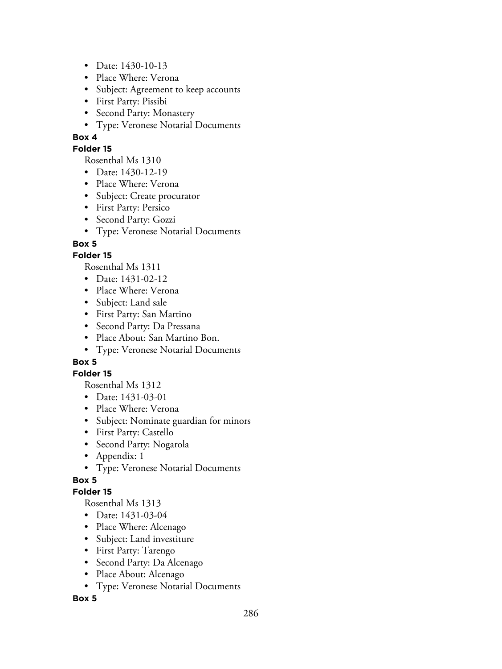- Date: 1430-10-13
- Place Where: Verona
- Subject: Agreement to keep accounts
- First Party: Pissibi
- Second Party: Monastery
- Type: Veronese Notarial Documents

#### **Folder 15**

Rosenthal Ms 1310

- Date: 1430-12-19
- Place Where: Verona
- Subject: Create procurator
- First Party: Persico
- Second Party: Gozzi
- Type: Veronese Notarial Documents

# **Box 5**

# **Folder 15**

Rosenthal Ms 1311

- Date: 1431-02-12
- Place Where: Verona
- Subject: Land sale
- First Party: San Martino
- Second Party: Da Pressana
- Place About: San Martino Bon.
- Type: Veronese Notarial Documents

# **Box 5**

## **Folder 15**

Rosenthal Ms 1312

- Date: 1431-03-01
- Place Where: Verona
- Subject: Nominate guardian for minors
- First Party: Castello
- Second Party: Nogarola
- Appendix: 1
- Type: Veronese Notarial Documents

# **Box 5**

## **Folder 15**

Rosenthal Ms 1313

- Date: 1431-03-04
- Place Where: Alcenago
- Subject: Land investiture
- First Party: Tarengo
- Second Party: Da Alcenago
- Place About: Alcenago
- Type: Veronese Notarial Documents

## **Box 5**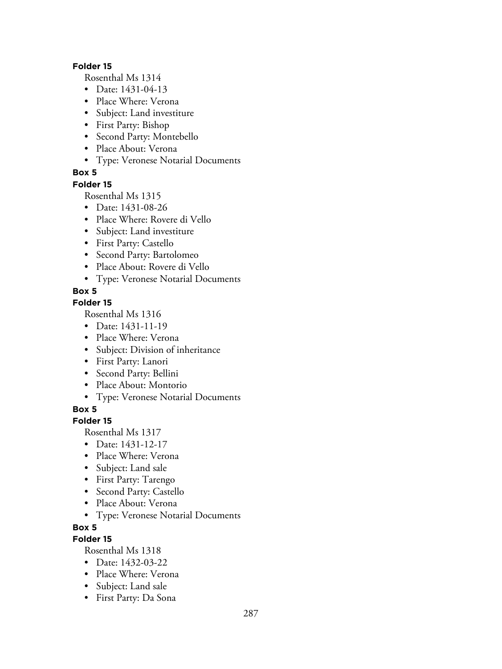#### **Folder 15**

Rosenthal Ms 1314

- Date: 1431-04-13
- Place Where: Verona
- Subject: Land investiture
- First Party: Bishop
- Second Party: Montebello
- Place About: Verona
- Type: Veronese Notarial Documents

## **Box 5**

#### **Folder 15**

Rosenthal Ms 1315

- Date: 1431-08-26
- Place Where: Rovere di Vello
- Subject: Land investiture
- First Party: Castello
- Second Party: Bartolomeo
- Place About: Rovere di Vello
- Type: Veronese Notarial Documents

## **Box 5**

# **Folder 15**

Rosenthal Ms 1316

- Date: 1431-11-19
- Place Where: Verona
- Subject: Division of inheritance
- First Party: Lanori
- Second Party: Bellini
- Place About: Montorio
- Type: Veronese Notarial Documents

## **Box 5**

## **Folder 15**

Rosenthal Ms 1317

- Date: 1431-12-17
- Place Where: Verona
- Subject: Land sale
- First Party: Tarengo
- Second Party: Castello
- Place About: Verona
- Type: Veronese Notarial Documents
- **Box 5**

# **Folder 15**

- Date: 1432-03-22
- Place Where: Verona
- Subject: Land sale
- First Party: Da Sona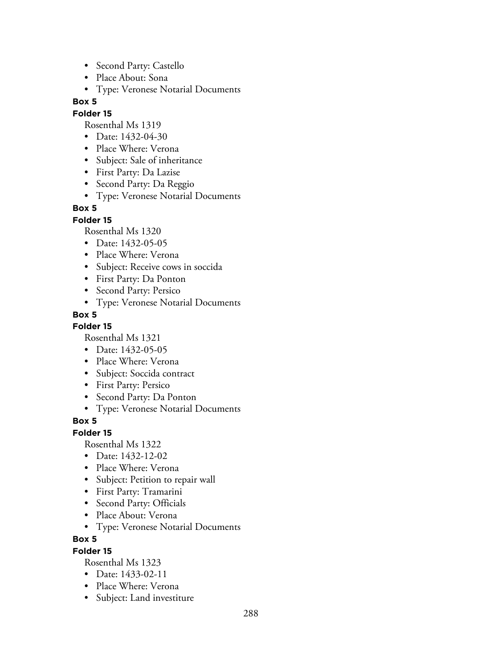- Second Party: Castello
- Place About: Sona
- Type: Veronese Notarial Documents

## **Folder 15**

Rosenthal Ms 1319

- Date: 1432-04-30
- Place Where: Verona
- Subject: Sale of inheritance
- First Party: Da Lazise
- Second Party: Da Reggio
- Type: Veronese Notarial Documents

## **Box 5**

## **Folder 15**

Rosenthal Ms 1320

- Date: 1432-05-05
- Place Where: Verona
- Subject: Receive cows in soccida
- First Party: Da Ponton
- Second Party: Persico
- Type: Veronese Notarial Documents

# **Box 5**

## **Folder 15**

Rosenthal Ms 1321

- Date: 1432-05-05
- Place Where: Verona
- Subject: Soccida contract
- First Party: Persico
- Second Party: Da Ponton
- Type: Veronese Notarial Documents

# **Box 5**

## **Folder 15**

Rosenthal Ms 1322

- Date: 1432-12-02
- Place Where: Verona
- Subject: Petition to repair wall
- First Party: Tramarini
- Second Party: Officials
- Place About: Verona
- Type: Veronese Notarial Documents

## **Box 5**

## **Folder 15**

- Date: 1433-02-11
- Place Where: Verona
- Subject: Land investiture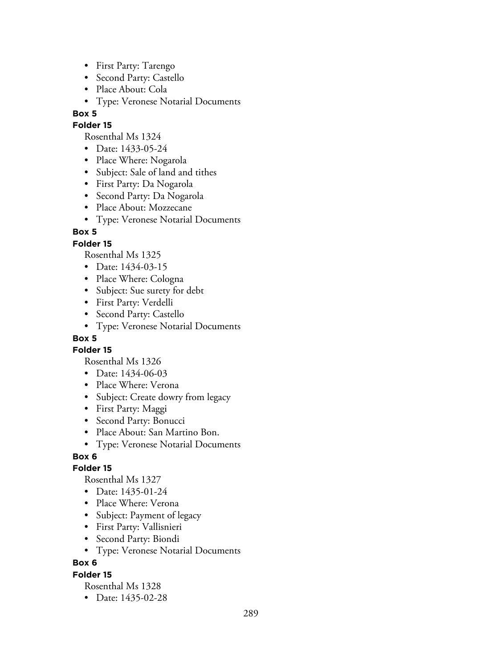- First Party: Tarengo
- Second Party: Castello
- Place About: Cola
- Type: Veronese Notarial Documents

### **Folder 15**

Rosenthal Ms 1324

- Date: 1433-05-24
- Place Where: Nogarola
- Subject: Sale of land and tithes
- First Party: Da Nogarola
- Second Party: Da Nogarola
- Place About: Mozzecane
- Type: Veronese Notarial Documents

### **Box 5**

### **Folder 15**

Rosenthal Ms 1325

- Date: 1434-03-15
- Place Where: Cologna
- Subject: Sue surety for debt
- First Party: Verdelli
- Second Party: Castello
- Type: Veronese Notarial Documents

## **Box 5**

**Folder 15**

Rosenthal Ms 1326

- Date: 1434-06-03
- Place Where: Verona
- Subject: Create dowry from legacy
- First Party: Maggi
- Second Party: Bonucci
- Place About: San Martino Bon.
- Type: Veronese Notarial Documents

### **Box 6**

### **Folder 15**

Rosenthal Ms 1327

- Date: 1435-01-24
- Place Where: Verona
- Subject: Payment of legacy
- First Party: Vallisnieri
- Second Party: Biondi
- Type: Veronese Notarial Documents

### **Box 6**

### **Folder 15**

Rosenthal Ms 1328

• Date: 1435-02-28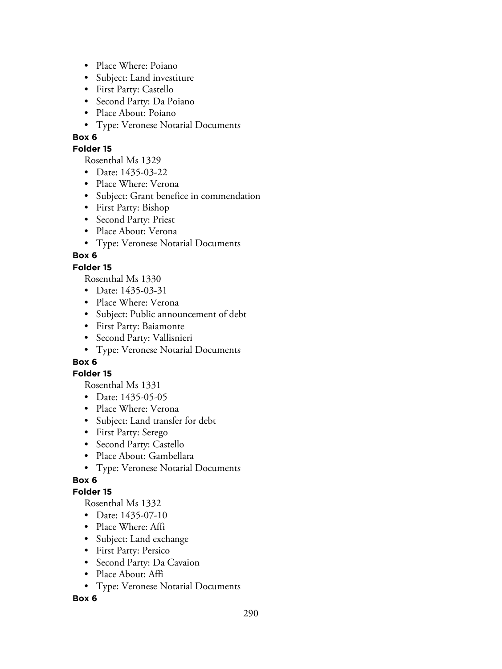- Place Where: Poiano
- Subject: Land investiture
- First Party: Castello
- Second Party: Da Poiano
- Place About: Poiano
- Type: Veronese Notarial Documents

### **Folder 15**

Rosenthal Ms 1329

- Date: 1435-03-22
- Place Where: Verona
- Subject: Grant benefice in commendation
- First Party: Bishop
- Second Party: Priest
- Place About: Verona
- Type: Veronese Notarial Documents

## **Box 6**

### **Folder 15**

Rosenthal Ms 1330

- Date: 1435-03-31
- Place Where: Verona
- Subject: Public announcement of debt
- First Party: Baiamonte
- Second Party: Vallisnieri
- Type: Veronese Notarial Documents

## **Box 6**

### **Folder 15**

Rosenthal Ms 1331

- Date: 1435-05-05
- Place Where: Verona
- Subject: Land transfer for debt
- First Party: Serego
- Second Party: Castello
- Place About: Gambellara
- Type: Veronese Notarial Documents

## **Box 6**

### **Folder 15**

Rosenthal Ms 1332

- Date: 1435-07-10
- Place Where: Affi
- Subject: Land exchange
- First Party: Persico
- Second Party: Da Cavaion
- Place About: Affi
- Type: Veronese Notarial Documents

### **Box 6**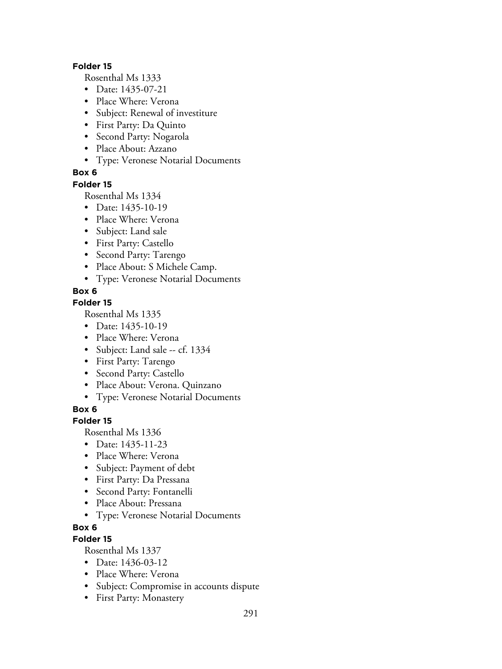#### **Folder 15**

Rosenthal Ms 1333

- Date: 1435-07-21
- Place Where: Verona
- Subject: Renewal of investiture
- First Party: Da Quinto
- Second Party: Nogarola
- Place About: Azzano
- Type: Veronese Notarial Documents

### **Box 6**

### **Folder 15**

Rosenthal Ms 1334

- Date: 1435-10-19
- Place Where: Verona
- Subject: Land sale
- First Party: Castello
- Second Party: Tarengo
- Place About: S Michele Camp.
- Type: Veronese Notarial Documents

### **Box 6**

### **Folder 15**

Rosenthal Ms 1335

- Date: 1435-10-19
- Place Where: Verona
- Subject: Land sale -- cf. 1334
- First Party: Tarengo
- Second Party: Castello
- Place About: Verona. Quinzano
- Type: Veronese Notarial Documents

### **Box 6**

### **Folder 15**

Rosenthal Ms 1336

- Date: 1435-11-23
- Place Where: Verona
- Subject: Payment of debt
- First Party: Da Pressana
- Second Party: Fontanelli
- Place About: Pressana
- Type: Veronese Notarial Documents

### **Box 6**

## **Folder 15**

- Date: 1436-03-12
- Place Where: Verona
- Subject: Compromise in accounts dispute
- First Party: Monastery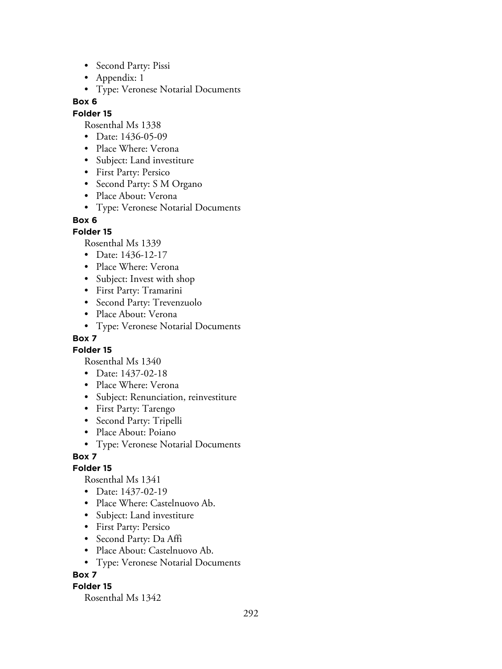- Second Party: Pissi
- Appendix: 1
- Type: Veronese Notarial Documents

#### **Folder 15**

Rosenthal Ms 1338

- Date: 1436-05-09
- Place Where: Verona
- Subject: Land investiture
- First Party: Persico
- Second Party: S M Organo
- Place About: Verona
- Type: Veronese Notarial Documents

#### **Box 6**

### **Folder 15**

Rosenthal Ms 1339

- Date: 1436-12-17
- Place Where: Verona
- Subject: Invest with shop
- First Party: Tramarini
- Second Party: Trevenzuolo
- Place About: Verona
- Type: Veronese Notarial Documents

### **Box 7**

**Folder 15**

Rosenthal Ms 1340

- Date: 1437-02-18
- Place Where: Verona
- Subject: Renunciation, reinvestiture
- First Party: Tarengo
- Second Party: Tripelli
- Place About: Poiano
- Type: Veronese Notarial Documents

## **Box 7**

### **Folder 15**

Rosenthal Ms 1341

- Date: 1437-02-19
- Place Where: Castelnuovo Ab.
- Subject: Land investiture
- First Party: Persico
- Second Party: Da Affi
- Place About: Castelnuovo Ab.
- Type: Veronese Notarial Documents

### **Box 7**

### **Folder 15**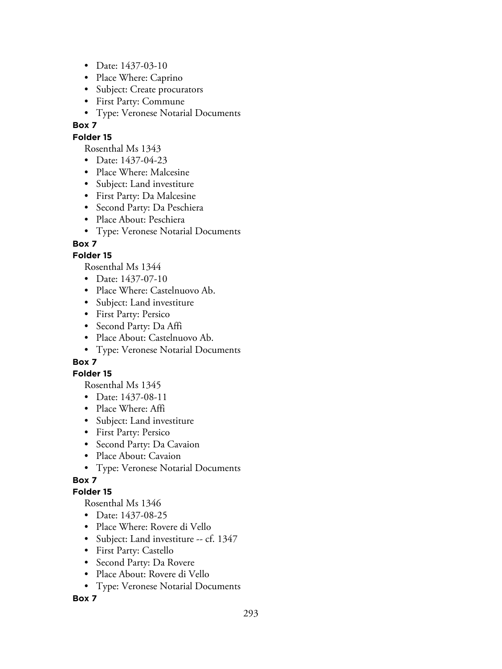- Date: 1437-03-10
- Place Where: Caprino
- Subject: Create procurators
- First Party: Commune
- Type: Veronese Notarial Documents

### **Folder 15**

Rosenthal Ms 1343

- Date: 1437-04-23
- Place Where: Malcesine
- Subject: Land investiture
- First Party: Da Malcesine
- Second Party: Da Peschiera
- Place About: Peschiera
- Type: Veronese Notarial Documents

### **Box 7**

### **Folder 15**

Rosenthal Ms 1344

- Date: 1437-07-10
- Place Where: Castelnuovo Ab.
- Subject: Land investiture
- First Party: Persico
- Second Party: Da Affi
- Place About: Castelnuovo Ab.
- Type: Veronese Notarial Documents

## **Box 7**

### **Folder 15**

Rosenthal Ms 1345

- Date: 1437-08-11
- Place Where: Affi
- Subject: Land investiture
- First Party: Persico
- Second Party: Da Cavaion
- Place About: Cavaion
- Type: Veronese Notarial Documents

## **Box 7**

### **Folder 15**

Rosenthal Ms 1346

- Date: 1437-08-25
- Place Where: Rovere di Vello
- Subject: Land investiture -- cf. 1347
- First Party: Castello
- Second Party: Da Rovere
- Place About: Rovere di Vello
- Type: Veronese Notarial Documents

**Box 7**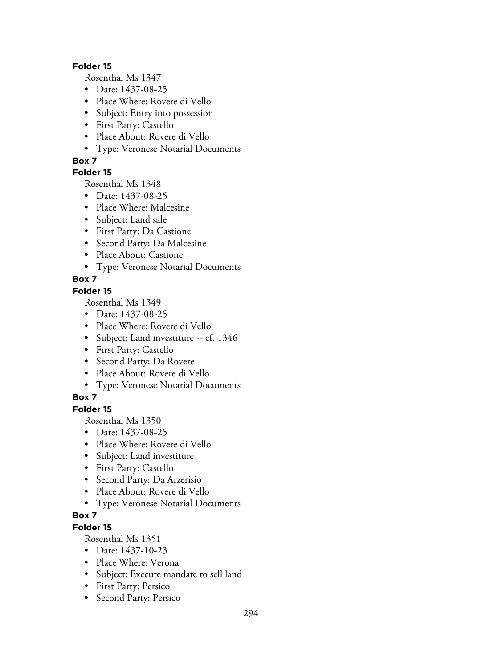#### **Folder 15**

Rosenthal Ms 1347

- Date: 1437-08-25
- Place Where: Rovere di Vello
- Subject: Entry into possession
- First Party: Castello
- Place About: Rovere di Vello
- Type: Veronese Notarial Documents

### **Box 7**

### **Folder 15**

Rosenthal Ms 1348

- Date: 1437-08-25
- Place Where: Malcesine
- Subject: Land sale
- First Party: Da Castione
- Second Party: Da Malcesine
- Place About: Castione
- Type: Veronese Notarial Documents

## **Box 7**

### **Folder 15**

Rosenthal Ms 1349

- Date: 1437-08-25
- Place Where: Rovere di Vello
- Subject: Land investiture -- cf. 1346
- First Party: Castello
- Second Party: Da Rovere
- Place About: Rovere di Vello
- Type: Veronese Notarial Documents

## **Box 7**

### **Folder 15**

Rosenthal Ms 1350

- Date: 1437-08-25
- Place Where: Rovere di Vello
- Subject: Land investiture
- First Party: Castello
- Second Party: Da Arzerisio
- Place About: Rovere di Vello
- Type: Veronese Notarial Documents

# **Box 7**

# **Folder 15**

- Date: 1437-10-23
- Place Where: Verona
- Subject: Execute mandate to sell land
- First Party: Persico
- Second Party: Persico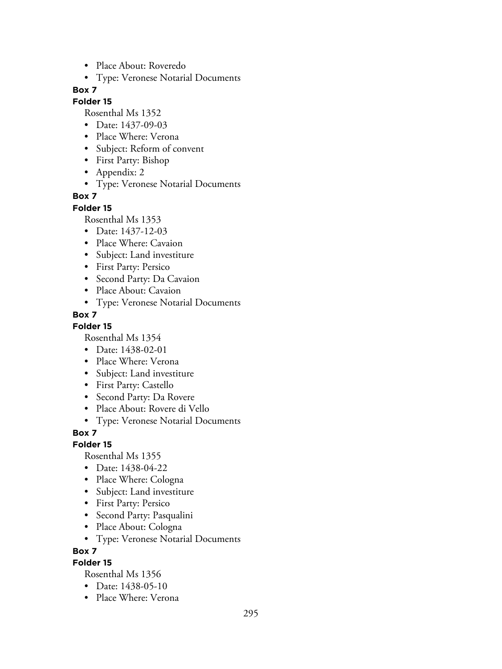- Place About: Roveredo
- Type: Veronese Notarial Documents

#### **Folder 15**

Rosenthal Ms 1352

- Date: 1437-09-03
- Place Where: Verona
- Subject: Reform of convent
- First Party: Bishop
- Appendix: 2
- Type: Veronese Notarial Documents

### **Box 7**

#### **Folder 15**

Rosenthal Ms 1353

- Date: 1437-12-03
- Place Where: Cavaion
- Subject: Land investiture
- First Party: Persico
- Second Party: Da Cavaion
- Place About: Cavaion
- Type: Veronese Notarial Documents

### **Box 7**

### **Folder 15**

Rosenthal Ms 1354

- Date: 1438-02-01
- Place Where: Verona
- Subject: Land investiture
- First Party: Castello
- Second Party: Da Rovere
- Place About: Rovere di Vello
- Type: Veronese Notarial Documents

### **Box 7**

### **Folder 15**

Rosenthal Ms 1355

- Date: 1438-04-22
- Place Where: Cologna
- Subject: Land investiture
- First Party: Persico
- Second Party: Pasqualini
- Place About: Cologna
- Type: Veronese Notarial Documents

#### **Box 7**

### **Folder 15**

- Date: 1438-05-10
- Place Where: Verona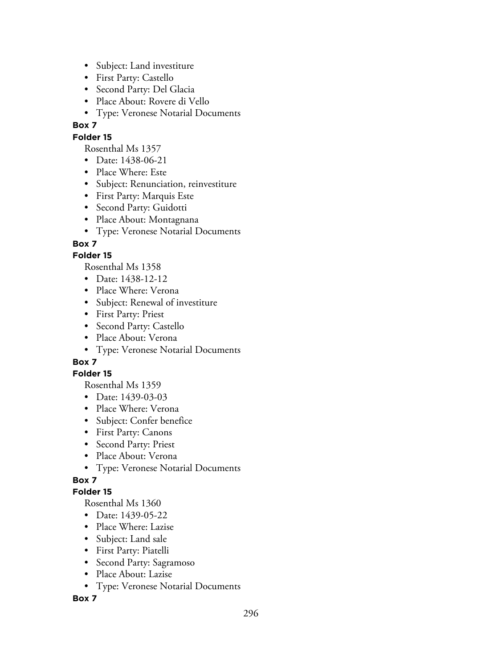- Subject: Land investiture
- First Party: Castello
- Second Party: Del Glacia
- Place About: Rovere di Vello
- Type: Veronese Notarial Documents

#### **Folder 15**

Rosenthal Ms 1357

- Date: 1438-06-21
- Place Where: Este
- Subject: Renunciation, reinvestiture
- First Party: Marquis Este
- Second Party: Guidotti
- Place About: Montagnana
- Type: Veronese Notarial Documents

### **Box 7**

### **Folder 15**

Rosenthal Ms 1358

- Date: 1438-12-12
- Place Where: Verona
- Subject: Renewal of investiture
- First Party: Priest
- Second Party: Castello
- Place About: Verona
- Type: Veronese Notarial Documents

## **Box 7**

### **Folder 15**

Rosenthal Ms 1359

- Date: 1439-03-03
- Place Where: Verona
- Subject: Confer benefice
- First Party: Canons
- Second Party: Priest
- Place About: Verona
- Type: Veronese Notarial Documents

## **Box 7**

### **Folder 15**

Rosenthal Ms 1360

- Date: 1439-05-22
- Place Where: Lazise
- Subject: Land sale
- First Party: Piatelli
- Second Party: Sagramoso
- Place About: Lazise
- Type: Veronese Notarial Documents

**Box 7**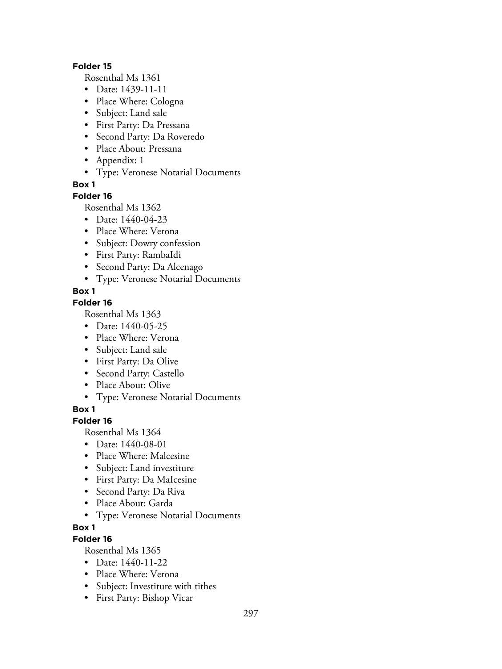#### **Folder 15**

Rosenthal Ms 1361

- Date: 1439-11-11
- Place Where: Cologna
- Subject: Land sale
- First Party: Da Pressana
- Second Party: Da Roveredo
- Place About: Pressana
- Appendix: 1
- Type: Veronese Notarial Documents

**Box 1**

### **Folder 16**

Rosenthal Ms 1362

- Date: 1440-04-23
- Place Where: Verona
- Subject: Dowry confession
- First Party: RambaIdi
- Second Party: Da Alcenago
- Type: Veronese Notarial Documents

### **Box 1**

### **Folder 16**

Rosenthal Ms 1363

- Date: 1440-05-25
- Place Where: Verona
- Subject: Land sale
- First Party: Da Olive
- Second Party: Castello
- Place About: Olive
- Type: Veronese Notarial Documents

**Box 1**

## **Folder 16**

Rosenthal Ms 1364

- Date: 1440-08-01
- Place Where: Malcesine
- Subject: Land investiture
- First Party: Da MaIcesine
- Second Party: Da Riva
- Place About: Garda
- Type: Veronese Notarial Documents
- **Box 1**

## **Folder 16**

- Date: 1440-11-22
- Place Where: Verona
- Subject: Investiture with tithes
- First Party: Bishop Vicar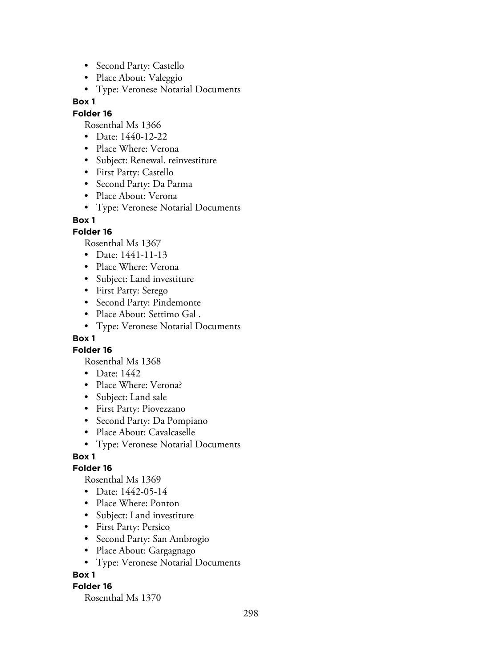- Second Party: Castello
- Place About: Valeggio
- Type: Veronese Notarial Documents

#### **Folder 16**

Rosenthal Ms 1366

- Date: 1440-12-22
- Place Where: Verona
- Subject: Renewal. reinvestiture
- First Party: Castello
- Second Party: Da Parma
- Place About: Verona
- Type: Veronese Notarial Documents

#### **Box 1**

### **Folder 16**

Rosenthal Ms 1367

- Date: 1441-11-13
- Place Where: Verona
- Subject: Land investiture
- First Party: Serego
- Second Party: Pindemonte
- Place About: Settimo Gal .
- Type: Veronese Notarial Documents

### **Box 1**

### **Folder 16**

Rosenthal Ms 1368

- Date: 1442
- Place Where: Verona?
- Subject: Land sale
- First Party: Piovezzano
- Second Party: Da Pompiano
- Place About: Cavalcaselle
- Type: Veronese Notarial Documents

### **Box 1**

### **Folder 16**

Rosenthal Ms 1369

- Date: 1442-05-14
- Place Where: Ponton
- Subject: Land investiture
- First Party: Persico
- Second Party: San Ambrogio
- Place About: Gargagnago
- Type: Veronese Notarial Documents

### **Box 1**

### **Folder 16**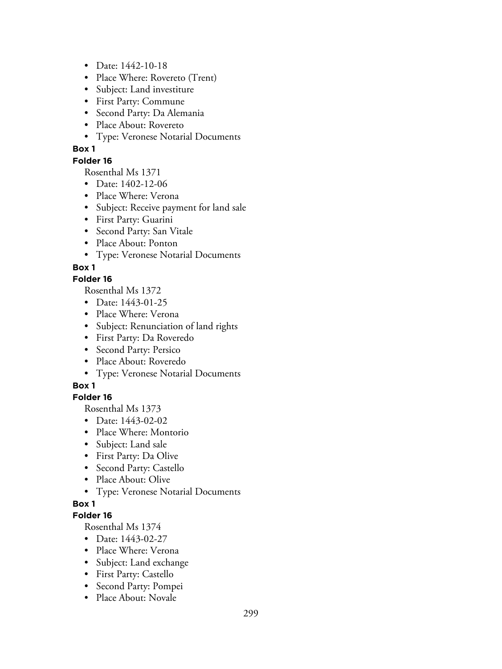- Date: 1442-10-18
- Place Where: Rovereto (Trent)
- Subject: Land investiture
- First Party: Commune
- Second Party: Da Alemania
- Place About: Rovereto
- Type: Veronese Notarial Documents

### **Folder 16**

Rosenthal Ms 1371

- Date: 1402-12-06
- Place Where: Verona
- Subject: Receive payment for land sale
- First Party: Guarini
- Second Party: San Vitale
- Place About: Ponton
- Type: Veronese Notarial Documents

## **Box 1**

### **Folder 16**

Rosenthal Ms 1372

- Date: 1443-01-25
- Place Where: Verona
- Subject: Renunciation of land rights
- First Party: Da Roveredo
- Second Party: Persico
- Place About: Roveredo
- Type: Veronese Notarial Documents

## **Box 1**

### **Folder 16**

Rosenthal Ms 1373

- Date: 1443-02-02
- Place Where: Montorio
- Subject: Land sale
- First Party: Da Olive
- Second Party: Castello
- Place About: Olive
- Type: Veronese Notarial Documents

## **Box 1**

### **Folder 16**

- Date: 1443-02-27
- Place Where: Verona
- Subject: Land exchange
- First Party: Castello
- Second Party: Pompei
- Place About: Novale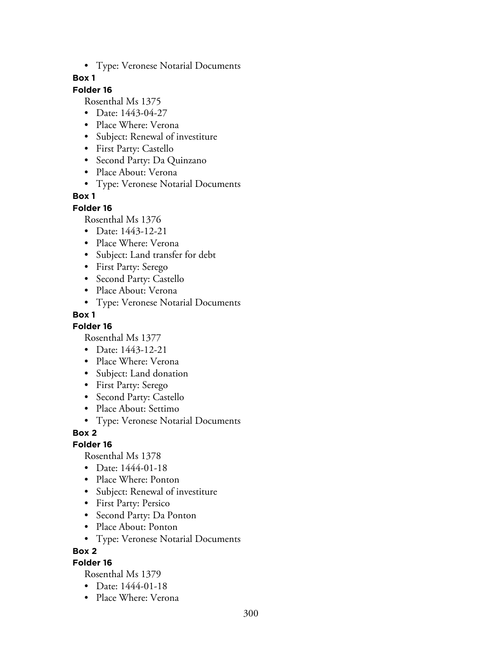• Type: Veronese Notarial Documents

### **Box 1**

### **Folder 16**

Rosenthal Ms 1375

- Date: 1443-04-27
- Place Where: Verona
- Subject: Renewal of investiture
- First Party: Castello
- Second Party: Da Quinzano
- Place About: Verona
- Type: Veronese Notarial Documents

#### **Box 1**

#### **Folder 16**

Rosenthal Ms 1376

- Date: 1443-12-21
- Place Where: Verona
- Subject: Land transfer for debt
- First Party: Serego
- Second Party: Castello
- Place About: Verona
- Type: Veronese Notarial Documents

#### **Box 1**

#### **Folder 16**

Rosenthal Ms 1377

- Date: 1443-12-21
- Place Where: Verona
- Subject: Land donation
- First Party: Serego
- Second Party: Castello
- Place About: Settimo
- Type: Veronese Notarial Documents

#### **Box 2**

#### **Folder 16**

Rosenthal Ms 1378

- Date: 1444-01-18
- Place Where: Ponton
- Subject: Renewal of investiture
- First Party: Persico
- Second Party: Da Ponton
- Place About: Ponton
- Type: Veronese Notarial Documents

#### **Box 2**

### **Folder 16**

- Date: 1444-01-18
- Place Where: Verona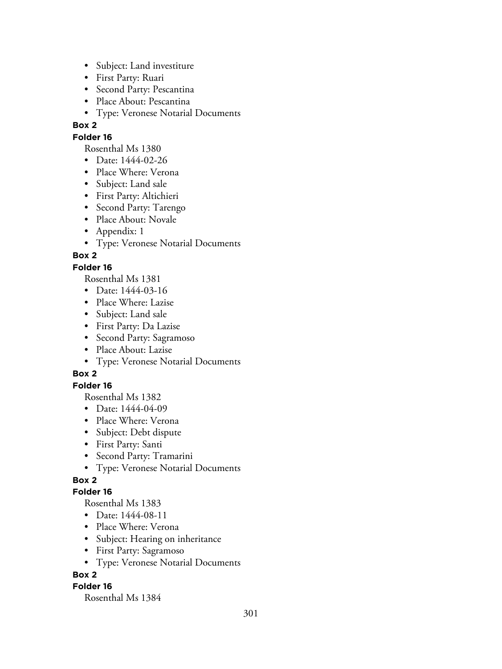- Subject: Land investiture
- First Party: Ruari
- Second Party: Pescantina
- Place About: Pescantina
- Type: Veronese Notarial Documents

### **Folder 16**

Rosenthal Ms 1380

- Date: 1444-02-26
- Place Where: Verona
- Subject: Land sale
- First Party: Altichieri
- Second Party: Tarengo
- Place About: Novale
- Appendix: 1
- Type: Veronese Notarial Documents

## **Box 2**

### **Folder 16**

Rosenthal Ms 1381

- Date: 1444-03-16
- Place Where: Lazise
- Subject: Land sale
- First Party: Da Lazise
- Second Party: Sagramoso
- Place About: Lazise
- Type: Veronese Notarial Documents

## **Box 2**

### **Folder 16**

Rosenthal Ms 1382

- Date: 1444-04-09
- Place Where: Verona
- Subject: Debt dispute
- First Party: Santi
- Second Party: Tramarini
- Type: Veronese Notarial Documents

## **Box 2**

### **Folder 16**

Rosenthal Ms 1383

- Date: 1444-08-11
- Place Where: Verona
- Subject: Hearing on inheritance
- First Party: Sagramoso
- Type: Veronese Notarial Documents

## **Box 2**

### **Folder 16**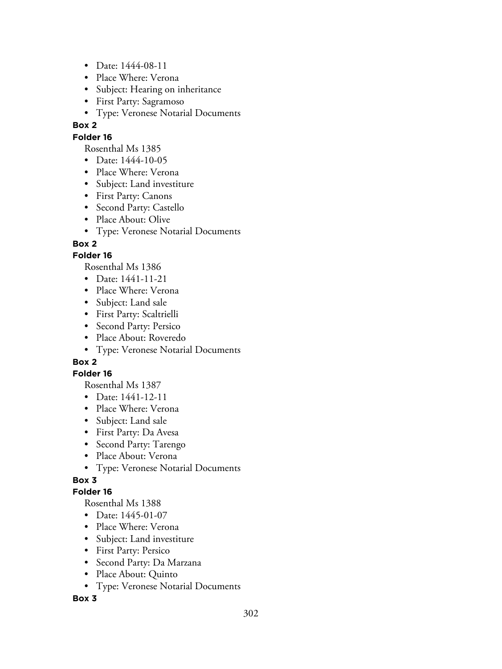- Date: 1444-08-11
- Place Where: Verona
- Subject: Hearing on inheritance
- First Party: Sagramoso
- Type: Veronese Notarial Documents

### **Folder 16**

Rosenthal Ms 1385

- Date: 1444-10-05
- Place Where: Verona
- Subject: Land investiture
- First Party: Canons
- Second Party: Castello
- Place About: Olive
- Type: Veronese Notarial Documents

## **Box 2**

### **Folder 16**

Rosenthal Ms 1386

- Date: 1441-11-21
- Place Where: Verona
- Subject: Land sale
- First Party: Scaltrielli
- Second Party: Persico
- Place About: Roveredo
- Type: Veronese Notarial Documents

## **Box 2**

### **Folder 16**

Rosenthal Ms 1387

- Date: 1441-12-11
- Place Where: Verona
- Subject: Land sale
- First Party: Da Avesa
- Second Party: Tarengo
- Place About: Verona
- Type: Veronese Notarial Documents

## **Box 3**

### **Folder 16**

Rosenthal Ms 1388

- Date: 1445-01-07
- Place Where: Verona
- Subject: Land investiture
- First Party: Persico
- Second Party: Da Marzana
- Place About: Quinto
- Type: Veronese Notarial Documents

### **Box 3**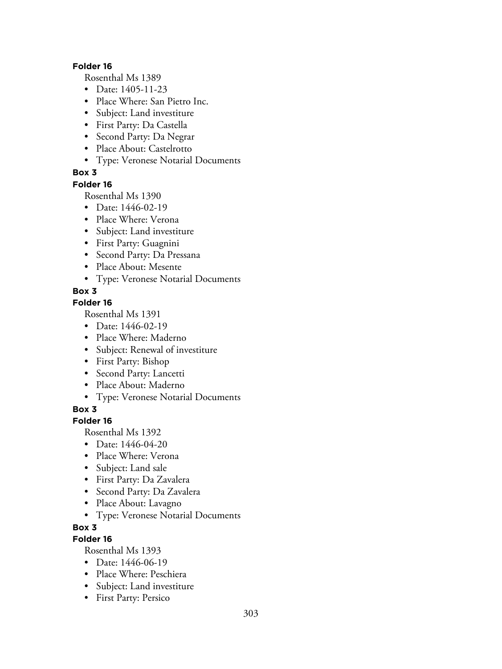#### **Folder 16**

Rosenthal Ms 1389

- Date: 1405-11-23
- Place Where: San Pietro Inc.
- Subject: Land investiture
- First Party: Da Castella
- Second Party: Da Negrar
- Place About: Castelrotto
- Type: Veronese Notarial Documents

### **Box 3**

#### **Folder 16**

Rosenthal Ms 1390

- Date: 1446-02-19
- Place Where: Verona
- Subject: Land investiture
- First Party: Guagnini
- Second Party: Da Pressana
- Place About: Mesente
- Type: Veronese Notarial Documents

### **Box 3**

### **Folder 16**

Rosenthal Ms 1391

- Date: 1446-02-19
- Place Where: Maderno
- Subject: Renewal of investiture
- First Party: Bishop
- Second Party: Lancetti
- Place About: Maderno
- Type: Veronese Notarial Documents

**Box 3**

### **Folder 16**

Rosenthal Ms 1392

- Date: 1446-04-20
- Place Where: Verona
- Subject: Land sale
- First Party: Da Zavalera
- Second Party: Da Zavalera
- Place About: Lavagno
- Type: Veronese Notarial Documents
- **Box 3**

## **Folder 16**

- Date: 1446-06-19
- Place Where: Peschiera
- Subject: Land investiture
- First Party: Persico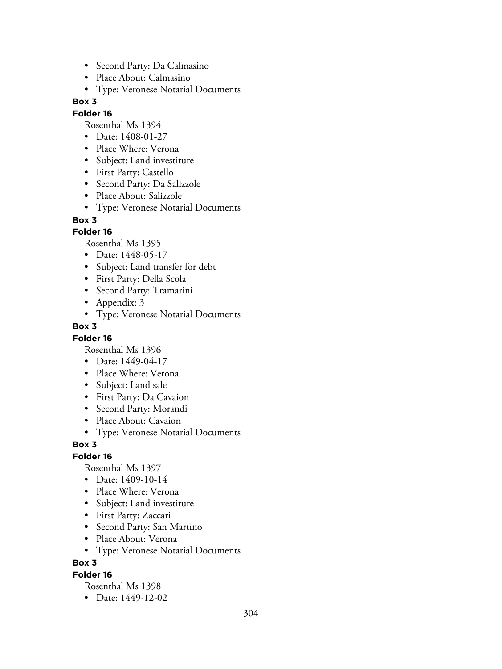- Second Party: Da Calmasino
- Place About: Calmasino
- Type: Veronese Notarial Documents

#### **Folder 16**

Rosenthal Ms 1394

- Date: 1408-01-27
- Place Where: Verona
- Subject: Land investiture
- First Party: Castello
- Second Party: Da Salizzole
- Place About: Salizzole
- Type: Veronese Notarial Documents

#### **Box 3**

### **Folder 16**

Rosenthal Ms 1395

- Date: 1448-05-17
- Subject: Land transfer for debt
- First Party: Della Scola
- Second Party: Tramarini
- Appendix: 3
- Type: Veronese Notarial Documents

#### **Box 3**

### **Folder 16**

Rosenthal Ms 1396

- Date: 1449-04-17
- Place Where: Verona
- Subject: Land sale
- First Party: Da Cavaion
- Second Party: Morandi
- Place About: Cavaion
- Type: Veronese Notarial Documents

### **Box 3**

### **Folder 16**

Rosenthal Ms 1397

- Date: 1409-10-14
- Place Where: Verona
- Subject: Land investiture
- First Party: Zaccari
- Second Party: San Martino
- Place About: Verona
- Type: Veronese Notarial Documents

### **Box 3**

### **Folder 16**

Rosenthal Ms 1398

• Date: 1449-12-02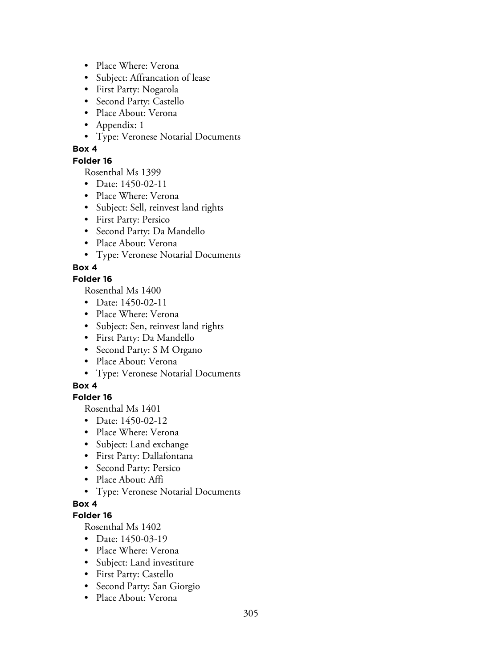- Place Where: Verona
- Subject: Affrancation of lease
- First Party: Nogarola
- Second Party: Castello
- Place About: Verona
- Appendix: 1
- Type: Veronese Notarial Documents

### **Folder 16**

Rosenthal Ms 1399

- Date: 1450-02-11
- Place Where: Verona
- Subject: Sell, reinvest land rights
- First Party: Persico
- Second Party: Da Mandello
- Place About: Verona
- Type: Veronese Notarial Documents

### **Box 4**

### **Folder 16**

Rosenthal Ms 1400

- Date: 1450-02-11
- Place Where: Verona
- Subject: Sen, reinvest land rights
- First Party: Da Mandello
- Second Party: S M Organo
- Place About: Verona
- Type: Veronese Notarial Documents

## **Box 4**

## **Folder 16**

Rosenthal Ms 1401

- Date: 1450-02-12
- Place Where: Verona
- Subject: Land exchange
- First Party: Dallafontana
- Second Party: Persico
- Place About: Affi
- Type: Veronese Notarial Documents

### **Box 4**

### **Folder 16**

- Date: 1450-03-19
- Place Where: Verona
- Subject: Land investiture
- First Party: Castello
- Second Party: San Giorgio
- Place About: Verona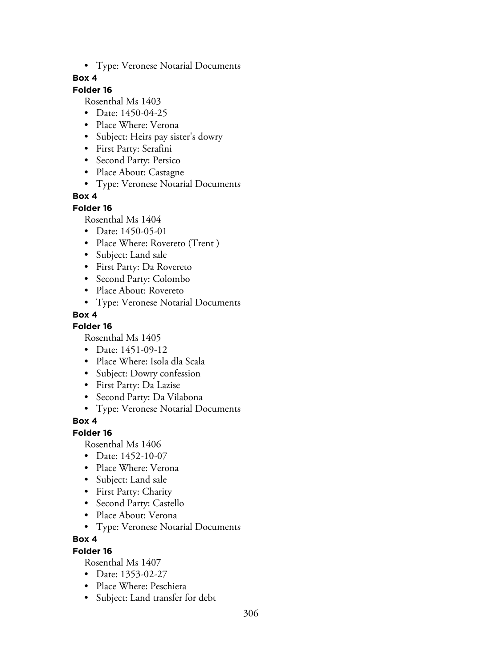• Type: Veronese Notarial Documents

### **Box 4**

### **Folder 16**

Rosenthal Ms 1403

- Date: 1450-04-25
- Place Where: Verona
- Subject: Heirs pay sister's dowry
- First Party: Serafini
- Second Party: Persico
- Place About: Castagne
- Type: Veronese Notarial Documents

### **Box 4**

#### **Folder 16**

Rosenthal Ms 1404

- Date: 1450-05-01
- Place Where: Rovereto (Trent)
- Subject: Land sale
- First Party: Da Rovereto
- Second Party: Colombo
- Place About: Rovereto
- Type: Veronese Notarial Documents

### **Box 4**

### **Folder 16**

Rosenthal Ms 1405

- Date: 1451-09-12
- Place Where: Isola dla Scala
- Subject: Dowry confession
- First Party: Da Lazise
- Second Party: Da Vilabona
- Type: Veronese Notarial Documents

## **Box 4**

### **Folder 16**

Rosenthal Ms 1406

- Date: 1452-10-07
- Place Where: Verona
- Subject: Land sale
- First Party: Charity
- Second Party: Castello
- Place About: Verona
- Type: Veronese Notarial Documents

### **Box 4**

### **Folder 16**

- Date: 1353-02-27
- Place Where: Peschiera
- Subject: Land transfer for debt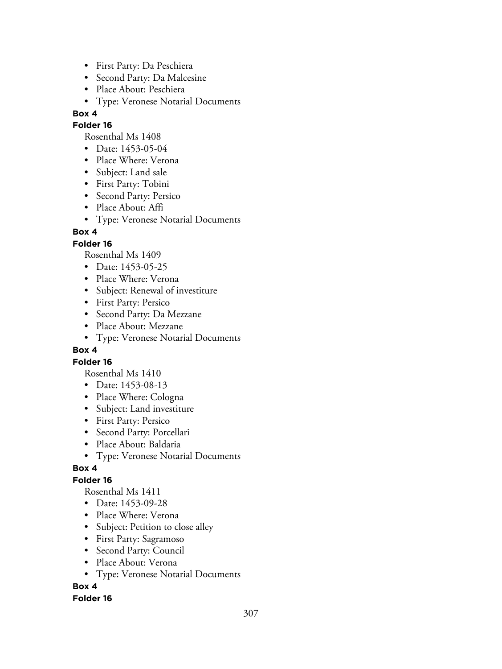- First Party: Da Peschiera
- Second Party: Da Malcesine
- Place About: Peschiera
- Type: Veronese Notarial Documents

### **Folder 16**

Rosenthal Ms 1408

- Date: 1453-05-04
- Place Where: Verona
- Subject: Land sale
- First Party: Tobini
- Second Party: Persico
- Place About: Affi
- Type: Veronese Notarial Documents

### **Box 4**

### **Folder 16**

Rosenthal Ms 1409

- Date: 1453-05-25
- Place Where: Verona
- Subject: Renewal of investiture
- First Party: Persico
- Second Party: Da Mezzane
- Place About: Mezzane
- Type: Veronese Notarial Documents

### **Box 4**

### **Folder 16**

Rosenthal Ms 1410

- Date: 1453-08-13
- Place Where: Cologna
- Subject: Land investiture
- First Party: Persico
- Second Party: Porcellari
- Place About: Baldaria
- Type: Veronese Notarial Documents

### **Box 4**

## **Folder 16**

Rosenthal Ms 1411

- Date: 1453-09-28
- Place Where: Verona
- Subject: Petition to close alley
- First Party: Sagramoso
- Second Party: Council
- Place About: Verona
- Type: Veronese Notarial Documents

## **Box 4**

### **Folder 16**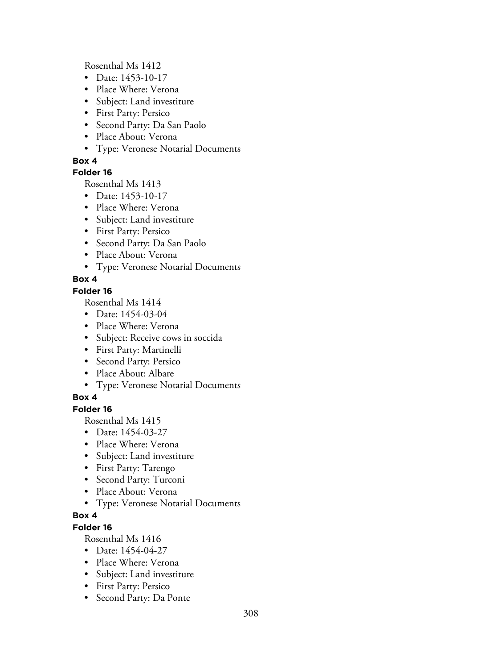Rosenthal Ms 1412

- Date: 1453-10-17
- Place Where: Verona
- Subject: Land investiture
- First Party: Persico
- Second Party: Da San Paolo
- Place About: Verona
- Type: Veronese Notarial Documents

### **Box 4**

### **Folder 16**

Rosenthal Ms 1413

- Date: 1453-10-17
- Place Where: Verona
- Subject: Land investiture
- First Party: Persico
- Second Party: Da San Paolo
- Place About: Verona
- Type: Veronese Notarial Documents

### **Box 4**

### **Folder 16**

Rosenthal Ms 1414

- Date: 1454-03-04
- Place Where: Verona
- Subject: Receive cows in soccida
- First Party: Martinelli
- Second Party: Persico
- Place About: Albare
- Type: Veronese Notarial Documents

## **Box 4**

## **Folder 16**

Rosenthal Ms 1415

- Date: 1454-03-27
- Place Where: Verona
- Subject: Land investiture
- First Party: Tarengo
- Second Party: Turconi
- Place About: Verona
- Type: Veronese Notarial Documents

# **Box 4**

## **Folder 16**

- Date: 1454-04-27
- Place Where: Verona
- Subject: Land investiture
- First Party: Persico
- Second Party: Da Ponte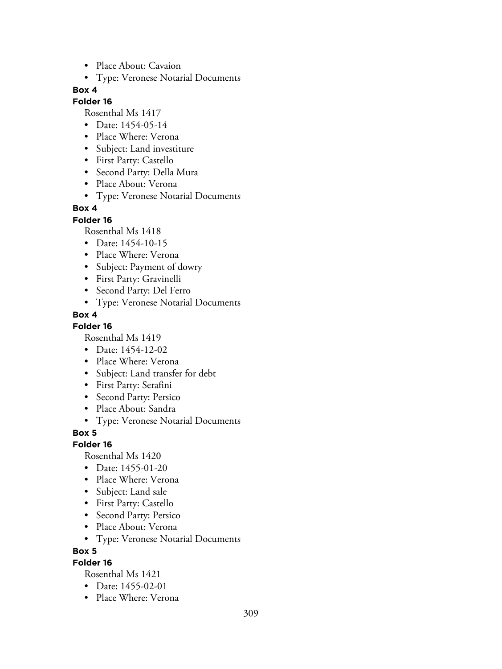- Place About: Cavaion
- Type: Veronese Notarial Documents

#### **Folder 16**

Rosenthal Ms 1417

- Date: 1454-05-14
- Place Where: Verona
- Subject: Land investiture
- First Party: Castello
- Second Party: Della Mura
- Place About: Verona
- Type: Veronese Notarial Documents

# **Box 4**

#### **Folder 16**

Rosenthal Ms 1418

- Date: 1454-10-15
- Place Where: Verona
- Subject: Payment of dowry
- First Party: Gravinelli
- Second Party: Del Ferro
- Type: Veronese Notarial Documents

### **Box 4**

### **Folder 16**

Rosenthal Ms 1419

- Date: 1454-12-02
- Place Where: Verona
- Subject: Land transfer for debt
- First Party: Serafini
- Second Party: Persico
- Place About: Sandra
- Type: Veronese Notarial Documents

**Box 5**

### **Folder 16**

Rosenthal Ms 1420

- Date: 1455-01-20
- Place Where: Verona
- Subject: Land sale
- First Party: Castello
- Second Party: Persico
- Place About: Verona
- Type: Veronese Notarial Documents

**Box 5**

### **Folder 16**

- Date: 1455-02-01
- Place Where: Verona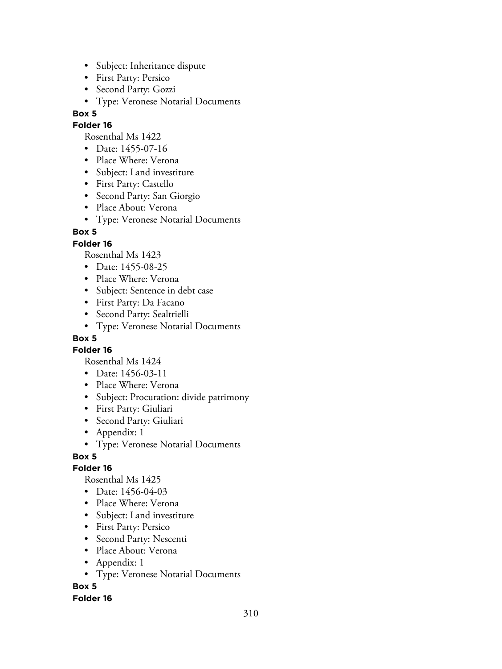- Subject: Inheritance dispute
- First Party: Persico
- Second Party: Gozzi
- Type: Veronese Notarial Documents

### **Folder 16**

Rosenthal Ms 1422

- Date: 1455-07-16
- Place Where: Verona
- Subject: Land investiture
- First Party: Castello
- Second Party: San Giorgio
- Place About: Verona
- Type: Veronese Notarial Documents

### **Box 5**

### **Folder 16**

Rosenthal Ms 1423

- Date: 1455-08-25
- Place Where: Verona
- Subject: Sentence in debt case
- First Party: Da Facano
- Second Party: Sealtrielli
- Type: Veronese Notarial Documents

## **Box 5**

**Folder 16**

Rosenthal Ms 1424

- Date: 1456-03-11
- Place Where: Verona
- Subject: Procuration: divide patrimony
- First Party: Giuliari
- Second Party: Giuliari
- Appendix: 1
- Type: Veronese Notarial Documents

### **Box 5**

### **Folder 16**

Rosenthal Ms 1425

- Date: 1456-04-03
- Place Where: Verona
- Subject: Land investiture
- First Party: Persico
- Second Party: Nescenti
- Place About: Verona
- Appendix: 1
- Type: Veronese Notarial Documents

**Box 5**

#### **Folder 16**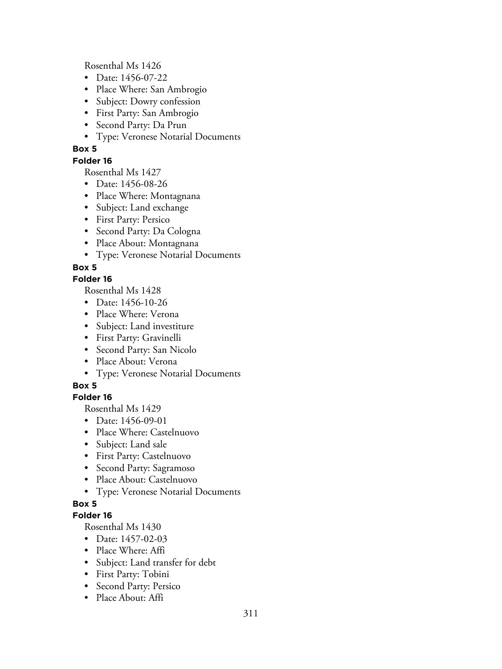Rosenthal Ms 1426

- Date: 1456-07-22
- Place Where: San Ambrogio
- Subject: Dowry confession
- First Party: San Ambrogio
- Second Party: Da Prun
- Type: Veronese Notarial Documents

### **Box 5**

### **Folder 16**

Rosenthal Ms 1427

- Date: 1456-08-26
- Place Where: Montagnana
- Subject: Land exchange
- First Party: Persico
- Second Party: Da Cologna
- Place About: Montagnana
- Type: Veronese Notarial Documents

## **Box 5**

## **Folder 16**

Rosenthal Ms 1428

- Date: 1456-10-26
- Place Where: Verona
- Subject: Land investiture
- First Party: Gravinelli
- Second Party: San Nicolo
- Place About: Verona
- Type: Veronese Notarial Documents

## **Box 5**

## **Folder 16**

Rosenthal Ms 1429

- Date: 1456-09-01
- Place Where: Castelnuovo
- Subject: Land sale
- First Party: Castelnuovo
- Second Party: Sagramoso
- Place About: Castelnuovo
- Type: Veronese Notarial Documents

## **Box 5**

## **Folder 16**

- Date: 1457-02-03
- Place Where: Affi
- Subject: Land transfer for debt
- First Party: Tobini
- Second Party: Persico
- Place About: Affi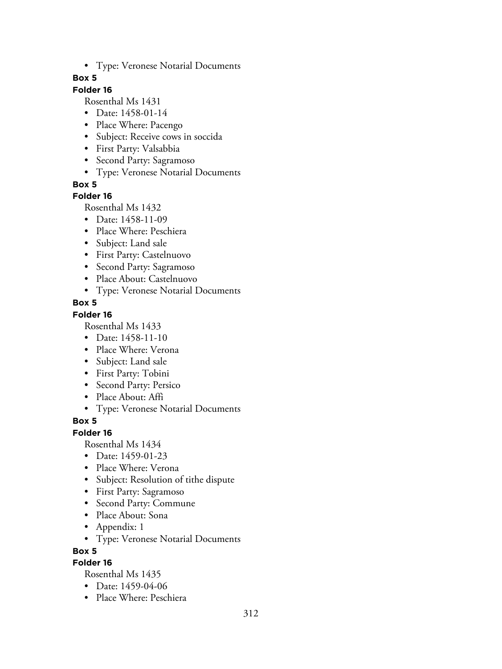• Type: Veronese Notarial Documents

### **Box 5**

## **Folder 16**

Rosenthal Ms 1431

- Date: 1458-01-14
- Place Where: Pacengo
- Subject: Receive cows in soccida
- First Party: Valsabbia
- Second Party: Sagramoso
- Type: Veronese Notarial Documents

**Box 5**

### **Folder 16**

Rosenthal Ms 1432

- Date: 1458-11-09
- Place Where: Peschiera
- Subject: Land sale
- First Party: Castelnuovo
- Second Party: Sagramoso
- Place About: Castelnuovo
- Type: Veronese Notarial Documents

### **Box 5**

### **Folder 16**

Rosenthal Ms 1433

- Date: 1458-11-10
- Place Where: Verona
- Subject: Land sale
- First Party: Tobini
- Second Party: Persico
- Place About: Affi
- Type: Veronese Notarial Documents

## **Box 5**

### **Folder 16**

Rosenthal Ms 1434

- Date: 1459-01-23
- Place Where: Verona
- Subject: Resolution of tithe dispute
- First Party: Sagramoso
- Second Party: Commune
- Place About: Sona
- Appendix: 1
- Type: Veronese Notarial Documents

### **Box 5**

## **Folder 16**

- Date: 1459-04-06
- Place Where: Peschiera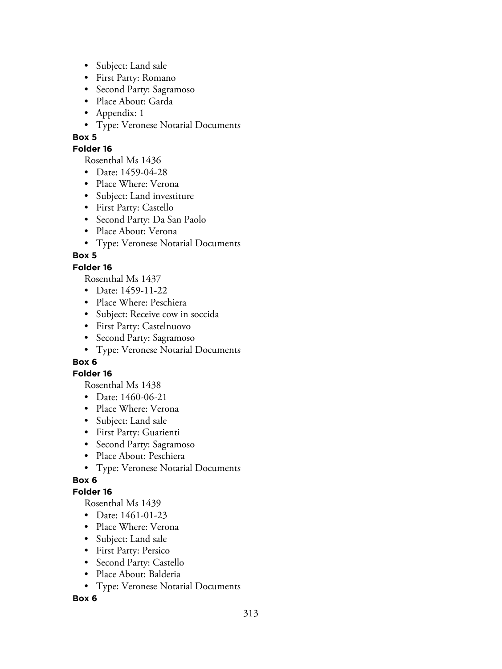- Subject: Land sale
- First Party: Romano
- Second Party: Sagramoso
- Place About: Garda
- Appendix: 1
- Type: Veronese Notarial Documents

### **Folder 16**

Rosenthal Ms 1436

- Date: 1459-04-28
- Place Where: Verona
- Subject: Land investiture
- First Party: Castello
- Second Party: Da San Paolo
- Place About: Verona
- Type: Veronese Notarial Documents

## **Box 5**

### **Folder 16**

Rosenthal Ms 1437

- Date: 1459-11-22
- Place Where: Peschiera
- Subject: Receive cow in soccida
- First Party: Castelnuovo
- Second Party: Sagramoso
- Type: Veronese Notarial Documents

# **Box 6**

### **Folder 16**

Rosenthal Ms 1438

- Date: 1460-06-21
- Place Where: Verona
- Subject: Land sale
- First Party: Guarienti
- Second Party: Sagramoso
- Place About: Peschiera
- Type: Veronese Notarial Documents

## **Box 6**

## **Folder 16**

Rosenthal Ms 1439

- Date: 1461-01-23
- Place Where: Verona
- Subject: Land sale
- First Party: Persico
- Second Party: Castello
- Place About: Balderia
- Type: Veronese Notarial Documents

### **Box 6**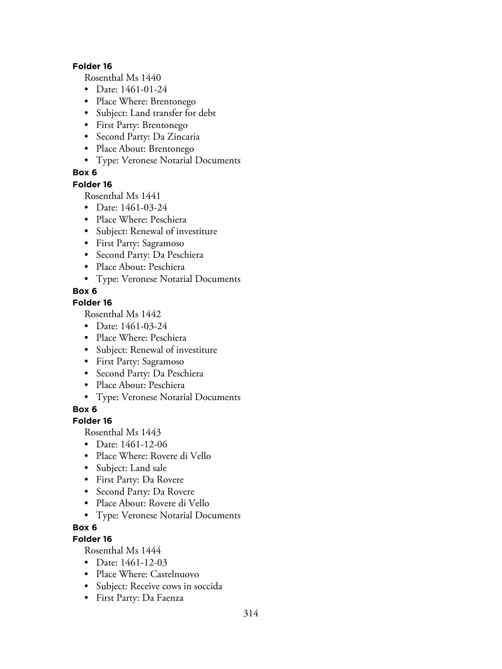#### **Folder 16**

Rosenthal Ms 1440

- Date: 1461-01-24
- Place Where: Brentonego
- Subject: Land transfer for debt
- First Party: Brentonego
- Second Party: Da Zincaria
- Place About: Brentonego
- Type: Veronese Notarial Documents

### **Box 6**

#### **Folder 16**

Rosenthal Ms 1441

- Date: 1461-03-24
- Place Where: Peschiera
- Subject: Renewal of investiture
- First Party: Sagramoso
- Second Party: Da Peschiera
- Place About: Peschiera
- Type: Veronese Notarial Documents

### **Box 6**

### **Folder 16**

Rosenthal Ms 1442

- Date: 1461-03-24
- Place Where: Peschiera
- Subject: Renewal of investiture
- First Party: Sagramoso
- Second Party: Da Peschiera
- Place About: Peschiera
- Type: Veronese Notarial Documents

### **Box 6**

### **Folder 16**

Rosenthal Ms 1443

- Date: 1461-12-06
- Place Where: Rovere di Vello
- Subject: Land sale
- First Party: Da Rovere
- Second Party: Da Rovere
- Place About: Rovere di Vello
- Type: Veronese Notarial Documents

## **Box 6**

## **Folder 16**

- Date: 1461-12-03
- Place Where: Castelnuovo
- Subject: Receive cows in soccida
- First Party: Da Faenza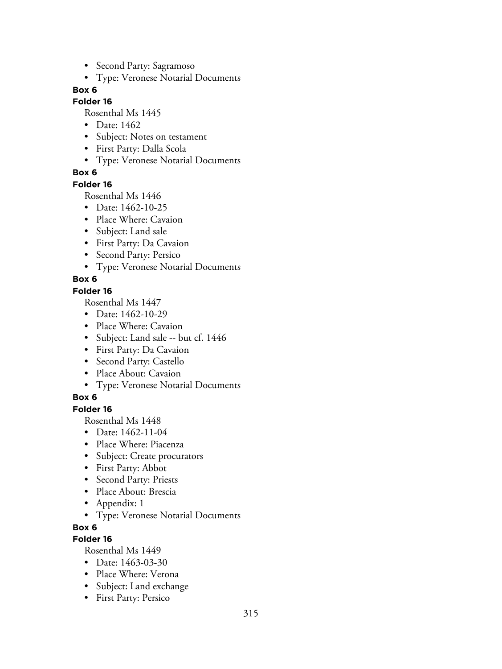- Second Party: Sagramoso
- Type: Veronese Notarial Documents

#### **Folder 16**

Rosenthal Ms 1445

- Date: 1462
- Subject: Notes on testament
- First Party: Dalla Scola
- Type: Veronese Notarial Documents

### **Box 6**

#### **Folder 16**

Rosenthal Ms 1446

- Date: 1462-10-25
- Place Where: Cavaion
- Subject: Land sale
- First Party: Da Cavaion
- Second Party: Persico
- Type: Veronese Notarial Documents

### **Box 6**

### **Folder 16**

Rosenthal Ms 1447

- Date: 1462-10-29
- Place Where: Cavaion
- Subject: Land sale -- but cf. 1446
- First Party: Da Cavaion
- Second Party: Castello
- Place About: Cavaion
- Type: Veronese Notarial Documents

### **Box 6**

### **Folder 16**

Rosenthal Ms 1448

- Date: 1462-11-04
- Place Where: Piacenza
- Subject: Create procurators
- First Party: Abbot
- Second Party: Priests
- Place About: Brescia
- Appendix: 1
- Type: Veronese Notarial Documents

### **Box 6**

## **Folder 16**

- Date: 1463-03-30
- Place Where: Verona
- Subject: Land exchange
- First Party: Persico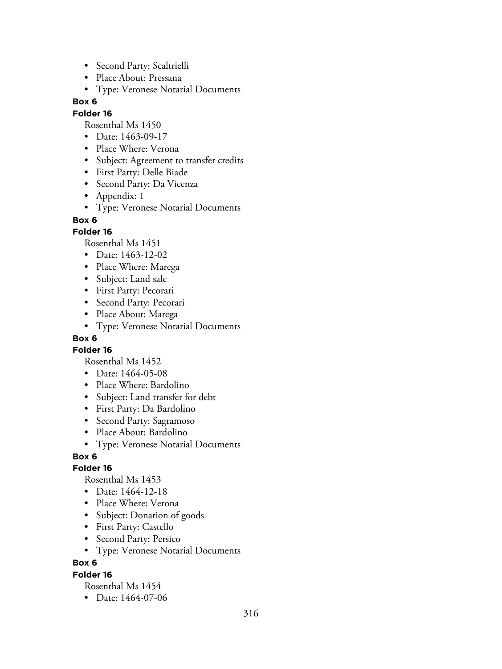- Second Party: Scaltrielli
- Place About: Pressana
- Type: Veronese Notarial Documents

#### **Folder 16**

Rosenthal Ms 1450

- Date: 1463-09-17
- Place Where: Verona
- Subject: Agreement to transfer credits
- First Party: Delle Biade
- Second Party: Da Vicenza
- Appendix: 1
- Type: Veronese Notarial Documents

#### **Box 6**

### **Folder 16**

Rosenthal Ms 1451

- Date: 1463-12-02
- Place Where: Marega
- Subject: Land sale
- First Party: Pecorari
- Second Party: Pecorari
- Place About: Marega
- Type: Veronese Notarial Documents

### **Box 6**

**Folder 16**

Rosenthal Ms 1452

- Date: 1464-05-08
- Place Where: Bardolino
- Subject: Land transfer for debt
- First Party: Da Bardolino
- Second Party: Sagramoso
- Place About: Bardolino
- Type: Veronese Notarial Documents

### **Box 6**

### **Folder 16**

Rosenthal Ms 1453

- Date: 1464-12-18
- Place Where: Verona
- Subject: Donation of goods
- First Party: Castello
- Second Party: Persico
- Type: Veronese Notarial Documents

### **Box 6**

### **Folder 16**

Rosenthal Ms 1454

• Date: 1464-07-06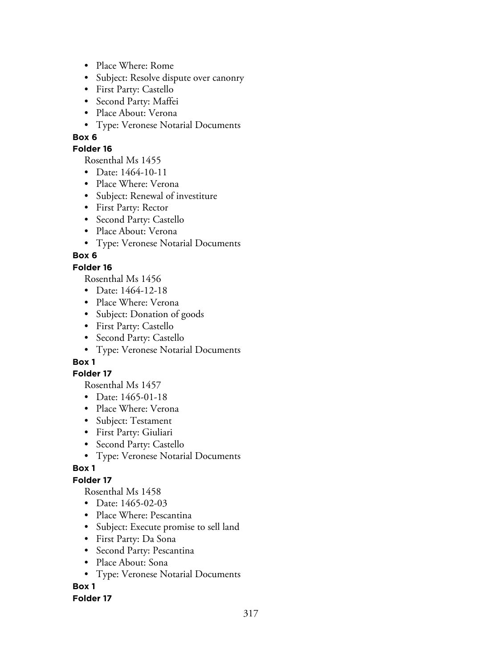- Place Where: Rome
- Subject: Resolve dispute over canonry
- First Party: Castello
- Second Party: Maffei
- Place About: Verona
- Type: Veronese Notarial Documents

### **Folder 16**

Rosenthal Ms 1455

- Date: 1464-10-11
- Place Where: Verona
- Subject: Renewal of investiture
- First Party: Rector
- Second Party: Castello
- Place About: Verona
- Type: Veronese Notarial Documents

### **Box 6**

### **Folder 16**

Rosenthal Ms 1456

- Date: 1464-12-18
- Place Where: Verona
- Subject: Donation of goods
- First Party: Castello
- Second Party: Castello
- Type: Veronese Notarial Documents

## **Box 1**

### **Folder 17**

Rosenthal Ms 1457

- Date: 1465-01-18
- Place Where: Verona
- Subject: Testament
- First Party: Giuliari
- Second Party: Castello
- Type: Veronese Notarial Documents

## **Box 1**

## **Folder 17**

Rosenthal Ms 1458

- Date: 1465-02-03
- Place Where: Pescantina
- Subject: Execute promise to sell land
- First Party: Da Sona
- Second Party: Pescantina
- Place About: Sona
- Type: Veronese Notarial Documents

## **Box 1**

### **Folder 17**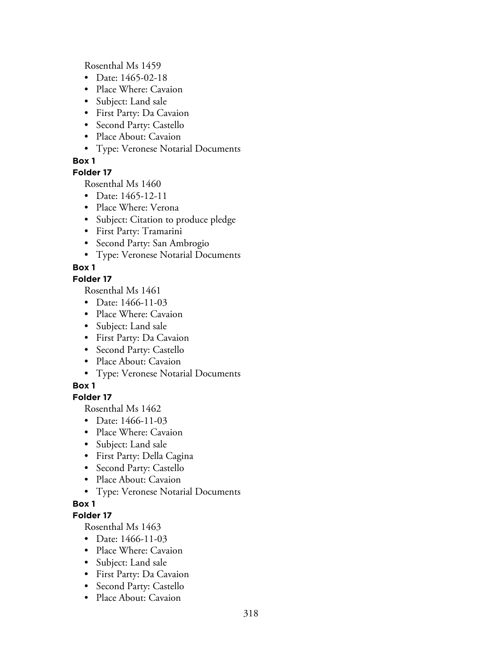Rosenthal Ms 1459

- Date: 1465-02-18
- Place Where: Cavaion
- Subject: Land sale
- First Party: Da Cavaion
- Second Party: Castello
- Place About: Cavaion
- Type: Veronese Notarial Documents

# **Box 1**

# **Folder 17**

Rosenthal Ms 1460

- Date: 1465-12-11
- Place Where: Verona
- Subject: Citation to produce pledge
- First Party: Tramarini
- Second Party: San Ambrogio
- Type: Veronese Notarial Documents

# **Box 1**

# **Folder 17**

Rosenthal Ms 1461

- Date: 1466-11-03
- Place Where: Cavaion
- Subject: Land sale
- First Party: Da Cavaion
- Second Party: Castello
- Place About: Cavaion
- Type: Veronese Notarial Documents

# **Box 1**

# **Folder 17**

Rosenthal Ms 1462

- Date: 1466-11-03
- Place Where: Cavaion
- Subject: Land sale
- First Party: Della Cagina
- Second Party: Castello
- Place About: Cavaion
- Type: Veronese Notarial Documents

# **Box 1**

## **Folder 17**

- Date: 1466-11-03
- Place Where: Cavaion
- Subject: Land sale
- First Party: Da Cavaion
- Second Party: Castello
- Place About: Cavaion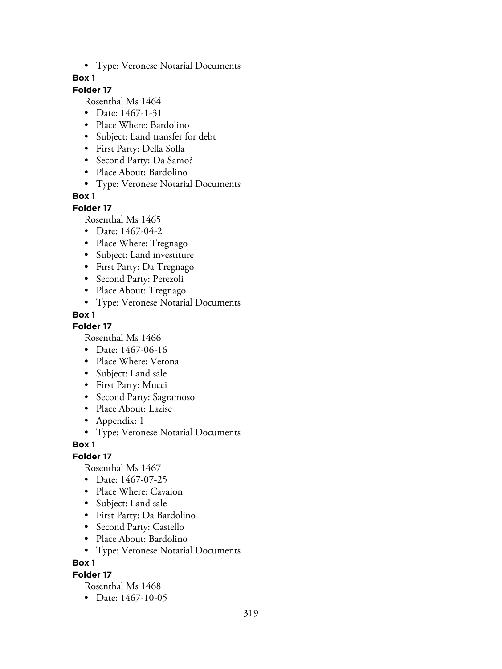• Type: Veronese Notarial Documents

### **Box 1**

## **Folder 17**

Rosenthal Ms 1464

- Date: 1467-1-31
- Place Where: Bardolino
- Subject: Land transfer for debt
- First Party: Della Solla
- Second Party: Da Samo?
- Place About: Bardolino
- Type: Veronese Notarial Documents

### **Box 1**

#### **Folder 17**

Rosenthal Ms 1465

- Date: 1467-04-2
- Place Where: Tregnago
- Subject: Land investiture
- First Party: Da Tregnago
- Second Party: Perezoli
- Place About: Tregnago
- Type: Veronese Notarial Documents

### **Box 1**

**Folder 17**

Rosenthal Ms 1466

- Date: 1467-06-16
- Place Where: Verona
- Subject: Land sale
- First Party: Mucci
- Second Party: Sagramoso
- Place About: Lazise
- Appendix: 1
- Type: Veronese Notarial Documents

### **Box 1**

**Folder 17**

Rosenthal Ms 1467

- Date: 1467-07-25
- Place Where: Cavaion
- Subject: Land sale
- First Party: Da Bardolino
- Second Party: Castello
- Place About: Bardolino
- Type: Veronese Notarial Documents

**Box 1**

#### **Folder 17**

Rosenthal Ms 1468

• Date: 1467-10-05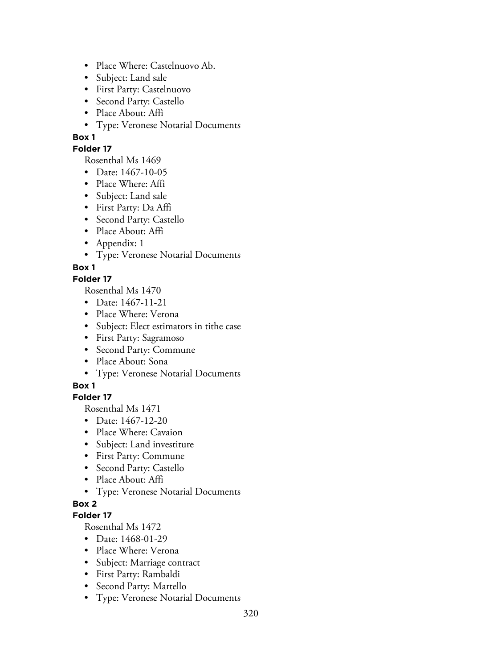- Place Where: Castelnuovo Ab.
- Subject: Land sale
- First Party: Castelnuovo
- Second Party: Castello
- Place About: Affi
- Type: Veronese Notarial Documents

### **Folder 17**

Rosenthal Ms 1469

- Date: 1467-10-05
- Place Where: Affi
- Subject: Land sale
- First Party: Da Affi
- Second Party: Castello
- Place About: Affi
- Appendix: 1
- Type: Veronese Notarial Documents

## **Box 1**

### **Folder 17**

Rosenthal Ms 1470

- Date: 1467-11-21
- Place Where: Verona
- Subject: Elect estimators in tithe case
- First Party: Sagramoso
- Second Party: Commune
- Place About: Sona
- Type: Veronese Notarial Documents

### **Box 1**

## **Folder 17**

Rosenthal Ms 1471

- Date: 1467-12-20
- Place Where: Cavaion
- Subject: Land investiture
- First Party: Commune
- Second Party: Castello
- Place About: Affi
- Type: Veronese Notarial Documents

## **Box 2**

## **Folder 17**

- Date: 1468-01-29
- Place Where: Verona
- Subject: Marriage contract
- First Party: Rambaldi
- Second Party: Martello
- Type: Veronese Notarial Documents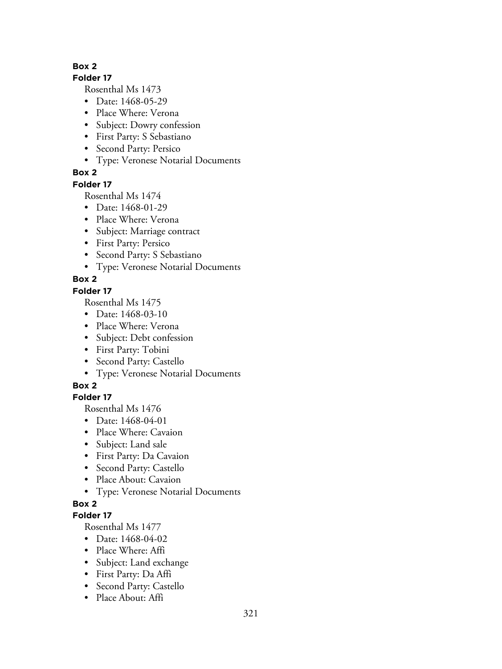#### **Folder 17**

Rosenthal Ms 1473

- Date: 1468-05-29
- Place Where: Verona
- Subject: Dowry confession
- First Party: S Sebastiano
- Second Party: Persico
- Type: Veronese Notarial Documents

# **Box 2**

## **Folder 17**

Rosenthal Ms 1474

- Date: 1468-01-29
- Place Where: Verona
- Subject: Marriage contract
- First Party: Persico
- Second Party: S Sebastiano
- Type: Veronese Notarial Documents

# **Box 2**

## **Folder 17**

Rosenthal Ms 1475

- Date: 1468-03-10
- Place Where: Verona
- Subject: Debt confession
- First Party: Tobini
- Second Party: Castello
- Type: Veronese Notarial Documents

# **Box 2**

# **Folder 17**

Rosenthal Ms 1476

- Date: 1468-04-01
- Place Where: Cavaion
- Subject: Land sale
- First Party: Da Cavaion
- Second Party: Castello
- Place About: Cavaion
- Type: Veronese Notarial Documents

# **Box 2**

# **Folder 17**

- Date: 1468-04-02
- Place Where: Affi
- Subject: Land exchange
- First Party: Da Affi
- Second Party: Castello
- Place About: Affi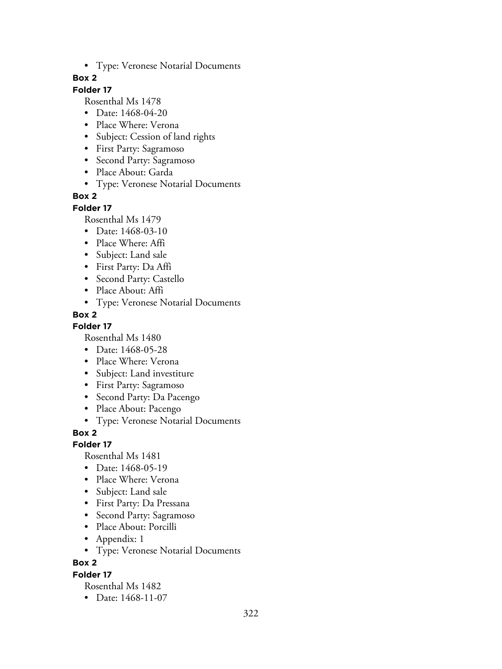• Type: Veronese Notarial Documents

### **Box 2**

## **Folder 17**

Rosenthal Ms 1478

- Date: 1468-04-20
- Place Where: Verona
- Subject: Cession of land rights
- First Party: Sagramoso
- Second Party: Sagramoso
- Place About: Garda
- Type: Veronese Notarial Documents

### **Box 2**

#### **Folder 17**

Rosenthal Ms 1479

- Date: 1468-03-10
- Place Where: Affi
- Subject: Land sale
- First Party: Da Affi
- Second Party: Castello
- Place About: Affi
- Type: Veronese Notarial Documents

### **Box 2**

### **Folder 17**

Rosenthal Ms 1480

- Date: 1468-05-28
- Place Where: Verona
- Subject: Land investiture
- First Party: Sagramoso
- Second Party: Da Pacengo
- Place About: Pacengo
- Type: Veronese Notarial Documents

### **Box 2**

### **Folder 17**

Rosenthal Ms 1481

- Date: 1468-05-19
- Place Where: Verona
- Subject: Land sale
- First Party: Da Pressana
- Second Party: Sagramoso
- Place About: Porcilli
- Appendix: 1
- Type: Veronese Notarial Documents

## **Box 2**

### **Folder 17**

Rosenthal Ms 1482

• Date: 1468-11-07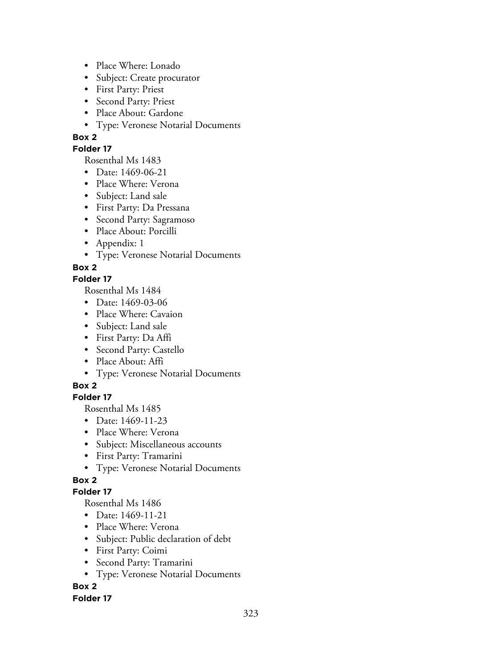- Place Where: Lonado
- Subject: Create procurator
- First Party: Priest
- Second Party: Priest
- Place About: Gardone
- Type: Veronese Notarial Documents

#### **Folder 17**

Rosenthal Ms 1483

- Date: 1469-06-21
- Place Where: Verona
- Subject: Land sale
- First Party: Da Pressana
- Second Party: Sagramoso
- Place About: Porcilli
- Appendix: 1
- Type: Veronese Notarial Documents

**Box 2**

### **Folder 17**

Rosenthal Ms 1484

- Date: 1469-03-06
- Place Where: Cavaion
- Subject: Land sale
- First Party: Da Affi
- Second Party: Castello
- Place About: Affi
- Type: Veronese Notarial Documents

## **Box 2**

## **Folder 17**

Rosenthal Ms 1485

- Date: 1469-11-23
- Place Where: Verona
- Subject: Miscellaneous accounts
- First Party: Tramarini
- Type: Veronese Notarial Documents

# **Box 2**

## **Folder 17**

Rosenthal Ms 1486

- Date: 1469-11-21
- Place Where: Verona
- Subject: Public declaration of debt
- First Party: Coimi
- Second Party: Tramarini
- Type: Veronese Notarial Documents

## **Box 2**

### **Folder 17**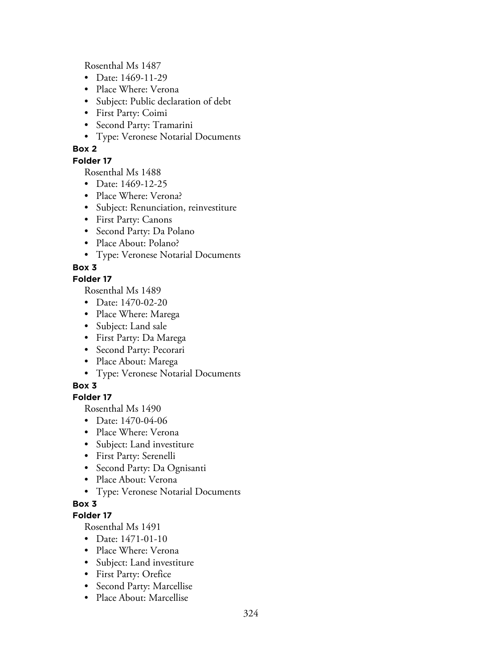Rosenthal Ms 1487

- Date: 1469-11-29
- Place Where: Verona
- Subject: Public declaration of debt
- First Party: Coimi
- Second Party: Tramarini
- Type: Veronese Notarial Documents

### **Box 2**

### **Folder 17**

Rosenthal Ms 1488

- Date: 1469-12-25
- Place Where: Verona?
- Subject: Renunciation, reinvestiture
- First Party: Canons
- Second Party: Da Polano
- Place About: Polano?
- Type: Veronese Notarial Documents

## **Box 3**

### **Folder 17**

Rosenthal Ms 1489

- Date: 1470-02-20
- Place Where: Marega
- Subject: Land sale
- First Party: Da Marega
- Second Party: Pecorari
- Place About: Marega
- Type: Veronese Notarial Documents

## **Box 3**

## **Folder 17**

Rosenthal Ms 1490

- Date: 1470-04-06
- Place Where: Verona
- Subject: Land investiture
- First Party: Serenelli
- Second Party: Da Ognisanti
- Place About: Verona
- Type: Veronese Notarial Documents

## **Box 3**

## **Folder 17**

- Date: 1471-01-10
- Place Where: Verona
- Subject: Land investiture
- First Party: Orefice
- Second Party: Marcellise
- Place About: Marcellise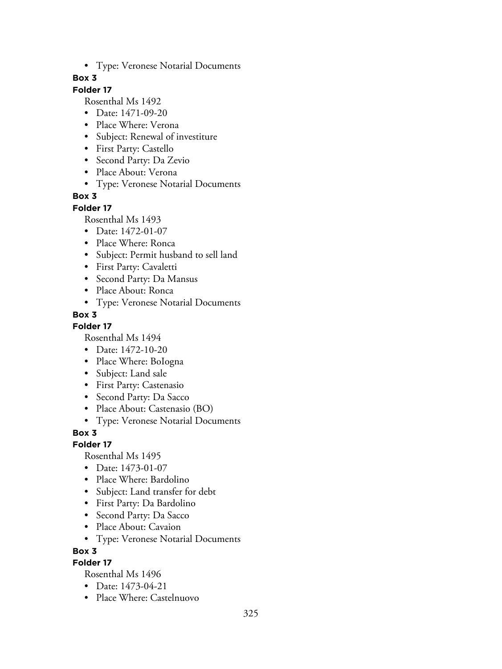• Type: Veronese Notarial Documents

## **Box 3**

# **Folder 17**

Rosenthal Ms 1492

- Date: 1471-09-20
- Place Where: Verona
- Subject: Renewal of investiture
- First Party: Castello
- Second Party: Da Zevio
- Place About: Verona
- Type: Veronese Notarial Documents

## **Box 3**

#### **Folder 17**

Rosenthal Ms 1493

- Date: 1472-01-07
- Place Where: Ronca
- Subject: Permit husband to sell land
- First Party: Cavaletti
- Second Party: Da Mansus
- Place About: Ronca
- Type: Veronese Notarial Documents

## **Box 3**

**Folder 17**

Rosenthal Ms 1494

- Date: 1472-10-20
- Place Where: BoIogna
- Subject: Land sale
- First Party: Castenasio
- Second Party: Da Sacco
- Place About: Castenasio (BO)
- Type: Veronese Notarial Documents

**Box 3**

### **Folder 17**

Rosenthal Ms 1495

- Date: 1473-01-07
- Place Where: Bardolino
- Subject: Land transfer for debt
- First Party: Da Bardolino
- Second Party: Da Sacco
- Place About: Cavaion
- Type: Veronese Notarial Documents

**Box 3**

### **Folder 17**

- Date: 1473-04-21
- Place Where: Castelnuovo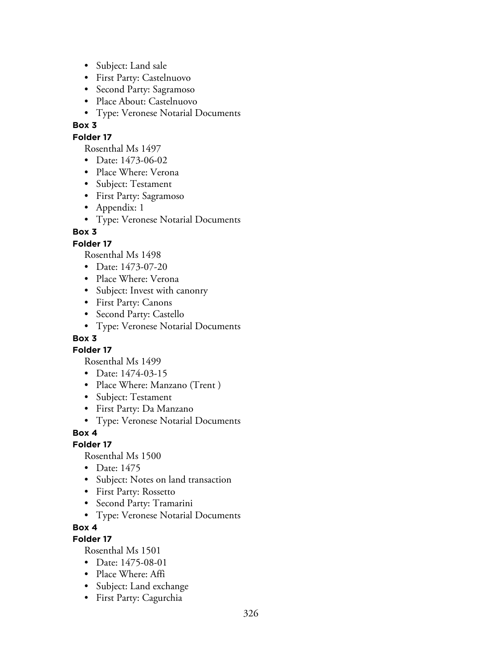- Subject: Land sale
- First Party: Castelnuovo
- Second Party: Sagramoso
- Place About: Castelnuovo
- Type: Veronese Notarial Documents

## **Folder 17**

Rosenthal Ms 1497

- Date: 1473-06-02
- Place Where: Verona
- Subject: Testament
- First Party: Sagramoso
- Appendix: 1
- Type: Veronese Notarial Documents

## **Box 3**

## **Folder 17**

Rosenthal Ms 1498

- Date: 1473-07-20
- Place Where: Verona
- Subject: Invest with canonry
- First Party: Canons
- Second Party: Castello
- Type: Veronese Notarial Documents

## **Box 3**

**Folder 17**

Rosenthal Ms 1499

- Date: 1474-03-15
- Place Where: Manzano (Trent )
- Subject: Testament
- First Party: Da Manzano
- Type: Veronese Notarial Documents

### **Box 4**

### **Folder 17**

Rosenthal Ms 1500

- Date: 1475
- Subject: Notes on land transaction
- First Party: Rossetto
- Second Party: Tramarini
- Type: Veronese Notarial Documents

# **Box 4**

# **Folder 17**

- Date: 1475-08-01
- Place Where: Affi
- Subject: Land exchange
- First Party: Cagurchia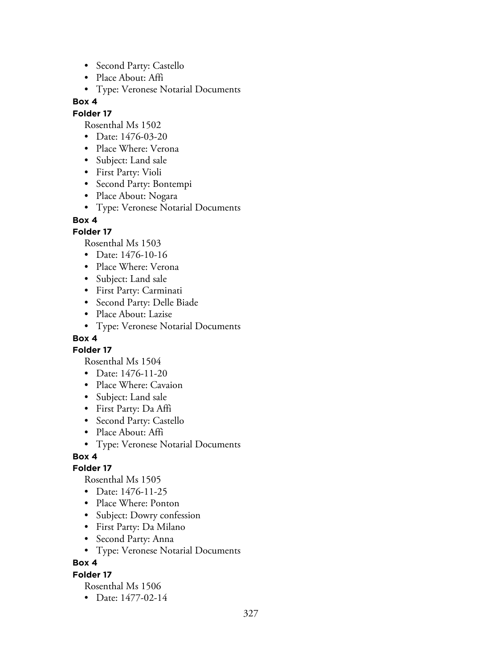- Second Party: Castello
- Place About: Affi
- Type: Veronese Notarial Documents

### **Folder 17**

Rosenthal Ms 1502

- Date: 1476-03-20
- Place Where: Verona
- Subject: Land sale
- First Party: Violi
- Second Party: Bontempi
- Place About: Nogara
- Type: Veronese Notarial Documents

### **Box 4**

### **Folder 17**

Rosenthal Ms 1503

- Date: 1476-10-16
- Place Where: Verona
- Subject: Land sale
- First Party: Carminati
- Second Party: Delle Biade
- Place About: Lazise
- Type: Veronese Notarial Documents

## **Box 4**

**Folder 17**

Rosenthal Ms 1504

- Date: 1476-11-20
- Place Where: Cavaion
- Subject: Land sale
- First Party: Da Affi
- Second Party: Castello
- Place About: Affi
- Type: Veronese Notarial Documents

### **Box 4**

### **Folder 17**

Rosenthal Ms 1505

- Date: 1476-11-25
- Place Where: Ponton
- Subject: Dowry confession
- First Party: Da Milano
- Second Party: Anna
- Type: Veronese Notarial Documents

# **Box 4**

### **Folder 17**

Rosenthal Ms 1506

• Date: 1477-02-14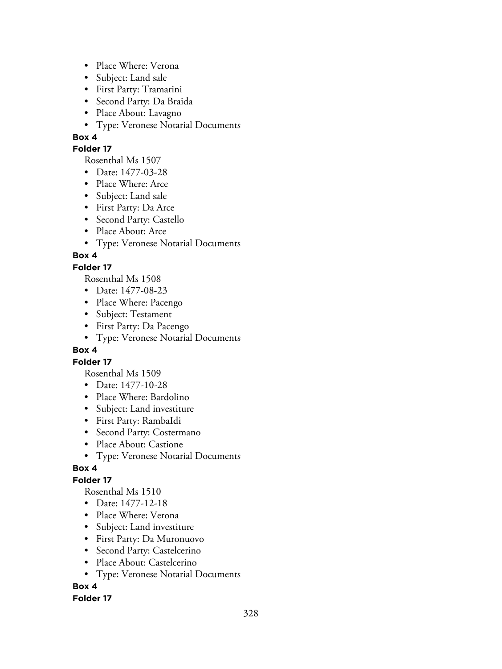- Place Where: Verona
- Subject: Land sale
- First Party: Tramarini
- Second Party: Da Braida
- Place About: Lavagno
- Type: Veronese Notarial Documents

#### **Folder 17**

Rosenthal Ms 1507

- Date: 1477-03-28
- Place Where: Arce
- Subject: Land sale
- First Party: Da Arce
- Second Party: Castello
- Place About: Arce
- Type: Veronese Notarial Documents

## **Box 4**

## **Folder 17**

Rosenthal Ms 1508

- Date: 1477-08-23
- Place Where: Pacengo
- Subject: Testament
- First Party: Da Pacengo
- Type: Veronese Notarial Documents

### **Box 4**

### **Folder 17**

Rosenthal Ms 1509

- Date: 1477-10-28
- Place Where: Bardolino
- Subject: Land investiture
- First Party: RambaIdi
- Second Party: Costermano
- Place About: Castione
- Type: Veronese Notarial Documents

### **Box 4**

# **Folder 17**

Rosenthal Ms 1510

- Date: 1477-12-18
- Place Where: Verona
- Subject: Land investiture
- First Party: Da Muronuovo
- Second Party: Castelcerino
- Place About: Castelcerino
- Type: Veronese Notarial Documents

# **Box 4**

### **Folder 17**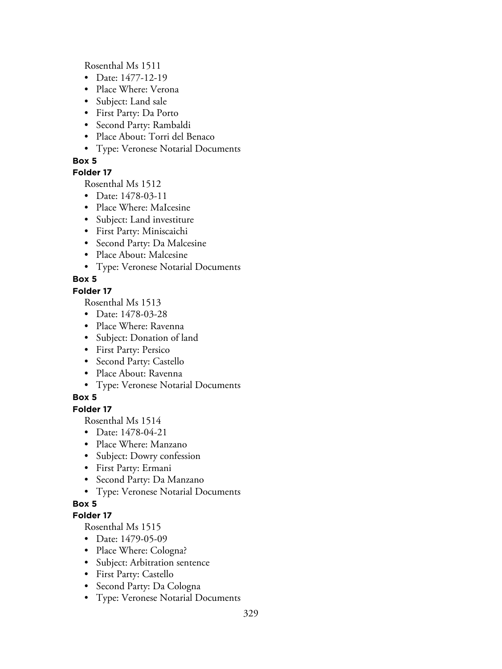Rosenthal Ms 1511

- Date: 1477-12-19
- Place Where: Verona
- Subject: Land sale
- First Party: Da Porto
- Second Party: Rambaldi
- Place About: Torri del Benaco
- Type: Veronese Notarial Documents

## **Box 5**

### **Folder 17**

Rosenthal Ms 1512

- Date: 1478-03-11
- Place Where: MaIcesine
- Subject: Land investiture
- First Party: Miniscaichi
- Second Party: Da Malcesine
- Place About: Malcesine
- Type: Veronese Notarial Documents

# **Box 5**

## **Folder 17**

Rosenthal Ms 1513

- Date: 1478-03-28
- Place Where: Ravenna
- Subject: Donation of land
- First Party: Persico
- Second Party: Castello
- Place About: Ravenna
- Type: Veronese Notarial Documents

# **Box 5**

## **Folder 17**

Rosenthal Ms 1514

- Date: 1478-04-21
- Place Where: Manzano
- Subject: Dowry confession
- First Party: Ermani
- Second Party: Da Manzano
- Type: Veronese Notarial Documents

# **Box 5**

### **Folder 17**

- Date: 1479-05-09
- Place Where: Cologna?
- Subject: Arbitration sentence
- First Party: Castello
- Second Party: Da Cologna
- Type: Veronese Notarial Documents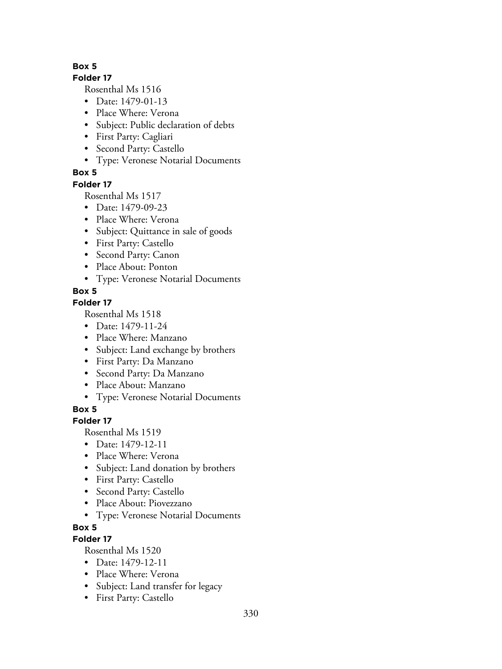### **Folder 17**

Rosenthal Ms 1516

- Date: 1479-01-13
- Place Where: Verona
- Subject: Public declaration of debts
- First Party: Cagliari
- Second Party: Castello
- Type: Veronese Notarial Documents

# **Box 5**

## **Folder 17**

Rosenthal Ms 1517

- Date: 1479-09-23
- Place Where: Verona
- Subject: Quittance in sale of goods
- First Party: Castello
- Second Party: Canon
- Place About: Ponton
- Type: Veronese Notarial Documents

# **Box 5**

# **Folder 17**

Rosenthal Ms 1518

- Date: 1479-11-24
- Place Where: Manzano
- Subject: Land exchange by brothers
- First Party: Da Manzano
- Second Party: Da Manzano
- Place About: Manzano
- Type: Veronese Notarial Documents

# **Box 5**

# **Folder 17**

Rosenthal Ms 1519

- Date: 1479-12-11
- Place Where: Verona
- Subject: Land donation by brothers
- First Party: Castello
- Second Party: Castello
- Place About: Piovezzano
- Type: Veronese Notarial Documents

# **Box 5**

# **Folder 17**

- Date: 1479-12-11
- Place Where: Verona
- Subject: Land transfer for legacy
- First Party: Castello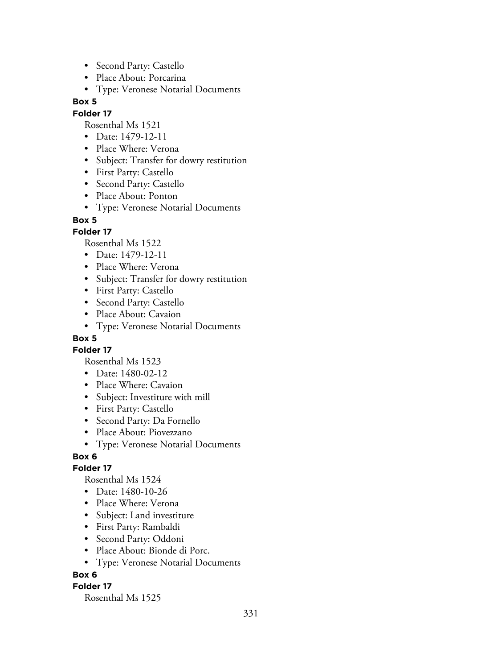- Second Party: Castello
- Place About: Porcarina
- Type: Veronese Notarial Documents

## **Folder 17**

Rosenthal Ms 1521

- Date: 1479-12-11
- Place Where: Verona
- Subject: Transfer for dowry restitution
- First Party: Castello
- Second Party: Castello
- Place About: Ponton
- Type: Veronese Notarial Documents

### **Box 5**

## **Folder 17**

Rosenthal Ms 1522

- Date: 1479-12-11
- Place Where: Verona
- Subject: Transfer for dowry restitution
- First Party: Castello
- Second Party: Castello
- Place About: Cavaion
- Type: Veronese Notarial Documents

# **Box 5**

**Folder 17**

Rosenthal Ms 1523

- Date: 1480-02-12
- Place Where: Cavaion
- Subject: Investiture with mill
- First Party: Castello
- Second Party: Da Fornello
- Place About: Piovezzano
- Type: Veronese Notarial Documents

### **Box 6**

### **Folder 17**

Rosenthal Ms 1524

- Date: 1480-10-26
- Place Where: Verona
- Subject: Land investiture
- First Party: Rambaldi
- Second Party: Oddoni
- Place About: Bionde di Porc.
- Type: Veronese Notarial Documents

### **Box 6**

### **Folder 17**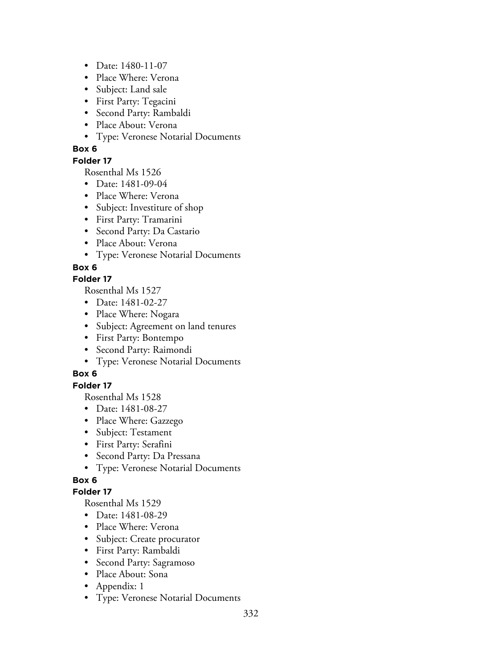- Date: 1480-11-07
- Place Where: Verona
- Subject: Land sale
- First Party: Tegacini
- Second Party: Rambaldi
- Place About: Verona
- Type: Veronese Notarial Documents

### **Folder 17**

Rosenthal Ms 1526

- Date: 1481-09-04
- Place Where: Verona
- Subject: Investiture of shop
- First Party: Tramarini
- Second Party: Da Castario
- Place About: Verona
- Type: Veronese Notarial Documents

## **Box 6**

### **Folder 17**

Rosenthal Ms 1527

- Date: 1481-02-27
- Place Where: Nogara
- Subject: Agreement on land tenures
- First Party: Bontempo
- Second Party: Raimondi
- Type: Veronese Notarial Documents

# **Box 6**

### **Folder 17**

Rosenthal Ms 1528

- Date: 1481-08-27
- Place Where: Gazzego
- Subject: Testament
- First Party: Serafini
- Second Party: Da Pressana
- Type: Veronese Notarial Documents

# **Box 6**

### **Folder 17**

- Date: 1481-08-29
- Place Where: Verona
- Subject: Create procurator
- First Party: Rambaldi
- Second Party: Sagramoso
- Place About: Sona
- Appendix: 1
- Type: Veronese Notarial Documents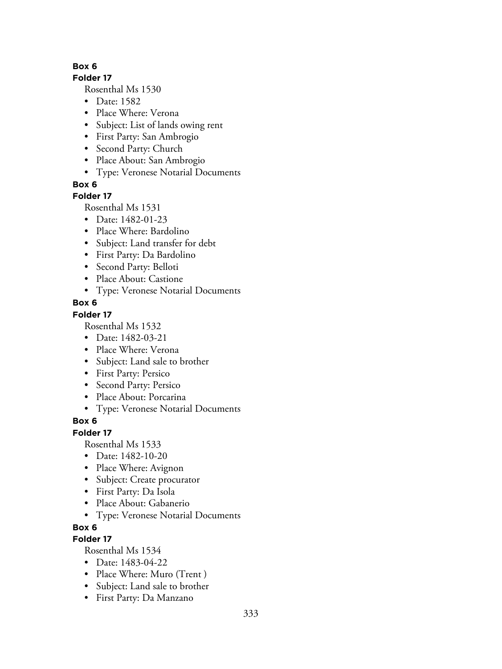### **Folder 17**

Rosenthal Ms 1530

- Date: 1582
- Place Where: Verona
- Subject: List of lands owing rent
- First Party: San Ambrogio
- Second Party: Church
- Place About: San Ambrogio
- Type: Veronese Notarial Documents

**Box 6**

### **Folder 17**

Rosenthal Ms 1531

- Date: 1482-01-23
- Place Where: Bardolino
- Subject: Land transfer for debt
- First Party: Da Bardolino
- Second Party: Belloti
- Place About: Castione
- Type: Veronese Notarial Documents

## **Box 6**

### **Folder 17**

Rosenthal Ms 1532

- Date: 1482-03-21
- Place Where: Verona
- Subject: Land sale to brother
- First Party: Persico
- Second Party: Persico
- Place About: Porcarina
- Type: Veronese Notarial Documents

# **Box 6**

### **Folder 17**

Rosenthal Ms 1533

- Date: 1482-10-20
- Place Where: Avignon
- Subject: Create procurator
- First Party: Da Isola
- Place About: Gabanerio
- Type: Veronese Notarial Documents

# **Box 6**

# **Folder 17**

- Date: 1483-04-22
- Place Where: Muro (Trent)
- Subject: Land sale to brother
- First Party: Da Manzano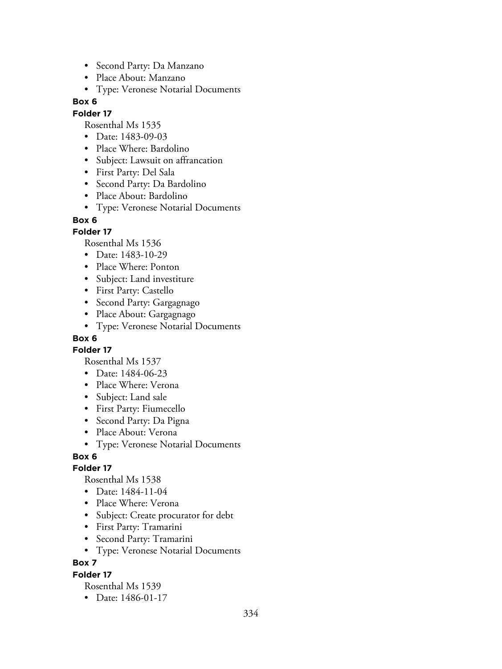- Second Party: Da Manzano
- Place About: Manzano
- Type: Veronese Notarial Documents

#### **Folder 17**

Rosenthal Ms 1535

- Date: 1483-09-03
- Place Where: Bardolino
- Subject: Lawsuit on affrancation
- First Party: Del Sala
- Second Party: Da Bardolino
- Place About: Bardolino
- Type: Veronese Notarial Documents

#### **Box 6**

### **Folder 17**

Rosenthal Ms 1536

- Date: 1483-10-29
- Place Where: Ponton
- Subject: Land investiture
- First Party: Castello
- Second Party: Gargagnago
- Place About: Gargagnago
- Type: Veronese Notarial Documents

# **Box 6**

**Folder 17**

Rosenthal Ms 1537

- Date: 1484-06-23
- Place Where: Verona
- Subject: Land sale
- First Party: Fiumecello
- Second Party: Da Pigna
- Place About: Verona
- Type: Veronese Notarial Documents

# **Box 6**

### **Folder 17**

Rosenthal Ms 1538

- Date: 1484-11-04
- Place Where: Verona
- Subject: Create procurator for debt
- First Party: Tramarini
- Second Party: Tramarini
- Type: Veronese Notarial Documents

**Box 7**

### **Folder 17**

Rosenthal Ms 1539

• Date: 1486-01-17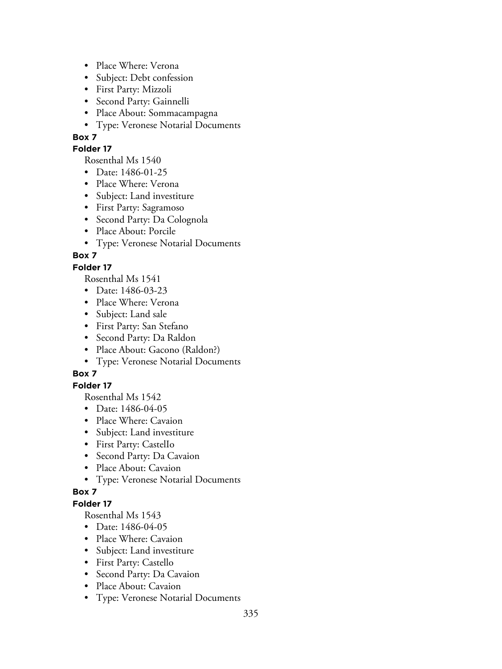- Place Where: Verona
- Subject: Debt confession
- First Party: Mizzoli
- Second Party: Gainnelli
- Place About: Sommacampagna
- Type: Veronese Notarial Documents

### **Folder 17**

Rosenthal Ms 1540

- Date: 1486-01-25
- Place Where: Verona
- Subject: Land investiture
- First Party: Sagramoso
- Second Party: Da Colognola
- Place About: Porcile
- Type: Veronese Notarial Documents

# **Box 7**

## **Folder 17**

Rosenthal Ms 1541

- Date: 1486-03-23
- Place Where: Verona
- Subject: Land sale
- First Party: San Stefano
- Second Party: Da Raldon
- Place About: Gacono (Raldon?)
- Type: Veronese Notarial Documents

# **Box 7**

## **Folder 17**

Rosenthal Ms 1542

- Date: 1486-04-05
- Place Where: Cavaion
- Subject: Land investiture
- First Party: CastelIo
- Second Party: Da Cavaion
- Place About: Cavaion
- Type: Veronese Notarial Documents

### **Box 7**

### **Folder 17**

- Date: 1486-04-05
- Place Where: Cavaion
- Subject: Land investiture
- First Party: Castello
- Second Party: Da Cavaion
- Place About: Cavaion
- Type: Veronese Notarial Documents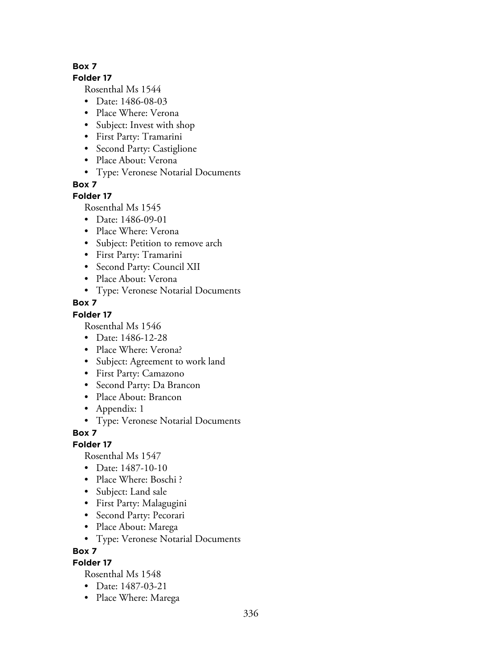#### **Folder 17**

Rosenthal Ms 1544

- Date: 1486-08-03
- Place Where: Verona
- Subject: Invest with shop
- First Party: Tramarini
- Second Party: Castiglione
- Place About: Verona
- Type: Veronese Notarial Documents

**Box 7**

# **Folder 17**

Rosenthal Ms 1545

- Date: 1486-09-01
- Place Where: Verona
- Subject: Petition to remove arch
- First Party: Tramarini
- Second Party: Council XII
- Place About: Verona
- Type: Veronese Notarial Documents

# **Box 7**

## **Folder 17**

Rosenthal Ms 1546

- Date: 1486-12-28
- Place Where: Verona?
- Subject: Agreement to work land
- First Party: Camazono
- Second Party: Da Brancon
- Place About: Brancon
- Appendix: 1
- Type: Veronese Notarial Documents

**Box 7**

# **Folder 17**

Rosenthal Ms 1547

- Date: 1487-10-10
- Place Where: Boschi?
- Subject: Land sale
- First Party: Malagugini
- Second Party: Pecorari
- Place About: Marega
- Type: Veronese Notarial Documents

**Box 7**

# **Folder 17**

- Date: 1487-03-21
- Place Where: Marega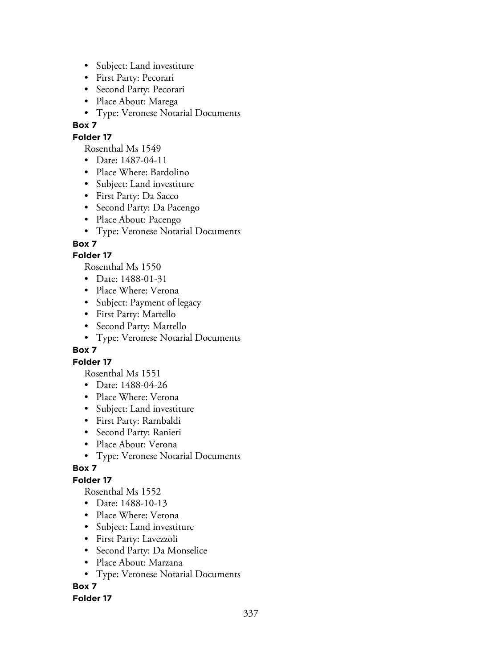- Subject: Land investiture
- First Party: Pecorari
- Second Party: Pecorari
- Place About: Marega
- Type: Veronese Notarial Documents

## **Folder 17**

Rosenthal Ms 1549

- Date: 1487-04-11
- Place Where: Bardolino
- Subject: Land investiture
- First Party: Da Sacco
- Second Party: Da Pacengo
- Place About: Pacengo
- Type: Veronese Notarial Documents

## **Box 7**

## **Folder 17**

Rosenthal Ms 1550

- Date: 1488-01-31
- Place Where: Verona
- Subject: Payment of legacy
- First Party: Martello
- Second Party: Martello
- Type: Veronese Notarial Documents

### **Box 7**

### **Folder 17**

Rosenthal Ms 1551

- Date: 1488-04-26
- Place Where: Verona
- Subject: Land investiture
- First Party: Rarnbaldi
- Second Party: Ranieri
- Place About: Verona
- Type: Veronese Notarial Documents

# **Box 7**

# **Folder 17**

Rosenthal Ms 1552

- Date: 1488-10-13
- Place Where: Verona
- Subject: Land investiture
- First Party: Lavezzoli
- Second Party: Da Monselice
- Place About: Marzana
- Type: Veronese Notarial Documents

# **Box 7**

### **Folder 17**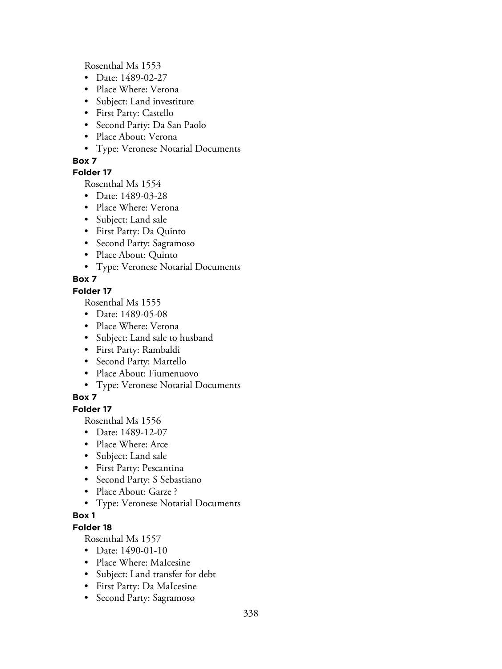Rosenthal Ms 1553

- Date: 1489-02-27
- Place Where: Verona
- Subject: Land investiture
- First Party: Castello
- Second Party: Da San Paolo
- Place About: Verona
- Type: Veronese Notarial Documents

### **Box 7**

## **Folder 17**

Rosenthal Ms 1554

- Date: 1489-03-28
- Place Where: Verona
- Subject: Land sale
- First Party: Da Quinto
- Second Party: Sagramoso
- Place About: Quinto
- Type: Veronese Notarial Documents

# **Box 7**

### **Folder 17**

Rosenthal Ms 1555

- Date: 1489-05-08
- Place Where: Verona
- Subject: Land sale to husband
- First Party: Rambaldi
- Second Party: Martello
- Place About: Fiumenuovo
- Type: Veronese Notarial Documents

# **Box 7**

# **Folder 17**

Rosenthal Ms 1556

- Date: 1489-12-07
- Place Where: Arce
- Subject: Land sale
- First Party: Pescantina
- Second Party: S Sebastiano
- Place About: Garze ?
- Type: Veronese Notarial Documents

### **Box 1**

# **Folder 18**

- Date: 1490-01-10
- Place Where: MaIcesine
- Subject: Land transfer for debt
- First Party: Da MaIcesine
- Second Party: Sagramoso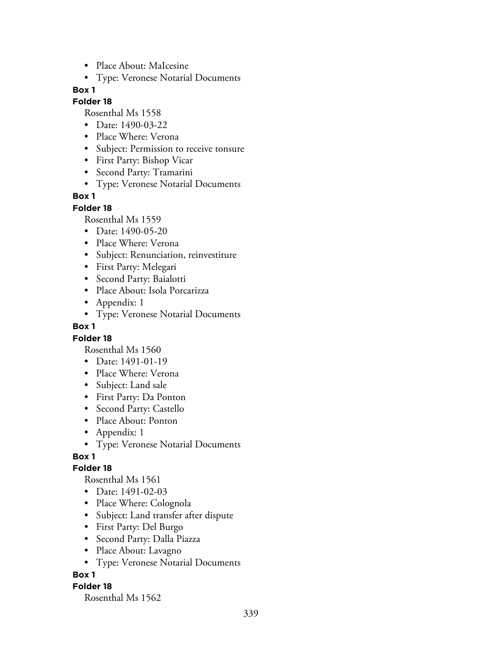- Place About: MaIcesine
- Type: Veronese Notarial Documents

#### **Folder 18**

Rosenthal Ms 1558

- Date: 1490-03-22
- Place Where: Verona
- Subject: Permission to receive tonsure
- First Party: Bishop Vicar
- Second Party: Tramarini
- Type: Veronese Notarial Documents

#### **Box 1**

#### **Folder 18**

Rosenthal Ms 1559

- Date: 1490-05-20
- Place Where: Verona
- Subject: Renunciation, reinvestiture
- First Party: Melegari
- Second Party: Baialotti
- Place About: Isola Porcarizza
- Appendix: 1
- Type: Veronese Notarial Documents

#### **Box 1**

#### **Folder 18**

Rosenthal Ms 1560

- Date: 1491-01-19
- Place Where: Verona
- Subject: Land sale
- First Party: Da Ponton
- Second Party: Castello
- Place About: Ponton
- Appendix: 1
- Type: Veronese Notarial Documents

### **Box 1**

#### **Folder 18**

Rosenthal Ms 1561

- Date: 1491-02-03
- Place Where: Colognola
- Subject: Land transfer after dispute
- First Party: Del Burgo
- Second Party: Dalla Piazza
- Place About: Lavagno
- Type: Veronese Notarial Documents

#### **Box 1**

#### **Folder 18**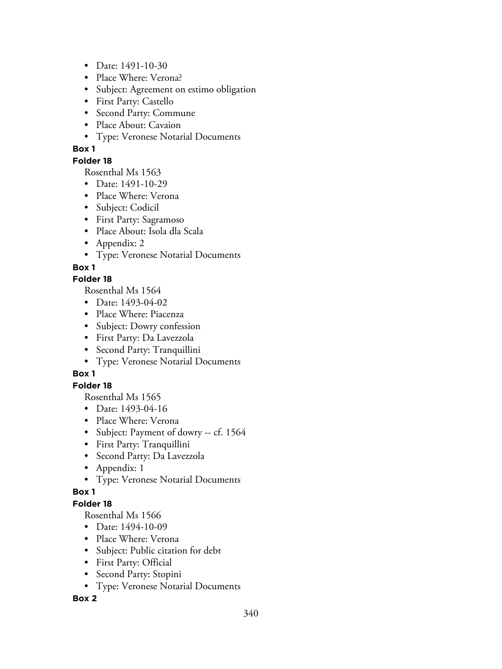- Date: 1491-10-30
- Place Where: Verona?
- Subject: Agreement on estimo obligation
- First Party: Castello
- Second Party: Commune
- Place About: Cavaion
- Type: Veronese Notarial Documents

## **Folder 18**

Rosenthal Ms 1563

- Date: 1491-10-29
- Place Where: Verona
- Subject: Codicil
- First Party: Sagramoso
- Place About: Isola dla Scala
- Appendix: 2
- Type: Veronese Notarial Documents

# **Box 1**

## **Folder 18**

Rosenthal Ms 1564

- Date: 1493-04-02
- Place Where: Piacenza
- Subject: Dowry confession
- First Party: Da Lavezzola
- Second Party: Tranquillini
- Type: Veronese Notarial Documents

# **Box 1**

# **Folder 18**

Rosenthal Ms 1565

- Date: 1493-04-16
- Place Where: Verona
- Subject: Payment of dowry -- cf. 1564
- First Party: Tranquillini
- Second Party: Da Lavezzola
- Appendix: 1
- Type: Veronese Notarial Documents

### **Box 1**

# **Folder 18**

Rosenthal Ms 1566

- Date: 1494-10-09
- Place Where: Verona
- Subject: Public citation for debt
- First Party: Official
- Second Party: Stopini
- Type: Veronese Notarial Documents

### **Box 2**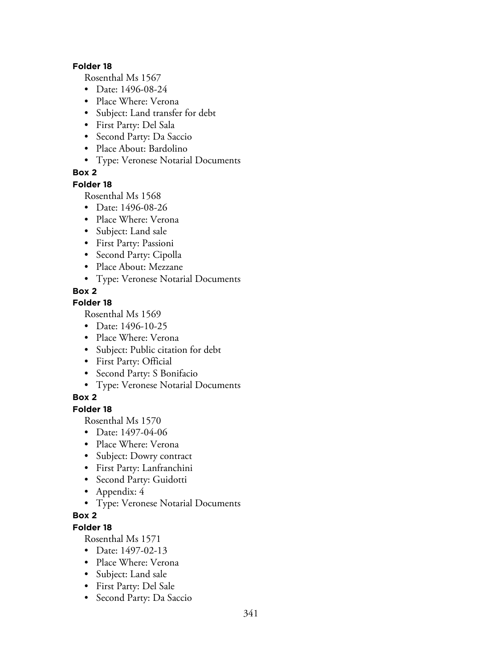#### **Folder 18**

Rosenthal Ms 1567

- Date: 1496-08-24
- Place Where: Verona
- Subject: Land transfer for debt
- First Party: Del Sala
- Second Party: Da Saccio
- Place About: Bardolino
- Type: Veronese Notarial Documents

### **Box 2**

#### **Folder 18**

Rosenthal Ms 1568

- Date: 1496-08-26
- Place Where: Verona
- Subject: Land sale
- First Party: Passioni
- Second Party: Cipolla
- Place About: Mezzane
- Type: Veronese Notarial Documents

## **Box 2**

# **Folder 18**

Rosenthal Ms 1569

- Date: 1496-10-25
- Place Where: Verona
- Subject: Public citation for debt
- First Party: Official
- Second Party: S Bonifacio
- Type: Veronese Notarial Documents

### **Box 2**

# **Folder 18**

Rosenthal Ms 1570

- Date: 1497-04-06
- Place Where: Verona
- Subject: Dowry contract
- First Party: Lanfranchini
- Second Party: Guidotti
- Appendix: 4
- Type: Veronese Notarial Documents

## **Box 2**

# **Folder 18**

- Date: 1497-02-13
- Place Where: Verona
- Subject: Land sale
- First Party: Del Sale
- Second Party: Da Saccio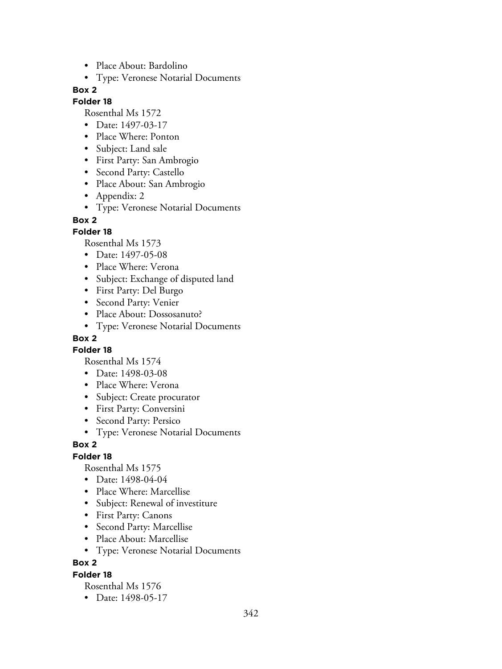- Place About: Bardolino
- Type: Veronese Notarial Documents

#### **Folder 18**

Rosenthal Ms 1572

- Date: 1497-03-17
- Place Where: Ponton
- Subject: Land sale
- First Party: San Ambrogio
- Second Party: Castello
- Place About: San Ambrogio
- Appendix: 2
- Type: Veronese Notarial Documents

#### **Box 2**

#### **Folder 18**

Rosenthal Ms 1573

- Date: 1497-05-08
- Place Where: Verona
- Subject: Exchange of disputed land
- First Party: Del Burgo
- Second Party: Venier
- Place About: Dossosanuto?
- Type: Veronese Notarial Documents

### **Box 2**

#### **Folder 18**

Rosenthal Ms 1574

- Date: 1498-03-08
- Place Where: Verona
- Subject: Create procurator
- First Party: Conversini
- Second Party: Persico
- Type: Veronese Notarial Documents

#### **Box 2**

#### **Folder 18**

Rosenthal Ms 1575

- Date: 1498-04-04
- Place Where: Marcellise
- Subject: Renewal of investiture
- First Party: Canons
- Second Party: Marcellise
- Place About: Marcellise
- Type: Veronese Notarial Documents

### **Box 2**

#### **Folder 18**

Rosenthal Ms 1576

• Date: 1498-05-17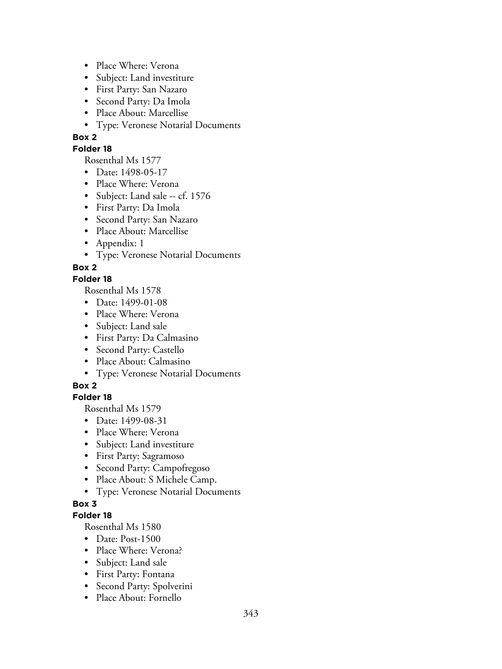- Place Where: Verona
- Subject: Land investiture
- First Party: San Nazaro
- Second Party: Da Imola
- Place About: Marcellise
- Type: Veronese Notarial Documents

#### **Folder 18**

Rosenthal Ms 1577

- Date: 1498-05-17
- Place Where: Verona
- Subject: Land sale -- cf. 1576
- First Party: Da Imola
- Second Party: San Nazaro
- Place About: Marcellise
- Appendix: 1
- Type: Veronese Notarial Documents

**Box 2**

## **Folder 18**

Rosenthal Ms 1578

- Date: 1499-01-08
- Place Where: Verona
- Subject: Land sale
- First Party: Da Calmasino
- Second Party: Castello
- Place About: Calmasino
- Type: Veronese Notarial Documents

# **Box 2**

### **Folder 18**

Rosenthal Ms 1579

- Date: 1499-08-31
- Place Where: Verona
- Subject: Land investiture
- First Party: Sagramoso
- Second Party: Campofregoso
- Place About: S Michele Camp.
- Type: Veronese Notarial Documents

### **Box 3**

### **Folder 18**

- Date: Post-1500
- Place Where: Verona?
- Subject: Land sale
- First Party: Fontana
- Second Party: Spolverini
- Place About: Fornello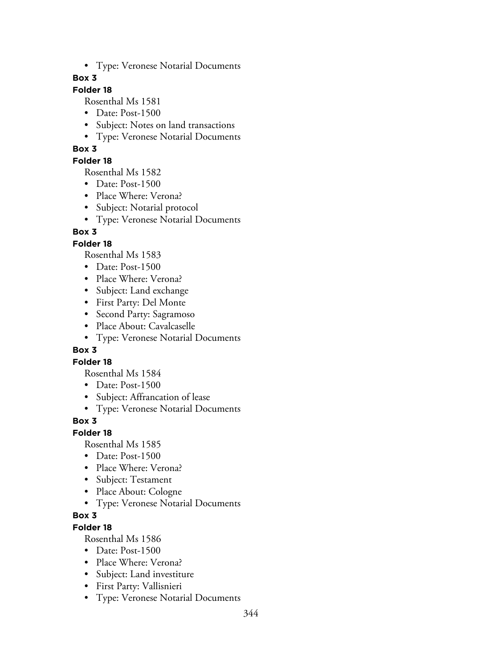• Type: Veronese Notarial Documents

### **Box 3**

# **Folder 18**

Rosenthal Ms 1581

- Date: Post-1500
- Subject: Notes on land transactions
- Type: Veronese Notarial Documents

## **Box 3**

### **Folder 18**

Rosenthal Ms 1582

- Date: Post-1500
- Place Where: Verona?
- Subject: Notarial protocol
- Type: Veronese Notarial Documents

# **Box 3**

## **Folder 18**

Rosenthal Ms 1583

- Date: Post-1500
- Place Where: Verona?
- Subject: Land exchange
- First Party: Del Monte
- Second Party: Sagramoso
- Place About: Cavalcaselle
- Type: Veronese Notarial Documents

### **Box 3**

### **Folder 18**

Rosenthal Ms 1584

- Date: Post-1500
- Subject: Affrancation of lease
- Type: Veronese Notarial Documents

# **Box 3**

### **Folder 18**

Rosenthal Ms 1585

- Date: Post-1500
- Place Where: Verona?
- Subject: Testament
- Place About: Cologne
- Type: Veronese Notarial Documents

# **Box 3**

## **Folder 18**

- Date: Post-1500
- Place Where: Verona?
- Subject: Land investiture
- First Party: Vallisnieri
- Type: Veronese Notarial Documents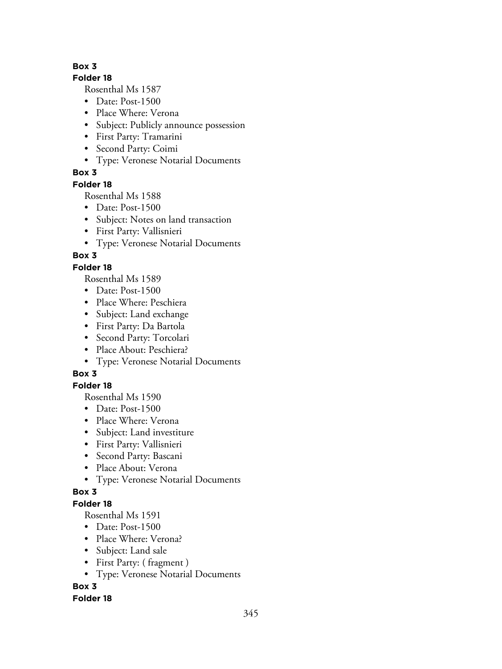## **Folder 18**

Rosenthal Ms 1587

- Date: Post-1500
- Place Where: Verona
- Subject: Publicly announce possession
- First Party: Tramarini
- Second Party: Coimi
- Type: Veronese Notarial Documents

# **Box 3**

# **Folder 18**

Rosenthal Ms 1588

- Date: Post-1500
- Subject: Notes on land transaction
- First Party: Vallisnieri
- Type: Veronese Notarial Documents

# **Box 3**

# **Folder 18**

Rosenthal Ms 1589

- Date: Post-1500
- Place Where: Peschiera
- Subject: Land exchange
- First Party: Da Bartola
- Second Party: Torcolari
- Place About: Peschiera?
- Type: Veronese Notarial Documents

# **Box 3**

# **Folder 18**

Rosenthal Ms 1590

- Date: Post-1500
- Place Where: Verona
- Subject: Land investiture
- First Party: Vallisnieri
- Second Party: Bascani
- Place About: Verona
- Type: Veronese Notarial Documents

# **Box 3**

# **Folder 18**

Rosenthal Ms 1591

- Date: Post-1500
- Place Where: Verona?
- Subject: Land sale
- First Party: ( fragment )
- Type: Veronese Notarial Documents

# **Box 3**

# **Folder 18**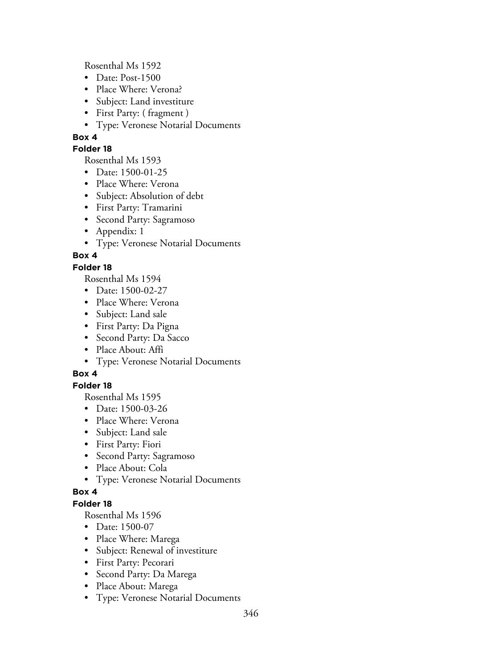Rosenthal Ms 1592

- Date: Post-1500
- Place Where: Verona?
- Subject: Land investiture
- First Party: ( fragment )
- Type: Veronese Notarial Documents

# **Box 4**

## **Folder 18**

Rosenthal Ms 1593

- Date: 1500-01-25
- Place Where: Verona
- Subject: Absolution of debt
- First Party: Tramarini
- Second Party: Sagramoso
- Appendix: 1
- Type: Veronese Notarial Documents

# **Box 4**

# **Folder 18**

Rosenthal Ms 1594

- Date: 1500-02-27
- Place Where: Verona
- Subject: Land sale
- First Party: Da Pigna
- Second Party: Da Sacco
- Place About: Affi
- Type: Veronese Notarial Documents

# **Box 4**

# **Folder 18**

Rosenthal Ms 1595

- Date: 1500-03-26
- Place Where: Verona
- Subject: Land sale
- First Party: Fiori
- Second Party: Sagramoso
- Place About: Cola
- Type: Veronese Notarial Documents

# **Box 4**

# **Folder 18**

- Date: 1500-07
- Place Where: Marega
- Subject: Renewal of investiture
- First Party: Pecorari
- Second Party: Da Marega
- Place About: Marega
- Type: Veronese Notarial Documents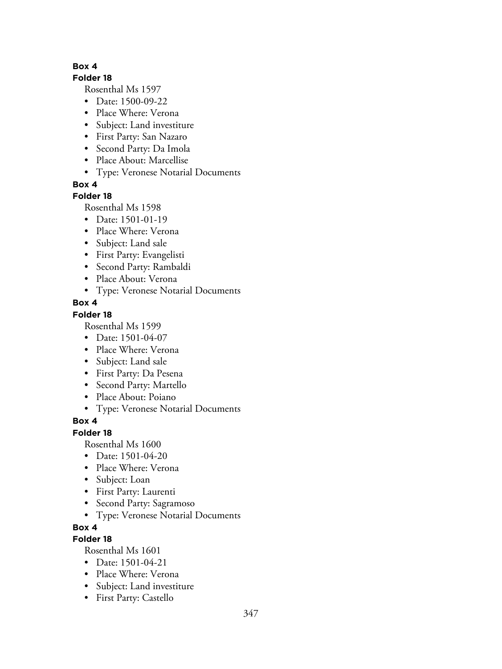#### **Folder 18**

Rosenthal Ms 1597

- Date: 1500-09-22
- Place Where: Verona
- Subject: Land investiture
- First Party: San Nazaro
- Second Party: Da Imola
- Place About: Marcellise
- Type: Veronese Notarial Documents

**Box 4**

# **Folder 18**

Rosenthal Ms 1598

- Date: 1501-01-19
- Place Where: Verona
- Subject: Land sale
- First Party: Evangelisti
- Second Party: Rambaldi
- Place About: Verona
- Type: Veronese Notarial Documents

## **Box 4**

## **Folder 18**

Rosenthal Ms 1599

- Date: 1501-04-07
- Place Where: Verona
- Subject: Land sale
- First Party: Da Pesena
- Second Party: Martello
- Place About: Poiano
- Type: Veronese Notarial Documents

# **Box 4**

# **Folder 18**

Rosenthal Ms 1600

- Date: 1501-04-20
- Place Where: Verona
- Subject: Loan
- First Party: Laurenti
- Second Party: Sagramoso
- Type: Veronese Notarial Documents

# **Box 4**

# **Folder 18**

- Date: 1501-04-21
- Place Where: Verona
- Subject: Land investiture
- First Party: Castello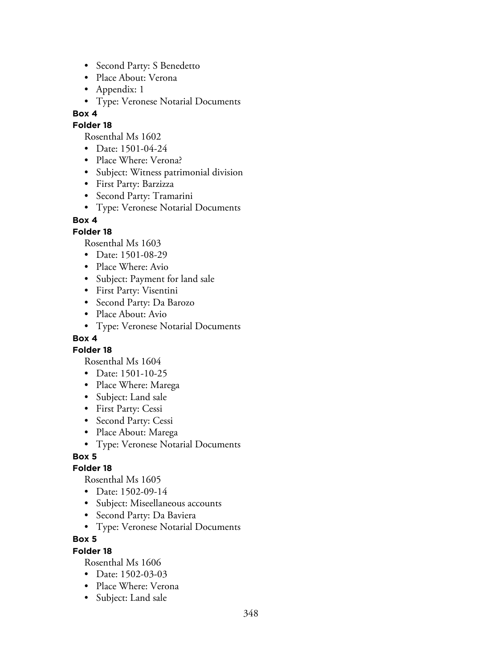- Second Party: S Benedetto
- Place About: Verona
- Appendix: 1
- Type: Veronese Notarial Documents

### **Folder 18**

Rosenthal Ms 1602

- Date: 1501-04-24
- Place Where: Verona?
- Subject: Witness patrimonial division
- First Party: Barzizza
- Second Party: Tramarini
- Type: Veronese Notarial Documents

### **Box 4**

### **Folder 18**

Rosenthal Ms 1603

- Date: 1501-08-29
- Place Where: Avio
- Subject: Payment for land sale
- First Party: Visentini
- Second Party: Da Barozo
- Place About: Avio
- Type: Veronese Notarial Documents

### **Box 4**

**Folder 18**

Rosenthal Ms 1604

- Date: 1501-10-25
- Place Where: Marega
- Subject: Land sale
- First Party: Cessi
- Second Party: Cessi
- Place About: Marega
- Type: Veronese Notarial Documents

### **Box 5**

### **Folder 18**

Rosenthal Ms 1605

- Date: 1502-09-14
- Subject: Miseellaneous accounts
- Second Party: Da Baviera
- Type: Veronese Notarial Documents

### **Box 5**

### **Folder 18**

- Date: 1502-03-03
- Place Where: Verona
- Subject: Land sale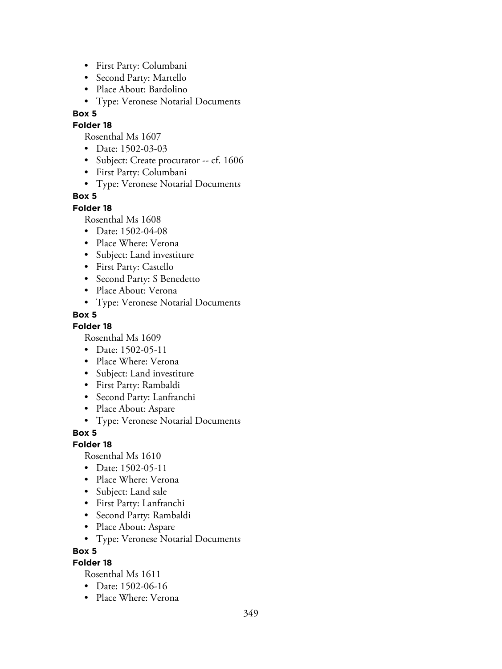- First Party: Columbani
- Second Party: Martello
- Place About: Bardolino
- Type: Veronese Notarial Documents

## **Folder 18**

Rosenthal Ms 1607

- Date: 1502-03-03
- Subject: Create procurator -- cf. 1606
- First Party: Columbani
- Type: Veronese Notarial Documents

# **Box 5**

# **Folder 18**

Rosenthal Ms 1608

- Date: 1502-04-08
- Place Where: Verona
- Subject: Land investiture
- First Party: Castello
- Second Party: S Benedetto
- Place About: Verona
- Type: Veronese Notarial Documents

# **Box 5**

# **Folder 18**

Rosenthal Ms 1609

- Date: 1502-05-11
- Place Where: Verona
- Subject: Land investiture
- First Party: Rambaldi
- Second Party: Lanfranchi
- Place About: Aspare
- Type: Veronese Notarial Documents

**Box 5**

# **Folder 18**

Rosenthal Ms 1610

- Date: 1502-05-11
- Place Where: Verona
- Subject: Land sale
- First Party: Lanfranchi
- Second Party: Rambaldi
- Place About: Aspare
- Type: Veronese Notarial Documents

**Box 5**

# **Folder 18**

- Date: 1502-06-16
- Place Where: Verona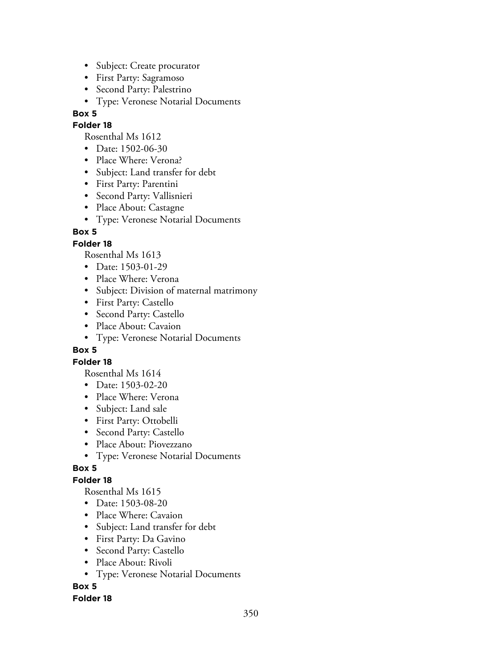- Subject: Create procurator
- First Party: Sagramoso
- Second Party: Palestrino
- Type: Veronese Notarial Documents

### **Folder 18**

Rosenthal Ms 1612

- Date: 1502-06-30
- Place Where: Verona?
- Subject: Land transfer for debt
- First Party: Parentini
- Second Party: Vallisnieri
- Place About: Castagne
- Type: Veronese Notarial Documents

## **Box 5**

## **Folder 18**

Rosenthal Ms 1613

- Date: 1503-01-29
- Place Where: Verona
- Subject: Division of maternal matrimony
- First Party: Castello
- Second Party: Castello
- Place About: Cavaion
- Type: Veronese Notarial Documents

### **Box 5**

### **Folder 18**

Rosenthal Ms 1614

- Date: 1503-02-20
- Place Where: Verona
- Subject: Land sale
- First Party: Ottobelli
- Second Party: Castello
- Place About: Piovezzano
- Type: Veronese Notarial Documents

# **Box 5**

# **Folder 18**

Rosenthal Ms 1615

- Date: 1503-08-20
- Place Where: Cavaion
- Subject: Land transfer for debt
- First Party: Da Gavino
- Second Party: Castello
- Place About: Rivoli
- Type: Veronese Notarial Documents

# **Box 5**

### **Folder 18**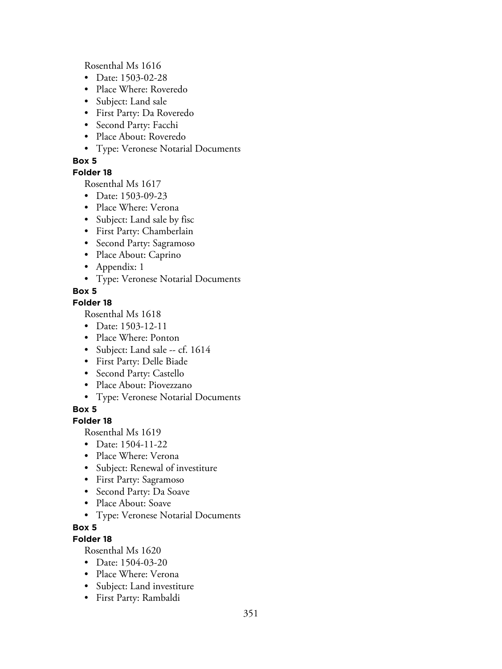Rosenthal Ms 1616

- Date: 1503-02-28
- Place Where: Roveredo
- Subject: Land sale
- First Party: Da Roveredo
- Second Party: Facchi
- Place About: Roveredo
- Type: Veronese Notarial Documents

# **Box 5**

# **Folder 18**

Rosenthal Ms 1617

- Date: 1503-09-23
- Place Where: Verona
- Subject: Land sale by fisc
- First Party: Chamberlain
- Second Party: Sagramoso
- Place About: Caprino
- Appendix: 1
- Type: Veronese Notarial Documents

# **Box 5**

# **Folder 18**

Rosenthal Ms 1618

- Date: 1503-12-11
- Place Where: Ponton
- Subject: Land sale -- cf. 1614
- First Party: Delle Biade
- Second Party: Castello
- Place About: Piovezzano
- Type: Veronese Notarial Documents

# **Box 5**

# **Folder 18**

Rosenthal Ms 1619

- Date: 1504-11-22
- Place Where: Verona
- Subject: Renewal of investiture
- First Party: Sagramoso
- Second Party: Da Soave
- Place About: Soave
- Type: Veronese Notarial Documents

# **Box 5**

# **Folder 18**

- Date: 1504-03-20
- Place Where: Verona
- Subject: Land investiture
- First Party: Rambaldi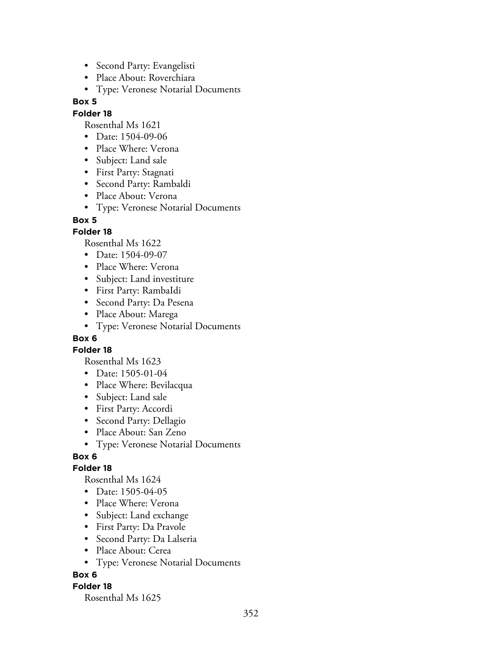- Second Party: Evangelisti
- Place About: Roverchiara
- Type: Veronese Notarial Documents

### **Folder 18**

Rosenthal Ms 1621

- Date: 1504-09-06
- Place Where: Verona
- Subject: Land sale
- First Party: Stagnati
- Second Party: Rambaldi
- Place About: Verona
- Type: Veronese Notarial Documents

#### **Box 5**

### **Folder 18**

Rosenthal Ms 1622

- Date: 1504-09-07
- Place Where: Verona
- Subject: Land investiture
- First Party: RambaIdi
- Second Party: Da Pesena
- Place About: Marega
- Type: Veronese Notarial Documents

## **Box 6**

**Folder 18**

Rosenthal Ms 1623

- Date: 1505-01-04
- Place Where: Bevilacqua
- Subject: Land sale
- First Party: Accordi
- Second Party: Dellagio
- Place About: San Zeno
- Type: Veronese Notarial Documents

### **Box 6**

### **Folder 18**

Rosenthal Ms 1624

- Date: 1505-04-05
- Place Where: Verona
- Subject: Land exchange
- First Party: Da Pravole
- Second Party: Da Lalseria
- Place About: Cerea
- Type: Veronese Notarial Documents

### **Box 6**

### **Folder 18**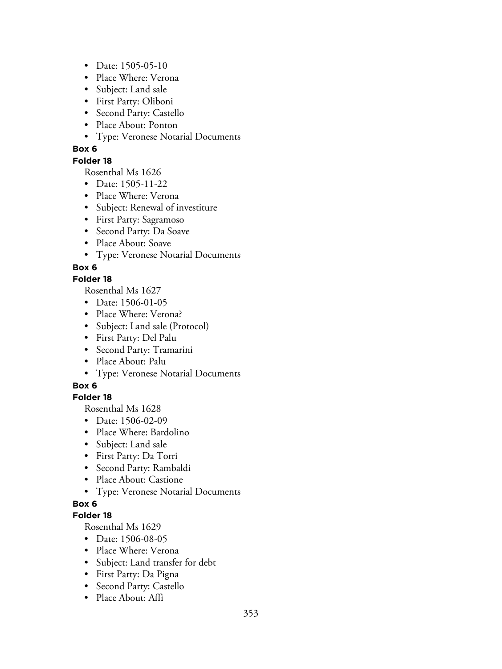- Date: 1505-05-10
- Place Where: Verona
- Subject: Land sale
- First Party: Oliboni
- Second Party: Castello
- Place About: Ponton
- Type: Veronese Notarial Documents

### **Folder 18**

Rosenthal Ms 1626

- Date: 1505-11-22
- Place Where: Verona
- Subject: Renewal of investiture
- First Party: Sagramoso
- Second Party: Da Soave
- Place About: Soave
- Type: Veronese Notarial Documents

# **Box 6**

### **Folder 18**

Rosenthal Ms 1627

- Date: 1506-01-05
- Place Where: Verona?
- Subject: Land sale (Protocol)
- First Party: Del Palu
- Second Party: Tramarini
- Place About: Palu
- Type: Veronese Notarial Documents

# **Box 6**

# **Folder 18**

Rosenthal Ms 1628

- Date: 1506-02-09
- Place Where: Bardolino
- Subject: Land sale
- First Party: Da Torri
- Second Party: Rambaldi
- Place About: Castione
- Type: Veronese Notarial Documents

# **Box 6**

# **Folder 18**

- Date: 1506-08-05
- Place Where: Verona
- Subject: Land transfer for debt
- First Party: Da Pigna
- Second Party: Castello
- Place About: Affi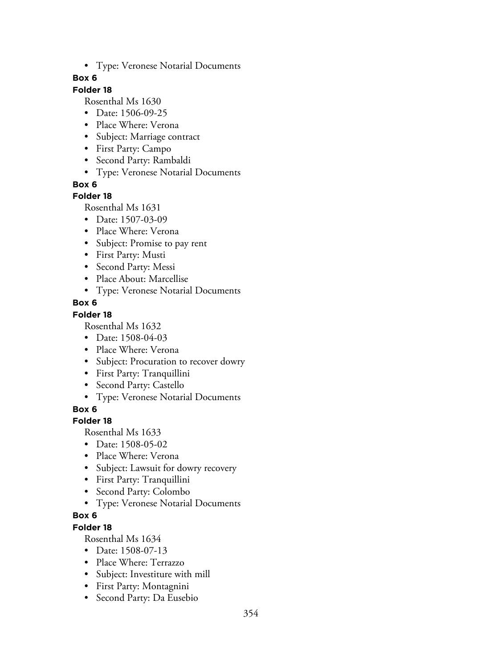• Type: Veronese Notarial Documents

### **Box 6**

## **Folder 18**

Rosenthal Ms 1630

- Date: 1506-09-25
- Place Where: Verona
- Subject: Marriage contract
- First Party: Campo
- Second Party: Rambaldi
- Type: Veronese Notarial Documents

**Box 6**

## **Folder 18**

Rosenthal Ms 1631

- Date: 1507-03-09
- Place Where: Verona
- Subject: Promise to pay rent
- First Party: Musti
- Second Party: Messi
- Place About: Marcellise
- Type: Veronese Notarial Documents

## **Box 6**

## **Folder 18**

Rosenthal Ms 1632

- Date: 1508-04-03
- Place Where: Verona
- Subject: Procuration to recover dowry
- First Party: Tranquillini
- Second Party: Castello
- Type: Veronese Notarial Documents

**Box 6**

# **Folder 18**

Rosenthal Ms 1633

- Date: 1508-05-02
- Place Where: Verona
- Subject: Lawsuit for dowry recovery
- First Party: Tranquillini
- Second Party: Colombo
- Type: Veronese Notarial Documents

# **Box 6**

# **Folder 18**

- Date: 1508-07-13
- Place Where: Terrazzo
- Subject: Investiture with mill
- First Party: Montagnini
- Second Party: Da Eusebio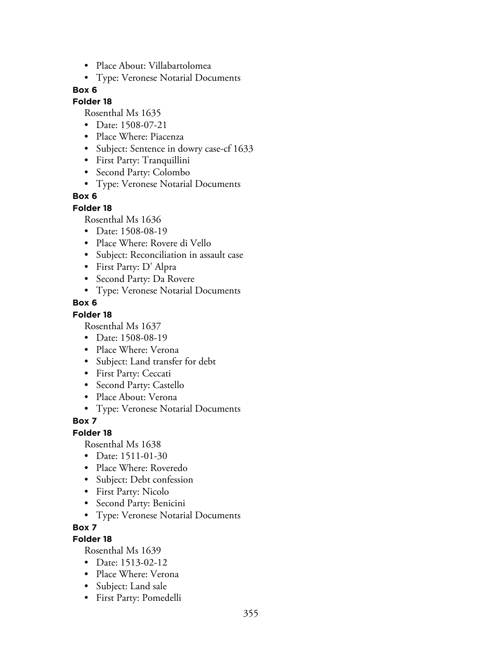- Place About: Villabartolomea
- Type: Veronese Notarial Documents

## **Folder 18**

Rosenthal Ms 1635

- Date: 1508-07-21
- Place Where: Piacenza
- Subject: Sentence in dowry case-cf 1633
- First Party: Tranquillini
- Second Party: Colombo
- Type: Veronese Notarial Documents

#### **Box 6**

#### **Folder 18**

Rosenthal Ms 1636

- Date: 1508-08-19
- Place Where: Rovere di Vello
- Subject: Reconciliation in assault case
- First Party: D' Alpra
- Second Party: Da Rovere
- Type: Veronese Notarial Documents

#### **Box 6**

#### **Folder 18**

Rosenthal Ms 1637

- Date: 1508-08-19
- Place Where: Verona
- Subject: Land transfer for debt
- First Party: Ceccati
- Second Party: Castello
- Place About: Verona
- Type: Veronese Notarial Documents

### **Box 7**

#### **Folder 18**

Rosenthal Ms 1638

- Date: 1511-01-30
- Place Where: Roveredo
- Subject: Debt confession
- First Party: Nicolo
- Second Party: Benicini
- Type: Veronese Notarial Documents

### **Box 7**

### **Folder 18**

- Date: 1513-02-12
- Place Where: Verona
- Subject: Land sale
- First Party: Pomedelli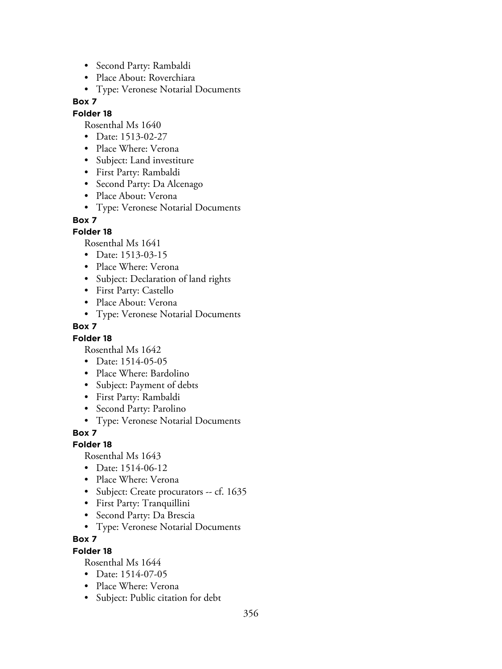- Second Party: Rambaldi
- Place About: Roverchiara
- Type: Veronese Notarial Documents

### **Folder 18**

Rosenthal Ms 1640

- Date: 1513-02-27
- Place Where: Verona
- Subject: Land investiture
- First Party: Rambaldi
- Second Party: Da Alcenago
- Place About: Verona
- Type: Veronese Notarial Documents

### **Box 7**

### **Folder 18**

Rosenthal Ms 1641

- Date: 1513-03-15
- Place Where: Verona
- Subject: Declaration of land rights
- First Party: Castello
- Place About: Verona
- Type: Veronese Notarial Documents

### **Box 7**

### **Folder 18**

Rosenthal Ms 1642

- Date: 1514-05-05
- Place Where: Bardolino
- Subject: Payment of debts
- First Party: Rambaldi
- Second Party: Parolino
- Type: Veronese Notarial Documents

### **Box 7**

### **Folder 18**

Rosenthal Ms 1643

- Date: 1514-06-12
- Place Where: Verona
- Subject: Create procurators -- cf. 1635
- First Party: Tranquillini
- Second Party: Da Brescia
- Type: Veronese Notarial Documents

## **Box 7**

### **Folder 18**

- Date: 1514-07-05
- Place Where: Verona
- Subject: Public citation for debt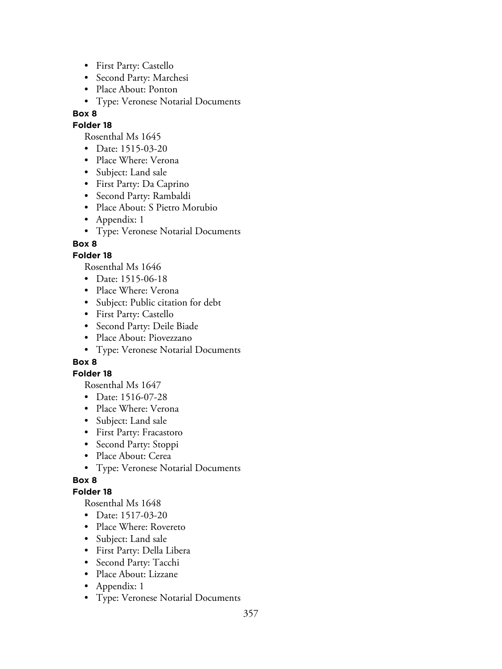- First Party: Castello
- Second Party: Marchesi
- Place About: Ponton
- Type: Veronese Notarial Documents

#### **Folder 18**

Rosenthal Ms 1645

- Date: 1515-03-20
- Place Where: Verona
- Subject: Land sale
- First Party: Da Caprino
- Second Party: Rambaldi
- Place About: S Pietro Morubio
- Appendix: 1
- Type: Veronese Notarial Documents

## **Box 8**

## **Folder 18**

Rosenthal Ms 1646

- Date: 1515-06-18
- Place Where: Verona
- Subject: Public citation for debt
- First Party: Castello
- Second Party: Deile Biade
- Place About: Piovezzano
- Type: Veronese Notarial Documents

# **Box 8**

### **Folder 18**

Rosenthal Ms 1647

- Date: 1516-07-28
- Place Where: Verona
- Subject: Land sale
- First Party: Fracastoro
- Second Party: Stoppi
- Place About: Cerea
- Type: Veronese Notarial Documents

# **Box 8**

### **Folder 18**

- Date: 1517-03-20
- Place Where: Rovereto
- Subject: Land sale
- First Party: Della Libera
- Second Party: Tacchi
- Place About: Lizzane
- Appendix: 1
- Type: Veronese Notarial Documents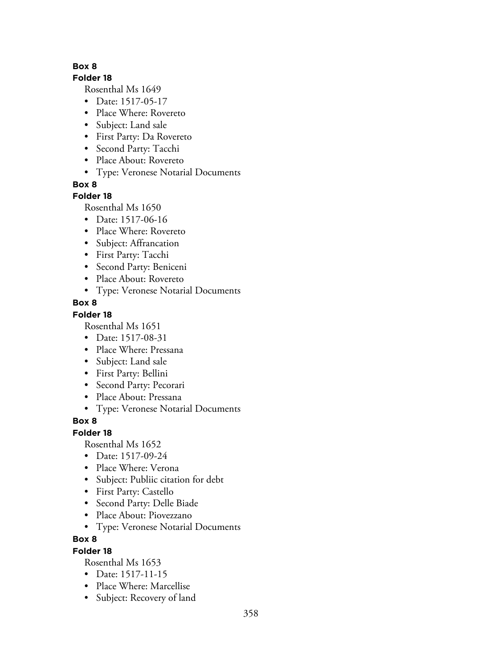### **Folder 18**

Rosenthal Ms 1649

- Date: 1517-05-17
- Place Where: Rovereto
- Subject: Land sale
- First Party: Da Rovereto
- Second Party: Tacchi
- Place About: Rovereto
- Type: Veronese Notarial Documents

**Box 8**

## **Folder 18**

Rosenthal Ms 1650

- Date: 1517-06-16
- Place Where: Rovereto
- Subject: Affrancation
- First Party: Tacchi
- Second Party: Beniceni
- Place About: Rovereto
- Type: Veronese Notarial Documents

# **Box 8**

# **Folder 18**

Rosenthal Ms 1651

- Date: 1517-08-31
- Place Where: Pressana
- Subject: Land sale
- First Party: Bellini
- Second Party: Pecorari
- Place About: Pressana
- Type: Veronese Notarial Documents

# **Box 8**

# **Folder 18**

Rosenthal Ms 1652

- Date: 1517-09-24
- Place Where: Verona
- Subject: Publiic citation for debt
- First Party: Castello
- Second Party: Delle Biade
- Place About: Piovezzano
- Type: Veronese Notarial Documents

# **Box 8**

# **Folder 18**

- Date: 1517-11-15
- Place Where: Marcellise
- Subject: Recovery of land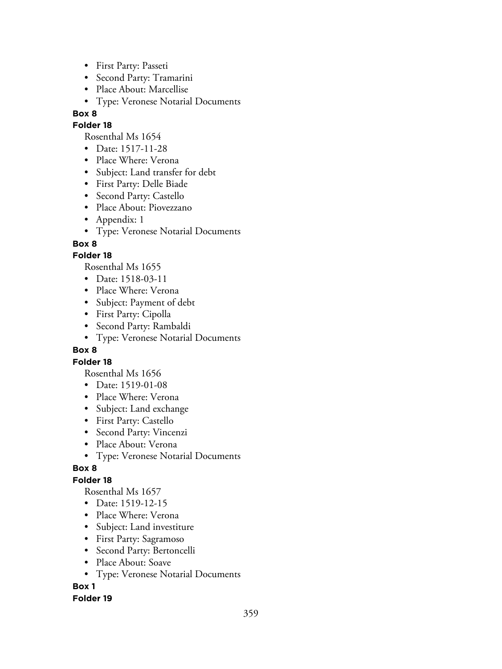- First Party: Passeti
- Second Party: Tramarini
- Place About: Marcellise
- Type: Veronese Notarial Documents

### **Folder 18**

Rosenthal Ms 1654

- Date: 1517-11-28
- Place Where: Verona
- Subject: Land transfer for debt
- First Party: Delle Biade
- Second Party: Castello
- Place About: Piovezzano
- Appendix: 1
- Type: Veronese Notarial Documents

## **Box 8**

## **Folder 18**

Rosenthal Ms 1655

- Date: 1518-03-11
- Place Where: Verona
- Subject: Payment of debt
- First Party: Cipolla
- Second Party: Rambaldi
- Type: Veronese Notarial Documents

### **Box 8**

### **Folder 18**

Rosenthal Ms 1656

- Date: 1519-01-08
- Place Where: Verona
- Subject: Land exchange
- First Party: Castello
- Second Party: Vincenzi
- Place About: Verona
- Type: Veronese Notarial Documents

### **Box 8**

# **Folder 18**

Rosenthal Ms 1657

- Date: 1519-12-15
- Place Where: Verona
- Subject: Land investiture
- First Party: Sagramoso
- Second Party: Bertoncelli
- Place About: Soave
- Type: Veronese Notarial Documents

# **Box 1**

### **Folder 19**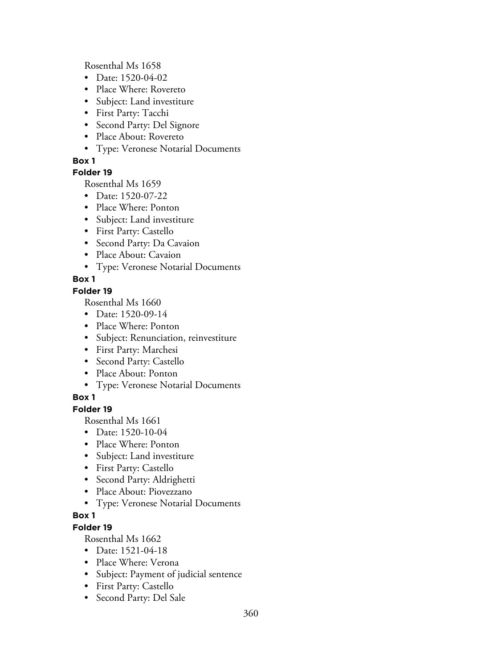Rosenthal Ms 1658

- Date: 1520-04-02
- Place Where: Rovereto
- Subject: Land investiture
- First Party: Tacchi
- Second Party: Del Signore
- Place About: Rovereto
- Type: Veronese Notarial Documents

### **Box 1**

## **Folder 19**

Rosenthal Ms 1659

- Date: 1520-07-22
- Place Where: Ponton
- Subject: Land investiture
- First Party: Castello
- Second Party: Da Cavaion
- Place About: Cavaion
- Type: Veronese Notarial Documents

# **Box 1**

### **Folder 19**

Rosenthal Ms 1660

- Date: 1520-09-14
- Place Where: Ponton
- Subject: Renunciation, reinvestiture
- First Party: Marchesi
- Second Party: Castello
- Place About: Ponton
- Type: Veronese Notarial Documents

# **Box 1**

## **Folder 19**

Rosenthal Ms 1661

- Date: 1520-10-04
- Place Where: Ponton
- Subject: Land investiture
- First Party: Castello
- Second Party: Aldrighetti
- Place About: Piovezzano
- Type: Veronese Notarial Documents

### **Box 1**

# **Folder 19**

- Date: 1521-04-18
- Place Where: Verona
- Subject: Payment of judicial sentence
- First Party: Castello
- Second Party: Del Sale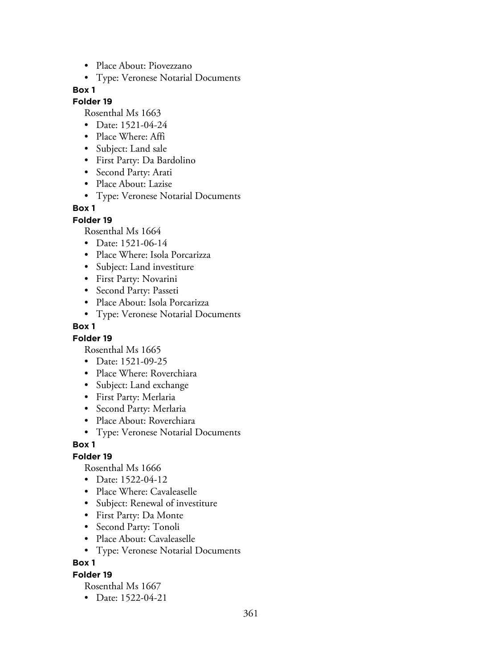- Place About: Piovezzano
- Type: Veronese Notarial Documents

#### **Folder 19**

Rosenthal Ms 1663

- Date: 1521-04-24
- Place Where: Affi
- Subject: Land sale
- First Party: Da Bardolino
- Second Party: Arati
- Place About: Lazise
- Type: Veronese Notarial Documents

## **Box 1**

#### **Folder 19**

Rosenthal Ms 1664

- Date: 1521-06-14
- Place Where: Isola Porcarizza
- Subject: Land investiture
- First Party: Novarini
- Second Party: Passeti
- Place About: Isola Porcarizza
- Type: Veronese Notarial Documents

## **Box 1**

#### **Folder 19**

Rosenthal Ms 1665

- Date: 1521-09-25
- Place Where: Roverchiara
- Subject: Land exchange
- First Party: Merlaria
- Second Party: Merlaria
- Place About: Roverchiara
- Type: Veronese Notarial Documents

## **Box 1**

## **Folder 19**

Rosenthal Ms 1666

- Date: 1522-04-12
- Place Where: Cavaleaselle
- Subject: Renewal of investiture
- First Party: Da Monte
- Second Party: Tonoli
- Place About: Cavaleaselle
- Type: Veronese Notarial Documents

## **Box 1**

## **Folder 19**

Rosenthal Ms 1667

• Date: 1522-04-21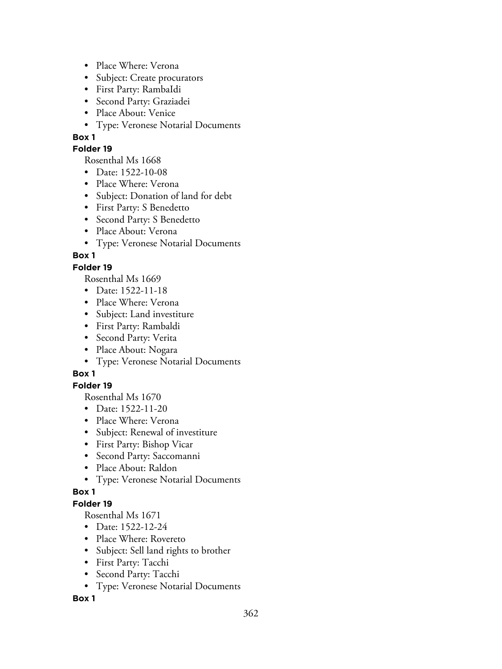- Place Where: Verona
- Subject: Create procurators
- First Party: RambaIdi
- Second Party: Graziadei
- Place About: Venice
- Type: Veronese Notarial Documents

## **Folder 19**

Rosenthal Ms 1668

- Date: 1522-10-08
- Place Where: Verona
- Subject: Donation of land for debt
- First Party: S Benedetto
- Second Party: S Benedetto
- Place About: Verona
- Type: Veronese Notarial Documents

# **Box 1**

## **Folder 19**

Rosenthal Ms 1669

- Date: 1522-11-18
- Place Where: Verona
- Subject: Land investiture
- First Party: Rambaldi
- Second Party: Verita
- Place About: Nogara
- Type: Veronese Notarial Documents

# **Box 1**

## **Folder 19**

Rosenthal Ms 1670

- Date: 1522-11-20
- Place Where: Verona
- Subject: Renewal of investiture
- First Party: Bishop Vicar
- Second Party: Saccomanni
- Place About: Raldon
- Type: Veronese Notarial Documents

## **Box 1**

## **Folder 19**

Rosenthal Ms 1671

- Date: 1522-12-24
- Place Where: Rovereto
- Subject: Sell land rights to brother
- First Party: Tacchi
- Second Party: Tacchi
- Type: Veronese Notarial Documents

## **Box 1**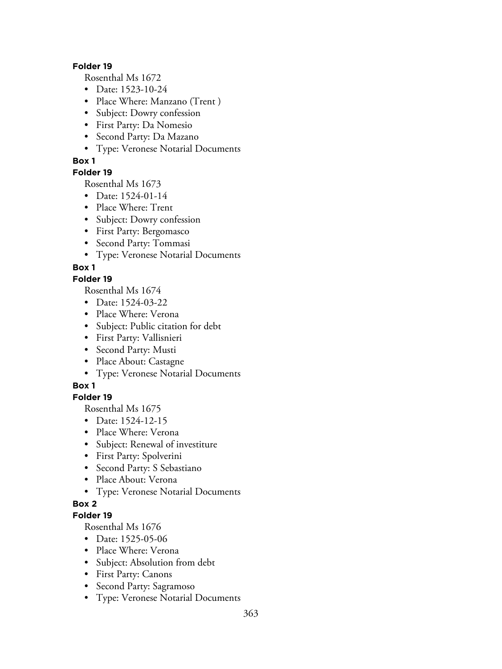#### **Folder 19**

Rosenthal Ms 1672

- Date: 1523-10-24
- Place Where: Manzano (Trent)
- Subject: Dowry confession
- First Party: Da Nomesio
- Second Party: Da Mazano
- Type: Veronese Notarial Documents

## **Box 1**

## **Folder 19**

Rosenthal Ms 1673

- Date: 1524-01-14
- Place Where: Trent
- Subject: Dowry confession
- First Party: Bergomasco
- Second Party: Tommasi
- Type: Veronese Notarial Documents

## **Box 1**

## **Folder 19**

Rosenthal Ms 1674

- Date: 1524-03-22
- Place Where: Verona
- Subject: Public citation for debt
- First Party: Vallisnieri
- Second Party: Musti
- Place About: Castagne
- Type: Veronese Notarial Documents

# **Box 1**

## **Folder 19**

Rosenthal Ms 1675

- Date: 1524-12-15
- Place Where: Verona
- Subject: Renewal of investiture
- First Party: Spolverini
- Second Party: S Sebastiano
- Place About: Verona
- Type: Veronese Notarial Documents

# **Box 2**

## **Folder 19**

- Date: 1525-05-06
- Place Where: Verona
- Subject: Absolution from debt
- First Party: Canons
- Second Party: Sagramoso
- Type: Veronese Notarial Documents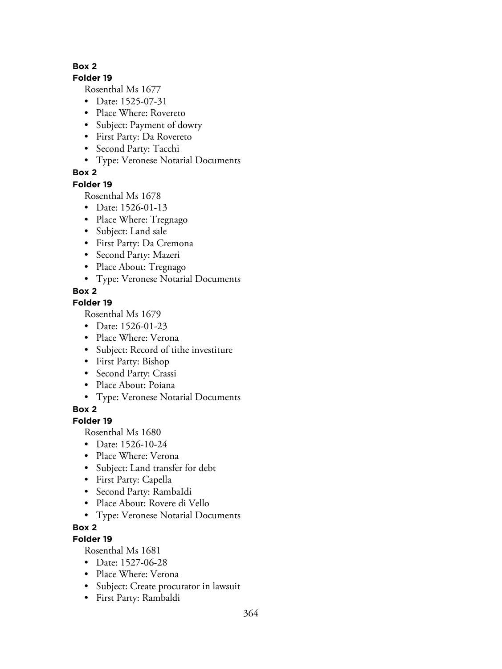## **Folder 19**

Rosenthal Ms 1677

- Date: 1525-07-31
- Place Where: Rovereto
- Subject: Payment of dowry
- First Party: Da Rovereto
- Second Party: Tacchi
- Type: Veronese Notarial Documents

# **Box 2**

## **Folder 19**

Rosenthal Ms 1678

- Date: 1526-01-13
- Place Where: Tregnago
- Subject: Land sale
- First Party: Da Cremona
- Second Party: Mazeri
- Place About: Tregnago
- Type: Veronese Notarial Documents

# **Box 2**

# **Folder 19**

Rosenthal Ms 1679

- Date: 1526-01-23
- Place Where: Verona
- Subject: Record of tithe investiture
- First Party: Bishop
- Second Party: Crassi
- Place About: Poiana
- Type: Veronese Notarial Documents

**Box 2**

# **Folder 19**

Rosenthal Ms 1680

- Date: 1526-10-24
- Place Where: Verona
- Subject: Land transfer for debt
- First Party: Capella
- Second Party: RambaIdi
- Place About: Rovere di Vello
- Type: Veronese Notarial Documents

# **Box 2**

# **Folder 19**

- Date: 1527-06-28
- Place Where: Verona
- Subject: Create procurator in lawsuit
- First Party: Rambaldi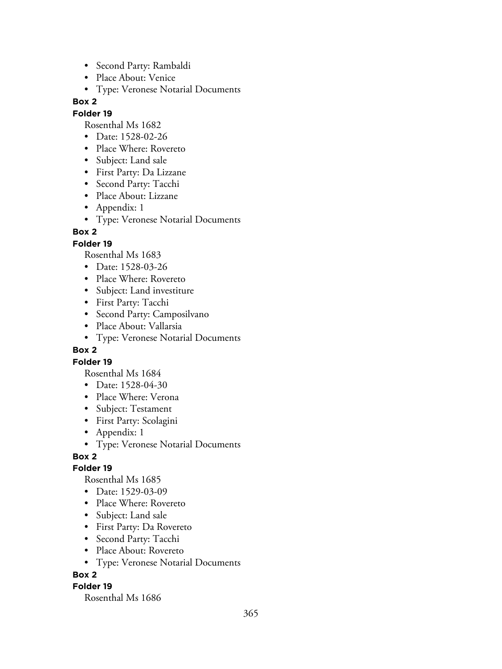- Second Party: Rambaldi
- Place About: Venice
- Type: Veronese Notarial Documents

## **Folder 19**

Rosenthal Ms 1682

- Date: 1528-02-26
- Place Where: Rovereto
- Subject: Land sale
- First Party: Da Lizzane
- Second Party: Tacchi
- Place About: Lizzane
- Appendix: 1
- Type: Veronese Notarial Documents

## **Box 2**

## **Folder 19**

Rosenthal Ms 1683

- Date: 1528-03-26
- Place Where: Rovereto
- Subject: Land investiture
- First Party: Tacchi
- Second Party: Camposilvano
- Place About: Vallarsia
- Type: Veronese Notarial Documents

## **Box 2**

## **Folder 19**

Rosenthal Ms 1684

- Date: 1528-04-30
- Place Where: Verona
- Subject: Testament
- First Party: Scolagini
- Appendix: 1
- Type: Veronese Notarial Documents

# **Box 2**

## **Folder 19**

Rosenthal Ms 1685

- Date: 1529-03-09
- Place Where: Rovereto
- Subject: Land sale
- First Party: Da Rovereto
- Second Party: Tacchi
- Place About: Rovereto
- Type: Veronese Notarial Documents

# **Box 2**

## **Folder 19**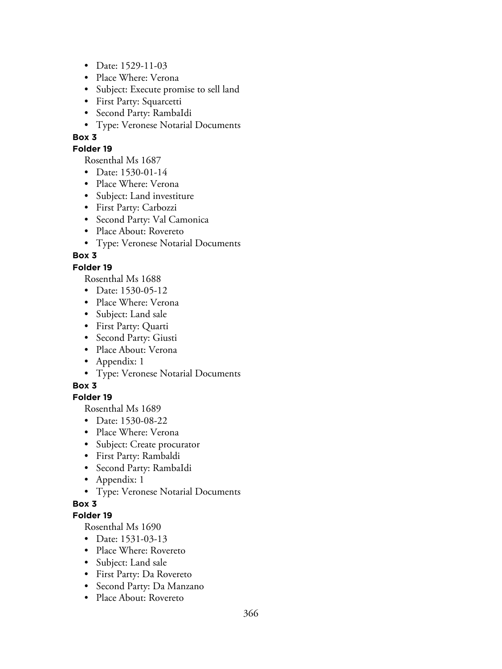- Date: 1529-11-03
- Place Where: Verona
- Subject: Execute promise to sell land
- First Party: Squarcetti
- Second Party: RambaIdi
- Type: Veronese Notarial Documents

#### **Folder 19**

Rosenthal Ms 1687

- Date: 1530-01-14
- Place Where: Verona
- Subject: Land investiture
- First Party: Carbozzi
- Second Party: Val Camonica
- Place About: Rovereto
- Type: Veronese Notarial Documents

# **Box 3**

## **Folder 19**

Rosenthal Ms 1688

- Date: 1530-05-12
- Place Where: Verona
- Subject: Land sale
- First Party: Quarti
- Second Party: Giusti
- Place About: Verona
- Appendix: 1
- Type: Veronese Notarial Documents

## **Box 3**

# **Folder 19**

Rosenthal Ms 1689

- Date: 1530-08-22
- Place Where: Verona
- Subject: Create procurator
- First Party: Rambaldi
- Second Party: RambaIdi
- Appendix: 1
- Type: Veronese Notarial Documents

# **Box 3**

## **Folder 19**

- Date: 1531-03-13
- Place Where: Rovereto
- Subject: Land sale
- First Party: Da Rovereto
- Second Party: Da Manzano
- Place About: Rovereto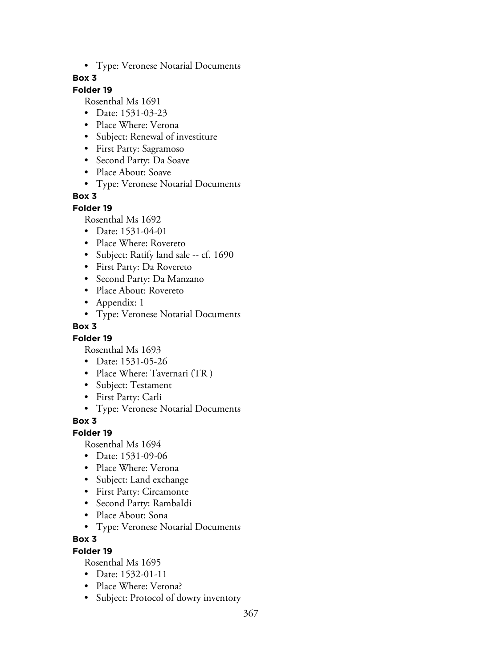• Type: Veronese Notarial Documents

## **Box 3**

# **Folder 19**

Rosenthal Ms 1691

- Date: 1531-03-23
- Place Where: Verona
- Subject: Renewal of investiture
- First Party: Sagramoso
- Second Party: Da Soave
- Place About: Soave
- Type: Veronese Notarial Documents

## **Box 3**

#### **Folder 19**

Rosenthal Ms 1692

- Date: 1531-04-01
- Place Where: Rovereto
- Subject: Ratify land sale -- cf. 1690
- First Party: Da Rovereto
- Second Party: Da Manzano
- Place About: Rovereto
- Appendix: 1
- Type: Veronese Notarial Documents

#### **Box 3**

## **Folder 19**

Rosenthal Ms 1693

- Date: 1531-05-26
- Place Where: Tavernari (TR)
- Subject: Testament
- First Party: Carli
- Type: Veronese Notarial Documents

## **Box 3**

## **Folder 19**

Rosenthal Ms 1694

- Date: 1531-09-06
- Place Where: Verona
- Subject: Land exchange
- First Party: Circamonte
- Second Party: RambaIdi
- Place About: Sona
- Type: Veronese Notarial Documents

## **Box 3**

## **Folder 19**

- Date: 1532-01-11
- Place Where: Verona?
- Subject: Protocol of dowry inventory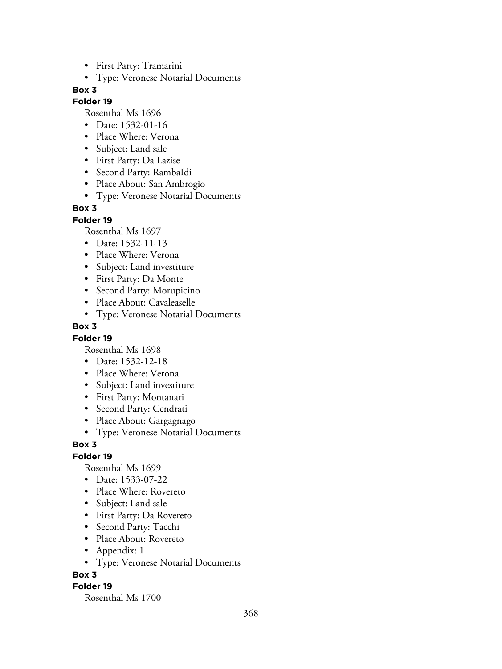- First Party: Tramarini
- Type: Veronese Notarial Documents

#### **Folder 19**

Rosenthal Ms 1696

- Date: 1532-01-16
- Place Where: Verona
- Subject: Land sale
- First Party: Da Lazise
- Second Party: RambaIdi
- Place About: San Ambrogio
- Type: Veronese Notarial Documents

#### **Box 3**

#### **Folder 19**

Rosenthal Ms 1697

- Date: 1532-11-13
- Place Where: Verona
- Subject: Land investiture
- First Party: Da Monte
- Second Party: Morupicino
- Place About: Cavaleaselle
- Type: Veronese Notarial Documents

#### **Box 3**

#### **Folder 19**

Rosenthal Ms 1698

- Date: 1532-12-18
- Place Where: Verona
- Subject: Land investiture
- First Party: Montanari
- Second Party: Cendrati
- Place About: Gargagnago
- Type: Veronese Notarial Documents

#### **Box 3**

#### **Folder 19**

Rosenthal Ms 1699

- Date: 1533-07-22
- Place Where: Rovereto
- Subject: Land sale
- First Party: Da Rovereto
- Second Party: Tacchi
- Place About: Rovereto
- Appendix: 1
- Type: Veronese Notarial Documents

#### **Box 3**

#### **Folder 19**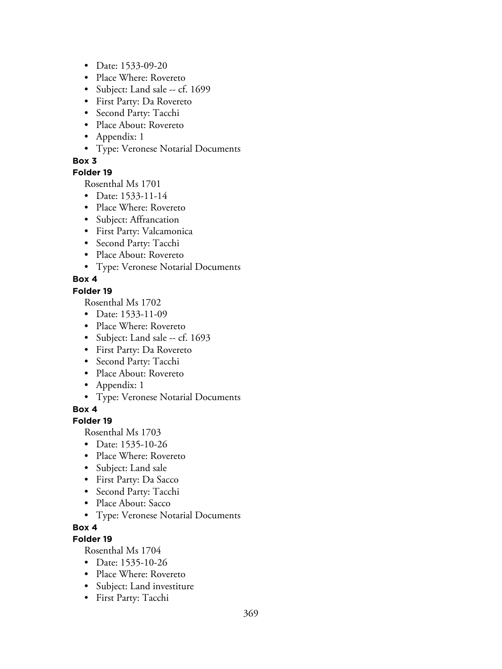- Date: 1533-09-20
- Place Where: Rovereto
- Subject: Land sale -- cf. 1699
- First Party: Da Rovereto
- Second Party: Tacchi
- Place About: Rovereto
- Appendix: 1
- Type: Veronese Notarial Documents

#### **Folder 19**

Rosenthal Ms 1701

- Date: 1533-11-14
- Place Where: Rovereto
- Subject: Affrancation
- First Party: Valcamonica
- Second Party: Tacchi
- Place About: Rovereto
- Type: Veronese Notarial Documents

#### **Box 4**

#### **Folder 19**

Rosenthal Ms 1702

- Date: 1533-11-09
- Place Where: Rovereto
- Subject: Land sale -- cf. 1693
- First Party: Da Rovereto
- Second Party: Tacchi
- Place About: Rovereto
- Appendix: 1
- Type: Veronese Notarial Documents

**Box 4**

## **Folder 19**

Rosenthal Ms 1703

- Date: 1535-10-26
- Place Where: Rovereto
- Subject: Land sale
- First Party: Da Sacco
- Second Party: Tacchi
- Place About: Sacco
- Type: Veronese Notarial Documents
- **Box 4**

## **Folder 19**

- Date: 1535-10-26
- Place Where: Rovereto
- Subject: Land investiture
- First Party: Tacchi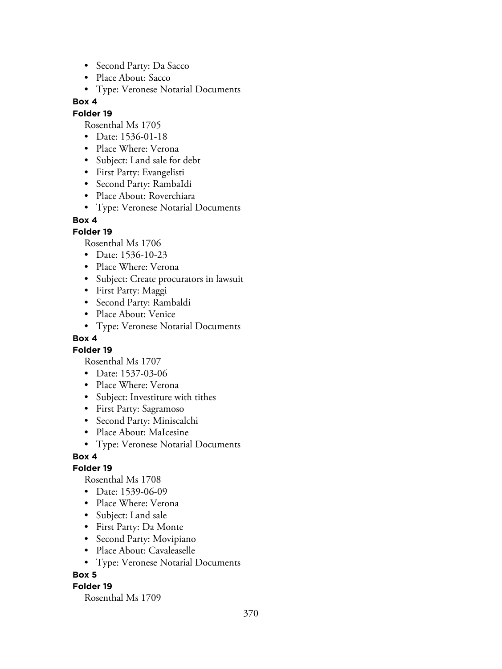- Second Party: Da Sacco
- Place About: Sacco
- Type: Veronese Notarial Documents

## **Folder 19**

Rosenthal Ms 1705

- Date: 1536-01-18
- Place Where: Verona
- Subject: Land sale for debt
- First Party: Evangelisti
- Second Party: RambaIdi
- Place About: Roverchiara
- Type: Veronese Notarial Documents

## **Box 4**

## **Folder 19**

Rosenthal Ms 1706

- Date: 1536-10-23
- Place Where: Verona
- Subject: Create procurators in lawsuit
- First Party: Maggi
- Second Party: Rambaldi
- Place About: Venice
- Type: Veronese Notarial Documents

## **Box 4**

**Folder 19**

Rosenthal Ms 1707

- Date: 1537-03-06
- Place Where: Verona
- Subject: Investiture with tithes
- First Party: Sagramoso
- Second Party: Miniscalchi
- Place About: MaIcesine
- Type: Veronese Notarial Documents

## **Box 4**

## **Folder 19**

Rosenthal Ms 1708

- Date: 1539-06-09
- Place Where: Verona
- Subject: Land sale
- First Party: Da Monte
- Second Party: Movipiano
- Place About: Cavaleaselle
- Type: Veronese Notarial Documents

## **Box 5**

## **Folder 19**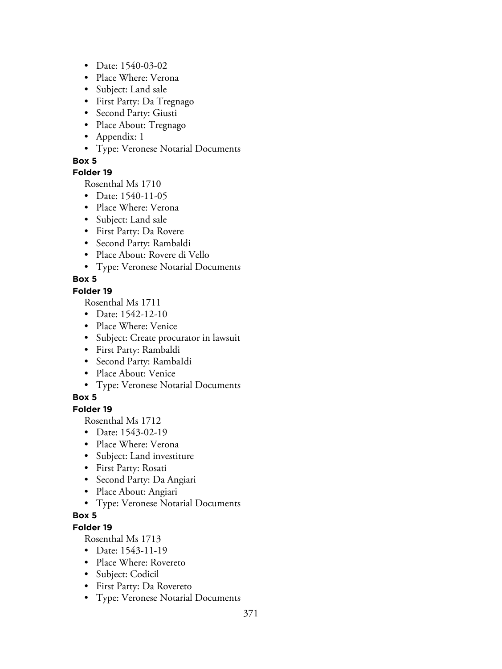- Date: 1540-03-02
- Place Where: Verona
- Subject: Land sale
- First Party: Da Tregnago
- Second Party: Giusti
- Place About: Tregnago
- Appendix: 1
- Type: Veronese Notarial Documents

## **Folder 19**

Rosenthal Ms 1710

- Date: 1540-11-05
- Place Where: Verona
- Subject: Land sale
- First Party: Da Rovere
- Second Party: Rambaldi
- Place About: Rovere di Vello
- Type: Veronese Notarial Documents

# **Box 5**

## **Folder 19**

Rosenthal Ms 1711

- Date: 1542-12-10
- Place Where: Venice
- Subject: Create procurator in lawsuit
- First Party: Rambaldi
- Second Party: RambaIdi
- Place About: Venice
- Type: Veronese Notarial Documents

# **Box 5**

# **Folder 19**

Rosenthal Ms 1712

- Date: 1543-02-19
- Place Where: Verona
- Subject: Land investiture
- First Party: Rosati
- Second Party: Da Angiari
- Place About: Angiari
- Type: Veronese Notarial Documents

# **Box 5**

# **Folder 19**

- Date: 1543-11-19
- Place Where: Rovereto
- Subject: Codicil
- First Party: Da Rovereto
- Type: Veronese Notarial Documents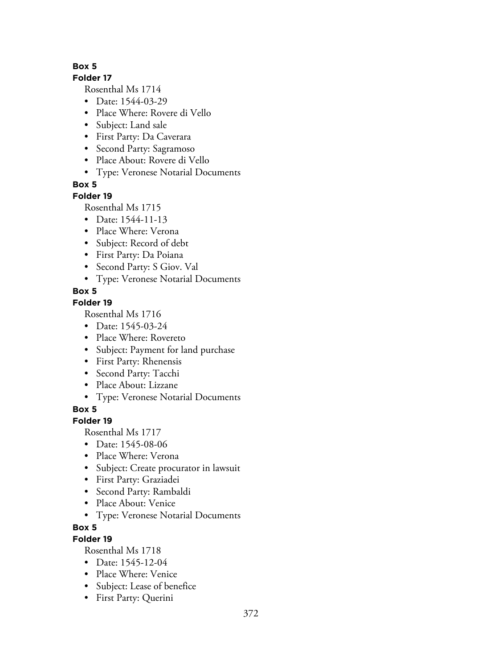## **Folder 17**

Rosenthal Ms 1714

- Date: 1544-03-29
- Place Where: Rovere di Vello
- Subject: Land sale
- First Party: Da Caverara
- Second Party: Sagramoso
- Place About: Rovere di Vello
- Type: Veronese Notarial Documents

**Box 5**

# **Folder 19**

Rosenthal Ms 1715

- Date: 1544-11-13
- Place Where: Verona
- Subject: Record of debt
- First Party: Da Poiana
- Second Party: S Giov. Val
- Type: Veronese Notarial Documents

# **Box 5**

# **Folder 19**

Rosenthal Ms 1716

- Date: 1545-03-24
- Place Where: Rovereto
- Subject: Payment for land purchase
- First Party: Rhenensis
- Second Party: Tacchi
- Place About: Lizzane
- Type: Veronese Notarial Documents

**Box 5**

# **Folder 19**

Rosenthal Ms 1717

- Date: 1545-08-06
- Place Where: Verona
- Subject: Create procurator in lawsuit
- First Party: Graziadei
- Second Party: Rambaldi
- Place About: Venice
- Type: Veronese Notarial Documents

# **Box 5**

# **Folder 19**

- Date: 1545-12-04
- Place Where: Venice
- Subject: Lease of benefice
- First Party: Querini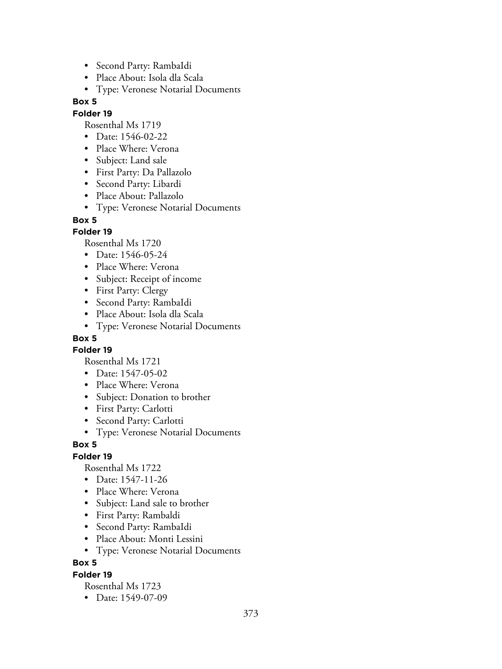- Second Party: RambaIdi
- Place About: Isola dla Scala
- Type: Veronese Notarial Documents

## **Folder 19**

Rosenthal Ms 1719

- Date: 1546-02-22
- Place Where: Verona
- Subject: Land sale
- First Party: Da Pallazolo
- Second Party: Libardi
- Place About: Pallazolo
- Type: Veronese Notarial Documents

## **Box 5**

## **Folder 19**

Rosenthal Ms 1720

- Date: 1546-05-24
- Place Where: Verona
- Subject: Receipt of income
- First Party: Clergy
- Second Party: RambaIdi
- Place About: Isola dla Scala
- Type: Veronese Notarial Documents

# **Box 5**

**Folder 19**

Rosenthal Ms 1721

- Date: 1547-05-02
- Place Where: Verona
- Subject: Donation to brother
- First Party: Carlotti
- Second Party: Carlotti
- Type: Veronese Notarial Documents

## **Box 5**

# **Folder 19**

Rosenthal Ms 1722

- Date: 1547-11-26
- Place Where: Verona
- Subject: Land sale to brother
- First Party: Rambaldi
- Second Party: RambaIdi
- Place About: Monti Lessini
- Type: Veronese Notarial Documents

## **Box 5**

## **Folder 19**

Rosenthal Ms 1723

• Date: 1549-07-09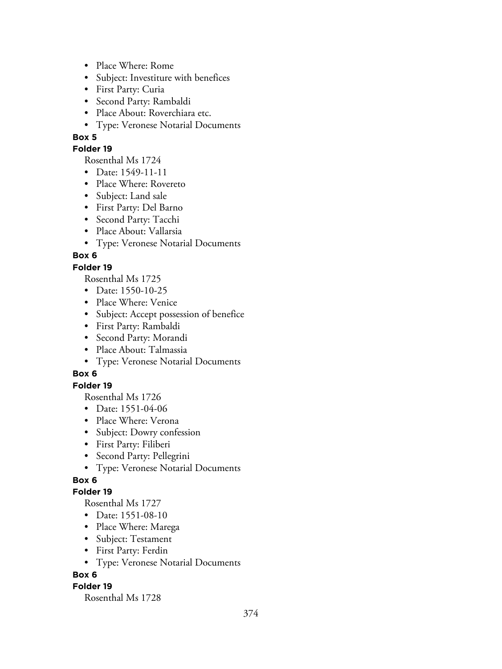- Place Where: Rome
- Subject: Investiture with benefices
- First Party: Curia
- Second Party: Rambaldi
- Place About: Roverchiara etc.
- Type: Veronese Notarial Documents

#### **Folder 19**

Rosenthal Ms 1724

- Date: 1549-11-11
- Place Where: Rovereto
- Subject: Land sale
- First Party: Del Barno
- Second Party: Tacchi
- Place About: Vallarsia
- Type: Veronese Notarial Documents

## **Box 6**

## **Folder 19**

Rosenthal Ms 1725

- Date: 1550-10-25
- Place Where: Venice
- Subject: Accept possession of benefice
- First Party: Rambaldi
- Second Party: Morandi
- Place About: Talmassia
- Type: Veronese Notarial Documents

# **Box 6**

## **Folder 19**

Rosenthal Ms 1726

- Date: 1551-04-06
- Place Where: Verona
- Subject: Dowry confession
- First Party: Filiberi
- Second Party: Pellegrini
- Type: Veronese Notarial Documents

# **Box 6**

## **Folder 19**

Rosenthal Ms 1727

- Date: 1551-08-10
- Place Where: Marega
- Subject: Testament
- First Party: Ferdin
- Type: Veronese Notarial Documents

## **Box 6**

## **Folder 19**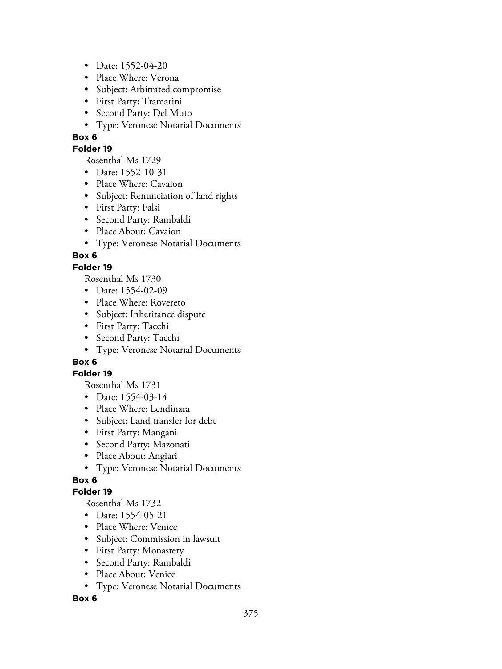- Date: 1552-04-20
- Place Where: Verona
- Subject: Arbitrated compromise
- First Party: Tramarini
- Second Party: Del Muto
- Type: Veronese Notarial Documents

#### **Folder 19**

Rosenthal Ms 1729

- Date: 1552-10-31
- Place Where: Cavaion
- Subject: Renunciation of land rights
- First Party: Falsi
- Second Party: Rambaldi
- Place About: Cavaion
- Type: Veronese Notarial Documents

## **Box 6**

## **Folder 19**

Rosenthal Ms 1730

- Date: 1554-02-09
- Place Where: Rovereto
- Subject: Inheritance dispute
- First Party: Tacchi
- Second Party: Tacchi
- Type: Veronese Notarial Documents

# **Box 6**

## **Folder 19**

Rosenthal Ms 1731

- Date: 1554-03-14
- Place Where: Lendinara
- Subject: Land transfer for debt
- First Party: Mangani
- Second Party: Mazonati
- Place About: Angiari
- Type: Veronese Notarial Documents

# **Box 6**

## **Folder 19**

Rosenthal Ms 1732

- Date: 1554-05-21
- Place Where: Venice
- Subject: Commission in lawsuit
- First Party: Monastery
- Second Party: Rambaldi
- Place About: Venice
- Type: Veronese Notarial Documents

## **Box 6**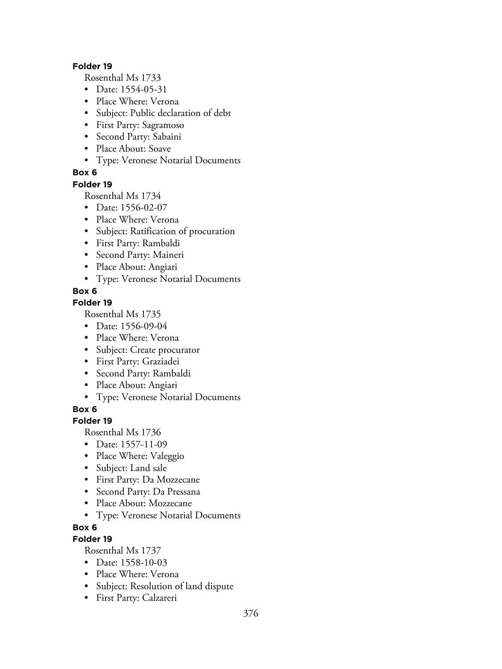#### **Folder 19**

Rosenthal Ms 1733

- Date: 1554-05-31
- Place Where: Verona
- Subject: Public declaration of debt
- First Party: Sagramoso
- Second Party: Sabaini
- Place About: Soave
- Type: Veronese Notarial Documents

## **Box 6**

#### **Folder 19**

Rosenthal Ms 1734

- Date: 1556-02-07
- Place Where: Verona
- Subject: Ratification of procuration
- First Party: Rambaldi
- Second Party: Maineri
- Place About: Angiari
- Type: Veronese Notarial Documents

## **Box 6**

## **Folder 19**

Rosenthal Ms 1735

- Date: 1556-09-04
- Place Where: Verona
- Subject: Create procurator
- First Party: Graziadei
- Second Party: Rambaldi
- Place About: Angiari
- Type: Veronese Notarial Documents

**Box 6**

## **Folder 19**

Rosenthal Ms 1736

- Date: 1557-11-09
- Place Where: Valeggio
- Subject: Land sale
- First Party: Da Mozzecane
- Second Party: Da Pressana
- Place About: Mozzecane
- Type: Veronese Notarial Documents

# **Box 6**

# **Folder 19**

- Date: 1558-10-03
- Place Where: Verona
- Subject: Resolution of land dispute
- First Party: Calzareri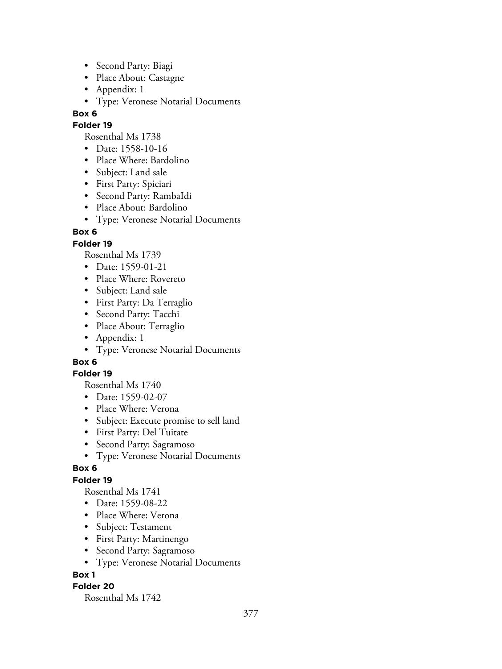- Second Party: Biagi
- Place About: Castagne
- Appendix: 1
- Type: Veronese Notarial Documents

## **Folder 19**

Rosenthal Ms 1738

- Date: 1558-10-16
- Place Where: Bardolino
- Subject: Land sale
- First Party: Spiciari
- Second Party: RambaIdi
- Place About: Bardolino
- Type: Veronese Notarial Documents

# **Box 6**

# **Folder 19**

Rosenthal Ms 1739

- Date: 1559-01-21
- Place Where: Rovereto
- Subject: Land sale
- First Party: Da Terraglio
- Second Party: Tacchi
- Place About: Terraglio
- Appendix: 1
- Type: Veronese Notarial Documents

# **Box 6**

## **Folder 19**

Rosenthal Ms 1740

- Date: 1559-02-07
- Place Where: Verona
- Subject: Execute promise to sell land
- First Party: Del Tuitate
- Second Party: Sagramoso
- Type: Veronese Notarial Documents

# **Box 6**

# **Folder 19**

Rosenthal Ms 1741

- Date: 1559-08-22
- Place Where: Verona
- Subject: Testament
- First Party: Martinengo
- Second Party: Sagramoso
- Type: Veronese Notarial Documents

# **Box 1**

# **Folder 20**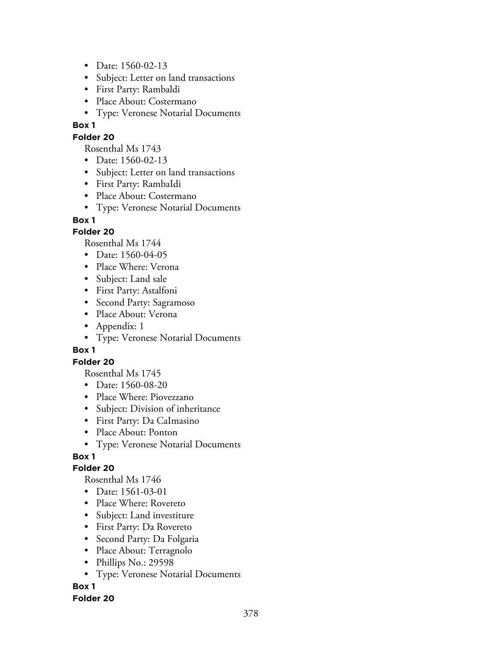- Date: 1560-02-13
- Subject: Letter on land transactions
- First Party: Rambaldi
- Place About: Costermano
- Type: Veronese Notarial Documents

## **Folder 20**

Rosenthal Ms 1743

- Date: 1560-02-13
- Subject: Letter on land transactions
- First Party: RambaIdi
- Place About: Costermano
- Type: Veronese Notarial Documents

## **Box 1**

## **Folder 20**

Rosenthal Ms 1744

- Date: 1560-04-05
- Place Where: Verona
- Subject: Land sale
- First Party: Astalfoni
- Second Party: Sagramoso
- Place About: Verona
- Appendix: 1
- Type: Veronese Notarial Documents

## **Box 1**

## **Folder 20**

Rosenthal Ms 1745

- Date: 1560-08-20
- Place Where: Piovezzano
- Subject: Division of inheritance
- First Party: Da CaImasino
- Place About: Ponton
- Type: Veronese Notarial Documents

# **Box 1**

## **Folder 20**

Rosenthal Ms 1746

- Date: 1561-03-01
- Place Where: Rovereto
- Subject: Land investiture
- First Party: Da Rovereto
- Second Party: Da Folgaria
- Place About: Terragnolo
- Phillips No.: 29598
- Type: Veronese Notarial Documents

# **Box 1**

## **Folder 20**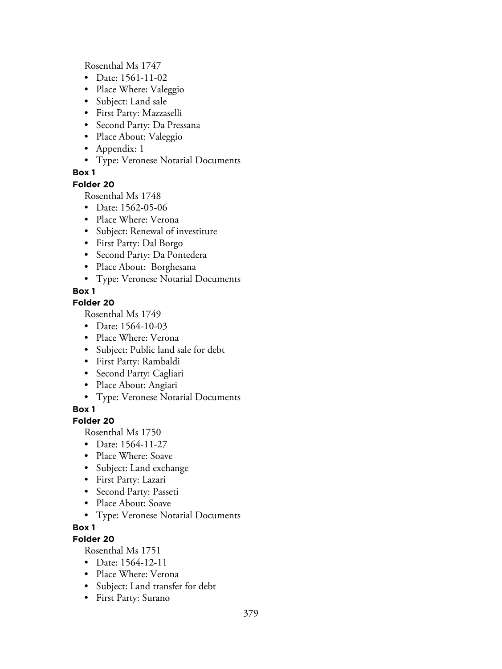Rosenthal Ms 1747

- Date: 1561-11-02
- Place Where: Valeggio
- Subject: Land sale
- First Party: Mazzaselli
- Second Party: Da Pressana
- Place About: Valeggio
- Appendix: 1
- Type: Veronese Notarial Documents

## **Box 1**

#### **Folder 20**

Rosenthal Ms 1748

- Date: 1562-05-06
- Place Where: Verona
- Subject: Renewal of investiture
- First Party: Dal Borgo
- Second Party: Da Pontedera
- Place About: Borghesana
- Type: Veronese Notarial Documents

## **Box 1**

## **Folder 20**

Rosenthal Ms 1749

- Date: 1564-10-03
- Place Where: Verona
- Subject: Public land sale for debt
- First Party: Rambaldi
- Second Party: Cagliari
- Place About: Angiari
- Type: Veronese Notarial Documents

## **Box 1**

## **Folder 20**

Rosenthal Ms 1750

- Date: 1564-11-27
- Place Where: Soave
- Subject: Land exchange
- First Party: Lazari
- Second Party: Passeti
- Place About: Soave
- Type: Veronese Notarial Documents

## **Box 1**

# **Folder 20**

- Date: 1564-12-11
- Place Where: Verona
- Subject: Land transfer for debt
- First Party: Surano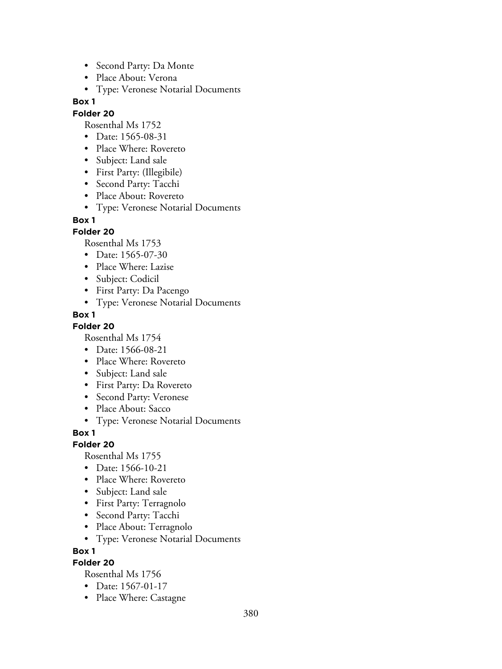- Second Party: Da Monte
- Place About: Verona
- Type: Veronese Notarial Documents

#### **Folder 20**

Rosenthal Ms 1752

- Date: 1565-08-31
- Place Where: Rovereto
- Subject: Land sale
- First Party: (Illegibile)
- Second Party: Tacchi
- Place About: Rovereto
- Type: Veronese Notarial Documents

#### **Box 1**

## **Folder 20**

Rosenthal Ms 1753

- Date: 1565-07-30
- Place Where: Lazise
- Subject: Codicil
- First Party: Da Pacengo
- Type: Veronese Notarial Documents

## **Box 1**

**Folder 20**

Rosenthal Ms 1754

- Date: 1566-08-21
- Place Where: Rovereto
- Subject: Land sale
- First Party: Da Rovereto
- Second Party: Veronese
- Place About: Sacco
- Type: Veronese Notarial Documents

**Box 1**

## **Folder 20**

Rosenthal Ms 1755

- Date: 1566-10-21
- Place Where: Rovereto
- Subject: Land sale
- First Party: Terragnolo
- Second Party: Tacchi
- Place About: Terragnolo
- Type: Veronese Notarial Documents

**Box 1**

## **Folder 20**

- Date: 1567-01-17
- Place Where: Castagne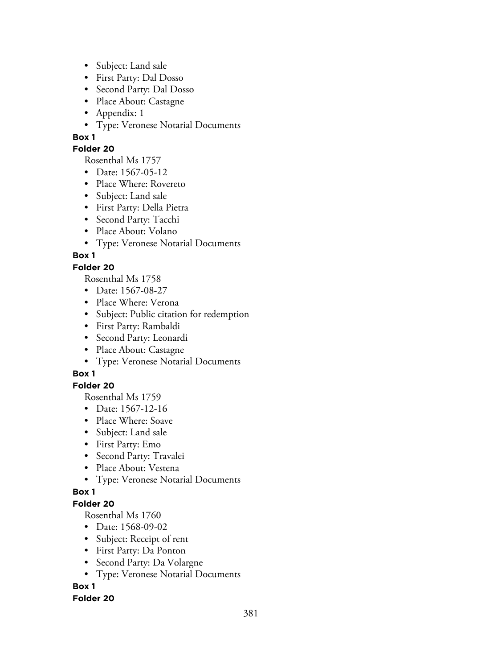- Subject: Land sale
- First Party: Dal Dosso
- Second Party: Dal Dosso
- Place About: Castagne
- Appendix: 1
- Type: Veronese Notarial Documents

## **Folder 20**

Rosenthal Ms 1757

- Date: 1567-05-12
- Place Where: Rovereto
- Subject: Land sale
- First Party: Della Pietra
- Second Party: Tacchi
- Place About: Volano
- Type: Veronese Notarial Documents

# **Box 1**

## **Folder 20**

Rosenthal Ms 1758

- Date: 1567-08-27
- Place Where: Verona
- Subject: Public citation for redemption
- First Party: Rambaldi
- Second Party: Leonardi
- Place About: Castagne
- Type: Veronese Notarial Documents

# **Box 1**

## **Folder 20**

Rosenthal Ms 1759

- Date: 1567-12-16
- Place Where: Soave
- Subject: Land sale
- First Party: Emo
- Second Party: Travalei
- Place About: Vestena
- Type: Veronese Notarial Documents

## **Box 1**

## **Folder 20**

Rosenthal Ms 1760

- Date: 1568-09-02
- Subject: Receipt of rent
- First Party: Da Ponton
- Second Party: Da Volargne
- Type: Veronese Notarial Documents

# **Box 1**

## **Folder 20**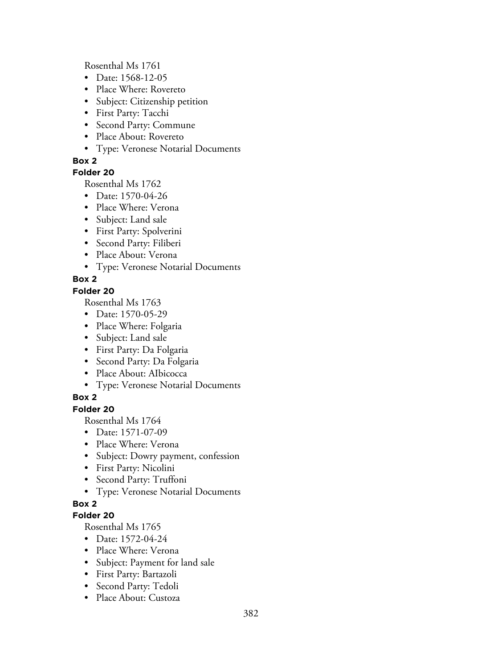Rosenthal Ms 1761

- Date: 1568-12-05
- Place Where: Rovereto
- Subject: Citizenship petition
- First Party: Tacchi
- Second Party: Commune
- Place About: Rovereto
- Type: Veronese Notarial Documents

## **Box 2**

## **Folder 20**

Rosenthal Ms 1762

- Date: 1570-04-26
- Place Where: Verona
- Subject: Land sale
- First Party: Spolverini
- Second Party: Filiberi
- Place About: Verona
- Type: Veronese Notarial Documents

# **Box 2**

## **Folder 20**

Rosenthal Ms 1763

- Date: 1570-05-29
- Place Where: Folgaria
- Subject: Land sale
- First Party: Da Folgaria
- Second Party: Da Folgaria
- Place About: AIbicocca
- Type: Veronese Notarial Documents

# **Box 2**

# **Folder 20**

Rosenthal Ms 1764

- Date: 1571-07-09
- Place Where: Verona
- Subject: Dowry payment, confession
- First Party: Nicolini
- Second Party: Truffoni
- Type: Veronese Notarial Documents

# **Box 2**

# **Folder 20**

- Date: 1572-04-24
- Place Where: Verona
- Subject: Payment for land sale
- First Party: Bartazoli
- Second Party: Tedoli
- Place About: Custoza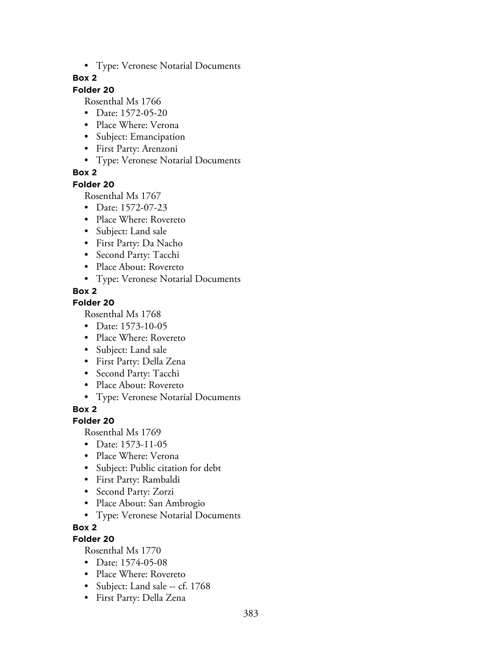• Type: Veronese Notarial Documents

## **Box 2**

## **Folder 20**

Rosenthal Ms 1766

- Date: 1572-05-20
- Place Where: Verona
- Subject: Emancipation
- First Party: Arenzoni
- Type: Veronese Notarial Documents

## **Box 2**

**Folder 20**

Rosenthal Ms 1767

- Date: 1572-07-23
- Place Where: Rovereto
- Subject: Land sale
- First Party: Da Nacho
- Second Party: Tacchi
- Place About: Rovereto
- Type: Veronese Notarial Documents

## **Box 2**

## **Folder 20**

Rosenthal Ms 1768

- Date: 1573-10-05
- Place Where: Rovereto
- Subject: Land sale
- First Party: Della Zena
- Second Party: Tacchi
- Place About: Rovereto
- Type: Veronese Notarial Documents

**Box 2**

## **Folder 20**

Rosenthal Ms 1769

- Date: 1573-11-05
- Place Where: Verona
- Subject: Public citation for debt
- First Party: Rambaldi
- Second Party: Zorzi
- Place About: San Ambrogio
- Type: Veronese Notarial Documents

# **Box 2**

# **Folder 20**

- Date: 1574-05-08
- Place Where: Rovereto
- Subject: Land sale -- cf. 1768
- First Party: Della Zena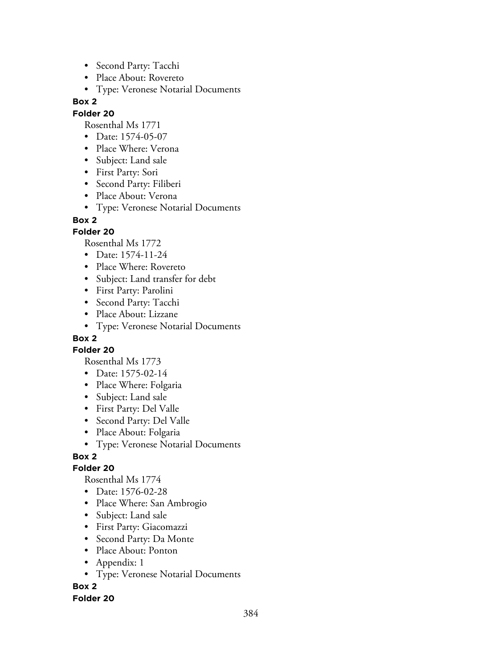- Second Party: Tacchi
- Place About: Rovereto
- Type: Veronese Notarial Documents

## **Folder 20**

Rosenthal Ms 1771

- Date: 1574-05-07
- Place Where: Verona
- Subject: Land sale
- First Party: Sori
- Second Party: Filiberi
- Place About: Verona
- Type: Veronese Notarial Documents

## **Box 2**

## **Folder 20**

Rosenthal Ms 1772

- Date: 1574-11-24
- Place Where: Rovereto
- Subject: Land transfer for debt
- First Party: Parolini
- Second Party: Tacchi
- Place About: Lizzane
- Type: Veronese Notarial Documents

# **Box 2**

**Folder 20**

Rosenthal Ms 1773

- Date: 1575-02-14
- Place Where: Folgaria
- Subject: Land sale
- First Party: Del Valle
- Second Party: Del Valle
- Place About: Folgaria
- Type: Veronese Notarial Documents

# **Box 2**

## **Folder 20**

Rosenthal Ms 1774

- Date: 1576-02-28
- Place Where: San Ambrogio
- Subject: Land sale
- First Party: Giacomazzi
- Second Party: Da Monte
- Place About: Ponton
- Appendix: 1
- Type: Veronese Notarial Documents

**Box 2**

## **Folder 20**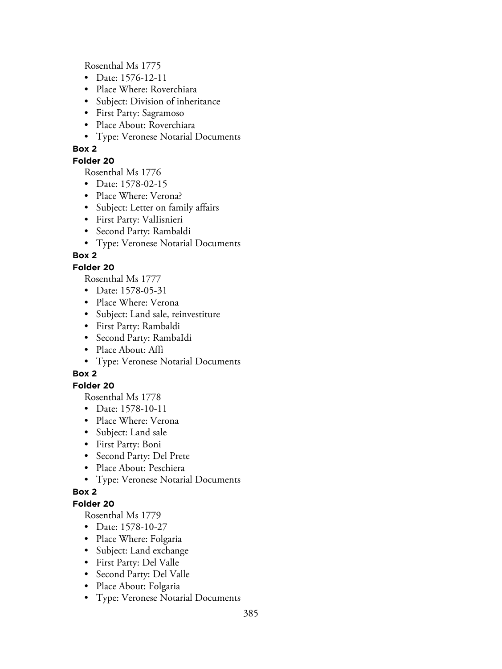Rosenthal Ms 1775

- Date: 1576-12-11
- Place Where: Roverchiara
- Subject: Division of inheritance
- First Party: Sagramoso
- Place About: Roverchiara
- Type: Veronese Notarial Documents

# **Box 2**

# **Folder 20**

Rosenthal Ms 1776

- Date: 1578-02-15
- Place Where: Verona?
- Subject: Letter on family affairs
- First Party: ValIisnieri
- Second Party: Rambaldi
- Type: Veronese Notarial Documents

# **Box 2**

# **Folder 20**

Rosenthal Ms 1777

- Date: 1578-05-31
- Place Where: Verona
- Subject: Land sale, reinvestiture
- First Party: Rambaldi
- Second Party: RambaIdi
- Place About: Affi
- Type: Veronese Notarial Documents

# **Box 2**

# **Folder 20**

Rosenthal Ms 1778

- Date: 1578-10-11
- Place Where: Verona
- Subject: Land sale
- First Party: Boni
- Second Party: Del Prete
- Place About: Peschiera
- Type: Veronese Notarial Documents

# **Box 2**

# **Folder 20**

- Date: 1578-10-27
- Place Where: Folgaria
- Subject: Land exchange
- First Party: Del Valle
- Second Party: Del Valle
- Place About: Folgaria
- Type: Veronese Notarial Documents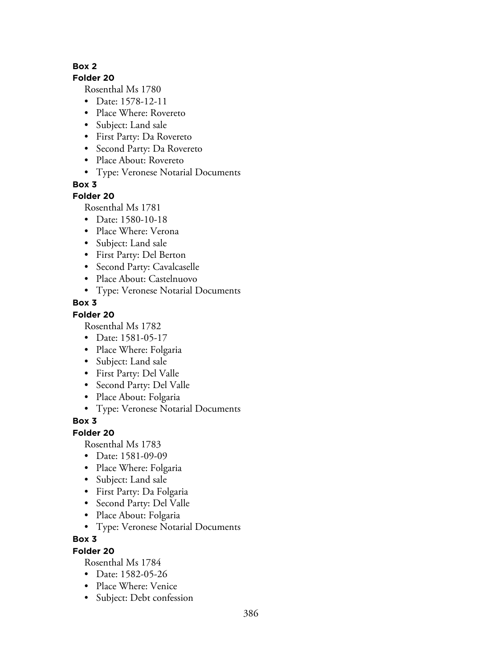#### **Folder 20**

Rosenthal Ms 1780

- Date: 1578-12-11
- Place Where: Rovereto
- Subject: Land sale
- First Party: Da Rovereto
- Second Party: Da Rovereto
- Place About: Rovereto
- Type: Veronese Notarial Documents

**Box 3**

## **Folder 20**

Rosenthal Ms 1781

- Date: 1580-10-18
- Place Where: Verona
- Subject: Land sale
- First Party: Del Berton
- Second Party: Cavalcaselle
- Place About: Castelnuovo
- Type: Veronese Notarial Documents

## **Box 3**

## **Folder 20**

Rosenthal Ms 1782

- Date: 1581-05-17
- Place Where: Folgaria
- Subject: Land sale
- First Party: Del Valle
- Second Party: Del Valle
- Place About: Folgaria
- Type: Veronese Notarial Documents

# **Box 3**

## **Folder 20**

Rosenthal Ms 1783

- Date: 1581-09-09
- Place Where: Folgaria
- Subject: Land sale
- First Party: Da Folgaria
- Second Party: Del Valle
- Place About: Folgaria
- Type: Veronese Notarial Documents

## **Box 3**

## **Folder 20**

- Date: 1582-05-26
- Place Where: Venice
- Subject: Debt confession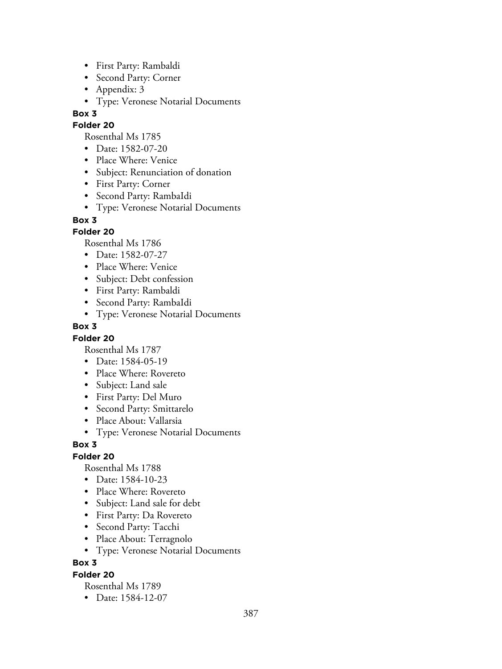- First Party: Rambaldi
- Second Party: Corner
- Appendix: 3
- Type: Veronese Notarial Documents

## **Folder 20**

- Rosenthal Ms 1785
- Date: 1582-07-20
- Place Where: Venice
- Subject: Renunciation of donation
- First Party: Corner
- Second Party: RambaIdi
- Type: Veronese Notarial Documents

## **Box 3**

## **Folder 20**

Rosenthal Ms 1786

- Date: 1582-07-27
- Place Where: Venice
- Subject: Debt confession
- First Party: Rambaldi
- Second Party: RambaIdi
- Type: Veronese Notarial Documents

## **Box 3**

## **Folder 20**

Rosenthal Ms 1787

- Date: 1584-05-19
- Place Where: Rovereto
- Subject: Land sale
- First Party: Del Muro
- Second Party: Smittarelo
- Place About: Vallarsia
- Type: Veronese Notarial Documents

## **Box 3**

# **Folder 20**

Rosenthal Ms 1788

- Date: 1584-10-23
- Place Where: Rovereto
- Subject: Land sale for debt
- First Party: Da Rovereto
- Second Party: Tacchi
- Place About: Terragnolo
- Type: Veronese Notarial Documents

## **Box 3**

## **Folder 20**

Rosenthal Ms 1789

• Date: 1584-12-07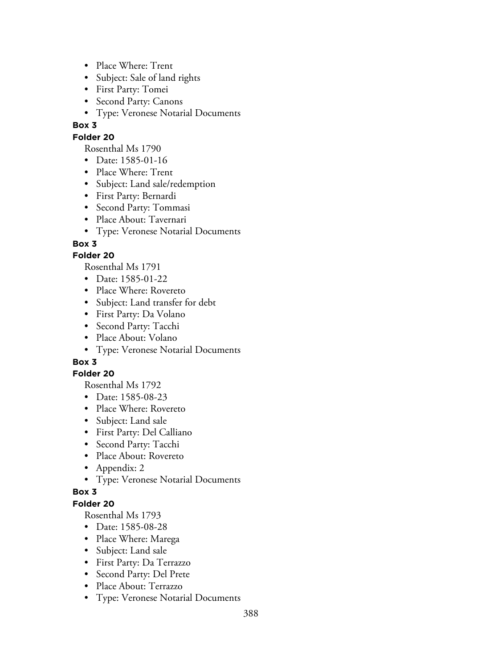- Place Where: Trent
- Subject: Sale of land rights
- First Party: Tomei
- Second Party: Canons
- Type: Veronese Notarial Documents

## **Folder 20**

Rosenthal Ms 1790

- Date: 1585-01-16
- Place Where: Trent
- Subject: Land sale/redemption
- First Party: Bernardi
- Second Party: Tommasi
- Place About: Tavernari
- Type: Veronese Notarial Documents

## **Box 3**

## **Folder 20**

Rosenthal Ms 1791

- Date: 1585-01-22
- Place Where: Rovereto
- Subject: Land transfer for debt
- First Party: Da Volano
- Second Party: Tacchi
- Place About: Volano
- Type: Veronese Notarial Documents

# **Box 3**

## **Folder 20**

Rosenthal Ms 1792

- Date: 1585-08-23
- Place Where: Rovereto
- Subject: Land sale
- First Party: Del Calliano
- Second Party: Tacchi
- Place About: Rovereto
- Appendix: 2
- Type: Veronese Notarial Documents

## **Box 3**

## **Folder 20**

- Date: 1585-08-28
- Place Where: Marega
- Subject: Land sale
- First Party: Da Terrazzo
- Second Party: Del Prete
- Place About: Terrazzo
- Type: Veronese Notarial Documents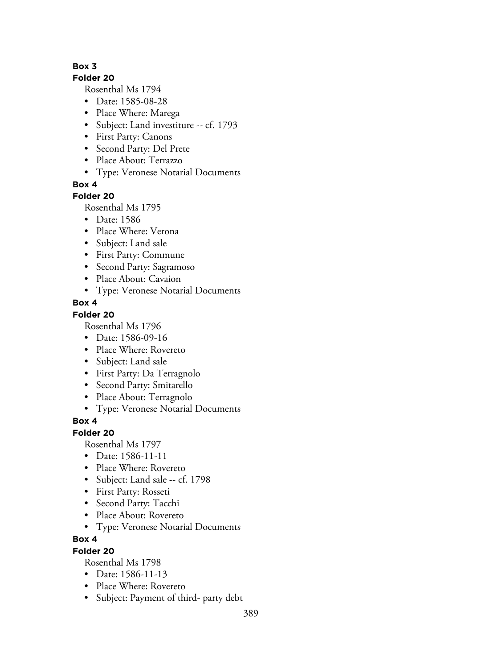#### **Folder 20**

Rosenthal Ms 1794

- Date: 1585-08-28
- Place Where: Marega
- Subject: Land investiture -- cf. 1793
- First Party: Canons
- Second Party: Del Prete
- Place About: Terrazzo
- Type: Veronese Notarial Documents

## **Box 4**

## **Folder 20**

Rosenthal Ms 1795

- Date: 1586
- Place Where: Verona
- Subject: Land sale
- First Party: Commune
- Second Party: Sagramoso
- Place About: Cavaion
- Type: Veronese Notarial Documents

## **Box 4**

## **Folder 20**

Rosenthal Ms 1796

- Date: 1586-09-16
- Place Where: Rovereto
- Subject: Land sale
- First Party: Da Terragnolo
- Second Party: Smitarello
- Place About: Terragnolo
- Type: Veronese Notarial Documents

# **Box 4**

## **Folder 20**

Rosenthal Ms 1797

- Date: 1586-11-11
- Place Where: Rovereto
- Subject: Land sale -- cf. 1798
- First Party: Rosseti
- Second Party: Tacchi
- Place About: Rovereto
- Type: Veronese Notarial Documents

## **Box 4**

## **Folder 20**

- Date: 1586-11-13
- Place Where: Rovereto
- Subject: Payment of third- party debt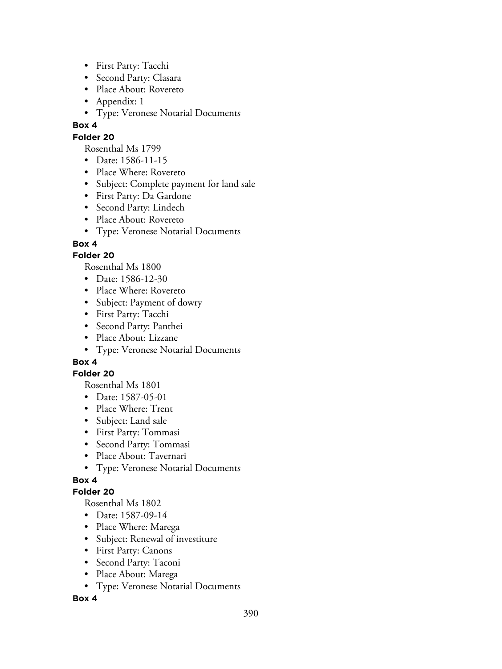- First Party: Tacchi
- Second Party: Clasara
- Place About: Rovereto
- Appendix: 1
- Type: Veronese Notarial Documents

## **Folder 20**

Rosenthal Ms 1799

- Date: 1586-11-15
- Place Where: Rovereto
- Subject: Complete payment for land sale
- First Party: Da Gardone
- Second Party: Lindech
- Place About: Rovereto
- Type: Veronese Notarial Documents

## **Box 4**

## **Folder 20**

Rosenthal Ms 1800

- Date: 1586-12-30
- Place Where: Rovereto
- Subject: Payment of dowry
- First Party: Tacchi
- Second Party: Panthei
- Place About: Lizzane
- Type: Veronese Notarial Documents

# **Box 4**

## **Folder 20**

Rosenthal Ms 1801

- Date: 1587-05-01
- Place Where: Trent
- Subject: Land sale
- First Party: Tommasi
- Second Party: Tommasi
- Place About: Tavernari
- Type: Veronese Notarial Documents

# **Box 4**

## **Folder 20**

Rosenthal Ms 1802

- Date: 1587-09-14
- Place Where: Marega
- Subject: Renewal of investiture
- First Party: Canons
- Second Party: Taconi
- Place About: Marega
- Type: Veronese Notarial Documents

## **Box 4**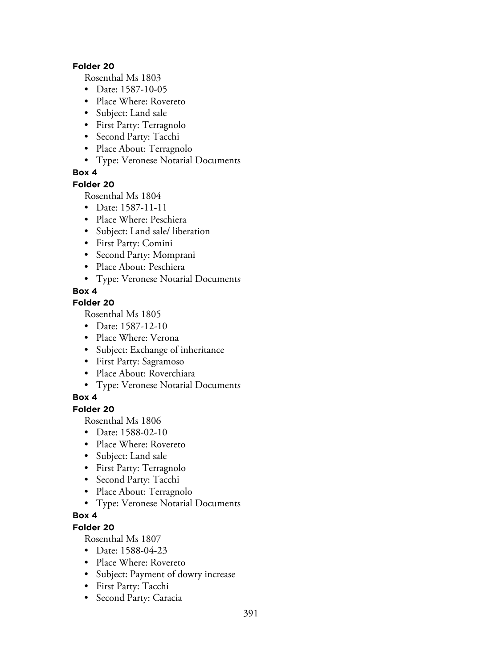#### **Folder 20**

Rosenthal Ms 1803

- Date: 1587-10-05
- Place Where: Rovereto
- Subject: Land sale
- First Party: Terragnolo
- Second Party: Tacchi
- Place About: Terragnolo
- Type: Veronese Notarial Documents

## **Box 4**

## **Folder 20**

Rosenthal Ms 1804

- Date: 1587-11-11
- Place Where: Peschiera
- Subject: Land sale/ liberation
- First Party: Comini
- Second Party: Momprani
- Place About: Peschiera
- Type: Veronese Notarial Documents

## **Box 4**

## **Folder 20**

Rosenthal Ms 1805

- Date: 1587-12-10
- Place Where: Verona
- Subject: Exchange of inheritance
- First Party: Sagramoso
- Place About: Roverchiara
- Type: Veronese Notarial Documents

# **Box 4**

**Folder 20**

Rosenthal Ms 1806

- Date: 1588-02-10
- Place Where: Rovereto
- Subject: Land sale
- First Party: Terragnolo
- Second Party: Tacchi
- Place About: Terragnolo
- Type: Veronese Notarial Documents

# **Box 4**

# **Folder 20**

- Date: 1588-04-23
- Place Where: Rovereto
- Subject: Payment of dowry increase
- First Party: Tacchi
- Second Party: Caracia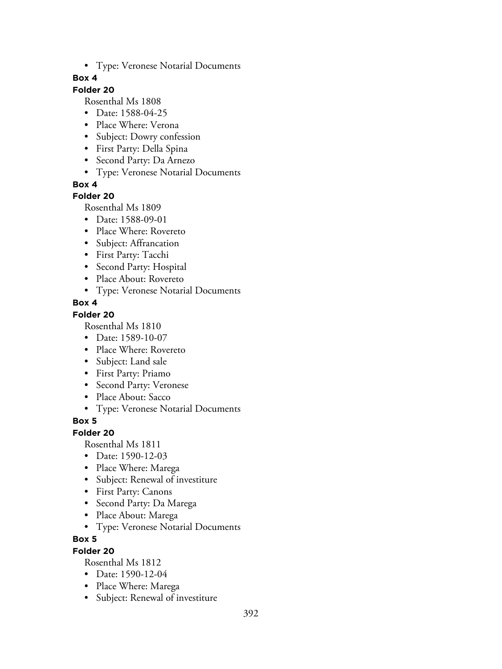• Type: Veronese Notarial Documents

## **Box 4**

# **Folder 20**

Rosenthal Ms 1808

- Date: 1588-04-25
- Place Where: Verona
- Subject: Dowry confession
- First Party: Della Spina
- Second Party: Da Arnezo
- Type: Veronese Notarial Documents

**Box 4**

## **Folder 20**

Rosenthal Ms 1809

- Date: 1588-09-01
- Place Where: Rovereto
- Subject: Affrancation
- First Party: Tacchi
- Second Party: Hospital
- Place About: Rovereto
- Type: Veronese Notarial Documents

## **Box 4**

## **Folder 20**

Rosenthal Ms 1810

- Date: 1589-10-07
- Place Where: Rovereto
- Subject: Land sale
- First Party: Priamo
- Second Party: Veronese
- Place About: Sacco
- Type: Veronese Notarial Documents

# **Box 5**

## **Folder 20**

Rosenthal Ms 1811

- Date: 1590-12-03
- Place Where: Marega
- Subject: Renewal of investiture
- First Party: Canons
- Second Party: Da Marega
- Place About: Marega
- Type: Veronese Notarial Documents

## **Box 5**

## **Folder 20**

- Date: 1590-12-04
- Place Where: Marega
- Subject: Renewal of investiture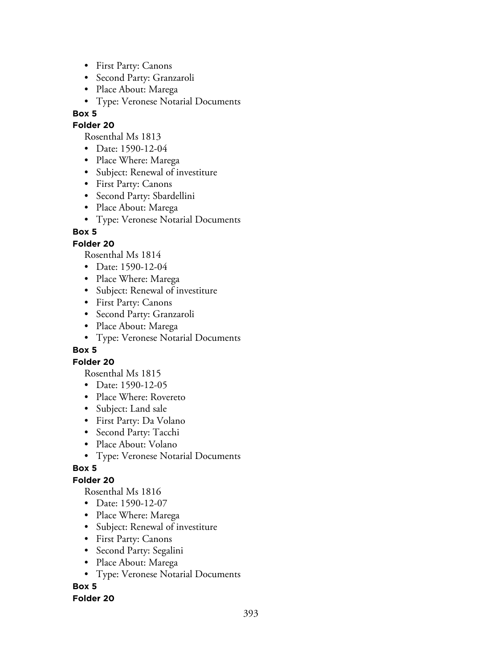- First Party: Canons
- Second Party: Granzaroli
- Place About: Marega
- Type: Veronese Notarial Documents

## **Folder 20**

Rosenthal Ms 1813

- Date: 1590-12-04
- Place Where: Marega
- Subject: Renewal of investiture
- First Party: Canons
- Second Party: Sbardellini
- Place About: Marega
- Type: Veronese Notarial Documents

## **Box 5**

## **Folder 20**

Rosenthal Ms 1814

- Date: 1590-12-04
- Place Where: Marega
- Subject: Renewal of investiture
- First Party: Canons
- Second Party: Granzaroli
- Place About: Marega
- Type: Veronese Notarial Documents

## **Box 5**

## **Folder 20**

Rosenthal Ms 1815

- Date: 1590-12-05
- Place Where: Rovereto
- Subject: Land sale
- First Party: Da Volano
- Second Party: Tacchi
- Place About: Volano
- Type: Veronese Notarial Documents

## **Box 5**

# **Folder 20**

Rosenthal Ms 1816

- Date: 1590-12-07
- Place Where: Marega
- Subject: Renewal of investiture
- First Party: Canons
- Second Party: Segalini
- Place About: Marega
- Type: Veronese Notarial Documents

# **Box 5**

## **Folder 20**

393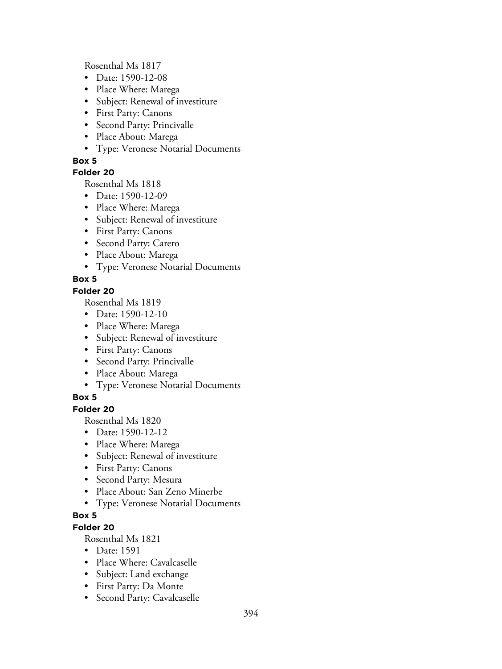Rosenthal Ms 1817

- Date: 1590-12-08
- Place Where: Marega
- Subject: Renewal of investiture
- First Party: Canons
- Second Party: Princivalle
- Place About: Marega
- Type: Veronese Notarial Documents

## **Box 5**

## **Folder 20**

Rosenthal Ms 1818

- Date: 1590-12-09
- Place Where: Marega
- Subject: Renewal of investiture
- First Party: Canons
- Second Party: Carero
- Place About: Marega
- Type: Veronese Notarial Documents

## **Box 5**

## **Folder 20**

Rosenthal Ms 1819

- Date: 1590-12-10
- Place Where: Marega
- Subject: Renewal of investiture
- First Party: Canons
- Second Party: Princivalle
- Place About: Marega
- Type: Veronese Notarial Documents

# **Box 5**

## **Folder 20**

Rosenthal Ms 1820

- Date: 1590-12-12
- Place Where: Marega
- Subject: Renewal of investiture
- First Party: Canons
- Second Party: Mesura
- Place About: San Zeno Minerbe
- Type: Veronese Notarial Documents

## **Box 5**

# **Folder 20**

- Date: 1591
- Place Where: Cavalcaselle
- Subject: Land exchange
- First Party: Da Monte
- Second Party: Cavalcaselle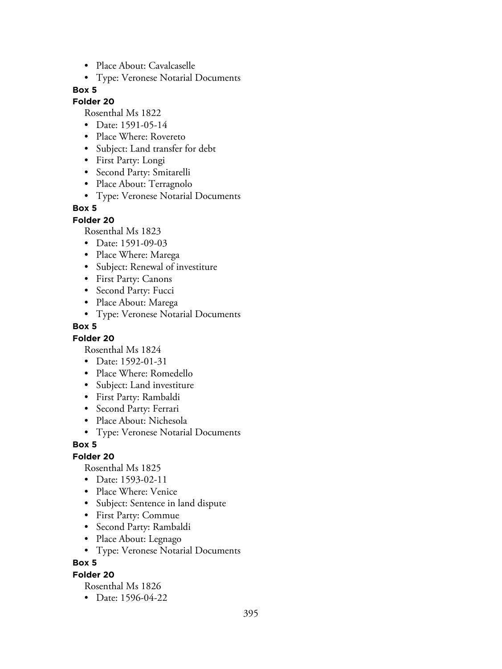- Place About: Cavalcaselle
- Type: Veronese Notarial Documents

## **Folder 20**

Rosenthal Ms 1822

- Date: 1591-05-14
- Place Where: Rovereto
- Subject: Land transfer for debt
- First Party: Longi
- Second Party: Smitarelli
- Place About: Terragnolo
- Type: Veronese Notarial Documents

#### **Box 5**

#### **Folder 20**

Rosenthal Ms 1823

- Date: 1591-09-03
- Place Where: Marega
- Subject: Renewal of investiture
- First Party: Canons
- Second Party: Fucci
- Place About: Marega
- Type: Veronese Notarial Documents

#### **Box 5**

#### **Folder 20**

Rosenthal Ms 1824

- Date: 1592-01-31
- Place Where: Romedello
- Subject: Land investiture
- First Party: Rambaldi
- Second Party: Ferrari
- Place About: Nichesola
- Type: Veronese Notarial Documents

#### **Box 5**

## **Folder 20**

Rosenthal Ms 1825

- Date: 1593-02-11
- Place Where: Venice
- Subject: Sentence in land dispute
- First Party: Commue
- Second Party: Rambaldi
- Place About: Legnago
- Type: Veronese Notarial Documents

#### **Box 5**

## **Folder 20**

Rosenthal Ms 1826

• Date: 1596-04-22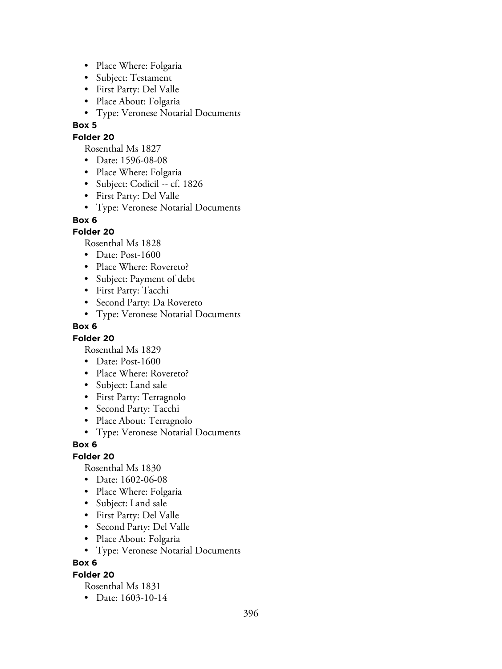- Place Where: Folgaria
- Subject: Testament
- First Party: Del Valle
- Place About: Folgaria
- Type: Veronese Notarial Documents

#### **Folder 20**

Rosenthal Ms 1827

- Date: 1596-08-08
- Place Where: Folgaria
- Subject: Codicil -- cf. 1826
- First Party: Del Valle
- Type: Veronese Notarial Documents

#### **Box 6**

## **Folder 20**

Rosenthal Ms 1828

- Date: Post-1600
- Place Where: Rovereto?
- Subject: Payment of debt
- First Party: Tacchi
- Second Party: Da Rovereto
- Type: Veronese Notarial Documents

#### **Box 6**

## **Folder 20**

Rosenthal Ms 1829

- Date: Post-1600
- Place Where: Rovereto?
- Subject: Land sale
- First Party: Terragnolo
- Second Party: Tacchi
- Place About: Terragnolo
- Type: Veronese Notarial Documents

## **Box 6**

## **Folder 20**

Rosenthal Ms 1830

- Date: 1602-06-08
- Place Where: Folgaria
- Subject: Land sale
- First Party: Del Valle
- Second Party: Del Valle
- Place About: Folgaria
- Type: Veronese Notarial Documents

## **Box 6**

## **Folder 20**

Rosenthal Ms 1831

• Date: 1603-10-14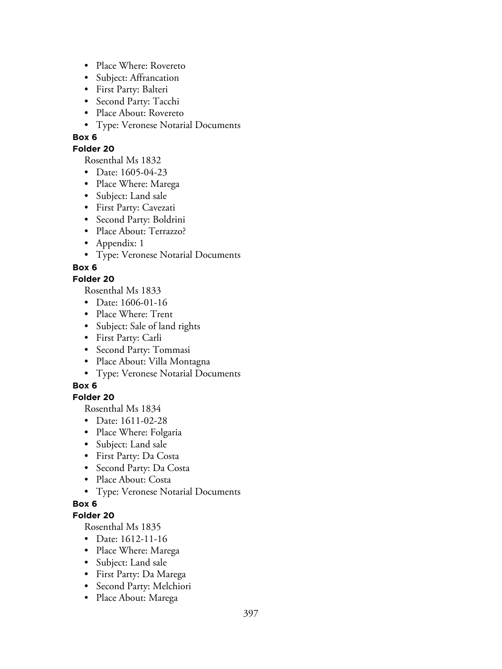- Place Where: Rovereto
- Subject: Affrancation
- First Party: Balteri
- Second Party: Tacchi
- Place About: Rovereto
- Type: Veronese Notarial Documents

#### **Folder 20**

Rosenthal Ms 1832

- Date: 1605-04-23
- Place Where: Marega
- Subject: Land sale
- First Party: Cavezati
- Second Party: Boldrini
- Place About: Terrazzo?
- Appendix: 1
- Type: Veronese Notarial Documents

## **Box 6**

## **Folder 20**

Rosenthal Ms 1833

- Date: 1606-01-16
- Place Where: Trent
- Subject: Sale of land rights
- First Party: Carli
- Second Party: Tommasi
- Place About: Villa Montagna
- Type: Veronese Notarial Documents

# **Box 6**

### **Folder 20**

Rosenthal Ms 1834

- Date: 1611-02-28
- Place Where: Folgaria
- Subject: Land sale
- First Party: Da Costa
- Second Party: Da Costa
- Place About: Costa
- Type: Veronese Notarial Documents

### **Box 6**

### **Folder 20**

- Date: 1612-11-16
- Place Where: Marega
- Subject: Land sale
- First Party: Da Marega
- Second Party: Melchiori
- Place About: Marega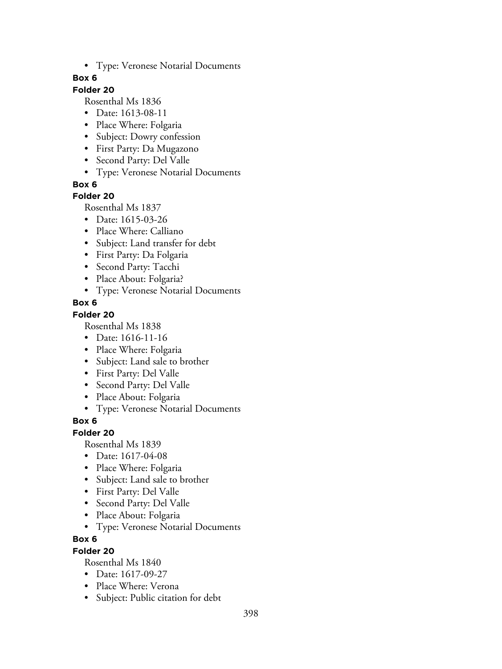• Type: Veronese Notarial Documents

### **Box 6**

# **Folder 20**

Rosenthal Ms 1836

- Date: 1613-08-11
- Place Where: Folgaria
- Subject: Dowry confession
- First Party: Da Mugazono
- Second Party: Del Valle
- Type: Veronese Notarial Documents

**Box 6**

### **Folder 20**

Rosenthal Ms 1837

- Date: 1615-03-26
- Place Where: Calliano
- Subject: Land transfer for debt
- First Party: Da Folgaria
- Second Party: Tacchi
- Place About: Folgaria?
- Type: Veronese Notarial Documents

## **Box 6**

### **Folder 20**

Rosenthal Ms 1838

- Date: 1616-11-16
- Place Where: Folgaria
- Subject: Land sale to brother
- First Party: Del Valle
- Second Party: Del Valle
- Place About: Folgaria
- Type: Veronese Notarial Documents

# **Box 6**

### **Folder 20**

Rosenthal Ms 1839

- Date: 1617-04-08
- Place Where: Folgaria
- Subject: Land sale to brother
- First Party: Del Valle
- Second Party: Del Valle
- Place About: Folgaria
- Type: Veronese Notarial Documents

### **Box 6**

### **Folder 20**

- Date: 1617-09-27
- Place Where: Verona
- Subject: Public citation for debt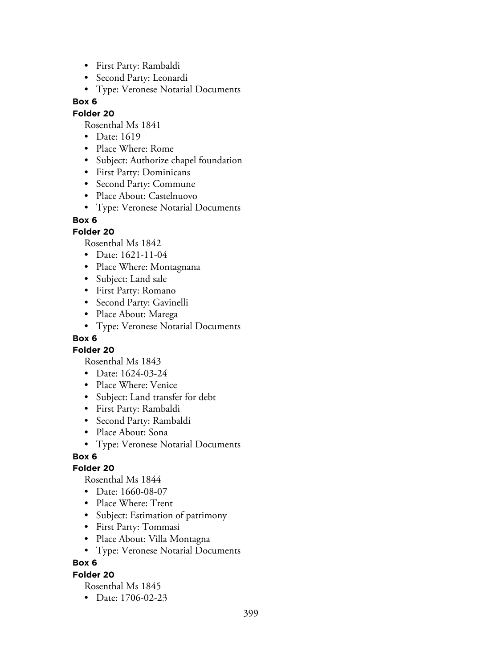- First Party: Rambaldi
- Second Party: Leonardi
- Type: Veronese Notarial Documents

### **Folder 20**

Rosenthal Ms 1841

- Date: 1619
- Place Where: Rome
- Subject: Authorize chapel foundation
- First Party: Dominicans
- Second Party: Commune
- Place About: Castelnuovo
- Type: Veronese Notarial Documents

### **Box 6**

### **Folder 20**

Rosenthal Ms 1842

- Date: 1621-11-04
- Place Where: Montagnana
- Subject: Land sale
- First Party: Romano
- Second Party: Gavinelli
- Place About: Marega
- Type: Veronese Notarial Documents

## **Box 6**

**Folder 20**

Rosenthal Ms 1843

- Date: 1624-03-24
- Place Where: Venice
- Subject: Land transfer for debt
- First Party: Rambaldi
- Second Party: Rambaldi
- Place About: Sona
- Type: Veronese Notarial Documents

### **Box 6**

### **Folder 20**

Rosenthal Ms 1844

- Date: 1660-08-07
- Place Where: Trent
- Subject: Estimation of patrimony
- First Party: Tommasi
- Place About: Villa Montagna
- Type: Veronese Notarial Documents

### **Box 6**

## **Folder 20**

Rosenthal Ms 1845

• Date: 1706-02-23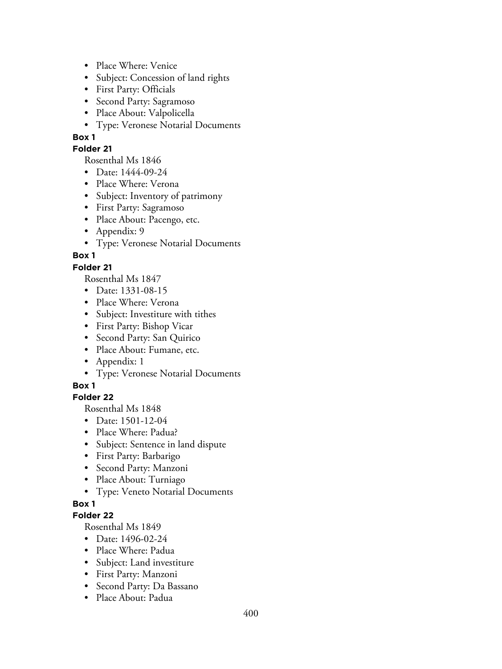- Place Where: Venice
- Subject: Concession of land rights
- First Party: Officials
- Second Party: Sagramoso
- Place About: Valpolicella
- Type: Veronese Notarial Documents

#### **Folder 21**

Rosenthal Ms 1846

- Date: 1444-09-24
- Place Where: Verona
- Subject: Inventory of patrimony
- First Party: Sagramoso
- Place About: Pacengo, etc.
- Appendix: 9
- Type: Veronese Notarial Documents

**Box 1**

#### **Folder 21**

Rosenthal Ms 1847

- Date: 1331-08-15
- Place Where: Verona
- Subject: Investiture with tithes
- First Party: Bishop Vicar
- Second Party: San Quirico
- Place About: Fumane, etc.
- Appendix: 1
- Type: Veronese Notarial Documents

#### **Box 1**

#### **Folder 22**

Rosenthal Ms 1848

- Date: 1501-12-04
- Place Where: Padua?
- Subject: Sentence in land dispute
- First Party: Barbarigo
- Second Party: Manzoni
- Place About: Turniago
- Type: Veneto Notarial Documents

#### **Box 1**

#### **Folder 22**

- Date: 1496-02-24
- Place Where: Padua
- Subject: Land investiture
- First Party: Manzoni
- Second Party: Da Bassano
- Place About: Padua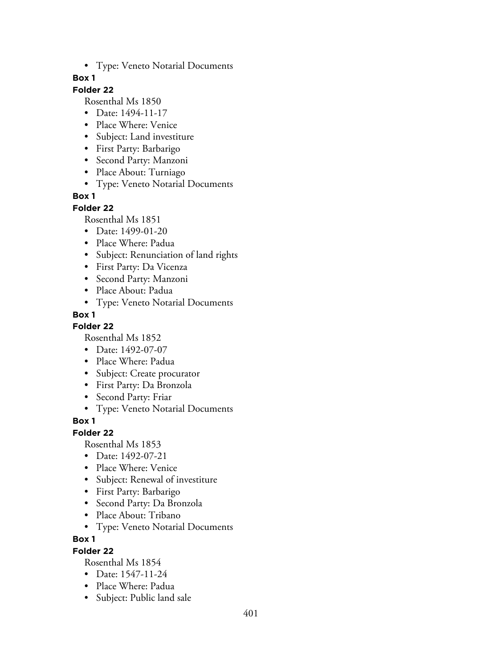• Type: Veneto Notarial Documents

### **Box 1**

# **Folder 22**

Rosenthal Ms 1850

- Date: 1494-11-17
- Place Where: Venice
- Subject: Land investiture
- First Party: Barbarigo
- Second Party: Manzoni
- Place About: Turniago
- Type: Veneto Notarial Documents

## **Box 1**

### **Folder 22**

Rosenthal Ms 1851

- Date: 1499-01-20
- Place Where: Padua
- Subject: Renunciation of land rights
- First Party: Da Vicenza
- Second Party: Manzoni
- Place About: Padua
- Type: Veneto Notarial Documents

## **Box 1**

**Folder 22**

Rosenthal Ms 1852

- Date: 1492-07-07
- Place Where: Padua
- Subject: Create procurator
- First Party: Da Bronzola
- Second Party: Friar
- Type: Veneto Notarial Documents

**Box 1**

### **Folder 22**

Rosenthal Ms 1853

- Date: 1492-07-21
- Place Where: Venice
- Subject: Renewal of investiture
- First Party: Barbarigo
- Second Party: Da Bronzola
- Place About: Tribano
- Type: Veneto Notarial Documents

### **Box 1**

### **Folder 22**

- Date: 1547-11-24
- Place Where: Padua
- Subject: Public land sale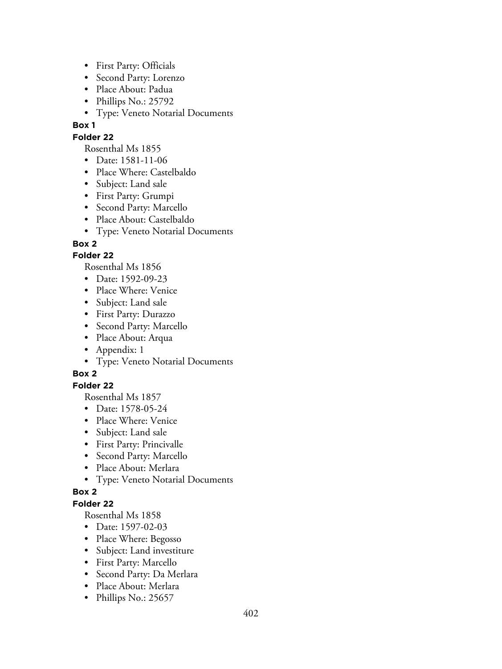- First Party: Officials
- Second Party: Lorenzo
- Place About: Padua
- Phillips No.: 25792
- Type: Veneto Notarial Documents

## **Folder 22**

Rosenthal Ms 1855

- Date: 1581-11-06
- Place Where: Castelbaldo
- Subject: Land sale
- First Party: Grumpi
- Second Party: Marcello
- Place About: Castelbaldo
- Type: Veneto Notarial Documents

## **Box 2**

## **Folder 22**

Rosenthal Ms 1856

- Date: 1592-09-23
- Place Where: Venice
- Subject: Land sale
- First Party: Durazzo
- Second Party: Marcello
- Place About: Arqua
- Appendix: 1
- Type: Veneto Notarial Documents

# **Box 2**

### **Folder 22**

Rosenthal Ms 1857

- Date: 1578-05-24
- Place Where: Venice
- Subject: Land sale
- First Party: Princivalle
- Second Party: Marcello
- Place About: Merlara
- Type: Veneto Notarial Documents

### **Box 2**

# **Folder 22**

- Date: 1597-02-03
- Place Where: Begosso
- Subject: Land investiture
- First Party: Marcello
- Second Party: Da Merlara
- Place About: Merlara
- Phillips No.: 25657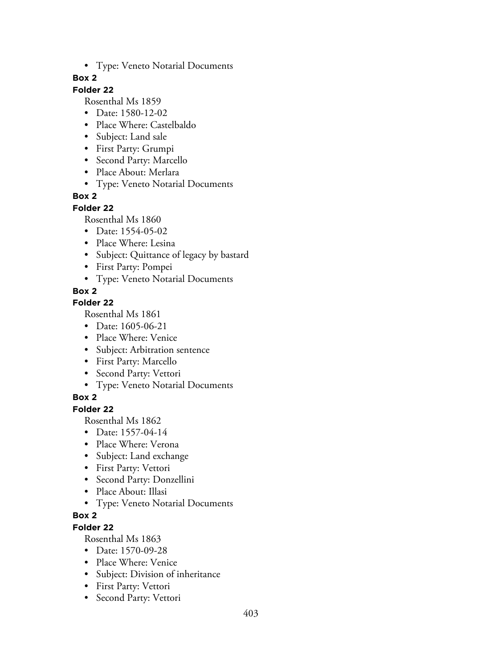• Type: Veneto Notarial Documents

### **Box 2**

# **Folder 22**

Rosenthal Ms 1859

- Date: 1580-12-02
- Place Where: Castelbaldo
- Subject: Land sale
- First Party: Grumpi
- Second Party: Marcello
- Place About: Merlara
- Type: Veneto Notarial Documents

# **Box 2**

## **Folder 22**

Rosenthal Ms 1860

- Date: 1554-05-02
- Place Where: Lesina
- Subject: Quittance of legacy by bastard
- First Party: Pompei
- Type: Veneto Notarial Documents

# **Box 2**

# **Folder 22**

Rosenthal Ms 1861

- Date: 1605-06-21
- Place Where: Venice
- Subject: Arbitration sentence
- First Party: Marcello
- Second Party: Vettori
- Type: Veneto Notarial Documents

# **Box 2**

**Folder 22**

Rosenthal Ms 1862

- Date: 1557-04-14
- Place Where: Verona
- Subject: Land exchange
- First Party: Vettori
- Second Party: Donzellini
- Place About: Illasi
- Type: Veneto Notarial Documents

# **Box 2**

# **Folder 22**

- Date: 1570-09-28
- Place Where: Venice
- Subject: Division of inheritance
- First Party: Vettori
- Second Party: Vettori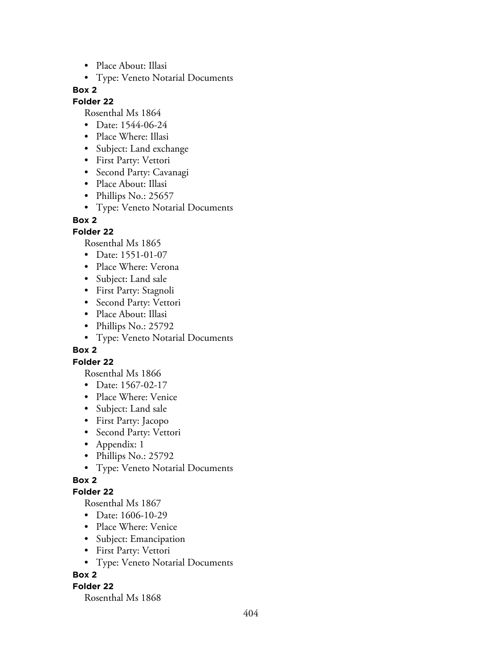- Place About: Illasi
- Type: Veneto Notarial Documents

#### **Folder 22**

Rosenthal Ms 1864

- Date: 1544-06-24
- Place Where: Illasi
- Subject: Land exchange
- First Party: Vettori
- Second Party: Cavanagi
- Place About: Illasi
- Phillips No.: 25657
- Type: Veneto Notarial Documents

#### **Box 2**

#### **Folder 22**

Rosenthal Ms 1865

- Date: 1551-01-07
- Place Where: Verona
- Subject: Land sale
- First Party: Stagnoli
- Second Party: Vettori
- Place About: Illasi
- Phillips No.: 25792
- Type: Veneto Notarial Documents

#### **Box 2**

#### **Folder 22**

Rosenthal Ms 1866

- Date: 1567-02-17
- Place Where: Venice
- Subject: Land sale
- First Party: Jacopo
- Second Party: Vettori
- Appendix: 1
- Phillips No.: 25792
- Type: Veneto Notarial Documents

### **Box 2**

#### **Folder 22**

Rosenthal Ms 1867

- Date: 1606-10-29
- Place Where: Venice
- Subject: Emancipation
- First Party: Vettori
- Type: Veneto Notarial Documents

### **Box 2**

#### **Folder 22**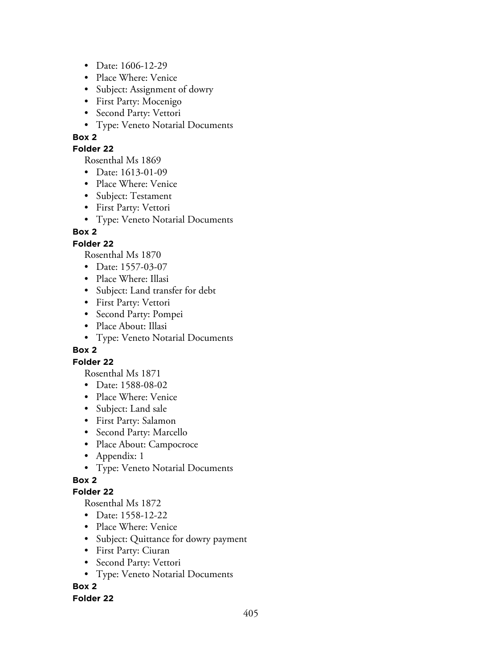- Date: 1606-12-29
- Place Where: Venice
- Subject: Assignment of dowry
- First Party: Mocenigo
- Second Party: Vettori
- Type: Veneto Notarial Documents

### **Folder 22**

Rosenthal Ms 1869

- Date: 1613-01-09
- Place Where: Venice
- Subject: Testament
- First Party: Vettori
- Type: Veneto Notarial Documents

# **Box 2**

## **Folder 22**

Rosenthal Ms 1870

- Date: 1557-03-07
- Place Where: Illasi
- Subject: Land transfer for debt
- First Party: Vettori
- Second Party: Pompei
- Place About: Illasi
- Type: Veneto Notarial Documents

### **Box 2**

### **Folder 22**

Rosenthal Ms 1871

- Date: 1588-08-02
- Place Where: Venice
- Subject: Land sale
- First Party: Salamon
- Second Party: Marcello
- Place About: Campocroce
- Appendix: 1
- Type: Veneto Notarial Documents

# **Box 2**

### **Folder 22**

Rosenthal Ms 1872

- Date: 1558-12-22
- Place Where: Venice
- Subject: Quittance for dowry payment
- First Party: Ciuran
- Second Party: Vettori
- Type: Veneto Notarial Documents

# **Box 2**

### **Folder 22**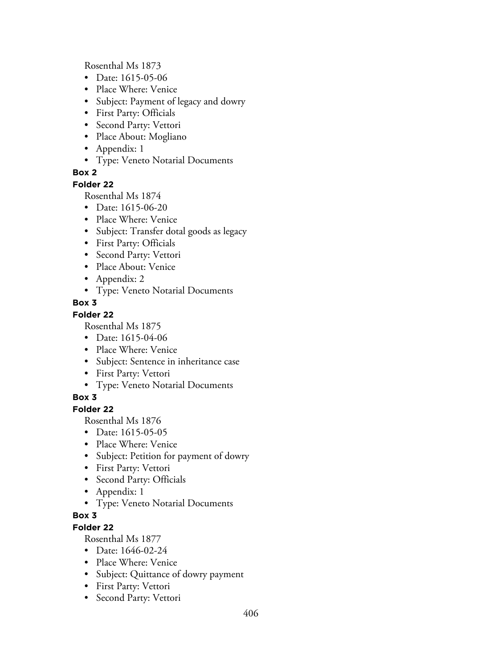Rosenthal Ms 1873

- Date: 1615-05-06
- Place Where: Venice
- Subject: Payment of legacy and dowry
- First Party: Officials
- Second Party: Vettori
- Place About: Mogliano
- Appendix: 1
- Type: Veneto Notarial Documents

## **Box 2**

#### **Folder 22**

Rosenthal Ms 1874

- Date: 1615-06-20
- Place Where: Venice
- Subject: Transfer dotal goods as legacy
- First Party: Officials
- Second Party: Vettori
- Place About: Venice
- Appendix: 2
- Type: Veneto Notarial Documents
- **Box 3**

### **Folder 22**

Rosenthal Ms 1875

- Date: 1615-04-06
- Place Where: Venice
- Subject: Sentence in inheritance case
- First Party: Vettori
- Type: Veneto Notarial Documents

### **Box 3**

**Folder 22**

Rosenthal Ms 1876

- Date: 1615-05-05
- Place Where: Venice
- Subject: Petition for payment of dowry
- First Party: Vettori
- Second Party: Officials
- Appendix: 1
- Type: Veneto Notarial Documents

## **Box 3**

# **Folder 22**

- Date: 1646-02-24
- Place Where: Venice
- Subject: Quittance of dowry payment
- First Party: Vettori
- Second Party: Vettori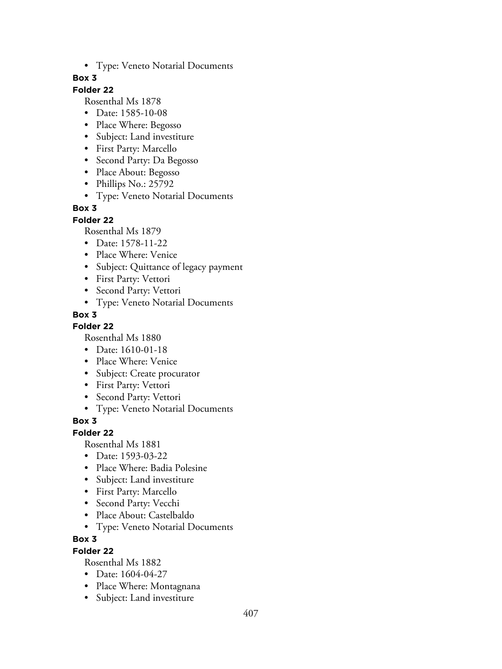• Type: Veneto Notarial Documents

## **Box 3**

# **Folder 22**

Rosenthal Ms 1878

- Date: 1585-10-08
- Place Where: Begosso
- Subject: Land investiture
- First Party: Marcello
- Second Party: Da Begosso
- Place About: Begosso
- Phillips No.: 25792
- Type: Veneto Notarial Documents

### **Box 3**

### **Folder 22**

Rosenthal Ms 1879

- Date: 1578-11-22
- Place Where: Venice
- Subject: Quittance of legacy payment
- First Party: Vettori
- Second Party: Vettori
- Type: Veneto Notarial Documents

## **Box 3**

### **Folder 22**

Rosenthal Ms 1880

- Date: 1610-01-18
- Place Where: Venice
- Subject: Create procurator
- First Party: Vettori
- Second Party: Vettori
- Type: Veneto Notarial Documents

### **Box 3**

### **Folder 22**

Rosenthal Ms 1881

- Date: 1593-03-22
- Place Where: Badia Polesine
- Subject: Land investiture
- First Party: Marcello
- Second Party: Vecchi
- Place About: Castelbaldo
- Type: Veneto Notarial Documents

### **Box 3**

### **Folder 22**

- Date: 1604-04-27
- Place Where: Montagnana
- Subject: Land investiture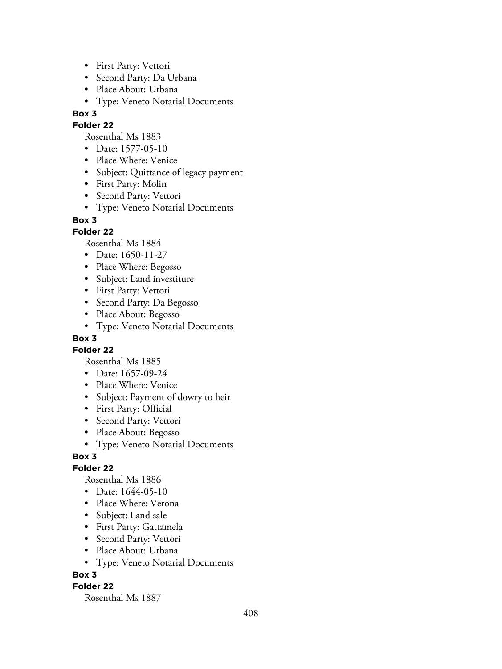- First Party: Vettori
- Second Party: Da Urbana
- Place About: Urbana
- Type: Veneto Notarial Documents

### **Folder 22**

- Rosenthal Ms 1883
- Date: 1577-05-10
- Place Where: Venice
- Subject: Quittance of legacy payment
- First Party: Molin
- Second Party: Vettori
- Type: Veneto Notarial Documents

## **Box 3**

### **Folder 22**

Rosenthal Ms 1884

- Date: 1650-11-27
- Place Where: Begosso
- Subject: Land investiture
- First Party: Vettori
- Second Party: Da Begosso
- Place About: Begosso
- Type: Veneto Notarial Documents

## **Box 3**

### **Folder 22**

Rosenthal Ms 1885

- Date: 1657-09-24
- Place Where: Venice
- Subject: Payment of dowry to heir
- First Party: Official
- Second Party: Vettori
- Place About: Begosso
- Type: Veneto Notarial Documents

### **Box 3**

### **Folder 22**

Rosenthal Ms 1886

- Date: 1644-05-10
- Place Where: Verona
- Subject: Land sale
- First Party: Gattamela
- Second Party: Vettori
- Place About: Urbana
- Type: Veneto Notarial Documents

### **Box 3**

### **Folder 22**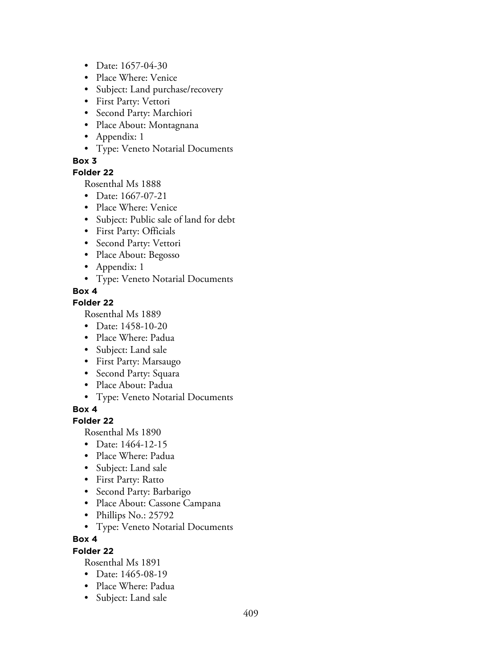- Date: 1657-04-30
- Place Where: Venice
- Subject: Land purchase/recovery
- First Party: Vettori
- Second Party: Marchiori
- Place About: Montagnana
- Appendix: 1
- Type: Veneto Notarial Documents

## **Folder 22**

Rosenthal Ms 1888

- Date: 1667-07-21
- Place Where: Venice
- Subject: Public sale of land for debt
- First Party: Officials
- Second Party: Vettori
- Place About: Begosso
- Appendix: 1
- Type: Veneto Notarial Documents

## **Box 4**

# **Folder 22**

Rosenthal Ms 1889

- Date: 1458-10-20
- Place Where: Padua
- Subject: Land sale
- First Party: Marsaugo
- Second Party: Squara
- Place About: Padua
- Type: Veneto Notarial Documents

**Box 4**

### **Folder 22**

Rosenthal Ms 1890

- Date: 1464-12-15
- Place Where: Padua
- Subject: Land sale
- First Party: Ratto
- Second Party: Barbarigo
- Place About: Cassone Campana
- Phillips No.: 25792
- Type: Veneto Notarial Documents

### **Box 4**

### **Folder 22**

- Date: 1465-08-19
- Place Where: Padua
- Subject: Land sale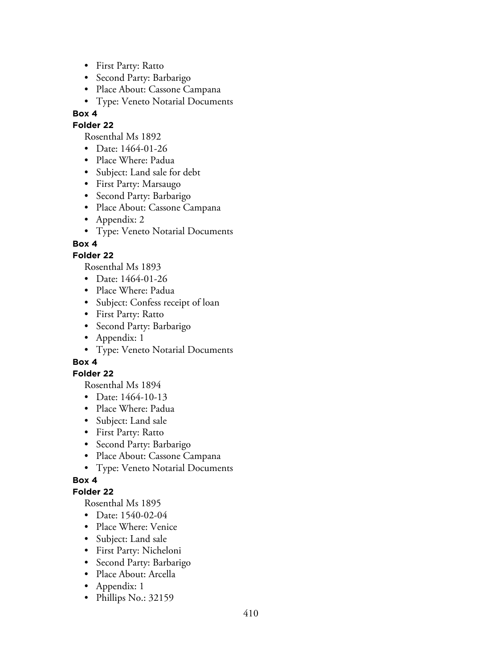- First Party: Ratto
- Second Party: Barbarigo
- Place About: Cassone Campana
- Type: Veneto Notarial Documents

### **Folder 22**

Rosenthal Ms 1892

- Date: 1464-01-26
- Place Where: Padua
- Subject: Land sale for debt
- First Party: Marsaugo
- Second Party: Barbarigo
- Place About: Cassone Campana
- Appendix: 2
- Type: Veneto Notarial Documents

**Box 4**

## **Folder 22**

Rosenthal Ms 1893

- Date: 1464-01-26
- Place Where: Padua
- Subject: Confess receipt of loan
- First Party: Ratto
- Second Party: Barbarigo
- Appendix: 1
- Type: Veneto Notarial Documents

# **Box 4**

### **Folder 22**

Rosenthal Ms 1894

- Date: 1464-10-13
- Place Where: Padua
- Subject: Land sale
- First Party: Ratto
- Second Party: Barbarigo
- Place About: Cassone Campana
- Type: Veneto Notarial Documents

# **Box 4**

# **Folder 22**

- Date: 1540-02-04
- Place Where: Venice
- Subject: Land sale
- First Party: Nicheloni
- Second Party: Barbarigo
- Place About: Arcella
- Appendix: 1
- Phillips No.: 32159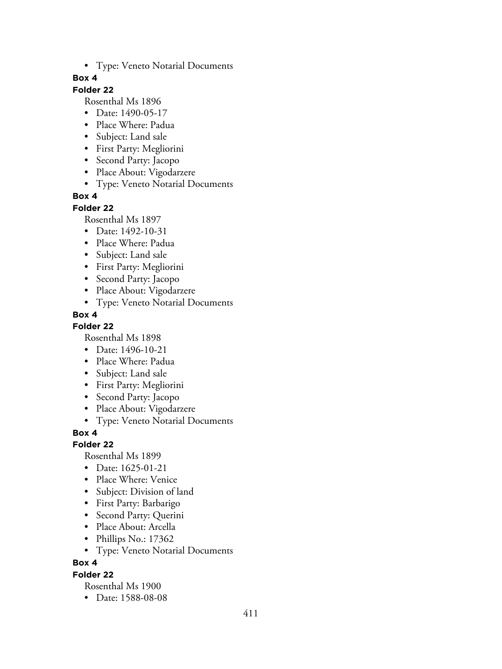• Type: Veneto Notarial Documents

### **Box 4**

# **Folder 22**

Rosenthal Ms 1896

- Date: 1490-05-17
- Place Where: Padua
- Subject: Land sale
- First Party: Megliorini
- Second Party: Jacopo
- Place About: Vigodarzere
- Type: Veneto Notarial Documents

## **Box 4**

#### **Folder 22**

Rosenthal Ms 1897

- Date: 1492-10-31
- Place Where: Padua
- Subject: Land sale
- First Party: Megliorini
- Second Party: Jacopo
- Place About: Vigodarzere
- Type: Veneto Notarial Documents

## **Box 4**

### **Folder 22**

Rosenthal Ms 1898

- Date: 1496-10-21
- Place Where: Padua
- Subject: Land sale
- First Party: Megliorini
- Second Party: Jacopo
- Place About: Vigodarzere
- Type: Veneto Notarial Documents

**Box 4**

### **Folder 22**

Rosenthal Ms 1899

- Date: 1625-01-21
- Place Where: Venice
- Subject: Division of land
- First Party: Barbarigo
- Second Party: Querini
- Place About: Arcella
- Phillips No.: 17362
- Type: Veneto Notarial Documents

### **Box 4**

### **Folder 22**

Rosenthal Ms 1900

• Date: 1588-08-08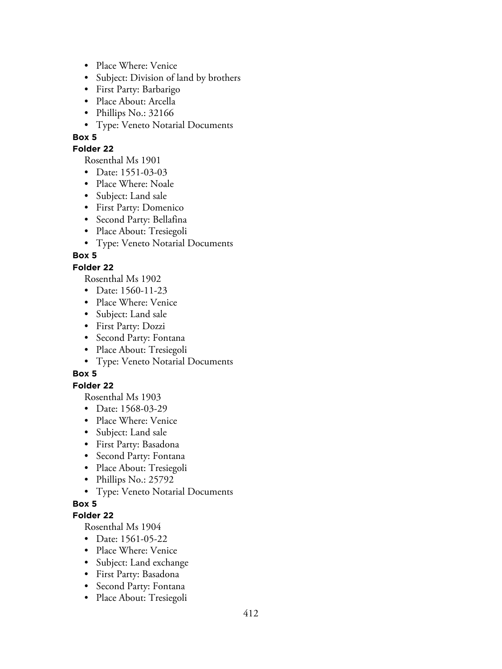- Place Where: Venice
- Subject: Division of land by brothers
- First Party: Barbarigo
- Place About: Arcella
- Phillips No.: 32166
- Type: Veneto Notarial Documents

### **Folder 22**

Rosenthal Ms 1901

- Date: 1551-03-03
- Place Where: Noale
- Subject: Land sale
- First Party: Domenico
- Second Party: Bellafina
- Place About: Tresiegoli
- Type: Veneto Notarial Documents

### **Box 5**

#### **Folder 22**

Rosenthal Ms 1902

- Date: 1560-11-23
- Place Where: Venice
- Subject: Land sale
- First Party: Dozzi
- Second Party: Fontana
- Place About: Tresiegoli
- Type: Veneto Notarial Documents

### **Box 5**

## **Folder 22**

Rosenthal Ms 1903

- Date: 1568-03-29
- Place Where: Venice
- Subject: Land sale
- First Party: Basadona
- Second Party: Fontana
- Place About: Tresiegoli
- Phillips No.: 25792
- Type: Veneto Notarial Documents

#### **Box 5**

### **Folder 22**

- Date: 1561-05-22
- Place Where: Venice
- Subject: Land exchange
- First Party: Basadona
- Second Party: Fontana
- Place About: Tresiegoli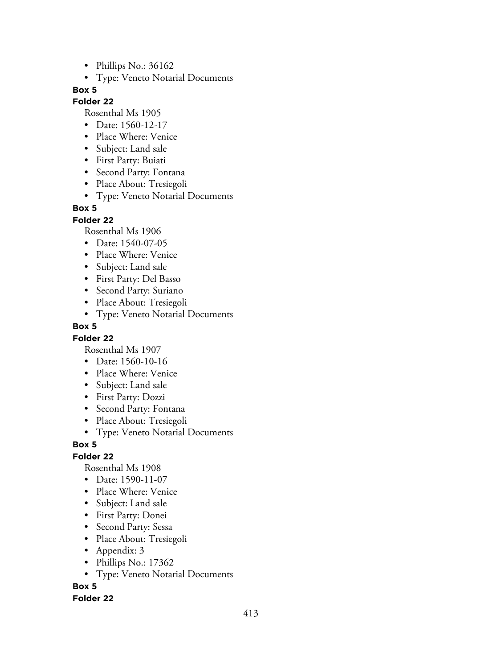- Phillips No.: 36162
- Type: Veneto Notarial Documents

### **Folder 22**

Rosenthal Ms 1905

- Date: 1560-12-17
- Place Where: Venice
- Subject: Land sale
- First Party: Buiati
- Second Party: Fontana
- Place About: Tresiegoli
- Type: Veneto Notarial Documents

### **Box 5**

### **Folder 22**

Rosenthal Ms 1906

- Date: 1540-07-05
- Place Where: Venice
- Subject: Land sale
- First Party: Del Basso
- Second Party: Suriano
- Place About: Tresiegoli
- Type: Veneto Notarial Documents

### **Box 5**

### **Folder 22**

Rosenthal Ms 1907

- Date: 1560-10-16
- Place Where: Venice
- Subject: Land sale
- First Party: Dozzi
- Second Party: Fontana
- Place About: Tresiegoli
- Type: Veneto Notarial Documents

### **Box 5**

# **Folder 22**

Rosenthal Ms 1908

- Date: 1590-11-07
- Place Where: Venice
- Subject: Land sale
- First Party: Donei
- Second Party: Sessa
- Place About: Tresiegoli
- Appendix: 3
- Phillips No.: 17362
- Type: Veneto Notarial Documents

**Box 5**

### **Folder 22**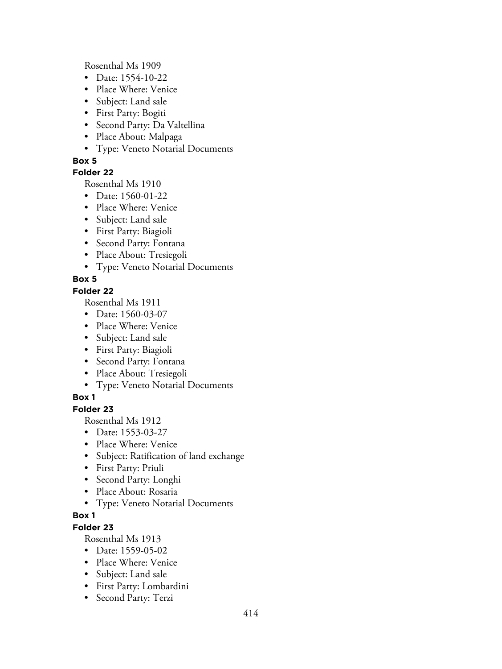Rosenthal Ms 1909

- Date: 1554-10-22
- Place Where: Venice
- Subject: Land sale
- First Party: Bogiti
- Second Party: Da Valtellina
- Place About: Malpaga
- Type: Veneto Notarial Documents

# **Box 5**

# **Folder 22**

Rosenthal Ms 1910

- Date: 1560-01-22
- Place Where: Venice
- Subject: Land sale
- First Party: Biagioli
- Second Party: Fontana
- Place About: Tresiegoli
- Type: Veneto Notarial Documents

# **Box 5**

# **Folder 22**

Rosenthal Ms 1911

- Date: 1560-03-07
- Place Where: Venice
- Subject: Land sale
- First Party: Biagioli
- Second Party: Fontana
- Place About: Tresiegoli
- Type: Veneto Notarial Documents

# **Box 1**

# **Folder 23**

Rosenthal Ms 1912

- Date: 1553-03-27
- Place Where: Venice
- Subject: Ratification of land exchange
- First Party: Priuli
- Second Party: Longhi
- Place About: Rosaria
- Type: Veneto Notarial Documents

# **Box 1**

# **Folder 23**

- Date: 1559-05-02
- Place Where: Venice
- Subject: Land sale
- First Party: Lombardini
- Second Party: Terzi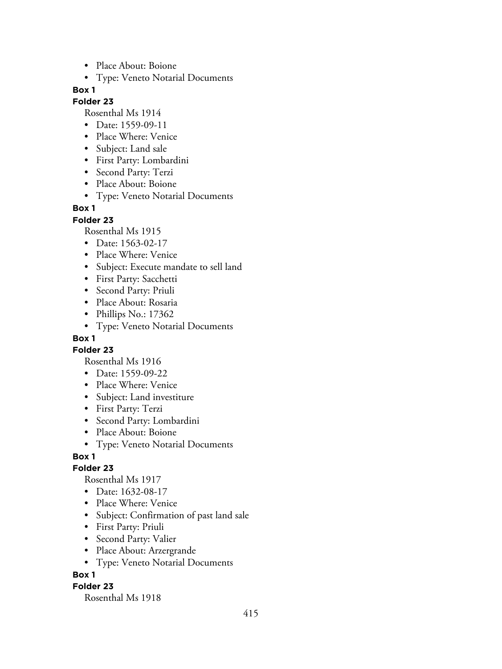- Place About: Boione
- Type: Veneto Notarial Documents

#### **Folder 23**

Rosenthal Ms 1914

- Date: 1559-09-11
- Place Where: Venice
- Subject: Land sale
- First Party: Lombardini
- Second Party: Terzi
- Place About: Boione
- Type: Veneto Notarial Documents

#### **Box 1**

**Folder 23**

Rosenthal Ms 1915

- Date: 1563-02-17
- Place Where: Venice
- Subject: Execute mandate to sell land
- First Party: Sacchetti
- Second Party: Priuli
- Place About: Rosaria
- Phillips No.: 17362
- Type: Veneto Notarial Documents

### **Box 1**

**Folder 23**

Rosenthal Ms 1916

- Date: 1559-09-22
- Place Where: Venice
- Subject: Land investiture
- First Party: Terzi
- Second Party: Lombardini
- Place About: Boione
- Type: Veneto Notarial Documents

### **Box 1**

#### **Folder 23**

Rosenthal Ms 1917

- Date: 1632-08-17
- Place Where: Venice
- Subject: Confirmation of past land sale
- First Party: Priuli
- Second Party: Valier
- Place About: Arzergrande
- Type: Veneto Notarial Documents

#### **Box 1**

#### **Folder 23**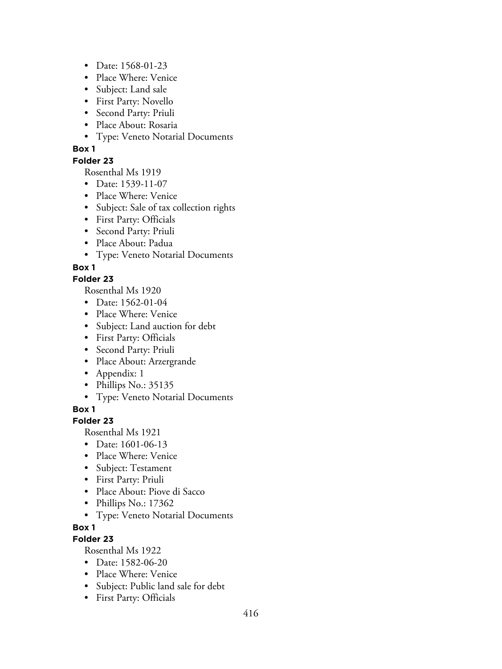- Date: 1568-01-23
- Place Where: Venice
- Subject: Land sale
- First Party: Novello
- Second Party: Priuli
- Place About: Rosaria
- Type: Veneto Notarial Documents

### **Folder 23**

Rosenthal Ms 1919

- Date: 1539-11-07
- Place Where: Venice
- Subject: Sale of tax collection rights
- First Party: Officials
- Second Party: Priuli
- Place About: Padua
- Type: Veneto Notarial Documents

## **Box 1**

### **Folder 23**

Rosenthal Ms 1920

- Date: 1562-01-04
- Place Where: Venice
- Subject: Land auction for debt
- First Party: Officials
- Second Party: Priuli
- Place About: Arzergrande
- Appendix: 1
- Phillips No.: 35135
- Type: Veneto Notarial Documents

**Box 1**

### **Folder 23**

Rosenthal Ms 1921

- Date: 1601-06-13
- Place Where: Venice
- Subject: Testament
- First Party: Priuli
- Place About: Piove di Sacco
- Phillips No.: 17362
- Type: Veneto Notarial Documents

### **Box 1**

# **Folder 23**

- Date: 1582-06-20
- Place Where: Venice
- Subject: Public land sale for debt
- First Party: Officials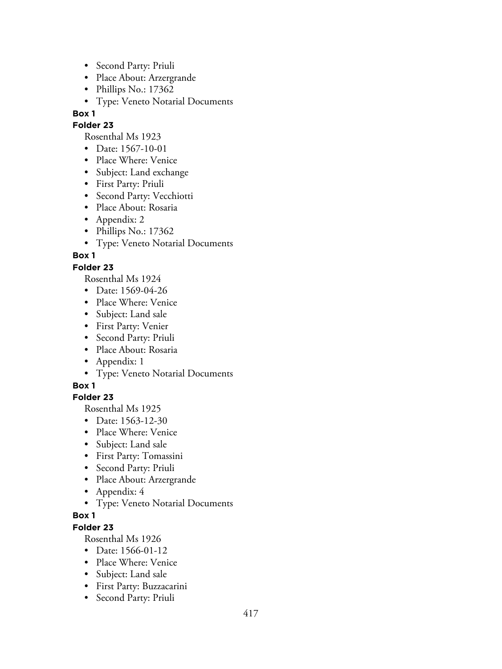- Second Party: Priuli
- Place About: Arzergrande
- Phillips No.: 17362
- Type: Veneto Notarial Documents

#### **Folder 23**

Rosenthal Ms 1923

- Date: 1567-10-01
- Place Where: Venice
- Subject: Land exchange
- First Party: Priuli
- Second Party: Vecchiotti
- Place About: Rosaria
- Appendix: 2
- Phillips No.: 17362
- Type: Veneto Notarial Documents

**Box 1**

## **Folder 23**

Rosenthal Ms 1924

- Date: 1569-04-26
- Place Where: Venice
- Subject: Land sale
- First Party: Venier
- Second Party: Priuli
- Place About: Rosaria
- Appendix: 1
- Type: Veneto Notarial Documents

### **Box 1**

# **Folder 23**

Rosenthal Ms 1925

- Date: 1563-12-30
- Place Where: Venice
- Subject: Land sale
- First Party: Tomassini
- Second Party: Priuli
- Place About: Arzergrande
- Appendix: 4
- Type: Veneto Notarial Documents

### **Box 1**

# **Folder 23**

- Date: 1566-01-12
- Place Where: Venice
- Subject: Land sale
- First Party: Buzzacarini
- Second Party: Priuli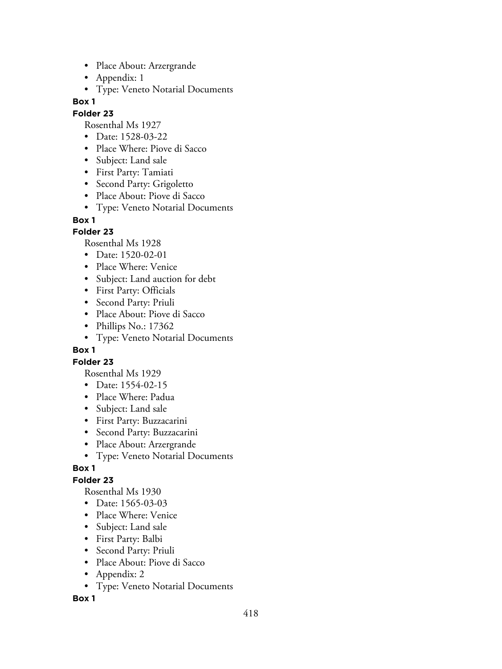- Place About: Arzergrande
- Appendix: 1
- Type: Veneto Notarial Documents

#### **Folder 23**

Rosenthal Ms 1927

- Date: 1528-03-22
- Place Where: Piove di Sacco
- Subject: Land sale
- First Party: Tamiati
- Second Party: Grigoletto
- Place About: Piove di Sacco
- Type: Veneto Notarial Documents

**Box 1**

### **Folder 23**

Rosenthal Ms 1928

- Date: 1520-02-01
- Place Where: Venice
- Subject: Land auction for debt
- First Party: Officials
- Second Party: Priuli
- Place About: Piove di Sacco
- Phillips No.: 17362
- Type: Veneto Notarial Documents

### **Box 1**

### **Folder 23**

Rosenthal Ms 1929

- Date: 1554-02-15
- Place Where: Padua
- Subject: Land sale
- First Party: Buzzacarini
- Second Party: Buzzacarini
- Place About: Arzergrande
- Type: Veneto Notarial Documents

### **Box 1**

# **Folder 23**

Rosenthal Ms 1930

- Date: 1565-03-03
- Place Where: Venice
- Subject: Land sale
- First Party: Balbi
- Second Party: Priuli
- Place About: Piove di Sacco
- Appendix: 2
- Type: Veneto Notarial Documents

**Box 1**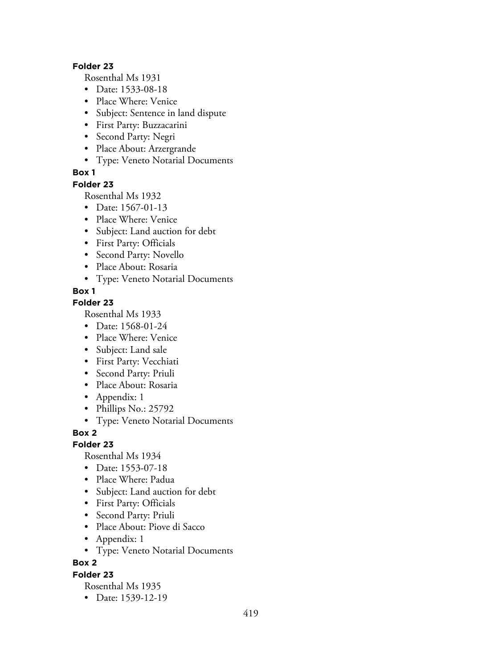#### **Folder 23**

Rosenthal Ms 1931

- Date: 1533-08-18
- Place Where: Venice
- Subject: Sentence in land dispute
- First Party: Buzzacarini
- Second Party: Negri
- Place About: Arzergrande
- Type: Veneto Notarial Documents

### **Box 1**

#### **Folder 23**

Rosenthal Ms 1932

- Date: 1567-01-13
- Place Where: Venice
- Subject: Land auction for debt
- First Party: Officials
- Second Party: Novello
- Place About: Rosaria
- Type: Veneto Notarial Documents

## **Box 1**

## **Folder 23**

Rosenthal Ms 1933

- Date: 1568-01-24
- Place Where: Venice
- Subject: Land sale
- First Party: Vecchiati
- Second Party: Priuli
- Place About: Rosaria
- Appendix: 1
- Phillips No.: 25792
- Type: Veneto Notarial Documents

### **Box 2**

### **Folder 23**

Rosenthal Ms 1934

- Date: 1553-07-18
- Place Where: Padua
- Subject: Land auction for debt
- First Party: Officials
- Second Party: Priuli
- Place About: Piove di Sacco
- Appendix: 1
- Type: Veneto Notarial Documents

**Box 2**

### **Folder 23**

Rosenthal Ms 1935

• Date: 1539-12-19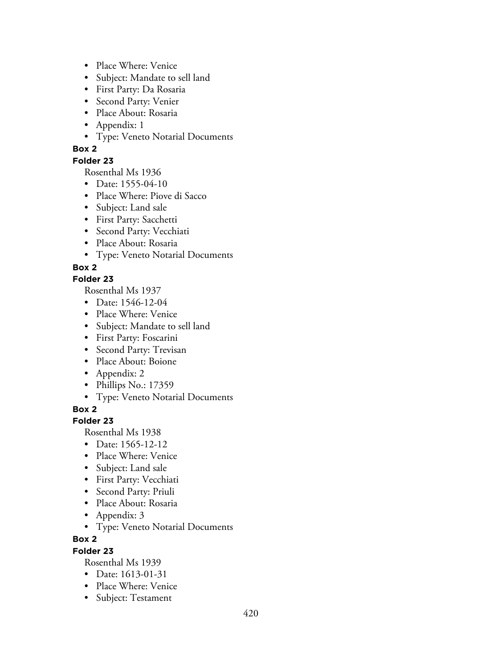- Place Where: Venice
- Subject: Mandate to sell land
- First Party: Da Rosaria
- Second Party: Venier
- Place About: Rosaria
- Appendix: 1
- Type: Veneto Notarial Documents

# **Folder 23**

Rosenthal Ms 1936

- Date: 1555-04-10
- Place Where: Piove di Sacco
- Subject: Land sale
- First Party: Sacchetti
- Second Party: Vecchiati
- Place About: Rosaria
- Type: Veneto Notarial Documents

## **Box 2**

### **Folder 23**

Rosenthal Ms 1937

- Date: 1546-12-04
- Place Where: Venice
- Subject: Mandate to sell land
- First Party: Foscarini
- Second Party: Trevisan
- Place About: Boione
- Appendix: 2
- Phillips No.: 17359
- Type: Veneto Notarial Documents

**Box 2**

### **Folder 23**

Rosenthal Ms 1938

- Date: 1565-12-12
- Place Where: Venice
- Subject: Land sale
- First Party: Vecchiati
- Second Party: Priuli
- Place About: Rosaria
- Appendix: 3
- Type: Veneto Notarial Documents

**Box 2**

### **Folder 23**

- Date: 1613-01-31
- Place Where: Venice
- Subject: Testament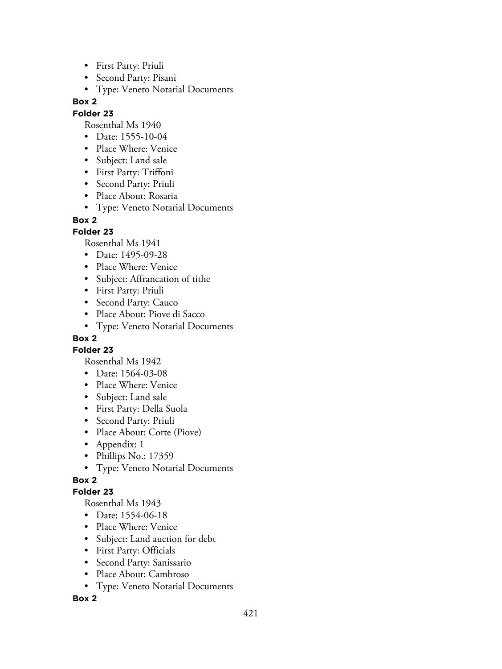- First Party: Priuli
- Second Party: Pisani
- Type: Veneto Notarial Documents

### **Folder 23**

Rosenthal Ms 1940

- Date: 1555-10-04
- Place Where: Venice
- Subject: Land sale
- First Party: Triffoni
- Second Party: Priuli
- Place About: Rosaria
- Type: Veneto Notarial Documents

#### **Box 2**

### **Folder 23**

Rosenthal Ms 1941

- Date: 1495-09-28
- Place Where: Venice
- Subject: Affrancation of tithe
- First Party: Priuli
- Second Party: Cauco
- Place About: Piove di Sacco
- Type: Veneto Notarial Documents

# **Box 2**

**Folder 23**

Rosenthal Ms 1942

- Date: 1564-03-08
- Place Where: Venice
- Subject: Land sale
- First Party: Della Suola
- Second Party: Priuli
- Place About: Corte (Piove)
- Appendix: 1
- Phillips No.: 17359
- Type: Veneto Notarial Documents

# **Box 2**

### **Folder 23**

Rosenthal Ms 1943

- Date: 1554-06-18
- Place Where: Venice
- Subject: Land auction for debt
- First Party: Officials
- Second Party: Sanissario
- Place About: Cambroso
- Type: Veneto Notarial Documents

### **Box 2**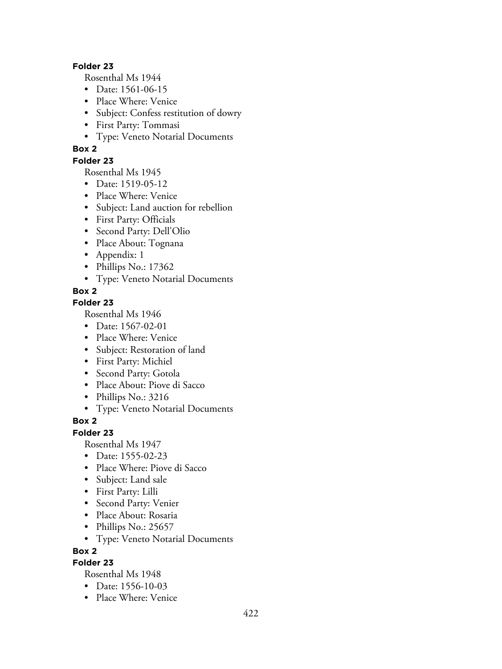#### **Folder 23**

Rosenthal Ms 1944

- Date: 1561-06-15
- Place Where: Venice
- Subject: Confess restitution of dowry
- First Party: Tommasi
- Type: Veneto Notarial Documents

## **Box 2**

### **Folder 23**

Rosenthal Ms 1945

- Date: 1519-05-12
- Place Where: Venice
- Subject: Land auction for rebellion
- First Party: Officials
- Second Party: Dell'Olio
- Place About: Tognana
- Appendix: 1
- Phillips No.: 17362
- Type: Veneto Notarial Documents

## **Box 2**

### **Folder 23**

Rosenthal Ms 1946

- Date: 1567-02-01
- Place Where: Venice
- Subject: Restoration of land
- First Party: Michiel
- Second Party: Gotola
- Place About: Piove di Sacco
- Phillips No.: 3216
- Type: Veneto Notarial Documents

### **Box 2**

### **Folder 23**

Rosenthal Ms 1947

- Date: 1555-02-23
- Place Where: Piove di Sacco
- Subject: Land sale
- First Party: Lilli
- Second Party: Venier
- Place About: Rosaria
- Phillips No.: 25657
- Type: Veneto Notarial Documents

**Box 2**

# **Folder 23**

- Date: 1556-10-03
- Place Where: Venice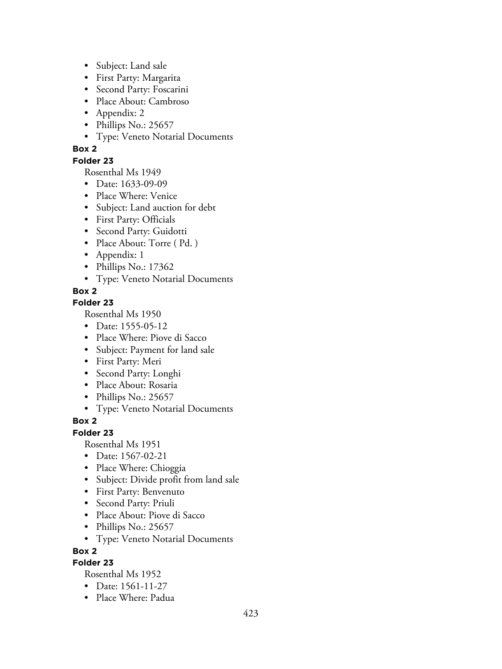- Subject: Land sale
- First Party: Margarita
- Second Party: Foscarini
- Place About: Cambroso
- Appendix: 2
- Phillips No.: 25657
- Type: Veneto Notarial Documents

### **Folder 23**

Rosenthal Ms 1949

- Date: 1633-09-09
- Place Where: Venice
- Subject: Land auction for debt
- First Party: Officials
- Second Party: Guidotti
- Place About: Torre (Pd.)
- Appendix: 1
- Phillips No.: 17362
- Type: Veneto Notarial Documents

## **Box 2**

## **Folder 23**

Rosenthal Ms 1950

- Date: 1555-05-12
- Place Where: Piove di Sacco
- Subject: Payment for land sale
- First Party: Meri
- Second Party: Longhi
- Place About: Rosaria
- Phillips No.: 25657
- Type: Veneto Notarial Documents

### **Box 2**

### **Folder 23**

Rosenthal Ms 1951

- Date: 1567-02-21
- Place Where: Chioggia
- Subject: Divide profit from land sale
- First Party: Benvenuto
- Second Party: Priuli
- Place About: Piove di Sacco
- Phillips No.: 25657
- Type: Veneto Notarial Documents

**Box 2**

## **Folder 23**

- Date: 1561-11-27
- Place Where: Padua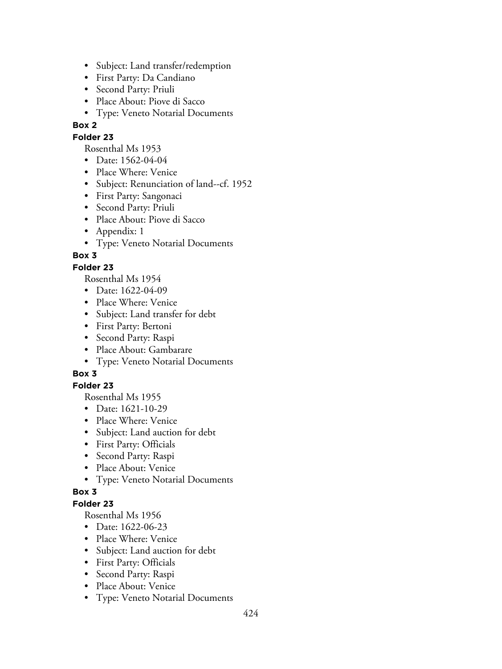- Subject: Land transfer/redemption
- First Party: Da Candiano
- Second Party: Priuli
- Place About: Piove di Sacco
- Type: Veneto Notarial Documents

#### **Folder 23**

Rosenthal Ms 1953

- Date: 1562-04-04
- Place Where: Venice
- Subject: Renunciation of land--cf. 1952
- First Party: Sangonaci
- Second Party: Priuli
- Place About: Piove di Sacco
- Appendix: 1
- Type: Veneto Notarial Documents

## **Box 3**

## **Folder 23**

Rosenthal Ms 1954

- Date: 1622-04-09
- Place Where: Venice
- Subject: Land transfer for debt
- First Party: Bertoni
- Second Party: Raspi
- Place About: Gambarare
- Type: Veneto Notarial Documents

# **Box 3**

### **Folder 23**

Rosenthal Ms 1955

- Date: 1621-10-29
- Place Where: Venice
- Subject: Land auction for debt
- First Party: Officials
- Second Party: Raspi
- Place About: Venice
- Type: Veneto Notarial Documents

### **Box 3**

## **Folder 23**

- Date: 1622-06-23
- Place Where: Venice
- Subject: Land auction for debt
- First Party: Officials
- Second Party: Raspi
- Place About: Venice
- Type: Veneto Notarial Documents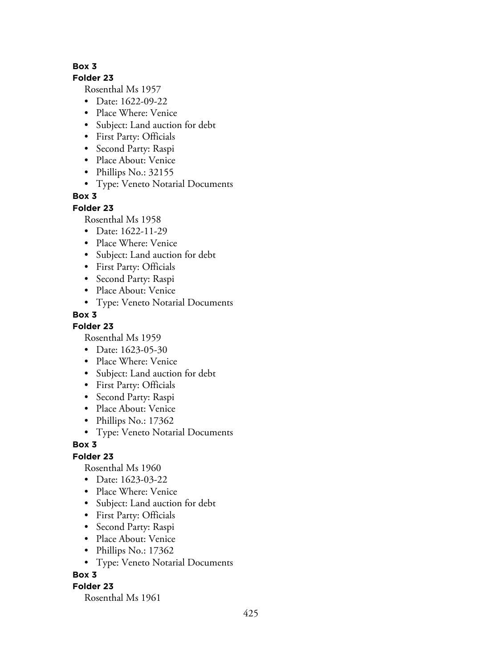#### **Folder 23**

Rosenthal Ms 1957

- Date: 1622-09-22
- Place Where: Venice
- Subject: Land auction for debt
- First Party: Officials
- Second Party: Raspi
- Place About: Venice
- Phillips No.: 32155
- Type: Veneto Notarial Documents

## **Box 3**

### **Folder 23**

Rosenthal Ms 1958

- Date: 1622-11-29
- Place Where: Venice
- Subject: Land auction for debt
- First Party: Officials
- Second Party: Raspi
- Place About: Venice
- Type: Veneto Notarial Documents

## **Box 3**

**Folder 23**

Rosenthal Ms 1959

- Date: 1623-05-30
- Place Where: Venice
- Subject: Land auction for debt
- First Party: Officials
- Second Party: Raspi
- Place About: Venice
- Phillips No.: 17362
- Type: Veneto Notarial Documents

### **Box 3**

### **Folder 23**

Rosenthal Ms 1960

- Date: 1623-03-22
- Place Where: Venice
- Subject: Land auction for debt
- First Party: Officials
- Second Party: Raspi
- Place About: Venice
- Phillips No.: 17362
- Type: Veneto Notarial Documents

### **Box 3**

### **Folder 23**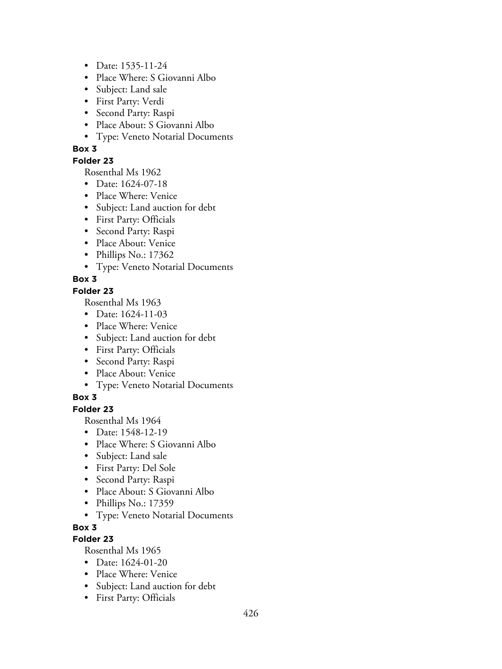- Date: 1535-11-24
- Place Where: S Giovanni Albo
- Subject: Land sale
- First Party: Verdi
- Second Party: Raspi
- Place About: S Giovanni Albo
- Type: Veneto Notarial Documents

### **Folder 23**

Rosenthal Ms 1962

- Date: 1624-07-18
- Place Where: Venice
- Subject: Land auction for debt
- First Party: Officials
- Second Party: Raspi
- Place About: Venice
- Phillips No.: 17362
- Type: Veneto Notarial Documents

## **Box 3**

### **Folder 23**

Rosenthal Ms 1963

- Date: 1624-11-03
- Place Where: Venice
- Subject: Land auction for debt
- First Party: Officials
- Second Party: Raspi
- Place About: Venice
- Type: Veneto Notarial Documents

# **Box 3**

## **Folder 23**

Rosenthal Ms 1964

- Date: 1548-12-19
- Place Where: S Giovanni Albo
- Subject: Land sale
- First Party: Del Sole
- Second Party: Raspi
- Place About: S Giovanni Albo
- Phillips No.: 17359
- Type: Veneto Notarial Documents

### **Box 3**

# **Folder 23**

- Date: 1624-01-20
- Place Where: Venice
- Subject: Land auction for debt
- First Party: Officials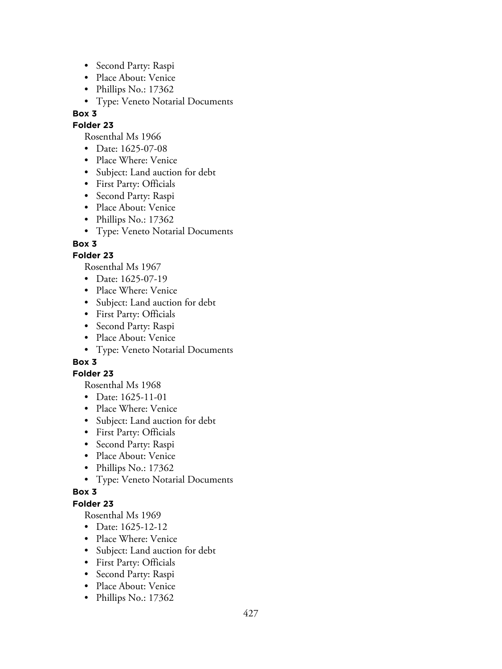- Second Party: Raspi
- Place About: Venice
- Phillips No.: 17362
- Type: Veneto Notarial Documents

# **Folder 23**

Rosenthal Ms 1966

- Date: 1625-07-08
- Place Where: Venice
- Subject: Land auction for debt
- First Party: Officials
- Second Party: Raspi
- Place About: Venice
- Phillips No.: 17362
- Type: Veneto Notarial Documents

# **Box 3**

# **Folder 23**

Rosenthal Ms 1967

- Date: 1625-07-19
- Place Where: Venice
- Subject: Land auction for debt
- First Party: Officials
- Second Party: Raspi
- Place About: Venice
- Type: Veneto Notarial Documents

# **Box 3**

# **Folder 23**

Rosenthal Ms 1968

- Date: 1625-11-01
- Place Where: Venice
- Subject: Land auction for debt
- First Party: Officials
- Second Party: Raspi
- Place About: Venice
- Phillips No.: 17362
- Type: Veneto Notarial Documents

# **Box 3**

# **Folder 23**

- Date: 1625-12-12
- Place Where: Venice
- Subject: Land auction for debt
- First Party: Officials
- Second Party: Raspi
- Place About: Venice
- Phillips No.: 17362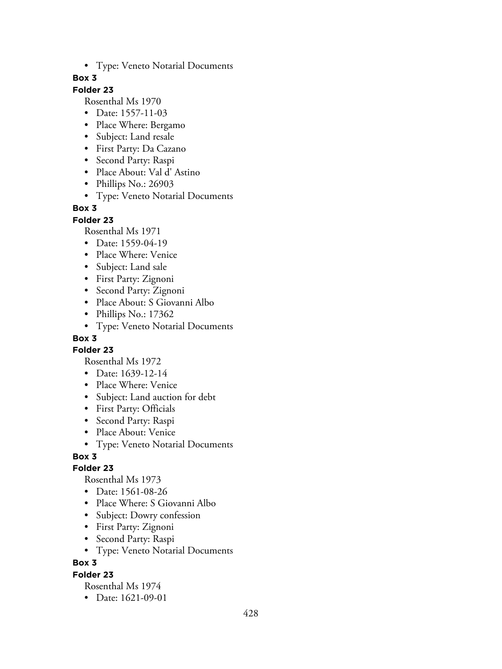• Type: Veneto Notarial Documents

### **Box 3**

# **Folder 23**

Rosenthal Ms 1970

- Date: 1557-11-03
- Place Where: Bergamo
- Subject: Land resale
- First Party: Da Cazano
- Second Party: Raspi
- Place About: Val d' Astino
- Phillips No.: 26903
- Type: Veneto Notarial Documents

### **Box 3**

#### **Folder 23**

Rosenthal Ms 1971

- Date: 1559-04-19
- Place Where: Venice
- Subject: Land sale
- First Party: Zignoni
- Second Party: Zignoni
- Place About: S Giovanni Albo
- Phillips No.: 17362
- Type: Veneto Notarial Documents

## **Box 3**

**Folder 23**

Rosenthal Ms 1972

- Date: 1639-12-14
- Place Where: Venice
- Subject: Land auction for debt
- First Party: Officials
- Second Party: Raspi
- Place About: Venice
- Type: Veneto Notarial Documents

### **Box 3**

### **Folder 23**

Rosenthal Ms 1973

- Date: 1561-08-26
- Place Where: S Giovanni Albo
- Subject: Dowry confession
- First Party: Zignoni
- Second Party: Raspi
- Type: Veneto Notarial Documents

### **Box 3**

### **Folder 23**

Rosenthal Ms 1974

• Date: 1621-09-01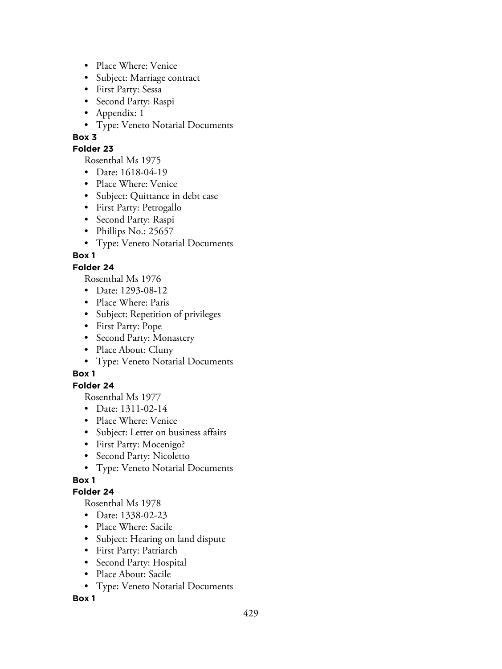- Place Where: Venice
- Subject: Marriage contract
- First Party: Sessa
- Second Party: Raspi
- Appendix: 1
- Type: Veneto Notarial Documents

### **Folder 23**

Rosenthal Ms 1975

- Date: 1618-04-19
- Place Where: Venice
- Subject: Quittance in debt case
- First Party: Petrogallo
- Second Party: Raspi
- Phillips No.: 25657
- Type: Veneto Notarial Documents

# **Box 1**

# **Folder 24**

Rosenthal Ms 1976

- Date: 1293-08-12
- Place Where: Paris
- Subject: Repetition of privileges
- First Party: Pope
- Second Party: Monastery
- Place About: Cluny
- Type: Veneto Notarial Documents

# **Box 1**

# **Folder 24**

Rosenthal Ms 1977

- Date: 1311-02-14
- Place Where: Venice
- Subject: Letter on business affairs
- First Party: Mocenigo?
- Second Party: Nicoletto
- Type: Veneto Notarial Documents

# **Box 1**

# **Folder 24**

Rosenthal Ms 1978

- Date: 1338-02-23
- Place Where: Sacile
- Subject: Hearing on land dispute
- First Party: Patriarch
- Second Party: Hospital
- Place About: Sacile
- Type: Veneto Notarial Documents

# **Box 1**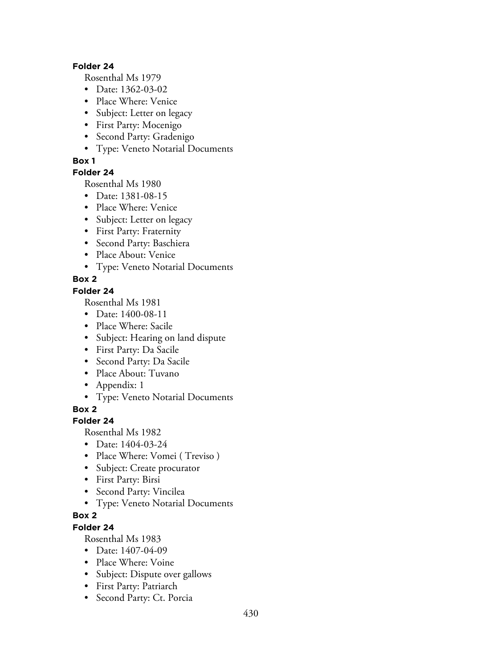#### **Folder 24**

Rosenthal Ms 1979

- Date: 1362-03-02
- Place Where: Venice
- Subject: Letter on legacy
- First Party: Mocenigo
- Second Party: Gradenigo
- Type: Veneto Notarial Documents

### **Box 1**

### **Folder 24**

Rosenthal Ms 1980

- Date: 1381-08-15
- Place Where: Venice
- Subject: Letter on legacy
- First Party: Fraternity
- Second Party: Baschiera
- Place About: Venice
- Type: Veneto Notarial Documents

## **Box 2**

### **Folder 24**

Rosenthal Ms 1981

- Date: 1400-08-11
- Place Where: Sacile
- Subject: Hearing on land dispute
- First Party: Da Sacile
- Second Party: Da Sacile
- Place About: Tuvano
- Appendix: 1
- Type: Veneto Notarial Documents

**Box 2**

# **Folder 24**

Rosenthal Ms 1982

- Date: 1404-03-24
- Place Where: Vomei (Treviso)
- Subject: Create procurator
- First Party: Birsi
- Second Party: Vincilea
- Type: Veneto Notarial Documents

# **Box 2**

# **Folder 24**

- Date: 1407-04-09
- Place Where: Voine
- Subject: Dispute over gallows
- First Party: Patriarch
- Second Party: Ct. Porcia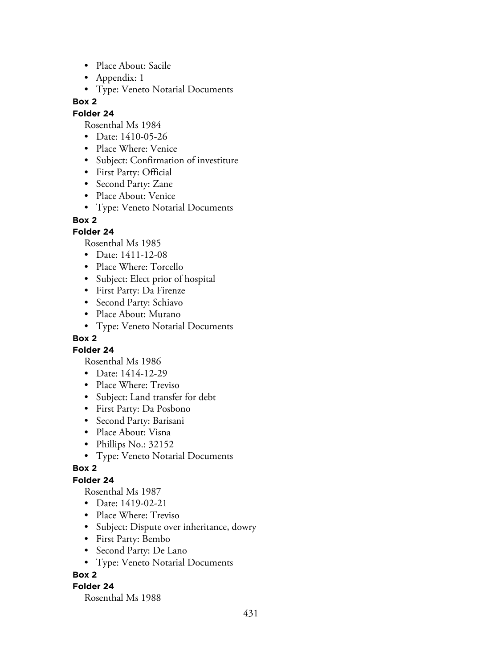- Place About: Sacile
- Appendix: 1
- Type: Veneto Notarial Documents

### **Folder 24**

Rosenthal Ms 1984

- Date: 1410-05-26
- Place Where: Venice
- Subject: Confirmation of investiture
- First Party: Official
- Second Party: Zane
- Place About: Venice
- Type: Veneto Notarial Documents

### **Box 2**

## **Folder 24**

Rosenthal Ms 1985

- Date: 1411-12-08
- Place Where: Torcello
- Subject: Elect prior of hospital
- First Party: Da Firenze
- Second Party: Schiavo
- Place About: Murano
- Type: Veneto Notarial Documents

# **Box 2**

**Folder 24**

Rosenthal Ms 1986

- Date: 1414-12-29
- Place Where: Treviso
- Subject: Land transfer for debt
- First Party: Da Posbono
- Second Party: Barisani
- Place About: Visna
- Phillips No.: 32152
- Type: Veneto Notarial Documents

### **Box 2**

# **Folder 24**

Rosenthal Ms 1987

- Date: 1419-02-21
- Place Where: Treviso
- Subject: Dispute over inheritance, dowry
- First Party: Bembo
- Second Party: De Lano
- Type: Veneto Notarial Documents

### **Box 2**

### **Folder 24**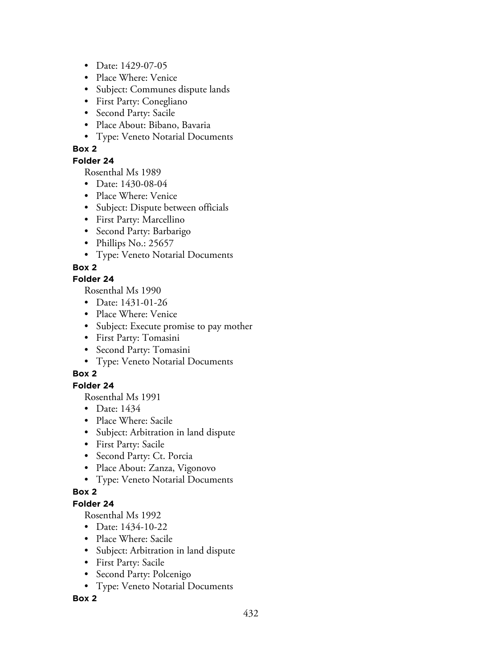- Date: 1429-07-05
- Place Where: Venice
- Subject: Communes dispute lands
- First Party: Conegliano
- Second Party: Sacile
- Place About: Bibano, Bavaria
- Type: Veneto Notarial Documents

### **Folder 24**

Rosenthal Ms 1989

- Date: 1430-08-04
- Place Where: Venice
- Subject: Dispute between officials
- First Party: Marcellino
- Second Party: Barbarigo
- Phillips No.: 25657
- Type: Veneto Notarial Documents

## **Box 2**

### **Folder 24**

Rosenthal Ms 1990

- Date: 1431-01-26
- Place Where: Venice
- Subject: Execute promise to pay mother
- First Party: Tomasini
- Second Party: Tomasini
- Type: Veneto Notarial Documents

# **Box 2**

# **Folder 24**

Rosenthal Ms 1991

- Date: 1434
- Place Where: Sacile
- Subject: Arbitration in land dispute
- First Party: Sacile
- Second Party: Ct. Porcia
- Place About: Zanza, Vigonovo
- Type: Veneto Notarial Documents

### **Box 2**

# **Folder 24**

Rosenthal Ms 1992

- Date: 1434-10-22
- Place Where: Sacile
- Subject: Arbitration in land dispute
- First Party: Sacile
- Second Party: Polcenigo
- Type: Veneto Notarial Documents

### **Box 2**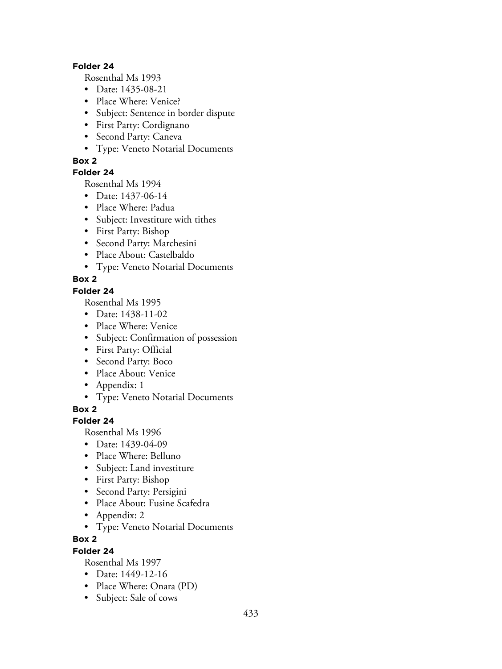#### **Folder 24**

Rosenthal Ms 1993

- Date: 1435-08-21
- Place Where: Venice?
- Subject: Sentence in border dispute
- First Party: Cordignano
- Second Party: Caneva
- Type: Veneto Notarial Documents

### **Box 2**

### **Folder 24**

Rosenthal Ms 1994

- Date: 1437-06-14
- Place Where: Padua
- Subject: Investiture with tithes
- First Party: Bishop
- Second Party: Marchesini
- Place About: Castelbaldo
- Type: Veneto Notarial Documents

## **Box 2**

#### **Folder 24**

Rosenthal Ms 1995

- Date: 1438-11-02
- Place Where: Venice
- Subject: Confirmation of possession
- First Party: Official
- Second Party: Boco
- Place About: Venice
- Appendix: 1
- Type: Veneto Notarial Documents

**Box 2**

## **Folder 24**

Rosenthal Ms 1996

- Date: 1439-04-09
- Place Where: Belluno
- Subject: Land investiture
- First Party: Bishop
- Second Party: Persigini
- Place About: Fusine Scafedra
- Appendix: 2
- Type: Veneto Notarial Documents

### **Box 2**

### **Folder 24**

- Date: 1449-12-16
- Place Where: Onara (PD)
- Subject: Sale of cows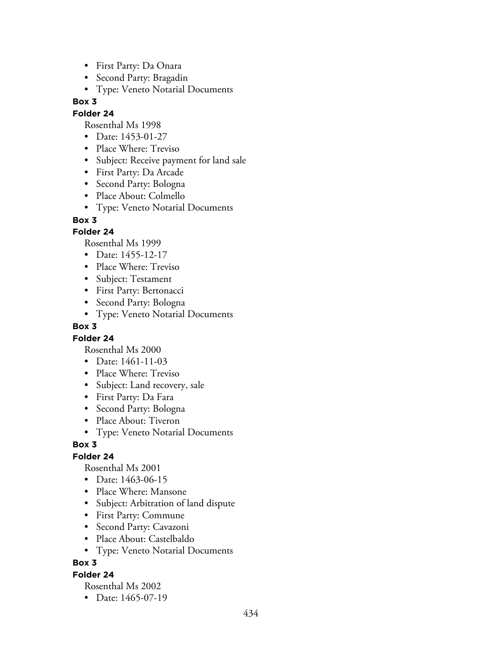- First Party: Da Onara
- Second Party: Bragadin
- Type: Veneto Notarial Documents

### **Folder 24**

Rosenthal Ms 1998

- Date: 1453-01-27
- Place Where: Treviso
- Subject: Receive payment for land sale
- First Party: Da Arcade
- Second Party: Bologna
- Place About: Colmello
- Type: Veneto Notarial Documents

### **Box 3**

### **Folder 24**

Rosenthal Ms 1999

- Date: 1455-12-17
- Place Where: Treviso
- Subject: Testament
- First Party: Bertonacci
- Second Party: Bologna
- Type: Veneto Notarial Documents

### **Box 3**

### **Folder 24**

Rosenthal Ms 2000

- Date: 1461-11-03
- Place Where: Treviso
- Subject: Land recovery, sale
- First Party: Da Fara
- Second Party: Bologna
- Place About: Tiveron
- Type: Veneto Notarial Documents

### **Box 3**

### **Folder 24**

Rosenthal Ms 2001

- Date: 1463-06-15
- Place Where: Mansone
- Subject: Arbitration of land dispute
- First Party: Commune
- Second Party: Cavazoni
- Place About: Castelbaldo
- Type: Veneto Notarial Documents

### **Box 3**

## **Folder 24**

Rosenthal Ms 2002

• Date: 1465-07-19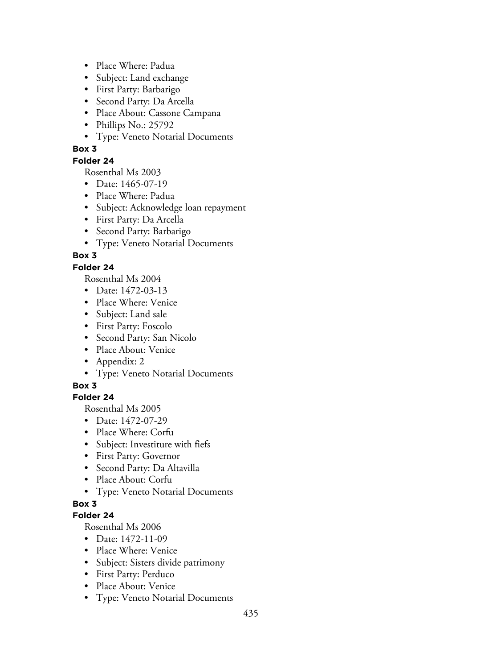- Place Where: Padua
- Subject: Land exchange
- First Party: Barbarigo
- Second Party: Da Arcella
- Place About: Cassone Campana
- Phillips No.: 25792
- Type: Veneto Notarial Documents

### **Folder 24**

Rosenthal Ms 2003

- Date: 1465-07-19
- Place Where: Padua
- Subject: Acknowledge loan repayment
- First Party: Da Arcella
- Second Party: Barbarigo
- Type: Veneto Notarial Documents

## **Box 3**

## **Folder 24**

Rosenthal Ms 2004

- Date: 1472-03-13
- Place Where: Venice
- Subject: Land sale
- First Party: Foscolo
- Second Party: San Nicolo
- Place About: Venice
- Appendix: 2
- Type: Veneto Notarial Documents

### **Box 3**

## **Folder 24**

Rosenthal Ms 2005

- Date: 1472-07-29
- Place Where: Corfu
- Subject: Investiture with fiefs
- First Party: Governor
- Second Party: Da Altavilla
- Place About: Corfu
- Type: Veneto Notarial Documents

## **Box 3**

### **Folder 24**

- Date: 1472-11-09
- Place Where: Venice
- Subject: Sisters divide patrimony
- First Party: Perduco
- Place About: Venice
- Type: Veneto Notarial Documents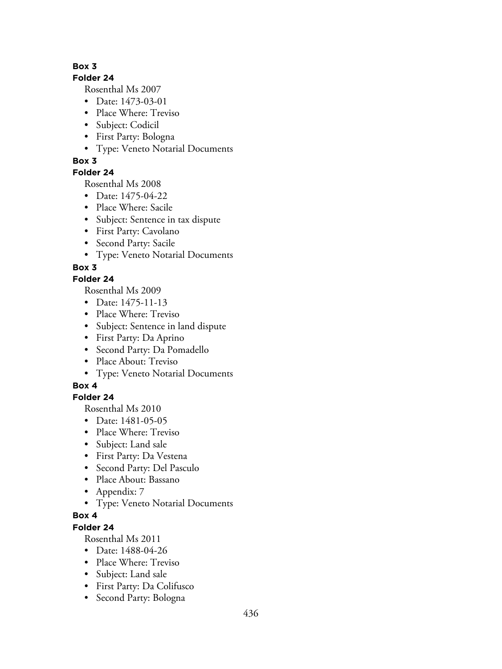### **Folder 24**

Rosenthal Ms 2007

- Date: 1473-03-01
- Place Where: Treviso
- Subject: Codicil
- First Party: Bologna
- Type: Veneto Notarial Documents

# **Box 3**

# **Folder 24**

Rosenthal Ms 2008

- Date: 1475-04-22
- Place Where: Sacile
- Subject: Sentence in tax dispute
- First Party: Cavolano
- Second Party: Sacile
- Type: Veneto Notarial Documents

# **Box 3**

## **Folder 24**

Rosenthal Ms 2009

- Date: 1475-11-13
- Place Where: Treviso
- Subject: Sentence in land dispute
- First Party: Da Aprino
- Second Party: Da Pomadello
- Place About: Treviso
- Type: Veneto Notarial Documents

## **Box 4**

# **Folder 24**

Rosenthal Ms 2010

- Date: 1481-05-05
- Place Where: Treviso
- Subject: Land sale
- First Party: Da Vestena
- Second Party: Del Pasculo
- Place About: Bassano
- Appendix: 7
- Type: Veneto Notarial Documents

# **Box 4**

# **Folder 24**

- Date: 1488-04-26
- Place Where: Treviso
- Subject: Land sale
- First Party: Da Colifusco
- Second Party: Bologna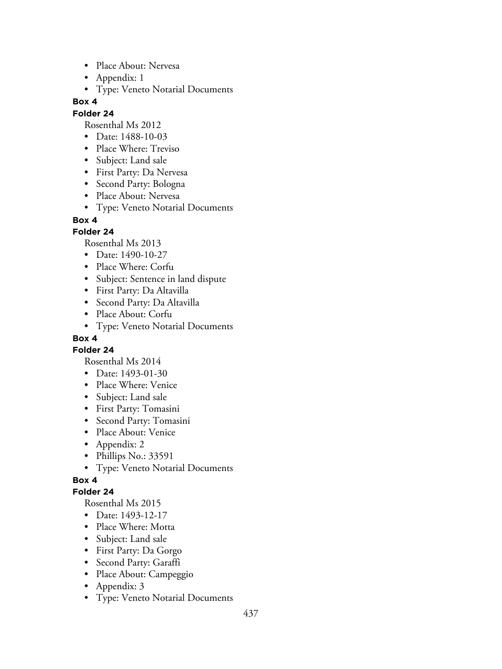- Place About: Nervesa
- Appendix: 1
- Type: Veneto Notarial Documents

#### **Folder 24**

Rosenthal Ms 2012

- Date: 1488-10-03
- Place Where: Treviso
- Subject: Land sale
- First Party: Da Nervesa
- Second Party: Bologna
- Place About: Nervesa
- Type: Veneto Notarial Documents

#### **Box 4**

### **Folder 24**

Rosenthal Ms 2013

- Date: 1490-10-27
- Place Where: Corfu
- Subject: Sentence in land dispute
- First Party: Da Altavilla
- Second Party: Da Altavilla
- Place About: Corfu
- Type: Veneto Notarial Documents

## **Box 4**

**Folder 24**

Rosenthal Ms 2014

- Date: 1493-01-30
- Place Where: Venice
- Subject: Land sale
- First Party: Tomasini
- Second Party: Tomasini
- Place About: Venice
- Appendix: 2
- Phillips No.: 33591
- Type: Veneto Notarial Documents

## **Box 4**

### **Folder 24**

- Date: 1493-12-17
- Place Where: Motta
- Subject: Land sale
- First Party: Da Gorgo
- Second Party: Garaffi
- Place About: Campeggio
- Appendix: 3
- Type: Veneto Notarial Documents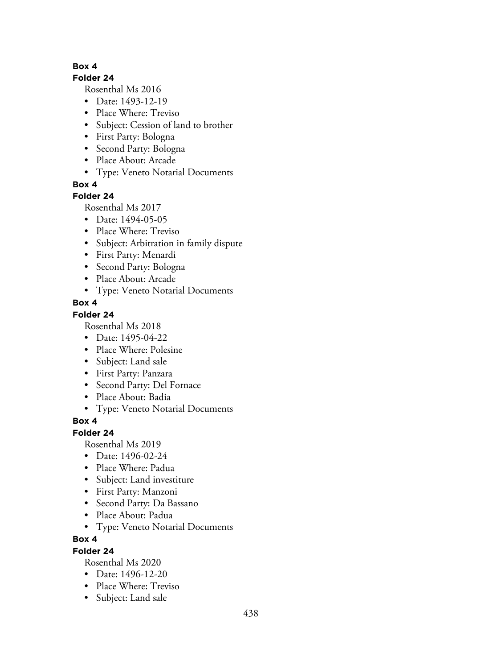### **Folder 24**

Rosenthal Ms 2016

- Date: 1493-12-19
- Place Where: Treviso
- Subject: Cession of land to brother
- First Party: Bologna
- Second Party: Bologna
- Place About: Arcade
- Type: Veneto Notarial Documents

**Box 4**

## **Folder 24**

Rosenthal Ms 2017

- Date: 1494-05-05
- Place Where: Treviso
- Subject: Arbitration in family dispute
- First Party: Menardi
- Second Party: Bologna
- Place About: Arcade
- Type: Veneto Notarial Documents

## **Box 4**

## **Folder 24**

Rosenthal Ms 2018

- Date: 1495-04-22
- Place Where: Polesine
- Subject: Land sale
- First Party: Panzara
- Second Party: Del Fornace
- Place About: Badia
- Type: Veneto Notarial Documents

## **Box 4**

## **Folder 24**

Rosenthal Ms 2019

- Date: 1496-02-24
- Place Where: Padua
- Subject: Land investiture
- First Party: Manzoni
- Second Party: Da Bassano
- Place About: Padua
- Type: Veneto Notarial Documents

### **Box 4**

### **Folder 24**

- Date: 1496-12-20
- Place Where: Treviso
- Subject: Land sale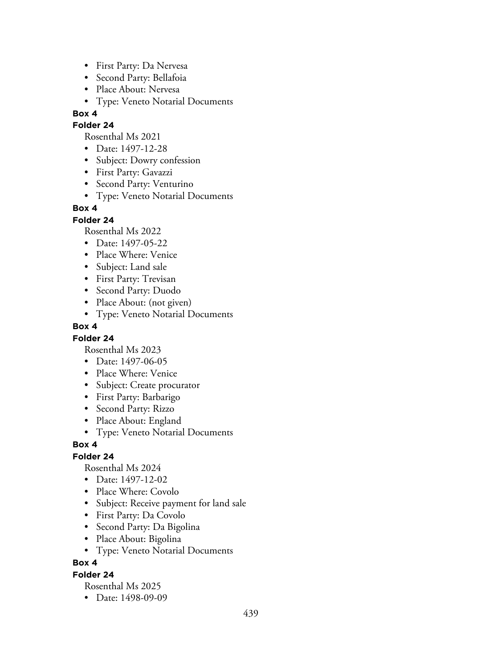- First Party: Da Nervesa
- Second Party: Bellafoia
- Place About: Nervesa
- Type: Veneto Notarial Documents

### **Folder 24**

Rosenthal Ms 2021

- Date: 1497-12-28
- Subject: Dowry confession
- First Party: Gavazzi
- Second Party: Venturino
- Type: Veneto Notarial Documents

### **Box 4**

### **Folder 24**

Rosenthal Ms 2022

- Date: 1497-05-22
- Place Where: Venice
- Subject: Land sale
- First Party: Trevisan
- Second Party: Duodo
- Place About: (not given)
- Type: Veneto Notarial Documents

### **Box 4**

### **Folder 24**

Rosenthal Ms 2023

- Date: 1497-06-05
- Place Where: Venice
- Subject: Create procurator
- First Party: Barbarigo
- Second Party: Rizzo
- Place About: England
- Type: Veneto Notarial Documents

### **Box 4**

### **Folder 24**

Rosenthal Ms 2024

- Date: 1497-12-02
- Place Where: Covolo
- Subject: Receive payment for land sale
- First Party: Da Covolo
- Second Party: Da Bigolina
- Place About: Bigolina
- Type: Veneto Notarial Documents

### **Box 4**

## **Folder 24**

Rosenthal Ms 2025

• Date: 1498-09-09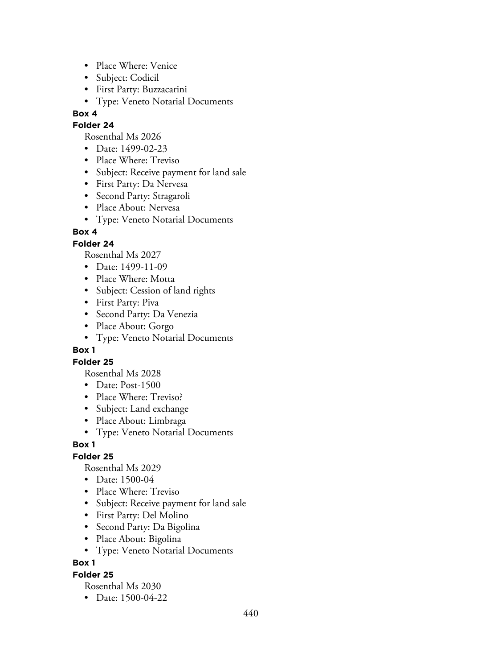- Place Where: Venice
- Subject: Codicil
- First Party: Buzzacarini
- Type: Veneto Notarial Documents

## **Folder 24**

Rosenthal Ms 2026

- Date: 1499-02-23
- Place Where: Treviso
- Subject: Receive payment for land sale
- First Party: Da Nervesa
- Second Party: Stragaroli
- Place About: Nervesa
- Type: Veneto Notarial Documents

## **Box 4**

## **Folder 24**

Rosenthal Ms 2027

- Date: 1499-11-09
- Place Where: Motta
- Subject: Cession of land rights
- First Party: Piva
- Second Party: Da Venezia
- Place About: Gorgo
- Type: Veneto Notarial Documents

### **Box 1**

### **Folder 25**

Rosenthal Ms 2028

- Date: Post-1500
- Place Where: Treviso?
- Subject: Land exchange
- Place About: Limbraga
- Type: Veneto Notarial Documents

### **Box 1**

## **Folder 25**

Rosenthal Ms 2029

- Date: 1500-04
- Place Where: Treviso
- Subject: Receive payment for land sale
- First Party: Del Molino
- Second Party: Da Bigolina
- Place About: Bigolina
- Type: Veneto Notarial Documents

**Box 1**

### **Folder 25**

Rosenthal Ms 2030

• Date: 1500-04-22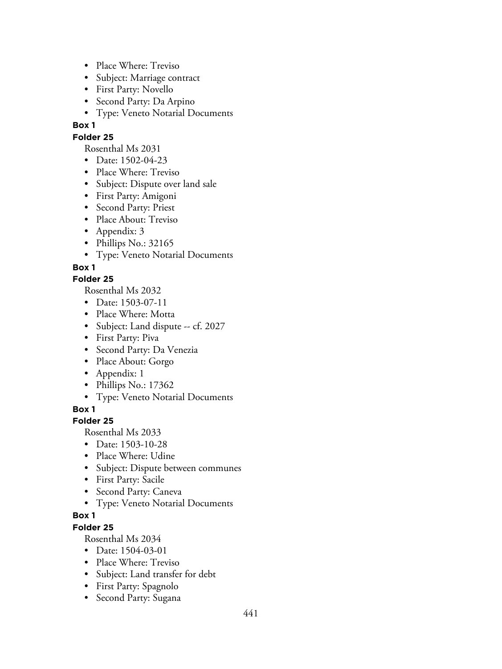- Place Where: Treviso
- Subject: Marriage contract
- First Party: Novello
- Second Party: Da Arpino
- Type: Veneto Notarial Documents

### **Folder 25**

Rosenthal Ms 2031

- Date: 1502-04-23
- Place Where: Treviso
- Subject: Dispute over land sale
- First Party: Amigoni
- Second Party: Priest
- Place About: Treviso
- Appendix: 3
- Phillips No.: 32165
- Type: Veneto Notarial Documents

## **Box 1**

### **Folder 25**

Rosenthal Ms 2032

- Date: 1503-07-11
- Place Where: Motta
- Subject: Land dispute -- cf. 2027
- First Party: Piva
- Second Party: Da Venezia
- Place About: Gorgo
- Appendix: 1
- Phillips No.: 17362
- Type: Veneto Notarial Documents

**Box 1**

### **Folder 25**

Rosenthal Ms 2033

- Date: 1503-10-28
- Place Where: Udine
- Subject: Dispute between communes
- First Party: Sacile
- Second Party: Caneva
- Type: Veneto Notarial Documents

## **Box 1**

# **Folder 25**

- Date: 1504-03-01
- Place Where: Treviso
- Subject: Land transfer for debt
- First Party: Spagnolo
- Second Party: Sugana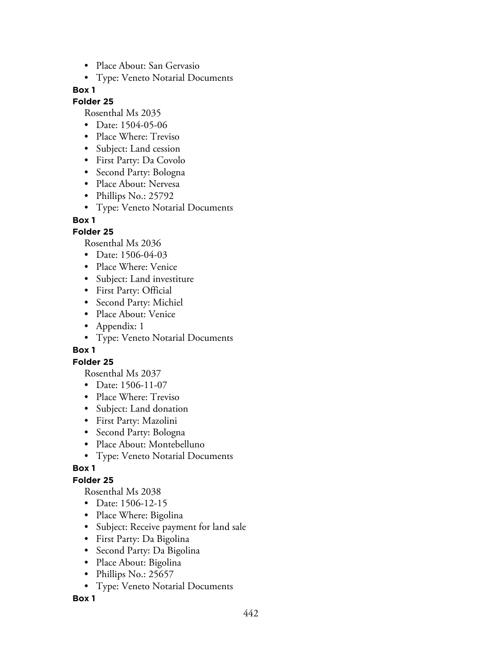- Place About: San Gervasio
- Type: Veneto Notarial Documents

#### **Folder 25**

Rosenthal Ms 2035

- Date: 1504-05-06
- Place Where: Treviso
- Subject: Land cession
- First Party: Da Covolo
- Second Party: Bologna
- Place About: Nervesa
- Phillips No.: 25792
- Type: Veneto Notarial Documents

#### **Box 1**

### **Folder 25**

Rosenthal Ms 2036

- Date: 1506-04-03
- Place Where: Venice
- Subject: Land investiture
- First Party: Official
- Second Party: Michiel
- Place About: Venice
- Appendix: 1
- Type: Veneto Notarial Documents

### **Box 1**

### **Folder 25**

Rosenthal Ms 2037

- Date: 1506-11-07
- Place Where: Treviso
- Subject: Land donation
- First Party: Mazolini
- Second Party: Bologna
- Place About: Montebelluno
- Type: Veneto Notarial Documents

### **Box 1**

### **Folder 25**

Rosenthal Ms 2038

- Date: 1506-12-15
- Place Where: Bigolina
- Subject: Receive payment for land sale
- First Party: Da Bigolina
- Second Party: Da Bigolina
- Place About: Bigolina
- Phillips No.: 25657
- Type: Veneto Notarial Documents

### **Box 1**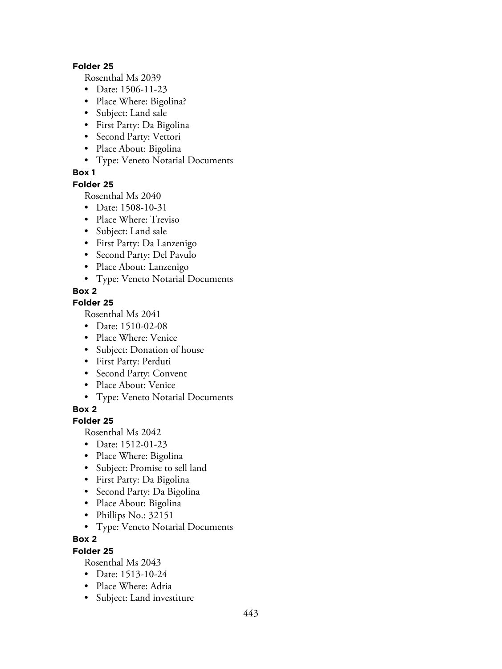#### **Folder 25**

Rosenthal Ms 2039

- Date: 1506-11-23
- Place Where: Bigolina?
- Subject: Land sale
- First Party: Da Bigolina
- Second Party: Vettori
- Place About: Bigolina
- Type: Veneto Notarial Documents

## **Box 1**

### **Folder 25**

Rosenthal Ms 2040

- Date: 1508-10-31
- Place Where: Treviso
- Subject: Land sale
- First Party: Da Lanzenigo
- Second Party: Del Pavulo
- Place About: Lanzenigo
- Type: Veneto Notarial Documents

## **Box 2**

### **Folder 25**

Rosenthal Ms 2041

- Date: 1510-02-08
- Place Where: Venice
- Subject: Donation of house
- First Party: Perduti
- Second Party: Convent
- Place About: Venice
- Type: Veneto Notarial Documents

**Box 2**

### **Folder 25**

Rosenthal Ms 2042

- Date: 1512-01-23
- Place Where: Bigolina
- Subject: Promise to sell land
- First Party: Da Bigolina
- Second Party: Da Bigolina
- Place About: Bigolina
- Phillips No.: 32151
- Type: Veneto Notarial Documents

### **Box 2**

### **Folder 25**

- Date: 1513-10-24
- Place Where: Adria
- Subject: Land investiture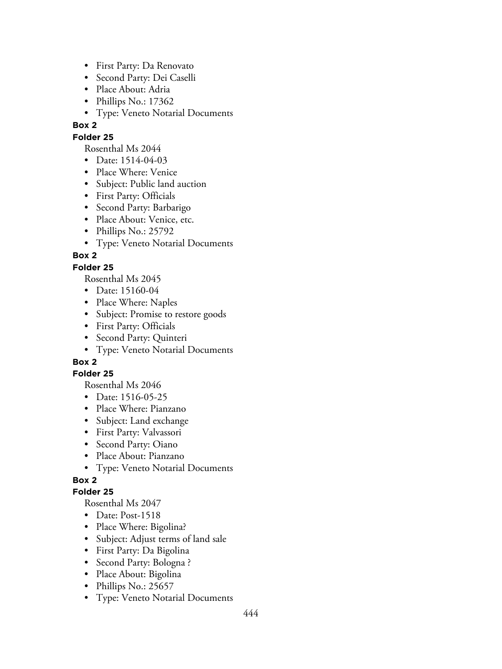- First Party: Da Renovato
- Second Party: Dei Caselli
- Place About: Adria
- Phillips No.: 17362
- Type: Veneto Notarial Documents

### **Folder 25**

Rosenthal Ms 2044

- Date: 1514-04-03
- Place Where: Venice
- Subject: Public land auction
- First Party: Officials
- Second Party: Barbarigo
- Place About: Venice, etc.
- Phillips No.: 25792
- Type: Veneto Notarial Documents

## **Box 2**

## **Folder 25**

Rosenthal Ms 2045

- Date: 15160-04
- Place Where: Naples
- Subject: Promise to restore goods
- First Party: Officials
- Second Party: Quinteri
- Type: Veneto Notarial Documents

## **Box 2**

### **Folder 25**

Rosenthal Ms 2046

- Date: 1516-05-25
- Place Where: Pianzano
- Subject: Land exchange
- First Party: Valvassori
- Second Party: Oiano
- Place About: Pianzano
- Type: Veneto Notarial Documents

## **Box 2**

### **Folder 25**

- Date: Post-1518
- Place Where: Bigolina?
- Subject: Adjust terms of land sale
- First Party: Da Bigolina
- Second Party: Bologna ?
- Place About: Bigolina
- Phillips No.: 25657
- Type: Veneto Notarial Documents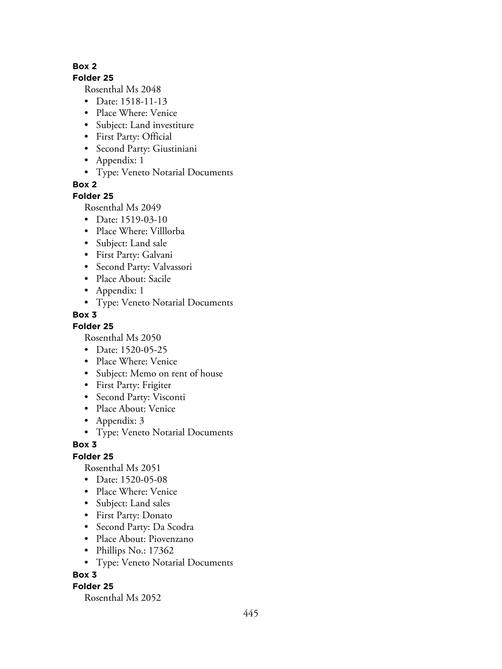#### **Folder 25**

Rosenthal Ms 2048

- Date: 1518-11-13
- Place Where: Venice
- Subject: Land investiture
- First Party: Official
- Second Party: Giustiniani
- Appendix: 1
- Type: Veneto Notarial Documents

**Box 2**

### **Folder 25**

Rosenthal Ms 2049

- Date: 1519-03-10
- Place Where: Villlorba
- Subject: Land sale
- First Party: Galvani
- Second Party: Valvassori
- Place About: Sacile
- Appendix: 1
- Type: Veneto Notarial Documents

## **Box 3**

**Folder 25**

Rosenthal Ms 2050

- Date: 1520-05-25
- Place Where: Venice
- Subject: Memo on rent of house
- First Party: Frigiter
- Second Party: Visconti
- Place About: Venice
- Appendix: 3
- Type: Veneto Notarial Documents

### **Box 3**

**Folder 25**

Rosenthal Ms 2051

- Date: 1520-05-08
- Place Where: Venice
- Subject: Land sales
- First Party: Donato
- Second Party: Da Scodra
- Place About: Piovenzano
- Phillips No.: 17362
- Type: Veneto Notarial Documents

### **Box 3**

### **Folder 25**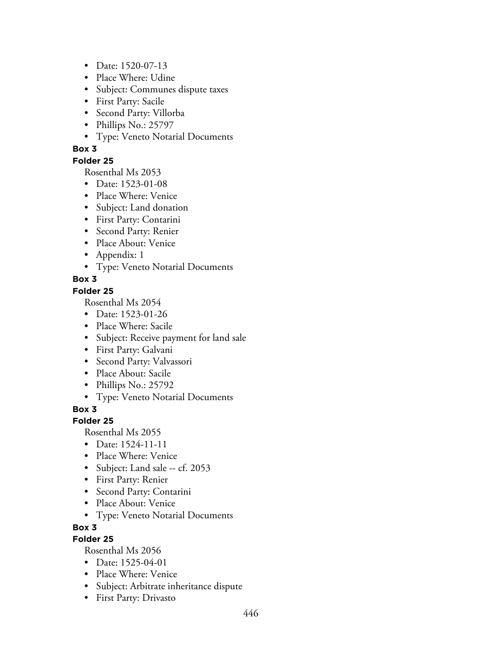- Date: 1520-07-13
- Place Where: Udine
- Subject: Communes dispute taxes
- First Party: Sacile
- Second Party: Villorba
- Phillips No.: 25797
- Type: Veneto Notarial Documents

#### **Folder 25**

Rosenthal Ms 2053

- Date: 1523-01-08
- Place Where: Venice
- Subject: Land donation
- First Party: Contarini
- Second Party: Renier
- Place About: Venice
- Appendix: 1
- Type: Veneto Notarial Documents

## **Box 3**

### **Folder 25**

Rosenthal Ms 2054

- Date: 1523-01-26
- Place Where: Sacile
- Subject: Receive payment for land sale
- First Party: Galvani
- Second Party: Valvassori
- Place About: Sacile
- Phillips No.: 25792
- Type: Veneto Notarial Documents

**Box 3**

### **Folder 25**

Rosenthal Ms 2055

- Date: 1524-11-11
- Place Where: Venice
- Subject: Land sale -- cf. 2053
- First Party: Renier
- Second Party: Contarini
- Place About: Venice
- Type: Veneto Notarial Documents
- **Box 3**

## **Folder 25**

- Date: 1525-04-01
- Place Where: Venice
- Subject: Arbitrate inheritance dispute
- First Party: Drivasto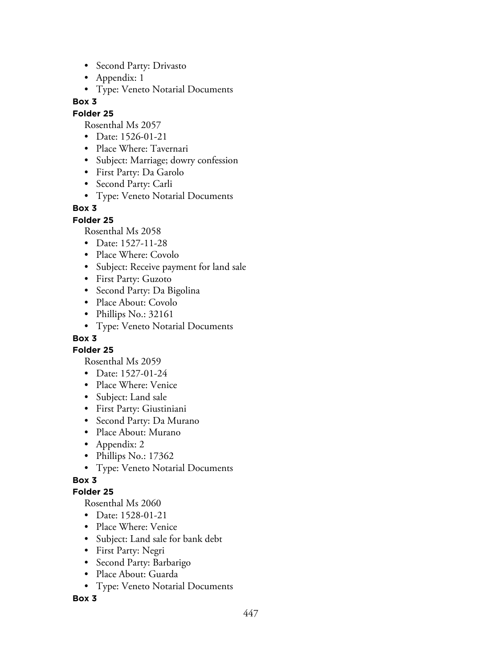- Second Party: Drivasto
- Appendix: 1
- Type: Veneto Notarial Documents

#### **Folder 25**

Rosenthal Ms 2057

- Date: 1526-01-21
- Place Where: Tavernari
- Subject: Marriage; dowry confession
- First Party: Da Garolo
- Second Party: Carli
- Type: Veneto Notarial Documents

### **Box 3**

**Folder 25**

Rosenthal Ms 2058

- Date: 1527-11-28
- Place Where: Covolo
- Subject: Receive payment for land sale
- First Party: Guzoto
- Second Party: Da Bigolina
- Place About: Covolo
- Phillips No.: 32161
- Type: Veneto Notarial Documents

## **Box 3**

**Folder 25**

Rosenthal Ms 2059

- Date: 1527-01-24
- Place Where: Venice
- Subject: Land sale
- First Party: Giustiniani
- Second Party: Da Murano
- Place About: Murano
- Appendix: 2
- Phillips No.: 17362
- Type: Veneto Notarial Documents

## **Box 3**

### **Folder 25**

Rosenthal Ms 2060

- Date: 1528-01-21
- Place Where: Venice
- Subject: Land sale for bank debt
- First Party: Negri
- Second Party: Barbarigo
- Place About: Guarda
- Type: Veneto Notarial Documents

### **Box 3**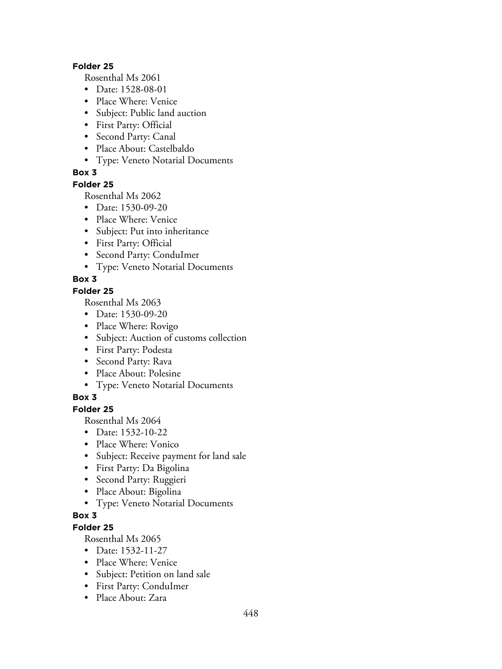#### **Folder 25**

Rosenthal Ms 2061

- Date: 1528-08-01
- Place Where: Venice
- Subject: Public land auction
- First Party: Official
- Second Party: Canal
- Place About: Castelbaldo
- Type: Veneto Notarial Documents

## **Box 3**

#### **Folder 25**

Rosenthal Ms 2062

- Date: 1530-09-20
- Place Where: Venice
- Subject: Put into inheritance
- First Party: Official
- Second Party: ConduImer
- Type: Veneto Notarial Documents

## **Box 3**

### **Folder 25**

Rosenthal Ms 2063

- Date: 1530-09-20
- Place Where: Rovigo
- Subject: Auction of customs collection
- First Party: Podesta
- Second Party: Rava
- Place About: Polesine
- Type: Veneto Notarial Documents

## **Box 3**

## **Folder 25**

Rosenthal Ms 2064

- Date: 1532-10-22
- Place Where: Vonico
- Subject: Receive payment for land sale
- First Party: Da Bigolina
- Second Party: Ruggieri
- Place About: Bigolina
- Type: Veneto Notarial Documents

## **Box 3**

# **Folder 25**

- Date: 1532-11-27
- Place Where: Venice
- Subject: Petition on land sale
- First Party: ConduImer
- Place About: Zara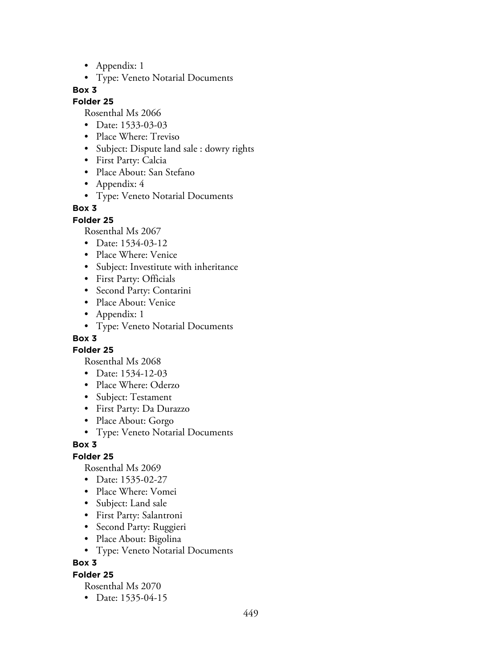- Appendix: 1
- Type: Veneto Notarial Documents

#### **Folder 25**

Rosenthal Ms 2066

- Date: 1533-03-03
- Place Where: Treviso
- Subject: Dispute land sale : dowry rights
- First Party: Calcia
- Place About: San Stefano
- Appendix: 4
- Type: Veneto Notarial Documents

### **Box 3**

**Folder 25**

Rosenthal Ms 2067

- Date: 1534-03-12
- Place Where: Venice
- Subject: Investitute with inheritance
- First Party: Officials
- Second Party: Contarini
- Place About: Venice
- Appendix: 1
- Type: Veneto Notarial Documents

## **Box 3**

**Folder 25**

Rosenthal Ms 2068

- Date: 1534-12-03
- Place Where: Oderzo
- Subject: Testament
- First Party: Da Durazzo
- Place About: Gorgo
- Type: Veneto Notarial Documents

### **Box 3**

### **Folder 25**

Rosenthal Ms 2069

- Date: 1535-02-27
- Place Where: Vomei
- Subject: Land sale
- First Party: Salantroni
- Second Party: Ruggieri
- Place About: Bigolina
- Type: Veneto Notarial Documents

## **Box 3**

### **Folder 25**

Rosenthal Ms 2070

• Date: 1535-04-15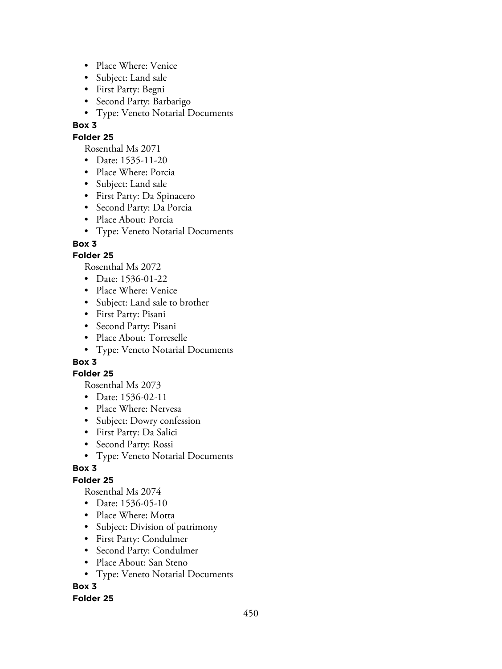- Place Where: Venice
- Subject: Land sale
- First Party: Begni
- Second Party: Barbarigo
- Type: Veneto Notarial Documents

## **Folder 25**

Rosenthal Ms 2071

- Date: 1535-11-20
- Place Where: Porcia
- Subject: Land sale
- First Party: Da Spinacero
- Second Party: Da Porcia
- Place About: Porcia
- Type: Veneto Notarial Documents

## **Box 3**

## **Folder 25**

Rosenthal Ms 2072

- Date: 1536-01-22
- Place Where: Venice
- Subject: Land sale to brother
- First Party: Pisani
- Second Party: Pisani
- Place About: Torreselle
- Type: Veneto Notarial Documents

## **Box 3**

### **Folder 25**

Rosenthal Ms 2073

- Date: 1536-02-11
- Place Where: Nervesa
- Subject: Dowry confession
- First Party: Da Salici
- Second Party: Rossi
- Type: Veneto Notarial Documents

### **Box 3**

## **Folder 25**

Rosenthal Ms 2074

- Date: 1536-05-10
- Place Where: Motta
- Subject: Division of patrimony
- First Party: Condulmer
- Second Party: Condulmer
- Place About: San Steno
- Type: Veneto Notarial Documents

# **Box 3**

### **Folder 25**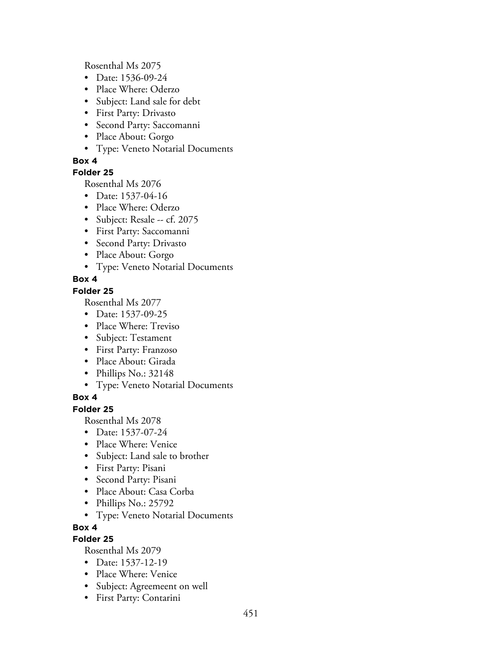Rosenthal Ms 2075

- Date: 1536-09-24
- Place Where: Oderzo
- Subject: Land sale for debt
- First Party: Drivasto
- Second Party: Saccomanni
- Place About: Gorgo
- Type: Veneto Notarial Documents

### **Box 4**

## **Folder 25**

Rosenthal Ms 2076

- Date: 1537-04-16
- Place Where: Oderzo
- Subject: Resale -- cf. 2075
- First Party: Saccomanni
- Second Party: Drivasto
- Place About: Gorgo
- Type: Veneto Notarial Documents

## **Box 4**

### **Folder 25**

Rosenthal Ms 2077

- Date: 1537-09-25
- Place Where: Treviso
- Subject: Testament
- First Party: Franzoso
- Place About: Girada
- Phillips No.: 32148
- Type: Veneto Notarial Documents

## **Box 4**

### **Folder 25**

Rosenthal Ms 2078

- Date: 1537-07-24
- Place Where: Venice
- Subject: Land sale to brother
- First Party: Pisani
- Second Party: Pisani
- Place About: Casa Corba
- Phillips No.: 25792
- Type: Veneto Notarial Documents

### **Box 4**

## **Folder 25**

- Date: 1537-12-19
- Place Where: Venice
- Subject: Agreemeent on well
- First Party: Contarini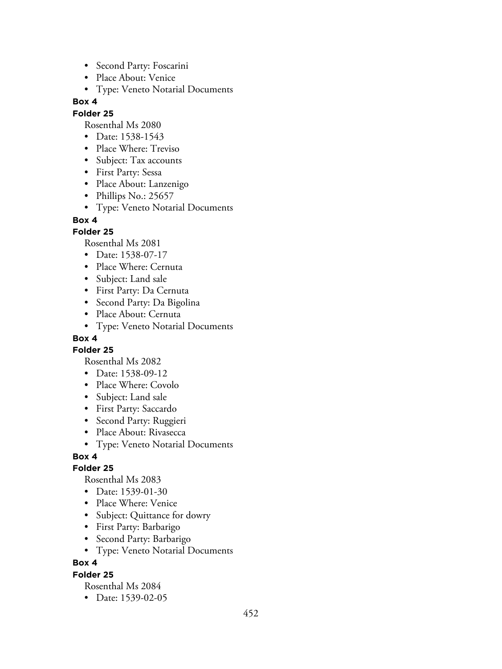- Second Party: Foscarini
- Place About: Venice
- Type: Veneto Notarial Documents

#### **Folder 25**

Rosenthal Ms 2080

- Date: 1538-1543
- Place Where: Treviso
- Subject: Tax accounts
- First Party: Sessa
- Place About: Lanzenigo
- Phillips No.: 25657
- Type: Veneto Notarial Documents

#### **Box 4**

### **Folder 25**

Rosenthal Ms 2081

- Date: 1538-07-17
- Place Where: Cernuta
- Subject: Land sale
- First Party: Da Cernuta
- Second Party: Da Bigolina
- Place About: Cernuta
- Type: Veneto Notarial Documents

## **Box 4**

**Folder 25**

Rosenthal Ms 2082

- Date: 1538-09-12
- Place Where: Covolo
- Subject: Land sale
- First Party: Saccardo
- Second Party: Ruggieri
- Place About: Rivasecca
- Type: Veneto Notarial Documents

## **Box 4**

### **Folder 25**

Rosenthal Ms 2083

- Date: 1539-01-30
- Place Where: Venice
- Subject: Quittance for dowry
- First Party: Barbarigo
- Second Party: Barbarigo
- Type: Veneto Notarial Documents

## **Box 4**

### **Folder 25**

Rosenthal Ms 2084

• Date: 1539-02-05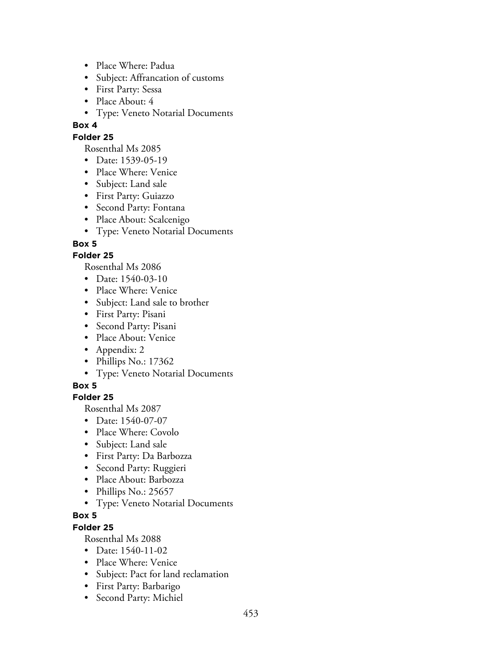- Place Where: Padua
- Subject: Affrancation of customs
- First Party: Sessa
- Place About: 4
- Type: Veneto Notarial Documents

## **Folder 25**

Rosenthal Ms 2085

- Date: 1539-05-19
- Place Where: Venice
- Subject: Land sale
- First Party: Guiazzo
- Second Party: Fontana
- Place About: Scalcenigo
- Type: Veneto Notarial Documents

## **Box 5**

## **Folder 25**

Rosenthal Ms 2086

- Date: 1540-03-10
- Place Where: Venice
- Subject: Land sale to brother
- First Party: Pisani
- Second Party: Pisani
- Place About: Venice
- Appendix: 2
- Phillips No.: 17362
- Type: Veneto Notarial Documents

### **Box 5**

## **Folder 25**

Rosenthal Ms 2087

- Date: 1540-07-07
- Place Where: Covolo
- Subject: Land sale
- First Party: Da Barbozza
- Second Party: Ruggieri
- Place About: Barbozza
- Phillips No.: 25657
- Type: Veneto Notarial Documents

# **Box 5**

## **Folder 25**

- Date: 1540-11-02
- Place Where: Venice
- Subject: Pact for land reclamation
- First Party: Barbarigo
- Second Party: Michiel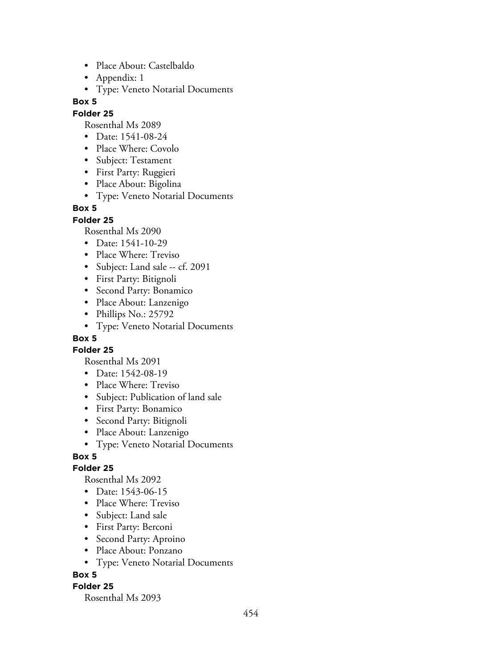- Place About: Castelbaldo
- Appendix: 1
- Type: Veneto Notarial Documents

#### **Folder 25**

Rosenthal Ms 2089

- Date: 1541-08-24
- Place Where: Covolo
- Subject: Testament
- First Party: Ruggieri
- Place About: Bigolina
- Type: Veneto Notarial Documents

### **Box 5**

**Folder 25**

Rosenthal Ms 2090

- Date: 1541-10-29
- Place Where: Treviso
- Subject: Land sale -- cf. 2091
- First Party: Bitignoli
- Second Party: Bonamico
- Place About: Lanzenigo
- Phillips No.: 25792
- Type: Veneto Notarial Documents

## **Box 5**

**Folder 25**

- Rosenthal Ms 2091
- Date: 1542-08-19
- Place Where: Treviso
- Subject: Publication of land sale
- First Party: Bonamico
- Second Party: Bitignoli
- Place About: Lanzenigo
- Type: Veneto Notarial Documents

### **Box 5**

### **Folder 25**

Rosenthal Ms 2092

- Date: 1543-06-15
- Place Where: Treviso
- Subject: Land sale
- First Party: Berconi
- Second Party: Aproino
- Place About: Ponzano
- Type: Veneto Notarial Documents

### **Box 5**

### **Folder 25**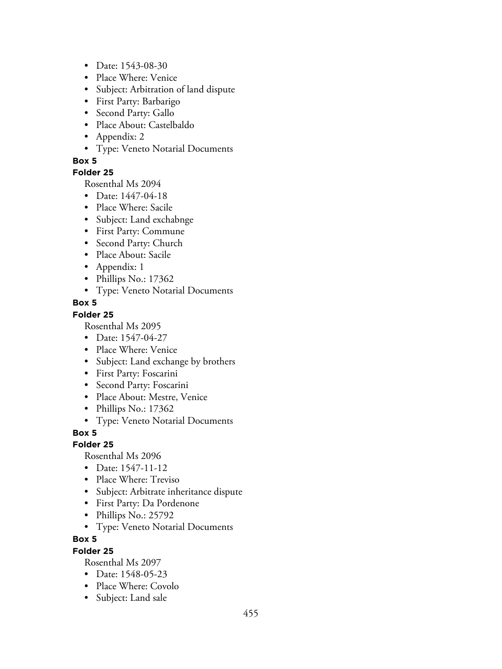- Date: 1543-08-30
- Place Where: Venice
- Subject: Arbitration of land dispute
- First Party: Barbarigo
- Second Party: Gallo
- Place About: Castelbaldo
- Appendix: 2
- Type: Veneto Notarial Documents

### **Folder 25**

Rosenthal Ms 2094

- Date: 1447-04-18
- Place Where: Sacile
- Subject: Land exchabnge
- First Party: Commune
- Second Party: Church
- Place About: Sacile
- Appendix: 1
- Phillips No.: 17362
- Type: Veneto Notarial Documents

### **Box 5**

### **Folder 25**

Rosenthal Ms 2095

- Date: 1547-04-27
- Place Where: Venice
- Subject: Land exchange by brothers
- First Party: Foscarini
- Second Party: Foscarini
- Place About: Mestre, Venice
- Phillips No.: 17362
- Type: Veneto Notarial Documents

### **Box 5**

### **Folder 25**

Rosenthal Ms 2096

- Date: 1547-11-12
- Place Where: Treviso
- Subject: Arbitrate inheritance dispute
- First Party: Da Pordenone
- Phillips No.: 25792
- Type: Veneto Notarial Documents

### **Box 5**

### **Folder 25**

- Date: 1548-05-23
- Place Where: Covolo
- Subject: Land sale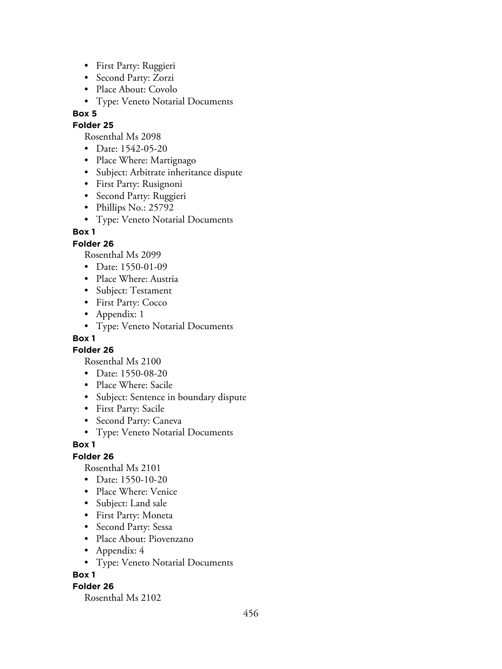- First Party: Ruggieri
- Second Party: Zorzi
- Place About: Covolo
- Type: Veneto Notarial Documents

### **Folder 25**

Rosenthal Ms 2098

- Date: 1542-05-20
- Place Where: Martignago
- Subject: Arbitrate inheritance dispute
- First Party: Rusignoni
- Second Party: Ruggieri
- Phillips No.: 25792
- Type: Veneto Notarial Documents

### **Box 1**

### **Folder 26**

Rosenthal Ms 2099

- Date: 1550-01-09
- Place Where: Austria
- Subject: Testament
- First Party: Cocco
- Appendix: 1
- Type: Veneto Notarial Documents

### **Box 1**

**Folder 26**

Rosenthal Ms 2100

- Date: 1550-08-20
- Place Where: Sacile
- Subject: Sentence in boundary dispute
- First Party: Sacile
- Second Party: Caneva
- Type: Veneto Notarial Documents

### **Box 1**

**Folder 26**

Rosenthal Ms 2101

- Date: 1550-10-20
- Place Where: Venice
- Subject: Land sale
- First Party: Moneta
- Second Party: Sessa
- Place About: Piovenzano
- Appendix: 4
- Type: Veneto Notarial Documents

### **Box 1**

### **Folder 26**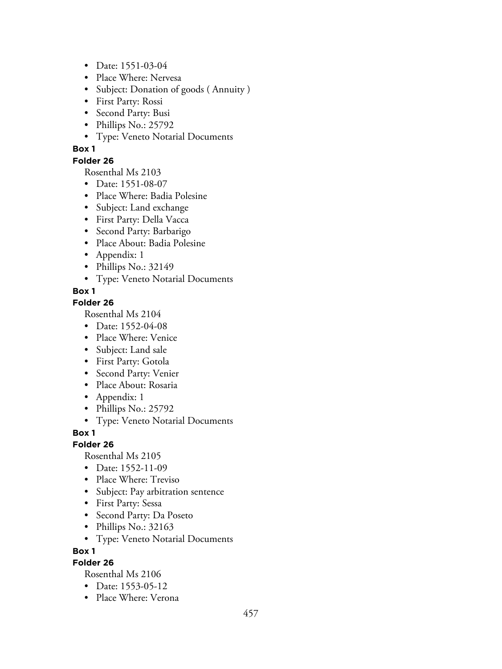- Date: 1551-03-04
- Place Where: Nervesa
- Subject: Donation of goods ( Annuity )
- First Party: Rossi
- Second Party: Busi
- Phillips No.: 25792
- Type: Veneto Notarial Documents

### **Folder 26**

Rosenthal Ms 2103

- Date: 1551-08-07
- Place Where: Badia Polesine
- Subject: Land exchange
- First Party: Della Vacca
- Second Party: Barbarigo
- Place About: Badia Polesine
- Appendix: 1
- Phillips No.: 32149
- Type: Veneto Notarial Documents

## **Box 1**

## **Folder 26**

Rosenthal Ms 2104

- Date: 1552-04-08
- Place Where: Venice
- Subject: Land sale
- First Party: Gotola
- Second Party: Venier
- Place About: Rosaria
- Appendix: 1
- Phillips No.: 25792
- Type: Veneto Notarial Documents

### **Box 1**

### **Folder 26**

Rosenthal Ms 2105

- Date: 1552-11-09
- Place Where: Treviso
- Subject: Pay arbitration sentence
- First Party: Sessa
- Second Party: Da Poseto
- Phillips No.: 32163
- Type: Veneto Notarial Documents

**Box 1**

## **Folder 26**

- Date: 1553-05-12
- Place Where: Verona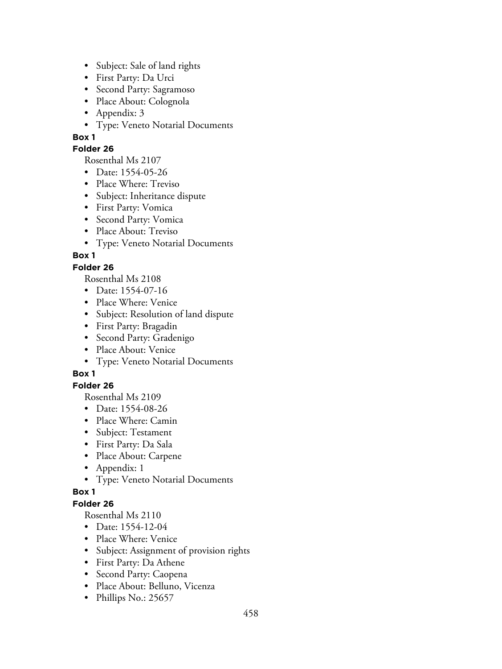- Subject: Sale of land rights
- First Party: Da Urci
- Second Party: Sagramoso
- Place About: Colognola
- Appendix: 3
- Type: Veneto Notarial Documents

### **Folder 26**

Rosenthal Ms 2107

- Date: 1554-05-26
- Place Where: Treviso
- Subject: Inheritance dispute
- First Party: Vomica
- Second Party: Vomica
- Place About: Treviso
- Type: Veneto Notarial Documents

# **Box 1**

## **Folder 26**

Rosenthal Ms 2108

- Date: 1554-07-16
- Place Where: Venice
- Subject: Resolution of land dispute
- First Party: Bragadin
- Second Party: Gradenigo
- Place About: Venice
- Type: Veneto Notarial Documents

# **Box 1**

## **Folder 26**

Rosenthal Ms 2109

- Date: 1554-08-26
- Place Where: Camin
- Subject: Testament
- First Party: Da Sala
- Place About: Carpene
- Appendix: 1
- Type: Veneto Notarial Documents

## **Box 1**

# **Folder 26**

- Date: 1554-12-04
- Place Where: Venice
- Subject: Assignment of provision rights
- First Party: Da Athene
- Second Party: Caopena
- Place About: Belluno, Vicenza
- Phillips No.: 25657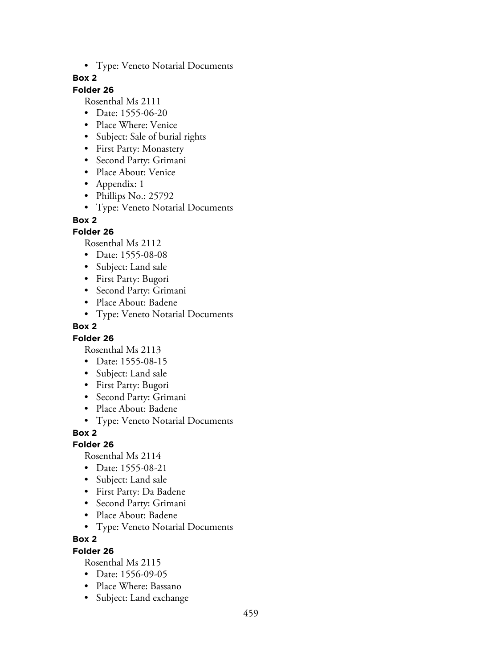• Type: Veneto Notarial Documents

### **Box 2**

## **Folder 26**

Rosenthal Ms 2111

- Date: 1555-06-20
- Place Where: Venice
- Subject: Sale of burial rights
- First Party: Monastery
- Second Party: Grimani
- Place About: Venice
- Appendix: 1
- Phillips No.: 25792
- Type: Veneto Notarial Documents

### **Box 2**

### **Folder 26**

Rosenthal Ms 2112

- Date: 1555-08-08
- Subject: Land sale
- First Party: Bugori
- Second Party: Grimani
- Place About: Badene
- Type: Veneto Notarial Documents

### **Box 2**

### **Folder 26**

Rosenthal Ms 2113

- Date: 1555-08-15
- Subject: Land sale
- First Party: Bugori
- Second Party: Grimani
- Place About: Badene
- Type: Veneto Notarial Documents

### **Box 2**

### **Folder 26**

Rosenthal Ms 2114

- Date: 1555-08-21
- Subject: Land sale
- First Party: Da Badene
- Second Party: Grimani
- Place About: Badene
- Type: Veneto Notarial Documents

### **Box 2**

### **Folder 26**

- Date: 1556-09-05
- Place Where: Bassano
- Subject: Land exchange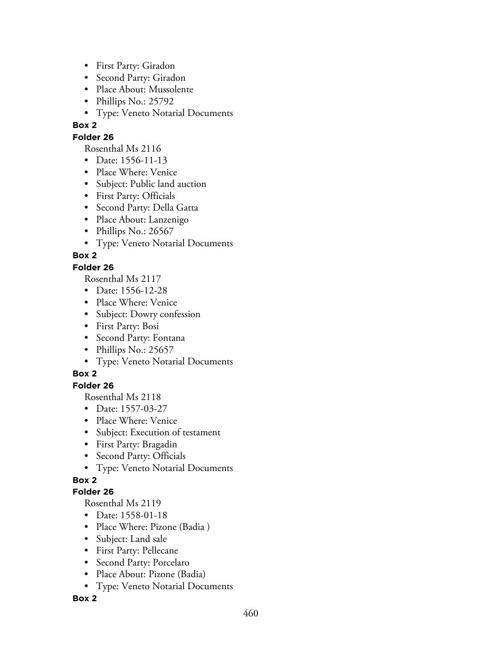- First Party: Giradon
- Second Party: Giradon
- Place About: Mussolente
- Phillips No.: 25792
- Type: Veneto Notarial Documents

### **Folder 26**

Rosenthal Ms 2116

- Date: 1556-11-13
- Place Where: Venice
- Subject: Public land auction
- First Party: Officials
- Second Party: Della Gatta
- Place About: Lanzenigo
- Phillips No.: 26567
- Type: Veneto Notarial Documents

## **Box 2**

### **Folder 26**

Rosenthal Ms 2117

- Date: 1556-12-28
- Place Where: Venice
- Subject: Dowry confession
- First Party: Bosi
- Second Party: Fontana
- Phillips No.: 25657
- Type: Veneto Notarial Documents

## **Box 2**

### **Folder 26**

Rosenthal Ms 2118

- Date: 1557-03-27
- Place Where: Venice
- Subject: Execution of testament
- First Party: Bragadin
- Second Party: Officials
- Type: Veneto Notarial Documents

## **Box 2**

### **Folder 26**

Rosenthal Ms 2119

- Date: 1558-01-18
- Place Where: Pizone (Badia )
- Subject: Land sale
- First Party: Pellecane
- Second Party: Porcelaro
- Place About: Pizone (Badia)
- Type: Veneto Notarial Documents

### **Box 2**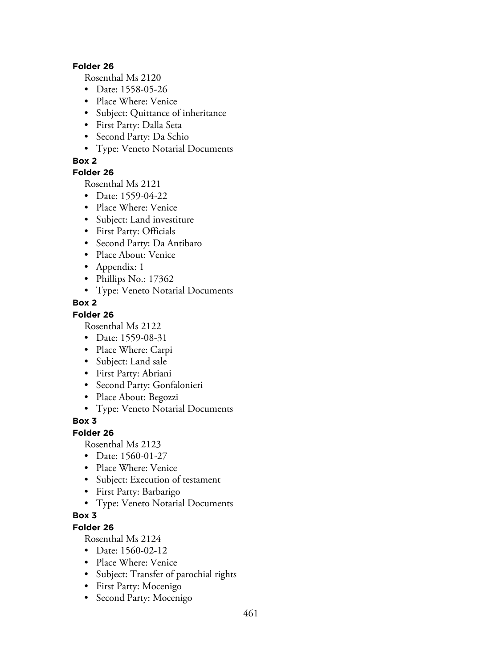#### **Folder 26**

Rosenthal Ms 2120

- Date: 1558-05-26
- Place Where: Venice
- Subject: Quittance of inheritance
- First Party: Dalla Seta
- Second Party: Da Schio
- Type: Veneto Notarial Documents

### **Box 2**

### **Folder 26**

Rosenthal Ms 2121

- Date: 1559-04-22
- Place Where: Venice
- Subject: Land investiture
- First Party: Officials
- Second Party: Da Antibaro
- Place About: Venice
- Appendix: 1
- Phillips No.: 17362
- Type: Veneto Notarial Documents

### **Box 2**

### **Folder 26**

Rosenthal Ms 2122

- Date: 1559-08-31
- Place Where: Carpi
- Subject: Land sale
- First Party: Abriani
- Second Party: Gonfalonieri
- Place About: Begozzi
- Type: Veneto Notarial Documents

### **Box 3**

### **Folder 26**

Rosenthal Ms 2123

- Date: 1560-01-27
- Place Where: Venice
- Subject: Execution of testament
- First Party: Barbarigo
- Type: Veneto Notarial Documents

## **Box 3**

# **Folder 26**

- Date: 1560-02-12
- Place Where: Venice
- Subject: Transfer of parochial rights
- First Party: Mocenigo
- Second Party: Mocenigo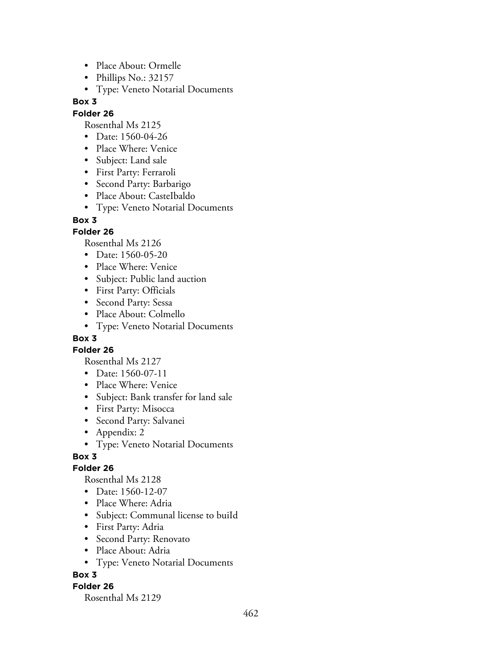- Place About: Ormelle
- Phillips No.: 32157
- Type: Veneto Notarial Documents

#### **Folder 26**

Rosenthal Ms 2125

- Date: 1560-04-26
- Place Where: Venice
- Subject: Land sale
- First Party: Ferraroli
- Second Party: Barbarigo
- Place About: CasteIbaldo
- Type: Veneto Notarial Documents

### **Box 3**

## **Folder 26**

Rosenthal Ms 2126

- Date: 1560-05-20
- Place Where: Venice
- Subject: Public land auction
- First Party: Officials
- Second Party: Sessa
- Place About: Colmello
- Type: Veneto Notarial Documents

## **Box 3**

### **Folder 26**

Rosenthal Ms 2127

- Date: 1560-07-11
- Place Where: Venice
- Subject: Bank transfer for land sale
- First Party: Misocca
- Second Party: Salvanei
- Appendix: 2
- Type: Veneto Notarial Documents

### **Box 3**

### **Folder 26**

Rosenthal Ms 2128

- Date: 1560-12-07
- Place Where: Adria
- Subject: Communal license to buiId
- First Party: Adria
- Second Party: Renovato
- Place About: Adria
- Type: Veneto Notarial Documents

### **Box 3**

### **Folder 26**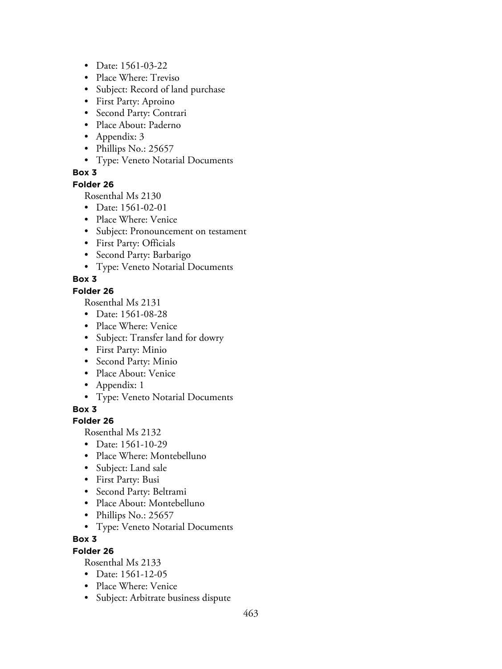- Date: 1561-03-22
- Place Where: Treviso
- Subject: Record of land purchase
- First Party: Aproino
- Second Party: Contrari
- Place About: Paderno
- Appendix: 3
- Phillips No.: 25657
- Type: Veneto Notarial Documents

#### **Folder 26**

Rosenthal Ms 2130

- Date: 1561-02-01
- Place Where: Venice
- Subject: Pronouncement on testament
- First Party: Officials
- Second Party: Barbarigo
- Type: Veneto Notarial Documents

## **Box 3**

### **Folder 26**

Rosenthal Ms 2131

- Date: 1561-08-28
- Place Where: Venice
- Subject: Transfer land for dowry
- First Party: Minio
- Second Party: Minio
- Place About: Venice
- Appendix: 1
- Type: Veneto Notarial Documents

**Box 3**

### **Folder 26**

Rosenthal Ms 2132

- Date: 1561-10-29
- Place Where: Montebelluno
- Subject: Land sale
- First Party: Busi
- Second Party: Beltrami
- Place About: Montebelluno
- Phillips No.: 25657
- Type: Veneto Notarial Documents

### **Box 3**

### **Folder 26**

- Date: 1561-12-05
- Place Where: Venice
- Subject: Arbitrate business dispute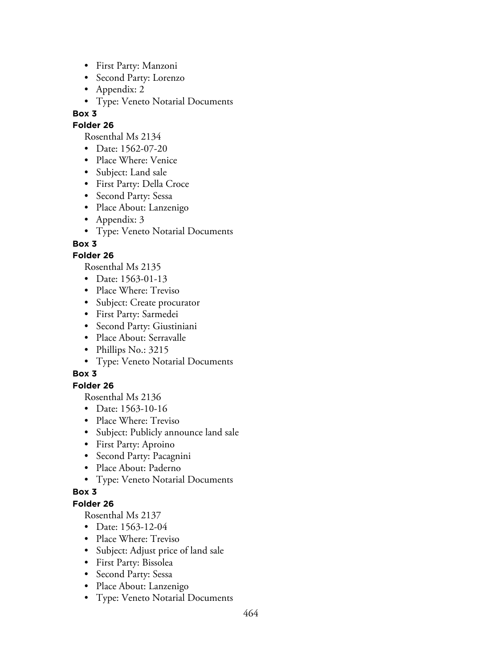- First Party: Manzoni
- Second Party: Lorenzo
- Appendix: 2
- Type: Veneto Notarial Documents

#### **Folder 26**

Rosenthal Ms 2134

- Date: 1562-07-20
- Place Where: Venice
- Subject: Land sale
- First Party: Della Croce
- Second Party: Sessa
- Place About: Lanzenigo
- Appendix: 3
- Type: Veneto Notarial Documents

**Box 3**

## **Folder 26**

Rosenthal Ms 2135

- Date: 1563-01-13
- Place Where: Treviso
- Subject: Create procurator
- First Party: Sarmedei
- Second Party: Giustiniani
- Place About: Serravalle
- Phillips No.: 3215
- Type: Veneto Notarial Documents

## **Box 3**

### **Folder 26**

Rosenthal Ms 2136

- Date: 1563-10-16
- Place Where: Treviso
- Subject: Publicly announce land sale
- First Party: Aproino
- Second Party: Pacagnini
- Place About: Paderno
- Type: Veneto Notarial Documents

### **Box 3**

## **Folder 26**

- Date: 1563-12-04
- Place Where: Treviso
- Subject: Adjust price of land sale
- First Party: Bissolea
- Second Party: Sessa
- Place About: Lanzenigo
- Type: Veneto Notarial Documents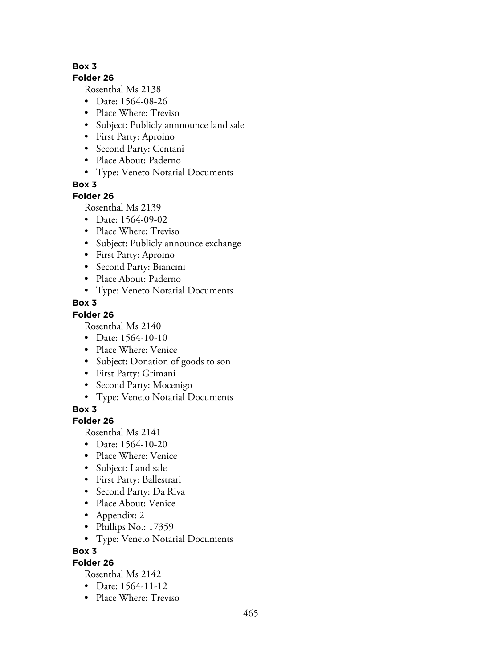#### **Folder 26**

Rosenthal Ms 2138

- Date: 1564-08-26
- Place Where: Treviso
- Subject: Publicly annnounce land sale
- First Party: Aproino
- Second Party: Centani
- Place About: Paderno
- Type: Veneto Notarial Documents

**Box 3**

### **Folder 26**

Rosenthal Ms 2139

- Date: 1564-09-02
- Place Where: Treviso
- Subject: Publicly announce exchange
- First Party: Aproino
- Second Party: Biancini
- Place About: Paderno
- Type: Veneto Notarial Documents

## **Box 3**

# **Folder 26**

Rosenthal Ms 2140

- Date: 1564-10-10
- Place Where: Venice
- Subject: Donation of goods to son
- First Party: Grimani
- Second Party: Mocenigo
- Type: Veneto Notarial Documents

**Box 3**

### **Folder 26**

Rosenthal Ms 2141

- Date: 1564-10-20
- Place Where: Venice
- Subject: Land sale
- First Party: Ballestrari
- Second Party: Da Riva
- Place About: Venice
- Appendix: 2
- Phillips No.: 17359
- Type: Veneto Notarial Documents

**Box 3**

## **Folder 26**

- Date: 1564-11-12
- Place Where: Treviso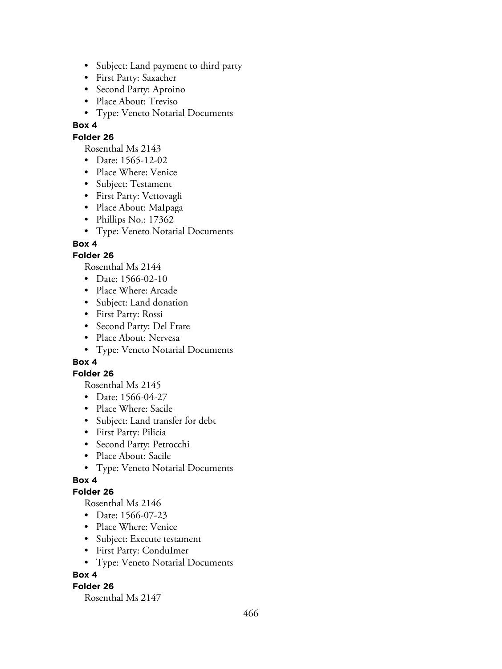- Subject: Land payment to third party
- First Party: Saxacher
- Second Party: Aproino
- Place About: Treviso
- Type: Veneto Notarial Documents

## **Folder 26**

Rosenthal Ms 2143

- Date: 1565-12-02
- Place Where: Venice
- Subject: Testament
- First Party: Vettovagli
- Place About: MaIpaga
- Phillips No.: 17362
- Type: Veneto Notarial Documents

## **Box 4**

## **Folder 26**

Rosenthal Ms 2144

- Date: 1566-02-10
- Place Where: Arcade
- Subject: Land donation
- First Party: Rossi
- Second Party: Del Frare
- Place About: Nervesa
- Type: Veneto Notarial Documents

## **Box 4**

### **Folder 26**

Rosenthal Ms 2145

- Date: 1566-04-27
- Place Where: Sacile
- Subject: Land transfer for debt
- First Party: Pilicia
- Second Party: Petrocchi
- Place About: Sacile
- Type: Veneto Notarial Documents

## **Box 4**

### **Folder 26**

Rosenthal Ms 2146

- Date: 1566-07-23
- Place Where: Venice
- Subject: Execute testament
- First Party: ConduImer
- Type: Veneto Notarial Documents

### **Box 4**

### **Folder 26**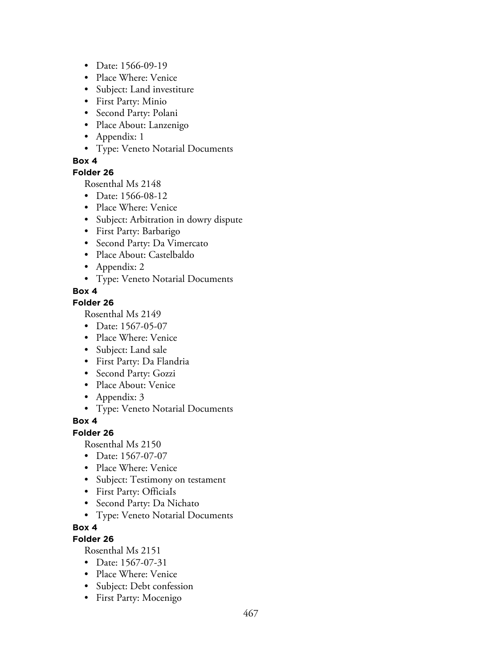- Date: 1566-09-19
- Place Where: Venice
- Subject: Land investiture
- First Party: Minio
- Second Party: Polani
- Place About: Lanzenigo
- Appendix: 1
- Type: Veneto Notarial Documents

### **Folder 26**

Rosenthal Ms 2148

- Date: 1566-08-12
- Place Where: Venice
- Subject: Arbitration in dowry dispute
- First Party: Barbarigo
- Second Party: Da Vimercato
- Place About: Castelbaldo
- Appendix: 2
- Type: Veneto Notarial Documents

## **Box 4**

## **Folder 26**

Rosenthal Ms 2149

- Date: 1567-05-07
- Place Where: Venice
- Subject: Land sale
- First Party: Da Flandria
- Second Party: Gozzi
- Place About: Venice
- Appendix: 3
- Type: Veneto Notarial Documents

#### **Box 4**

## **Folder 26**

Rosenthal Ms 2150

- Date: 1567-07-07
- Place Where: Venice
- Subject: Testimony on testament
- First Party: OfficiaIs
- Second Party: Da Nichato
- Type: Veneto Notarial Documents

### **Box 4**

## **Folder 26**

- Date: 1567-07-31
- Place Where: Venice
- Subject: Debt confession
- First Party: Mocenigo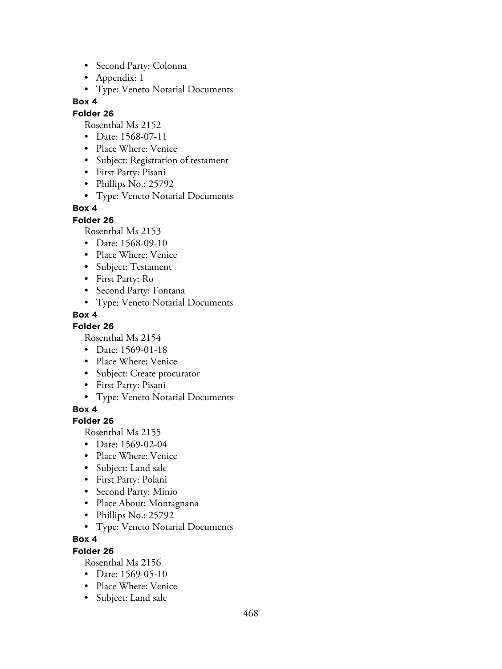- Second Party: Colonna
- Appendix: 1
- Type: Veneto Notarial Documents

#### **Folder 26**

Rosenthal Ms 2152

- Date: 1568-07-11
- Place Where: Venice
- Subject: Registration of testament
- First Party: Pisani
- Phillips No.: 25792
- Type: Veneto Notarial Documents

### **Box 4**

#### **Folder 26**

Rosenthal Ms 2153

- Date: 1568-09-10
- Place Where: Venice
- Subject: Testament
- First Party: Ro
- Second Party: Fontana
- Type: Veneto Notarial Documents

## **Box 4**

**Folder 26**

Rosenthal Ms 2154

- Date: 1569-01-18
- Place Where: Venice
- Subject: Create procurator
- First Party: Pisani
- Type: Veneto Notarial Documents

**Box 4**

### **Folder 26**

Rosenthal Ms 2155

- Date: 1569-02-04
- Place Where: Venice
- Subject: Land sale
- First Party: Polani
- Second Party: Minio
- Place About: Montagnana
- Phillips No.: 25792
- Type: Veneto Notarial Documents

### **Box 4**

### **Folder 26**

- Date: 1569-05-10
- Place Where: Venice
- Subject: Land sale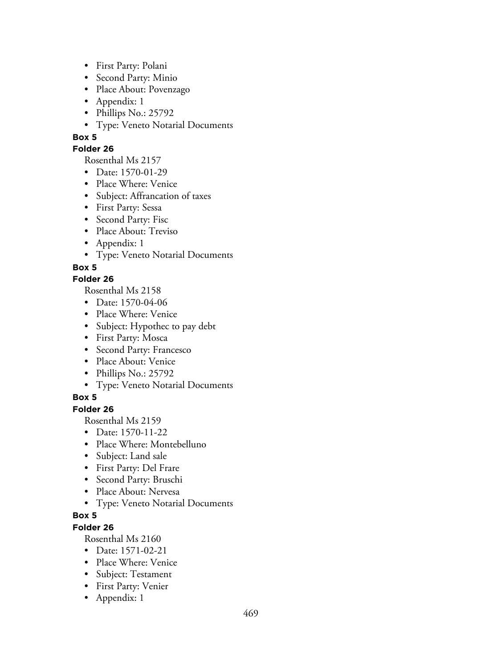- First Party: Polani
- Second Party: Minio
- Place About: Povenzago
- Appendix: 1
- Phillips No.: 25792
- Type: Veneto Notarial Documents

### **Folder 26**

Rosenthal Ms 2157

- Date: 1570-01-29
- Place Where: Venice
- Subject: Affrancation of taxes
- First Party: Sessa
- Second Party: Fisc
- Place About: Treviso
- Appendix: 1
- Type: Veneto Notarial Documents

**Box 5**

# **Folder 26**

Rosenthal Ms 2158

- Date: 1570-04-06
- Place Where: Venice
- Subject: Hypothec to pay debt
- First Party: Mosca
- Second Party: Francesco
- Place About: Venice
- Phillips No.: 25792
- Type: Veneto Notarial Documents

# **Box 5**

**Folder 26**

Rosenthal Ms 2159

- Date: 1570-11-22
- Place Where: Montebelluno
- Subject: Land sale
- First Party: Del Frare
- Second Party: Bruschi
- Place About: Nervesa
- Type: Veneto Notarial Documents

# **Box 5**

# **Folder 26**

- Date: 1571-02-21
- Place Where: Venice
- Subject: Testament
- First Party: Venier
- Appendix: 1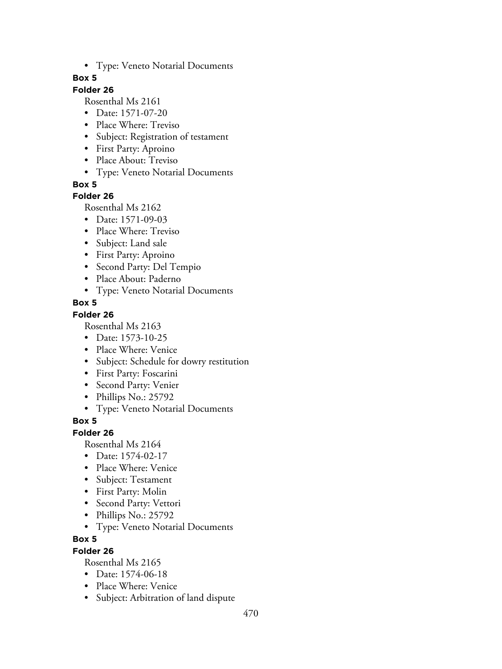• Type: Veneto Notarial Documents

### **Box 5**

# **Folder 26**

Rosenthal Ms 2161

- Date: 1571-07-20
- Place Where: Treviso
- Subject: Registration of testament
- First Party: Aproino
- Place About: Treviso
- Type: Veneto Notarial Documents

**Box 5**

### **Folder 26**

Rosenthal Ms 2162

- Date: 1571-09-03
- Place Where: Treviso
- Subject: Land sale
- First Party: Aproino
- Second Party: Del Tempio
- Place About: Paderno
- Type: Veneto Notarial Documents

### **Box 5**

### **Folder 26**

Rosenthal Ms 2163

- Date: 1573-10-25
- Place Where: Venice
- Subject: Schedule for dowry restitution
- First Party: Foscarini
- Second Party: Venier
- Phillips No.: 25792
- Type: Veneto Notarial Documents

# **Box 5**

### **Folder 26**

Rosenthal Ms 2164

- Date: 1574-02-17
- Place Where: Venice
- Subject: Testament
- First Party: Molin
- Second Party: Vettori
- Phillips No.: 25792
- Type: Veneto Notarial Documents

### **Box 5**

### **Folder 26**

- Date: 1574-06-18
- Place Where: Venice
- Subject: Arbitration of land dispute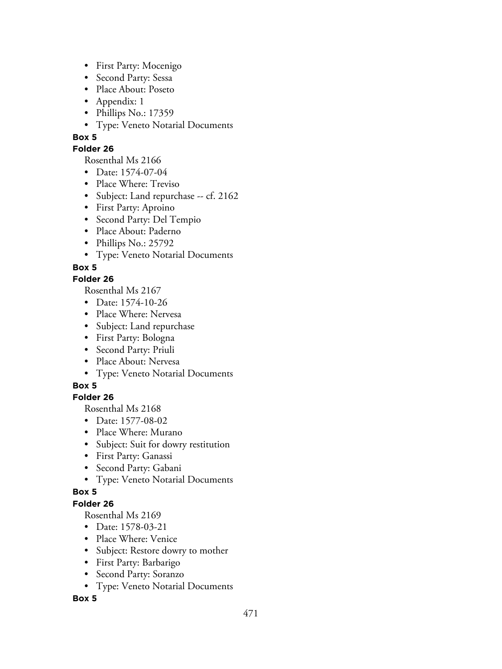- First Party: Mocenigo
- Second Party: Sessa
- Place About: Poseto
- Appendix: 1
- Phillips No.: 17359
- Type: Veneto Notarial Documents
- **Box 5**

### **Folder 26**

Rosenthal Ms 2166

- Date: 1574-07-04
- Place Where: Treviso
- Subject: Land repurchase -- cf. 2162
- First Party: Aproino
- Second Party: Del Tempio
- Place About: Paderno
- Phillips No.: 25792
- Type: Veneto Notarial Documents

# **Box 5**

# **Folder 26**

Rosenthal Ms 2167

- Date: 1574-10-26
- Place Where: Nervesa
- Subject: Land repurchase
- First Party: Bologna
- Second Party: Priuli
- Place About: Nervesa
- Type: Veneto Notarial Documents

# **Box 5**

# **Folder 26**

Rosenthal Ms 2168

- Date: 1577-08-02
- Place Where: Murano
- Subject: Suit for dowry restitution
- First Party: Ganassi
- Second Party: Gabani
- Type: Veneto Notarial Documents

# **Box 5**

# **Folder 26**

Rosenthal Ms 2169

- Date: 1578-03-21
- Place Where: Venice
- Subject: Restore dowry to mother
- First Party: Barbarigo
- Second Party: Soranzo
- Type: Veneto Notarial Documents

### **Box 5**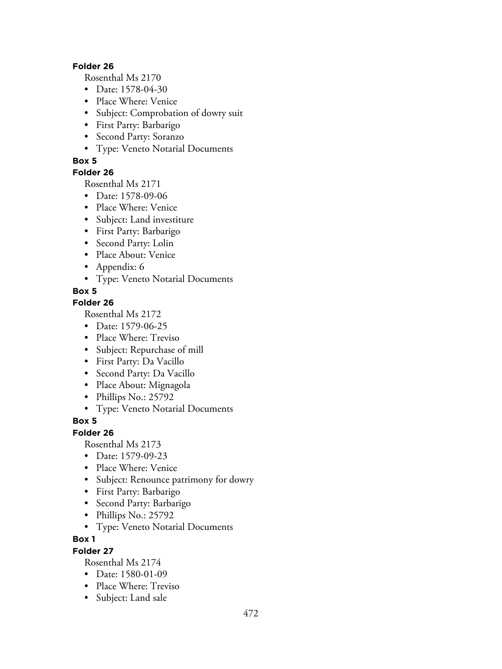#### **Folder 26**

Rosenthal Ms 2170

- Date: 1578-04-30
- Place Where: Venice
- Subject: Comprobation of dowry suit
- First Party: Barbarigo
- Second Party: Soranzo
- Type: Veneto Notarial Documents

### **Box 5**

### **Folder 26**

Rosenthal Ms 2171

- Date: 1578-09-06
- Place Where: Venice
- Subject: Land investiture
- First Party: Barbarigo
- Second Party: Lolin
- Place About: Venice
- Appendix: 6
- Type: Veneto Notarial Documents

# **Box 5**

# **Folder 26**

Rosenthal Ms 2172

- Date: 1579-06-25
- Place Where: Treviso
- Subject: Repurchase of mill
- First Party: Da Vacillo
- Second Party: Da Vacillo
- Place About: Mignagola
- Phillips No.: 25792
- Type: Veneto Notarial Documents

# **Box 5**

### **Folder 26**

Rosenthal Ms 2173

- Date: 1579-09-23
- Place Where: Venice
- Subject: Renounce patrimony for dowry
- First Party: Barbarigo
- Second Party: Barbarigo
- Phillips No.: 25792
- Type: Veneto Notarial Documents

### **Box 1**

### **Folder 27**

- Date: 1580-01-09
- Place Where: Treviso
- Subject: Land sale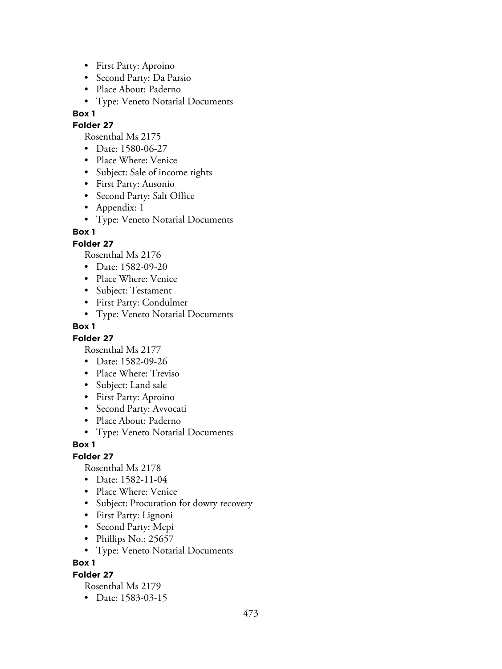- First Party: Aproino
- Second Party: Da Parsio
- Place About: Paderno
- Type: Veneto Notarial Documents

### **Folder 27**

Rosenthal Ms 2175

- Date: 1580-06-27
- Place Where: Venice
- Subject: Sale of income rights
- First Party: Ausonio
- Second Party: Salt Office
- Appendix: 1
- Type: Veneto Notarial Documents

# **Box 1**

## **Folder 27**

Rosenthal Ms 2176

- Date: 1582-09-20
- Place Where: Venice
- Subject: Testament
- First Party: Condulmer
- Type: Veneto Notarial Documents

### **Box 1**

### **Folder 27**

Rosenthal Ms 2177

- Date: 1582-09-26
- Place Where: Treviso
- Subject: Land sale
- First Party: Aproino
- Second Party: Avvocati
- Place About: Paderno
- Type: Veneto Notarial Documents

### **Box 1**

# **Folder 27**

Rosenthal Ms 2178

- Date: 1582-11-04
- Place Where: Venice
- Subject: Procuration for dowry recovery
- First Party: Lignoni
- Second Party: Mepi
- Phillips No.: 25657
- Type: Veneto Notarial Documents

**Box 1**

### **Folder 27**

Rosenthal Ms 2179

• Date: 1583-03-15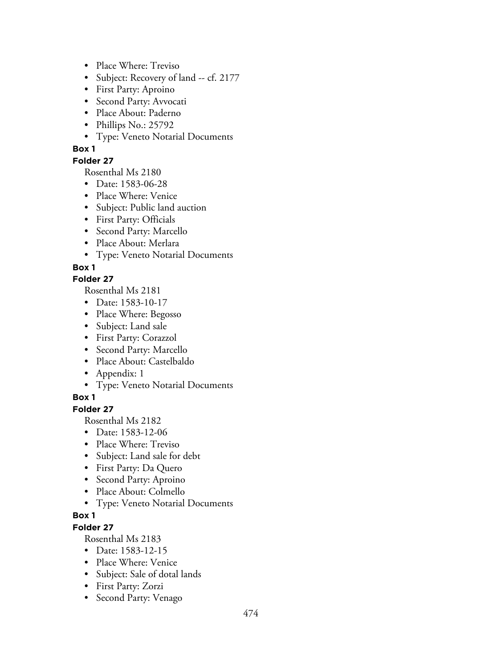- Place Where: Treviso
- Subject: Recovery of land -- cf. 2177
- First Party: Aproino
- Second Party: Avvocati
- Place About: Paderno
- Phillips No.: 25792
- Type: Veneto Notarial Documents

### **Folder 27**

Rosenthal Ms 2180

- Date: 1583-06-28
- Place Where: Venice
- Subject: Public land auction
- First Party: Officials
- Second Party: Marcello
- Place About: Merlara
- Type: Veneto Notarial Documents

## **Box 1**

## **Folder 27**

Rosenthal Ms 2181

- Date: 1583-10-17
- Place Where: Begosso
- Subject: Land sale
- First Party: Corazzol
- Second Party: Marcello
- Place About: Castelbaldo
- Appendix: 1
- Type: Veneto Notarial Documents

### **Box 1**

**Folder 27**

Rosenthal Ms 2182

- Date: 1583-12-06
- Place Where: Treviso
- Subject: Land sale for debt
- First Party: Da Quero
- Second Party: Aproino
- Place About: Colmello
- Type: Veneto Notarial Documents

## **Box 1**

# **Folder 27**

- Date: 1583-12-15
- Place Where: Venice
- Subject: Sale of dotal lands
- First Party: Zorzi
- Second Party: Venago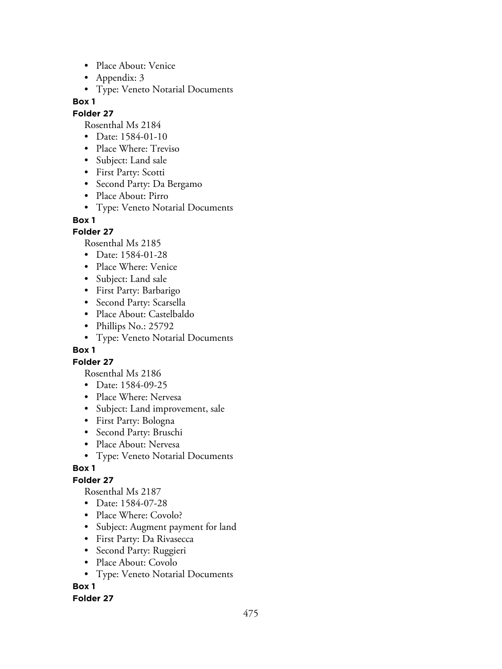- Place About: Venice
- Appendix: 3
- Type: Veneto Notarial Documents

#### **Folder 27**

Rosenthal Ms 2184

- Date: 1584-01-10
- Place Where: Treviso
- Subject: Land sale
- First Party: Scotti
- Second Party: Da Bergamo
- Place About: Pirro
- Type: Veneto Notarial Documents

#### **Box 1**

### **Folder 27**

Rosenthal Ms 2185

- Date: 1584-01-28
- Place Where: Venice
- Subject: Land sale
- First Party: Barbarigo
- Second Party: Scarsella
- Place About: Castelbaldo
- Phillips No.: 25792
- Type: Veneto Notarial Documents

### **Box 1**

### **Folder 27**

Rosenthal Ms 2186

- Date: 1584-09-25
- Place Where: Nervesa
- Subject: Land improvement, sale
- First Party: Bologna
- Second Party: Bruschi
- Place About: Nervesa
- Type: Veneto Notarial Documents

### **Box 1**

# **Folder 27**

Rosenthal Ms 2187

- Date: 1584-07-28
- Place Where: Covolo?
- Subject: Augment payment for land
- First Party: Da Rivasecca
- Second Party: Ruggieri
- Place About: Covolo
- Type: Veneto Notarial Documents

# **Box 1**

### **Folder 27**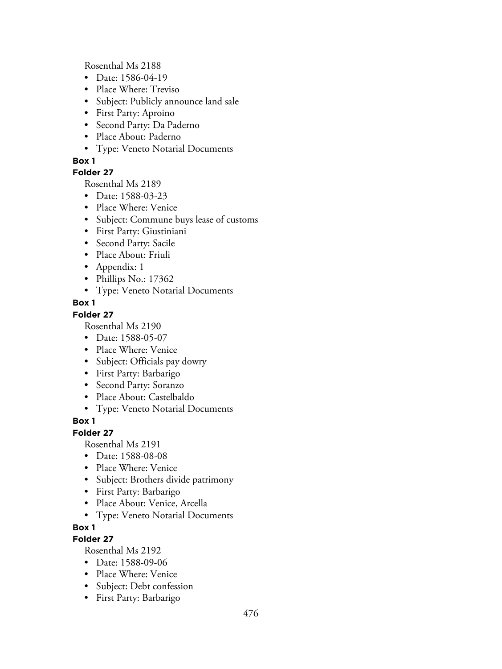Rosenthal Ms 2188

- Date: 1586-04-19
- Place Where: Treviso
- Subject: Publicly announce land sale
- First Party: Aproino
- Second Party: Da Paderno
- Place About: Paderno
- Type: Veneto Notarial Documents

### **Box 1**

## **Folder 27**

Rosenthal Ms 2189

- Date: 1588-03-23
- Place Where: Venice
- Subject: Commune buys lease of customs
- First Party: Giustiniani
- Second Party: Sacile
- Place About: Friuli
- Appendix: 1
- Phillips No.: 17362
- Type: Veneto Notarial Documents

### **Box 1**

### **Folder 27**

Rosenthal Ms 2190

- Date: 1588-05-07
- Place Where: Venice
- Subject: Officials pay dowry
- First Party: Barbarigo
- Second Party: Soranzo
- Place About: Castelbaldo
- Type: Veneto Notarial Documents

### **Box 1**

### **Folder 27**

Rosenthal Ms 2191

- Date: 1588-08-08
- Place Where: Venice
- Subject: Brothers divide patrimony
- First Party: Barbarigo
- Place About: Venice, Arcella
- Type: Veneto Notarial Documents

# **Box 1**

# **Folder 27**

- Date: 1588-09-06
- Place Where: Venice
- Subject: Debt confession
- First Party: Barbarigo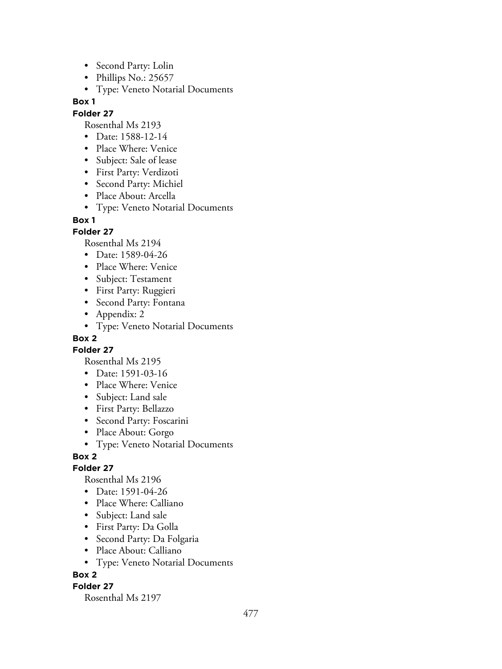- Second Party: Lolin
- Phillips No.: 25657
- Type: Veneto Notarial Documents

## **Folder 27**

Rosenthal Ms 2193

- Date: 1588-12-14
- Place Where: Venice
- Subject: Sale of lease
- First Party: Verdizoti
- Second Party: Michiel
- Place About: Arcella
- Type: Veneto Notarial Documents

## **Box 1**

# **Folder 27**

Rosenthal Ms 2194

- Date: 1589-04-26
- Place Where: Venice
- Subject: Testament
- First Party: Ruggieri
- Second Party: Fontana
- Appendix: 2
- Type: Veneto Notarial Documents

# **Box 2**

**Folder 27**

- Rosenthal Ms 2195
- Date: 1591-03-16
- Place Where: Venice
- Subject: Land sale
- First Party: Bellazzo
- Second Party: Foscarini
- Place About: Gorgo
- Type: Veneto Notarial Documents

# **Box 2**

# **Folder 27**

Rosenthal Ms 2196

- Date: 1591-04-26
- Place Where: Calliano
- Subject: Land sale
- First Party: Da Golla
- Second Party: Da Folgaria
- Place About: Calliano
- Type: Veneto Notarial Documents

# **Box 2**

# **Folder 27**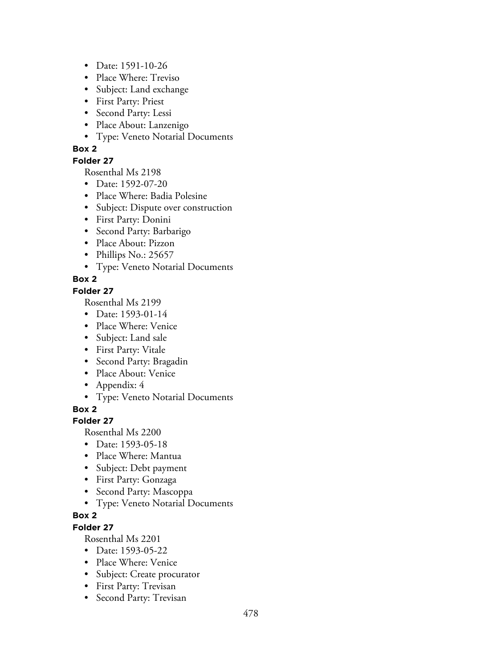- Date: 1591-10-26
- Place Where: Treviso
- Subject: Land exchange
- First Party: Priest
- Second Party: Lessi
- Place About: Lanzenigo
- Type: Veneto Notarial Documents

### **Folder 27**

Rosenthal Ms 2198

- Date: 1592-07-20
- Place Where: Badia Polesine
- Subject: Dispute over construction
- First Party: Donini
- Second Party: Barbarigo
- Place About: Pizzon
- Phillips No.: 25657
- Type: Veneto Notarial Documents

# **Box 2**

### **Folder 27**

Rosenthal Ms 2199

- Date: 1593-01-14
- Place Where: Venice
- Subject: Land sale
- First Party: Vitale
- Second Party: Bragadin
- Place About: Venice
- Appendix: 4
- Type: Veneto Notarial Documents

**Box 2**

# **Folder 27**

Rosenthal Ms 2200

- Date: 1593-05-18
- Place Where: Mantua
- Subject: Debt payment
- First Party: Gonzaga
- Second Party: Mascoppa
- Type: Veneto Notarial Documents

# **Box 2**

# **Folder 27**

- Date: 1593-05-22
- Place Where: Venice
- Subject: Create procurator
- First Party: Trevisan
- Second Party: Trevisan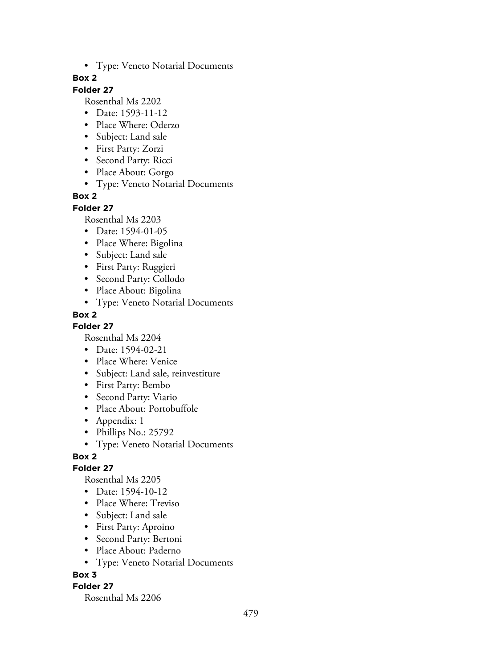• Type: Veneto Notarial Documents

### **Box 2**

# **Folder 27**

Rosenthal Ms 2202

- Date: 1593-11-12
- Place Where: Oderzo
- Subject: Land sale
- First Party: Zorzi
- Second Party: Ricci
- Place About: Gorgo
- Type: Veneto Notarial Documents

## **Box 2**

#### **Folder 27**

Rosenthal Ms 2203

- Date: 1594-01-05
- Place Where: Bigolina
- Subject: Land sale
- First Party: Ruggieri
- Second Party: Collodo
- Place About: Bigolina
- Type: Veneto Notarial Documents

## **Box 2**

**Folder 27**

Rosenthal Ms 2204

- Date: 1594-02-21
- Place Where: Venice
- Subject: Land sale, reinvestiture
- First Party: Bembo
- Second Party: Viario
- Place About: Portobuffole
- Appendix: 1
- Phillips No.: 25792
- Type: Veneto Notarial Documents

# **Box 2**

### **Folder 27**

Rosenthal Ms 2205

- Date: 1594-10-12
- Place Where: Treviso
- Subject: Land sale
- First Party: Aproino
- Second Party: Bertoni
- Place About: Paderno
- Type: Veneto Notarial Documents

### **Box 3**

### **Folder 27**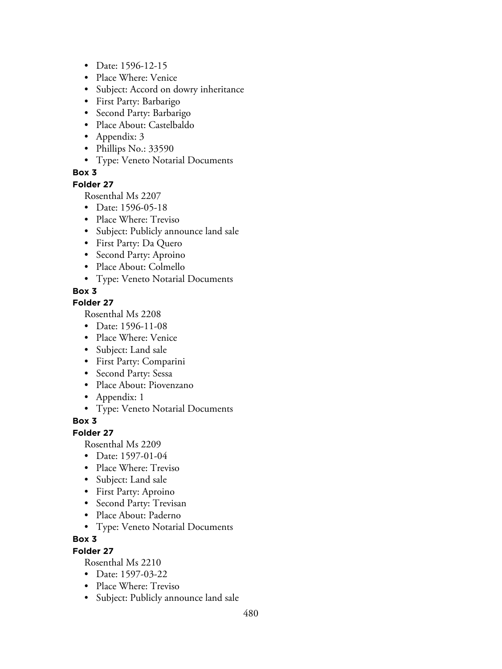- Date: 1596-12-15
- Place Where: Venice
- Subject: Accord on dowry inheritance
- First Party: Barbarigo
- Second Party: Barbarigo
- Place About: Castelbaldo
- Appendix: 3
- Phillips No.: 33590
- Type: Veneto Notarial Documents

#### **Folder 27**

Rosenthal Ms 2207

- Date: 1596-05-18
- Place Where: Treviso
- Subject: Publicly announce land sale
- First Party: Da Quero
- Second Party: Aproino
- Place About: Colmello
- Type: Veneto Notarial Documents

## **Box 3**

## **Folder 27**

Rosenthal Ms 2208

- Date: 1596-11-08
- Place Where: Venice
- Subject: Land sale
- First Party: Comparini
- Second Party: Sessa
- Place About: Piovenzano
- Appendix: 1
- Type: Veneto Notarial Documents

### **Box 3**

### **Folder 27**

Rosenthal Ms 2209

- Date: 1597-01-04
- Place Where: Treviso
- Subject: Land sale
- First Party: Aproino
- Second Party: Trevisan
- Place About: Paderno
- Type: Veneto Notarial Documents

### **Box 3**

### **Folder 27**

- Date: 1597-03-22
- Place Where: Treviso
- Subject: Publicly announce land sale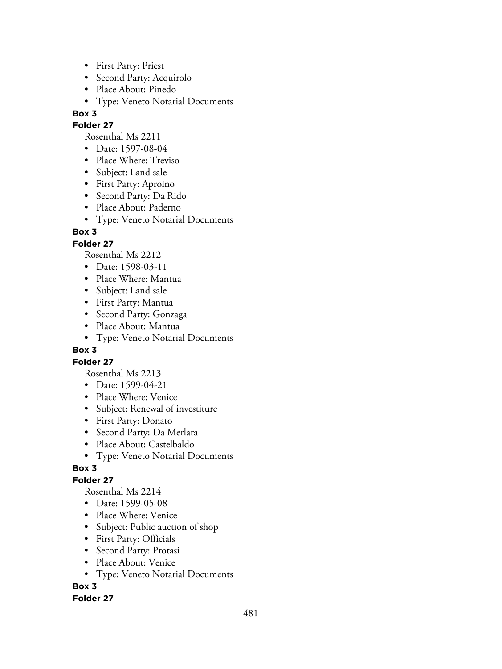- First Party: Priest
- Second Party: Acquirolo
- Place About: Pinedo
- Type: Veneto Notarial Documents

### **Folder 27**

Rosenthal Ms 2211

- Date: 1597-08-04
- Place Where: Treviso
- Subject: Land sale
- First Party: Aproino
- Second Party: Da Rido
- Place About: Paderno
- Type: Veneto Notarial Documents

# **Box 3**

## **Folder 27**

Rosenthal Ms 2212

- Date: 1598-03-11
- Place Where: Mantua
- Subject: Land sale
- First Party: Mantua
- Second Party: Gonzaga
- Place About: Mantua
- Type: Veneto Notarial Documents

### **Box 3**

### **Folder 27**

Rosenthal Ms 2213

- Date: 1599-04-21
- Place Where: Venice
- Subject: Renewal of investiture
- First Party: Donato
- Second Party: Da Merlara
- Place About: Castelbaldo
- Type: Veneto Notarial Documents

# **Box 3**

# **Folder 27**

Rosenthal Ms 2214

- Date: 1599-05-08
- Place Where: Venice
- Subject: Public auction of shop
- First Party: Officials
- Second Party: Protasi
- Place About: Venice
- Type: Veneto Notarial Documents

# **Box 3**

### **Folder 27**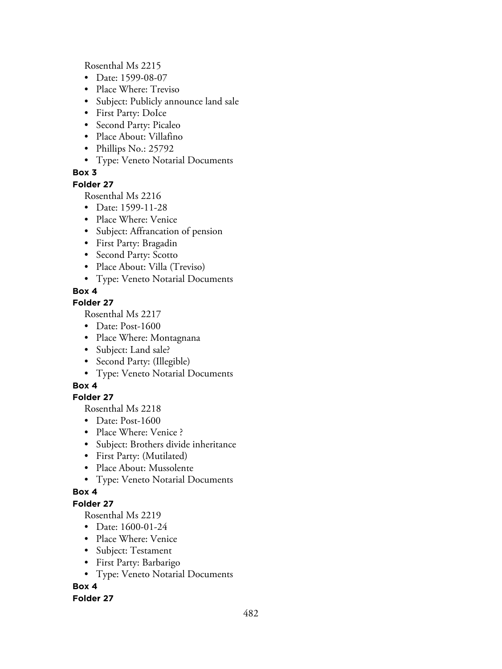Rosenthal Ms 2215

- Date: 1599-08-07
- Place Where: Treviso
- Subject: Publicly announce land sale
- First Party: DoIce
- Second Party: Picaleo
- Place About: Villafino
- Phillips No.: 25792
- Type: Veneto Notarial Documents

## **Box 3**

#### **Folder 27**

Rosenthal Ms 2216

- Date: 1599-11-28
- Place Where: Venice
- Subject: Affrancation of pension
- First Party: Bragadin
- Second Party: Scotto
- Place About: Villa (Treviso)
- Type: Veneto Notarial Documents

## **Box 4**

## **Folder 27**

Rosenthal Ms 2217

- Date: Post-1600
- Place Where: Montagnana
- Subject: Land sale?
- Second Party: (Illegible)
- Type: Veneto Notarial Documents

### **Box 4**

# **Folder 27**

Rosenthal Ms 2218

- Date: Post-1600
- Place Where: Venice ?
- Subject: Brothers divide inheritance
- First Party: (Mutilated)
- Place About: Mussolente
- Type: Veneto Notarial Documents

### **Box 4**

## **Folder 27**

Rosenthal Ms 2219

- Date: 1600-01-24
- Place Where: Venice
- Subject: Testament
- First Party: Barbarigo
- Type: Veneto Notarial Documents

# **Box 4**

### **Folder 27**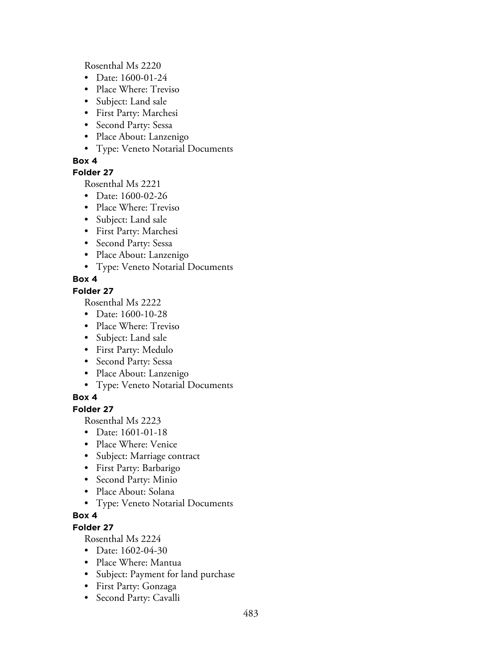Rosenthal Ms 2220

- Date: 1600-01-24
- Place Where: Treviso
- Subject: Land sale
- First Party: Marchesi
- Second Party: Sessa
- Place About: Lanzenigo
- Type: Veneto Notarial Documents

# **Box 4**

# **Folder 27**

Rosenthal Ms 2221

- Date: 1600-02-26
- Place Where: Treviso
- Subject: Land sale
- First Party: Marchesi
- Second Party: Sessa
- Place About: Lanzenigo
- Type: Veneto Notarial Documents

# **Box 4**

# **Folder 27**

Rosenthal Ms 2222

- Date: 1600-10-28
- Place Where: Treviso
- Subject: Land sale
- First Party: Medulo
- Second Party: Sessa
- Place About: Lanzenigo
- Type: Veneto Notarial Documents

# **Box 4**

# **Folder 27**

Rosenthal Ms 2223

- Date: 1601-01-18
- Place Where: Venice
- Subject: Marriage contract
- First Party: Barbarigo
- Second Party: Minio
- Place About: Solana
- Type: Veneto Notarial Documents

# **Box 4**

# **Folder 27**

- Date: 1602-04-30
- Place Where: Mantua
- Subject: Payment for land purchase
- First Party: Gonzaga
- Second Party: Cavalli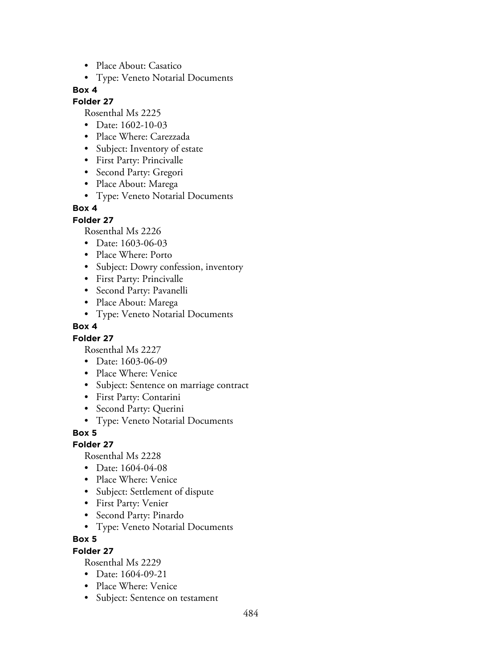- Place About: Casatico
- Type: Veneto Notarial Documents

### **Folder 27**

Rosenthal Ms 2225

- Date: 1602-10-03
- Place Where: Carezzada
- Subject: Inventory of estate
- First Party: Princivalle
- Second Party: Gregori
- Place About: Marega
- Type: Veneto Notarial Documents

## **Box 4**

**Folder 27**

Rosenthal Ms 2226

- Date: 1603-06-03
- Place Where: Porto
- Subject: Dowry confession, inventory
- First Party: Princivalle
- Second Party: Pavanelli
- Place About: Marega
- Type: Veneto Notarial Documents

### **Box 4**

### **Folder 27**

Rosenthal Ms 2227

- Date: 1603-06-09
- Place Where: Venice
- Subject: Sentence on marriage contract
- First Party: Contarini
- Second Party: Querini
- Type: Veneto Notarial Documents

**Box 5**

### **Folder 27**

Rosenthal Ms 2228

- Date: 1604-04-08
- Place Where: Venice
- Subject: Settlement of dispute
- First Party: Venier
- Second Party: Pinardo
- Type: Veneto Notarial Documents

**Box 5**

### **Folder 27**

- Date: 1604-09-21
- Place Where: Venice
- Subject: Sentence on testament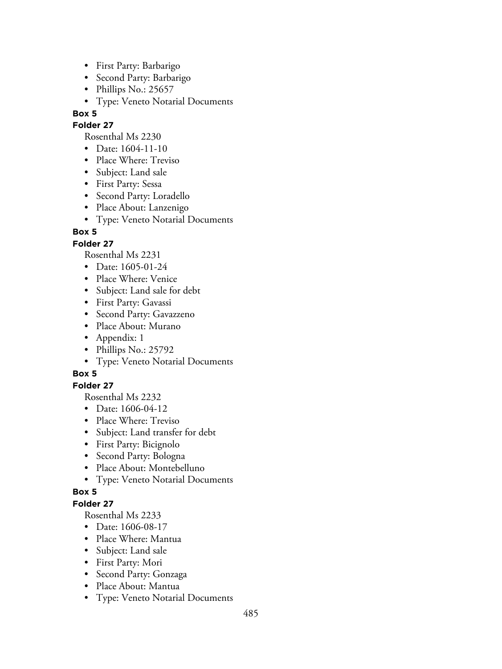- First Party: Barbarigo
- Second Party: Barbarigo
- Phillips No.: 25657
- Type: Veneto Notarial Documents

### **Folder 27**

Rosenthal Ms 2230

- Date: 1604-11-10
- Place Where: Treviso
- Subject: Land sale
- First Party: Sessa
- Second Party: Loradello
- Place About: Lanzenigo
- Type: Veneto Notarial Documents

# **Box 5**

## **Folder 27**

Rosenthal Ms 2231

- Date: 1605-01-24
- Place Where: Venice
- Subject: Land sale for debt
- First Party: Gavassi
- Second Party: Gavazzeno
- Place About: Murano
- Appendix: 1
- Phillips No.: 25792
- Type: Veneto Notarial Documents

# **Box 5**

# **Folder 27**

Rosenthal Ms 2232

- Date: 1606-04-12
- Place Where: Treviso
- Subject: Land transfer for debt
- First Party: Bicignolo
- Second Party: Bologna
- Place About: Montebelluno
- Type: Veneto Notarial Documents

### **Box 5**

## **Folder 27**

- Date: 1606-08-17
- Place Where: Mantua
- Subject: Land sale
- First Party: Mori
- Second Party: Gonzaga
- Place About: Mantua
- Type: Veneto Notarial Documents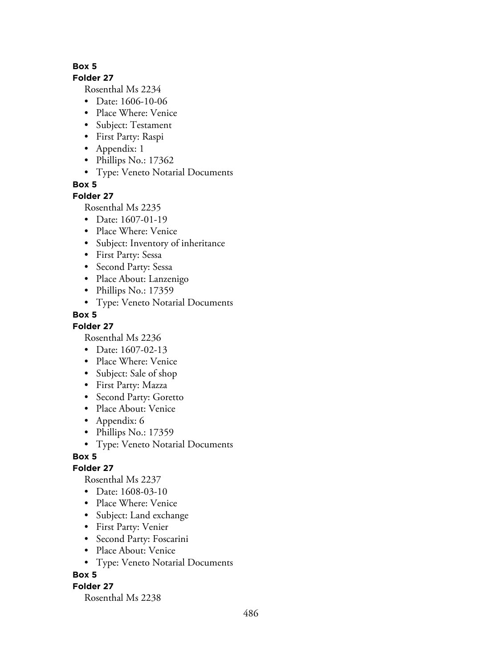#### **Folder 27**

Rosenthal Ms 2234

- Date: 1606-10-06
- Place Where: Venice
- Subject: Testament
- First Party: Raspi
- Appendix: 1
- Phillips No.: 17362
- Type: Veneto Notarial Documents

**Box 5**

### **Folder 27**

Rosenthal Ms 2235

- Date: 1607-01-19
- Place Where: Venice
- Subject: Inventory of inheritance
- First Party: Sessa
- Second Party: Sessa
- Place About: Lanzenigo
- Phillips No.: 17359
- Type: Veneto Notarial Documents

## **Box 5**

**Folder 27**

Rosenthal Ms 2236

- Date: 1607-02-13
- Place Where: Venice
- Subject: Sale of shop
- First Party: Mazza
- Second Party: Goretto
- Place About: Venice
- Appendix: 6
- Phillips No.: 17359
- Type: Veneto Notarial Documents

### **Box 5**

### **Folder 27**

Rosenthal Ms 2237

- Date: 1608-03-10
- Place Where: Venice
- Subject: Land exchange
- First Party: Venier
- Second Party: Foscarini
- Place About: Venice
- Type: Veneto Notarial Documents

### **Box 5**

### **Folder 27**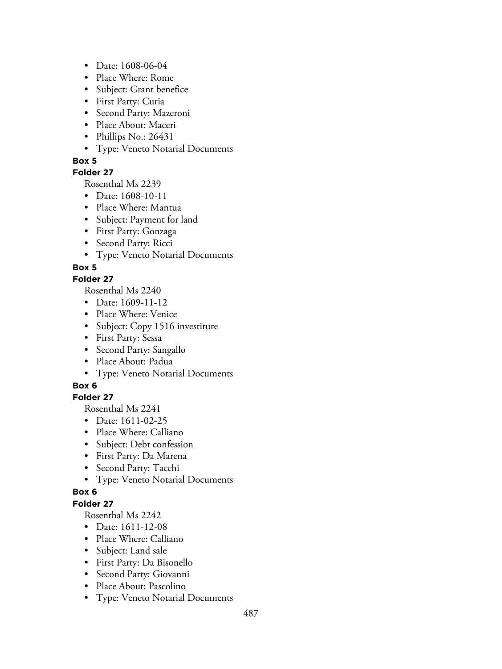- Date: 1608-06-04
- Place Where: Rome
- Subject: Grant benefice
- First Party: Curia
- Second Party: Mazeroni
- Place About: Maceri
- Phillips No.: 26431
- Type: Veneto Notarial Documents

### **Folder 27**

Rosenthal Ms 2239

- Date: 1608-10-11
- Place Where: Mantua
- Subject: Payment for land
- First Party: Gonzaga
- Second Party: Ricci
- Type: Veneto Notarial Documents

## **Box 5**

## **Folder 27**

Rosenthal Ms 2240

- Date: 1609-11-12
- Place Where: Venice
- Subject: Copy 1516 investiture
- First Party: Sessa
- Second Party: Sangallo
- Place About: Padua
- Type: Veneto Notarial Documents

### **Box 6**

# **Folder 27**

Rosenthal Ms 2241

- Date: 1611-02-25
- Place Where: Calliano
- Subject: Debt confession
- First Party: Da Marena
- Second Party: Tacchi
- Type: Veneto Notarial Documents

### **Box 6**

## **Folder 27**

- Date: 1611-12-08
- Place Where: Calliano
- Subject: Land sale
- First Party: Da Bisonello
- Second Party: Giovanni
- Place About: Pascolino
- Type: Veneto Notarial Documents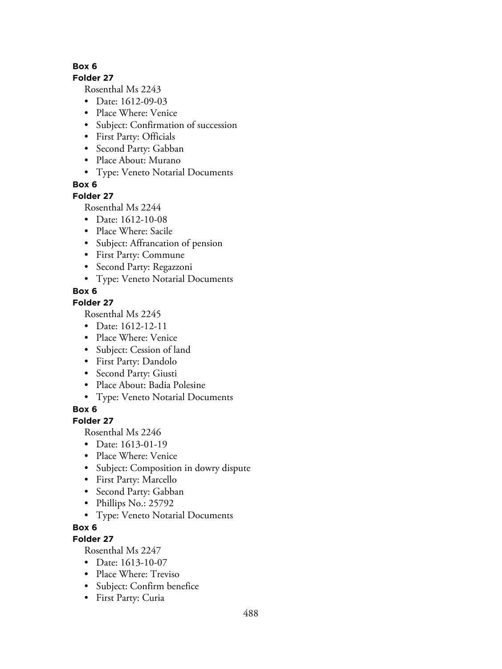#### **Folder 27**

Rosenthal Ms 2243

- Date: 1612-09-03
- Place Where: Venice
- Subject: Confirmation of succession
- First Party: Officials
- Second Party: Gabban
- Place About: Murano
- Type: Veneto Notarial Documents

**Box 6**

# **Folder 27**

Rosenthal Ms 2244

- Date: 1612-10-08
- Place Where: Sacile
- Subject: Affrancation of pension
- First Party: Commune
- Second Party: Regazzoni
- Type: Veneto Notarial Documents

# **Box 6**

# **Folder 27**

Rosenthal Ms 2245

- Date: 1612-12-11
- Place Where: Venice
- Subject: Cession of land
- First Party: Dandolo
- Second Party: Giusti
- Place About: Badia Polesine
- Type: Veneto Notarial Documents

**Box 6**

# **Folder 27**

Rosenthal Ms 2246

- Date: 1613-01-19
- Place Where: Venice
- Subject: Composition in dowry dispute
- First Party: Marcello
- Second Party: Gabban
- Phillips No.: 25792
- Type: Veneto Notarial Documents
- **Box 6**

# **Folder 27**

- Date: 1613-10-07
- Place Where: Treviso
- Subject: Confirm benefice
- First Party: Curia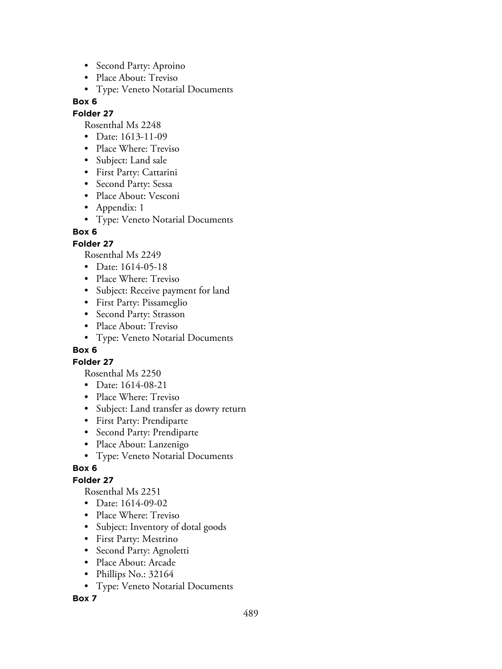- Second Party: Aproino
- Place About: Treviso
- Type: Veneto Notarial Documents

#### **Folder 27**

Rosenthal Ms 2248

- Date: 1613-11-09
- Place Where: Treviso
- Subject: Land sale
- First Party: Cattarini
- Second Party: Sessa
- Place About: Vesconi
- Appendix: 1
- Type: Veneto Notarial Documents

## **Box 6**

## **Folder 27**

Rosenthal Ms 2249

- Date: 1614-05-18
- Place Where: Treviso
- Subject: Receive payment for land
- First Party: Pissameglio
- Second Party: Strasson
- Place About: Treviso
- Type: Veneto Notarial Documents

### **Box 6**

### **Folder 27**

Rosenthal Ms 2250

- Date: 1614-08-21
- Place Where: Treviso
- Subject: Land transfer as dowry return
- First Party: Prendiparte
- Second Party: Prendiparte
- Place About: Lanzenigo
- Type: Veneto Notarial Documents

### **Box 6**

# **Folder 27**

Rosenthal Ms 2251

- Date: 1614-09-02
- Place Where: Treviso
- Subject: Inventory of dotal goods
- First Party: Mestrino
- Second Party: Agnoletti
- Place About: Arcade
- Phillips No.: 32164
- Type: Veneto Notarial Documents

### **Box 7**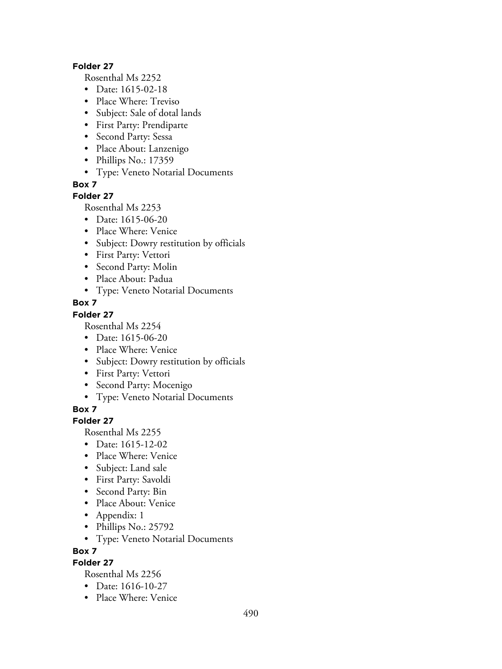#### **Folder 27**

Rosenthal Ms 2252

- Date: 1615-02-18
- Place Where: Treviso
- Subject: Sale of dotal lands
- First Party: Prendiparte
- Second Party: Sessa
- Place About: Lanzenigo
- Phillips No.: 17359
- Type: Veneto Notarial Documents

**Box 7**

### **Folder 27**

Rosenthal Ms 2253

- Date: 1615-06-20
- Place Where: Venice
- Subject: Dowry restitution by officials
- First Party: Vettori
- Second Party: Molin
- Place About: Padua
- Type: Veneto Notarial Documents

### **Box 7**

### **Folder 27**

Rosenthal Ms 2254

- Date: 1615-06-20
- Place Where: Venice
- Subject: Dowry restitution by officials
- First Party: Vettori
- Second Party: Mocenigo
- Type: Veneto Notarial Documents

**Box 7**

### **Folder 27**

Rosenthal Ms 2255

- Date: 1615-12-02
- Place Where: Venice
- Subject: Land sale
- First Party: Savoldi
- Second Party: Bin
- Place About: Venice
- Appendix: 1
- Phillips No.: 25792
- Type: Veneto Notarial Documents

**Box 7**

# **Folder 27**

- Date: 1616-10-27
- Place Where: Venice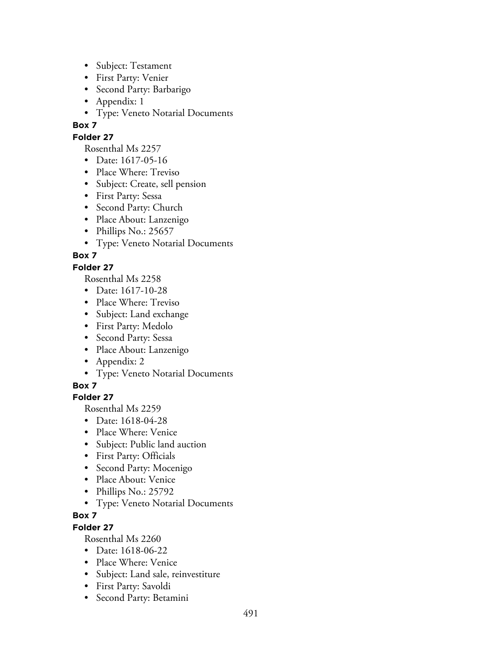- Subject: Testament
- First Party: Venier
- Second Party: Barbarigo
- Appendix: 1
- Type: Veneto Notarial Documents

## **Folder 27**

Rosenthal Ms 2257

- Date: 1617-05-16
- Place Where: Treviso
- Subject: Create, sell pension
- First Party: Sessa
- Second Party: Church
- Place About: Lanzenigo
- Phillips No.: 25657
- Type: Veneto Notarial Documents

# **Box 7**

# **Folder 27**

Rosenthal Ms 2258

- Date: 1617-10-28
- Place Where: Treviso
- Subject: Land exchange
- First Party: Medolo
- Second Party: Sessa
- Place About: Lanzenigo
- Appendix: 2
- Type: Veneto Notarial Documents

# **Box 7**

# **Folder 27**

Rosenthal Ms 2259

- Date: 1618-04-28
- Place Where: Venice
- Subject: Public land auction
- First Party: Officials
- Second Party: Mocenigo
- Place About: Venice
- Phillips No.: 25792
- Type: Veneto Notarial Documents

# **Box 7**

# **Folder 27**

- Date: 1618-06-22
- Place Where: Venice
- Subject: Land sale, reinvestiture
- First Party: Savoldi
- Second Party: Betamini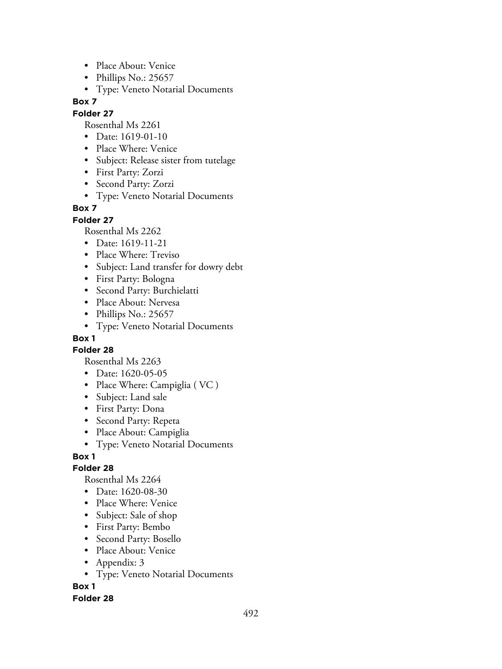- Place About: Venice
- Phillips No.: 25657
- Type: Veneto Notarial Documents

#### **Folder 27**

Rosenthal Ms 2261

- Date: 1619-01-10
- Place Where: Venice
- Subject: Release sister from tutelage
- First Party: Zorzi
- Second Party: Zorzi
- Type: Veneto Notarial Documents

### **Box 7**

### **Folder 27**

Rosenthal Ms 2262

- Date: 1619-11-21
- Place Where: Treviso
- Subject: Land transfer for dowry debt
- First Party: Bologna
- Second Party: Burchielatti
- Place About: Nervesa
- Phillips No.: 25657
- Type: Veneto Notarial Documents

## **Box 1**

**Folder 28**

Rosenthal Ms 2263

- Date: 1620-05-05
- Place Where: Campiglia ( VC )
- Subject: Land sale
- First Party: Dona
- Second Party: Repeta
- Place About: Campiglia
- Type: Veneto Notarial Documents

### **Box 1**

### **Folder 28**

Rosenthal Ms 2264

- Date: 1620-08-30
- Place Where: Venice
- Subject: Sale of shop
- First Party: Bembo
- Second Party: Bosello
- Place About: Venice
- Appendix: 3
- Type: Veneto Notarial Documents

**Box 1**

### **Folder 28**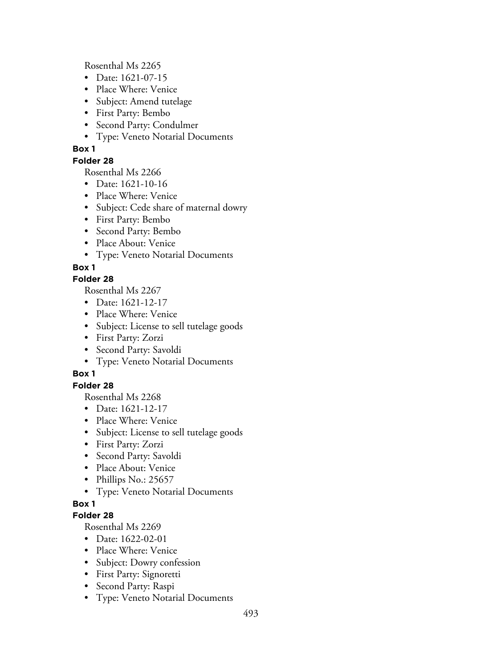Rosenthal Ms 2265

- Date: 1621-07-15
- Place Where: Venice
- Subject: Amend tutelage
- First Party: Bembo
- Second Party: Condulmer
- Type: Veneto Notarial Documents

## **Box 1**

### **Folder 28**

Rosenthal Ms 2266

- Date: 1621-10-16
- Place Where: Venice
- Subject: Cede share of maternal dowry
- First Party: Bembo
- Second Party: Bembo
- Place About: Venice
- Type: Veneto Notarial Documents

## **Box 1**

### **Folder 28**

Rosenthal Ms 2267

- Date: 1621-12-17
- Place Where: Venice
- Subject: License to sell tutelage goods
- First Party: Zorzi
- Second Party: Savoldi
- Type: Veneto Notarial Documents

# **Box 1**

### **Folder 28**

Rosenthal Ms 2268

- Date: 1621-12-17
- Place Where: Venice
- Subject: License to sell tutelage goods
- First Party: Zorzi
- Second Party: Savoldi
- Place About: Venice
- Phillips No.: 25657
- Type: Veneto Notarial Documents

### **Box 1**

### **Folder 28**

- Date: 1622-02-01
- Place Where: Venice
- Subject: Dowry confession
- First Party: Signoretti
- Second Party: Raspi
- Type: Veneto Notarial Documents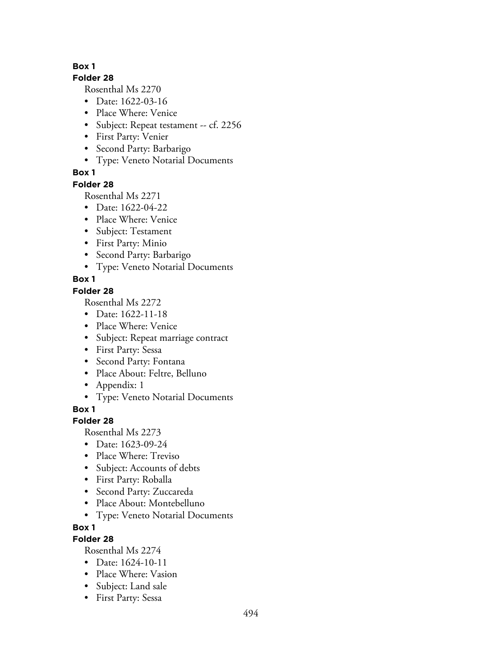#### **Folder 28**

Rosenthal Ms 2270

- Date: 1622-03-16
- Place Where: Venice
- Subject: Repeat testament -- cf. 2256
- First Party: Venier
- Second Party: Barbarigo
- Type: Veneto Notarial Documents

## **Box 1**

### **Folder 28**

Rosenthal Ms 2271

- Date: 1622-04-22
- Place Where: Venice
- Subject: Testament
- First Party: Minio
- Second Party: Barbarigo
- Type: Veneto Notarial Documents

## **Box 1**

### **Folder 28**

Rosenthal Ms 2272

- Date: 1622-11-18
- Place Where: Venice
- Subject: Repeat marriage contract
- First Party: Sessa
- Second Party: Fontana
- Place About: Feltre, Belluno
- Appendix: 1
- Type: Veneto Notarial Documents

**Box 1**

# **Folder 28**

Rosenthal Ms 2273

- Date: 1623-09-24
- Place Where: Treviso
- Subject: Accounts of debts
- First Party: Roballa
- Second Party: Zuccareda
- Place About: Montebelluno
- Type: Veneto Notarial Documents

# **Box 1**

# **Folder 28**

- Date: 1624-10-11
- Place Where: Vasion
- Subject: Land sale
- First Party: Sessa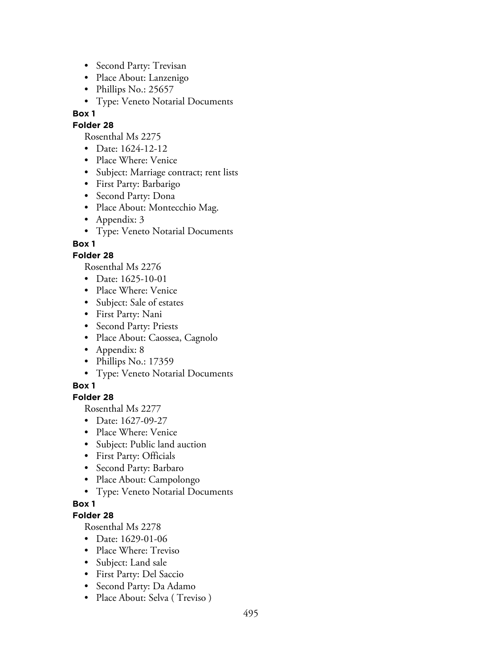- Second Party: Trevisan
- Place About: Lanzenigo
- Phillips No.: 25657
- Type: Veneto Notarial Documents

### **Folder 28**

- Rosenthal Ms 2275
- Date: 1624-12-12
- Place Where: Venice
- Subject: Marriage contract; rent lists
- First Party: Barbarigo
- Second Party: Dona
- Place About: Montecchio Mag.
- Appendix: 3
- Type: Veneto Notarial Documents

**Box 1**

## **Folder 28**

Rosenthal Ms 2276

- Date: 1625-10-01
- Place Where: Venice
- Subject: Sale of estates
- First Party: Nani
- Second Party: Priests
- Place About: Caossea, Cagnolo
- Appendix: 8
- Phillips No.: 17359
- Type: Veneto Notarial Documents

# **Box 1**

# **Folder 28**

Rosenthal Ms 2277

- Date: 1627-09-27
- Place Where: Venice
- Subject: Public land auction
- First Party: Officials
- Second Party: Barbaro
- Place About: Campolongo
- Type: Veneto Notarial Documents

# **Box 1**

# **Folder 28**

- Date: 1629-01-06
- Place Where: Treviso
- Subject: Land sale
- First Party: Del Saccio
- Second Party: Da Adamo
- Place About: Selva (Treviso)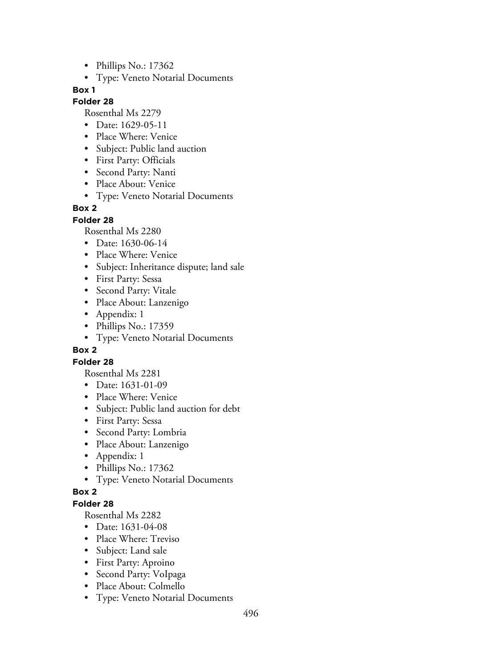- Phillips No.: 17362
- Type: Veneto Notarial Documents

#### **Folder 28**

Rosenthal Ms 2279

- Date: 1629-05-11
- Place Where: Venice
- Subject: Public land auction
- First Party: Officials
- Second Party: Nanti
- Place About: Venice
- Type: Veneto Notarial Documents

## **Box 2**

**Folder 28**

Rosenthal Ms 2280

- Date: 1630-06-14
- Place Where: Venice
- Subject: Inheritance dispute; land sale
- First Party: Sessa
- Second Party: Vitale
- Place About: Lanzenigo
- Appendix: 1
- Phillips No.: 17359
- Type: Veneto Notarial Documents

### **Box 2**

### **Folder 28**

Rosenthal Ms 2281

- Date: 1631-01-09
- Place Where: Venice
- Subject: Public land auction for debt
- First Party: Sessa
- Second Party: Lombria
- Place About: Lanzenigo
- Appendix: 1
- Phillips No.: 17362
- Type: Veneto Notarial Documents

### **Box 2**

## **Folder 28**

- Date: 1631-04-08
- Place Where: Treviso
- Subject: Land sale
- First Party: Aproino
- Second Party: VoIpaga
- Place About: Colmello
- Type: Veneto Notarial Documents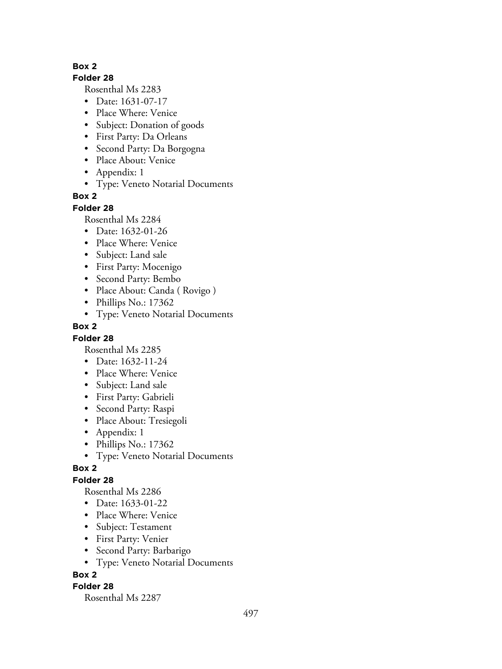#### **Folder 28**

Rosenthal Ms 2283

- Date: 1631-07-17
- Place Where: Venice
- Subject: Donation of goods
- First Party: Da Orleans
- Second Party: Da Borgogna
- Place About: Venice
- Appendix: 1
- Type: Veneto Notarial Documents

## **Box 2**

#### **Folder 28**

Rosenthal Ms 2284

- Date: 1632-01-26
- Place Where: Venice
- Subject: Land sale
- First Party: Mocenigo
- Second Party: Bembo
- Place About: Canda ( Rovigo )
- Phillips No.: 17362
- Type: Veneto Notarial Documents

### **Box 2**

### **Folder 28**

Rosenthal Ms 2285

- Date: 1632-11-24
- Place Where: Venice
- Subject: Land sale
- First Party: Gabrieli
- Second Party: Raspi
- Place About: Tresiegoli
- Appendix: 1
- Phillips No.: 17362
- Type: Veneto Notarial Documents

### **Box 2**

### **Folder 28**

Rosenthal Ms 2286

- Date: 1633-01-22
- Place Where: Venice
- Subject: Testament
- First Party: Venier
- Second Party: Barbarigo
- Type: Veneto Notarial Documents

### **Box 2**

### **Folder 28**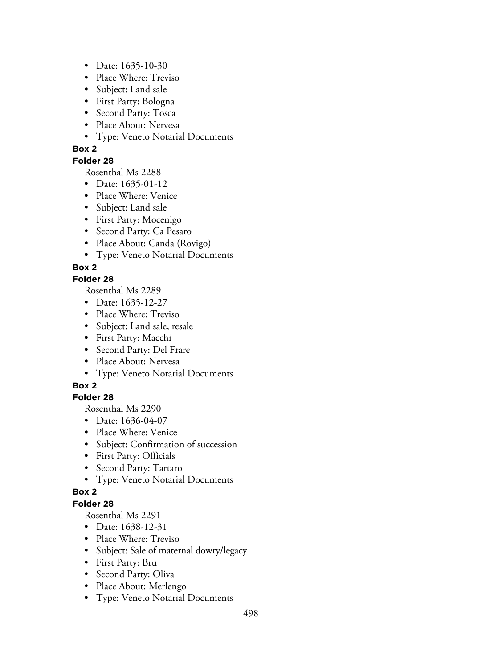- Date: 1635-10-30
- Place Where: Treviso
- Subject: Land sale
- First Party: Bologna
- Second Party: Tosca
- Place About: Nervesa
- Type: Veneto Notarial Documents

### **Folder 28**

Rosenthal Ms 2288

- Date: 1635-01-12
- Place Where: Venice
- Subject: Land sale
- First Party: Mocenigo
- Second Party: Ca Pesaro
- Place About: Canda (Rovigo)
- Type: Veneto Notarial Documents

# **Box 2**

## **Folder 28**

Rosenthal Ms 2289

- Date: 1635-12-27
- Place Where: Treviso
- Subject: Land sale, resale
- First Party: Macchi
- Second Party: Del Frare
- Place About: Nervesa
- Type: Veneto Notarial Documents

# **Box 2**

# **Folder 28**

Rosenthal Ms 2290

- Date: 1636-04-07
- Place Where: Venice
- Subject: Confirmation of succession
- First Party: Officials
- Second Party: Tartaro
- Type: Veneto Notarial Documents

### **Box 2**

# **Folder 28**

- Date: 1638-12-31
- Place Where: Treviso
- Subject: Sale of maternal dowry/legacy
- First Party: Bru
- Second Party: Oliva
- Place About: Merlengo
- Type: Veneto Notarial Documents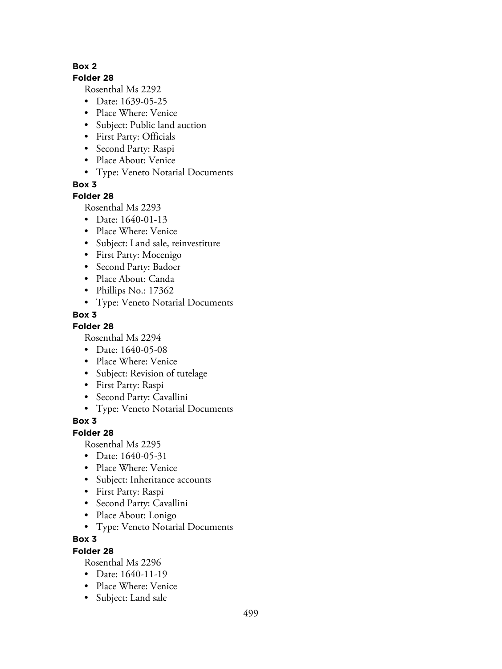#### **Folder 28**

Rosenthal Ms 2292

- Date: 1639-05-25
- Place Where: Venice
- Subject: Public land auction
- First Party: Officials
- Second Party: Raspi
- Place About: Venice
- Type: Veneto Notarial Documents

**Box 3**

### **Folder 28**

Rosenthal Ms 2293

- Date: 1640-01-13
- Place Where: Venice
- Subject: Land sale, reinvestiture
- First Party: Mocenigo
- Second Party: Badoer
- Place About: Canda
- Phillips No.: 17362
- Type: Veneto Notarial Documents

## **Box 3**

**Folder 28**

Rosenthal Ms 2294

- Date: 1640-05-08
- Place Where: Venice
- Subject: Revision of tutelage
- First Party: Raspi
- Second Party: Cavallini
- Type: Veneto Notarial Documents

### **Box 3**

**Folder 28**

Rosenthal Ms 2295

- Date: 1640-05-31
- Place Where: Venice
- Subject: Inheritance accounts
- First Party: Raspi
- Second Party: Cavallini
- Place About: Lonigo
- Type: Veneto Notarial Documents

### **Box 3**

### **Folder 28**

- Date: 1640-11-19
- Place Where: Venice
- Subject: Land sale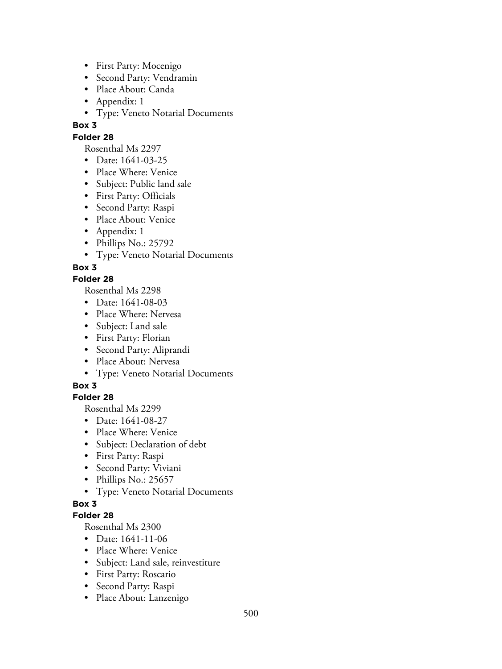- First Party: Mocenigo
- Second Party: Vendramin
- Place About: Canda
- Appendix: 1
- Type: Veneto Notarial Documents

### **Folder 28**

Rosenthal Ms 2297

- Date: 1641-03-25
- Place Where: Venice
- Subject: Public land sale
- First Party: Officials
- Second Party: Raspi
- Place About: Venice
- Appendix: 1
- Phillips No.: 25792
- Type: Veneto Notarial Documents

## **Box 3**

## **Folder 28**

Rosenthal Ms 2298

- Date: 1641-08-03
- Place Where: Nervesa
- Subject: Land sale
- First Party: Florian
- Second Party: Aliprandi
- Place About: Nervesa
- Type: Veneto Notarial Documents

# **Box 3**

# **Folder 28**

Rosenthal Ms 2299

- Date: 1641-08-27
- Place Where: Venice
- Subject: Declaration of debt
- First Party: Raspi
- Second Party: Viviani
- Phillips No.: 25657
- Type: Veneto Notarial Documents

# **Box 3**

### **Folder 28**

- Date: 1641-11-06
- Place Where: Venice
- Subject: Land sale, reinvestiture
- First Party: Roscario
- Second Party: Raspi
- Place About: Lanzenigo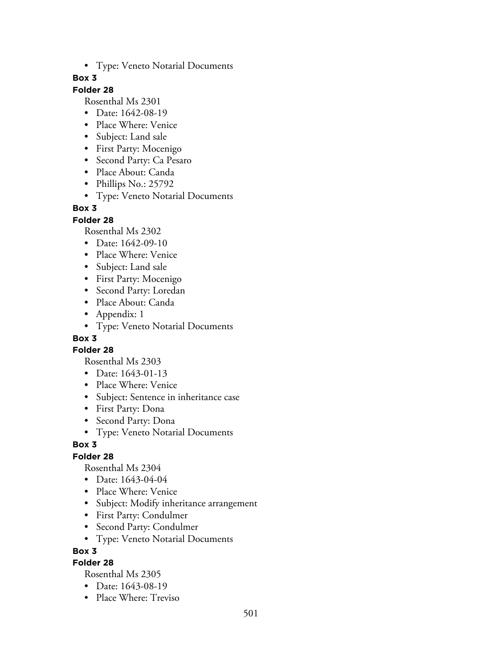• Type: Veneto Notarial Documents

## **Box 3**

# **Folder 28**

Rosenthal Ms 2301

- Date: 1642-08-19
- Place Where: Venice
- Subject: Land sale
- First Party: Mocenigo
- Second Party: Ca Pesaro
- Place About: Canda
- Phillips No.: 25792
- Type: Veneto Notarial Documents

## **Box 3**

### **Folder 28**

Rosenthal Ms 2302

- Date: 1642-09-10
- Place Where: Venice
- Subject: Land sale
- First Party: Mocenigo
- Second Party: Loredan
- Place About: Canda
- Appendix: 1
- Type: Veneto Notarial Documents

# **Box 3**

### **Folder 28**

Rosenthal Ms 2303

- Date: 1643-01-13
- Place Where: Venice
- Subject: Sentence in inheritance case
- First Party: Dona
- Second Party: Dona
- Type: Veneto Notarial Documents

### **Box 3**

### **Folder 28**

Rosenthal Ms 2304

- Date: 1643-04-04
- Place Where: Venice
- Subject: Modify inheritance arrangement
- First Party: Condulmer
- Second Party: Condulmer
- Type: Veneto Notarial Documents

**Box 3**

## **Folder 28**

- Date: 1643-08-19
- Place Where: Treviso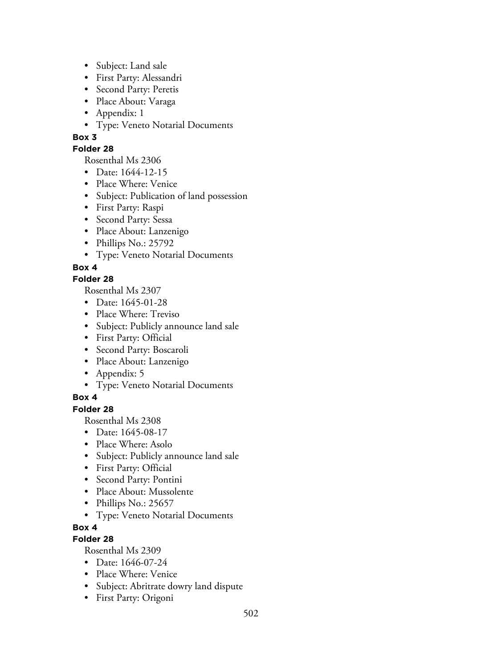- Subject: Land sale
- First Party: Alessandri
- Second Party: Peretis
- Place About: Varaga
- Appendix: 1
- Type: Veneto Notarial Documents

### **Folder 28**

Rosenthal Ms 2306

- Date: 1644-12-15
- Place Where: Venice
- Subject: Publication of land possession
- First Party: Raspi
- Second Party: Sessa
- Place About: Lanzenigo
- Phillips No.: 25792
- Type: Veneto Notarial Documents

## **Box 4**

## **Folder 28**

Rosenthal Ms 2307

- Date: 1645-01-28
- Place Where: Treviso
- Subject: Publicly announce land sale
- First Party: Official
- Second Party: Boscaroli
- Place About: Lanzenigo
- Appendix: 5
- Type: Veneto Notarial Documents

### **Box 4**

# **Folder 28**

Rosenthal Ms 2308

- Date: 1645-08-17
- Place Where: Asolo
- Subject: Publicly announce land sale
- First Party: Official
- Second Party: Pontini
- Place About: Mussolente
- Phillips No.: 25657
- Type: Veneto Notarial Documents

### **Box 4**

# **Folder 28**

- Date: 1646-07-24
- Place Where: Venice
- Subject: Abritrate dowry land dispute
- First Party: Origoni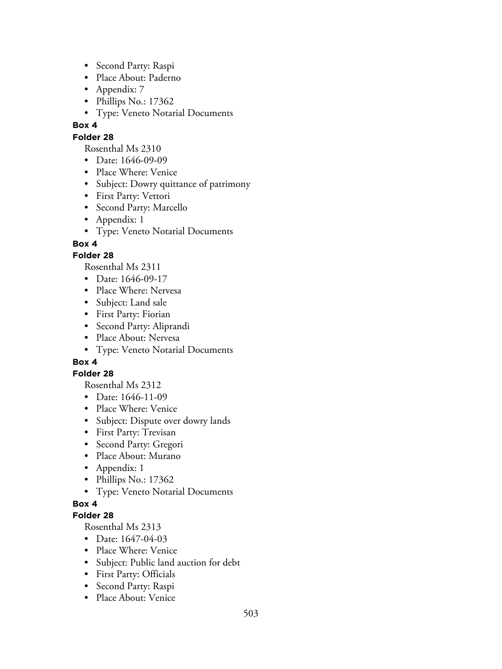- Second Party: Raspi
- Place About: Paderno
- Appendix: 7
- Phillips No.: 17362
- Type: Veneto Notarial Documents

### **Folder 28**

Rosenthal Ms 2310

- Date: 1646-09-09
- Place Where: Venice
- Subject: Dowry quittance of patrimony
- First Party: Vettori
- Second Party: Marcello
- Appendix: 1
- Type: Veneto Notarial Documents

## **Box 4**

## **Folder 28**

Rosenthal Ms 2311

- Date: 1646-09-17
- Place Where: Nervesa
- Subject: Land sale
- First Party: Fiorian
- Second Party: Aliprandi
- Place About: Nervesa
- Type: Veneto Notarial Documents

# **Box 4**

### **Folder 28**

Rosenthal Ms 2312

- Date: 1646-11-09
- Place Where: Venice
- Subject: Dispute over dowry lands
- First Party: Trevisan
- Second Party: Gregori
- Place About: Murano
- Appendix: 1
- Phillips No.: 17362
- Type: Veneto Notarial Documents

### **Box 4**

### **Folder 28**

- Date: 1647-04-03
- Place Where: Venice
- Subject: Public land auction for debt
- First Party: Officials
- Second Party: Raspi
- Place About: Venice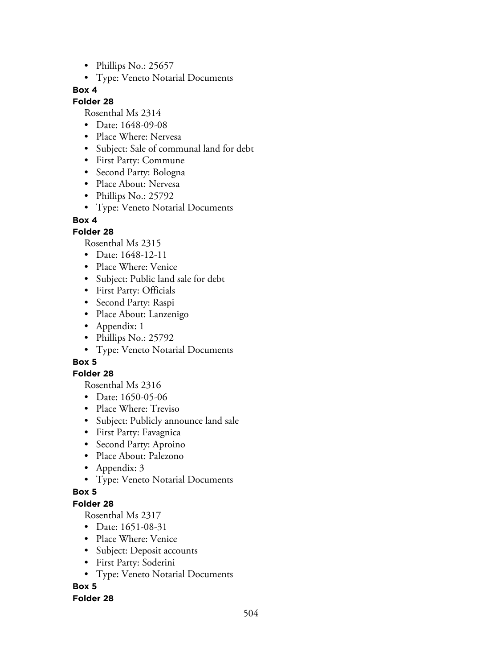- Phillips No.: 25657
- Type: Veneto Notarial Documents

#### **Folder 28**

Rosenthal Ms 2314

- Date: 1648-09-08
- Place Where: Nervesa
- Subject: Sale of communal land for debt
- First Party: Commune
- Second Party: Bologna
- Place About: Nervesa
- Phillips No.: 25792
- Type: Veneto Notarial Documents

#### **Box 4**

### **Folder 28**

Rosenthal Ms 2315

- Date: 1648-12-11
- Place Where: Venice
- Subject: Public land sale for debt
- First Party: Officials
- Second Party: Raspi
- Place About: Lanzenigo
- Appendix: 1
- Phillips No.: 25792
- Type: Veneto Notarial Documents

# **Box 5**

### **Folder 28**

Rosenthal Ms 2316

- Date: 1650-05-06
- Place Where: Treviso
- Subject: Publicly announce land sale
- First Party: Favagnica
- Second Party: Aproino
- Place About: Palezono
- Appendix: 3
- Type: Veneto Notarial Documents

### **Box 5**

## **Folder 28**

Rosenthal Ms 2317

- Date: 1651-08-31
- Place Where: Venice
- Subject: Deposit accounts
- First Party: Soderini
- Type: Veneto Notarial Documents

# **Box 5**

### **Folder 28**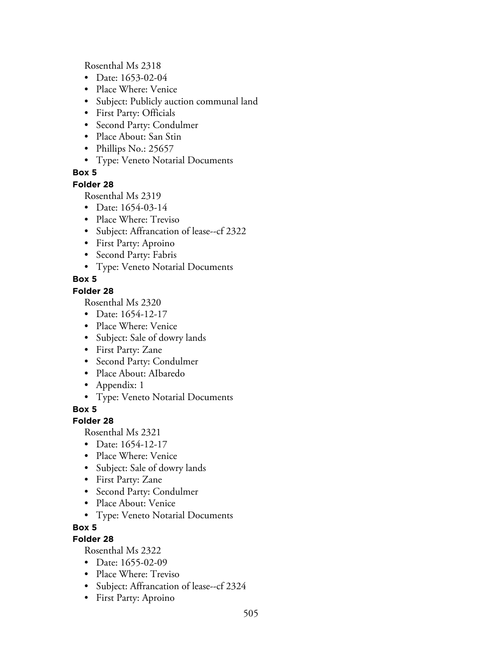Rosenthal Ms 2318

- Date: 1653-02-04
- Place Where: Venice
- Subject: Publicly auction communal land
- First Party: Officials
- Second Party: Condulmer
- Place About: San Stin
- Phillips No.: 25657
- Type: Veneto Notarial Documents

### **Box 5**

### **Folder 28**

Rosenthal Ms 2319

- Date: 1654-03-14
- Place Where: Treviso
- Subject: Affrancation of lease--cf 2322
- First Party: Aproino
- Second Party: Fabris
- Type: Veneto Notarial Documents

### **Box 5**

### **Folder 28**

Rosenthal Ms 2320

- Date: 1654-12-17
- Place Where: Venice
- Subject: Sale of dowry lands
- First Party: Zane
- Second Party: Condulmer
- Place About: AIbaredo
- Appendix: 1
- Type: Veneto Notarial Documents

**Box 5**

### **Folder 28**

Rosenthal Ms 2321

- Date: 1654-12-17
- Place Where: Venice
- Subject: Sale of dowry lands
- First Party: Zane
- Second Party: Condulmer
- Place About: Venice
- Type: Veneto Notarial Documents
- **Box 5**

### **Folder 28**

- Date: 1655-02-09
- Place Where: Treviso
- Subject: Affrancation of lease--cf 2324
- First Party: Aproino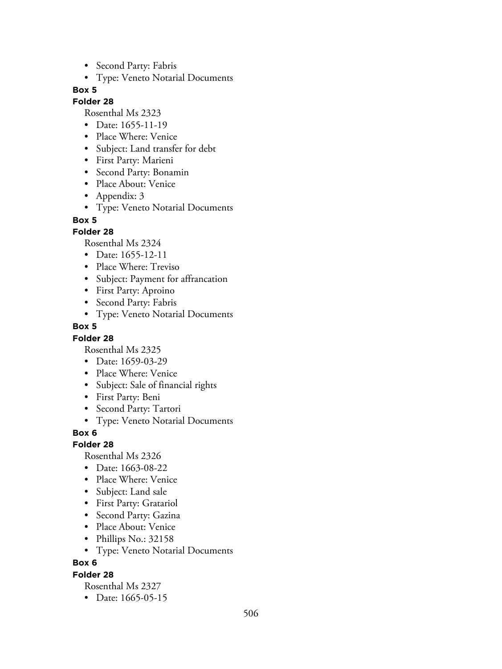- Second Party: Fabris
- Type: Veneto Notarial Documents

### **Folder 28**

Rosenthal Ms 2323

- Date: 1655-11-19
- Place Where: Venice
- Subject: Land transfer for debt
- First Party: Marieni
- Second Party: Bonamin
- Place About: Venice
- Appendix: 3
- Type: Veneto Notarial Documents

#### **Box 5**

### **Folder 28**

Rosenthal Ms 2324

- Date: 1655-12-11
- Place Where: Treviso
- Subject: Payment for affrancation
- First Party: Aproino
- Second Party: Fabris
- Type: Veneto Notarial Documents

### **Box 5**

### **Folder 28**

Rosenthal Ms 2325

- Date: 1659-03-29
- Place Where: Venice
- Subject: Sale of financial rights
- First Party: Beni
- Second Party: Tartori
- Type: Veneto Notarial Documents

**Box 6**

### **Folder 28**

Rosenthal Ms 2326

- Date: 1663-08-22
- Place Where: Venice
- Subject: Land sale
- First Party: Gratariol
- Second Party: Gazina
- Place About: Venice
- Phillips No.: 32158
- Type: Veneto Notarial Documents

### **Box 6**

### **Folder 28**

Rosenthal Ms 2327

• Date: 1665-05-15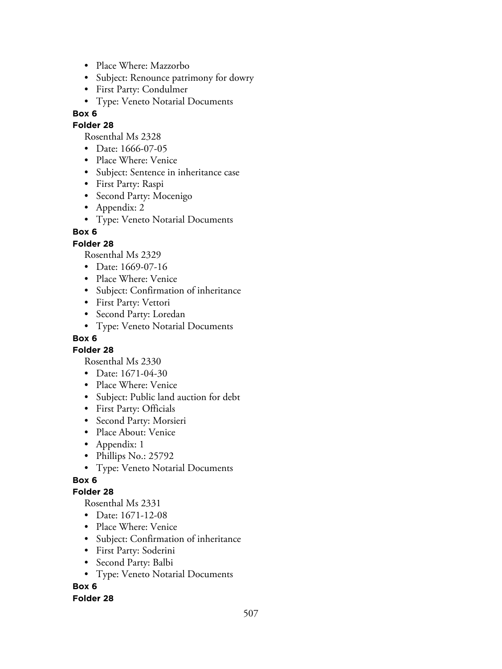- Place Where: Mazzorbo
- Subject: Renounce patrimony for dowry
- First Party: Condulmer
- Type: Veneto Notarial Documents

### **Folder 28**

Rosenthal Ms 2328

- Date: 1666-07-05
- Place Where: Venice
- Subject: Sentence in inheritance case
- First Party: Raspi
- Second Party: Mocenigo
- Appendix: 2
- Type: Veneto Notarial Documents

## **Box 6**

### **Folder 28**

Rosenthal Ms 2329

- Date: 1669-07-16
- Place Where: Venice
- Subject: Confirmation of inheritance
- First Party: Vettori
- Second Party: Loredan
- Type: Veneto Notarial Documents

## **Box 6**

**Folder 28**

Rosenthal Ms 2330

- Date: 1671-04-30
- Place Where: Venice
- Subject: Public land auction for debt
- First Party: Officials
- Second Party: Morsieri
- Place About: Venice
- Appendix: 1
- Phillips No.: 25792
- Type: Veneto Notarial Documents

## **Box 6**

### **Folder 28**

Rosenthal Ms 2331

- Date: 1671-12-08
- Place Where: Venice
- Subject: Confirmation of inheritance
- First Party: Soderini
- Second Party: Balbi
- Type: Veneto Notarial Documents

## **Box 6**

### **Folder 28**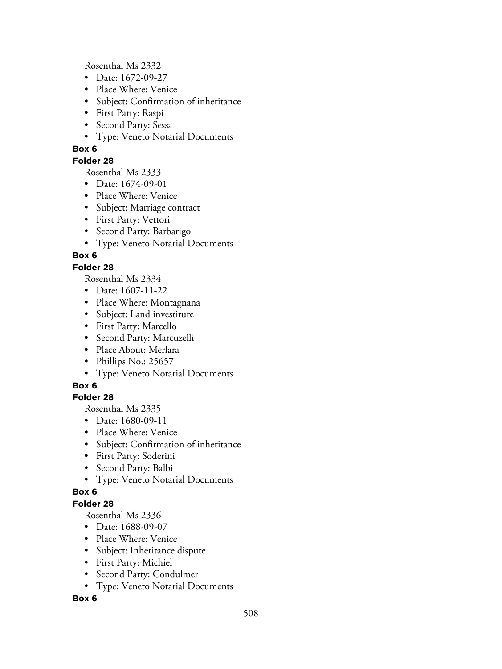Rosenthal Ms 2332

- Date: 1672-09-27
- Place Where: Venice
- Subject: Confirmation of inheritance
- First Party: Raspi
- Second Party: Sessa
- Type: Veneto Notarial Documents

### **Box 6**

### **Folder 28**

Rosenthal Ms 2333

- Date: 1674-09-01
- Place Where: Venice
- Subject: Marriage contract
- First Party: Vettori
- Second Party: Barbarigo
- Type: Veneto Notarial Documents

## **Box 6**

### **Folder 28**

Rosenthal Ms 2334

- Date: 1607-11-22
- Place Where: Montagnana
- Subject: Land investiture
- First Party: Marcello
- Second Party: Marcuzelli
- Place About: Merlara
- Phillips No.: 25657
- Type: Veneto Notarial Documents

## **Box 6**

## **Folder 28**

Rosenthal Ms 2335

- Date: 1680-09-11
- Place Where: Venice
- Subject: Confirmation of inheritance
- First Party: Soderini
- Second Party: Balbi
- Type: Veneto Notarial Documents

### **Box 6**

## **Folder 28**

Rosenthal Ms 2336

- Date: 1688-09-07
- Place Where: Venice
- Subject: Inheritance dispute
- First Party: Michiel
- Second Party: Condulmer
- Type: Veneto Notarial Documents

### **Box 6**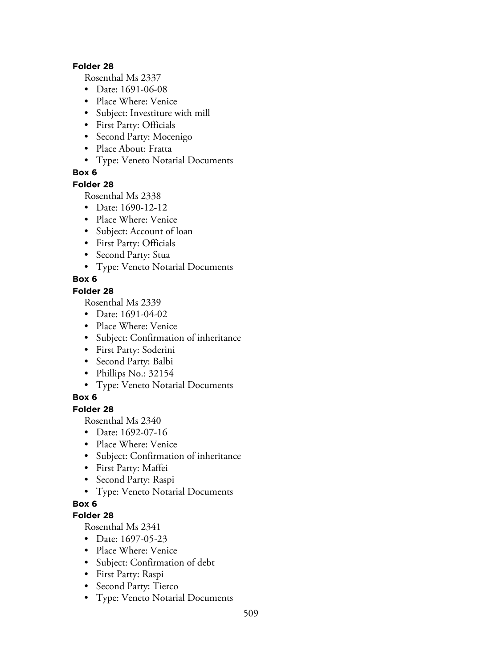#### **Folder 28**

Rosenthal Ms 2337

- Date: 1691-06-08
- Place Where: Venice
- Subject: Investiture with mill
- First Party: Officials
- Second Party: Mocenigo
- Place About: Fratta
- Type: Veneto Notarial Documents

### **Box 6**

### **Folder 28**

Rosenthal Ms 2338

- Date: 1690-12-12
- Place Where: Venice
- Subject: Account of loan
- First Party: Officials
- Second Party: Stua
- Type: Veneto Notarial Documents

### **Box 6**

### **Folder 28**

Rosenthal Ms 2339

- Date: 1691-04-02
- Place Where: Venice
- Subject: Confirmation of inheritance
- First Party: Soderini
- Second Party: Balbi
- Phillips No.: 32154
- Type: Veneto Notarial Documents

## **Box 6**

### **Folder 28**

Rosenthal Ms 2340

- Date: 1692-07-16
- Place Where: Venice
- Subject: Confirmation of inheritance
- First Party: Maffei
- Second Party: Raspi
- Type: Veneto Notarial Documents

### **Box 6**

### **Folder 28**

- Date: 1697-05-23
- Place Where: Venice
- Subject: Confirmation of debt
- First Party: Raspi
- Second Party: Tierco
- Type: Veneto Notarial Documents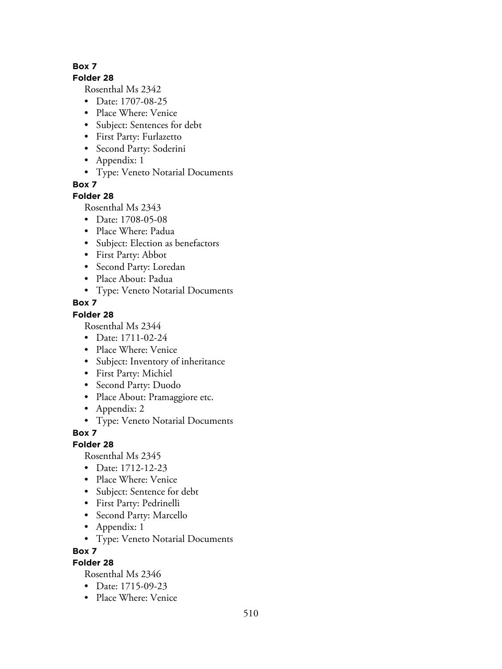#### **Folder 28**

Rosenthal Ms 2342

- Date: 1707-08-25
- Place Where: Venice
- Subject: Sentences for debt
- First Party: Furlazetto
- Second Party: Soderini
- Appendix: 1
- Type: Veneto Notarial Documents

**Box 7**

### **Folder 28**

Rosenthal Ms 2343

- Date: 1708-05-08
- Place Where: Padua
- Subject: Election as benefactors
- First Party: Abbot
- Second Party: Loredan
- Place About: Padua
- Type: Veneto Notarial Documents

### **Box 7**

## **Folder 28**

Rosenthal Ms 2344

- Date: 1711-02-24
- Place Where: Venice
- Subject: Inventory of inheritance
- First Party: Michiel
- Second Party: Duodo
- Place About: Pramaggiore etc.
- Appendix: 2
- Type: Veneto Notarial Documents

**Box 7**

### **Folder 28**

Rosenthal Ms 2345

- Date: 1712-12-23
- Place Where: Venice
- Subject: Sentence for debt
- First Party: Pedrinelli
- Second Party: Marcello
- Appendix: 1
- Type: Veneto Notarial Documents

### **Box 7**

### **Folder 28**

- Date: 1715-09-23
- Place Where: Venice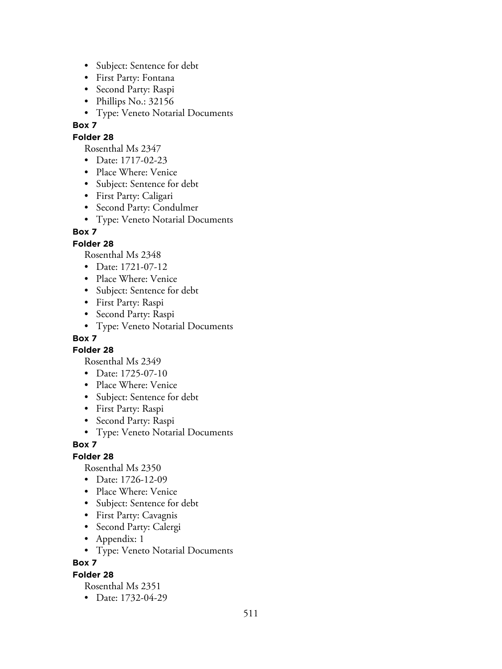- Subject: Sentence for debt
- First Party: Fontana
- Second Party: Raspi
- Phillips No.: 32156
- Type: Veneto Notarial Documents

### **Folder 28**

Rosenthal Ms 2347

- Date: 1717-02-23
- Place Where: Venice
- Subject: Sentence for debt
- First Party: Caligari
- Second Party: Condulmer
- Type: Veneto Notarial Documents

### **Box 7**

### **Folder 28**

Rosenthal Ms 2348

- Date: 1721-07-12
- Place Where: Venice
- Subject: Sentence for debt
- First Party: Raspi
- Second Party: Raspi
- Type: Veneto Notarial Documents

### **Box 7**

**Folder 28**

Rosenthal Ms 2349

- Date: 1725-07-10
- Place Where: Venice
- Subject: Sentence for debt
- First Party: Raspi
- Second Party: Raspi
- Type: Veneto Notarial Documents

### **Box 7**

### **Folder 28**

Rosenthal Ms 2350

- Date: 1726-12-09
- Place Where: Venice
- Subject: Sentence for debt
- First Party: Cavagnis
- Second Party: Calergi
- Appendix: 1
- Type: Veneto Notarial Documents

**Box 7**

### **Folder 28**

Rosenthal Ms 2351

• Date: 1732-04-29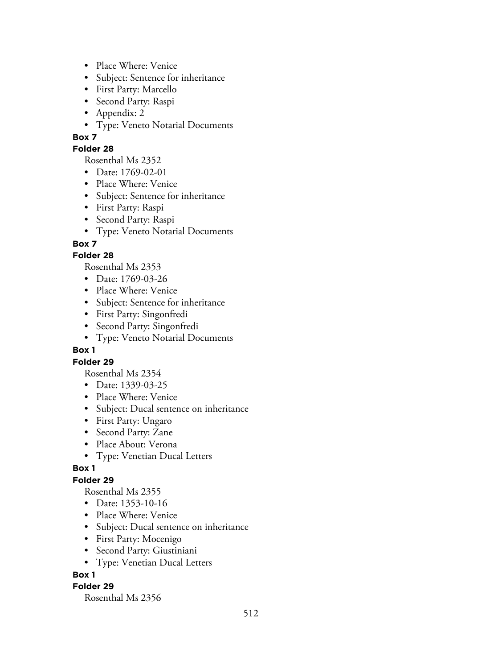- Place Where: Venice
- Subject: Sentence for inheritance
- First Party: Marcello
- Second Party: Raspi
- Appendix: 2
- Type: Veneto Notarial Documents

### **Folder 28**

Rosenthal Ms 2352

- Date: 1769-02-01
- Place Where: Venice
- Subject: Sentence for inheritance
- First Party: Raspi
- Second Party: Raspi
- Type: Veneto Notarial Documents

### **Box 7**

### **Folder 28**

Rosenthal Ms 2353

- Date: 1769-03-26
- Place Where: Venice
- Subject: Sentence for inheritance
- First Party: Singonfredi
- Second Party: Singonfredi
- Type: Veneto Notarial Documents

### **Box 1**

### **Folder 29**

Rosenthal Ms 2354

- Date: 1339-03-25
- Place Where: Venice
- Subject: Ducal sentence on inheritance
- First Party: Ungaro
- Second Party: Zane
- Place About: Verona
- Type: Venetian Ducal Letters

## **Box 1**

## **Folder 29**

Rosenthal Ms 2355

- Date: 1353-10-16
- Place Where: Venice
- Subject: Ducal sentence on inheritance
- First Party: Mocenigo
- Second Party: Giustiniani
- Type: Venetian Ducal Letters

### **Box 1**

### **Folder 29**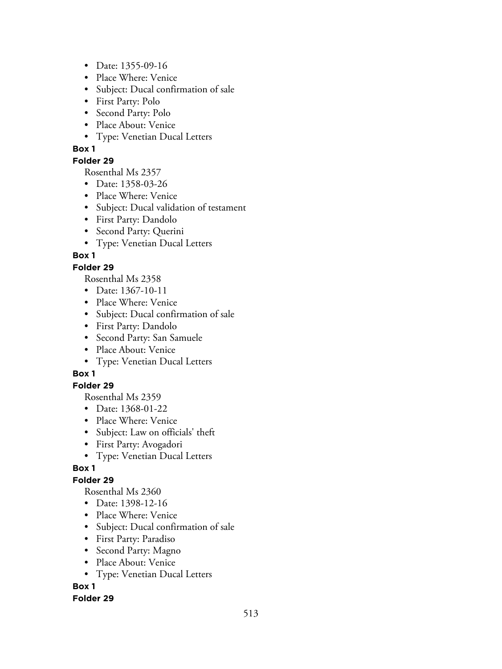- Date: 1355-09-16
- Place Where: Venice
- Subject: Ducal confirmation of sale
- First Party: Polo
- Second Party: Polo
- Place About: Venice
- Type: Venetian Ducal Letters

### **Folder 29**

Rosenthal Ms 2357

- Date: 1358-03-26
- Place Where: Venice
- Subject: Ducal validation of testament
- First Party: Dandolo
- Second Party: Querini
- Type: Venetian Ducal Letters

## **Box 1**

### **Folder 29**

Rosenthal Ms 2358

- Date: 1367-10-11
- Place Where: Venice
- Subject: Ducal confirmation of sale
- First Party: Dandolo
- Second Party: San Samuele
- Place About: Venice
- Type: Venetian Ducal Letters

## **Box 1**

### **Folder 29**

Rosenthal Ms 2359

- Date: 1368-01-22
- Place Where: Venice
- Subject: Law on officials' theft
- First Party: Avogadori
- Type: Venetian Ducal Letters

## **Box 1**

## **Folder 29**

Rosenthal Ms 2360

- Date: 1398-12-16
- Place Where: Venice
- Subject: Ducal confirmation of sale
- First Party: Paradiso
- Second Party: Magno
- Place About: Venice
- Type: Venetian Ducal Letters

## **Box 1**

### **Folder 29**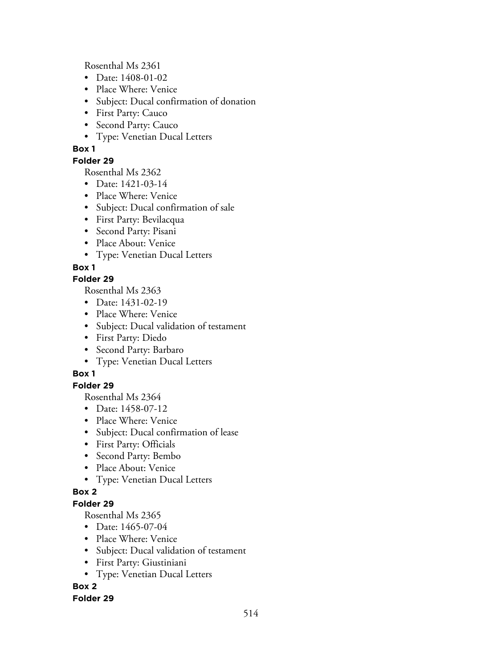Rosenthal Ms 2361

- Date: 1408-01-02
- Place Where: Venice
- Subject: Ducal confirmation of donation
- First Party: Cauco
- Second Party: Cauco
- Type: Venetian Ducal Letters

## **Box 1**

## **Folder 29**

Rosenthal Ms 2362

- Date: 1421-03-14
- Place Where: Venice
- Subject: Ducal confirmation of sale
- First Party: Bevilacqua
- Second Party: Pisani
- Place About: Venice
- Type: Venetian Ducal Letters

# **Box 1**

## **Folder 29**

Rosenthal Ms 2363

- Date: 1431-02-19
- Place Where: Venice
- Subject: Ducal validation of testament
- First Party: Diedo
- Second Party: Barbaro
- Type: Venetian Ducal Letters

# **Box 1**

# **Folder 29**

Rosenthal Ms 2364

- Date: 1458-07-12
- Place Where: Venice
- Subject: Ducal confirmation of lease
- First Party: Officials
- Second Party: Bembo
- Place About: Venice
- Type: Venetian Ducal Letters

## **Box 2**

## **Folder 29**

Rosenthal Ms 2365

- Date: 1465-07-04
- Place Where: Venice
- Subject: Ducal validation of testament
- First Party: Giustiniani
- Type: Venetian Ducal Letters

# **Box 2**

## **Folder 29**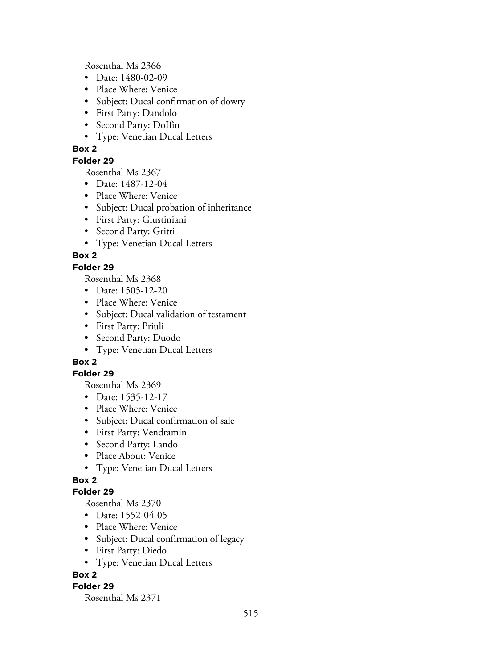Rosenthal Ms 2366

- Date: 1480-02-09
- Place Where: Venice
- Subject: Ducal confirmation of dowry
- First Party: Dandolo
- Second Party: DoIfin
- Type: Venetian Ducal Letters

### **Box 2**

### **Folder 29**

Rosenthal Ms 2367

- Date: 1487-12-04
- Place Where: Venice
- Subject: Ducal probation of inheritance
- First Party: Giustiniani
- Second Party: Gritti
- Type: Venetian Ducal Letters

## **Box 2**

### **Folder 29**

Rosenthal Ms 2368

- Date: 1505-12-20
- Place Where: Venice
- Subject: Ducal validation of testament
- First Party: Priuli
- Second Party: Duodo
- Type: Venetian Ducal Letters

## **Box 2**

### **Folder 29**

Rosenthal Ms 2369

- Date: 1535-12-17
- Place Where: Venice
- Subject: Ducal confirmation of sale
- First Party: Vendramin
- Second Party: Lando
- Place About: Venice
- Type: Venetian Ducal Letters

## **Box 2**

### **Folder 29**

Rosenthal Ms 2370

- Date: 1552-04-05
- Place Where: Venice
- Subject: Ducal confirmation of legacy
- First Party: Diedo
- Type: Venetian Ducal Letters

## **Box 2**

### **Folder 29**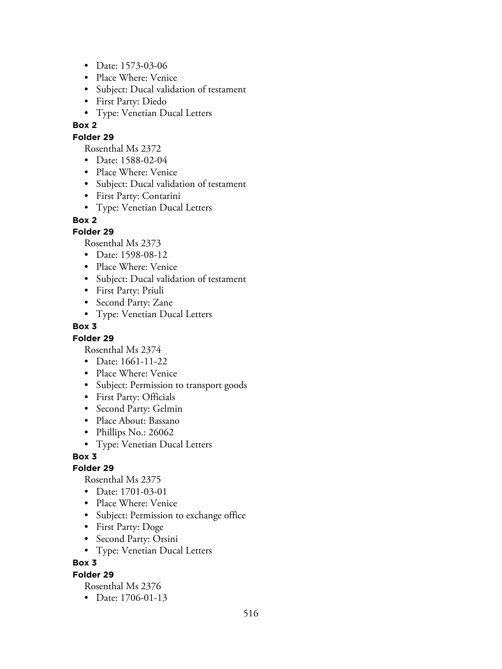- Date: 1573-03-06
- Place Where: Venice
- Subject: Ducal validation of testament
- First Party: Diedo
- Type: Venetian Ducal Letters

#### **Folder 29**

Rosenthal Ms 2372

- Date: 1588-02-04
- Place Where: Venice
- Subject: Ducal validation of testament
- First Party: Contarini
- Type: Venetian Ducal Letters

#### **Box 2**

### **Folder 29**

Rosenthal Ms 2373

- Date: 1598-08-12
- Place Where: Venice
- Subject: Ducal validation of testament
- First Party: Priuli
- Second Party: Zane
- Type: Venetian Ducal Letters

### **Box 3**

### **Folder 29**

Rosenthal Ms 2374

- Date: 1661-11-22
- Place Where: Venice
- Subject: Permission to transport goods
- First Party: Officials
- Second Party: Gelmin
- Place About: Bassano
- Phillips No.: 26062
- Type: Venetian Ducal Letters

## **Box 3**

### **Folder 29**

Rosenthal Ms 2375

- Date: 1701-03-01
- Place Where: Venice
- Subject: Permission to exchange office
- First Party: Doge
- Second Party: Orsini
- Type: Venetian Ducal Letters

### **Box 3**

### **Folder 29**

Rosenthal Ms 2376

• Date: 1706-01-13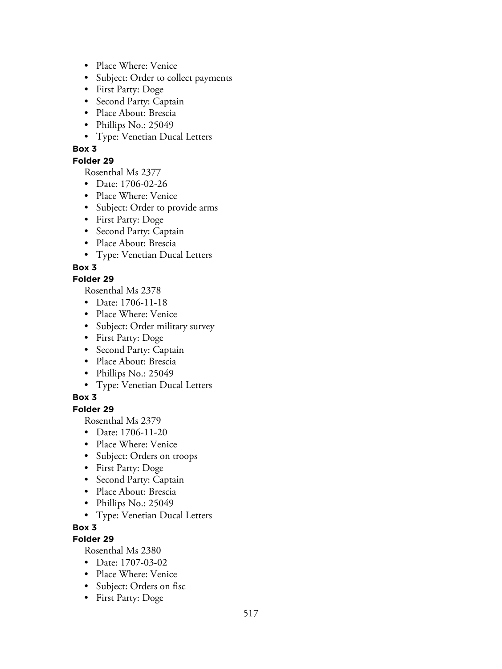- Place Where: Venice
- Subject: Order to collect payments
- First Party: Doge
- Second Party: Captain
- Place About: Brescia
- Phillips No.: 25049
- Type: Venetian Ducal Letters

### **Folder 29**

Rosenthal Ms 2377

- Date: 1706-02-26
- Place Where: Venice
- Subject: Order to provide arms
- First Party: Doge
- Second Party: Captain
- Place About: Brescia
- Type: Venetian Ducal Letters

### **Box 3**

### **Folder 29**

Rosenthal Ms 2378

- Date: 1706-11-18
- Place Where: Venice
- Subject: Order military survey
- First Party: Doge
- Second Party: Captain
- Place About: Brescia
- Phillips No.: 25049
- Type: Venetian Ducal Letters

## **Box 3**

## **Folder 29**

Rosenthal Ms 2379

- Date: 1706-11-20
- Place Where: Venice
- Subject: Orders on troops
- First Party: Doge
- Second Party: Captain
- Place About: Brescia
- Phillips No.: 25049
- Type: Venetian Ducal Letters

### **Box 3**

## **Folder 29**

- Date: 1707-03-02
- Place Where: Venice
- Subject: Orders on fisc
- First Party: Doge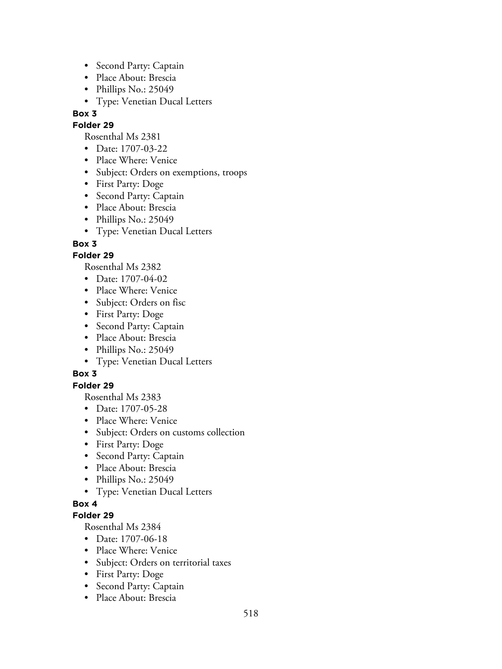- Second Party: Captain
- Place About: Brescia
- Phillips No.: 25049
- Type: Venetian Ducal Letters

### **Folder 29**

Rosenthal Ms 2381

- Date: 1707-03-22
- Place Where: Venice
- Subject: Orders on exemptions, troops
- First Party: Doge
- Second Party: Captain
- Place About: Brescia
- Phillips No.: 25049
- Type: Venetian Ducal Letters

### **Box 3**

### **Folder 29**

Rosenthal Ms 2382

- Date: 1707-04-02
- Place Where: Venice
- Subject: Orders on fisc
- First Party: Doge
- Second Party: Captain
- Place About: Brescia
- Phillips No.: 25049
- Type: Venetian Ducal Letters

## **Box 3**

### **Folder 29**

Rosenthal Ms 2383

- Date: 1707-05-28
- Place Where: Venice
- Subject: Orders on customs collection
- First Party: Doge
- Second Party: Captain
- Place About: Brescia
- Phillips No.: 25049
- Type: Venetian Ducal Letters

### **Box 4**

### **Folder 29**

- Date: 1707-06-18
- Place Where: Venice
- Subject: Orders on territorial taxes
- First Party: Doge
- Second Party: Captain
- Place About: Brescia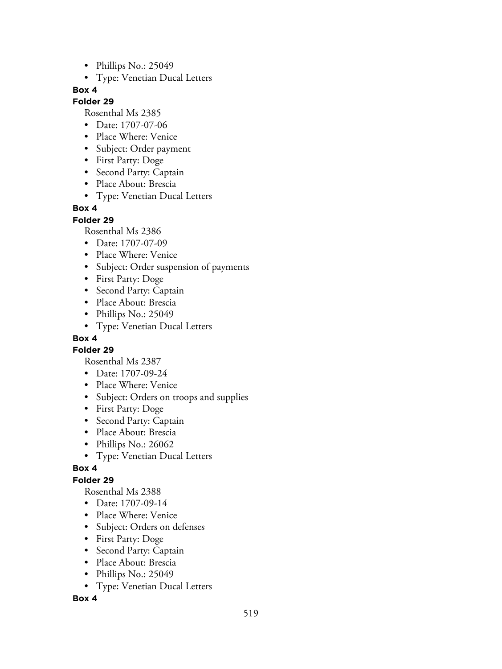- Phillips No.: 25049
- Type: Venetian Ducal Letters

### **Folder 29**

Rosenthal Ms 2385

- Date: 1707-07-06
- Place Where: Venice
- Subject: Order payment
- First Party: Doge
- Second Party: Captain
- Place About: Brescia
- Type: Venetian Ducal Letters

### **Box 4**

**Folder 29**

Rosenthal Ms 2386

- Date: 1707-07-09
- Place Where: Venice
- Subject: Order suspension of payments
- First Party: Doge
- Second Party: Captain
- Place About: Brescia
- Phillips No.: 25049
- Type: Venetian Ducal Letters

### **Box 4**

**Folder 29**

Rosenthal Ms 2387

- Date: 1707-09-24
- Place Where: Venice
- Subject: Orders on troops and supplies
- First Party: Doge
- Second Party: Captain
- Place About: Brescia
- Phillips No.: 26062
- Type: Venetian Ducal Letters

### **Box 4**

### **Folder 29**

Rosenthal Ms 2388

- Date: 1707-09-14
- Place Where: Venice
- Subject: Orders on defenses
- First Party: Doge
- Second Party: Captain
- Place About: Brescia
- Phillips No.: 25049
- Type: Venetian Ducal Letters

### **Box 4**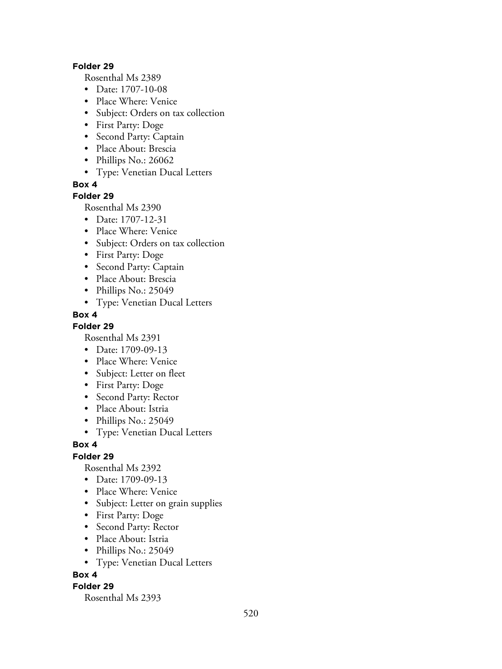#### **Folder 29**

Rosenthal Ms 2389

- Date: 1707-10-08
- Place Where: Venice
- Subject: Orders on tax collection
- First Party: Doge
- Second Party: Captain
- Place About: Brescia
- Phillips No.: 26062
- Type: Venetian Ducal Letters

**Box 4**

### **Folder 29**

Rosenthal Ms 2390

- Date: 1707-12-31
- Place Where: Venice
- Subject: Orders on tax collection
- First Party: Doge
- Second Party: Captain
- Place About: Brescia
- Phillips No.: 25049
- Type: Venetian Ducal Letters

### **Box 4**

**Folder 29**

Rosenthal Ms 2391

- Date: 1709-09-13
- Place Where: Venice
- Subject: Letter on fleet
- First Party: Doge
- Second Party: Rector
- Place About: Istria
- Phillips No.: 25049
- Type: Venetian Ducal Letters

### **Box 4**

## **Folder 29**

Rosenthal Ms 2392

- Date: 1709-09-13
- Place Where: Venice
- Subject: Letter on grain supplies
- First Party: Doge
- Second Party: Rector
- Place About: Istria
- Phillips No.: 25049
- Type: Venetian Ducal Letters

### **Box 4**

### **Folder 29**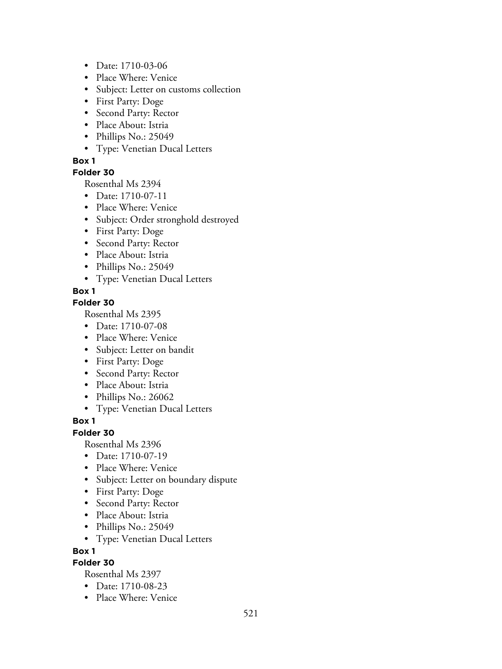- Date: 1710-03-06
- Place Where: Venice
- Subject: Letter on customs collection
- First Party: Doge
- Second Party: Rector
- Place About: Istria
- Phillips No.: 25049
- Type: Venetian Ducal Letters

### **Folder 30**

Rosenthal Ms 2394

- Date: 1710-07-11
- Place Where: Venice
- Subject: Order stronghold destroyed
- First Party: Doge
- Second Party: Rector
- Place About: Istria
- Phillips No.: 25049
- Type: Venetian Ducal Letters

### **Box 1**

### **Folder 30**

Rosenthal Ms 2395

- Date: 1710-07-08
- Place Where: Venice
- Subject: Letter on bandit
- First Party: Doge
- Second Party: Rector
- Place About: Istria
- Phillips No.: 26062
- Type: Venetian Ducal Letters

### **Box 1**

### **Folder 30**

Rosenthal Ms 2396

- Date: 1710-07-19
- Place Where: Venice
- Subject: Letter on boundary dispute
- First Party: Doge
- Second Party: Rector
- Place About: Istria
- Phillips No.: 25049
- Type: Venetian Ducal Letters

**Box 1**

### **Folder 30**

- Date: 1710-08-23
- Place Where: Venice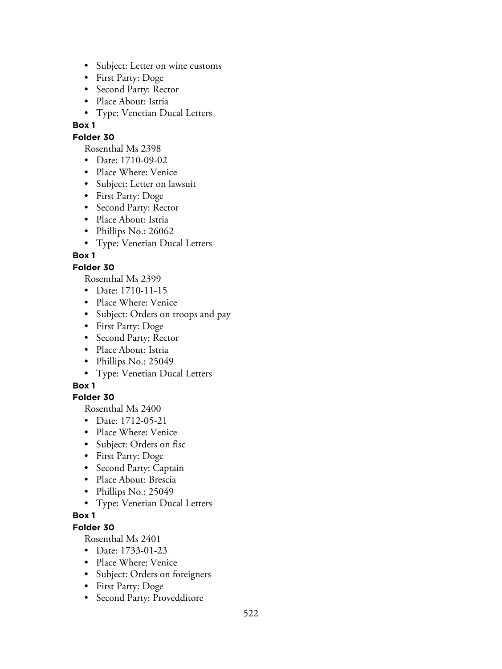- Subject: Letter on wine customs
- First Party: Doge
- Second Party: Rector
- Place About: Istria
- Type: Venetian Ducal Letters

#### **Folder 30**

Rosenthal Ms 2398

- Date: 1710-09-02
- Place Where: Venice
- Subject: Letter on lawsuit
- First Party: Doge
- Second Party: Rector
- Place About: Istria
- Phillips No.: 26062
- Type: Venetian Ducal Letters

### **Box 1**

### **Folder 30**

Rosenthal Ms 2399

- Date: 1710-11-15
- Place Where: Venice
- Subject: Orders on troops and pay
- First Party: Doge
- Second Party: Rector
- Place About: Istria
- Phillips No.: 25049
- Type: Venetian Ducal Letters

#### **Box 1**

#### **Folder 30**

Rosenthal Ms 2400

- Date: 1712-05-21
- Place Where: Venice
- Subject: Orders on fisc
- First Party: Doge
- Second Party: Captain
- Place About: Brescia
- Phillips No.: 25049
- Type: Venetian Ducal Letters

### **Box 1**

### **Folder 30**

- Date: 1733-01-23
- Place Where: Venice
- Subject: Orders on foreigners
- First Party: Doge
- Second Party: Provedditore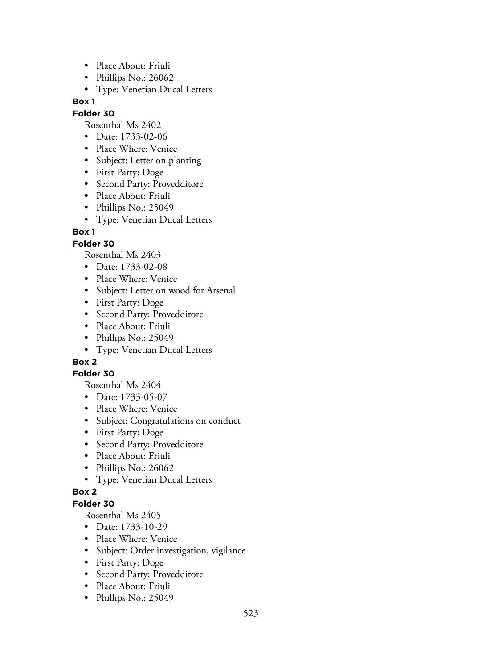- Place About: Friuli
- Phillips No.: 26062
- Type: Venetian Ducal Letters

## **Folder 30**

Rosenthal Ms 2402

- Date: 1733-02-06
- Place Where: Venice
- Subject: Letter on planting
- First Party: Doge
- Second Party: Provedditore
- Place About: Friuli
- Phillips No.: 25049
- Type: Venetian Ducal Letters

## **Box 1**

## **Folder 30**

Rosenthal Ms 2403

- Date: 1733-02-08
- Place Where: Venice
- Subject: Letter on wood for Arsenal
- First Party: Doge
- Second Party: Provedditore
- Place About: Friuli
- Phillips No.: 25049
- Type: Venetian Ducal Letters

# **Box 2**

## **Folder 30**

Rosenthal Ms 2404

- Date: 1733-05-07
- Place Where: Venice
- Subject: Congratulations on conduct
- First Party: Doge
- Second Party: Provedditore
- Place About: Friuli
- Phillips No.: 26062
- Type: Venetian Ducal Letters

## **Box 2**

## **Folder 30**

- Date: 1733-10-29
- Place Where: Venice
- Subject: Order investigation, vigilance
- First Party: Doge
- Second Party: Provedditore
- Place About: Friuli
- Phillips No.: 25049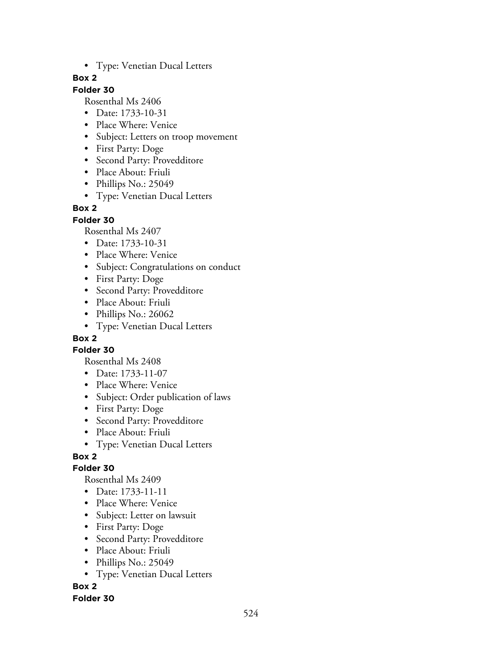• Type: Venetian Ducal Letters

## **Box 2**

## **Folder 30**

Rosenthal Ms 2406

- Date: 1733-10-31
- Place Where: Venice
- Subject: Letters on troop movement
- First Party: Doge
- Second Party: Provedditore
- Place About: Friuli
- Phillips No.: 25049
- Type: Venetian Ducal Letters

### **Box 2**

**Folder 30**

Rosenthal Ms 2407

- Date: 1733-10-31
- Place Where: Venice
- Subject: Congratulations on conduct
- First Party: Doge
- Second Party: Provedditore
- Place About: Friuli
- Phillips No.: 26062
- Type: Venetian Ducal Letters

## **Box 2**

**Folder 30**

Rosenthal Ms 2408

- Date: 1733-11-07
- Place Where: Venice
- Subject: Order publication of laws
- First Party: Doge
- Second Party: Provedditore
- Place About: Friuli
- Type: Venetian Ducal Letters

**Box 2**

### **Folder 30**

Rosenthal Ms 2409

- Date: 1733-11-11
- Place Where: Venice
- Subject: Letter on lawsuit
- First Party: Doge
- Second Party: Provedditore
- Place About: Friuli
- Phillips No.: 25049
- Type: Venetian Ducal Letters

**Box 2**

### **Folder 30**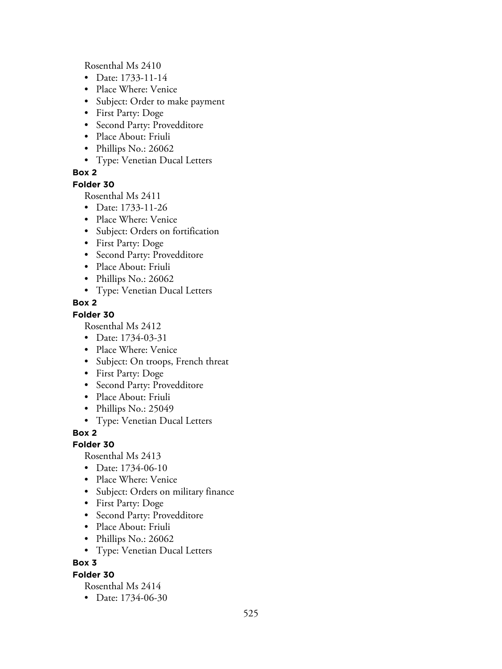Rosenthal Ms 2410

- Date: 1733-11-14
- Place Where: Venice
- Subject: Order to make payment
- First Party: Doge
- Second Party: Provedditore
- Place About: Friuli
- Phillips No.: 26062
- Type: Venetian Ducal Letters

### **Box 2**

**Folder 30**

Rosenthal Ms 2411

- Date: 1733-11-26
- Place Where: Venice
- Subject: Orders on fortification
- First Party: Doge
- Second Party: Provedditore
- Place About: Friuli
- Phillips No.: 26062
- Type: Venetian Ducal Letters

### **Box 2**

### **Folder 30**

Rosenthal Ms 2412

- Date: 1734-03-31
- Place Where: Venice
- Subject: On troops, French threat
- First Party: Doge
- Second Party: Provedditore
- Place About: Friuli
- Phillips No.: 25049
- Type: Venetian Ducal Letters

**Box 2**

### **Folder 30**

Rosenthal Ms 2413

- Date: 1734-06-10
- Place Where: Venice
- Subject: Orders on military finance
- First Party: Doge
- Second Party: Provedditore
- Place About: Friuli
- Phillips No.: 26062
- Type: Venetian Ducal Letters

### **Box 3**

### **Folder 30**

Rosenthal Ms 2414

• Date: 1734-06-30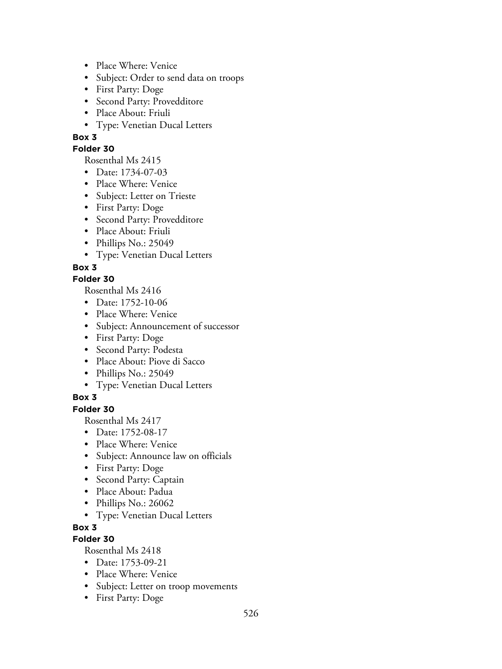- Place Where: Venice
- Subject: Order to send data on troops
- First Party: Doge
- Second Party: Provedditore
- Place About: Friuli
- Type: Venetian Ducal Letters

### **Folder 30**

Rosenthal Ms 2415

- Date: 1734-07-03
- Place Where: Venice
- Subject: Letter on Trieste
- First Party: Doge
- Second Party: Provedditore
- Place About: Friuli
- Phillips No.: 25049
- Type: Venetian Ducal Letters

## **Box 3**

### **Folder 30**

Rosenthal Ms 2416

- Date: 1752-10-06
- Place Where: Venice
- Subject: Announcement of successor
- First Party: Doge
- Second Party: Podesta
- Place About: Piove di Sacco
- Phillips No.: 25049
- Type: Venetian Ducal Letters

## **Box 3**

### **Folder 30**

Rosenthal Ms 2417

- Date: 1752-08-17
- Place Where: Venice
- Subject: Announce law on officials
- First Party: Doge
- Second Party: Captain
- Place About: Padua
- Phillips No.: 26062
- Type: Venetian Ducal Letters
- **Box 3**

## **Folder 30**

- Date: 1753-09-21
- Place Where: Venice
- Subject: Letter on troop movements
- First Party: Doge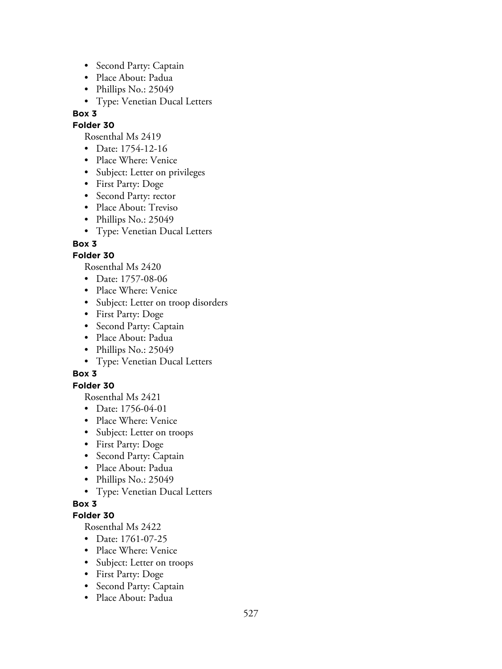- Second Party: Captain
- Place About: Padua
- Phillips No.: 25049
- Type: Venetian Ducal Letters

### **Folder 30**

Rosenthal Ms 2419

- Date: 1754-12-16
- Place Where: Venice
- Subject: Letter on privileges
- First Party: Doge
- Second Party: rector
- Place About: Treviso
- Phillips No.: 25049
- Type: Venetian Ducal Letters

### **Box 3**

### **Folder 30**

Rosenthal Ms 2420

- Date: 1757-08-06
- Place Where: Venice
- Subject: Letter on troop disorders
- First Party: Doge
- Second Party: Captain
- Place About: Padua
- Phillips No.: 25049
- Type: Venetian Ducal Letters

## **Box 3**

### **Folder 30**

Rosenthal Ms 2421

- Date: 1756-04-01
- Place Where: Venice
- Subject: Letter on troops
- First Party: Doge
- Second Party: Captain
- Place About: Padua
- Phillips No.: 25049
- Type: Venetian Ducal Letters

### **Box 3**

### **Folder 30**

- Date: 1761-07-25
- Place Where: Venice
- Subject: Letter on troops
- First Party: Doge
- Second Party: Captain
- Place About: Padua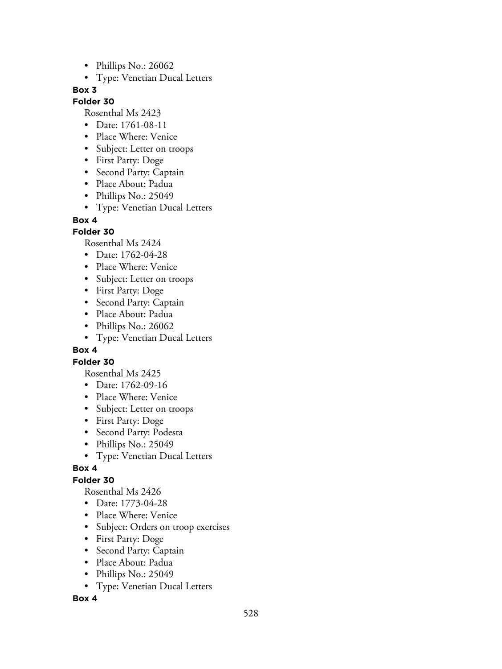- Phillips No.: 26062
- Type: Venetian Ducal Letters

### **Folder 30**

Rosenthal Ms 2423

- Date: 1761-08-11
- Place Where: Venice
- Subject: Letter on troops
- First Party: Doge
- Second Party: Captain
- Place About: Padua
- Phillips No.: 25049
- Type: Venetian Ducal Letters

### **Box 4**

### **Folder 30**

Rosenthal Ms 2424

- Date: 1762-04-28
- Place Where: Venice
- Subject: Letter on troops
- First Party: Doge
- Second Party: Captain
- Place About: Padua
- Phillips No.: 26062
- Type: Venetian Ducal Letters

### **Box 4**

### **Folder 30**

Rosenthal Ms 2425

- Date: 1762-09-16
- Place Where: Venice
- Subject: Letter on troops
- First Party: Doge
- Second Party: Podesta
- Phillips No.: 25049
- Type: Venetian Ducal Letters

### **Box 4**

## **Folder 30**

Rosenthal Ms 2426

- Date: 1773-04-28
- Place Where: Venice
- Subject: Orders on troop exercises
- First Party: Doge
- Second Party: Captain
- Place About: Padua
- Phillips No.: 25049
- Type: Venetian Ducal Letters

### **Box 4**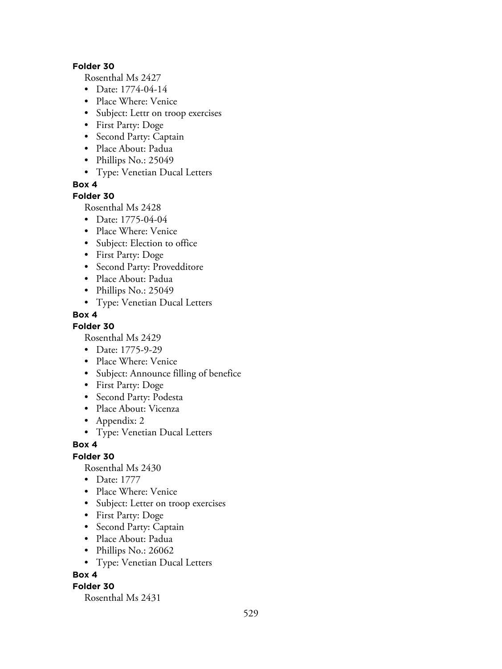#### **Folder 30**

Rosenthal Ms 2427

- Date: 1774-04-14
- Place Where: Venice
- Subject: Lettr on troop exercises
- First Party: Doge
- Second Party: Captain
- Place About: Padua
- Phillips No.: 25049
- Type: Venetian Ducal Letters

**Box 4**

### **Folder 30**

Rosenthal Ms 2428

- Date: 1775-04-04
- Place Where: Venice
- Subject: Election to office
- First Party: Doge
- Second Party: Provedditore
- Place About: Padua
- Phillips No.: 25049
- Type: Venetian Ducal Letters

### **Box 4**

**Folder 30**

Rosenthal Ms 2429

- Date: 1775-9-29
- Place Where: Venice
- Subject: Announce filling of benefice
- First Party: Doge
- Second Party: Podesta
- Place About: Vicenza
- Appendix: 2
- Type: Venetian Ducal Letters

### **Box 4**

**Folder 30**

Rosenthal Ms 2430

- Date: 1777
- Place Where: Venice
- Subject: Letter on troop exercises
- First Party: Doge
- Second Party: Captain
- Place About: Padua
- Phillips No.: 26062
- Type: Venetian Ducal Letters

### **Box 4**

### **Folder 30**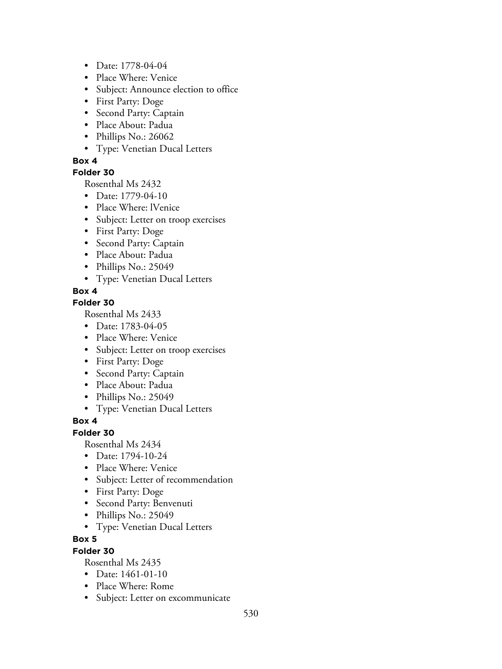- Date: 1778-04-04
- Place Where: Venice
- Subject: Announce election to office
- First Party: Doge
- Second Party: Captain
- Place About: Padua
- Phillips No.: 26062
- Type: Venetian Ducal Letters

### **Folder 30**

Rosenthal Ms 2432

- Date: 1779-04-10
- Place Where: lVenice
- Subject: Letter on troop exercises
- First Party: Doge
- Second Party: Captain
- Place About: Padua
- Phillips No.: 25049
- Type: Venetian Ducal Letters

### **Box 4**

### **Folder 30**

Rosenthal Ms 2433

- Date: 1783-04-05
- Place Where: Venice
- Subject: Letter on troop exercises
- First Party: Doge
- Second Party: Captain
- Place About: Padua
- Phillips No.: 25049
- Type: Venetian Ducal Letters

### **Box 4**

### **Folder 30**

Rosenthal Ms 2434

- Date: 1794-10-24
- Place Where: Venice
- Subject: Letter of recommendation
- First Party: Doge
- Second Party: Benvenuti
- Phillips No.: 25049
- Type: Venetian Ducal Letters

### **Box 5**

### **Folder 30**

- Date: 1461-01-10
- Place Where: Rome
- Subject: Letter on excommunicate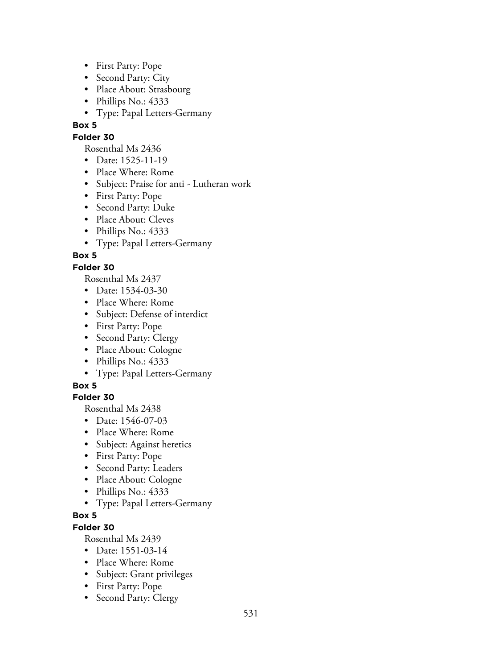- First Party: Pope
- Second Party: City
- Place About: Strasbourg
- Phillips No.: 4333
- Type: Papal Letters-Germany

### **Folder 30**

Rosenthal Ms 2436

- Date: 1525-11-19
- Place Where: Rome
- Subject: Praise for anti Lutheran work
- First Party: Pope
- Second Party: Duke
- Place About: Cleves
- Phillips No.: 4333
- Type: Papal Letters-Germany

# **Box 5**

## **Folder 30**

Rosenthal Ms 2437

- Date: 1534-03-30
- Place Where: Rome
- Subject: Defense of interdict
- First Party: Pope
- Second Party: Clergy
- Place About: Cologne
- Phillips No.: 4333
- Type: Papal Letters-Germany

## **Box 5**

## **Folder 30**

Rosenthal Ms 2438

- Date: 1546-07-03
- Place Where: Rome
- Subject: Against heretics
- First Party: Pope
- Second Party: Leaders
- Place About: Cologne
- Phillips No.: 4333
- Type: Papal Letters-Germany

## **Box 5**

# **Folder 30**

- Date: 1551-03-14
- Place Where: Rome
- Subject: Grant privileges
- First Party: Pope
- Second Party: Clergy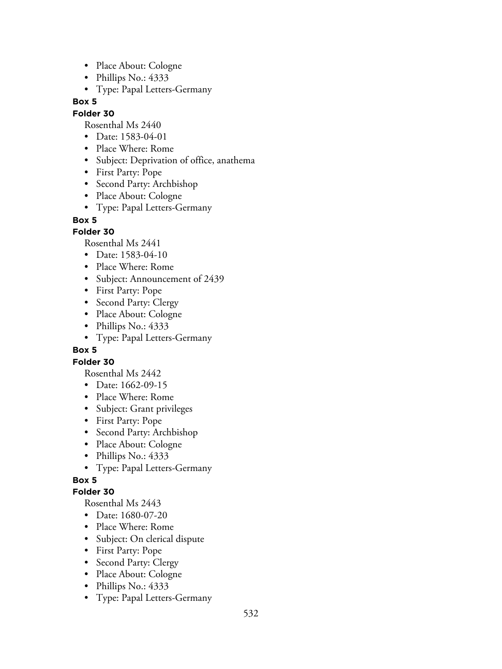- Place About: Cologne
- Phillips No.: 4333
- Type: Papal Letters-Germany

#### **Folder 30**

Rosenthal Ms 2440

- Date: 1583-04-01
- Place Where: Rome
- Subject: Deprivation of office, anathema
- First Party: Pope
- Second Party: Archbishop
- Place About: Cologne
- Type: Papal Letters-Germany

**Box 5**

### **Folder 30**

Rosenthal Ms 2441

- Date: 1583-04-10
- Place Where: Rome
- Subject: Announcement of 2439
- First Party: Pope
- Second Party: Clergy
- Place About: Cologne
- Phillips No.: 4333
- Type: Papal Letters-Germany

### **Box 5**

### **Folder 30**

Rosenthal Ms 2442

- Date: 1662-09-15
- Place Where: Rome
- Subject: Grant privileges
- First Party: Pope
- Second Party: Archbishop
- Place About: Cologne
- Phillips No.: 4333
- Type: Papal Letters-Germany

## **Box 5**

### **Folder 30**

- Date: 1680-07-20
- Place Where: Rome
- Subject: On clerical dispute
- First Party: Pope
- Second Party: Clergy
- Place About: Cologne
- Phillips No.: 4333
- Type: Papal Letters-Germany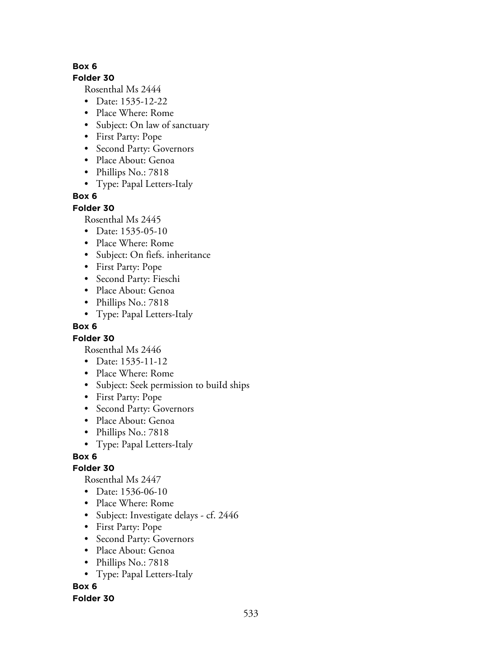#### **Folder 30**

Rosenthal Ms 2444

- Date: 1535-12-22
- Place Where: Rome
- Subject: On law of sanctuary
- First Party: Pope
- Second Party: Governors
- Place About: Genoa
- Phillips No.: 7818
- Type: Papal Letters-Italy

## **Box 6**

### **Folder 30**

Rosenthal Ms 2445

- Date: 1535-05-10
- Place Where: Rome
- Subject: On fiefs. inheritance
- First Party: Pope
- Second Party: Fieschi
- Place About: Genoa
- Phillips No.: 7818
- Type: Papal Letters-Italy

## **Box 6**

## **Folder 30**

Rosenthal Ms 2446

- Date: 1535-11-12
- Place Where: Rome
- Subject: Seek permission to buiId ships
- First Party: Pope
- Second Party: Governors
- Place About: Genoa
- Phillips No.: 7818
- Type: Papal Letters-Italy

## **Box 6**

## **Folder 30**

Rosenthal Ms 2447

- Date: 1536-06-10
- Place Where: Rome
- Subject: Investigate delays cf. 2446
- First Party: Pope
- Second Party: Governors
- Place About: Genoa
- Phillips No.: 7818
- Type: Papal Letters-Italy

# **Box 6**

## **Folder 30**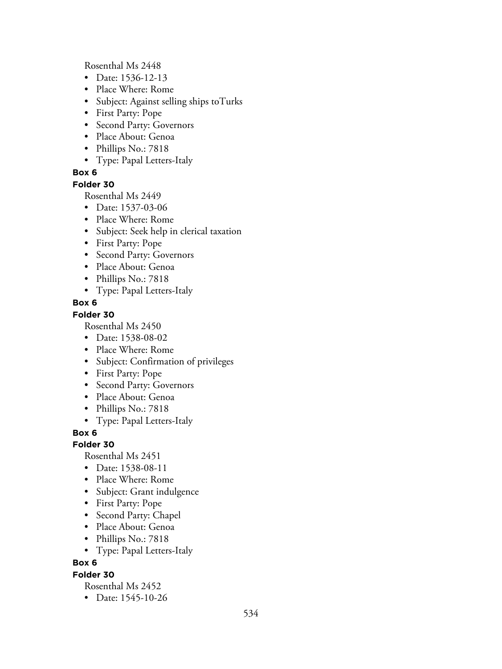Rosenthal Ms 2448

- Date: 1536-12-13
- Place Where: Rome
- Subject: Against selling ships toTurks
- First Party: Pope
- Second Party: Governors
- Place About: Genoa
- Phillips No.: 7818
- Type: Papal Letters-Italy

### **Box 6**

**Folder 30**

Rosenthal Ms 2449

- Date: 1537-03-06
- Place Where: Rome
- Subject: Seek help in clerical taxation
- First Party: Pope
- Second Party: Governors
- Place About: Genoa
- Phillips No.: 7818
- Type: Papal Letters-Italy

### **Box 6**

### **Folder 30**

Rosenthal Ms 2450

- Date: 1538-08-02
- Place Where: Rome
- Subject: Confirmation of privileges
- First Party: Pope
- Second Party: Governors
- Place About: Genoa
- Phillips No.: 7818
- Type: Papal Letters-Italy

**Box 6**

**Folder 30**

Rosenthal Ms 2451

- Date: 1538-08-11
- Place Where: Rome
- Subject: Grant indulgence
- First Party: Pope
- Second Party: Chapel
- Place About: Genoa
- Phillips No.: 7818
- Type: Papal Letters-Italy

### **Box 6**

### **Folder 30**

Rosenthal Ms 2452

• Date: 1545-10-26